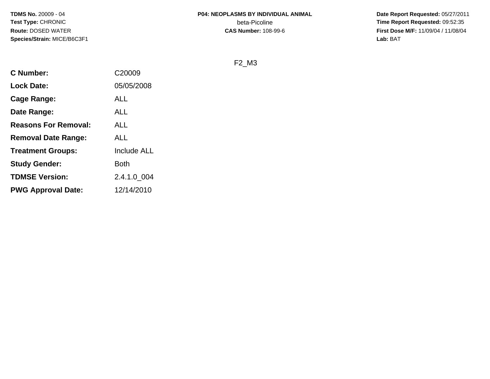**Date Report Requested:** 05/27/2011 **Time Report Requested:** 09:52:35 **First Dose M/F:** 11/09/04 / 11/08/04<br>Lab: BAT **Lab:** BAT

#### F2\_M3

| <b>C</b> Number:            | C <sub>20009</sub> |
|-----------------------------|--------------------|
| <b>Lock Date:</b>           | 05/05/2008         |
| Cage Range:                 | ALL                |
| Date Range:                 | ALL                |
| <b>Reasons For Removal:</b> | ALL                |
| <b>Removal Date Range:</b>  | <b>ALL</b>         |
| <b>Treatment Groups:</b>    | Include ALL        |
| <b>Study Gender:</b>        | <b>Both</b>        |
| <b>TDMSE Version:</b>       | 2.4.1.0_004        |
| <b>PWG Approval Date:</b>   | 12/14/2010         |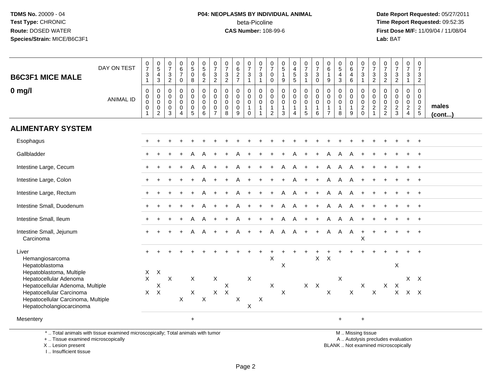# **P04: NEOPLASMS BY INDIVIDUAL ANIMAL**beta-Picoline<br>CAS Number: 108-99-6

 **Date Report Requested:** 05/27/2011 **Time Report Requested:** 09:52:35 **First Dose M/F:** 11/09/04 / 11/08/04<br>Lab: BAT **Lab:** BAT

| <b>B6C3F1 MICE MALE</b>                                                                                                        | DAY ON TEST      | $\frac{0}{7}$<br>$\sqrt{3}$<br>$\mathbf{1}$                   | $\begin{array}{c} 0 \\ 5 \end{array}$<br>$\frac{4}{3}$       | $\frac{0}{7}$<br>$\frac{3}{2}$                   | $_{6}^{\rm 0}$<br>$\overline{7}$<br>$\mathsf 0$        | $\begin{array}{c} 0 \\ 5 \end{array}$<br>$\mathbf 0$<br>8 | $\begin{array}{c} 0 \\ 5 \end{array}$<br>$\,6\,$<br>$\overline{2}$ | 0<br>$\overline{7}$<br>3<br>$\overline{2}$                                   | $\pmb{0}$<br>$\overline{7}$<br>$\frac{3}{2}$               | $_{6}^{\rm 0}$<br>$\frac{2}{7}$                     | $\frac{0}{7}$<br>$\mathbf{3}$<br>$\mathbf{1}$                                          | 0<br>$\overline{7}$<br>3<br>$\mathbf{1}$              | 0<br>$\overline{7}$<br>0<br>0                                   | $\begin{array}{c} 0 \\ 5 \end{array}$<br>$\mathbf{1}$<br>$\boldsymbol{9}$ | $\begin{smallmatrix}0\\4\end{smallmatrix}$<br>$\frac{5}{5}$ | $\frac{0}{7}$<br>$\sqrt{3}$<br>$\mathbf{1}$                           | $\frac{0}{7}$<br>3<br>$\mathbf 0$                                    | $\begin{array}{c} 0 \\ 6 \end{array}$<br>$\mathbf{1}$<br>$\boldsymbol{9}$ | $\begin{array}{c} 0 \\ 5 \end{array}$<br>$\overline{\mathbf{4}}$<br>$\overline{3}$ | 0<br>6<br>$\overline{4}$<br>6                        | $\begin{array}{c} 0 \\ 7 \end{array}$<br>$\sqrt{3}$<br>$\mathbf{1}$ | 0<br>$\overline{7}$<br>$\mathsf 3$<br>$\overline{2}$                         | $\frac{0}{7}$<br>$\frac{3}{2}$                                     | $\begin{array}{c} 0 \\ 7 \end{array}$<br>$\mathbf{3}$<br>$\overline{2}$ | $\pmb{0}$<br>$\overline{7}$<br>$\mathbf{3}$<br>$\mathbf{1}$                   | 0<br>$\overline{7}$<br>3<br>$\overline{2}$     |                 |
|--------------------------------------------------------------------------------------------------------------------------------|------------------|---------------------------------------------------------------|--------------------------------------------------------------|--------------------------------------------------|--------------------------------------------------------|-----------------------------------------------------------|--------------------------------------------------------------------|------------------------------------------------------------------------------|------------------------------------------------------------|-----------------------------------------------------|----------------------------------------------------------------------------------------|-------------------------------------------------------|-----------------------------------------------------------------|---------------------------------------------------------------------------|-------------------------------------------------------------|-----------------------------------------------------------------------|----------------------------------------------------------------------|---------------------------------------------------------------------------|------------------------------------------------------------------------------------|------------------------------------------------------|---------------------------------------------------------------------|------------------------------------------------------------------------------|--------------------------------------------------------------------|-------------------------------------------------------------------------|-------------------------------------------------------------------------------|------------------------------------------------|-----------------|
| $0$ mg/l                                                                                                                       | <b>ANIMAL ID</b> | $\mathbf 0$<br>$\mathbf 0$<br>$\mathbf 0$<br>$\mathbf 0$<br>1 | 0<br>$\pmb{0}$<br>$\pmb{0}$<br>$\mathbf 0$<br>$\overline{c}$ | 0<br>$\mathbf 0$<br>$\Omega$<br>$\mathbf 0$<br>3 | 0<br>$\mathsf 0$<br>$\mathbf 0$<br>0<br>$\overline{4}$ | 0<br>$\mathbf 0$<br>$\mathbf 0$<br>0<br>$5\phantom{.0}$   | 0<br>$\mathbf 0$<br>$\mathbf 0$<br>$\mathbf 0$<br>6                | $\mathbf{0}$<br>$\mathbf{0}$<br>$\mathbf 0$<br>$\mathbf 0$<br>$\overline{7}$ | $\Omega$<br>$\mathbf 0$<br>$\mathbf 0$<br>$\mathbf 0$<br>8 | 0<br>$\mathbf 0$<br>$\mathbf 0$<br>$\mathbf 0$<br>9 | 0<br>$\mathsf{O}\xspace$<br>$\mathsf{O}\xspace$<br>$\mathbf{1}$<br>$\mathsf{O}\xspace$ | 0<br>$\mathbf 0$<br>0<br>$\mathbf{1}$<br>$\mathbf{1}$ | $\mathbf 0$<br>0<br>$\pmb{0}$<br>$\mathbf{1}$<br>$\overline{2}$ | $\pmb{0}$<br>$\pmb{0}$<br>$\pmb{0}$<br>$\mathbf{1}$<br>$\mathfrak{Z}$     | 0<br>$\pmb{0}$<br>$\pmb{0}$<br>$\mathbf{1}$<br>4            | $\pmb{0}$<br>$\mathbf 0$<br>$\mathbf 0$<br>$\mathbf{1}$<br>$\sqrt{5}$ | $\mathbf 0$<br>$\mathbf 0$<br>$\mathbf 0$<br>$\mathbf{1}$<br>$\,6\,$ | $\mathbf 0$<br>$\mathbf 0$<br>$\pmb{0}$<br>$\mathbf{1}$<br>$\overline{7}$ | 0<br>$\mathbf 0$<br>$\mathbf 0$<br>$\mathbf{1}$<br>8                               | 0<br>$\mathbf 0$<br>$\mathbf 0$<br>$\mathbf{1}$<br>9 | 0<br>$\mathbf 0$<br>$\mathbf 0$<br>$^2_{\rm 0}$                     | $\mathbf 0$<br>$\mathbf 0$<br>$\boldsymbol{0}$<br>$\sqrt{2}$<br>$\mathbf{1}$ | $\mathbf 0$<br>$\mathsf{O}\xspace$<br>$\mathbf 0$<br>$\frac{2}{2}$ | 0<br>$\mathbf 0$<br>$\mathbf 0$<br>$\frac{2}{3}$                        | $\mathbf 0$<br>$\mathbf 0$<br>$\mathbf 0$<br>$\overline{2}$<br>$\overline{4}$ | 0<br>$\mathbf 0$<br>$\mathbf 0$<br>$rac{2}{5}$ | males<br>(cont) |
| <b>ALIMENTARY SYSTEM</b>                                                                                                       |                  |                                                               |                                                              |                                                  |                                                        |                                                           |                                                                    |                                                                              |                                                            |                                                     |                                                                                        |                                                       |                                                                 |                                                                           |                                                             |                                                                       |                                                                      |                                                                           |                                                                                    |                                                      |                                                                     |                                                                              |                                                                    |                                                                         |                                                                               |                                                |                 |
| Esophagus                                                                                                                      |                  |                                                               |                                                              |                                                  |                                                        |                                                           |                                                                    |                                                                              |                                                            |                                                     |                                                                                        |                                                       |                                                                 |                                                                           |                                                             |                                                                       |                                                                      |                                                                           |                                                                                    |                                                      |                                                                     |                                                                              |                                                                    |                                                                         |                                                                               |                                                |                 |
| Gallbladder                                                                                                                    |                  |                                                               |                                                              |                                                  |                                                        |                                                           |                                                                    |                                                                              |                                                            |                                                     |                                                                                        |                                                       |                                                                 |                                                                           |                                                             |                                                                       |                                                                      |                                                                           |                                                                                    |                                                      |                                                                     |                                                                              |                                                                    |                                                                         |                                                                               |                                                |                 |
| Intestine Large, Cecum                                                                                                         |                  |                                                               |                                                              |                                                  |                                                        |                                                           |                                                                    |                                                                              |                                                            |                                                     |                                                                                        |                                                       |                                                                 | A                                                                         | A                                                           |                                                                       |                                                                      | A                                                                         | A                                                                                  | A                                                    |                                                                     |                                                                              |                                                                    |                                                                         |                                                                               | $\overline{+}$                                 |                 |
| Intestine Large, Colon                                                                                                         |                  |                                                               |                                                              |                                                  |                                                        |                                                           |                                                                    |                                                                              |                                                            |                                                     |                                                                                        |                                                       |                                                                 |                                                                           | A                                                           |                                                                       | $\div$                                                               | A                                                                         | A                                                                                  | A                                                    |                                                                     |                                                                              |                                                                    |                                                                         |                                                                               |                                                |                 |
| Intestine Large, Rectum                                                                                                        |                  |                                                               |                                                              |                                                  |                                                        |                                                           |                                                                    |                                                                              |                                                            |                                                     |                                                                                        | $\ddot{}$                                             | $+$                                                             | A                                                                         | $\overline{A}$                                              | $+$                                                                   | $\ddot{}$                                                            | A                                                                         | $\mathsf{A}$                                                                       | A                                                    |                                                                     |                                                                              |                                                                    |                                                                         |                                                                               | $\ddot{}$                                      |                 |
| Intestine Small, Duodenum                                                                                                      |                  |                                                               |                                                              |                                                  |                                                        |                                                           |                                                                    |                                                                              |                                                            |                                                     |                                                                                        |                                                       |                                                                 | A                                                                         | A                                                           |                                                                       |                                                                      | A                                                                         | Α                                                                                  | A                                                    |                                                                     |                                                                              |                                                                    |                                                                         |                                                                               |                                                |                 |
| Intestine Small, Ileum                                                                                                         |                  |                                                               |                                                              |                                                  |                                                        | A                                                         | A                                                                  |                                                                              |                                                            | A                                                   |                                                                                        |                                                       | $\pm$                                                           | A                                                                         | A                                                           | $+$                                                                   | $\ddot{}$                                                            | A                                                                         | Α                                                                                  | A                                                    |                                                                     |                                                                              |                                                                    |                                                                         |                                                                               | $\overline{ }$                                 |                 |
| Intestine Small, Jejunum<br>Carcinoma                                                                                          |                  |                                                               |                                                              |                                                  |                                                        |                                                           |                                                                    |                                                                              |                                                            |                                                     |                                                                                        | $+$                                                   | A                                                               | A                                                                         | A                                                           | $+$                                                                   | $+$                                                                  | A                                                                         | Α                                                                                  | $\overline{A}$                                       | $\ddot{}$<br>X                                                      |                                                                              |                                                                    |                                                                         |                                                                               |                                                |                 |
| Liver<br>Hemangiosarcoma<br>Hepatoblastoma                                                                                     |                  |                                                               |                                                              |                                                  |                                                        |                                                           |                                                                    |                                                                              |                                                            |                                                     |                                                                                        |                                                       | X                                                               | X                                                                         |                                                             |                                                                       | X                                                                    | $\boldsymbol{\mathsf{X}}$                                                 |                                                                                    |                                                      |                                                                     |                                                                              |                                                                    | $\mathsf X$                                                             |                                                                               |                                                |                 |
| Hepatoblastoma, Multiple<br>Hepatocellular Adenoma                                                                             |                  | $\mathsf{X}$<br>$\mathsf{X}$                                  | $\mathsf{X}$                                                 | X                                                |                                                        | X                                                         |                                                                    | X                                                                            |                                                            |                                                     | X                                                                                      |                                                       |                                                                 |                                                                           |                                                             |                                                                       |                                                                      |                                                                           | X                                                                                  |                                                      |                                                                     |                                                                              |                                                                    |                                                                         |                                                                               | $X \times$                                     |                 |
| Hepatocellular Adenoma, Multiple<br>Hepatocellular Carcinoma<br>Hepatocellular Carcinoma, Multiple<br>Hepatocholangiocarcinoma |                  | $\mathsf{X}$                                                  | Χ<br>$\mathsf{X}$                                            |                                                  | X                                                      | X                                                         | $\boldsymbol{\mathsf{X}}$                                          | $X -$                                                                        | X<br>$\boldsymbol{X}$                                      | X                                                   | $\boldsymbol{\mathsf{X}}$                                                              | $\boldsymbol{X}$                                      | $\boldsymbol{\mathsf{X}}$                                       | $\mathsf X$                                                               |                                                             |                                                                       | $X$ $X$                                                              | $\sf X$                                                                   |                                                                                    | $\mathsf{X}$                                         | X                                                                   | X                                                                            | X                                                                  | $\times$                                                                | $X$ $X$ $X$                                                                   |                                                |                 |
| Mesentery                                                                                                                      |                  |                                                               |                                                              |                                                  |                                                        | $+$                                                       |                                                                    |                                                                              |                                                            |                                                     |                                                                                        |                                                       |                                                                 |                                                                           |                                                             |                                                                       |                                                                      |                                                                           | $\ddot{}$                                                                          |                                                      | $\ddot{}$                                                           |                                                                              |                                                                    |                                                                         |                                                                               |                                                |                 |
| *  Total animals with tissue examined microscopically; Total animals with tumor<br>+  Tissue examined microscopically          |                  |                                                               |                                                              |                                                  |                                                        |                                                           |                                                                    |                                                                              |                                                            |                                                     |                                                                                        |                                                       |                                                                 |                                                                           |                                                             |                                                                       |                                                                      |                                                                           |                                                                                    |                                                      | M  Missing tissue<br>A  Autolysis precludes evaluation              |                                                                              |                                                                    |                                                                         |                                                                               |                                                |                 |

X .. Lesion present

I .. Insufficient tissue

Lesion present BLANK .. Not examined microscopically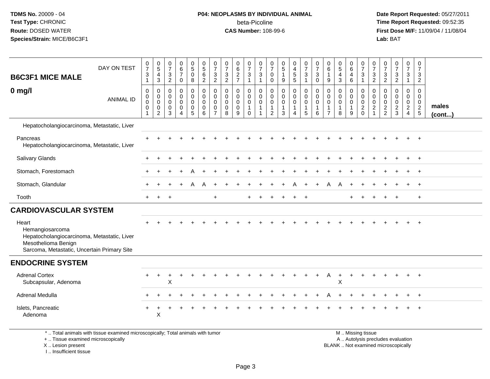## **P04: NEOPLASMS BY INDIVIDUAL ANIMAL**beta-Picoline<br>CAS Number: 108-99-6

 **Date Report Requested:** 05/27/2011 **Time Report Requested:** 09:52:35 **First Dose M/F:** 11/09/04 / 11/08/04<br>Lab: BAT **Lab:** BAT

| DAY ON TEST<br><b>B6C3F1 MICE MALE</b>                                                                                                        | $\frac{0}{7}$<br>$\mathbf 3$<br>$\mathbf{1}$                          | $\begin{array}{c} 0 \\ 5 \end{array}$<br>$\overline{4}$<br>$\ensuremath{\mathsf{3}}$ | $\begin{smallmatrix}0\\7\end{smallmatrix}$<br>$\mathsf 3$<br>$\overline{2}$ | $\begin{array}{c} 0 \\ 6 \\ 7 \end{array}$<br>0               | $\begin{matrix} 0 \\ 5 \end{matrix}$<br>$\mathbf 0$<br>8 | $\begin{array}{c} 0 \\ 5 \\ 6 \end{array}$<br>$\overline{2}$        | $\frac{0}{7}$<br>$\mathbf{3}$<br>2                               | $\frac{0}{7}$<br>$\mathbf{3}$<br>$\overline{2}$             | 0627                                                | $\frac{0}{7}$<br>$\mathfrak{S}$<br>$\mathbf{1}$                        | $\frac{0}{7}$<br>$\ensuremath{\mathsf{3}}$<br>$\mathbf{1}$                                | 0<br>$\overline{7}$<br>0<br>$\mathbf 0$                             | $\begin{array}{c} 0 \\ 5 \end{array}$<br>$\mathbf{1}$<br>$\boldsymbol{9}$ | 0<br>$\overline{4}$<br>$\frac{5}{5}$                           | $\begin{smallmatrix}0\\7\end{smallmatrix}$<br>$\mathsf 3$<br>$\mathbf{1}$ | $\frac{0}{7}$<br>$\sqrt{3}$<br>$\mathbf 0$                             | 0<br>$6\phantom{a}$<br>$\overline{1}$<br>9              | $\begin{array}{c} 0 \\ 5 \end{array}$<br>$\overline{4}$<br>$\mathbf{3}$ | 0<br>$\overline{6}$<br>4<br>6                         | $\frac{0}{7}$<br>$\mathbf{3}$<br>$\mathbf{1}$                 | $\frac{0}{7}$<br>$\frac{3}{2}$                                    | $\frac{0}{7}$<br>$\frac{3}{2}$                             | $\frac{0}{7}$<br>$\frac{3}{2}$                               | 0<br>$\overline{7}$<br>3<br>$\mathbf{1}$                             | 0<br>$\overline{7}$<br>$\mathbf{3}$<br>$\overline{2}$                          |                       |
|-----------------------------------------------------------------------------------------------------------------------------------------------|-----------------------------------------------------------------------|--------------------------------------------------------------------------------------|-----------------------------------------------------------------------------|---------------------------------------------------------------|----------------------------------------------------------|---------------------------------------------------------------------|------------------------------------------------------------------|-------------------------------------------------------------|-----------------------------------------------------|------------------------------------------------------------------------|-------------------------------------------------------------------------------------------|---------------------------------------------------------------------|---------------------------------------------------------------------------|----------------------------------------------------------------|---------------------------------------------------------------------------|------------------------------------------------------------------------|---------------------------------------------------------|-------------------------------------------------------------------------|-------------------------------------------------------|---------------------------------------------------------------|-------------------------------------------------------------------|------------------------------------------------------------|--------------------------------------------------------------|----------------------------------------------------------------------|--------------------------------------------------------------------------------|-----------------------|
| $0$ mg/l<br><b>ANIMAL ID</b>                                                                                                                  | $\mathsf{O}\xspace$<br>0<br>$\mathbf 0$<br>$\mathbf 0$<br>$\mathbf 1$ | $\boldsymbol{0}$<br>$\mathbf 0$<br>$\mathbf 0$<br>$\mathbf 0$<br>$\overline{2}$      | $\mathsf{O}\xspace$<br>$\mathbf 0$<br>$\mathbf 0$<br>$\mathbf 0$<br>3       | $\mathbf 0$<br>$\mathbf 0$<br>$\mathbf 0$<br>$\mathbf 0$<br>4 | 0<br>0<br>0<br>0<br>5                                    | $\pmb{0}$<br>$\ddot{\mathbf{0}}$<br>$\mathbf 0$<br>$\mathbf 0$<br>6 | 0<br>$\mathbf 0$<br>$\mathbf 0$<br>$\mathbf 0$<br>$\overline{7}$ | $\pmb{0}$<br>$\mathbf 0$<br>$\mathbf 0$<br>$\mathbf 0$<br>8 | 0<br>$\mathbf 0$<br>$\mathbf 0$<br>$\mathbf 0$<br>9 | $\pmb{0}$<br>$\mathbf 0$<br>$\mathbf 0$<br>$\mathbf{1}$<br>$\mathbf 0$ | $\mathsf{O}\xspace$<br>$\ddot{\mathbf{0}}$<br>$\mathbf 0$<br>$\mathbf{1}$<br>$\mathbf{1}$ | 0<br>$\mathbf 0$<br>$\mathbf 0$<br>$\overline{1}$<br>$\overline{c}$ | $\pmb{0}$<br>$\mathsf{O}\xspace$<br>$\mathbf 0$<br>$\overline{1}$<br>3    | $\mathbf 0$<br>$\mathbf 0$<br>$\mathbf 0$<br>$\mathbf{1}$<br>4 | $\pmb{0}$<br>$\overline{0}$<br>$\mathbf{0}$<br>$\mathbf{1}$<br>5          | $\mathsf 0$<br>$\ddot{\mathbf{0}}$<br>$\mathbf 0$<br>$\mathbf{1}$<br>6 | 0<br>0<br>$\mathbf 0$<br>$\mathbf{1}$<br>$\overline{7}$ | $\pmb{0}$<br>$\mathbf 0$<br>$\mathbf 0$<br>$\mathbf{1}$<br>8            | 0<br>$\mathsf{O}$<br>$\mathbf 0$<br>$\mathbf{1}$<br>9 | 0<br>$\mathbf 0$<br>$\mathbf 0$<br>$\overline{c}$<br>$\Omega$ | 0<br>$\pmb{0}$<br>$\pmb{0}$<br>$\boldsymbol{2}$<br>$\overline{1}$ | $\mathbf 0$<br>$\mathbf 0$<br>$\mathbf 0$<br>$\frac{2}{2}$ | $\mathbf 0$<br>$\mathbf 0$<br>$\mathbf 0$<br>$\sqrt{2}$<br>3 | 0<br>$\mathbf 0$<br>$\mathbf{0}$<br>$\overline{2}$<br>$\overline{4}$ | $\mathbf 0$<br>$\mathbf 0$<br>$\mathbf 0$<br>$\overline{2}$<br>$5\phantom{.0}$ | males<br>$($ cont $)$ |
| Hepatocholangiocarcinoma, Metastatic, Liver                                                                                                   |                                                                       |                                                                                      |                                                                             |                                                               |                                                          |                                                                     |                                                                  |                                                             |                                                     |                                                                        |                                                                                           |                                                                     |                                                                           |                                                                |                                                                           |                                                                        |                                                         |                                                                         |                                                       |                                                               |                                                                   |                                                            |                                                              |                                                                      |                                                                                |                       |
| Pancreas<br>Hepatocholangiocarcinoma, Metastatic, Liver                                                                                       |                                                                       |                                                                                      |                                                                             |                                                               |                                                          |                                                                     |                                                                  |                                                             |                                                     |                                                                        |                                                                                           |                                                                     |                                                                           |                                                                |                                                                           |                                                                        |                                                         |                                                                         |                                                       |                                                               |                                                                   |                                                            |                                                              |                                                                      |                                                                                |                       |
| Salivary Glands                                                                                                                               |                                                                       |                                                                                      |                                                                             |                                                               |                                                          |                                                                     |                                                                  |                                                             |                                                     |                                                                        |                                                                                           |                                                                     |                                                                           |                                                                |                                                                           |                                                                        |                                                         |                                                                         |                                                       |                                                               |                                                                   |                                                            |                                                              |                                                                      | $+$                                                                            |                       |
| Stomach, Forestomach                                                                                                                          |                                                                       |                                                                                      |                                                                             |                                                               |                                                          |                                                                     |                                                                  |                                                             |                                                     |                                                                        |                                                                                           |                                                                     |                                                                           |                                                                |                                                                           |                                                                        |                                                         |                                                                         |                                                       |                                                               |                                                                   |                                                            |                                                              |                                                                      | $\ddot{}$                                                                      |                       |
| Stomach, Glandular                                                                                                                            |                                                                       |                                                                                      |                                                                             |                                                               |                                                          |                                                                     |                                                                  |                                                             |                                                     |                                                                        |                                                                                           |                                                                     |                                                                           |                                                                |                                                                           |                                                                        | A                                                       |                                                                         |                                                       |                                                               |                                                                   |                                                            |                                                              |                                                                      | $\ddot{}$                                                                      |                       |
| Tooth                                                                                                                                         | $+$                                                                   | $\pm$                                                                                |                                                                             |                                                               |                                                          |                                                                     | $\ddot{}$                                                        |                                                             |                                                     |                                                                        |                                                                                           |                                                                     |                                                                           |                                                                |                                                                           |                                                                        |                                                         |                                                                         |                                                       |                                                               |                                                                   |                                                            |                                                              |                                                                      | $+$                                                                            |                       |
| <b>CARDIOVASCULAR SYSTEM</b>                                                                                                                  |                                                                       |                                                                                      |                                                                             |                                                               |                                                          |                                                                     |                                                                  |                                                             |                                                     |                                                                        |                                                                                           |                                                                     |                                                                           |                                                                |                                                                           |                                                                        |                                                         |                                                                         |                                                       |                                                               |                                                                   |                                                            |                                                              |                                                                      |                                                                                |                       |
| Heart<br>Hemangiosarcoma<br>Hepatocholangiocarcinoma, Metastatic, Liver<br>Mesothelioma Benign<br>Sarcoma, Metastatic, Uncertain Primary Site |                                                                       |                                                                                      |                                                                             |                                                               |                                                          |                                                                     |                                                                  |                                                             |                                                     |                                                                        |                                                                                           |                                                                     |                                                                           |                                                                |                                                                           |                                                                        |                                                         |                                                                         |                                                       |                                                               |                                                                   |                                                            |                                                              |                                                                      |                                                                                |                       |
| <b>ENDOCRINE SYSTEM</b>                                                                                                                       |                                                                       |                                                                                      |                                                                             |                                                               |                                                          |                                                                     |                                                                  |                                                             |                                                     |                                                                        |                                                                                           |                                                                     |                                                                           |                                                                |                                                                           |                                                                        |                                                         |                                                                         |                                                       |                                                               |                                                                   |                                                            |                                                              |                                                                      |                                                                                |                       |
| <b>Adrenal Cortex</b><br>Subcapsular, Adenoma                                                                                                 |                                                                       | $\ddot{}$                                                                            | X                                                                           |                                                               |                                                          |                                                                     |                                                                  |                                                             |                                                     |                                                                        |                                                                                           |                                                                     |                                                                           |                                                                |                                                                           |                                                                        | A                                                       | $\div$<br>X                                                             |                                                       |                                                               |                                                                   |                                                            |                                                              | $\div$                                                               | $\ddot{+}$                                                                     |                       |
| Adrenal Medulla                                                                                                                               |                                                                       |                                                                                      |                                                                             |                                                               |                                                          |                                                                     |                                                                  |                                                             |                                                     |                                                                        |                                                                                           |                                                                     |                                                                           |                                                                |                                                                           |                                                                        |                                                         |                                                                         |                                                       |                                                               |                                                                   |                                                            |                                                              |                                                                      | $\div$                                                                         |                       |
| Islets, Pancreatic<br>Adenoma                                                                                                                 |                                                                       | X                                                                                    |                                                                             |                                                               |                                                          |                                                                     |                                                                  |                                                             |                                                     |                                                                        |                                                                                           |                                                                     |                                                                           |                                                                |                                                                           |                                                                        |                                                         |                                                                         |                                                       |                                                               |                                                                   |                                                            |                                                              |                                                                      |                                                                                |                       |

\* .. Total animals with tissue examined microscopically; Total animals with tumor

+ .. Tissue examined microscopically

X .. Lesion present

I .. Insufficient tissue

 M .. Missing tissuey the contract of the contract of the contract of the contract of the contract of the contract of the contract of  $A$ . Autolysis precludes evaluation Lesion present BLANK .. Not examined microscopically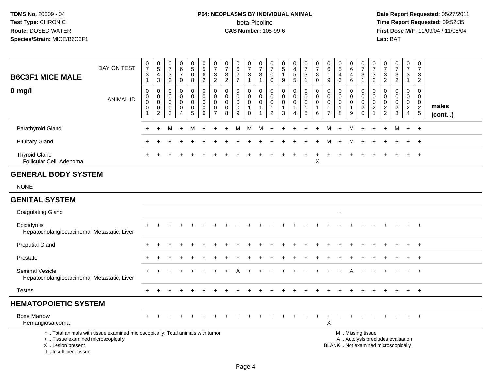# **P04: NEOPLASMS BY INDIVIDUAL ANIMAL**beta-Picoline<br>CAS Number: 108-99-6

| <b>B6C3F1 MICE MALE</b>                                                          | DAY ON TEST                                                                     | $\frac{0}{7}$<br>$\ensuremath{\mathsf{3}}$<br>$\mathbf{1}$ | $\begin{array}{c} 0 \\ 5 \end{array}$<br>$\overline{4}$<br>$\mathbf{3}$ | $\boldsymbol{0}$<br>$\boldsymbol{7}$<br>$\mathbf{3}$<br>2     | $\pmb{0}$<br>6<br>$\overline{7}$<br>$\mathbf 0$               | $\begin{array}{c} 0 \\ 5 \end{array}$<br>$\pmb{0}$<br>8    | $\begin{array}{c} 0 \\ 5 \end{array}$<br>$6\overline{6}$<br>$\overline{2}$ | $\frac{0}{7}$<br>$\ensuremath{\mathsf{3}}$<br>$\overline{2}$     | $\begin{array}{c} 0 \\ 7 \end{array}$<br>$\sqrt{3}$<br>$\overline{2}$ | $_{6}^{\rm 0}$<br>$\overline{2}$<br>$\overline{7}$ | $\begin{smallmatrix} 0\\7 \end{smallmatrix}$<br>$\sqrt{3}$<br>$\overline{1}$ | $\mathbf 0$<br>$\overline{7}$<br>$\sqrt{3}$<br>$\overline{1}$    | $\mathbf 0$<br>$\overline{7}$<br>$\mathbf 0$<br>$\mathbf 0$    | 0<br>$\sqrt{5}$<br>$\mathbf{1}$<br>9                | $\pmb{0}$<br>$\overline{4}$<br>5<br>5                 | $\begin{smallmatrix}0\\7\end{smallmatrix}$<br>$\sqrt{3}$<br>$\mathbf 1$ | $\frac{0}{7}$<br>$\sqrt{3}$<br>$\mathbf 0$                     | $\mathbf 0$<br>6<br>$\overline{1}$<br>9                       | $\begin{array}{c} 0 \\ 5 \end{array}$<br>$\overline{\mathbf{4}}$<br>3 | 0<br>6<br>$\overline{4}$<br>6                        | $\pmb{0}$<br>$\overline{7}$<br>$\sqrt{3}$<br>$\overline{1}$            | 0<br>$\overline{7}$<br>3<br>$\overline{2}$  | $\frac{0}{7}$<br>$\mathsf 3$<br>$\overline{2}$ | $\frac{0}{7}$<br>$\sqrt{3}$<br>$\overline{2}$              | $\pmb{0}$<br>$\overline{7}$<br>$\mathbf{3}$<br>$\mathbf 1$ | $\pmb{0}$<br>$\overline{7}$<br>3<br>$\overline{2}$       |                       |
|----------------------------------------------------------------------------------|---------------------------------------------------------------------------------|------------------------------------------------------------|-------------------------------------------------------------------------|---------------------------------------------------------------|---------------------------------------------------------------|------------------------------------------------------------|----------------------------------------------------------------------------|------------------------------------------------------------------|-----------------------------------------------------------------------|----------------------------------------------------|------------------------------------------------------------------------------|------------------------------------------------------------------|----------------------------------------------------------------|-----------------------------------------------------|-------------------------------------------------------|-------------------------------------------------------------------------|----------------------------------------------------------------|---------------------------------------------------------------|-----------------------------------------------------------------------|------------------------------------------------------|------------------------------------------------------------------------|---------------------------------------------|------------------------------------------------|------------------------------------------------------------|------------------------------------------------------------|----------------------------------------------------------|-----------------------|
| $0$ mg/l                                                                         | <b>ANIMAL ID</b>                                                                | 0<br>$\overline{0}$<br>0<br>$\mathbf 0$<br>$\mathbf{1}$    | $\pmb{0}$<br>$\mathsf 0$<br>$\pmb{0}$<br>$\pmb{0}$<br>$\overline{2}$    | $\mathbf 0$<br>$\mathbf 0$<br>$\mathbf 0$<br>$\mathbf 0$<br>3 | $\mathbf 0$<br>$\mathbf 0$<br>$\mathbf 0$<br>$\mathbf 0$<br>4 | 0<br>$\pmb{0}$<br>$\mathbf 0$<br>$\mathbf 0$<br>$\sqrt{5}$ | $\pmb{0}$<br>$\mathsf 0$<br>$\mathbf 0$<br>$\mathbf 0$<br>6                | 0<br>$\mathbf 0$<br>$\mathbf 0$<br>$\mathbf 0$<br>$\overline{7}$ | 0<br>$\mathbf 0$<br>$\mathbf 0$<br>$\mathbf 0$<br>8                   | $\mathbf 0$<br>$\mathbf 0$<br>0<br>0<br>9          | $\mathbf 0$<br>$\mathbf 0$<br>$\mathbf 0$<br>$\mathbf{1}$<br>$\mathbf 0$     | $\mathbf 0$<br>$\mathbf 0$<br>$\mathbf 0$<br>$\overline{1}$<br>1 | $\mathbf 0$<br>$\mathbf 0$<br>$\mathbf 0$<br>$\mathbf{1}$<br>2 | $\mathbf 0$<br>$\mathbf 0$<br>$\mathbf 0$<br>1<br>3 | 0<br>$\mathbf 0$<br>0<br>1<br>$\overline{\mathbf{4}}$ | 0<br>$\mathbf 0$<br>0<br>$\mathbf 1$<br>5                               | $\mathbf 0$<br>$\pmb{0}$<br>$\mathbf 0$<br>$\overline{1}$<br>6 | $\mathbf{0}$<br>$\mathbf{0}$<br>$\mathbf 0$<br>$\overline{7}$ | $\mathbf 0$<br>$\mathbf 0$<br>$\mathbf 0$<br>-1<br>8                  | 0<br>$\mathbf 0$<br>$\mathbf 0$<br>$\mathbf{1}$<br>9 | $\mathbf 0$<br>$\mathbf 0$<br>$\mathbf 0$<br>$\sqrt{2}$<br>$\mathbf 0$ | $\Omega$<br>$\Omega$<br>0<br>$\overline{c}$ | 0<br>$\Omega$<br>0<br>$\frac{2}{2}$            | $\mathbf 0$<br>$\mathbf 0$<br>$\mathbf 0$<br>$\frac{2}{3}$ | 0<br>$\mathbf 0$<br>$\mathbf 0$<br>$\frac{2}{4}$           | $\mathbf 0$<br>$\mathbf 0$<br>$\mathbf 0$<br>$rac{2}{5}$ | males<br>$($ cont $)$ |
| Parathyroid Gland                                                                |                                                                                 | $\pm$                                                      | $\ddot{}$                                                               | М                                                             | $\ddot{}$                                                     | M                                                          |                                                                            |                                                                  |                                                                       | м                                                  | м                                                                            | М                                                                | $\ddot{}$                                                      |                                                     |                                                       |                                                                         |                                                                |                                                               |                                                                       | M                                                    |                                                                        |                                             |                                                | M                                                          | $+$                                                        | $+$                                                      |                       |
| <b>Pituitary Gland</b>                                                           |                                                                                 |                                                            |                                                                         |                                                               |                                                               |                                                            |                                                                            |                                                                  |                                                                       |                                                    |                                                                              |                                                                  |                                                                |                                                     |                                                       |                                                                         |                                                                |                                                               |                                                                       | M                                                    |                                                                        |                                             |                                                |                                                            |                                                            |                                                          |                       |
| <b>Thyroid Gland</b><br>Follicular Cell, Adenoma                                 |                                                                                 |                                                            |                                                                         |                                                               |                                                               |                                                            |                                                                            |                                                                  |                                                                       |                                                    |                                                                              |                                                                  |                                                                |                                                     |                                                       |                                                                         | X                                                              |                                                               |                                                                       |                                                      |                                                                        |                                             |                                                |                                                            |                                                            |                                                          |                       |
| <b>GENERAL BODY SYSTEM</b>                                                       |                                                                                 |                                                            |                                                                         |                                                               |                                                               |                                                            |                                                                            |                                                                  |                                                                       |                                                    |                                                                              |                                                                  |                                                                |                                                     |                                                       |                                                                         |                                                                |                                                               |                                                                       |                                                      |                                                                        |                                             |                                                |                                                            |                                                            |                                                          |                       |
| <b>NONE</b>                                                                      |                                                                                 |                                                            |                                                                         |                                                               |                                                               |                                                            |                                                                            |                                                                  |                                                                       |                                                    |                                                                              |                                                                  |                                                                |                                                     |                                                       |                                                                         |                                                                |                                                               |                                                                       |                                                      |                                                                        |                                             |                                                |                                                            |                                                            |                                                          |                       |
| <b>GENITAL SYSTEM</b>                                                            |                                                                                 |                                                            |                                                                         |                                                               |                                                               |                                                            |                                                                            |                                                                  |                                                                       |                                                    |                                                                              |                                                                  |                                                                |                                                     |                                                       |                                                                         |                                                                |                                                               |                                                                       |                                                      |                                                                        |                                             |                                                |                                                            |                                                            |                                                          |                       |
| <b>Coagulating Gland</b>                                                         |                                                                                 |                                                            |                                                                         |                                                               |                                                               |                                                            |                                                                            |                                                                  |                                                                       |                                                    |                                                                              |                                                                  |                                                                |                                                     |                                                       |                                                                         |                                                                |                                                               | $\ddot{}$                                                             |                                                      |                                                                        |                                             |                                                |                                                            |                                                            |                                                          |                       |
| Epididymis<br>Hepatocholangiocarcinoma, Metastatic, Liver                        |                                                                                 |                                                            |                                                                         |                                                               |                                                               |                                                            |                                                                            |                                                                  |                                                                       |                                                    |                                                                              |                                                                  |                                                                |                                                     |                                                       |                                                                         |                                                                |                                                               |                                                                       |                                                      |                                                                        |                                             |                                                |                                                            |                                                            |                                                          |                       |
| <b>Preputial Gland</b>                                                           |                                                                                 |                                                            |                                                                         |                                                               |                                                               |                                                            |                                                                            |                                                                  |                                                                       |                                                    |                                                                              |                                                                  |                                                                |                                                     |                                                       |                                                                         |                                                                |                                                               |                                                                       |                                                      |                                                                        |                                             |                                                |                                                            |                                                            |                                                          |                       |
| Prostate                                                                         |                                                                                 |                                                            |                                                                         |                                                               |                                                               |                                                            |                                                                            |                                                                  |                                                                       |                                                    |                                                                              |                                                                  |                                                                |                                                     |                                                       |                                                                         |                                                                |                                                               |                                                                       |                                                      |                                                                        |                                             |                                                |                                                            |                                                            | $\overline{ }$                                           |                       |
| <b>Seminal Vesicle</b><br>Hepatocholangiocarcinoma, Metastatic, Liver            |                                                                                 |                                                            |                                                                         |                                                               |                                                               |                                                            |                                                                            |                                                                  |                                                                       |                                                    |                                                                              |                                                                  |                                                                |                                                     |                                                       |                                                                         |                                                                |                                                               |                                                                       |                                                      |                                                                        |                                             |                                                |                                                            |                                                            | $+$                                                      |                       |
| <b>Testes</b>                                                                    |                                                                                 | $+$                                                        |                                                                         |                                                               |                                                               |                                                            |                                                                            |                                                                  |                                                                       |                                                    |                                                                              |                                                                  |                                                                |                                                     |                                                       |                                                                         |                                                                |                                                               |                                                                       |                                                      |                                                                        |                                             |                                                |                                                            | $\ddot{}$                                                  | $+$                                                      |                       |
| <b>HEMATOPOIETIC SYSTEM</b>                                                      |                                                                                 |                                                            |                                                                         |                                                               |                                                               |                                                            |                                                                            |                                                                  |                                                                       |                                                    |                                                                              |                                                                  |                                                                |                                                     |                                                       |                                                                         |                                                                |                                                               |                                                                       |                                                      |                                                                        |                                             |                                                |                                                            |                                                            |                                                          |                       |
| <b>Bone Marrow</b><br>Hemangiosarcoma                                            |                                                                                 |                                                            |                                                                         |                                                               |                                                               |                                                            |                                                                            |                                                                  |                                                                       |                                                    |                                                                              |                                                                  |                                                                |                                                     |                                                       |                                                                         |                                                                | X                                                             |                                                                       |                                                      |                                                                        |                                             |                                                |                                                            |                                                            |                                                          |                       |
| +  Tissue examined microscopically<br>X  Lesion present<br>I Insufficient tissue | *  Total animals with tissue examined microscopically; Total animals with tumor |                                                            |                                                                         |                                                               |                                                               |                                                            |                                                                            |                                                                  |                                                                       |                                                    |                                                                              |                                                                  |                                                                |                                                     |                                                       |                                                                         |                                                                |                                                               | BLANK  Not examined microscopically                                   |                                                      | M  Missing tissue                                                      |                                             |                                                | A  Autolysis precludes evaluation                          |                                                            |                                                          |                       |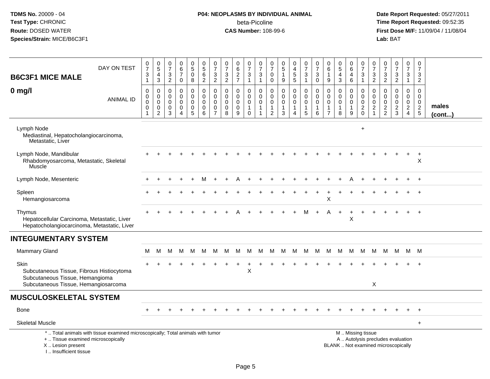# **P04: NEOPLASMS BY INDIVIDUAL ANIMAL**beta-Picoline<br>CAS Number: 108-99-6

| <b>B6C3F1 MICE MALE</b>                                                                              | DAY ON TEST                                                                     | 0<br>$\overline{7}$<br>$\ensuremath{\mathsf{3}}$<br>$\mathbf{1}$ | $\pmb{0}$<br>$\overline{5}$<br>$\overline{4}$<br>$\mathbf{3}$    | 0<br>$\overline{7}$<br>$\ensuremath{\mathsf{3}}$<br>$\overline{2}$ | 0<br>$6\overline{6}$<br>$\overline{7}$<br>$\mathsf{O}$ | 0<br>$\overline{5}$<br>$\pmb{0}$<br>8                     | $\begin{array}{c} 0 \\ 5 \end{array}$<br>$\,6\,$<br>$\overline{2}$   | $\mathbf 0$<br>$\overline{7}$<br>3<br>$\overline{2}$             | 0<br>$\overline{7}$<br>$\frac{3}{2}$                 | 0<br>$\overline{6}$<br>$\overline{c}$<br>$\overline{7}$ | 0<br>$\overline{7}$<br>$\frac{3}{1}$                              | 0<br>$\overline{7}$<br>$\ensuremath{\mathsf{3}}$<br>$\mathbf{1}$ | 0<br>$\overline{7}$<br>$\pmb{0}$<br>$\mathbf 0$                             | $\begin{array}{c} 0 \\ 5 \end{array}$<br>$\mathbf{1}$<br>9                      | 0<br>$\overline{4}$<br>$\overline{5}$<br>5           | $\pmb{0}$<br>$\overline{7}$<br>$\ensuremath{\mathsf{3}}$<br>$\mathbf{1}$     | 0<br>$\overline{7}$<br>$\ensuremath{\mathsf{3}}$<br>$\mathbf 0$ | 0<br>$\,6\,$<br>$\overline{1}$<br>9                                   | $\begin{matrix} 0 \\ 5 \end{matrix}$<br>$\overline{4}$<br>$\mathbf{3}$ | 0<br>$6\phantom{1}$<br>4<br>$\,6\,$                  | $\frac{0}{7}$<br>$\ensuremath{\mathsf{3}}$<br>$\mathbf{1}$ | 0<br>$\overline{7}$<br>3<br>$\overline{2}$                                  | 0<br>$\overline{7}$<br>$\frac{3}{2}$                       | $\frac{0}{7}$<br>$\frac{3}{2}$                                           | 0<br>$\overline{7}$<br>$\mathbf{3}$<br>$\mathbf{1}$           | 0<br>$\overline{7}$<br>$\mathbf{3}$<br>$\overline{2}$      |                       |
|------------------------------------------------------------------------------------------------------|---------------------------------------------------------------------------------|------------------------------------------------------------------|------------------------------------------------------------------|--------------------------------------------------------------------|--------------------------------------------------------|-----------------------------------------------------------|----------------------------------------------------------------------|------------------------------------------------------------------|------------------------------------------------------|---------------------------------------------------------|-------------------------------------------------------------------|------------------------------------------------------------------|-----------------------------------------------------------------------------|---------------------------------------------------------------------------------|------------------------------------------------------|------------------------------------------------------------------------------|-----------------------------------------------------------------|-----------------------------------------------------------------------|------------------------------------------------------------------------|------------------------------------------------------|------------------------------------------------------------|-----------------------------------------------------------------------------|------------------------------------------------------------|--------------------------------------------------------------------------|---------------------------------------------------------------|------------------------------------------------------------|-----------------------|
| $0$ mg/l                                                                                             | <b>ANIMAL ID</b>                                                                | $\mathbf 0$<br>$\mathbf 0$<br>$\mathbf 0$<br>0<br>-1             | $\mathbf 0$<br>$\mathbf 0$<br>$\mathbf 0$<br>0<br>$\overline{c}$ | $\mathbf 0$<br>$\mathbf 0$<br>$\mathbf 0$<br>0<br>$\mathbf{3}$     | 0<br>$\overline{0}$<br>$\Omega$<br>0<br>$\overline{4}$ | $\pmb{0}$<br>$\bar{0}$<br>$\mathbf 0$<br>$\mathbf 0$<br>5 | $\mathbf 0$<br>$\overline{0}$<br>$\mathbf 0$<br>0<br>$6\phantom{1}6$ | $\mathbf 0$<br>$\mathbf 0$<br>$\mathbf 0$<br>0<br>$\overline{7}$ | $\mathbf 0$<br>$\mathbf 0$<br>$\mathbf{0}$<br>0<br>8 | 0<br>$\mathbf 0$<br>$\mathbf 0$<br>$\mathbf 0$<br>9     | 0<br>$\overline{0}$<br>$\mathbf 0$<br>$\mathbf{1}$<br>$\mathbf 0$ | 0<br>$\mathbf 0$<br>$\mathbf 0$<br>$\mathbf{1}$<br>1             | $\mathbf 0$<br>$\mathbf 0$<br>$\mathbf 0$<br>$\mathbf{1}$<br>$\overline{2}$ | $\mathbf 0$<br>$\mathsf{O}\xspace$<br>$\pmb{0}$<br>$\mathbf{1}$<br>$\mathbf{3}$ | 0<br>$\mathbf 0$<br>$\mathbf 0$<br>$\mathbf{1}$<br>4 | $\mathbf 0$<br>$\pmb{0}$<br>$\overline{0}$<br>$\mathbf{1}$<br>$\overline{5}$ | $\mathbf 0$<br>$\mathbf 0$<br>$\mathbf 0$<br>$\mathbf{1}$<br>6  | $\mathbf 0$<br>$\Omega$<br>$\Omega$<br>$\mathbf{1}$<br>$\overline{7}$ | $\mathbf 0$<br>$\mathbf 0$<br>$\mathbf 0$<br>$\mathbf{1}$<br>8         | 0<br>$\mathbf 0$<br>$\mathbf 0$<br>$\mathbf{1}$<br>9 | $\mathbf 0$<br>$\mathbf 0$<br>$\mathbf 0$<br>$^2_{\rm 0}$  | $\mathbf 0$<br>$\mathbf 0$<br>$\mathbf 0$<br>$\overline{c}$<br>$\mathbf{1}$ | $\mathbf 0$<br>$\mathbf 0$<br>$\mathbf 0$<br>$\frac{2}{2}$ | 0<br>$\mathbf 0$<br>$\mathbf 0$<br>$\frac{2}{3}$                         | $\mathbf 0$<br>$\overline{0}$<br>$\mathbf 0$<br>$\frac{2}{4}$ | $\mathbf 0$<br>$\mathbf 0$<br>$\mathbf 0$<br>$\frac{2}{5}$ | males<br>$($ cont $)$ |
| Lymph Node<br>Mediastinal, Hepatocholangiocarcinoma,<br>Metastatic, Liver                            |                                                                                 |                                                                  |                                                                  |                                                                    |                                                        |                                                           |                                                                      |                                                                  |                                                      |                                                         |                                                                   |                                                                  |                                                                             |                                                                                 |                                                      |                                                                              |                                                                 |                                                                       |                                                                        |                                                      | $\ddot{}$                                                  |                                                                             |                                                            |                                                                          |                                                               |                                                            |                       |
| Lymph Node, Mandibular<br>Rhabdomyosarcoma, Metastatic, Skeletal<br>Muscle                           |                                                                                 |                                                                  |                                                                  |                                                                    |                                                        |                                                           |                                                                      |                                                                  |                                                      |                                                         |                                                                   |                                                                  |                                                                             |                                                                                 |                                                      |                                                                              |                                                                 |                                                                       |                                                                        |                                                      |                                                            |                                                                             |                                                            |                                                                          |                                                               | $\ddot{}$<br>X                                             |                       |
| Lymph Node, Mesenteric                                                                               |                                                                                 |                                                                  |                                                                  |                                                                    |                                                        |                                                           |                                                                      |                                                                  |                                                      |                                                         |                                                                   |                                                                  |                                                                             |                                                                                 |                                                      |                                                                              |                                                                 |                                                                       |                                                                        |                                                      |                                                            |                                                                             |                                                            |                                                                          |                                                               |                                                            |                       |
| Spleen<br>Hemangiosarcoma                                                                            |                                                                                 |                                                                  |                                                                  |                                                                    |                                                        |                                                           |                                                                      |                                                                  |                                                      |                                                         |                                                                   |                                                                  |                                                                             |                                                                                 |                                                      |                                                                              |                                                                 | X                                                                     |                                                                        |                                                      |                                                            |                                                                             |                                                            |                                                                          |                                                               |                                                            |                       |
| Thymus<br>Hepatocellular Carcinoma, Metastatic, Liver<br>Hepatocholangiocarcinoma, Metastatic, Liver |                                                                                 |                                                                  |                                                                  |                                                                    |                                                        |                                                           |                                                                      |                                                                  |                                                      |                                                         |                                                                   |                                                                  |                                                                             |                                                                                 |                                                      | М                                                                            | $+$                                                             | Α                                                                     | $\ddot{}$                                                              | $\ddot{}$<br>X                                       |                                                            |                                                                             |                                                            |                                                                          |                                                               | $^{+}$                                                     |                       |
| <b>INTEGUMENTARY SYSTEM</b>                                                                          |                                                                                 |                                                                  |                                                                  |                                                                    |                                                        |                                                           |                                                                      |                                                                  |                                                      |                                                         |                                                                   |                                                                  |                                                                             |                                                                                 |                                                      |                                                                              |                                                                 |                                                                       |                                                                        |                                                      |                                                            |                                                                             |                                                            |                                                                          |                                                               |                                                            |                       |
| <b>Mammary Gland</b>                                                                                 |                                                                                 | м                                                                | М                                                                | M                                                                  | M                                                      | M                                                         | M                                                                    | м                                                                | м                                                    | M                                                       | M                                                                 | M                                                                | M                                                                           | M                                                                               | M                                                    | M                                                                            | M                                                               | M                                                                     | M                                                                      | M                                                    | M                                                          | M                                                                           | M                                                          | M                                                                        |                                                               | M M                                                        |                       |
| Skin<br>Subcutaneous Tissue, Fibrous Histiocytoma<br>Subcutaneous Tissue, Hemangioma                 |                                                                                 |                                                                  |                                                                  |                                                                    |                                                        |                                                           |                                                                      |                                                                  |                                                      |                                                         | X                                                                 |                                                                  |                                                                             |                                                                                 |                                                      |                                                                              |                                                                 |                                                                       |                                                                        |                                                      |                                                            |                                                                             |                                                            |                                                                          |                                                               |                                                            |                       |
| Subcutaneous Tissue, Hemangiosarcoma                                                                 |                                                                                 |                                                                  |                                                                  |                                                                    |                                                        |                                                           |                                                                      |                                                                  |                                                      |                                                         |                                                                   |                                                                  |                                                                             |                                                                                 |                                                      |                                                                              |                                                                 |                                                                       |                                                                        |                                                      |                                                            | X                                                                           |                                                            |                                                                          |                                                               |                                                            |                       |
| <b>MUSCULOSKELETAL SYSTEM</b>                                                                        |                                                                                 |                                                                  |                                                                  |                                                                    |                                                        |                                                           |                                                                      |                                                                  |                                                      |                                                         |                                                                   |                                                                  |                                                                             |                                                                                 |                                                      |                                                                              |                                                                 |                                                                       |                                                                        |                                                      |                                                            |                                                                             |                                                            |                                                                          |                                                               |                                                            |                       |
| Bone                                                                                                 |                                                                                 |                                                                  |                                                                  |                                                                    |                                                        |                                                           |                                                                      |                                                                  |                                                      |                                                         |                                                                   |                                                                  |                                                                             |                                                                                 |                                                      |                                                                              |                                                                 |                                                                       |                                                                        |                                                      |                                                            |                                                                             |                                                            |                                                                          |                                                               | $\ddot{}$                                                  |                       |
| <b>Skeletal Muscle</b>                                                                               |                                                                                 |                                                                  |                                                                  |                                                                    |                                                        |                                                           |                                                                      |                                                                  |                                                      |                                                         |                                                                   |                                                                  |                                                                             |                                                                                 |                                                      |                                                                              |                                                                 |                                                                       |                                                                        |                                                      |                                                            |                                                                             |                                                            |                                                                          |                                                               | $\ddot{}$                                                  |                       |
| +  Tissue examined microscopically<br>X  Lesion present<br>I., Insufficient tissue                   | *  Total animals with tissue examined microscopically; Total animals with tumor |                                                                  |                                                                  |                                                                    |                                                        |                                                           |                                                                      |                                                                  |                                                      |                                                         |                                                                   |                                                                  |                                                                             |                                                                                 |                                                      |                                                                              |                                                                 |                                                                       |                                                                        | M  Missing tissue                                    |                                                            |                                                                             |                                                            | A  Autolysis precludes evaluation<br>BLANK  Not examined microscopically |                                                               |                                                            |                       |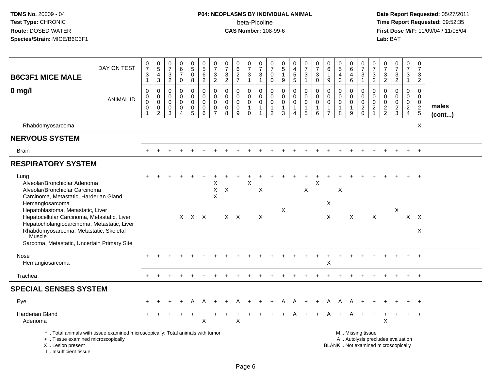## **P04: NEOPLASMS BY INDIVIDUAL ANIMAL**beta-Picoline<br>CAS Number: 108-99-6

| <b>B6C3F1 MICE MALE</b>                                                                                                                                                                              | DAY ON TEST                                                                     | $\begin{smallmatrix}0\\7\end{smallmatrix}$<br>$\ensuremath{\mathsf{3}}$<br>$\mathbf{1}$ | $\begin{array}{c} 0 \\ 5 \end{array}$<br>$\overline{4}$<br>3 | 0<br>$\overline{7}$<br>$\mathbf{3}$<br>$\sqrt{2}$                | 0<br>6<br>$\overline{7}$<br>$\mathbf 0$                                    | $\begin{array}{c} 0 \\ 5 \end{array}$<br>0<br>8 | $\begin{array}{c} 0 \\ 5 \end{array}$<br>$6\overline{6}$<br>$\overline{2}$ | $\begin{array}{c} 0 \\ 7 \end{array}$<br>$\ensuremath{\mathsf{3}}$<br>$\overline{2}$ | $\frac{0}{7}$<br>$\sqrt{3}$<br>$\overline{2}$    | $\begin{array}{c} 0 \\ 6 \end{array}$<br>$\frac{2}{7}$        | $\frac{0}{7}$<br>$\mathbf{3}$<br>$\mathbf{1}$ | $\frac{0}{7}$<br>$\sqrt{3}$<br>$\mathbf{1}$                                         | 0<br>$\overline{7}$<br>$\mathbf 0$<br>$\boldsymbol{0}$            | $\begin{array}{c} 0 \\ 5 \end{array}$<br>$\mathbf{1}$<br>9                | $0$<br>4<br>5<br>5                                   | $\begin{smallmatrix}0\\7\end{smallmatrix}$<br>$\mathsf 3$<br>$\mathbf{1}$ | $\frac{0}{7}$<br>$\sqrt{3}$<br>$\pmb{0}$                   | 0<br>$\,6\,$<br>$\mathbf{1}$<br>9                                 | $\begin{array}{c} 0 \\ 5 \end{array}$<br>$\overline{4}$<br>$\mathbf{3}$ | $\begin{array}{c} 0 \\ 6 \end{array}$<br>$\overline{a}$<br>$\,6\,$ | $\frac{0}{7}$<br>$\sqrt{3}$<br>$\mathbf{1}$                      | 0<br>$\overline{7}$<br>3<br>$\sqrt{2}$             | $\frac{0}{7}$<br>$\ensuremath{\mathsf{3}}$<br>$\overline{2}$ | $\frac{0}{7}$<br>$\mathbf{3}$<br>$\overline{a}$                          | $\begin{smallmatrix}0\\7\end{smallmatrix}$<br>$\mathbf{3}$<br>$\mathbf{1}$ | 0<br>$\overline{7}$<br>3<br>$\overline{2}$                 |                       |
|------------------------------------------------------------------------------------------------------------------------------------------------------------------------------------------------------|---------------------------------------------------------------------------------|-----------------------------------------------------------------------------------------|--------------------------------------------------------------|------------------------------------------------------------------|----------------------------------------------------------------------------|-------------------------------------------------|----------------------------------------------------------------------------|--------------------------------------------------------------------------------------|--------------------------------------------------|---------------------------------------------------------------|-----------------------------------------------|-------------------------------------------------------------------------------------|-------------------------------------------------------------------|---------------------------------------------------------------------------|------------------------------------------------------|---------------------------------------------------------------------------|------------------------------------------------------------|-------------------------------------------------------------------|-------------------------------------------------------------------------|--------------------------------------------------------------------|------------------------------------------------------------------|----------------------------------------------------|--------------------------------------------------------------|--------------------------------------------------------------------------|----------------------------------------------------------------------------|------------------------------------------------------------|-----------------------|
| $0$ mg/l                                                                                                                                                                                             | <b>ANIMAL ID</b>                                                                | $\mathbf 0$<br>$\mathbf 0$<br>$\mathsf{O}\xspace$<br>$\mathbf 0$                        | 0<br>$\mathbf 0$<br>$\mathbf 0$<br>$\mathsf 0$<br>$\sqrt{2}$ | $\mathbf 0$<br>$\overline{0}$<br>$\mathbf 0$<br>$\mathbf 0$<br>3 | $\mathbf 0$<br>$\mathbf 0$<br>$\mathbf 0$<br>$\mathbf 0$<br>$\overline{4}$ | 0<br>$\mathbf 0$<br>0<br>0<br>5                 | $\mathbf 0$<br>$\mathbf{0}$<br>$\mathbf 0$<br>$\mathbf 0$<br>6             | $\mathbf 0$<br>$\pmb{0}$<br>$\mathbf 0$<br>$\pmb{0}$<br>$\overline{7}$               | $\mathbf 0$<br>$\Omega$<br>0<br>$\mathbf 0$<br>8 | $\mathbf 0$<br>$\mathbf 0$<br>$\mathbf 0$<br>$\mathbf 0$<br>9 | 0<br>$\mathbf 0$<br>0<br>$\overline{1}$<br>0  | $\mathsf{O}\xspace$<br>$\mathbf 0$<br>$\mathbf 0$<br>$\mathbf{1}$<br>$\overline{1}$ | $\mathbf 0$<br>$\mathbf 0$<br>0<br>$\mathbf{1}$<br>$\overline{2}$ | $\mathsf 0$<br>$\mathbf 0$<br>$\mathbf 0$<br>$\mathbf{1}$<br>$\mathbf{3}$ | 0<br>$\mathbf 0$<br>$\mathsf{O}$<br>$\mathbf 1$<br>4 | $\mathsf 0$<br>$\mathbf 0$<br>$\mathbf 0$<br>$\mathbf{1}$<br>$\sqrt{5}$   | $\mathbf 0$<br>$\pmb{0}$<br>$\pmb{0}$<br>$\mathbf{1}$<br>6 | $\mathbf 0$<br>$\mathbf 0$<br>0<br>$\mathbf{1}$<br>$\overline{7}$ | $\mathbf 0$<br>$\mathbf 0$<br>$\mathbf 0$<br>$\mathbf{1}$<br>8          | 0<br>$\mathbf{0}$<br>0<br>$\overline{1}$<br>9                      | $\pmb{0}$<br>$\mathbf 0$<br>$\mathsf{O}\xspace$<br>$\frac{2}{0}$ | $\mathbf 0$<br>$\mathbf 0$<br>0<br>$\sqrt{2}$<br>1 | $\mathbf 0$<br>$\mathbf 0$<br>$\mathbf 0$<br>$\frac{2}{2}$   | $\mathsf{O}$<br>$\mathbf 0$<br>$\mathbf 0$<br>$\frac{2}{3}$              | $\mathsf 0$<br>$\mathbf 0$<br>$\mathbf 0$<br>$\frac{2}{4}$                 | $\mathbf 0$<br>$\mathbf 0$<br>$\mathbf 0$<br>$\frac{2}{5}$ | males<br>$($ cont $)$ |
| Rhabdomyosarcoma                                                                                                                                                                                     |                                                                                 |                                                                                         |                                                              |                                                                  |                                                                            |                                                 |                                                                            |                                                                                      |                                                  |                                                               |                                               |                                                                                     |                                                                   |                                                                           |                                                      |                                                                           |                                                            |                                                                   |                                                                         |                                                                    |                                                                  |                                                    |                                                              |                                                                          |                                                                            | X                                                          |                       |
| <b>NERVOUS SYSTEM</b>                                                                                                                                                                                |                                                                                 |                                                                                         |                                                              |                                                                  |                                                                            |                                                 |                                                                            |                                                                                      |                                                  |                                                               |                                               |                                                                                     |                                                                   |                                                                           |                                                      |                                                                           |                                                            |                                                                   |                                                                         |                                                                    |                                                                  |                                                    |                                                              |                                                                          |                                                                            |                                                            |                       |
| <b>Brain</b>                                                                                                                                                                                         |                                                                                 |                                                                                         |                                                              |                                                                  |                                                                            |                                                 |                                                                            |                                                                                      |                                                  |                                                               |                                               |                                                                                     |                                                                   |                                                                           |                                                      |                                                                           |                                                            |                                                                   |                                                                         |                                                                    |                                                                  |                                                    |                                                              |                                                                          | $+$                                                                        | $+$                                                        |                       |
| <b>RESPIRATORY SYSTEM</b>                                                                                                                                                                            |                                                                                 |                                                                                         |                                                              |                                                                  |                                                                            |                                                 |                                                                            |                                                                                      |                                                  |                                                               |                                               |                                                                                     |                                                                   |                                                                           |                                                      |                                                                           |                                                            |                                                                   |                                                                         |                                                                    |                                                                  |                                                    |                                                              |                                                                          |                                                                            |                                                            |                       |
| Lung<br>Alveolar/Bronchiolar Adenoma<br>Alveolar/Bronchiolar Carcinoma<br>Carcinoma, Metastatic, Harderian Gland<br>Hemangiosarcoma<br>Hepatoblastoma, Metastatic, Liver                             |                                                                                 |                                                                                         |                                                              |                                                                  |                                                                            |                                                 |                                                                            | Χ<br>X<br>X                                                                          | X                                                |                                                               | $\sf X$                                       | X                                                                                   |                                                                   | $\boldsymbol{\mathsf{X}}$                                                 |                                                      | X                                                                         | X                                                          | X                                                                 | $\boldsymbol{\mathsf{X}}$                                               |                                                                    |                                                                  |                                                    |                                                              | X                                                                        |                                                                            |                                                            |                       |
| Hepatocellular Carcinoma, Metastatic, Liver<br>Hepatocholangiocarcinoma, Metastatic, Liver<br>Rhabdomyosarcoma, Metastatic, Skeletal<br><b>Muscle</b><br>Sarcoma, Metastatic, Uncertain Primary Site |                                                                                 |                                                                                         |                                                              |                                                                  |                                                                            | X X X                                           |                                                                            |                                                                                      |                                                  | $X$ $X$                                                       |                                               | $\boldsymbol{\mathsf{X}}$                                                           |                                                                   |                                                                           |                                                      |                                                                           |                                                            | X                                                                 |                                                                         | $\boldsymbol{\mathsf{X}}$                                          |                                                                  | $\boldsymbol{\mathsf{X}}$                          |                                                              |                                                                          |                                                                            | $X$ $X$<br>$\boldsymbol{\mathsf{X}}$                       |                       |
| Nose<br>Hemangiosarcoma                                                                                                                                                                              |                                                                                 |                                                                                         |                                                              |                                                                  |                                                                            |                                                 |                                                                            |                                                                                      |                                                  |                                                               |                                               |                                                                                     |                                                                   |                                                                           |                                                      |                                                                           |                                                            | $\mathsf X$                                                       |                                                                         |                                                                    |                                                                  |                                                    |                                                              |                                                                          |                                                                            |                                                            |                       |
| Trachea                                                                                                                                                                                              |                                                                                 |                                                                                         |                                                              |                                                                  |                                                                            |                                                 |                                                                            |                                                                                      |                                                  |                                                               |                                               |                                                                                     |                                                                   |                                                                           |                                                      |                                                                           |                                                            |                                                                   |                                                                         |                                                                    |                                                                  |                                                    |                                                              |                                                                          |                                                                            | $+$                                                        |                       |
| <b>SPECIAL SENSES SYSTEM</b>                                                                                                                                                                         |                                                                                 |                                                                                         |                                                              |                                                                  |                                                                            |                                                 |                                                                            |                                                                                      |                                                  |                                                               |                                               |                                                                                     |                                                                   |                                                                           |                                                      |                                                                           |                                                            |                                                                   |                                                                         |                                                                    |                                                                  |                                                    |                                                              |                                                                          |                                                                            |                                                            |                       |
| Eye                                                                                                                                                                                                  |                                                                                 |                                                                                         |                                                              |                                                                  |                                                                            | A                                               | A                                                                          |                                                                                      |                                                  |                                                               |                                               |                                                                                     |                                                                   | A                                                                         | Α                                                    | $+$                                                                       | $\ddot{}$                                                  | A                                                                 | A                                                                       | A                                                                  |                                                                  |                                                    |                                                              |                                                                          |                                                                            | $+$                                                        |                       |
| <b>Harderian Gland</b><br>Adenoma                                                                                                                                                                    |                                                                                 |                                                                                         |                                                              |                                                                  |                                                                            |                                                 | X                                                                          |                                                                                      |                                                  | X                                                             |                                               |                                                                                     |                                                                   |                                                                           |                                                      |                                                                           |                                                            |                                                                   |                                                                         | A                                                                  |                                                                  |                                                    | X                                                            |                                                                          | $+$                                                                        | $+$                                                        |                       |
| +  Tissue examined microscopically<br>X  Lesion present<br>I Insufficient tissue                                                                                                                     | *  Total animals with tissue examined microscopically; Total animals with tumor |                                                                                         |                                                              |                                                                  |                                                                            |                                                 |                                                                            |                                                                                      |                                                  |                                                               |                                               |                                                                                     |                                                                   |                                                                           |                                                      |                                                                           |                                                            |                                                                   |                                                                         |                                                                    | M  Missing tissue                                                |                                                    |                                                              | A  Autolysis precludes evaluation<br>BLANK  Not examined microscopically |                                                                            |                                                            |                       |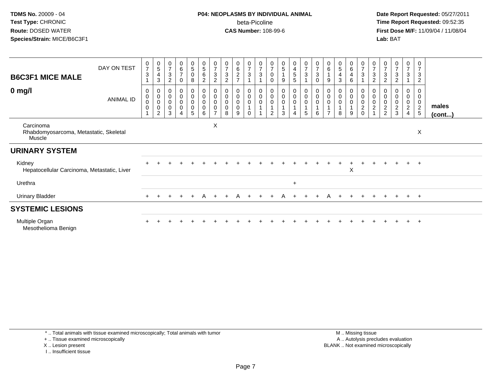#### **P04: NEOPLASMS BY INDIVIDUAL ANIMAL**beta-Picoline<br>CAS Number: 108-99-6

 **Date Report Requested:** 05/27/2011 **Time Report Requested:** 09:52:35 **First Dose M/F:** 11/09/04 / 11/08/04<br>Lab: BAT **Lab:** BAT

| <b>B6C3F1 MICE MALE</b>                                              | DAY ON TEST      | $\frac{0}{7}$<br>3                           | $\begin{smallmatrix}0\0\0\end{smallmatrix}$<br>$\overline{4}$<br>3       | 0<br>$\overline{7}$<br>$\sqrt{3}$<br>$\overline{2}$ | $\begin{array}{c} 0 \\ 6 \\ 7 \end{array}$<br>$\mathbf 0$ | $\begin{array}{c} 0 \\ 5 \end{array}$<br>$\pmb{0}$<br>8 | $\begin{smallmatrix}0\\5\end{smallmatrix}$<br>$\,6$<br>$\overline{c}$ | $\frac{0}{7}$<br>3<br>$\overline{c}$                 | $\frac{0}{7}$<br>$\sqrt{3}$<br>$\overline{c}$ | $\begin{matrix} 0 \\ 6 \\ 2 \end{matrix}$ | $\frac{0}{7}$<br>$\sqrt{3}$     | $\frac{0}{7}$<br>$\sqrt{3}$               | $\frac{0}{7}$<br>0<br>$\Omega$                           | $\boldsymbol{0}$<br>$\,$ 5 $\,$<br>$\mathbf{1}$<br>9 | $\frac{0}{4}$<br>5<br>5                        | $\frac{0}{7}$<br>$\sqrt{3}$                                     | $\frac{0}{7}$<br>$\ensuremath{\mathsf{3}}$<br>0                                 | $\frac{0}{6}$<br>9              | $\begin{array}{c} 0 \\ 5 \end{array}$<br>4<br>3 | $\begin{array}{c} 0 \\ 6 \end{array}$<br>4<br>6 | $\begin{array}{c} 0 \\ 7 \end{array}$<br>$\sqrt{3}$ | 0<br>$\overline{7}$<br>3<br>$\overline{c}$            | $\ensuremath{\mathsf{3}}$<br>$\overline{c}$ | $\frac{0}{7}$<br>$\sqrt{3}$<br>$\overline{c}$ | $\frac{0}{7}$<br>3                     | 0<br>$\overline{7}$<br>3<br>$\overline{2}$                |                       |
|----------------------------------------------------------------------|------------------|----------------------------------------------|--------------------------------------------------------------------------|-----------------------------------------------------|-----------------------------------------------------------|---------------------------------------------------------|-----------------------------------------------------------------------|------------------------------------------------------|-----------------------------------------------|-------------------------------------------|---------------------------------|-------------------------------------------|----------------------------------------------------------|------------------------------------------------------|------------------------------------------------|-----------------------------------------------------------------|---------------------------------------------------------------------------------|---------------------------------|-------------------------------------------------|-------------------------------------------------|-----------------------------------------------------|-------------------------------------------------------|---------------------------------------------|-----------------------------------------------|----------------------------------------|-----------------------------------------------------------|-----------------------|
| $0$ mg/l                                                             | <b>ANIMAL ID</b> | 0<br>$\mathbf 0$<br>$\mathbf 0$<br>$\pmb{0}$ | 0<br>$\begin{matrix} 0 \\ 0 \end{matrix}$<br>$\pmb{0}$<br>$\overline{2}$ | 0<br>$\pmb{0}$<br>$\pmb{0}$<br>$\pmb{0}$<br>3       | 0<br>$\overline{0}$<br>$\pmb{0}$<br>$\pmb{0}$<br>4        | 0<br>$\pmb{0}$<br>0<br>$\pmb{0}$<br>5                   | 0<br>$\pmb{0}$<br>$\pmb{0}$<br>$\overline{0}$<br>6                    | 0<br>$\mathbf 0$<br>$\pmb{0}$<br>0<br>$\overline{ }$ | $\pmb{0}$<br>$\mathbf 0$<br>8                 | 0<br>$\pmb{0}$<br>$\mathsf 0$<br>0<br>9   | 0<br>$\pmb{0}$<br>0<br>$\Omega$ | $\begin{matrix} 0 \\ 0 \\ 0 \end{matrix}$ | 0<br>$\pmb{0}$<br>$\boldsymbol{0}$<br>1<br>$\mathcal{P}$ | 0<br>$\pmb{0}$<br>$\pmb{0}$<br>3                     | $\mathbf 0$<br>$\mathbf 0$<br>$\mathbf 0$<br>4 | $\begin{smallmatrix}0\0\0\end{smallmatrix}$<br>$\mathsf 0$<br>5 | $\begin{smallmatrix} 0\\0 \end{smallmatrix}$<br>$\mathbf 0$<br>$\mathbf 1$<br>6 | 0<br>$\Omega$<br>$\overline{ }$ | 0<br>$\pmb{0}$<br>$\pmb{0}$<br>8                | 0<br>$\pmb{0}$<br>0<br>9                        | 0<br>$\overline{0}$<br>$\sqrt{2}$<br>$\mathbf 0$    | $\mathbf 0$<br>$\mathbf 0$<br>$\overline{\mathbf{c}}$ | $\pmb{0}$<br>$\mathbf 0$<br>$\frac{2}{2}$   | 0<br>$\pmb{0}$<br>$\pmb{0}$<br>$\frac{2}{3}$  | 0<br>$\mathbf 0$<br>0<br>$\frac{2}{4}$ | 0<br>$\pmb{0}$<br>$\mathbf 0$<br>$\sqrt{2}$<br>$\sqrt{5}$ | males<br>$($ cont $)$ |
| Carcinoma<br>Rhabdomyosarcoma, Metastatic, Skeletal<br><b>Muscle</b> |                  |                                              |                                                                          |                                                     |                                                           |                                                         |                                                                       | Χ                                                    |                                               |                                           |                                 |                                           |                                                          |                                                      |                                                |                                                                 |                                                                                 |                                 |                                                 |                                                 |                                                     |                                                       |                                             |                                               |                                        | X                                                         |                       |
| <b>URINARY SYSTEM</b>                                                |                  |                                              |                                                                          |                                                     |                                                           |                                                         |                                                                       |                                                      |                                               |                                           |                                 |                                           |                                                          |                                                      |                                                |                                                                 |                                                                                 |                                 |                                                 |                                                 |                                                     |                                                       |                                             |                                               |                                        |                                                           |                       |
| Kidney<br>Hepatocellular Carcinoma, Metastatic, Liver                |                  |                                              |                                                                          |                                                     |                                                           |                                                         |                                                                       |                                                      |                                               |                                           |                                 |                                           |                                                          |                                                      |                                                |                                                                 |                                                                                 |                                 |                                                 | X                                               |                                                     |                                                       |                                             | $+$                                           |                                        | $+$ $+$                                                   |                       |
| Urethra                                                              |                  |                                              |                                                                          |                                                     |                                                           |                                                         |                                                                       |                                                      |                                               |                                           |                                 |                                           |                                                          |                                                      | $\ddot{}$                                      |                                                                 |                                                                                 |                                 |                                                 |                                                 |                                                     |                                                       |                                             |                                               |                                        |                                                           |                       |
| <b>Urinary Bladder</b>                                               |                  |                                              |                                                                          |                                                     |                                                           |                                                         | A                                                                     |                                                      |                                               |                                           |                                 |                                           |                                                          |                                                      |                                                |                                                                 |                                                                                 |                                 |                                                 |                                                 |                                                     |                                                       |                                             |                                               | $+$                                    | $+$                                                       |                       |
| <b>SYSTEMIC LESIONS</b>                                              |                  |                                              |                                                                          |                                                     |                                                           |                                                         |                                                                       |                                                      |                                               |                                           |                                 |                                           |                                                          |                                                      |                                                |                                                                 |                                                                                 |                                 |                                                 |                                                 |                                                     |                                                       |                                             |                                               |                                        |                                                           |                       |
| Multiple Organ<br>Mesothelioma Benign                                |                  |                                              |                                                                          |                                                     |                                                           |                                                         |                                                                       |                                                      |                                               |                                           |                                 |                                           |                                                          |                                                      |                                                |                                                                 |                                                                                 |                                 |                                                 |                                                 |                                                     |                                                       |                                             |                                               |                                        |                                                           |                       |

\* .. Total animals with tissue examined microscopically; Total animals with tumor

+ .. Tissue examined microscopically

X .. Lesion present

I .. Insufficient tissue

 M .. Missing tissuey the contract of the contract of the contract of the contract of the contract of the contract of the contract of  $A$ . Autolysis precludes evaluation Lesion present BLANK .. Not examined microscopically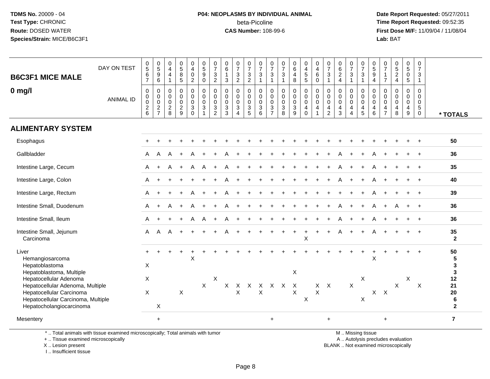## **P04: NEOPLASMS BY INDIVIDUAL ANIMAL**beta-Picoline<br>CAS Number: 108-99-6

 **Date Report Requested:** 05/27/2011 **Time Report Requested:** 09:52:35 **First Dose M/F:** 11/09/04 / 11/08/04<br>Lab: BAT **Lab:** BAT

| <b>B6C3F1 MICE MALE</b><br>$0$ mg/l                                                                                                                                                                                                | DAY ON TEST<br><b>ANIMAL ID</b> | $\begin{matrix} 0 \\ 5 \end{matrix}$<br>$\,6$<br>$\overline{7}$<br>$\pmb{0}$<br>$\pmb{0}$<br>$\pmb{0}$<br>$\frac{2}{6}$ | $\begin{array}{c} 0 \\ 5 \end{array}$<br>9<br>6<br>0<br>$\mathbf 0$<br>0<br>$\overline{c}$<br>$\overline{7}$ | 0<br>$\overline{4}$<br>$\overline{4}$<br>$\mathbf{1}$<br>0<br>$\pmb{0}$<br>0<br>$\sqrt{2}$<br>8 | $\begin{array}{c} 0 \\ 5 \end{array}$<br>$\overline{8}$<br>$\sqrt{5}$<br>$\mathsf{O}\xspace$<br>$\ddot{\mathbf{0}}$<br>$\begin{smallmatrix} 0\\2 \end{smallmatrix}$<br>$\overline{9}$ | 0<br>$\overline{4}$<br>$\pmb{0}$<br>$\boldsymbol{2}$<br>0<br>0<br>$\mathbf 0$<br>$\sqrt{3}$<br>$\mathbf 0$ | $\begin{array}{c} 0 \\ 5 \end{array}$<br>9<br>$\mathbf 0$<br>$\pmb{0}$<br>$\overline{0}$<br>$\mathbf 0$<br>$\sqrt{3}$<br>$\overline{1}$ | $\frac{0}{7}$<br>3<br>$\overline{2}$<br>$\mathbf 0$<br>$\mathbf 0$<br>$\mathbf 0$<br>3<br>$\overline{2}$ | 0<br>$\,6\,$<br>$\mathbf{1}$<br>$\mathfrak{Z}$<br>$\pmb{0}$<br>$\mathbf 0$<br>$\mathbf 0$<br>$\mathbf{3}$<br>3 | $\frac{0}{7}$<br>$\ensuremath{\mathsf{3}}$<br>$\overline{2}$<br>0<br>0<br>0<br>$\mathbf{3}$<br>$\overline{4}$ | 0<br>$\overline{7}$<br>$\sqrt{3}$<br>$\overline{2}$<br>0<br>$\mathbf 0$<br>$\mathbf 0$<br>3<br>$\overline{5}$ | $\frac{0}{7}$<br>$\sqrt{3}$<br>$\overline{1}$<br>$\boldsymbol{0}$<br>$\ddot{\mathbf{0}}$<br>$\mathbf 0$<br>$\sqrt{3}$<br>$\,6\,$ | $\frac{0}{7}$<br>$\ensuremath{\mathsf{3}}$<br>$\mathbf{1}$<br>0<br>$\mathbf 0$<br>$\mathbf 0$<br>$\mathbf{3}$<br>$\overline{7}$ | $\frac{0}{7}$<br>3<br>$\mathbf{1}$<br>$\pmb{0}$<br>$\mathbf 0$<br>$\mathbf 0$<br>$\sqrt{3}$<br>8 | $_6^0$<br>$\overline{4}$<br>8<br>$\boldsymbol{0}$<br>$\ddot{\mathbf{0}}$<br>$\mathbf 0$<br>$\mathbf{3}$<br>$\overline{9}$ | $\begin{array}{c} 0 \\ 4 \\ 5 \\ 5 \end{array}$<br>$\pmb{0}$<br>$\mathsf{O}$<br>0<br>$\overline{4}$<br>$\mathsf 0$ | 0<br>$\overline{4}$<br>$\,6\,$<br>$\pmb{0}$<br>0<br>$\ddot{\mathbf{0}}$<br>0<br>$\overline{4}$<br>1 | $\frac{0}{7}$<br>$\ensuremath{\mathsf{3}}$<br>$\mathbf{1}$<br>$\mathbf 0$<br>$\pmb{0}$<br>$\mathbf 0$<br>$\overline{4}$<br>2 | $\begin{array}{c} 0 \\ 6 \end{array}$<br>$\frac{2}{4}$<br>$\mathbf 0$<br>$\mathbf 0$<br>$\mathbf 0$<br>$\overline{4}$<br>3 | $\frac{0}{7}$<br>$\mathbf{3}$<br>$\mathbf{1}$<br>0<br>$\mathbf 0$<br>$\mathbf{0}$<br>4<br>$\overline{4}$ | $\frac{0}{7}$<br>$\mathbf{3}$<br>$\mathbf{1}$<br>$\begin{smallmatrix} 0\\0 \end{smallmatrix}$<br>$\mathbf 0$<br>$\overline{4}$<br>$5\,$ | $\begin{array}{c} 0 \\ 5 \end{array}$<br>9<br>$\overline{4}$<br>0<br>0<br>$\mathbf 0$<br>$\overline{4}$<br>6 | 0<br>$\overline{7}$<br>$\overline{7}$<br>0<br>0<br>$\mathbf 0$<br>$\overline{\mathbf{4}}$<br>$\overline{7}$ | $\frac{0}{5}$<br>$\frac{2}{4}$<br>$\mathbf 0$<br>$\mathsf{O}\xspace$<br>$\mathbf 0$<br>$\overline{4}$<br>$\bf8$ | $\begin{array}{c} 0 \\ 5 \end{array}$<br>$\pmb{0}$<br>$5\phantom{.0}$<br>0<br>0<br>0<br>4<br>$\boldsymbol{9}$ | 0<br>$\overline{7}$<br>3<br>$\mathbf{1}$<br>$\mathbf 0$<br>$\mathbf 0$<br>$\overline{0}$<br>$\sqrt{5}$<br>$\mathbf 0$ | * TOTALS                                                                   |
|------------------------------------------------------------------------------------------------------------------------------------------------------------------------------------------------------------------------------------|---------------------------------|-------------------------------------------------------------------------------------------------------------------------|--------------------------------------------------------------------------------------------------------------|-------------------------------------------------------------------------------------------------|---------------------------------------------------------------------------------------------------------------------------------------------------------------------------------------|------------------------------------------------------------------------------------------------------------|-----------------------------------------------------------------------------------------------------------------------------------------|----------------------------------------------------------------------------------------------------------|----------------------------------------------------------------------------------------------------------------|---------------------------------------------------------------------------------------------------------------|---------------------------------------------------------------------------------------------------------------|----------------------------------------------------------------------------------------------------------------------------------|---------------------------------------------------------------------------------------------------------------------------------|--------------------------------------------------------------------------------------------------|---------------------------------------------------------------------------------------------------------------------------|--------------------------------------------------------------------------------------------------------------------|-----------------------------------------------------------------------------------------------------|------------------------------------------------------------------------------------------------------------------------------|----------------------------------------------------------------------------------------------------------------------------|----------------------------------------------------------------------------------------------------------|-----------------------------------------------------------------------------------------------------------------------------------------|--------------------------------------------------------------------------------------------------------------|-------------------------------------------------------------------------------------------------------------|-----------------------------------------------------------------------------------------------------------------|---------------------------------------------------------------------------------------------------------------|-----------------------------------------------------------------------------------------------------------------------|----------------------------------------------------------------------------|
| <b>ALIMENTARY SYSTEM</b>                                                                                                                                                                                                           |                                 |                                                                                                                         |                                                                                                              |                                                                                                 |                                                                                                                                                                                       |                                                                                                            |                                                                                                                                         |                                                                                                          |                                                                                                                |                                                                                                               |                                                                                                               |                                                                                                                                  |                                                                                                                                 |                                                                                                  |                                                                                                                           |                                                                                                                    |                                                                                                     |                                                                                                                              |                                                                                                                            |                                                                                                          |                                                                                                                                         |                                                                                                              |                                                                                                             |                                                                                                                 |                                                                                                               |                                                                                                                       |                                                                            |
| Esophagus                                                                                                                                                                                                                          |                                 |                                                                                                                         |                                                                                                              |                                                                                                 |                                                                                                                                                                                       |                                                                                                            |                                                                                                                                         |                                                                                                          |                                                                                                                |                                                                                                               |                                                                                                               |                                                                                                                                  |                                                                                                                                 |                                                                                                  |                                                                                                                           |                                                                                                                    |                                                                                                     |                                                                                                                              |                                                                                                                            |                                                                                                          |                                                                                                                                         |                                                                                                              |                                                                                                             |                                                                                                                 |                                                                                                               |                                                                                                                       | 50                                                                         |
| Gallbladder                                                                                                                                                                                                                        |                                 | A                                                                                                                       | Α                                                                                                            | А                                                                                               |                                                                                                                                                                                       |                                                                                                            |                                                                                                                                         |                                                                                                          |                                                                                                                |                                                                                                               |                                                                                                               |                                                                                                                                  |                                                                                                                                 |                                                                                                  |                                                                                                                           |                                                                                                                    |                                                                                                     |                                                                                                                              |                                                                                                                            |                                                                                                          |                                                                                                                                         |                                                                                                              |                                                                                                             |                                                                                                                 |                                                                                                               |                                                                                                                       | 36                                                                         |
| Intestine Large, Cecum                                                                                                                                                                                                             |                                 | A                                                                                                                       | $+$                                                                                                          | Α                                                                                               | $+$                                                                                                                                                                                   | A                                                                                                          | A                                                                                                                                       |                                                                                                          |                                                                                                                |                                                                                                               |                                                                                                               |                                                                                                                                  |                                                                                                                                 |                                                                                                  |                                                                                                                           |                                                                                                                    |                                                                                                     |                                                                                                                              |                                                                                                                            |                                                                                                          |                                                                                                                                         |                                                                                                              |                                                                                                             |                                                                                                                 |                                                                                                               |                                                                                                                       | 35                                                                         |
| Intestine Large, Colon                                                                                                                                                                                                             |                                 | A                                                                                                                       |                                                                                                              |                                                                                                 |                                                                                                                                                                                       |                                                                                                            |                                                                                                                                         |                                                                                                          |                                                                                                                |                                                                                                               |                                                                                                               |                                                                                                                                  |                                                                                                                                 |                                                                                                  |                                                                                                                           |                                                                                                                    |                                                                                                     |                                                                                                                              |                                                                                                                            |                                                                                                          |                                                                                                                                         |                                                                                                              |                                                                                                             |                                                                                                                 |                                                                                                               |                                                                                                                       | 40                                                                         |
| Intestine Large, Rectum                                                                                                                                                                                                            |                                 | A                                                                                                                       | $\ddot{}$                                                                                                    |                                                                                                 |                                                                                                                                                                                       | A                                                                                                          |                                                                                                                                         |                                                                                                          |                                                                                                                |                                                                                                               |                                                                                                               |                                                                                                                                  |                                                                                                                                 |                                                                                                  |                                                                                                                           |                                                                                                                    |                                                                                                     |                                                                                                                              |                                                                                                                            |                                                                                                          |                                                                                                                                         |                                                                                                              |                                                                                                             |                                                                                                                 |                                                                                                               | $\overline{+}$                                                                                                        | 39                                                                         |
| Intestine Small, Duodenum                                                                                                                                                                                                          |                                 | A                                                                                                                       | $\ddot{}$                                                                                                    |                                                                                                 |                                                                                                                                                                                       | A                                                                                                          |                                                                                                                                         |                                                                                                          |                                                                                                                |                                                                                                               |                                                                                                               |                                                                                                                                  |                                                                                                                                 |                                                                                                  |                                                                                                                           |                                                                                                                    |                                                                                                     |                                                                                                                              |                                                                                                                            |                                                                                                          |                                                                                                                                         |                                                                                                              |                                                                                                             |                                                                                                                 |                                                                                                               |                                                                                                                       | 36                                                                         |
| Intestine Small, Ileum                                                                                                                                                                                                             |                                 | A                                                                                                                       |                                                                                                              |                                                                                                 |                                                                                                                                                                                       | A                                                                                                          | A                                                                                                                                       | $\ddot{}$                                                                                                |                                                                                                                |                                                                                                               |                                                                                                               |                                                                                                                                  |                                                                                                                                 |                                                                                                  |                                                                                                                           |                                                                                                                    |                                                                                                     |                                                                                                                              | А                                                                                                                          |                                                                                                          |                                                                                                                                         | A                                                                                                            |                                                                                                             |                                                                                                                 |                                                                                                               |                                                                                                                       | 36                                                                         |
| Intestine Small, Jejunum<br>Carcinoma                                                                                                                                                                                              |                                 | A                                                                                                                       | A                                                                                                            |                                                                                                 |                                                                                                                                                                                       |                                                                                                            |                                                                                                                                         |                                                                                                          |                                                                                                                |                                                                                                               |                                                                                                               |                                                                                                                                  |                                                                                                                                 |                                                                                                  |                                                                                                                           | $\pmb{\times}$                                                                                                     |                                                                                                     |                                                                                                                              |                                                                                                                            |                                                                                                          |                                                                                                                                         | А                                                                                                            |                                                                                                             |                                                                                                                 |                                                                                                               | $\overline{+}$                                                                                                        | 35<br>$\mathbf{2}$                                                         |
| Liver<br>Hemangiosarcoma<br>Hepatoblastoma<br>Hepatoblastoma, Multiple<br>Hepatocellular Adenoma<br>Hepatocellular Adenoma, Multiple<br>Hepatocellular Carcinoma<br>Hepatocellular Carcinoma, Multiple<br>Hepatocholangiocarcinoma |                                 | X<br>X<br>$\pmb{\times}$                                                                                                | X                                                                                                            |                                                                                                 | $\boldsymbol{\mathsf{X}}$                                                                                                                                                             | ÷<br>$\sf X$                                                                                               | $\boldsymbol{\mathsf{X}}$                                                                                                               | X                                                                                                        | X                                                                                                              | $\mathsf{X}$<br>$\sf X$                                                                                       | $\mathsf{X}$                                                                                                  | $\mathsf{X}$                                                                                                                     |                                                                                                                                 | X X X                                                                                            | X<br>$\mathsf{X}$<br>X                                                                                                    | X                                                                                                                  | $\mathsf X$                                                                                         | $X$ $X$                                                                                                                      |                                                                                                                            | $\mathsf{X}$                                                                                             | X<br>X                                                                                                                                  | ÷<br>$\mathsf X$                                                                                             | $X$ $X$                                                                                                     | X                                                                                                               | $\ddot{}$<br>X                                                                                                | $\overline{+}$<br>X                                                                                                   | 50<br>${\bf 5}$<br>$\mathbf 3$<br>3<br>12<br>21<br>20<br>6<br>$\mathbf{2}$ |
| Mesentery                                                                                                                                                                                                                          |                                 |                                                                                                                         | $\ddot{}$                                                                                                    |                                                                                                 |                                                                                                                                                                                       |                                                                                                            |                                                                                                                                         |                                                                                                          |                                                                                                                |                                                                                                               |                                                                                                               |                                                                                                                                  | $\ddot{}$                                                                                                                       |                                                                                                  |                                                                                                                           |                                                                                                                    |                                                                                                     | $\pm$                                                                                                                        |                                                                                                                            |                                                                                                          |                                                                                                                                         |                                                                                                              | $\ddot{}$                                                                                                   |                                                                                                                 |                                                                                                               |                                                                                                                       | $\overline{7}$                                                             |

\* .. Total animals with tissue examined microscopically; Total animals with tumor

+ .. Tissue examined microscopically

X .. Lesion present

I .. Insufficient tissue

M .. Missing tissue

y the contract of the contract of the contract of the contract of the contract of the contract of the contract of  $A$ . Autolysis precludes evaluation

Lesion present BLANK .. Not examined microscopically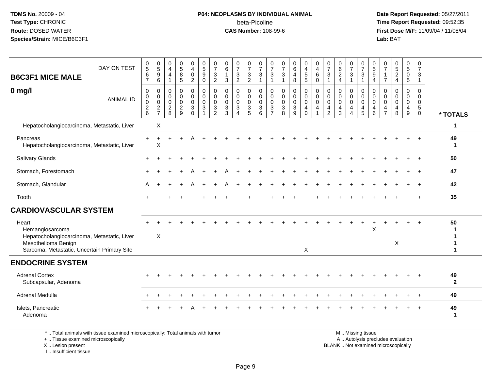## **P04: NEOPLASMS BY INDIVIDUAL ANIMAL**beta-Picoline<br>CAS Number: 108-99-6

 **Date Report Requested:** 05/27/2011 **Time Report Requested:** 09:52:35 **First Dose M/F:** 11/09/04 / 11/08/04<br>Lab: BAT **Lab:** BAT

| DAY ON TEST<br><b>B6C3F1 MICE MALE</b>                                                                                                        | $\begin{matrix} 0 \\ 5 \end{matrix}$<br>6<br>$\overline{7}$ | $\begin{array}{c} 0 \\ 5 \end{array}$<br>$9\,$<br>6           | $\frac{0}{4}$<br>$\overline{4}$<br>$\mathbf{1}$                                  | $\begin{array}{c} 0 \\ 5 \\ 8 \end{array}$<br>5                        | $\begin{smallmatrix}0\0\4\end{smallmatrix}$<br>0<br>$\overline{2}$ | $\begin{array}{c} 0 \\ 5 \\ 9 \end{array}$<br>$\mathbf 0$                    | 0<br>$\overline{7}$<br>$\sqrt{3}$<br>$\overline{2}$             | $\begin{array}{c} 0 \\ 6 \end{array}$<br>$\mathbf{1}$<br>$\mathbf{3}$     | $\frac{0}{7}$<br>$\sqrt{3}$<br>$\overline{2}$                              | $\frac{0}{7}$<br>$\sqrt{3}$<br>$\overline{2}$                                  | $\frac{0}{7}$<br>$\mathsf 3$<br>$\overline{1}$               | 0<br>$\overline{7}$<br>3<br>$\mathbf{1}$                                               | $\frac{0}{7}$<br>$\mathbf{3}$<br>$\mathbf{1}$                             | $_6^0$<br>$\overline{4}$<br>8   | $\begin{array}{c} 0 \\ 4 \\ 5 \end{array}$<br>5 | 0<br>$\overline{4}$<br>$6\phantom{a}$<br>$\Omega$                                  | $\frac{0}{7}$<br>$\mathbf{3}$<br>$\mathbf{1}$          | $\begin{matrix} 0 \\ 6 \\ 2 \end{matrix}$<br>$\overline{4}$    | $\frac{0}{7}$<br>$\mathbf{3}$<br>$\mathbf{1}$                         | $\frac{0}{7}$<br>$\sqrt{3}$<br>$\mathbf{1}$ | $\begin{array}{c} 0 \\ 5 \\ 9 \end{array}$<br>$\overline{4}$     | 0<br>$\overline{7}$<br>$\mathbf{1}$<br>$\overline{7}$  | $\begin{smallmatrix}0\0\5\end{smallmatrix}$<br>$\overline{c}$<br>$\overline{4}$ | $\begin{array}{c} 0 \\ 5 \end{array}$<br>0<br>5 | 0<br>$\overline{7}$<br>3<br>$\mathbf{1}$  |                    |
|-----------------------------------------------------------------------------------------------------------------------------------------------|-------------------------------------------------------------|---------------------------------------------------------------|----------------------------------------------------------------------------------|------------------------------------------------------------------------|--------------------------------------------------------------------|------------------------------------------------------------------------------|-----------------------------------------------------------------|---------------------------------------------------------------------------|----------------------------------------------------------------------------|--------------------------------------------------------------------------------|--------------------------------------------------------------|----------------------------------------------------------------------------------------|---------------------------------------------------------------------------|---------------------------------|-------------------------------------------------|------------------------------------------------------------------------------------|--------------------------------------------------------|----------------------------------------------------------------|-----------------------------------------------------------------------|---------------------------------------------|------------------------------------------------------------------|--------------------------------------------------------|---------------------------------------------------------------------------------|-------------------------------------------------|-------------------------------------------|--------------------|
| $0$ mg/<br><b>ANIMAL ID</b>                                                                                                                   | $\mathbf 0$<br>$\mathbf 0$<br>$\pmb{0}$<br>$\frac{2}{6}$    | $\mathbf 0$<br>$\pmb{0}$<br>$\boldsymbol{0}$<br>$\frac{2}{7}$ | $\mathsf{O}\xspace$<br>$\mathsf{O}\xspace$<br>$\mathbf 0$<br>$\overline{c}$<br>8 | $\boldsymbol{0}$<br>$\mathbf 0$<br>$\mathsf{O}$<br>$\overline{2}$<br>9 | 0<br>$\mathbf 0$<br>0<br>3<br>$\Omega$                             | $\pmb{0}$<br>$\boldsymbol{0}$<br>$\pmb{0}$<br>$\mathbf{3}$<br>$\overline{1}$ | 0<br>$\mathbf 0$<br>$\mathbf 0$<br>$\sqrt{3}$<br>$\overline{2}$ | $\mathbf 0$<br>$\mathbf 0$<br>$\mathbf 0$<br>$\mathbf{3}$<br>$\mathbf{3}$ | 0<br>$\mathsf{O}$<br>$\mathsf 0$<br>$\mathbf{3}$<br>$\boldsymbol{\Lambda}$ | 0<br>$\mathbf 0$<br>$\mathbf 0$<br>$\ensuremath{\mathsf{3}}$<br>$\overline{5}$ | $\mathbf 0$<br>$\mathbf 0$<br>$\mathbf 0$<br>$\sqrt{3}$<br>6 | $\mathbf 0$<br>$\mathbf 0$<br>$\pmb{0}$<br>$\ensuremath{\mathsf{3}}$<br>$\overline{7}$ | $\pmb{0}$<br>$\mathsf 0$<br>$\mathsf 0$<br>$\ensuremath{\mathsf{3}}$<br>8 | 0<br>$\mathbf 0$<br>0<br>3<br>9 | 0<br>$\mathbf 0$<br>0<br>4<br>$\mathbf 0$       | $\mathbf 0$<br>$\boldsymbol{0}$<br>$\mathbf 0$<br>$\overline{4}$<br>$\overline{1}$ | 0<br>$\mathbf 0$<br>$\mathbf 0$<br>4<br>$\overline{2}$ | $\mathbf 0$<br>$\mathbf 0$<br>$\mathbf 0$<br>4<br>$\mathbf{3}$ | 0<br>$\mathsf{O}$<br>$\mathsf{O}$<br>$\overline{4}$<br>$\overline{4}$ | 0<br>$\mathbf 0$<br>0<br>4<br>5             | $\mathbf 0$<br>$\mathbf 0$<br>$\mathbf 0$<br>$\overline{4}$<br>6 | 0<br>$\mathbf 0$<br>$\mathbf 0$<br>4<br>$\overline{7}$ | 0<br>$\mathbf 0$<br>$\mathbf 0$<br>4<br>8                                       | 0<br>$\mathbf 0$<br>0<br>4<br>$9\,$             | $\mathbf 0$<br>$\mathbf 0$<br>0<br>5<br>0 | * TOTALS           |
| Hepatocholangiocarcinoma, Metastatic, Liver                                                                                                   |                                                             | $\boldsymbol{\mathsf{X}}$                                     |                                                                                  |                                                                        |                                                                    |                                                                              |                                                                 |                                                                           |                                                                            |                                                                                |                                                              |                                                                                        |                                                                           |                                 |                                                 |                                                                                    |                                                        |                                                                |                                                                       |                                             |                                                                  |                                                        |                                                                                 |                                                 |                                           | 1                  |
| Pancreas<br>Hepatocholangiocarcinoma, Metastatic, Liver                                                                                       |                                                             | X                                                             |                                                                                  |                                                                        |                                                                    |                                                                              |                                                                 |                                                                           |                                                                            |                                                                                |                                                              |                                                                                        |                                                                           |                                 |                                                 |                                                                                    |                                                        |                                                                |                                                                       |                                             |                                                                  |                                                        |                                                                                 |                                                 |                                           | 49<br>1            |
| Salivary Glands                                                                                                                               |                                                             |                                                               |                                                                                  |                                                                        |                                                                    |                                                                              |                                                                 |                                                                           |                                                                            |                                                                                |                                                              |                                                                                        |                                                                           |                                 |                                                 |                                                                                    |                                                        |                                                                |                                                                       |                                             |                                                                  |                                                        |                                                                                 |                                                 |                                           | 50                 |
| Stomach, Forestomach                                                                                                                          |                                                             |                                                               |                                                                                  |                                                                        |                                                                    |                                                                              |                                                                 |                                                                           |                                                                            |                                                                                |                                                              |                                                                                        |                                                                           |                                 |                                                 |                                                                                    |                                                        |                                                                |                                                                       |                                             |                                                                  |                                                        |                                                                                 |                                                 |                                           | 47                 |
| Stomach, Glandular                                                                                                                            | A                                                           |                                                               |                                                                                  |                                                                        |                                                                    |                                                                              |                                                                 |                                                                           |                                                                            |                                                                                |                                                              |                                                                                        |                                                                           |                                 |                                                 |                                                                                    |                                                        |                                                                |                                                                       |                                             |                                                                  |                                                        |                                                                                 |                                                 |                                           | 42                 |
| Tooth                                                                                                                                         | $+$                                                         |                                                               |                                                                                  |                                                                        |                                                                    |                                                                              |                                                                 |                                                                           |                                                                            |                                                                                |                                                              |                                                                                        |                                                                           |                                 |                                                 |                                                                                    |                                                        |                                                                |                                                                       |                                             |                                                                  |                                                        |                                                                                 |                                                 | $+$                                       | 35                 |
| <b>CARDIOVASCULAR SYSTEM</b>                                                                                                                  |                                                             |                                                               |                                                                                  |                                                                        |                                                                    |                                                                              |                                                                 |                                                                           |                                                                            |                                                                                |                                                              |                                                                                        |                                                                           |                                 |                                                 |                                                                                    |                                                        |                                                                |                                                                       |                                             |                                                                  |                                                        |                                                                                 |                                                 |                                           |                    |
| Heart<br>Hemangiosarcoma<br>Hepatocholangiocarcinoma, Metastatic, Liver<br>Mesothelioma Benign<br>Sarcoma, Metastatic, Uncertain Primary Site |                                                             | X                                                             |                                                                                  |                                                                        |                                                                    |                                                                              |                                                                 |                                                                           |                                                                            |                                                                                |                                                              |                                                                                        |                                                                           |                                 | X                                               |                                                                                    |                                                        |                                                                |                                                                       |                                             | $\sf X$                                                          |                                                        | $\boldsymbol{\mathsf{X}}$                                                       |                                                 |                                           | 50<br>1            |
| <b>ENDOCRINE SYSTEM</b>                                                                                                                       |                                                             |                                                               |                                                                                  |                                                                        |                                                                    |                                                                              |                                                                 |                                                                           |                                                                            |                                                                                |                                                              |                                                                                        |                                                                           |                                 |                                                 |                                                                                    |                                                        |                                                                |                                                                       |                                             |                                                                  |                                                        |                                                                                 |                                                 |                                           |                    |
| <b>Adrenal Cortex</b><br>Subcapsular, Adenoma                                                                                                 |                                                             |                                                               |                                                                                  |                                                                        |                                                                    |                                                                              |                                                                 |                                                                           |                                                                            |                                                                                |                                                              |                                                                                        |                                                                           |                                 |                                                 |                                                                                    |                                                        |                                                                |                                                                       |                                             |                                                                  |                                                        |                                                                                 |                                                 |                                           | 49<br>$\mathbf{2}$ |
| Adrenal Medulla                                                                                                                               |                                                             |                                                               |                                                                                  |                                                                        |                                                                    |                                                                              |                                                                 |                                                                           |                                                                            |                                                                                |                                                              |                                                                                        |                                                                           |                                 |                                                 |                                                                                    |                                                        |                                                                |                                                                       |                                             |                                                                  |                                                        |                                                                                 |                                                 |                                           | 49                 |
| Islets, Pancreatic<br>Adenoma                                                                                                                 |                                                             |                                                               |                                                                                  |                                                                        |                                                                    |                                                                              |                                                                 |                                                                           |                                                                            |                                                                                |                                                              |                                                                                        |                                                                           |                                 |                                                 |                                                                                    |                                                        |                                                                |                                                                       |                                             |                                                                  |                                                        |                                                                                 |                                                 | $\ddot{}$                                 | 49<br>1            |

\* .. Total animals with tissue examined microscopically; Total animals with tumor

+ .. Tissue examined microscopically

X .. Lesion present

I .. Insufficient tissue

 M .. Missing tissuey the contract of the contract of the contract of the contract of the contract of the contract of the contract of  $A$ . Autolysis precludes evaluation

Lesion present BLANK .. Not examined microscopically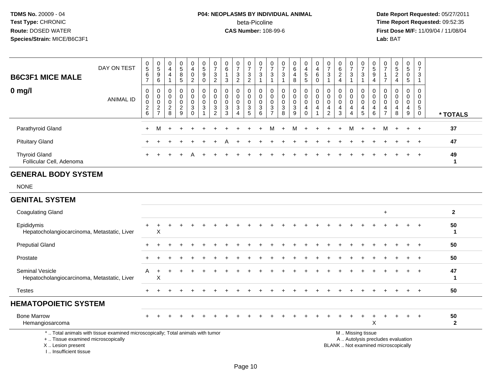# **P04: NEOPLASMS BY INDIVIDUAL ANIMAL**beta-Picoline<br>CAS Number: 108-99-6

 **Date Report Requested:** 05/27/2011 **Time Report Requested:** 09:52:35 **First Dose M/F:** 11/09/04 / 11/08/04<br>Lab: BAT **Lab:** BAT

| <b>B6C3F1 MICE MALE</b>                          | DAY ON TEST      | 0<br>5<br>$\,6\,$<br>$\overline{ }$             | 0<br>$5\,$<br>9<br>6         | 0<br>4<br>4                                              | $\mathbf 0$<br>$\sqrt{5}$<br>8<br>5                                              | $\overline{0}$<br>4<br>$\pmb{0}$<br>$\overline{c}$ | $\begin{array}{c} 0 \\ 5 \end{array}$<br>$9\,$<br>$\mathbf 0$ | $\rightarrow$<br>3<br>$\Omega$<br>$\epsilon$                          | $\pmb{0}$<br>$6\phantom{1}$<br>3                                | 0<br>$\rightarrow$<br>$\mathbf{3}$<br>$\overline{2}$ | $\frac{0}{7}$<br>3<br>$\overline{2}$                                            | $\mathbf 0$<br>$\overline{z}$<br>3               | 0<br>$\rightarrow$<br>3           | $\overline{0}$<br>$\overline{ }$<br>3        | 0<br>$6\phantom{.}$<br>$\overline{4}$<br>8                       | 0<br>4<br>5<br>$\overline{5}$ | 0<br>$\overline{4}$<br>$\,6\,$<br>$\mathbf 0$ | $\frac{0}{7}$<br>$\mathbf{3}$      | 6<br>2<br>$\overline{4}$   | 0<br>$\rightarrow$<br>3 | $\frac{0}{7}$<br>$\ensuremath{\mathsf{3}}$                | 0<br>$\sqrt{5}$<br>$\boldsymbol{9}$<br>4 | $\frac{0}{7}$<br>$\overline{ }$                                                 | $\frac{0}{5}$<br>$\overline{2}$<br>$\overline{4}$  | $\mathbf{0}$<br>5<br>0<br>5      | 0<br>$\overline{7}$<br>3         |          |
|--------------------------------------------------|------------------|-------------------------------------------------|------------------------------|----------------------------------------------------------|----------------------------------------------------------------------------------|----------------------------------------------------|---------------------------------------------------------------|-----------------------------------------------------------------------|-----------------------------------------------------------------|------------------------------------------------------|---------------------------------------------------------------------------------|--------------------------------------------------|-----------------------------------|----------------------------------------------|------------------------------------------------------------------|-------------------------------|-----------------------------------------------|------------------------------------|----------------------------|-------------------------|-----------------------------------------------------------|------------------------------------------|---------------------------------------------------------------------------------|----------------------------------------------------|----------------------------------|----------------------------------|----------|
| $0 \text{ mg/l}$                                 | <b>ANIMAL ID</b> | 0<br>0<br>U<br>$\overline{c}$<br>$6\phantom{1}$ | 0<br>0<br>0<br>$\frac{2}{7}$ | 0<br>$\mathbf 0$<br>$\mathbf 0$<br>$\boldsymbol{2}$<br>8 | $\overline{0}$<br>$\mathbf 0$<br>$\pmb{0}$<br>$\overline{c}$<br>$\boldsymbol{9}$ | $\overline{0}$<br>$\pmb{0}$<br>$\pmb{0}$<br>3<br>0 | $\mathbf 0$<br>$\pmb{0}$<br>$\pmb{0}$<br>$\sqrt{3}$           | $\mathbf 0$<br>$\mathbf 0$<br>$\boldsymbol{0}$<br>3<br>$\overline{2}$ | $\mathbf 0$<br>$\pmb{0}$<br>$\boldsymbol{0}$<br>$\sqrt{3}$<br>3 | 0<br>0<br>0<br>3                                     | 0<br>$\mathbf 0$<br>$\mathbf 0$<br>$\ensuremath{\mathsf{3}}$<br>$5\phantom{.0}$ | 0<br>$\pmb{0}$<br>$\mathbf 0$<br>$\sqrt{3}$<br>6 | 0<br>0<br>0<br>3<br>$\rightarrow$ | 0<br>$\pmb{0}$<br>$\boldsymbol{0}$<br>3<br>8 | 0<br>$\mathsf{O}$<br>$\pmb{0}$<br>$\ensuremath{\mathsf{3}}$<br>9 | 0<br>0<br>0<br>$\overline{4}$ | 0<br>$\pmb{0}$<br>$\pmb{0}$<br>$\overline{4}$ | 0<br>0<br>0<br>4<br>$\overline{2}$ | 0<br>$\mathbf 0$<br>4<br>3 | 0<br>0<br>0<br>4<br>4   | $_0^0$<br>$\mathbf 0$<br>$\overline{4}$<br>$\overline{5}$ | 0<br>$\pmb{0}$<br>0<br>4<br>6            | $\begin{matrix} 0 \\ 0 \end{matrix}$<br>$\boldsymbol{0}$<br>4<br>$\overline{ }$ | 0<br>$\pmb{0}$<br>$\pmb{0}$<br>$\overline{4}$<br>8 | $\mathbf{0}$<br>0<br>0<br>4<br>9 | 0<br>$\pmb{0}$<br>5<br>$\pmb{0}$ | * TOTALS |
| Parathyroid Gland                                |                  | $+$                                             |                              |                                                          |                                                                                  |                                                    |                                                               |                                                                       |                                                                 |                                                      |                                                                                 |                                                  | M                                 | $+$                                          |                                                                  |                               | M + +                                         | $+$                                | $+$                        | M                       | $+$                                                       | $+$                                      | м                                                                               |                                                    | $+$ $+$                          |                                  | 37       |
| <b>Pituitary Gland</b>                           |                  |                                                 |                              |                                                          |                                                                                  |                                                    |                                                               |                                                                       |                                                                 |                                                      |                                                                                 |                                                  |                                   |                                              |                                                                  |                               |                                               |                                    |                            |                         |                                                           |                                          |                                                                                 |                                                    | $+$                              | $\pm$                            | 47       |
| <b>Thyroid Gland</b><br>Follicular Cell, Adenoma |                  | $+$                                             |                              |                                                          |                                                                                  |                                                    |                                                               |                                                                       |                                                                 |                                                      |                                                                                 |                                                  |                                   |                                              |                                                                  |                               |                                               |                                    |                            |                         |                                                           |                                          |                                                                                 |                                                    | $+$ $-$                          | $\pm$                            | 49       |

#### **GENERAL BODY SYSTEM**

I .. Insufficient tissue

NONE

#### **GENITAL SYSTEM**

| <b>Coagulating Gland</b>                                                                                                                   |           |   |           |  |  |  |  |        |     |   |                                     |                   |            | $\ddot{}$                         |       |     |     | $\mathbf{2}$       |
|--------------------------------------------------------------------------------------------------------------------------------------------|-----------|---|-----------|--|--|--|--|--------|-----|---|-------------------------------------|-------------------|------------|-----------------------------------|-------|-----|-----|--------------------|
| Epididymis<br>Hepatocholangiocarcinoma, Metastatic, Liver                                                                                  | $\pm$     | X |           |  |  |  |  |        |     |   |                                     |                   |            |                                   |       |     | $+$ | 50                 |
| <b>Preputial Gland</b>                                                                                                                     |           |   |           |  |  |  |  |        |     |   |                                     |                   |            |                                   |       |     |     | 50                 |
| Prostate                                                                                                                                   | $\ddot{}$ |   |           |  |  |  |  |        |     |   |                                     |                   |            |                                   |       |     | $+$ | 50                 |
| <b>Seminal Vesicle</b><br>Hepatocholangiocarcinoma, Metastatic, Liver                                                                      | A         | Χ |           |  |  |  |  |        |     |   |                                     |                   |            |                                   |       | $+$ | $+$ | 47                 |
| <b>Testes</b>                                                                                                                              | $+$       |   |           |  |  |  |  |        |     |   |                                     |                   |            |                                   |       |     | $+$ | 50                 |
| <b>HEMATOPOIETIC SYSTEM</b>                                                                                                                |           |   |           |  |  |  |  |        |     |   |                                     |                   |            |                                   |       |     |     |                    |
| <b>Bone Marrow</b><br>Hemangiosarcoma                                                                                                      | $+$       |   | $\ddot{}$ |  |  |  |  | $\div$ | $+$ | ÷ | $\ddot{}$                           |                   | $\pm$<br>X | $+$                               | $\pm$ | $+$ | $+$ | 50<br>$\mathbf{2}$ |
| *  Total animals with tissue examined microscopically; Total animals with tumor<br>+  Tissue examined microscopically<br>X  Lesion present |           |   |           |  |  |  |  |        |     |   | BLANK  Not examined microscopically | M  Missing tissue |            | A  Autolysis precludes evaluation |       |     |     |                    |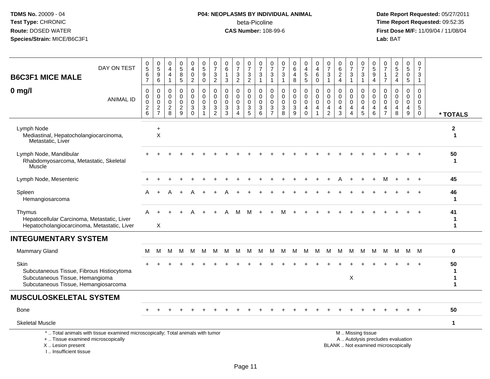## **P04: NEOPLASMS BY INDIVIDUAL ANIMAL**beta-Picoline<br>CAS Number: 108-99-6

| <b>B6C3F1 MICE MALE</b>                                                                                                      | DAY ON TEST                                                                     | $\begin{array}{c} 0 \\ 5 \end{array}$<br>6<br>$\overline{7}$                 | $\begin{array}{c} 0 \\ 5 \\ 9 \end{array}$<br>$\,6\,$       | 0<br>$\overline{4}$<br>$\overline{4}$                            | $\begin{array}{c} 0 \\ 5 \\ 8 \end{array}$<br>$\sqrt{5}$        | 0<br>$\overline{4}$<br>$\pmb{0}$<br>$\overline{c}$           | $\begin{array}{c} 0 \\ 5 \end{array}$<br>$9\,$<br>$\mathbf 0$             | $\frac{0}{7}$<br>3<br>$\overline{2}$                             | 0<br>$\,6\,$<br>$\mathbf{1}$<br>3                          | $\frac{0}{7}$<br>$\mathbf{3}$<br>$\overline{2}$        | $\frac{0}{7}$<br>$\mathbf{3}$<br>$\overline{c}$                       | $\begin{array}{c} 0 \\ 7 \end{array}$<br>$\sqrt{3}$<br>$\mathbf{1}$ | $\frac{0}{7}$<br>3<br>$\mathbf{1}$                                        | $\frac{0}{7}$<br>$\mathbf{3}$<br>$\mathbf{1}$                | $_{6}^{\rm 0}$<br>4<br>8                                       | $\frac{0}{4}$<br>$\overline{5}$<br>5                | 0<br>$\overline{4}$<br>6<br>$\mathsf 0$      | $\frac{0}{7}$<br>$\mathbf{3}$<br>$\mathbf{1}$ | $\begin{array}{c} 0 \\ 6 \end{array}$<br>$\overline{2}$<br>$\overline{4}$ | $\begin{array}{c} 0 \\ 7 \end{array}$<br>3<br>$\overline{1}$        | $\frac{0}{7}$<br>$\sqrt{3}$<br>$\overline{1}$                       | $\frac{0}{5}$<br>9<br>4                   | $\frac{0}{7}$<br>$\mathbf{1}$<br>$\overline{7}$               | $\begin{array}{c} 0 \\ 5 \\ 2 \end{array}$<br>$\overline{4}$             | $\begin{array}{c} 0 \\ 5 \end{array}$<br>$\mathbf 0$<br>$\sqrt{5}$ | 0<br>$\overline{7}$<br>3<br>$\overline{1}$                             |                                 |
|------------------------------------------------------------------------------------------------------------------------------|---------------------------------------------------------------------------------|------------------------------------------------------------------------------|-------------------------------------------------------------|------------------------------------------------------------------|-----------------------------------------------------------------|--------------------------------------------------------------|---------------------------------------------------------------------------|------------------------------------------------------------------|------------------------------------------------------------|--------------------------------------------------------|-----------------------------------------------------------------------|---------------------------------------------------------------------|---------------------------------------------------------------------------|--------------------------------------------------------------|----------------------------------------------------------------|-----------------------------------------------------|----------------------------------------------|-----------------------------------------------|---------------------------------------------------------------------------|---------------------------------------------------------------------|---------------------------------------------------------------------|-------------------------------------------|---------------------------------------------------------------|--------------------------------------------------------------------------|--------------------------------------------------------------------|------------------------------------------------------------------------|---------------------------------|
| $0 \text{ mg/l}$                                                                                                             | <b>ANIMAL ID</b>                                                                | $\mathbf 0$<br>$\mathsf{O}\xspace$<br>$\mathsf{O}\xspace$<br>$\sqrt{2}$<br>6 | 0<br>$\mathbf 0$<br>0<br>$\boldsymbol{2}$<br>$\overline{7}$ | $\mathbf 0$<br>$\mathbf 0$<br>$\mathbf 0$<br>$\overline{a}$<br>8 | 0<br>$\mathbf 0$<br>$\mathbf 0$<br>$\sqrt{2}$<br>$\overline{9}$ | 0<br>$\mathbf 0$<br>$\mathbf 0$<br>$\sqrt{3}$<br>$\mathbf 0$ | $\mathbf 0$<br>$\mathbf 0$<br>$\mathbf 0$<br>$\sqrt{3}$<br>$\overline{1}$ | $\mathbf 0$<br>$\mathbf 0$<br>$\mathbf 0$<br>3<br>$\overline{c}$ | $\Omega$<br>$\mathbf 0$<br>$\mathbf 0$<br>$\mathbf 3$<br>3 | 0<br>$\mathbf 0$<br>$\mathbf 0$<br>3<br>$\overline{4}$ | 0<br>$\mathbf 0$<br>0<br>$\ensuremath{\mathsf{3}}$<br>$5\phantom{.0}$ | 0<br>$\mathbf 0$<br>$\mathbf 0$<br>$\ensuremath{\mathsf{3}}$<br>6   | $\mathbf 0$<br>$\mathbf 0$<br>$\mathbf 0$<br>$\sqrt{3}$<br>$\overline{7}$ | $\mathbf 0$<br>$\mathbf 0$<br>$\mathbf 0$<br>$\sqrt{3}$<br>8 | $\mathbf 0$<br>$\mathbf 0$<br>$\mathbf 0$<br>$\mathbf{3}$<br>9 | 0<br>$\mathbf 0$<br>$\mathbf 0$<br>4<br>$\mathbf 0$ | 0<br>$\mathbf 0$<br>0<br>4<br>$\overline{1}$ | $\mathbf 0$<br>0<br>0<br>4<br>$\overline{2}$  | $\mathbf 0$<br>$\mathbf 0$<br>$\mathbf 0$<br>$\overline{4}$<br>3          | 0<br>$\mathbf 0$<br>$\mathbf 0$<br>$\overline{4}$<br>$\overline{4}$ | 0<br>$\mathsf 0$<br>$\mathbf 0$<br>$\overline{4}$<br>$\overline{5}$ | 0<br>$\mathbf 0$<br>$\mathbf 0$<br>4<br>6 | $\Omega$<br>$\mathbf 0$<br>$\mathbf 0$<br>4<br>$\overline{7}$ | $\mathbf 0$<br>$\mathbf 0$<br>$\mathbf 0$<br>$\overline{4}$<br>8         | 0<br>$\mathbf 0$<br>0<br>4<br>$\boldsymbol{9}$                     | $\mathbf 0$<br>$\mathbf 0$<br>$\mathbf 0$<br>$\sqrt{5}$<br>$\mathbf 0$ | * TOTALS                        |
| Lymph Node<br>Mediastinal, Hepatocholangiocarcinoma,<br>Metastatic, Liver                                                    |                                                                                 |                                                                              | $\ddot{}$<br>$\sf X$                                        |                                                                  |                                                                 |                                                              |                                                                           |                                                                  |                                                            |                                                        |                                                                       |                                                                     |                                                                           |                                                              |                                                                |                                                     |                                              |                                               |                                                                           |                                                                     |                                                                     |                                           |                                                               |                                                                          |                                                                    |                                                                        | $\boldsymbol{2}$<br>$\mathbf 1$ |
| Lymph Node, Mandibular<br>Rhabdomyosarcoma, Metastatic, Skeletal<br>Muscle                                                   |                                                                                 |                                                                              |                                                             |                                                                  |                                                                 |                                                              |                                                                           |                                                                  |                                                            |                                                        |                                                                       |                                                                     |                                                                           |                                                              |                                                                |                                                     |                                              |                                               |                                                                           |                                                                     |                                                                     |                                           |                                                               |                                                                          |                                                                    |                                                                        | 50<br>1                         |
| Lymph Node, Mesenteric                                                                                                       |                                                                                 |                                                                              |                                                             |                                                                  |                                                                 |                                                              |                                                                           |                                                                  |                                                            |                                                        |                                                                       |                                                                     |                                                                           |                                                              |                                                                |                                                     |                                              |                                               |                                                                           |                                                                     |                                                                     |                                           |                                                               |                                                                          |                                                                    |                                                                        | 45                              |
| Spleen<br>Hemangiosarcoma                                                                                                    |                                                                                 |                                                                              |                                                             |                                                                  |                                                                 |                                                              |                                                                           |                                                                  |                                                            |                                                        |                                                                       |                                                                     |                                                                           |                                                              |                                                                |                                                     |                                              |                                               |                                                                           |                                                                     |                                                                     |                                           |                                                               |                                                                          |                                                                    |                                                                        | 46<br>1                         |
| Thymus<br>Hepatocellular Carcinoma, Metastatic, Liver<br>Hepatocholangiocarcinoma, Metastatic, Liver                         |                                                                                 | A                                                                            | Χ                                                           |                                                                  |                                                                 |                                                              |                                                                           |                                                                  |                                                            | м                                                      | м                                                                     |                                                                     |                                                                           | м                                                            |                                                                |                                                     |                                              |                                               |                                                                           |                                                                     |                                                                     |                                           |                                                               |                                                                          |                                                                    |                                                                        | 41<br>1<br>1                    |
| <b>INTEGUMENTARY SYSTEM</b>                                                                                                  |                                                                                 |                                                                              |                                                             |                                                                  |                                                                 |                                                              |                                                                           |                                                                  |                                                            |                                                        |                                                                       |                                                                     |                                                                           |                                                              |                                                                |                                                     |                                              |                                               |                                                                           |                                                                     |                                                                     |                                           |                                                               |                                                                          |                                                                    |                                                                        |                                 |
| <b>Mammary Gland</b>                                                                                                         |                                                                                 | М                                                                            | M                                                           | M                                                                | м                                                               | M                                                            | М                                                                         | м                                                                | м                                                          | M                                                      | M                                                                     | M                                                                   | м                                                                         | M                                                            | M                                                              | M                                                   | M                                            | M                                             | м                                                                         | м                                                                   | M                                                                   | М                                         | м                                                             | M                                                                        |                                                                    | M M                                                                    | 0                               |
| Skin<br>Subcutaneous Tissue, Fibrous Histiocytoma<br>Subcutaneous Tissue, Hemangioma<br>Subcutaneous Tissue, Hemangiosarcoma |                                                                                 |                                                                              |                                                             |                                                                  |                                                                 |                                                              |                                                                           |                                                                  |                                                            |                                                        |                                                                       |                                                                     |                                                                           |                                                              |                                                                |                                                     |                                              |                                               |                                                                           | $\mathsf X$                                                         |                                                                     |                                           |                                                               |                                                                          |                                                                    |                                                                        | 50<br>1<br>1<br>1               |
| <b>MUSCULOSKELETAL SYSTEM</b>                                                                                                |                                                                                 |                                                                              |                                                             |                                                                  |                                                                 |                                                              |                                                                           |                                                                  |                                                            |                                                        |                                                                       |                                                                     |                                                                           |                                                              |                                                                |                                                     |                                              |                                               |                                                                           |                                                                     |                                                                     |                                           |                                                               |                                                                          |                                                                    |                                                                        |                                 |
| <b>Bone</b>                                                                                                                  |                                                                                 |                                                                              |                                                             |                                                                  |                                                                 |                                                              |                                                                           |                                                                  |                                                            |                                                        |                                                                       |                                                                     |                                                                           |                                                              |                                                                |                                                     |                                              |                                               |                                                                           |                                                                     |                                                                     |                                           |                                                               |                                                                          |                                                                    |                                                                        | 50                              |
| <b>Skeletal Muscle</b>                                                                                                       |                                                                                 |                                                                              |                                                             |                                                                  |                                                                 |                                                              |                                                                           |                                                                  |                                                            |                                                        |                                                                       |                                                                     |                                                                           |                                                              |                                                                |                                                     |                                              |                                               |                                                                           |                                                                     |                                                                     |                                           |                                                               |                                                                          |                                                                    |                                                                        | $\mathbf{1}$                    |
| +  Tissue examined microscopically<br>X  Lesion present<br>I Insufficient tissue                                             | *  Total animals with tissue examined microscopically; Total animals with tumor |                                                                              |                                                             |                                                                  |                                                                 |                                                              |                                                                           |                                                                  |                                                            |                                                        |                                                                       |                                                                     |                                                                           |                                                              |                                                                |                                                     |                                              |                                               |                                                                           |                                                                     | M  Missing tissue                                                   |                                           |                                                               | A  Autolysis precludes evaluation<br>BLANK  Not examined microscopically |                                                                    |                                                                        |                                 |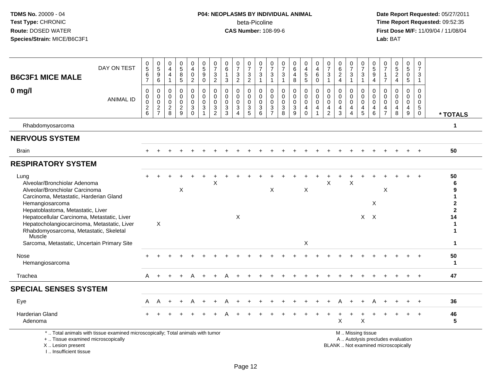## **P04: NEOPLASMS BY INDIVIDUAL ANIMAL**beta-Picoline<br>CAS Number: 108-99-6

| <b>B6C3F1 MICE MALE</b>                                                                                                                                                                                                                                                | DAY ON TEST      | $\frac{0}{5}$<br>6<br>$\overline{7}$           | $\begin{array}{c} 0 \\ 5 \end{array}$<br>$\overline{9}$<br>$\,6\,$ | 0<br>$\overline{4}$<br>$\overline{4}$<br>$\mathbf{1}$    | 0<br>$\sqrt{5}$<br>$\bf 8$<br>$\overline{5}$                          | $_4^{\rm 0}$<br>$\pmb{0}$<br>$\overline{2}$                  | $\frac{0}{5}$<br>9<br>$\mathbf 0$         | $\frac{0}{7}$<br>$\sqrt{3}$<br>$\sqrt{2}$                                                | 0<br>6<br>1<br>3                                             | $\frac{0}{7}$<br>$\frac{3}{2}$                                                        | $\frac{0}{7}$<br>$\ensuremath{\mathsf{3}}$<br>$\overline{c}$   | $\begin{array}{c} 0 \\ 7 \end{array}$<br>$\mathbf{3}$<br>$\overline{1}$ | $\frac{0}{7}$<br>$\mathbf{3}$<br>$\mathbf{1}$                             | 0<br>$\overline{7}$<br>3<br>$\overline{1}$                     | 0<br>$\,6\,$<br>$\overline{4}$<br>$\,8\,$                 | 0<br>$\overline{4}$<br>5<br>5                       | $_4^{\rm 0}$<br>$\,6\,$<br>$\mathbf 0$                              | $\begin{array}{c} 0 \\ 7 \end{array}$<br>$\mathbf{3}$<br>$\mathbf{1}$         | $\begin{matrix} 0 \\ 6 \end{matrix}$<br>$\sqrt{2}$<br>$\overline{4}$ | $\frac{0}{7}$<br>$\ensuremath{\mathsf{3}}$<br>$\overline{1}$                  | $\begin{array}{c} 0 \\ 7 \end{array}$<br>$\mathbf{3}$<br>$\overline{1}$ | $\begin{array}{c} 0 \\ 5 \end{array}$<br>$\boldsymbol{9}$<br>$\overline{4}$ | 0<br>$\overline{7}$<br>$\overline{7}$                  | $\begin{array}{c} 0 \\ 5 \\ 2 \\ 4 \end{array}$                          | $\begin{array}{c} 0 \\ 5 \end{array}$<br>$\pmb{0}$<br>$\overline{5}$ | 0<br>$\overline{7}$<br>3<br>$\mathbf{1}$         |                                                          |
|------------------------------------------------------------------------------------------------------------------------------------------------------------------------------------------------------------------------------------------------------------------------|------------------|------------------------------------------------|--------------------------------------------------------------------|----------------------------------------------------------|-----------------------------------------------------------------------|--------------------------------------------------------------|-------------------------------------------|------------------------------------------------------------------------------------------|--------------------------------------------------------------|---------------------------------------------------------------------------------------|----------------------------------------------------------------|-------------------------------------------------------------------------|---------------------------------------------------------------------------|----------------------------------------------------------------|-----------------------------------------------------------|-----------------------------------------------------|---------------------------------------------------------------------|-------------------------------------------------------------------------------|----------------------------------------------------------------------|-------------------------------------------------------------------------------|-------------------------------------------------------------------------|-----------------------------------------------------------------------------|--------------------------------------------------------|--------------------------------------------------------------------------|----------------------------------------------------------------------|--------------------------------------------------|----------------------------------------------------------|
| $0$ mg/l                                                                                                                                                                                                                                                               | <b>ANIMAL ID</b> | 0<br>0<br>$\mathbf 0$<br>$\boldsymbol{2}$<br>6 | $\mathbf 0$<br>$\mathsf{O}\xspace$<br>$\pmb{0}$<br>$\frac{2}{7}$   | 0<br>$\mathbf 0$<br>$\mathbf 0$<br>$\boldsymbol{2}$<br>8 | $\mathbf 0$<br>$\mathbf 0$<br>0<br>$\overline{a}$<br>$\boldsymbol{9}$ | 0<br>$\mathbf 0$<br>$\mathbf 0$<br>$\sqrt{3}$<br>$\mathbf 0$ | 0<br>$\mathbf 0$<br>0<br>$\sqrt{3}$<br>-1 | $\mathbf 0$<br>$\mathbf 0$<br>$\mathbf 0$<br>$\ensuremath{\mathsf{3}}$<br>$\overline{c}$ | $\mathbf 0$<br>$\mathbf 0$<br>$\mathbf 0$<br>$\sqrt{3}$<br>3 | $\Omega$<br>$\mathbf 0$<br>$\mathbf 0$<br>$\ensuremath{\mathsf{3}}$<br>$\overline{4}$ | $\mathbf 0$<br>$\mathbf 0$<br>$\mathbf 0$<br>$\mathbf{3}$<br>5 | 0<br>$\mathbf 0$<br>0<br>$\ensuremath{\mathsf{3}}$<br>$\,6\,$           | $\mathbf 0$<br>$\mathbf 0$<br>$\mathbf 0$<br>$\sqrt{3}$<br>$\overline{7}$ | $\mathbf 0$<br>$\mathbf 0$<br>$\mathbf 0$<br>$\mathbf{3}$<br>8 | $\Omega$<br>$\mathbf 0$<br>$\mathbf 0$<br>$\sqrt{3}$<br>9 | 0<br>$\mathbf 0$<br>0<br>$\overline{4}$<br>$\Omega$ | $\mathbf 0$<br>$\mathbf 0$<br>0<br>$\overline{4}$<br>$\overline{1}$ | $\mathbf 0$<br>$\mathbf 0$<br>$\mathbf 0$<br>$\overline{4}$<br>$\overline{2}$ | $\Omega$<br>$\mathbf 0$<br>0<br>4<br>3                               | $\mathbf 0$<br>$\mathbf 0$<br>$\mathbf 0$<br>$\overline{4}$<br>$\overline{4}$ | 0<br>$\mathsf 0$<br>$\mathbf 0$<br>$\overline{4}$<br>$\sqrt{5}$         | 0<br>$\mathbf 0$<br>$\mathbf 0$<br>$\overline{4}$<br>$6\phantom{1}6$        | 0<br>$\mathbf 0$<br>$\mathbf 0$<br>4<br>$\overline{7}$ | $\Omega$<br>$\mathbf 0$<br>$\mathbf 0$<br>$\overline{4}$<br>8            | $\mathbf 0$<br>$\overline{0}$<br>0<br>4<br>9                         | $\Omega$<br>$\mathbf 0$<br>0<br>5<br>$\mathbf 0$ | * TOTALS                                                 |
| Rhabdomyosarcoma                                                                                                                                                                                                                                                       |                  |                                                |                                                                    |                                                          |                                                                       |                                                              |                                           |                                                                                          |                                                              |                                                                                       |                                                                |                                                                         |                                                                           |                                                                |                                                           |                                                     |                                                                     |                                                                               |                                                                      |                                                                               |                                                                         |                                                                             |                                                        |                                                                          |                                                                      |                                                  | $\mathbf 1$                                              |
| <b>NERVOUS SYSTEM</b>                                                                                                                                                                                                                                                  |                  |                                                |                                                                    |                                                          |                                                                       |                                                              |                                           |                                                                                          |                                                              |                                                                                       |                                                                |                                                                         |                                                                           |                                                                |                                                           |                                                     |                                                                     |                                                                               |                                                                      |                                                                               |                                                                         |                                                                             |                                                        |                                                                          |                                                                      |                                                  |                                                          |
| <b>Brain</b>                                                                                                                                                                                                                                                           |                  |                                                |                                                                    |                                                          |                                                                       |                                                              |                                           |                                                                                          |                                                              |                                                                                       |                                                                |                                                                         |                                                                           |                                                                |                                                           |                                                     |                                                                     |                                                                               |                                                                      |                                                                               |                                                                         |                                                                             |                                                        |                                                                          |                                                                      |                                                  | 50                                                       |
| <b>RESPIRATORY SYSTEM</b>                                                                                                                                                                                                                                              |                  |                                                |                                                                    |                                                          |                                                                       |                                                              |                                           |                                                                                          |                                                              |                                                                                       |                                                                |                                                                         |                                                                           |                                                                |                                                           |                                                     |                                                                     |                                                                               |                                                                      |                                                                               |                                                                         |                                                                             |                                                        |                                                                          |                                                                      |                                                  |                                                          |
| Lung<br>Alveolar/Bronchiolar Adenoma<br>Alveolar/Bronchiolar Carcinoma<br>Carcinoma, Metastatic, Harderian Gland<br>Hemangiosarcoma<br>Hepatoblastoma, Metastatic, Liver<br>Hepatocellular Carcinoma, Metastatic, Liver<br>Hepatocholangiocarcinoma, Metastatic, Liver |                  |                                                | X                                                                  |                                                          | X                                                                     |                                                              |                                           | X                                                                                        |                                                              | $\boldsymbol{\mathsf{X}}$                                                             |                                                                |                                                                         | X                                                                         |                                                                |                                                           | X                                                   |                                                                     | X                                                                             |                                                                      | X                                                                             |                                                                         | X<br>$X$ $X$                                                                | X                                                      |                                                                          |                                                                      |                                                  | 50<br>6<br>9<br>2<br>$\overline{2}$<br>14<br>$\mathbf 1$ |
| Rhabdomyosarcoma, Metastatic, Skeletal<br>Muscle<br>Sarcoma, Metastatic, Uncertain Primary Site                                                                                                                                                                        |                  |                                                |                                                                    |                                                          |                                                                       |                                                              |                                           |                                                                                          |                                                              |                                                                                       |                                                                |                                                                         |                                                                           |                                                                |                                                           | X                                                   |                                                                     |                                                                               |                                                                      |                                                                               |                                                                         |                                                                             |                                                        |                                                                          |                                                                      |                                                  | $\mathbf 1$                                              |
| Nose<br>Hemangiosarcoma                                                                                                                                                                                                                                                |                  |                                                |                                                                    |                                                          |                                                                       |                                                              |                                           |                                                                                          |                                                              |                                                                                       |                                                                |                                                                         |                                                                           |                                                                |                                                           |                                                     |                                                                     |                                                                               |                                                                      |                                                                               |                                                                         |                                                                             |                                                        |                                                                          |                                                                      |                                                  | 50<br>$\mathbf{1}$                                       |
| Trachea                                                                                                                                                                                                                                                                |                  | A                                              |                                                                    |                                                          |                                                                       |                                                              |                                           |                                                                                          |                                                              |                                                                                       |                                                                |                                                                         |                                                                           |                                                                |                                                           |                                                     |                                                                     |                                                                               |                                                                      |                                                                               |                                                                         |                                                                             |                                                        |                                                                          |                                                                      |                                                  | 47                                                       |
| <b>SPECIAL SENSES SYSTEM</b>                                                                                                                                                                                                                                           |                  |                                                |                                                                    |                                                          |                                                                       |                                                              |                                           |                                                                                          |                                                              |                                                                                       |                                                                |                                                                         |                                                                           |                                                                |                                                           |                                                     |                                                                     |                                                                               |                                                                      |                                                                               |                                                                         |                                                                             |                                                        |                                                                          |                                                                      |                                                  |                                                          |
| Eye                                                                                                                                                                                                                                                                    |                  | A                                              | A                                                                  | $\ddot{}$                                                |                                                                       |                                                              |                                           |                                                                                          |                                                              |                                                                                       |                                                                |                                                                         |                                                                           |                                                                |                                                           |                                                     |                                                                     |                                                                               |                                                                      |                                                                               |                                                                         |                                                                             |                                                        |                                                                          |                                                                      | $\ddot{}$                                        | 36                                                       |
| <b>Harderian Gland</b><br>Adenoma                                                                                                                                                                                                                                      |                  |                                                |                                                                    |                                                          |                                                                       |                                                              |                                           |                                                                                          |                                                              |                                                                                       |                                                                |                                                                         |                                                                           |                                                                |                                                           |                                                     |                                                                     |                                                                               | X                                                                    |                                                                               | $\mathsf{X}$                                                            |                                                                             |                                                        |                                                                          |                                                                      |                                                  | 46<br>5                                                  |
| *  Total animals with tissue examined microscopically; Total animals with tumor<br>+  Tissue examined microscopically<br>X  Lesion present<br>I Insufficient tissue                                                                                                    |                  |                                                |                                                                    |                                                          |                                                                       |                                                              |                                           |                                                                                          |                                                              |                                                                                       |                                                                |                                                                         |                                                                           |                                                                |                                                           |                                                     |                                                                     |                                                                               |                                                                      |                                                                               | M  Missing tissue                                                       |                                                                             |                                                        | A  Autolysis precludes evaluation<br>BLANK  Not examined microscopically |                                                                      |                                                  |                                                          |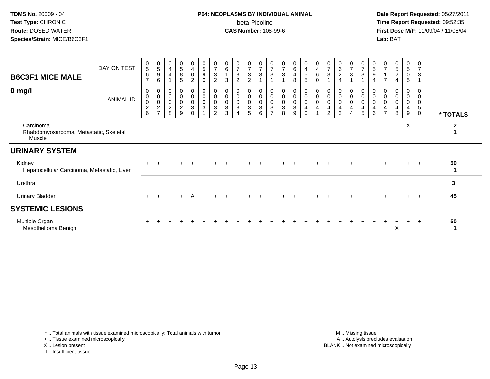## **P04: NEOPLASMS BY INDIVIDUAL ANIMAL**beta-Picoline<br>CAS Number: 108-99-6

 **Date Report Requested:** 05/27/2011 **Time Report Requested:** 09:52:35 **First Dose M/F:** 11/09/04 / 11/08/04<br>Lab: BAT **Lab:** BAT

| <b>B6C3F1 MICE MALE</b><br>$0$ mg/l                           | DAY ON TEST<br><b>ANIMAL ID</b> | $\begin{array}{c} 0 \\ 5 \end{array}$<br>$\,6$<br>$\overline{7}$<br>$\mathbf 0$<br>$\pmb{0}$<br>$\pmb{0}$<br>$\boldsymbol{2}$<br>6 | $\begin{array}{c} 0 \\ 5 \end{array}$<br>9<br>6<br>0<br>$\pmb{0}$<br>$\mathbf 0$<br>$\frac{2}{7}$ | 0<br>4<br>$\overline{4}$<br>$\pmb{0}$<br>$\pmb{0}$<br>$\boldsymbol{0}$<br>$\boldsymbol{2}$<br>8 | $\begin{array}{c} 0 \\ 5 \end{array}$<br>$\bf 8$<br>$\sqrt{5}$<br>0<br>$\pmb{0}$<br>$\pmb{0}$<br>$\overline{a}$<br>9 | $\mathbf 0$<br>$\overline{\mathbf{4}}$<br>$\mathbf 0$<br>$\overline{2}$<br>$\mathbf 0$<br>$\mathbf 0$<br>$\pmb{0}$<br>$\mathbf{3}$<br>$\Omega$ | $\begin{array}{c} 0 \\ 5 \end{array}$<br>$\boldsymbol{9}$<br>$\mathbf 0$<br>$\begin{matrix} 0 \\ 0 \\ 0 \\ 3 \end{matrix}$ | 0<br>$\overline{7}$<br>3<br>$\overline{2}$<br>0<br>$\pmb{0}$<br>$\mathbf 0$<br>$\ensuremath{\mathsf{3}}$<br>$\mathfrak{p}$ | 0<br>$\,6$<br>3<br>0<br>$\pmb{0}$<br>$\pmb{0}$<br>3<br>3 | $\overline{0}$<br>$\overline{7}$<br>3<br>$\overline{2}$<br>0<br>$\mathbf 0$<br>$\pmb{0}$<br>3<br>4 | $\begin{array}{c} 0 \\ 7 \\ 3 \end{array}$<br>$\overline{2}$<br>$\begin{matrix}0\\0\\0\end{matrix}$<br>$\overline{3}$<br>5 | $\frac{0}{7}$<br>3<br>0<br>$\boldsymbol{0}$<br>$\mathsf 0$<br>$\ensuremath{\mathsf{3}}$<br>6 | $\begin{array}{c} 0 \\ 7 \\ 3 \end{array}$<br>0<br>0<br>$\frac{0}{3}$<br>$\overline{ }$ | $\begin{array}{c} 0 \\ 7 \\ 3 \end{array}$<br>$\overline{0}$<br>$\pmb{0}$<br>$\frac{0}{3}$<br>8 | $\begin{array}{c} 0 \\ 6 \\ 4 \end{array}$<br>8<br>$\begin{matrix} 0 \\ 0 \\ 0 \\ 3 \end{matrix}$<br>9 | $\pmb{0}$<br>$\begin{array}{c} 4 \\ 5 \end{array}$<br>$\overline{5}$<br>0<br>$\,0\,$<br>$\pmb{0}$<br>$\overline{4}$ | $\pmb{0}$<br>$\overline{4}$<br>$\,6\,$<br>$\mathbf 0$<br>$\begin{smallmatrix} 0\\0 \end{smallmatrix}$<br>$\mathbf 0$<br>$\overline{4}$ | $\overline{7}$<br>$\sqrt{3}$<br>0<br>$\boldsymbol{0}$<br>$\pmb{0}$<br>4<br>$\mathcal{P}$ | 0<br>6<br>$\overline{c}$<br>4<br>0<br>0<br>0<br>4<br>3 | $\frac{0}{7}$<br>$\sqrt{3}$<br>0<br>$\pmb{0}$<br>$\pmb{0}$<br>4 | $\frac{0}{7}$<br>$\ensuremath{\mathsf{3}}$<br>$_{\rm 0}^{\rm 0}$<br>$\mathbf 0$<br>4<br>5 | 5<br>9<br>4<br>0<br>0<br>4<br>6 | $\frac{0}{7}$<br>$\overline{z}$<br>$\mathbf 0$<br>$\pmb{0}$<br>$\pmb{0}$<br>$\overline{\mathbf{4}}$<br>$\overline{ }$ | $\begin{array}{c} 0 \\ 5 \\ 2 \end{array}$<br>$\overline{4}$<br>0<br>$\mathbf 0$<br>0<br>4<br>8 | $\begin{array}{c} 0 \\ 5 \end{array}$<br>$\mathbf 0$<br>$\sqrt{5}$<br>$\boldsymbol{0}$<br>$\pmb{0}$<br>$\pmb{0}$<br>$\overline{4}$<br>9 | 0<br>7<br>3<br>0<br>$\mathbf 0$<br>0<br>5<br>$\Omega$ | * TOTALS    |
|---------------------------------------------------------------|---------------------------------|------------------------------------------------------------------------------------------------------------------------------------|---------------------------------------------------------------------------------------------------|-------------------------------------------------------------------------------------------------|----------------------------------------------------------------------------------------------------------------------|------------------------------------------------------------------------------------------------------------------------------------------------|----------------------------------------------------------------------------------------------------------------------------|----------------------------------------------------------------------------------------------------------------------------|----------------------------------------------------------|----------------------------------------------------------------------------------------------------|----------------------------------------------------------------------------------------------------------------------------|----------------------------------------------------------------------------------------------|-----------------------------------------------------------------------------------------|-------------------------------------------------------------------------------------------------|--------------------------------------------------------------------------------------------------------|---------------------------------------------------------------------------------------------------------------------|----------------------------------------------------------------------------------------------------------------------------------------|------------------------------------------------------------------------------------------|--------------------------------------------------------|-----------------------------------------------------------------|-------------------------------------------------------------------------------------------|---------------------------------|-----------------------------------------------------------------------------------------------------------------------|-------------------------------------------------------------------------------------------------|-----------------------------------------------------------------------------------------------------------------------------------------|-------------------------------------------------------|-------------|
| Carcinoma<br>Rhabdomyosarcoma, Metastatic, Skeletal<br>Muscle |                                 |                                                                                                                                    |                                                                                                   |                                                                                                 |                                                                                                                      |                                                                                                                                                |                                                                                                                            |                                                                                                                            |                                                          |                                                                                                    |                                                                                                                            |                                                                                              |                                                                                         |                                                                                                 |                                                                                                        |                                                                                                                     |                                                                                                                                        |                                                                                          |                                                        |                                                                 |                                                                                           |                                 |                                                                                                                       |                                                                                                 | X                                                                                                                                       |                                                       | $\mathbf 2$ |
| <b>URINARY SYSTEM</b>                                         |                                 |                                                                                                                                    |                                                                                                   |                                                                                                 |                                                                                                                      |                                                                                                                                                |                                                                                                                            |                                                                                                                            |                                                          |                                                                                                    |                                                                                                                            |                                                                                              |                                                                                         |                                                                                                 |                                                                                                        |                                                                                                                     |                                                                                                                                        |                                                                                          |                                                        |                                                                 |                                                                                           |                                 |                                                                                                                       |                                                                                                 |                                                                                                                                         |                                                       |             |
| Kidney<br>Hepatocellular Carcinoma, Metastatic, Liver         |                                 |                                                                                                                                    |                                                                                                   |                                                                                                 |                                                                                                                      |                                                                                                                                                |                                                                                                                            |                                                                                                                            |                                                          |                                                                                                    |                                                                                                                            |                                                                                              |                                                                                         |                                                                                                 |                                                                                                        |                                                                                                                     |                                                                                                                                        |                                                                                          |                                                        |                                                                 |                                                                                           |                                 |                                                                                                                       |                                                                                                 |                                                                                                                                         | $+$                                                   | 50          |
| Urethra                                                       |                                 |                                                                                                                                    |                                                                                                   | $+$                                                                                             |                                                                                                                      |                                                                                                                                                |                                                                                                                            |                                                                                                                            |                                                          |                                                                                                    |                                                                                                                            |                                                                                              |                                                                                         |                                                                                                 |                                                                                                        |                                                                                                                     |                                                                                                                                        |                                                                                          |                                                        |                                                                 |                                                                                           |                                 |                                                                                                                       | $+$                                                                                             |                                                                                                                                         |                                                       | 3           |
| Urinary Bladder                                               |                                 | $\pm$                                                                                                                              |                                                                                                   |                                                                                                 |                                                                                                                      |                                                                                                                                                |                                                                                                                            |                                                                                                                            |                                                          |                                                                                                    |                                                                                                                            |                                                                                              |                                                                                         |                                                                                                 |                                                                                                        |                                                                                                                     |                                                                                                                                        |                                                                                          |                                                        |                                                                 |                                                                                           |                                 |                                                                                                                       |                                                                                                 |                                                                                                                                         | $^{+}$                                                | 45          |
| <b>SYSTEMIC LESIONS</b>                                       |                                 |                                                                                                                                    |                                                                                                   |                                                                                                 |                                                                                                                      |                                                                                                                                                |                                                                                                                            |                                                                                                                            |                                                          |                                                                                                    |                                                                                                                            |                                                                                              |                                                                                         |                                                                                                 |                                                                                                        |                                                                                                                     |                                                                                                                                        |                                                                                          |                                                        |                                                                 |                                                                                           |                                 |                                                                                                                       |                                                                                                 |                                                                                                                                         |                                                       |             |
| Multiple Organ<br>Mesothelioma Benign                         |                                 |                                                                                                                                    |                                                                                                   |                                                                                                 |                                                                                                                      |                                                                                                                                                |                                                                                                                            |                                                                                                                            |                                                          |                                                                                                    |                                                                                                                            |                                                                                              |                                                                                         |                                                                                                 |                                                                                                        |                                                                                                                     |                                                                                                                                        |                                                                                          |                                                        |                                                                 |                                                                                           |                                 |                                                                                                                       | Χ                                                                                               |                                                                                                                                         | $\div$                                                | 50          |

\* .. Total animals with tissue examined microscopically; Total animals with tumor

+ .. Tissue examined microscopically

X .. Lesion present

I .. Insufficient tissue

 M .. Missing tissuey the contract of the contract of the contract of the contract of the contract of the contract of the contract of  $A$ . Autolysis precludes evaluation Lesion present BLANK .. Not examined microscopically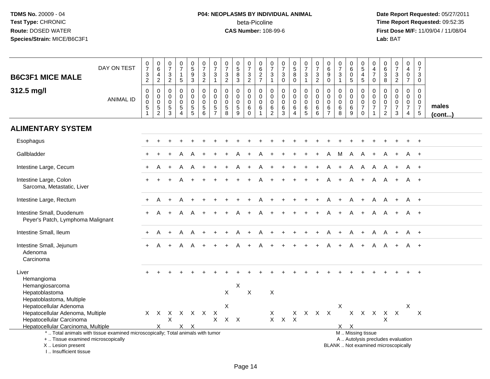# **P04: NEOPLASMS BY INDIVIDUAL ANIMAL**beta-Picoline<br>CAS Number: 108-99-6

| <b>B6C3F1 MICE MALE</b>                                                                            | DAY ON TEST                                                                     | $\frac{0}{7}$<br>$\frac{3}{2}$                                                             | $\begin{array}{c} 0 \\ 6 \end{array}$<br>$\overline{\mathbf{4}}$<br>$\overline{2}$ | 0<br>$\overline{7}$<br>$\frac{3}{2}$     | $\begin{array}{c} 0 \\ 7 \end{array}$<br>$\mathbf{1}$<br>$\overline{5}$             | $\begin{array}{c} 0 \\ 5 \end{array}$<br>$\boldsymbol{9}$<br>3 | $\begin{array}{c} 0 \\ 7 \end{array}$<br>$\sqrt{3}$<br>$\overline{2}$ | $\frac{0}{7}$<br>$\ensuremath{\mathsf{3}}$<br>$\mathbf{1}$                 | $\frac{0}{7}$<br>$\ensuremath{\mathsf{3}}$<br>$\overline{2}$ | $\begin{smallmatrix}0\0\5\end{smallmatrix}$<br>$\overline{8}$<br>3       | $\begin{array}{c} 0 \\ 7 \end{array}$<br>$\frac{3}{2}$     | $\begin{array}{c} 0 \\ 6 \end{array}$<br>$\frac{2}{7}$                       | 0<br>$\overline{7}$<br>$\ensuremath{\mathsf{3}}$<br>$\mathbf{1}$ | $\frac{0}{7}$<br>$\ensuremath{\mathsf{3}}$<br>$\mathbf 0$ | $\begin{array}{c} 0 \\ 5 \\ 8 \end{array}$<br>$\mathsf 0$ | $\begin{array}{c} 0 \\ 7 \end{array}$<br>$\ensuremath{\mathsf{3}}$<br>$\mathbf{1}$ | $\frac{0}{7}$<br>$\frac{3}{2}$                                     | $\begin{array}{c} 0 \\ 6 \end{array}$<br>$\overline{9}$<br>$\mathbf 0$ | $\frac{0}{7}$<br>$\ensuremath{\mathsf{3}}$<br>$\mathbf{1}$ | $\begin{array}{c} 0 \\ 6 \end{array}$<br>$\pmb{0}$<br>$\sqrt{5}$ | $\begin{array}{c} 0 \\ 5 \end{array}$<br>$\begin{array}{c} 4 \\ 5 \end{array}$ | 0<br>$\frac{4}{7}$<br>$\mathbf 0$                                 | 0<br>0<br>0<br>3<br>8                                                               | $\begin{smallmatrix}0\\7\end{smallmatrix}$<br>$\frac{3}{2}$              | $\begin{smallmatrix}0\\4\end{smallmatrix}$<br>$\frac{0}{7}$                 | $\frac{0}{7}$<br>$\sqrt{3}$<br>$\mathbf 0$                                     |                       |
|----------------------------------------------------------------------------------------------------|---------------------------------------------------------------------------------|--------------------------------------------------------------------------------------------|------------------------------------------------------------------------------------|------------------------------------------|-------------------------------------------------------------------------------------|----------------------------------------------------------------|-----------------------------------------------------------------------|----------------------------------------------------------------------------|--------------------------------------------------------------|--------------------------------------------------------------------------|------------------------------------------------------------|------------------------------------------------------------------------------|------------------------------------------------------------------|-----------------------------------------------------------|-----------------------------------------------------------|------------------------------------------------------------------------------------|--------------------------------------------------------------------|------------------------------------------------------------------------|------------------------------------------------------------|------------------------------------------------------------------|--------------------------------------------------------------------------------|-------------------------------------------------------------------|-------------------------------------------------------------------------------------|--------------------------------------------------------------------------|-----------------------------------------------------------------------------|--------------------------------------------------------------------------------|-----------------------|
| 312.5 mg/l                                                                                         | <b>ANIMAL ID</b>                                                                | $\pmb{0}$<br>$\begin{smallmatrix}0\0\0\end{smallmatrix}$<br>$\overline{5}$<br>$\mathbf{1}$ | $\mathsf{O}\xspace$<br>$\mathsf{O}\xspace$<br>$\pmb{0}$<br>$\frac{5}{2}$           | $\mathbf 0$<br>0<br>0<br>$\sqrt{5}$<br>3 | $\mathbf 0$<br>$\mathsf{O}\xspace$<br>$\pmb{0}$<br>$\overline{5}$<br>$\overline{A}$ | 0<br>$\overline{0}$<br>$\mathbf 0$<br>$\sqrt{5}$<br>5          | $\mathbf 0$<br>$\mathbf 0$<br>$\mathbf 0$<br>$\sqrt{5}$<br>6          | $\mathbf 0$<br>$\mathbf 0$<br>$\mathbf 0$<br>$\,$ 5 $\,$<br>$\overline{7}$ | $\mathbf 0$<br>$\mathsf{O}\xspace$<br>0<br>$\sqrt{5}$<br>8   | $\mathbf 0$<br>$\mathsf{O}\xspace$<br>$\mathbf 0$<br>$\overline{5}$<br>9 | $\mathbf 0$<br>$\mathbf 0$<br>$\mathbf 0$<br>6<br>$\Omega$ | $\pmb{0}$<br>$\mathsf{O}\xspace$<br>$\mathbf 0$<br>$\,6\,$<br>$\overline{1}$ | 0<br>$\mathbf 0$<br>$\mathbf 0$<br>$\,6\,$<br>$\overline{2}$     | $\mathbf 0$<br>$\mathbf 0$<br>$\mathbf 0$<br>$\,6$<br>3   | 0<br>$\mathbf 0$<br>0<br>6<br>$\overline{4}$              | $\mathsf 0$<br>$\mathbf 0$<br>0<br>$\,6\,$<br>$5\,$                                | $\pmb{0}$<br>$\pmb{0}$<br>$\mathbf 0$<br>$\,6\,$<br>$6\phantom{1}$ | $\mathbf 0$<br>$\mathbf 0$<br>$\mathbf 0$<br>$\,6\,$<br>$\overline{7}$ | $\mathbf 0$<br>$\mathbf 0$<br>$\mathbf 0$<br>$\,6\,$<br>8  | 0<br>$\mathbf 0$<br>$\mathbf 0$<br>$\,6\,$<br>9                  | 0<br>$\mathbf 0$<br>$\mathbf 0$<br>$\overline{7}$<br>$\mathbf 0$               | 0<br>$\mathsf 0$<br>$\mathbf 0$<br>$\overline{7}$<br>$\mathbf{1}$ | $\mathsf{O}\xspace$<br>$\mathbf 0$<br>$\pmb{0}$<br>$\overline{7}$<br>$\overline{2}$ | $\mathsf{O}\xspace$<br>$\mathbf 0$<br>$\pmb{0}$<br>$\overline{7}$<br>3   | $\mathbf 0$<br>$\mathbf 0$<br>$\pmb{0}$<br>$\overline{7}$<br>$\overline{4}$ | $\mathbf 0$<br>$\mathbf 0$<br>$\mathbf 0$<br>$\overline{7}$<br>$5\phantom{.0}$ | males<br>$($ cont $)$ |
| <b>ALIMENTARY SYSTEM</b>                                                                           |                                                                                 |                                                                                            |                                                                                    |                                          |                                                                                     |                                                                |                                                                       |                                                                            |                                                              |                                                                          |                                                            |                                                                              |                                                                  |                                                           |                                                           |                                                                                    |                                                                    |                                                                        |                                                            |                                                                  |                                                                                |                                                                   |                                                                                     |                                                                          |                                                                             |                                                                                |                       |
| Esophagus                                                                                          |                                                                                 |                                                                                            |                                                                                    |                                          |                                                                                     |                                                                |                                                                       |                                                                            |                                                              |                                                                          |                                                            |                                                                              |                                                                  |                                                           |                                                           |                                                                                    |                                                                    |                                                                        |                                                            |                                                                  |                                                                                |                                                                   |                                                                                     |                                                                          |                                                                             |                                                                                |                       |
| Gallbladder                                                                                        |                                                                                 |                                                                                            |                                                                                    |                                          |                                                                                     |                                                                |                                                                       |                                                                            |                                                              |                                                                          |                                                            |                                                                              |                                                                  |                                                           |                                                           |                                                                                    |                                                                    |                                                                        | M                                                          | A                                                                |                                                                                |                                                                   |                                                                                     |                                                                          | A                                                                           | $+$                                                                            |                       |
| Intestine Large, Cecum                                                                             |                                                                                 |                                                                                            |                                                                                    |                                          |                                                                                     | A                                                              |                                                                       |                                                                            |                                                              |                                                                          |                                                            |                                                                              |                                                                  |                                                           |                                                           |                                                                                    |                                                                    |                                                                        |                                                            | $\overline{A}$                                                   | A                                                                              | A                                                                 | A                                                                                   |                                                                          | A                                                                           | $+$                                                                            |                       |
| Intestine Large, Colon<br>Sarcoma, Metastatic, Liver                                               |                                                                                 |                                                                                            |                                                                                    |                                          |                                                                                     |                                                                |                                                                       |                                                                            |                                                              |                                                                          |                                                            |                                                                              |                                                                  |                                                           |                                                           |                                                                                    |                                                                    |                                                                        |                                                            |                                                                  |                                                                                | A                                                                 | A                                                                                   |                                                                          | A                                                                           | $+$                                                                            |                       |
| Intestine Large, Rectum                                                                            |                                                                                 |                                                                                            | А                                                                                  |                                          |                                                                                     |                                                                |                                                                       |                                                                            |                                                              |                                                                          |                                                            |                                                                              |                                                                  |                                                           |                                                           |                                                                                    |                                                                    |                                                                        |                                                            | A                                                                |                                                                                | A                                                                 | A                                                                                   | $+$                                                                      | A +                                                                         |                                                                                |                       |
| Intestine Small, Duodenum<br>Peyer's Patch, Lymphoma Malignant                                     |                                                                                 |                                                                                            |                                                                                    |                                          |                                                                                     |                                                                |                                                                       |                                                                            |                                                              |                                                                          |                                                            |                                                                              |                                                                  |                                                           |                                                           |                                                                                    |                                                                    |                                                                        |                                                            |                                                                  |                                                                                | A                                                                 | A                                                                                   |                                                                          | A +                                                                         |                                                                                |                       |
| Intestine Small, Ileum                                                                             |                                                                                 |                                                                                            |                                                                                    |                                          | A                                                                                   | A                                                              |                                                                       |                                                                            |                                                              |                                                                          |                                                            |                                                                              |                                                                  |                                                           |                                                           |                                                                                    |                                                                    |                                                                        |                                                            | A                                                                | $+$                                                                            | A                                                                 | A                                                                                   | $+$                                                                      | A +                                                                         |                                                                                |                       |
| Intestine Small, Jejunum<br>Adenoma<br>Carcinoma                                                   |                                                                                 | $+$                                                                                        | A                                                                                  |                                          |                                                                                     | A                                                              |                                                                       |                                                                            |                                                              |                                                                          |                                                            |                                                                              |                                                                  |                                                           |                                                           |                                                                                    |                                                                    |                                                                        |                                                            |                                                                  |                                                                                | A                                                                 | A                                                                                   |                                                                          | A +                                                                         |                                                                                |                       |
| Liver<br>Hemangioma<br>Hemangiosarcoma                                                             |                                                                                 |                                                                                            |                                                                                    |                                          |                                                                                     |                                                                |                                                                       |                                                                            |                                                              | X                                                                        |                                                            |                                                                              |                                                                  |                                                           |                                                           |                                                                                    |                                                                    |                                                                        |                                                            |                                                                  |                                                                                |                                                                   |                                                                                     |                                                                          |                                                                             | $\overline{+}$                                                                 |                       |
| Hepatoblastoma<br>Hepatoblastoma, Multiple<br>Hepatocellular Adenoma                               |                                                                                 |                                                                                            |                                                                                    |                                          |                                                                                     |                                                                |                                                                       |                                                                            | $\mathsf{X}$<br>X                                            |                                                                          | $\sf X$                                                    |                                                                              | $\times$                                                         |                                                           |                                                           |                                                                                    |                                                                    |                                                                        | Χ                                                          |                                                                  |                                                                                |                                                                   |                                                                                     |                                                                          | X                                                                           |                                                                                |                       |
| Hepatocellular Adenoma, Multiple<br>Hepatocellular Carcinoma<br>Hepatocellular Carcinoma, Multiple |                                                                                 |                                                                                            | X                                                                                  | X                                        |                                                                                     | X X                                                            | X X X X X X                                                           | $\mathsf{X}$<br>X                                                          | $X$ $X$                                                      |                                                                          |                                                            |                                                                              | X                                                                | $X$ $X$                                                   | $\boldsymbol{\mathsf{X}}$                                 |                                                                                    | $X$ $X$ $X$ $X$                                                    |                                                                        |                                                            | $X \times$                                                       |                                                                                | x x x x x                                                         | X                                                                                   |                                                                          |                                                                             | $\times$                                                                       |                       |
| +  Tissue examined microscopically<br>X  Lesion present<br>I Insufficient tissue                   | *  Total animals with tissue examined microscopically; Total animals with tumor |                                                                                            |                                                                                    |                                          |                                                                                     |                                                                |                                                                       |                                                                            |                                                              |                                                                          |                                                            |                                                                              |                                                                  |                                                           |                                                           |                                                                                    |                                                                    |                                                                        |                                                            |                                                                  | M  Missing tissue                                                              |                                                                   |                                                                                     | A  Autolysis precludes evaluation<br>BLANK  Not examined microscopically |                                                                             |                                                                                |                       |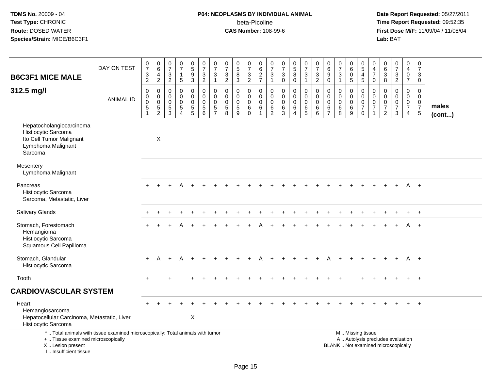## **P04: NEOPLASMS BY INDIVIDUAL ANIMAL**beta-Picoline<br>CAS Number: 108-99-6

| <b>B6C3F1 MICE MALE</b>                                                                                                                                               | DAY ON TEST      | $\frac{0}{7}$<br>$\ensuremath{\mathsf{3}}$<br>$\overline{2}$ | $_{6}^{\rm 0}$<br>4<br>$\overline{2}$                            | $\frac{0}{7}$<br>$\mathbf{3}$<br>$\overline{2}$  | $\begin{smallmatrix} 0\\7 \end{smallmatrix}$<br>$\mathbf{1}$<br>$\sqrt{5}$ | $\pmb{0}$<br>$\overline{5}$<br>$9\,$<br>$\mathsf 3$                      | $\frac{0}{7}$<br>$\sqrt{3}$<br>$\overline{2}$                                   | $\frac{0}{7}$<br>$\mathbf{3}$<br>$\mathbf{1}$ | $\begin{array}{c} 0 \\ 7 \\ 3 \end{array}$<br>$\overline{2}$                   | $\begin{array}{c} 0 \\ 5 \\ 8 \end{array}$<br>$\sqrt{3}$      | $\begin{array}{c} 0 \\ 7 \end{array}$<br>$\sqrt{3}$<br>$\overline{2}$ | 0627                                                                           | $\pmb{0}$<br>$\overline{7}$<br>3<br>$\mathbf{1}$           | $\frac{0}{7}$<br>$\sqrt{3}$<br>$\pmb{0}$                        | $\begin{array}{c} 0 \\ 5 \\ 8 \end{array}$<br>$\mathsf 0$      | $\begin{smallmatrix}0\\7\end{smallmatrix}$<br>$\sqrt{3}$<br>$\mathbf{1}$ | $\frac{0}{7}$<br>$\mathbf{3}$<br>$\overline{2}$                                | 0<br>$\,6\,$<br>9<br>$\mathsf{O}\xspace$                      | $\begin{array}{c} 0 \\ 7 \end{array}$<br>$\sqrt{3}$<br>$\mathbf{1}$  | 0<br>$6\overline{6}$<br>0<br>$\sqrt{5}$                       | $\begin{array}{c} 0 \\ 5 \end{array}$<br>$\overline{4}$<br>$\overline{5}$  | 0<br>4<br>$\overline{7}$<br>$\pmb{0}$                            | $\begin{matrix} 0 \\ 6 \\ 3 \end{matrix}$<br>$\overline{8}$         | $\frac{0}{7}$<br>$\frac{3}{2}$                                           | $\begin{smallmatrix}0\\4\end{smallmatrix}$<br>$\mathbf 0$<br>$\overline{7}$ | $\begin{array}{c} 0 \\ 7 \end{array}$<br>$\mathbf{3}$<br>$\mathbf 0$      |                       |
|-----------------------------------------------------------------------------------------------------------------------------------------------------------------------|------------------|--------------------------------------------------------------|------------------------------------------------------------------|--------------------------------------------------|----------------------------------------------------------------------------|--------------------------------------------------------------------------|---------------------------------------------------------------------------------|-----------------------------------------------|--------------------------------------------------------------------------------|---------------------------------------------------------------|-----------------------------------------------------------------------|--------------------------------------------------------------------------------|------------------------------------------------------------|-----------------------------------------------------------------|----------------------------------------------------------------|--------------------------------------------------------------------------|--------------------------------------------------------------------------------|---------------------------------------------------------------|----------------------------------------------------------------------|---------------------------------------------------------------|----------------------------------------------------------------------------|------------------------------------------------------------------|---------------------------------------------------------------------|--------------------------------------------------------------------------|-----------------------------------------------------------------------------|---------------------------------------------------------------------------|-----------------------|
| 312.5 mg/l                                                                                                                                                            | <b>ANIMAL ID</b> | $\pmb{0}$<br>0<br>$\mathbf 0$<br>5<br>$\overline{1}$         | $\pmb{0}$<br>$\mathbf 0$<br>$\mathsf{O}\xspace$<br>$\frac{5}{2}$ | $\mathbf 0$<br>0<br>$\mathbf 0$<br>$\frac{5}{3}$ | $\mathbf 0$<br>$\mathbf 0$<br>$\mathbf 0$<br>$\sqrt{5}$<br>$\overline{4}$  | 0<br>$\mathbf 0$<br>$\mathbf 0$<br>$\begin{array}{c} 5 \\ 5 \end{array}$ | $\Omega$<br>$\mathbf 0$<br>$\mathbf 0$<br>$\begin{array}{c} 5 \\ 6 \end{array}$ | 0<br>0<br>$\mathbf 0$<br>5<br>$\overline{7}$  | $\Omega$<br>$\mathbf 0$<br>$\mathsf{O}\xspace$<br>$\sqrt{5}$<br>$\overline{8}$ | 0<br>$\mathbf 0$<br>$\pmb{0}$<br>$\sqrt{5}$<br>$\overline{9}$ | $\Omega$<br>$\mathbf 0$<br>$\mathbf 0$<br>6<br>$\overline{0}$         | $\mathbf 0$<br>$\mathbf 0$<br>$\mathbf 0$<br>$6\phantom{1}6$<br>$\overline{1}$ | 0<br>$\mathbf 0$<br>$\mathbf 0$<br>$\,6$<br>$\overline{2}$ | $\mathbf 0$<br>$\Omega$<br>$\pmb{0}$<br>$\,6$<br>$\overline{3}$ | 0<br>$\mathbf 0$<br>$\mathsf{O}\xspace$<br>6<br>$\overline{4}$ | 0<br>$\mathbf 0$<br>$\mathbf 0$<br>$6\over 5$                            | $\pmb{0}$<br>$\mathsf{O}\xspace$<br>$\mathsf{O}\xspace$<br>6<br>$\overline{6}$ | $\Omega$<br>$\mathbf 0$<br>$\mathbf 0$<br>6<br>$\overline{7}$ | $\mathbf 0$<br>$\mathbf 0$<br>$\pmb{0}$<br>$\,6\,$<br>$\overline{8}$ | $\Omega$<br>$\mathbf 0$<br>$\mathbf 0$<br>6<br>$\overline{9}$ | $\mathbf 0$<br>$\mathbf 0$<br>$\mathbf 0$<br>$\overline{7}$<br>$\mathbf 0$ | 0<br>$\mathbf 0$<br>$\mathsf 0$<br>$\overline{7}$<br>$\mathbf 1$ | 0<br>$\mathbf 0$<br>$\pmb{0}$<br>$\boldsymbol{7}$<br>$\overline{2}$ | $\mathsf{O}$<br>$\mathsf{O}$<br>$\pmb{0}$<br>$\overline{7}$<br>3         | 0<br>$\mathbf 0$<br>$\mathbf 0$<br>$\overline{7}$<br>4                      | $\mathbf 0$<br>$\mathbf 0$<br>$\mathbf 0$<br>$\overline{7}$<br>$\sqrt{5}$ | males<br>$($ cont $)$ |
| Hepatocholangiocarcinoma<br>Histiocytic Sarcoma<br>Ito Cell Tumor Malignant<br>Lymphoma Malignant<br>Sarcoma                                                          |                  |                                                              | X                                                                |                                                  |                                                                            |                                                                          |                                                                                 |                                               |                                                                                |                                                               |                                                                       |                                                                                |                                                            |                                                                 |                                                                |                                                                          |                                                                                |                                                               |                                                                      |                                                               |                                                                            |                                                                  |                                                                     |                                                                          |                                                                             |                                                                           |                       |
| Mesentery<br>Lymphoma Malignant                                                                                                                                       |                  |                                                              |                                                                  |                                                  |                                                                            |                                                                          |                                                                                 |                                               |                                                                                |                                                               |                                                                       |                                                                                |                                                            |                                                                 |                                                                |                                                                          |                                                                                |                                                               |                                                                      |                                                               |                                                                            |                                                                  |                                                                     |                                                                          |                                                                             |                                                                           |                       |
| Pancreas<br>Histiocytic Sarcoma<br>Sarcoma, Metastatic, Liver                                                                                                         |                  |                                                              |                                                                  |                                                  |                                                                            |                                                                          |                                                                                 |                                               |                                                                                |                                                               |                                                                       |                                                                                |                                                            |                                                                 |                                                                |                                                                          |                                                                                |                                                               |                                                                      |                                                               |                                                                            |                                                                  |                                                                     |                                                                          | A                                                                           | $+$                                                                       |                       |
| <b>Salivary Glands</b>                                                                                                                                                |                  |                                                              |                                                                  |                                                  |                                                                            |                                                                          |                                                                                 |                                               |                                                                                |                                                               |                                                                       |                                                                                |                                                            |                                                                 |                                                                |                                                                          |                                                                                |                                                               |                                                                      |                                                               |                                                                            |                                                                  |                                                                     |                                                                          |                                                                             |                                                                           |                       |
| Stomach, Forestomach<br>Hemangioma<br>Histiocytic Sarcoma<br>Squamous Cell Papilloma                                                                                  |                  |                                                              |                                                                  |                                                  |                                                                            |                                                                          |                                                                                 |                                               |                                                                                |                                                               |                                                                       |                                                                                |                                                            |                                                                 |                                                                |                                                                          |                                                                                |                                                               |                                                                      |                                                               |                                                                            |                                                                  |                                                                     |                                                                          |                                                                             | $+$                                                                       |                       |
| Stomach, Glandular<br>Histiocytic Sarcoma                                                                                                                             |                  | $+$                                                          | A                                                                | $+$                                              | A                                                                          |                                                                          |                                                                                 |                                               |                                                                                |                                                               |                                                                       |                                                                                |                                                            |                                                                 |                                                                |                                                                          |                                                                                |                                                               |                                                                      |                                                               |                                                                            |                                                                  |                                                                     |                                                                          | A                                                                           | $+$                                                                       |                       |
| Tooth                                                                                                                                                                 |                  | $+$                                                          |                                                                  | $\ddot{}$                                        |                                                                            | $\ddot{}$                                                                |                                                                                 |                                               |                                                                                |                                                               |                                                                       |                                                                                |                                                            |                                                                 |                                                                |                                                                          |                                                                                |                                                               |                                                                      |                                                               |                                                                            |                                                                  |                                                                     | $\ddot{}$                                                                | $+$                                                                         | $+$                                                                       |                       |
| <b>CARDIOVASCULAR SYSTEM</b>                                                                                                                                          |                  |                                                              |                                                                  |                                                  |                                                                            |                                                                          |                                                                                 |                                               |                                                                                |                                                               |                                                                       |                                                                                |                                                            |                                                                 |                                                                |                                                                          |                                                                                |                                                               |                                                                      |                                                               |                                                                            |                                                                  |                                                                     |                                                                          |                                                                             |                                                                           |                       |
| Heart<br>Hemangiosarcoma<br>Hepatocellular Carcinoma, Metastatic, Liver<br>Histiocytic Sarcoma                                                                        |                  |                                                              |                                                                  |                                                  |                                                                            | X                                                                        |                                                                                 |                                               |                                                                                |                                                               |                                                                       |                                                                                |                                                            |                                                                 |                                                                |                                                                          |                                                                                |                                                               |                                                                      |                                                               |                                                                            |                                                                  |                                                                     |                                                                          |                                                                             |                                                                           |                       |
| *  Total animals with tissue examined microscopically; Total animals with tumor<br>+  Tissue examined microscopically<br>X  Lesion present<br>I., Insufficient tissue |                  |                                                              |                                                                  |                                                  |                                                                            |                                                                          |                                                                                 |                                               |                                                                                |                                                               |                                                                       |                                                                                |                                                            |                                                                 |                                                                |                                                                          |                                                                                |                                                               |                                                                      |                                                               | M  Missing tissue                                                          |                                                                  |                                                                     | A  Autolysis precludes evaluation<br>BLANK  Not examined microscopically |                                                                             |                                                                           |                       |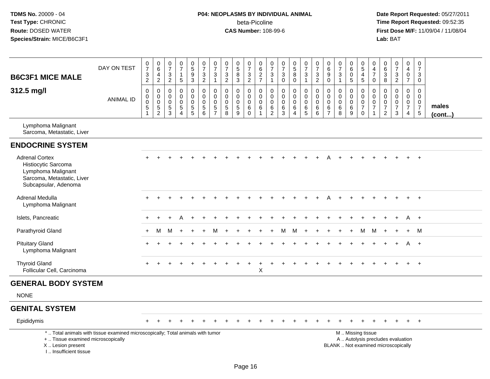# **P04: NEOPLASMS BY INDIVIDUAL ANIMAL**beta-Picoline<br>CAS Number: 108-99-6

| <b>B6C3F1 MICE MALE</b>                                                                                                  | DAY ON TEST                                                                     | $\frac{0}{7}$<br>$\frac{3}{2}$                                    | $_{6}^{\rm 0}$<br>$\overline{4}$<br>$\overline{2}$               | $\begin{array}{c} 0 \\ 7 \end{array}$<br>$\frac{3}{2}$ | $\begin{array}{c} 0 \\ 7 \end{array}$<br>$\mathbf{1}$<br>$\sqrt{5}$ | $\begin{array}{c} 0 \\ 5 \end{array}$<br>$\boldsymbol{9}$<br>$\overline{3}$ | $\begin{smallmatrix}0\\7\end{smallmatrix}$<br>$\frac{3}{2}$              | $\frac{0}{7}$<br>$\mathbf{3}$<br>$\overline{1}$          | $\frac{0}{7}$<br>3<br>$\overline{2}$                          | $\begin{array}{c} 0 \\ 5 \\ 8 \end{array}$<br>$\overline{3}$ | $\begin{array}{c} 0 \\ 7 \end{array}$<br>$\frac{3}{2}$           | $\begin{array}{c} 0 \\ 6 \end{array}$<br>$\frac{2}{7}$ | $\frac{0}{7}$<br>$\frac{3}{1}$                             | 0<br>$\overline{7}$<br>3<br>$\mathbf 0$                          | $\begin{array}{c} 0 \\ 5 \end{array}$<br>8<br>$\mathbf 0$         | $\frac{0}{7}$<br>$\mathbf{3}$<br>$\mathbf{1}$ | $\begin{smallmatrix}0\\7\end{smallmatrix}$<br>$\frac{3}{2}$          | $\begin{array}{c} 0 \\ 6 \end{array}$<br>$\boldsymbol{9}$<br>$\pmb{0}$ | $\begin{smallmatrix}0\\7\end{smallmatrix}$<br>$\mathbf{3}$<br>$\mathbf{1}$ | $\boldsymbol{0}$<br>$6\phantom{a}$<br>$\mathbf 0$<br>5 | 0<br>$\overline{5}$<br>$\overline{4}$<br>$\overline{5}$          | $\pmb{0}$<br>$\overline{4}$<br>$\overline{7}$<br>$\mathbf 0$                    | 0<br>6<br>$\mathbf{3}$<br>8                            | $\frac{0}{7}$<br>$\frac{3}{2}$                                   | $_4^{\rm 0}$<br>$\pmb{0}$<br>$\overline{7}$                                 | $\frac{0}{7}$<br>3<br>$\overline{0}$                   |                 |
|--------------------------------------------------------------------------------------------------------------------------|---------------------------------------------------------------------------------|-------------------------------------------------------------------|------------------------------------------------------------------|--------------------------------------------------------|---------------------------------------------------------------------|-----------------------------------------------------------------------------|--------------------------------------------------------------------------|----------------------------------------------------------|---------------------------------------------------------------|--------------------------------------------------------------|------------------------------------------------------------------|--------------------------------------------------------|------------------------------------------------------------|------------------------------------------------------------------|-------------------------------------------------------------------|-----------------------------------------------|----------------------------------------------------------------------|------------------------------------------------------------------------|----------------------------------------------------------------------------|--------------------------------------------------------|------------------------------------------------------------------|---------------------------------------------------------------------------------|--------------------------------------------------------|------------------------------------------------------------------|-----------------------------------------------------------------------------|--------------------------------------------------------|-----------------|
| 312.5 mg/l                                                                                                               | <b>ANIMAL ID</b>                                                                | $\overline{0}$<br>0<br>$\mathsf{O}\xspace$<br>5<br>$\overline{1}$ | $\mathsf{O}\xspace$<br>$\mathbf 0$<br>$\pmb{0}$<br>$\frac{5}{2}$ | $\mathsf 0$<br>0<br>$\mathsf 0$<br>$\frac{5}{3}$       | $\mathbf 0$<br>$\mathbf 0$<br>$\mathbf 0$<br>$\frac{5}{4}$          | $\pmb{0}$<br>$\Omega$<br>$\mathbf 0$<br>$\frac{5}{5}$                       | 0<br>$\mathbf 0$<br>$\mathbf 0$<br>$\begin{array}{c} 5 \\ 6 \end{array}$ | $\pmb{0}$<br>$\mathbf 0$<br>$\mathbf 0$<br>$\frac{5}{7}$ | $\mathbf 0$<br>$\Omega$<br>$\mathbf 0$<br>5<br>$\overline{8}$ | $\pmb{0}$<br>$\mathbf 0$<br>$\mathbf 0$<br>$\frac{5}{9}$     | $\mathbf 0$<br>$\mathbf 0$<br>$\mathsf 0$<br>$\,6\,$<br>$\Omega$ | 0<br>$\mathbf 0$<br>$\mathbf 0$<br>6<br>$\overline{1}$ | $\mathbf 0$<br>$\mathbf 0$<br>$\mathbf 0$<br>$\frac{6}{2}$ | $\mathbf 0$<br>$\mathbf 0$<br>$\mathbf 0$<br>6<br>$\overline{3}$ | $\mathbf 0$<br>$\Omega$<br>$\mathbf 0$<br>$\,6$<br>$\overline{4}$ | 0<br>$\mathbf 0$<br>0<br>$^6_5$               | $\mathsf 0$<br>$\overline{0}$<br>$\mathbf 0$<br>$\,6$<br>$6^{\circ}$ | $\pmb{0}$<br>$\pmb{0}$<br>$\mathbf 0$<br>$\frac{6}{7}$                 | $\mathbf 0$<br>$\mathbf 0$<br>$\mathbf 0$<br>6<br>8                        | $\mathbf 0$<br>$\Omega$<br>$\mathbf 0$<br>6<br>9       | 0<br>$\mathbf 0$<br>$\mathbf 0$<br>$\overline{7}$<br>$\mathbf 0$ | $\mathbf 0$<br>$\mathbf 0$<br>$\mathbf 0$<br>$\boldsymbol{7}$<br>$\overline{1}$ | $\mathbf 0$<br>0<br>$\mathbf 0$<br>7<br>$\overline{2}$ | 0<br>$\Omega$<br>$\mathbf 0$<br>$\boldsymbol{7}$<br>$\mathbf{3}$ | $\mathsf 0$<br>$\mathbf 0$<br>$\pmb{0}$<br>$\overline{7}$<br>$\overline{4}$ | $\mathbf 0$<br>$\mathbf 0$<br>0<br>$\overline{7}$<br>5 | males<br>(cont) |
| Lymphoma Malignant<br>Sarcoma, Metastatic, Liver                                                                         |                                                                                 |                                                                   |                                                                  |                                                        |                                                                     |                                                                             |                                                                          |                                                          |                                                               |                                                              |                                                                  |                                                        |                                                            |                                                                  |                                                                   |                                               |                                                                      |                                                                        |                                                                            |                                                        |                                                                  |                                                                                 |                                                        |                                                                  |                                                                             |                                                        |                 |
| <b>ENDOCRINE SYSTEM</b>                                                                                                  |                                                                                 |                                                                   |                                                                  |                                                        |                                                                     |                                                                             |                                                                          |                                                          |                                                               |                                                              |                                                                  |                                                        |                                                            |                                                                  |                                                                   |                                               |                                                                      |                                                                        |                                                                            |                                                        |                                                                  |                                                                                 |                                                        |                                                                  |                                                                             |                                                        |                 |
| <b>Adrenal Cortex</b><br>Histiocytic Sarcoma<br>Lymphoma Malignant<br>Sarcoma, Metastatic, Liver<br>Subcapsular, Adenoma |                                                                                 |                                                                   |                                                                  |                                                        |                                                                     |                                                                             |                                                                          |                                                          |                                                               |                                                              |                                                                  |                                                        |                                                            |                                                                  |                                                                   |                                               |                                                                      |                                                                        |                                                                            |                                                        |                                                                  |                                                                                 |                                                        |                                                                  |                                                                             |                                                        |                 |
| Adrenal Medulla<br>Lymphoma Malignant                                                                                    |                                                                                 | ÷                                                                 |                                                                  |                                                        |                                                                     |                                                                             |                                                                          |                                                          |                                                               |                                                              |                                                                  |                                                        |                                                            |                                                                  |                                                                   |                                               |                                                                      |                                                                        |                                                                            |                                                        |                                                                  |                                                                                 |                                                        |                                                                  | $+$                                                                         | $+$                                                    |                 |
| Islets, Pancreatic                                                                                                       |                                                                                 | $\ddot{}$                                                         | $\ddot{}$                                                        |                                                        |                                                                     |                                                                             |                                                                          |                                                          |                                                               |                                                              |                                                                  |                                                        |                                                            |                                                                  |                                                                   |                                               |                                                                      |                                                                        |                                                                            |                                                        |                                                                  |                                                                                 |                                                        |                                                                  | A                                                                           | $+$                                                    |                 |
| Parathyroid Gland                                                                                                        |                                                                                 | $+$                                                               | M                                                                | м                                                      |                                                                     |                                                                             | $\ddot{}$                                                                | M                                                        |                                                               |                                                              |                                                                  |                                                        |                                                            | м                                                                | M                                                                 | $\ddot{}$                                     |                                                                      |                                                                        |                                                                            |                                                        | M                                                                | М                                                                               |                                                        |                                                                  | $\ddot{}$                                                                   | M                                                      |                 |
| <b>Pituitary Gland</b><br>Lymphoma Malignant                                                                             |                                                                                 |                                                                   |                                                                  |                                                        |                                                                     |                                                                             |                                                                          |                                                          |                                                               |                                                              |                                                                  |                                                        |                                                            |                                                                  |                                                                   |                                               |                                                                      |                                                                        |                                                                            |                                                        |                                                                  |                                                                                 |                                                        |                                                                  | A                                                                           | $+$                                                    |                 |
| <b>Thyroid Gland</b><br>Follicular Cell, Carcinoma                                                                       |                                                                                 |                                                                   |                                                                  |                                                        |                                                                     |                                                                             |                                                                          |                                                          |                                                               |                                                              |                                                                  | X                                                      |                                                            |                                                                  |                                                                   |                                               |                                                                      |                                                                        |                                                                            |                                                        |                                                                  |                                                                                 |                                                        |                                                                  |                                                                             | $\ddot{}$                                              |                 |
| <b>GENERAL BODY SYSTEM</b>                                                                                               |                                                                                 |                                                                   |                                                                  |                                                        |                                                                     |                                                                             |                                                                          |                                                          |                                                               |                                                              |                                                                  |                                                        |                                                            |                                                                  |                                                                   |                                               |                                                                      |                                                                        |                                                                            |                                                        |                                                                  |                                                                                 |                                                        |                                                                  |                                                                             |                                                        |                 |
| <b>NONE</b>                                                                                                              |                                                                                 |                                                                   |                                                                  |                                                        |                                                                     |                                                                             |                                                                          |                                                          |                                                               |                                                              |                                                                  |                                                        |                                                            |                                                                  |                                                                   |                                               |                                                                      |                                                                        |                                                                            |                                                        |                                                                  |                                                                                 |                                                        |                                                                  |                                                                             |                                                        |                 |
| <b>GENITAL SYSTEM</b>                                                                                                    |                                                                                 |                                                                   |                                                                  |                                                        |                                                                     |                                                                             |                                                                          |                                                          |                                                               |                                                              |                                                                  |                                                        |                                                            |                                                                  |                                                                   |                                               |                                                                      |                                                                        |                                                                            |                                                        |                                                                  |                                                                                 |                                                        |                                                                  |                                                                             |                                                        |                 |
| Epididymis                                                                                                               |                                                                                 | $\div$                                                            |                                                                  |                                                        |                                                                     |                                                                             |                                                                          |                                                          |                                                               |                                                              |                                                                  |                                                        |                                                            |                                                                  |                                                                   |                                               |                                                                      |                                                                        |                                                                            |                                                        |                                                                  |                                                                                 |                                                        |                                                                  | $+$                                                                         | $+$                                                    |                 |
| +  Tissue examined microscopically<br>X  Lesion present<br>L., Insufficient tissue                                       | *  Total animals with tissue examined microscopically; Total animals with tumor |                                                                   |                                                                  |                                                        |                                                                     |                                                                             |                                                                          |                                                          |                                                               |                                                              |                                                                  |                                                        |                                                            |                                                                  |                                                                   |                                               |                                                                      |                                                                        | BLANK  Not examined microscopically                                        |                                                        | M  Missing tissue                                                |                                                                                 |                                                        | A  Autolysis precludes evaluation                                |                                                                             |                                                        |                 |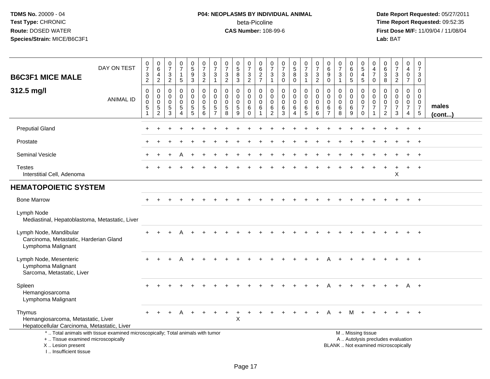# **P04: NEOPLASMS BY INDIVIDUAL ANIMAL**beta-Picoline<br>CAS Number: 108-99-6

| <b>B6C3F1 MICE MALE</b>                                                                     | DAY ON TEST                                                                     | $\begin{smallmatrix}0\\7\end{smallmatrix}$<br>$\sqrt{3}$<br>$\overline{2}$ | $\begin{array}{c} 0 \\ 6 \end{array}$<br>$\overline{4}$<br>$\overline{2}$  | $\frac{0}{7}$<br>$\frac{3}{2}$                          | $\frac{0}{7}$<br>5                                                        | $\begin{array}{c} 0 \\ 5 \end{array}$<br>$\boldsymbol{9}$<br>$\overline{3}$ | $\frac{0}{7}$<br>$\mathbf{3}$<br>$\overline{2}$                         | $\frac{0}{7}$<br>$\mathbf{3}$<br>$\overline{1}$                           | $\begin{array}{c} 0 \\ 7 \end{array}$<br>$\sqrt{3}$<br>$\overline{2}$ | 0<br>$\overline{5}$<br>8<br>$\overline{3}$                      | $\frac{0}{7}$<br>$\sqrt{3}$<br>$\overline{2}$           | 0<br>$6\phantom{a}$<br>$\frac{2}{7}$                        | $\frac{0}{7}$<br>$\sqrt{3}$<br>$\mathbf{1}$                              | $\frac{0}{7}$<br>$\mathbf{3}$<br>$\mathbf 0$                       | $\begin{array}{c} 0 \\ 5 \\ 8 \end{array}$<br>$\overline{0}$         | $\begin{array}{c} 0 \\ 7 \end{array}$<br>$\frac{3}{1}$                 | $\begin{smallmatrix}0\\7\end{smallmatrix}$<br>3<br>$\overline{c}$ | $\begin{array}{c} 0 \\ 6 \end{array}$<br>$\boldsymbol{9}$<br>$\mathbf 0$ | $\frac{0}{7}$<br>3<br>$\mathbf{1}$                     | $\mathbf 0$<br>$\overline{6}$<br>$\mathbf 0$<br>$\overline{5}$ | $\begin{array}{c} 0 \\ 5 \\ 4 \end{array}$<br>$\overline{5}$                                  | 0<br>$\overline{4}$<br>$\overline{7}$<br>0                        | 0<br>6<br>$\mathbf{3}$<br>8                                      | $\frac{0}{7}$<br>$\frac{3}{2}$               | $\pmb{0}$<br>$\overline{4}$<br>$\mathbf 0$<br>$\overline{7}$ | $\pmb{0}$<br>$\overline{7}$<br>$\mathbf{3}$<br>$\mathbf 0$                |                 |
|---------------------------------------------------------------------------------------------|---------------------------------------------------------------------------------|----------------------------------------------------------------------------|----------------------------------------------------------------------------|---------------------------------------------------------|---------------------------------------------------------------------------|-----------------------------------------------------------------------------|-------------------------------------------------------------------------|---------------------------------------------------------------------------|-----------------------------------------------------------------------|-----------------------------------------------------------------|---------------------------------------------------------|-------------------------------------------------------------|--------------------------------------------------------------------------|--------------------------------------------------------------------|----------------------------------------------------------------------|------------------------------------------------------------------------|-------------------------------------------------------------------|--------------------------------------------------------------------------|--------------------------------------------------------|----------------------------------------------------------------|-----------------------------------------------------------------------------------------------|-------------------------------------------------------------------|------------------------------------------------------------------|----------------------------------------------|--------------------------------------------------------------|---------------------------------------------------------------------------|-----------------|
| 312.5 mg/l                                                                                  | <b>ANIMAL ID</b>                                                                | $\mathsf 0$<br>0<br>$\mathbf 0$<br>$\sqrt{5}$<br>$\mathbf{1}$              | $\mathsf{O}\xspace$<br>$\mathbf 0$<br>$\mathsf{O}\xspace$<br>$\frac{5}{2}$ | $\mathbf 0$<br>$\Omega$<br>$\mathbf 0$<br>$\frac{5}{3}$ | 0<br>$\Omega$<br>$\mathbf 0$<br>$5\phantom{.0}$<br>$\boldsymbol{\Lambda}$ | $\mathbf 0$<br>$\mathbf 0$<br>$\mathbf 0$<br>$\frac{5}{5}$                  | $\pmb{0}$<br>$\mathbf 0$<br>$\mathbf 0$<br>$\sqrt{5}$<br>$6\phantom{a}$ | $\mathbf 0$<br>$\mathbf 0$<br>$\mathbf 0$<br>$\sqrt{5}$<br>$\overline{7}$ | $\mathbf 0$<br>$\Omega$<br>$\mathbf 0$<br>$\overline{5}$<br>8         | 0<br>$\mathbf 0$<br>$\mathbf 0$<br>$\sqrt{5}$<br>$\overline{9}$ | 0<br>$\mathbf 0$<br>$\mathbf 0$<br>$\,6$<br>$\mathbf 0$ | $\mathsf{O}\xspace$<br>$\mathbf 0$<br>$\mathbf 0$<br>6<br>1 | $\mathsf{O}\xspace$<br>$\mathbf 0$<br>$\mathbf 0$<br>6<br>$\overline{2}$ | $\pmb{0}$<br>$\mathbf 0$<br>$\mathbf 0$<br>$\,6$<br>$\overline{3}$ | $\pmb{0}$<br>$\mathbf 0$<br>$\mathbf 0$<br>$\,6\,$<br>$\overline{4}$ | $\mathbf 0$<br>$\mathbf 0$<br>$\mathbf 0$<br>$\,6\,$<br>$\overline{5}$ | $\mathbf 0$<br>$\mathbf 0$<br>$\mathbf 0$<br>6<br>6               | $\mathbf 0$<br>$\mathbf 0$<br>$\mathbf 0$<br>$\,6$<br>$\overline{7}$     | 0<br>$\mathbf 0$<br>$\mathbf 0$<br>6<br>$\overline{8}$ | 0<br>$\mathbf 0$<br>$\mathbf 0$<br>6<br>9                      | $\boldsymbol{0}$<br>$\mathbf 0$<br>$\mathbf 0$<br>$\boldsymbol{7}$<br>$\mathbf 0$             | 0<br>$\mathbf 0$<br>$\mathbf 0$<br>$\overline{7}$<br>$\mathbf{1}$ | 0<br>$\Omega$<br>$\mathbf 0$<br>$\overline{7}$<br>$\overline{2}$ | 0<br>$\mathbf 0$<br>0<br>$\overline{7}$<br>3 | $\mathbf 0$<br>$\mathbf 0$<br>0<br>$\overline{7}$<br>4       | $\mathbf 0$<br>$\mathbf 0$<br>$\mathbf 0$<br>$\overline{7}$<br>$\sqrt{5}$ | males<br>(cont) |
| <b>Preputial Gland</b>                                                                      |                                                                                 |                                                                            |                                                                            |                                                         |                                                                           |                                                                             |                                                                         |                                                                           |                                                                       |                                                                 |                                                         |                                                             |                                                                          |                                                                    |                                                                      |                                                                        |                                                                   |                                                                          |                                                        |                                                                |                                                                                               |                                                                   |                                                                  |                                              |                                                              | $\ddot{}$                                                                 |                 |
| Prostate                                                                                    |                                                                                 |                                                                            |                                                                            |                                                         |                                                                           |                                                                             |                                                                         |                                                                           |                                                                       |                                                                 |                                                         |                                                             |                                                                          |                                                                    |                                                                      |                                                                        |                                                                   |                                                                          |                                                        |                                                                |                                                                                               |                                                                   |                                                                  |                                              |                                                              |                                                                           |                 |
| <b>Seminal Vesicle</b>                                                                      |                                                                                 |                                                                            |                                                                            |                                                         |                                                                           |                                                                             |                                                                         |                                                                           |                                                                       |                                                                 |                                                         |                                                             |                                                                          |                                                                    |                                                                      |                                                                        |                                                                   |                                                                          |                                                        |                                                                |                                                                                               |                                                                   |                                                                  |                                              |                                                              | $+$                                                                       |                 |
| <b>Testes</b><br>Interstitial Cell, Adenoma                                                 |                                                                                 |                                                                            |                                                                            |                                                         |                                                                           |                                                                             |                                                                         |                                                                           |                                                                       |                                                                 |                                                         |                                                             |                                                                          |                                                                    |                                                                      |                                                                        |                                                                   |                                                                          |                                                        |                                                                |                                                                                               |                                                                   |                                                                  | X                                            |                                                              | $+$                                                                       |                 |
| <b>HEMATOPOIETIC SYSTEM</b>                                                                 |                                                                                 |                                                                            |                                                                            |                                                         |                                                                           |                                                                             |                                                                         |                                                                           |                                                                       |                                                                 |                                                         |                                                             |                                                                          |                                                                    |                                                                      |                                                                        |                                                                   |                                                                          |                                                        |                                                                |                                                                                               |                                                                   |                                                                  |                                              |                                                              |                                                                           |                 |
| <b>Bone Marrow</b>                                                                          |                                                                                 |                                                                            |                                                                            |                                                         |                                                                           |                                                                             |                                                                         |                                                                           |                                                                       |                                                                 |                                                         |                                                             |                                                                          |                                                                    |                                                                      |                                                                        |                                                                   |                                                                          |                                                        |                                                                |                                                                                               |                                                                   |                                                                  |                                              | $\pm$                                                        | $+$                                                                       |                 |
| Lymph Node<br>Mediastinal, Hepatoblastoma, Metastatic, Liver                                |                                                                                 |                                                                            |                                                                            |                                                         |                                                                           |                                                                             |                                                                         |                                                                           |                                                                       |                                                                 |                                                         |                                                             |                                                                          |                                                                    |                                                                      |                                                                        |                                                                   |                                                                          |                                                        |                                                                |                                                                                               |                                                                   |                                                                  |                                              |                                                              |                                                                           |                 |
| Lymph Node, Mandibular<br>Carcinoma, Metastatic, Harderian Gland<br>Lymphoma Malignant      |                                                                                 |                                                                            |                                                                            |                                                         |                                                                           |                                                                             |                                                                         |                                                                           |                                                                       |                                                                 |                                                         |                                                             |                                                                          |                                                                    |                                                                      |                                                                        |                                                                   |                                                                          |                                                        |                                                                |                                                                                               |                                                                   |                                                                  |                                              |                                                              |                                                                           |                 |
| Lymph Node, Mesenteric<br>Lymphoma Malignant<br>Sarcoma, Metastatic, Liver                  |                                                                                 |                                                                            |                                                                            |                                                         |                                                                           |                                                                             |                                                                         |                                                                           |                                                                       |                                                                 |                                                         |                                                             |                                                                          |                                                                    |                                                                      |                                                                        |                                                                   |                                                                          |                                                        |                                                                |                                                                                               |                                                                   |                                                                  |                                              |                                                              | $+$                                                                       |                 |
| Spleen<br>Hemangiosarcoma<br>Lymphoma Malignant                                             |                                                                                 |                                                                            |                                                                            |                                                         |                                                                           |                                                                             |                                                                         |                                                                           |                                                                       |                                                                 |                                                         |                                                             |                                                                          |                                                                    |                                                                      |                                                                        |                                                                   |                                                                          |                                                        |                                                                |                                                                                               |                                                                   |                                                                  |                                              | A                                                            | $+$                                                                       |                 |
| Thymus<br>Hemangiosarcoma, Metastatic, Liver<br>Hepatocellular Carcinoma, Metastatic, Liver |                                                                                 |                                                                            |                                                                            |                                                         |                                                                           |                                                                             |                                                                         |                                                                           |                                                                       | $\sf X$                                                         |                                                         |                                                             |                                                                          |                                                                    |                                                                      |                                                                        |                                                                   |                                                                          |                                                        |                                                                |                                                                                               |                                                                   |                                                                  |                                              |                                                              |                                                                           |                 |
| +  Tissue examined microscopically<br>X  Lesion present<br>I., Insufficient tissue          | *  Total animals with tissue examined microscopically; Total animals with tumor |                                                                            |                                                                            |                                                         |                                                                           |                                                                             |                                                                         |                                                                           |                                                                       |                                                                 |                                                         |                                                             |                                                                          |                                                                    |                                                                      |                                                                        |                                                                   |                                                                          |                                                        |                                                                | M  Missing tissue<br>A  Autolysis precludes evaluation<br>BLANK  Not examined microscopically |                                                                   |                                                                  |                                              |                                                              |                                                                           |                 |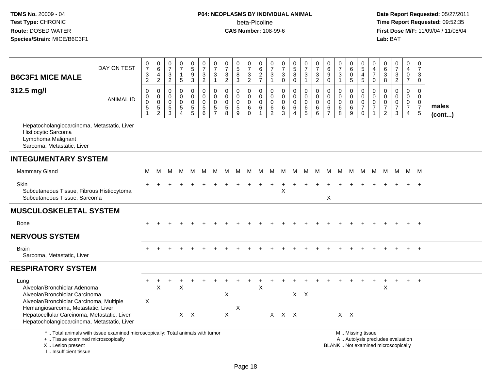## **P04: NEOPLASMS BY INDIVIDUAL ANIMAL**beta-Picoline<br>CAS Number: 108-99-6

| <b>B6C3F1 MICE MALE</b>                                                                                                                                                                                                                                | DAY ON TEST                                                                     | $\frac{0}{7}$<br>$\frac{3}{2}$                                 | $\begin{array}{c} 0 \\ 6 \end{array}$<br>$\overline{4}$<br>$\overline{2}$ | $\frac{0}{7}$<br>$\frac{3}{2}$                                | $\frac{0}{7}$<br>$\mathbf{1}$<br>$\sqrt{5}$                          | $\begin{array}{c} 0 \\ 5 \end{array}$<br>$\boldsymbol{9}$<br>$\overline{3}$    | $\begin{smallmatrix}0\\7\end{smallmatrix}$<br>$\sqrt{3}$<br>$\overline{2}$ | $\frac{0}{7}$<br>3<br>$\mathbf{1}$               | $\frac{0}{7}$<br>$\ensuremath{\mathsf{3}}$<br>$\overline{2}$                       | $\begin{array}{c} 0 \\ 5 \end{array}$<br>$\bf8$<br>$\overline{3}$ | $\begin{array}{c} 0 \\ 7 \end{array}$<br>$\frac{3}{2}$        | 0627                                                                         | 0<br>$\overline{7}$<br>3<br>$\mathbf{1}$                       | $\begin{array}{c} 0 \\ 7 \end{array}$<br>$\mathbf{3}$<br>$\pmb{0}$ | $\begin{array}{c} 0 \\ 5 \end{array}$<br>8<br>$\pmb{0}$    | $\frac{0}{7}$<br>$\mathbf{3}$<br>$\overline{1}$                          | $\begin{array}{c} 0 \\ 7 \end{array}$<br>$\frac{3}{2}$ | 0<br>$6\phantom{a}$<br>$\boldsymbol{9}$<br>$\overline{0}$ | $\frac{0}{7}$<br>$\frac{3}{1}$                  | $\pmb{0}$<br>$6\phantom{a}$<br>$\mathbf 0$<br>$\overline{5}$ | 0<br>$\overline{5}$<br>$\overline{4}$<br>$\overline{5}$                    | 0<br>$\overline{4}$<br>$\overline{7}$<br>$\boldsymbol{0}$                 | $\,0\,$<br>$\overline{6}$<br>3<br>$\bf 8$                                  | $\frac{0}{7}$<br>$\frac{3}{2}$                       | 0<br>$\overline{\mathbf{4}}$<br>$\pmb{0}$<br>$\overline{7}$ | $\pmb{0}$<br>$\overline{7}$<br>3<br>0                            |                       |
|--------------------------------------------------------------------------------------------------------------------------------------------------------------------------------------------------------------------------------------------------------|---------------------------------------------------------------------------------|----------------------------------------------------------------|---------------------------------------------------------------------------|---------------------------------------------------------------|----------------------------------------------------------------------|--------------------------------------------------------------------------------|----------------------------------------------------------------------------|--------------------------------------------------|------------------------------------------------------------------------------------|-------------------------------------------------------------------|---------------------------------------------------------------|------------------------------------------------------------------------------|----------------------------------------------------------------|--------------------------------------------------------------------|------------------------------------------------------------|--------------------------------------------------------------------------|--------------------------------------------------------|-----------------------------------------------------------|-------------------------------------------------|--------------------------------------------------------------|----------------------------------------------------------------------------|---------------------------------------------------------------------------|----------------------------------------------------------------------------|------------------------------------------------------|-------------------------------------------------------------|------------------------------------------------------------------|-----------------------|
| 312.5 mg/l                                                                                                                                                                                                                                             | <b>ANIMAL ID</b>                                                                | $\pmb{0}$<br>$\pmb{0}$<br>$\ddot{\mathbf{0}}$<br>$\frac{5}{1}$ | $\mathsf 0$<br>$\pmb{0}$<br>$\ddot{\mathbf{0}}$<br>$\frac{5}{2}$          | $\boldsymbol{0}$<br>$\mathbf 0$<br>$\pmb{0}$<br>$\frac{5}{3}$ | $\pmb{0}$<br>$\Omega$<br>$\mathbf 0$<br>$\sqrt{5}$<br>$\overline{4}$ | $\pmb{0}$<br>$\mathbf 0$<br>$\pmb{0}$<br>$\begin{array}{c} 5 \\ 5 \end{array}$ | $\mathbf 0$<br>0<br>$\pmb{0}$<br>$\begin{array}{c} 5 \\ 6 \end{array}$     | 0<br>$\mathbf 0$<br>$\mathbf 0$<br>$\frac{5}{7}$ | $\mathbf 0$<br>$\mathbf 0$<br>$\mathbf 0$<br>$\begin{array}{c} 5 \\ 8 \end{array}$ | $\mathsf{O}\xspace$<br>$\mathbf 0$<br>$\pmb{0}$<br>$\frac{5}{9}$  | $\mathbf 0$<br>$\mathbf 0$<br>$\mathbf 0$<br>6<br>$\mathbf 0$ | $\boldsymbol{0}$<br>$\boldsymbol{0}$<br>$\pmb{0}$<br>$\,6\,$<br>$\mathbf{1}$ | $\pmb{0}$<br>$\mathbf 0$<br>$\mathbf 0$<br>6<br>$\overline{2}$ | $\pmb{0}$<br>$\Omega$<br>$\pmb{0}$<br>$^6_3$                       | 0<br>$\mathbf 0$<br>$\mathbf 0$<br>$\,6$<br>$\overline{4}$ | $\pmb{0}$<br>$\ddot{\mathbf{0}}$<br>$\ddot{\mathbf{0}}$<br>$\frac{6}{5}$ | $\mathsf 0$<br>$\mathbf 0$<br>$\mathbf 0$<br>$^6_6$    | $\pmb{0}$<br>0<br>0<br>$\frac{6}{7}$                      | $\pmb{0}$<br>$\mathbf 0$<br>$\pmb{0}$<br>$^6_8$ | $\pmb{0}$<br>$\mathbf 0$<br>$\mathsf 0$<br>$^6_9$            | $\mathbf 0$<br>$\mathbf 0$<br>$\mathbf 0$<br>$\overline{7}$<br>$\mathbf 0$ | $\pmb{0}$<br>$\mathbf 0$<br>$\mathbf 0$<br>$\overline{7}$<br>$\mathbf{1}$ | $\mathbf 0$<br>$\Omega$<br>$\mathbf 0$<br>$\overline{7}$<br>$\overline{2}$ | 0<br>$\mathbf 0$<br>$\pmb{0}$<br>$\overline{7}$<br>3 | $\mathbf 0$<br>$\mathbf 0$<br>0<br>$\overline{7}$<br>4      | $\mathbf 0$<br>$\mathbf 0$<br>$\mathbf 0$<br>$\overline{7}$<br>5 | males<br>$($ cont $)$ |
| Hepatocholangiocarcinoma, Metastatic, Liver<br>Histiocytic Sarcoma<br>Lymphoma Malignant<br>Sarcoma, Metastatic, Liver                                                                                                                                 |                                                                                 |                                                                |                                                                           |                                                               |                                                                      |                                                                                |                                                                            |                                                  |                                                                                    |                                                                   |                                                               |                                                                              |                                                                |                                                                    |                                                            |                                                                          |                                                        |                                                           |                                                 |                                                              |                                                                            |                                                                           |                                                                            |                                                      |                                                             |                                                                  |                       |
| <b>INTEGUMENTARY SYSTEM</b>                                                                                                                                                                                                                            |                                                                                 |                                                                |                                                                           |                                                               |                                                                      |                                                                                |                                                                            |                                                  |                                                                                    |                                                                   |                                                               |                                                                              |                                                                |                                                                    |                                                            |                                                                          |                                                        |                                                           |                                                 |                                                              |                                                                            |                                                                           |                                                                            |                                                      |                                                             |                                                                  |                       |
| <b>Mammary Gland</b>                                                                                                                                                                                                                                   |                                                                                 | м                                                              | М                                                                         | м                                                             | м                                                                    | M                                                                              | M                                                                          | M                                                | M                                                                                  | M                                                                 | M                                                             | M                                                                            | м                                                              | M                                                                  | M                                                          | M                                                                        | M                                                      | M                                                         | м                                               | M                                                            | M                                                                          | M                                                                         |                                                                            | M M                                                  |                                                             | M M                                                              |                       |
| Skin<br>Subcutaneous Tissue, Fibrous Histiocytoma<br>Subcutaneous Tissue, Sarcoma                                                                                                                                                                      |                                                                                 |                                                                |                                                                           |                                                               |                                                                      |                                                                                |                                                                            |                                                  |                                                                                    |                                                                   |                                                               |                                                                              |                                                                | X                                                                  |                                                            |                                                                          |                                                        | X                                                         |                                                 |                                                              |                                                                            |                                                                           |                                                                            |                                                      |                                                             |                                                                  |                       |
| <b>MUSCULOSKELETAL SYSTEM</b>                                                                                                                                                                                                                          |                                                                                 |                                                                |                                                                           |                                                               |                                                                      |                                                                                |                                                                            |                                                  |                                                                                    |                                                                   |                                                               |                                                                              |                                                                |                                                                    |                                                            |                                                                          |                                                        |                                                           |                                                 |                                                              |                                                                            |                                                                           |                                                                            |                                                      |                                                             |                                                                  |                       |
| Bone                                                                                                                                                                                                                                                   |                                                                                 |                                                                |                                                                           |                                                               |                                                                      |                                                                                |                                                                            |                                                  |                                                                                    |                                                                   |                                                               |                                                                              |                                                                |                                                                    |                                                            |                                                                          |                                                        |                                                           |                                                 |                                                              |                                                                            |                                                                           |                                                                            |                                                      |                                                             | $+$                                                              |                       |
| <b>NERVOUS SYSTEM</b>                                                                                                                                                                                                                                  |                                                                                 |                                                                |                                                                           |                                                               |                                                                      |                                                                                |                                                                            |                                                  |                                                                                    |                                                                   |                                                               |                                                                              |                                                                |                                                                    |                                                            |                                                                          |                                                        |                                                           |                                                 |                                                              |                                                                            |                                                                           |                                                                            |                                                      |                                                             |                                                                  |                       |
| <b>Brain</b><br>Sarcoma, Metastatic, Liver                                                                                                                                                                                                             |                                                                                 |                                                                |                                                                           |                                                               |                                                                      |                                                                                |                                                                            |                                                  |                                                                                    |                                                                   |                                                               |                                                                              |                                                                |                                                                    |                                                            |                                                                          |                                                        |                                                           |                                                 |                                                              |                                                                            |                                                                           |                                                                            |                                                      |                                                             |                                                                  |                       |
| <b>RESPIRATORY SYSTEM</b>                                                                                                                                                                                                                              |                                                                                 |                                                                |                                                                           |                                                               |                                                                      |                                                                                |                                                                            |                                                  |                                                                                    |                                                                   |                                                               |                                                                              |                                                                |                                                                    |                                                            |                                                                          |                                                        |                                                           |                                                 |                                                              |                                                                            |                                                                           |                                                                            |                                                      |                                                             |                                                                  |                       |
| Lung<br>Alveolar/Bronchiolar Adenoma<br>Alveolar/Bronchiolar Carcinoma<br>Alveolar/Bronchiolar Carcinoma, Multiple<br>Hemangiosarcoma, Metastatic, Liver<br>Hepatocellular Carcinoma, Metastatic, Liver<br>Hepatocholangiocarcinoma, Metastatic, Liver |                                                                                 | Χ                                                              | X                                                                         |                                                               | X                                                                    | $X$ $X$                                                                        |                                                                            |                                                  | X<br>$\pmb{\times}$                                                                | Χ                                                                 |                                                               | X                                                                            |                                                                | $X$ $X$ $X$                                                        |                                                            | $X$ $X$                                                                  |                                                        |                                                           | $X$ $X$                                         |                                                              |                                                                            |                                                                           | X                                                                          |                                                      |                                                             | $\div$                                                           |                       |
| +  Tissue examined microscopically<br>X  Lesion present<br>I Insufficient tissue                                                                                                                                                                       | *  Total animals with tissue examined microscopically; Total animals with tumor |                                                                |                                                                           |                                                               |                                                                      |                                                                                |                                                                            |                                                  |                                                                                    |                                                                   |                                                               |                                                                              |                                                                |                                                                    |                                                            |                                                                          |                                                        |                                                           | BLANK  Not examined microscopically             |                                                              | M  Missing tissue<br>A  Autolysis precludes evaluation                     |                                                                           |                                                                            |                                                      |                                                             |                                                                  |                       |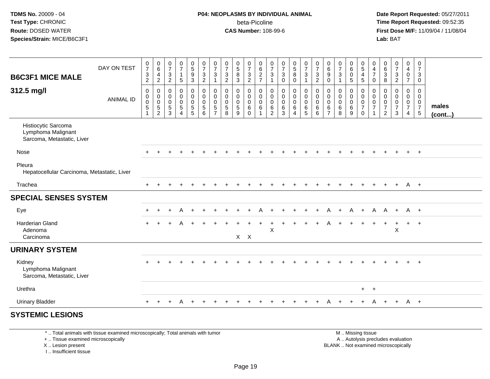## **P04: NEOPLASMS BY INDIVIDUAL ANIMAL**beta-Picoline<br>CAS Number: 108-99-6

 **Date Report Requested:** 05/27/2011 **Time Report Requested:** 09:52:35 **First Dose M/F:** 11/09/04 / 11/08/04<br>Lab: BAT **Lab:** BAT

|                                                                         | DAY ON TEST      | $\begin{array}{c} 0 \\ 7 \\ 3 \end{array}$                                 | $_{6}^{\rm 0}$                                         | $\frac{0}{7}$                                       | $\begin{smallmatrix} 0\\7 \end{smallmatrix}$                              | $\begin{array}{c} 0 \\ 5 \\ 9 \end{array}$             | $\frac{0}{7}$                                              | $\frac{0}{7}$                                | $\frac{0}{7}$                                                 | $\begin{array}{c} 0 \\ 5 \\ 8 \end{array}$ | $\begin{array}{c} 0 \\ 7 \\ 3 \end{array}$                           | 0627                                                   | $\frac{0}{7}$                                                                  | $\frac{0}{7}$                                     | $\begin{array}{c} 0 \\ 5 \\ 8 \end{array}$              | $\begin{array}{c} 0 \\ 7 \\ 3 \end{array}$                              | $\frac{0}{7}$                             | $\begin{array}{c} 0 \\ 6 \end{array}$                            | $\begin{array}{c} 0 \\ 7 \end{array}$                 | 0<br>$\overline{6}$                           | $0$<br>5<br>4<br>5                                              | $\pmb{0}$<br>$\frac{4}{7}$                                                                  | $\begin{matrix} 0 \\ 6 \\ 3 \end{matrix}$    | $\begin{array}{c} 0 \\ 7 \end{array}$                            | $\pmb{0}$<br>$\begin{array}{c} 4 \\ 0 \end{array}$           | $\pmb{0}$<br>$\boldsymbol{7}$                                        |                 |
|-------------------------------------------------------------------------|------------------|----------------------------------------------------------------------------|--------------------------------------------------------|-----------------------------------------------------|---------------------------------------------------------------------------|--------------------------------------------------------|------------------------------------------------------------|----------------------------------------------|---------------------------------------------------------------|--------------------------------------------|----------------------------------------------------------------------|--------------------------------------------------------|--------------------------------------------------------------------------------|---------------------------------------------------|---------------------------------------------------------|-------------------------------------------------------------------------|-------------------------------------------|------------------------------------------------------------------|-------------------------------------------------------|-----------------------------------------------|-----------------------------------------------------------------|---------------------------------------------------------------------------------------------|----------------------------------------------|------------------------------------------------------------------|--------------------------------------------------------------|----------------------------------------------------------------------|-----------------|
| <b>B6C3F1 MICE MALE</b>                                                 |                  | $\overline{c}$                                                             | $\overline{4}$<br>$\overline{c}$                       | 3<br>$\overline{2}$                                 | $\mathbf{1}$<br>$\sqrt{5}$                                                | $\mathbf{3}$                                           | $\overline{3}$<br>$\overline{2}$                           | 3<br>$\mathbf{1}$                            | $\mathfrak{Z}$<br>$\overline{2}$                              | $\mathfrak{Z}$                             | $\overline{2}$                                                       |                                                        | $\sqrt{3}$<br>$\mathbf{1}$                                                     | $\mathbf{3}$<br>$\mathbf 0$                       | $\mathsf{O}$                                            | $\mathbf{1}$                                                            | $\overline{3}$<br>$\overline{2}$          | 9<br>$\mathbf 0$                                                 | $\mathbf{3}$<br>$\overline{1}$                        | $\mathbf 0$<br>5 <sup>5</sup>                 |                                                                 | $\mathbf 0$                                                                                 | $\,8\,$                                      | $\frac{3}{2}$                                                    | $\overline{7}$                                               | $\mathbf{3}$<br>$\mathsf{O}\xspace$                                  |                 |
| 312.5 mg/l                                                              | <b>ANIMAL ID</b> | $\mathsf{O}\xspace$<br>$_{\rm 0}^{\rm 0}$<br>$\mathbf 5$<br>$\overline{ }$ | $\mathbf 0$<br>$\pmb{0}$<br>$\pmb{0}$<br>$\frac{5}{2}$ | $\mathbf 0$<br>0<br>$\mathbf 0$<br>$\,$ 5 $\,$<br>3 | $\pmb{0}$<br>$\overline{0}$<br>$\pmb{0}$<br>$\,$ 5 $\,$<br>$\overline{4}$ | $\pmb{0}$<br>$\pmb{0}$<br>$\mathbf 0$<br>$\frac{5}{5}$ | $\pmb{0}$<br>$\mathbf 0$<br>$\mathbf 0$<br>$\sqrt{5}$<br>6 | 0<br>$\pmb{0}$<br>$\pmb{0}$<br>$\frac{5}{7}$ | $\mathbf 0$<br>$\mathbf 0$<br>$\mathbf 0$<br>$\,$ 5 $\,$<br>8 | 0<br>0<br>$\pmb{0}$<br>5<br>9              | $\mathbf 0$<br>$\mathbf 0$<br>$\mathbf 0$<br>$\,6\,$<br>$\mathbf{0}$ | 0<br>$\mathbf 0$<br>$\mathbf 0$<br>6<br>$\overline{1}$ | $\mathbf 0$<br>$\mathbf 0$<br>$\mathbf 0$<br>$6\phantom{1}6$<br>$\overline{2}$ | $\mathbf 0$<br>$\pmb{0}$<br>$\mathbf 0$<br>6<br>3 | 0<br>$\mathsf{O}$<br>$\mathbf 0$<br>6<br>$\overline{4}$ | $\boldsymbol{0}$<br>$\ddot{\mathbf{0}}$<br>$\mathbf 0$<br>$\frac{6}{5}$ | $_{\rm 0}^{\rm 0}$<br>$\pmb{0}$<br>$^6_6$ | $\mathbf 0$<br>$\mathbf 0$<br>$\mathbf 0$<br>6<br>$\overline{7}$ | $\pmb{0}$<br>$\pmb{0}$<br>$\mathbf 0$<br>$\,6\,$<br>8 | 0<br>0<br>$\mathsf{O}\xspace$<br>$\,6\,$<br>9 | 0<br>$\begin{bmatrix} 0 \\ 0 \\ 7 \end{bmatrix}$<br>$\mathbf 0$ | $\mathbf 0$<br>$\mathbf 0$<br>$\mathsf{O}\xspace$<br>$\overline{7}$<br>$\blacktriangleleft$ | 0<br>0<br>$\mathbf 0$<br>$\overline{7}$<br>2 | $\mathbf 0$<br>$\mathbf 0$<br>$\mathsf 0$<br>$\overline{7}$<br>3 | 0<br>0<br>$\overline{0}$<br>$\overline{7}$<br>$\overline{4}$ | 0<br>$\mathbf 0$<br>$\boldsymbol{0}$<br>$\overline{7}$<br>$\sqrt{5}$ | males<br>(cont) |
| Histiocytic Sarcoma<br>Lymphoma Malignant<br>Sarcoma, Metastatic, Liver |                  |                                                                            |                                                        |                                                     |                                                                           |                                                        |                                                            |                                              |                                                               |                                            |                                                                      |                                                        |                                                                                |                                                   |                                                         |                                                                         |                                           |                                                                  |                                                       |                                               |                                                                 |                                                                                             |                                              |                                                                  |                                                              |                                                                      |                 |
| Nose                                                                    |                  | $\pm$                                                                      |                                                        |                                                     |                                                                           |                                                        |                                                            |                                              |                                                               |                                            |                                                                      |                                                        |                                                                                |                                                   |                                                         |                                                                         |                                           |                                                                  |                                                       |                                               |                                                                 |                                                                                             |                                              |                                                                  | $+$                                                          | $+$                                                                  |                 |
| Pleura<br>Hepatocellular Carcinoma, Metastatic, Liver                   |                  |                                                                            |                                                        |                                                     |                                                                           |                                                        |                                                            |                                              |                                                               |                                            |                                                                      |                                                        |                                                                                |                                                   |                                                         |                                                                         |                                           |                                                                  |                                                       |                                               |                                                                 |                                                                                             |                                              |                                                                  |                                                              |                                                                      |                 |
| Trachea                                                                 |                  |                                                                            |                                                        |                                                     |                                                                           |                                                        |                                                            |                                              |                                                               |                                            |                                                                      |                                                        |                                                                                |                                                   |                                                         |                                                                         |                                           |                                                                  |                                                       |                                               |                                                                 | $\div$                                                                                      | $\pm$                                        | $\pm$                                                            | $A +$                                                        |                                                                      |                 |
| <b>SPECIAL SENSES SYSTEM</b>                                            |                  |                                                                            |                                                        |                                                     |                                                                           |                                                        |                                                            |                                              |                                                               |                                            |                                                                      |                                                        |                                                                                |                                                   |                                                         |                                                                         |                                           |                                                                  |                                                       |                                               |                                                                 |                                                                                             |                                              |                                                                  |                                                              |                                                                      |                 |
| Eye                                                                     |                  |                                                                            | $\div$                                                 | +                                                   | A                                                                         | $\ddot{}$                                              |                                                            |                                              |                                                               |                                            |                                                                      |                                                        |                                                                                |                                                   |                                                         |                                                                         | $\div$                                    | A                                                                | $\ddot{}$                                             | A                                             | $+$                                                             | A                                                                                           | A                                            | $+$                                                              | A +                                                          |                                                                      |                 |
| Harderian Gland<br>Adenoma                                              |                  |                                                                            |                                                        |                                                     |                                                                           |                                                        |                                                            |                                              |                                                               | $X$ $X$                                    |                                                                      |                                                        | $\boldsymbol{\mathsf{X}}$                                                      |                                                   |                                                         |                                                                         |                                           |                                                                  |                                                       |                                               |                                                                 |                                                                                             | $\pm$                                        | $\div$<br>$\mathsf X$                                            | $+$                                                          | $+$                                                                  |                 |
| Carcinoma                                                               |                  |                                                                            |                                                        |                                                     |                                                                           |                                                        |                                                            |                                              |                                                               |                                            |                                                                      |                                                        |                                                                                |                                                   |                                                         |                                                                         |                                           |                                                                  |                                                       |                                               |                                                                 |                                                                                             |                                              |                                                                  |                                                              |                                                                      |                 |
| <b>URINARY SYSTEM</b>                                                   |                  |                                                                            |                                                        |                                                     |                                                                           |                                                        |                                                            |                                              |                                                               |                                            |                                                                      |                                                        |                                                                                |                                                   |                                                         |                                                                         |                                           |                                                                  |                                                       |                                               |                                                                 |                                                                                             |                                              |                                                                  |                                                              |                                                                      |                 |
| Kidney<br>Lymphoma Malignant<br>Sarcoma, Metastatic, Liver              |                  |                                                                            |                                                        |                                                     |                                                                           |                                                        |                                                            |                                              |                                                               |                                            |                                                                      |                                                        |                                                                                |                                                   |                                                         |                                                                         |                                           |                                                                  |                                                       |                                               |                                                                 |                                                                                             |                                              |                                                                  |                                                              | $+$                                                                  |                 |
| Urethra                                                                 |                  |                                                                            |                                                        |                                                     |                                                                           |                                                        |                                                            |                                              |                                                               |                                            |                                                                      |                                                        |                                                                                |                                                   |                                                         |                                                                         |                                           |                                                                  |                                                       |                                               | $+$                                                             | $+$                                                                                         |                                              |                                                                  |                                                              |                                                                      |                 |
| <b>Urinary Bladder</b>                                                  |                  | $+$                                                                        | $\ddot{}$                                              | $+$                                                 | A                                                                         | $+$                                                    |                                                            |                                              |                                                               |                                            |                                                                      |                                                        |                                                                                |                                                   |                                                         |                                                                         |                                           | A                                                                |                                                       |                                               | $\pm$                                                           | A                                                                                           | $+$                                          | $+$                                                              | - A +                                                        |                                                                      |                 |
| <b>SYSTEMIC LESIONS</b>                                                 |                  |                                                                            |                                                        |                                                     |                                                                           |                                                        |                                                            |                                              |                                                               |                                            |                                                                      |                                                        |                                                                                |                                                   |                                                         |                                                                         |                                           |                                                                  |                                                       |                                               |                                                                 |                                                                                             |                                              |                                                                  |                                                              |                                                                      |                 |

\* .. Total animals with tissue examined microscopically; Total animals with tumor

+ .. Tissue examined microscopically

X .. Lesion present

I .. Insufficient tissue

 M .. Missing tissuey the contract of the contract of the contract of the contract of the contract of the contract of the contract of  $A$ . Autolysis precludes evaluation Lesion present BLANK .. Not examined microscopically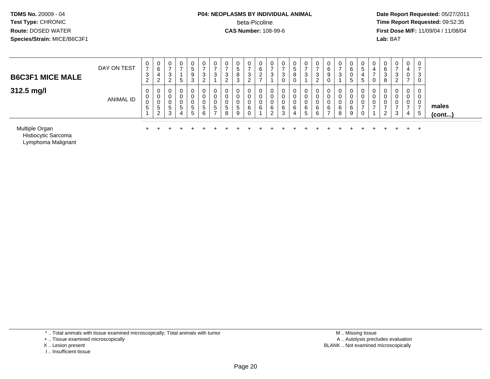#### **P04: NEOPLASMS BY INDIVIDUAL ANIMAL** beta-Picoline**beta-Picoline**<br> **CAS Number:** 108-99-6<br> **CAS Number:** 108-99-6<br> **CAS Number:** 108-99-6

 **Date Report Requested:** 05/27/2011 **First Dose M/F:** 11/09/04 / 11/08/04<br>**Lab:** BAT **Lab:** BAT

| <b>B6C3F1 MICE MALE</b> | DAY ON TEST      | U<br>$\rightarrow$<br>$\sim$<br><b>ت</b><br>ົ<br>$\sim$ | 0<br>6<br>4<br>າ<br>$\epsilon$ | 0<br><sup>o</sup><br>J.<br>◠<br>∼   | 0<br>G                | 9  | 3 | ν<br>ۍ           | د.<br><u>.</u> | ಾ<br>$\circ$<br>3 | U<br>C.<br><sup>o</sup><br><u>_</u> | 6      | c | ν<br>đ<br>8<br>υ |        | U<br>$\rightarrow$<br>3<br>ົ<br><u>_</u> | U<br>6<br>9<br>U                              | 3      |         | <br>U<br>U  | 6<br>- 12<br>8 | 0<br>-<br>3<br>ົ | 0<br>0                | ◡<br>-<br>3  |                 |
|-------------------------|------------------|---------------------------------------------------------|--------------------------------|-------------------------------------|-----------------------|----|---|------------------|----------------|-------------------|-------------------------------------|--------|---|------------------|--------|------------------------------------------|-----------------------------------------------|--------|---------|-------------|----------------|------------------|-----------------------|--------------|-----------------|
| 312.5 mg/l              | <b>ANIMAL ID</b> | 0<br>υ<br>U<br>5                                        | 0<br>0<br>U<br>ರಿ<br>າ         | 0<br>$\sqrt{2}$<br>U<br>U<br>G<br>3 | 0<br>0<br>0<br>G<br>4 | b. |   | 0<br>v<br>υ<br>đ | ∽              | 0<br>৾৾<br>-9     | υ<br>v<br>U<br>6<br>ັ               | U<br>6 |   | 0<br>υ<br>6<br>4 | v<br>6 | 0<br>6<br>6                              | 0<br>v<br>U<br>-6<br>$\overline{\phantom{a}}$ | 6<br>8 | ิด<br>a | U<br>u<br>U | 0<br><u>_</u>  | 0<br>0<br>0<br>3 | 0<br>0<br>0<br>-<br>4 | $\sim$<br>ರಿ | males<br>(cont) |

<sup>+</sup> <sup>+</sup> <sup>+</sup> <sup>+</sup> <sup>+</sup> <sup>+</sup> <sup>+</sup> <sup>+</sup> <sup>+</sup> <sup>+</sup> <sup>+</sup> <sup>+</sup> <sup>+</sup> <sup>+</sup> <sup>+</sup> <sup>+</sup> <sup>+</sup> <sup>+</sup> <sup>+</sup> <sup>+</sup> <sup>+</sup> <sup>+</sup> <sup>+</sup> <sup>+</sup>

Multiple Organn +

Histiocytic SarcomaLymphoma Malignant

\* .. Total animals with tissue examined microscopically; Total animals with tumor

+ .. Tissue examined microscopically

- X .. Lesion present
- I .. Insufficient tissue

 M .. Missing tissuey the contract of the contract of the contract of the contract of the contract of the contract of the contract of  $A$ . Autolysis precludes evaluation Lesion present BLANK .. Not examined microscopically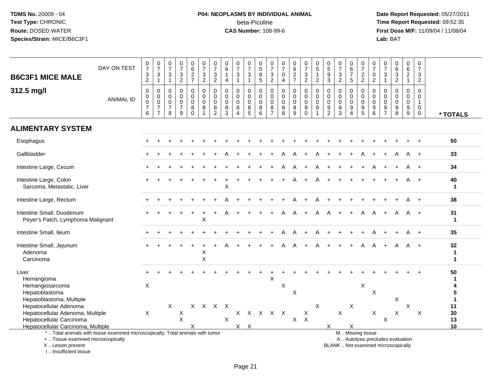# **P04: NEOPLASMS BY INDIVIDUAL ANIMAL**beta-Picoline<br>CAS Number: 108-99-6

 **Date Report Requested:** 05/27/2011 **Time Report Requested:** 09:52:35 **First Dose M/F:** 11/09/04 / 11/08/04<br>Lab: BAT **Lab:** BAT

| <b>B6C3F1 MICE MALE</b>                                                                                                                    | DAY ON TEST      | $\frac{0}{7}$<br>$\ensuremath{\mathsf{3}}$                       | $\frac{0}{7}$<br>$\mathbf{3}$         | $\frac{0}{7}$<br>$\mathbf{3}$                            | $\frac{0}{7}$<br>$\frac{3}{2}$                                 | $_{6}^{\rm 0}$<br>$\frac{2}{7}$                                   | $\frac{0}{7}$<br>$\frac{3}{2}$                                     | $\frac{0}{7}$<br>$\frac{3}{2}$                              | $\begin{array}{c} 0 \\ 6 \end{array}$<br>$\mathbf{1}$     | $\frac{0}{7}$<br>3                                                  | $\frac{0}{7}$<br>$\ensuremath{\mathsf{3}}$                     | $\frac{0}{5}$<br>$\,8\,$<br>$\overline{5}$                | $\frac{0}{7}$<br>$\frac{3}{2}$                                   | $\frac{0}{7}$<br>$\pmb{0}$                              | 0627                                                | $\frac{0}{7}$<br>$\frac{3}{2}$                               | 0<br>$\sqrt{5}$<br>$\overline{1}$                              | 0<br>$\overline{5}$<br>$9$                                                   | 0<br>$\overline{7}$<br>3                | $\begin{array}{c} 0 \\ 6 \\ 7 \end{array}$<br>$\overline{5}$                  | $\frac{0}{7}$<br>$\frac{2}{2}$                                                                | 0<br>$\overline{7}$<br>$\pmb{0}$                         | $\frac{0}{7}$<br>$\sqrt{3}$                                                   | 0<br>6<br>3<br>2                                                         | 0<br>$6\phantom{a}$<br>$\frac{2}{1}$                               | 0<br>$\overline{7}$<br>3                                |                    |
|--------------------------------------------------------------------------------------------------------------------------------------------|------------------|------------------------------------------------------------------|---------------------------------------|----------------------------------------------------------|----------------------------------------------------------------|-------------------------------------------------------------------|--------------------------------------------------------------------|-------------------------------------------------------------|-----------------------------------------------------------|---------------------------------------------------------------------|----------------------------------------------------------------|-----------------------------------------------------------|------------------------------------------------------------------|---------------------------------------------------------|-----------------------------------------------------|--------------------------------------------------------------|----------------------------------------------------------------|------------------------------------------------------------------------------|-----------------------------------------|-------------------------------------------------------------------------------|-----------------------------------------------------------------------------------------------|----------------------------------------------------------|-------------------------------------------------------------------------------|--------------------------------------------------------------------------|--------------------------------------------------------------------|---------------------------------------------------------|--------------------|
|                                                                                                                                            |                  | $\overline{2}$                                                   | $\mathbf{1}$                          | $\overline{1}$                                           |                                                                |                                                                   |                                                                    |                                                             | $\overline{4}$                                            | $\mathbf{1}$                                                        | $\mathbf{1}$                                                   |                                                           |                                                                  | $\overline{4}$                                          |                                                     |                                                              | $\overline{2}$                                                 | $\mathbf{3}$                                                                 | $\overline{2}$                          |                                                                               |                                                                                               | $\overline{2}$                                           | $\mathbf{1}$                                                                  |                                                                          |                                                                    | $\overline{2}$                                          |                    |
| 312.5 mg/l                                                                                                                                 | <b>ANIMAL ID</b> | $\mathbf 0$<br>$\mathbf 0$<br>$\pmb{0}$<br>$\boldsymbol{7}$<br>6 | 0<br>0<br>$\pmb{0}$<br>$\overline{7}$ | $\mathbf 0$<br>$\mathbf 0$<br>0<br>$\boldsymbol{7}$<br>8 | $\mathbf 0$<br>$\mathsf 0$<br>$\pmb{0}$<br>$\overline{7}$<br>9 | 0<br>$\mathbf 0$<br>$\mathsf{O}\xspace$<br>$\bf 8$<br>$\mathbf 0$ | $\mathbf 0$<br>$\mathbf 0$<br>$\pmb{0}$<br>$\bf 8$<br>$\mathbf{1}$ | $\mathbf 0$<br>$\mathbf 0$<br>0<br>$\bf8$<br>$\overline{2}$ | $\mathbf 0$<br>$\mathbf 0$<br>$\mathbf 0$<br>$\,8\,$<br>3 | 0<br>$\mathbf 0$<br>$\mathsf{O}\xspace$<br>$\bf8$<br>$\overline{4}$ | 0<br>$\mathsf 0$<br>$\mathsf{O}$<br>$\bf 8$<br>$5\phantom{.0}$ | $\mathbf 0$<br>$\mathbf 0$<br>$\mathsf 0$<br>$\bf 8$<br>6 | $\mathbf 0$<br>$\mathbf 0$<br>$\mathbf 0$<br>8<br>$\overline{7}$ | $\mathbf 0$<br>$\mathbf 0$<br>$\pmb{0}$<br>$\,8\,$<br>8 | $\mathbf 0$<br>$\mathbf 0$<br>$\mathbf 0$<br>8<br>9 | $\pmb{0}$<br>$\mathbf 0$<br>$\mathbf 0$<br>$9\,$<br>$\Omega$ | $\mathbf 0$<br>$\mathbf 0$<br>$\mathbf 0$<br>9<br>$\mathbf{1}$ | $\mathbf 0$<br>$\mathbf 0$<br>$\Omega$<br>$\boldsymbol{9}$<br>$\overline{2}$ | 0<br>$\mathbf 0$<br>$\pmb{0}$<br>9<br>3 | 0<br>$\mathbf 0$<br>$\ddot{\mathbf{0}}$<br>$\boldsymbol{9}$<br>$\overline{4}$ | $\mathbf 0$<br>$\mathbf 0$<br>$\pmb{0}$<br>$\boldsymbol{9}$<br>5                              | $\mathbf 0$<br>$\mathbf 0$<br>0<br>$\boldsymbol{9}$<br>6 | $\mathbf 0$<br>$\mathbf 0$<br>$\pmb{0}$<br>$\boldsymbol{9}$<br>$\overline{7}$ | $\mathbf 0$<br>$\mathsf{O}\xspace$<br>$\pmb{0}$<br>$\boldsymbol{9}$<br>8 | $\mathbf 0$<br>$\mathbf 0$<br>$\mathbf 0$<br>$\boldsymbol{9}$<br>9 | $\Omega$<br>$\Omega$<br>1<br>$\mathbf 0$<br>$\mathbf 0$ | * TOTALS           |
| <b>ALIMENTARY SYSTEM</b>                                                                                                                   |                  |                                                                  |                                       |                                                          |                                                                |                                                                   |                                                                    |                                                             |                                                           |                                                                     |                                                                |                                                           |                                                                  |                                                         |                                                     |                                                              |                                                                |                                                                              |                                         |                                                                               |                                                                                               |                                                          |                                                                               |                                                                          |                                                                    |                                                         |                    |
| Esophagus                                                                                                                                  |                  |                                                                  |                                       |                                                          |                                                                |                                                                   |                                                                    |                                                             |                                                           |                                                                     |                                                                |                                                           |                                                                  |                                                         |                                                     |                                                              |                                                                |                                                                              |                                         |                                                                               |                                                                                               |                                                          |                                                                               |                                                                          |                                                                    |                                                         | 50                 |
| Gallbladder                                                                                                                                |                  |                                                                  |                                       |                                                          |                                                                |                                                                   |                                                                    |                                                             |                                                           |                                                                     |                                                                |                                                           |                                                                  |                                                         |                                                     |                                                              |                                                                |                                                                              |                                         |                                                                               |                                                                                               |                                                          |                                                                               |                                                                          |                                                                    |                                                         | 33                 |
| Intestine Large, Cecum                                                                                                                     |                  |                                                                  |                                       |                                                          |                                                                |                                                                   |                                                                    |                                                             |                                                           |                                                                     |                                                                |                                                           |                                                                  | Α                                                       | A                                                   |                                                              |                                                                |                                                                              |                                         |                                                                               |                                                                                               |                                                          |                                                                               |                                                                          |                                                                    | $+$                                                     | 34                 |
| Intestine Large, Colon<br>Sarcoma, Metastatic, Liver                                                                                       |                  |                                                                  |                                       |                                                          |                                                                |                                                                   |                                                                    |                                                             | Χ                                                         |                                                                     |                                                                |                                                           |                                                                  |                                                         |                                                     |                                                              |                                                                |                                                                              |                                         |                                                                               |                                                                                               |                                                          |                                                                               |                                                                          |                                                                    |                                                         | 40<br>1            |
| Intestine Large, Rectum                                                                                                                    |                  |                                                                  |                                       |                                                          |                                                                |                                                                   |                                                                    |                                                             |                                                           |                                                                     |                                                                |                                                           |                                                                  |                                                         |                                                     |                                                              |                                                                |                                                                              |                                         |                                                                               |                                                                                               |                                                          |                                                                               |                                                                          |                                                                    |                                                         | 38                 |
| Intestine Small, Duodenum<br>Peyer's Patch, Lymphoma Malignant                                                                             |                  |                                                                  |                                       |                                                          |                                                                |                                                                   | $\sf X$                                                            |                                                             |                                                           |                                                                     |                                                                |                                                           |                                                                  |                                                         |                                                     |                                                              |                                                                |                                                                              |                                         |                                                                               | A                                                                                             | А                                                        |                                                                               | A                                                                        | A                                                                  | $+$                                                     | 31<br>$\mathbf{1}$ |
| Intestine Small, Ileum                                                                                                                     |                  |                                                                  |                                       |                                                          |                                                                |                                                                   |                                                                    |                                                             |                                                           |                                                                     |                                                                |                                                           |                                                                  |                                                         |                                                     |                                                              |                                                                |                                                                              |                                         |                                                                               |                                                                                               |                                                          |                                                                               |                                                                          |                                                                    |                                                         | 35                 |
| Intestine Small, Jejunum<br>Adenoma<br>Carcinoma                                                                                           |                  |                                                                  |                                       |                                                          |                                                                |                                                                   | X<br>$\sf X$                                                       |                                                             |                                                           |                                                                     |                                                                |                                                           |                                                                  | А                                                       | A                                                   |                                                              |                                                                |                                                                              |                                         | $+$                                                                           | A                                                                                             | A                                                        | $\ddot{}$                                                                     | A                                                                        | A                                                                  | $+$                                                     | 32<br>1<br>1       |
| Liver<br>Hemangioma<br>Hemangiosarcoma                                                                                                     |                  | $\sf X$                                                          |                                       |                                                          |                                                                |                                                                   |                                                                    |                                                             |                                                           |                                                                     |                                                                |                                                           | X                                                                | X                                                       |                                                     |                                                              |                                                                |                                                                              |                                         |                                                                               | X                                                                                             |                                                          |                                                                               |                                                                          |                                                                    |                                                         | 50<br>1<br>4       |
| Hepatoblastoma<br>Hepatoblastoma, Multiple                                                                                                 |                  |                                                                  |                                       |                                                          |                                                                |                                                                   |                                                                    |                                                             |                                                           |                                                                     |                                                                |                                                           |                                                                  |                                                         | X                                                   |                                                              |                                                                |                                                                              |                                         |                                                                               |                                                                                               | X                                                        |                                                                               | X                                                                        |                                                                    |                                                         | 5<br>1             |
| Hepatocellular Adenoma                                                                                                                     |                  |                                                                  |                                       | X                                                        |                                                                | X                                                                 | $\mathsf{X}$                                                       | $\mathsf{X}$                                                | $\times$                                                  |                                                                     |                                                                |                                                           |                                                                  |                                                         |                                                     |                                                              | $\mathsf{X}$                                                   |                                                                              |                                         | X                                                                             |                                                                                               |                                                          |                                                                               |                                                                          | X                                                                  |                                                         | 11                 |
| Hepatocellular Adenoma, Multiple<br>Hepatocellular Carcinoma                                                                               |                  | $\sf X$                                                          |                                       |                                                          | X<br>$\pmb{\times}$                                            |                                                                   |                                                                    |                                                             | $\mathsf X$                                               |                                                                     | x x x x x                                                      |                                                           |                                                                  |                                                         | X                                                   | X<br>$\mathsf{X}$                                            |                                                                |                                                                              | $\pmb{\times}$                          |                                                                               |                                                                                               | X                                                        | $\mathsf X$                                                                   | X                                                                        |                                                                    | X                                                       | 30<br>13           |
| Hepatocellular Carcinoma, Multiple                                                                                                         |                  |                                                                  |                                       |                                                          |                                                                |                                                                   |                                                                    |                                                             |                                                           |                                                                     | $X$ $X$                                                        |                                                           |                                                                  |                                                         |                                                     |                                                              |                                                                | $\times$                                                                     |                                         | X                                                                             |                                                                                               |                                                          |                                                                               |                                                                          |                                                                    |                                                         | 10                 |
| *  Total animals with tissue examined microscopically; Total animals with tumor<br>+  Tissue examined microscopically<br>X  Lesion present |                  |                                                                  |                                       |                                                          |                                                                |                                                                   |                                                                    |                                                             |                                                           |                                                                     |                                                                |                                                           |                                                                  |                                                         |                                                     |                                                              |                                                                |                                                                              |                                         |                                                                               | M  Missing tissue<br>A  Autolysis precludes evaluation<br>BLANK  Not examined microscopically |                                                          |                                                                               |                                                                          |                                                                    |                                                         |                    |

I .. Insufficient tissue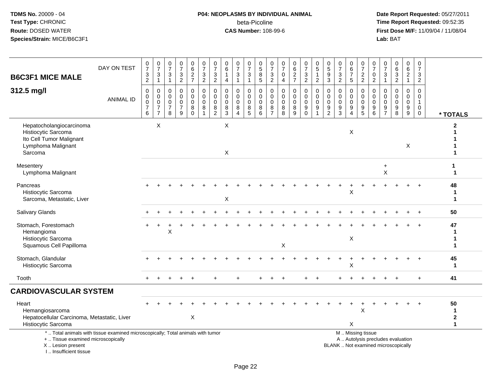I .. Insufficient tissue

### **P04: NEOPLASMS BY INDIVIDUAL ANIMAL**beta-Picoline<br>CAS Number: 108-99-6

| <b>B6C3F1 MICE MALE</b>                                                                                                                    | DAY ON TEST      | $\frac{0}{7}$<br>$\ensuremath{\mathsf{3}}$<br>$\sqrt{2}$ | $\begin{array}{c} 0 \\ 7 \end{array}$<br>$\ensuremath{\mathsf{3}}$<br>$\mathbf{1}$ | $\frac{0}{7}$<br>3<br>$\mathbf{1}$           | 0<br>$\frac{5}{7}$<br>$\ensuremath{\mathsf{3}}$<br>$\overline{2}$ | $\begin{array}{c} 0 \\ 6 \end{array}$<br>$\frac{2}{7}$         | $\begin{array}{c} 0 \\ 7 \end{array}$<br>$\frac{3}{2}$                 | $\begin{array}{c} 0 \\ 7 \end{array}$<br>$\ensuremath{\mathsf{3}}$<br>$\overline{2}$ | $\mathbf 0$<br>6<br>1<br>$\overline{4}$             | $\frac{0}{7}$<br>3<br>$\mathbf{1}$                        | $\frac{0}{7}$<br>3<br>$\mathbf{1}$        | $\begin{array}{c} 0 \\ 5 \end{array}$<br>$\bf 8$<br>$\overline{5}$ | $\frac{0}{7}$<br>$\frac{3}{2}$                               | $\pmb{0}$<br>$\overline{7}$<br>$\boldsymbol{0}$<br>$\overline{4}$ | $\begin{array}{c} 0 \\ 6 \end{array}$<br>$\frac{2}{7}$ | $\begin{array}{c} 0 \\ 7 \end{array}$<br>$\sqrt{3}$<br>$\overline{2}$ | $\begin{array}{c} 0 \\ 5 \end{array}$<br>$\mathbf{1}$<br>$\overline{2}$               | $\begin{array}{c} 0 \\ 5 \end{array}$<br>$\overline{9}$<br>$\mathbf{3}$ | 0<br>$\overline{7}$<br>$\ensuremath{\mathsf{3}}$<br>$\overline{2}$ | $\begin{array}{c} 0 \\ 6 \end{array}$<br>$\overline{7}$<br>$\sqrt{5}$                 | $\begin{smallmatrix}0\\7\end{smallmatrix}$<br>$\frac{2}{2}$ | $\begin{smallmatrix}0\\7\end{smallmatrix}$<br>$\mathbf 0$<br>$\overline{2}$ | 0<br>$\frac{5}{7}$<br>3<br>$\mathbf{1}$                 | $\begin{array}{c} 0 \\ 6 \end{array}$<br>$\frac{3}{2}$                   | $_6^0$<br>$\overline{2}$<br>$\mathbf{1}$               | $\pmb{0}$<br>$\overline{7}$<br>$\frac{3}{2}$                           |                                                |
|--------------------------------------------------------------------------------------------------------------------------------------------|------------------|----------------------------------------------------------|------------------------------------------------------------------------------------|----------------------------------------------|-------------------------------------------------------------------|----------------------------------------------------------------|------------------------------------------------------------------------|--------------------------------------------------------------------------------------|-----------------------------------------------------|-----------------------------------------------------------|-------------------------------------------|--------------------------------------------------------------------|--------------------------------------------------------------|-------------------------------------------------------------------|--------------------------------------------------------|-----------------------------------------------------------------------|---------------------------------------------------------------------------------------|-------------------------------------------------------------------------|--------------------------------------------------------------------|---------------------------------------------------------------------------------------|-------------------------------------------------------------|-----------------------------------------------------------------------------|---------------------------------------------------------|--------------------------------------------------------------------------|--------------------------------------------------------|------------------------------------------------------------------------|------------------------------------------------|
| 312.5 mg/l                                                                                                                                 | <b>ANIMAL ID</b> | 0<br>$\mathbf 0$<br>$\pmb{0}$<br>$\overline{7}$<br>6     | 0<br>$\mathbf 0$<br>$\mathsf 0$<br>$\overline{7}$<br>$\overline{7}$                | 0<br>$\mathbf 0$<br>0<br>$\overline{7}$<br>8 | 0<br>$\mathbf 0$<br>$\Omega$<br>$\overline{7}$<br>9               | $\mathbf 0$<br>$\mathbf 0$<br>$\pmb{0}$<br>$\bf 8$<br>$\Omega$ | $\mathbf 0$<br>$\mathbf 0$<br>$\mathbf 0$<br>$\bf 8$<br>$\overline{1}$ | $\mathbf 0$<br>$\mathbf 0$<br>$\mathbf 0$<br>$\bf 8$<br>$\overline{2}$               | $\mathbf 0$<br>$\mathbf 0$<br>$\mathbf 0$<br>8<br>3 | $\mathbf 0$<br>$\mathbf 0$<br>$\mathbf 0$<br>$\bf 8$<br>4 | 0<br>$\mathbf 0$<br>$\mathbf 0$<br>8<br>5 | 0<br>0<br>$\pmb{0}$<br>$\bf 8$<br>$6\phantom{a}$                   | 0<br>$\mathbf 0$<br>$\mathbf 0$<br>$\bf 8$<br>$\overline{7}$ | $\mathbf 0$<br>$\mathbf 0$<br>$\mathbf 0$<br>$\bf 8$<br>8         | $\pmb{0}$<br>$\Omega$<br>$\Omega$<br>8<br>9            | 0<br>$\mathbf 0$<br>$\pmb{0}$<br>$\boldsymbol{9}$<br>$\Omega$         | $\pmb{0}$<br>$\mathbf 0$<br>$\mathsf{O}\xspace$<br>$\boldsymbol{9}$<br>$\overline{1}$ | 0<br>$\mathbf 0$<br>$\mathbf 0$<br>9<br>$\overline{2}$                  | 0<br>0<br>$\mathbf 0$<br>$\frac{9}{3}$                             | $\mathbf 0$<br>$\mathbf 0$<br>$\pmb{0}$<br>$\boldsymbol{9}$<br>$\boldsymbol{\Lambda}$ | 0<br>$\mathbf 0$<br>$\mathbf 0$<br>$\frac{9}{5}$            | 0<br>$\Omega$<br>$\Omega$<br>9<br>6                                         | $\mathbf 0$<br>$\Omega$<br>$\Omega$<br>$\boldsymbol{9}$ | $\mathbf 0$<br>$\mathbf 0$<br>$\mathbf 0$<br>$_{\rm 8}^{\rm 9}$          | 0<br>$\mathbf 0$<br>$\pmb{0}$<br>$\boldsymbol{9}$<br>9 | $\mathbf 0$<br>0<br>$\mathbf{1}$<br>$\mathsf{O}\xspace$<br>$\mathbf 0$ | * TOTALS                                       |
| Hepatocholangiocarcinoma<br>Histiocytic Sarcoma<br>Ito Cell Tumor Malignant<br>Lymphoma Malignant<br>Sarcoma                               |                  |                                                          | X                                                                                  |                                              |                                                                   |                                                                |                                                                        |                                                                                      | X<br>X                                              |                                                           |                                           |                                                                    |                                                              |                                                                   |                                                        |                                                                       |                                                                                       |                                                                         |                                                                    | X                                                                                     |                                                             |                                                                             |                                                         |                                                                          | $\mathsf X$                                            |                                                                        | 2                                              |
| Mesentery<br>Lymphoma Malignant                                                                                                            |                  |                                                          |                                                                                    |                                              |                                                                   |                                                                |                                                                        |                                                                                      |                                                     |                                                           |                                           |                                                                    |                                                              |                                                                   |                                                        |                                                                       |                                                                                       |                                                                         |                                                                    |                                                                                       |                                                             |                                                                             | $\ddot{}$<br>X                                          |                                                                          |                                                        |                                                                        | 1<br>$\mathbf 1$                               |
| Pancreas<br>Histiocytic Sarcoma<br>Sarcoma, Metastatic, Liver                                                                              |                  |                                                          |                                                                                    |                                              |                                                                   |                                                                |                                                                        |                                                                                      | X                                                   |                                                           |                                           |                                                                    |                                                              |                                                                   |                                                        |                                                                       |                                                                                       |                                                                         |                                                                    | $\pmb{\times}$                                                                        |                                                             |                                                                             |                                                         |                                                                          |                                                        |                                                                        | 48<br>-1<br>$\mathbf 1$                        |
| Salivary Glands                                                                                                                            |                  |                                                          |                                                                                    |                                              |                                                                   |                                                                |                                                                        |                                                                                      |                                                     |                                                           |                                           |                                                                    |                                                              |                                                                   |                                                        |                                                                       |                                                                                       |                                                                         |                                                                    |                                                                                       |                                                             |                                                                             |                                                         |                                                                          |                                                        |                                                                        | 50                                             |
| Stomach, Forestomach<br>Hemangioma<br>Histiocytic Sarcoma<br>Squamous Cell Papilloma                                                       |                  |                                                          |                                                                                    | X                                            |                                                                   |                                                                |                                                                        |                                                                                      |                                                     |                                                           |                                           |                                                                    |                                                              | X                                                                 |                                                        |                                                                       |                                                                                       |                                                                         |                                                                    | X                                                                                     |                                                             |                                                                             |                                                         |                                                                          |                                                        |                                                                        | 47<br>1<br>1                                   |
| Stomach, Glandular<br>Histiocytic Sarcoma                                                                                                  |                  |                                                          |                                                                                    |                                              |                                                                   |                                                                |                                                                        |                                                                                      |                                                     |                                                           |                                           |                                                                    |                                                              |                                                                   |                                                        |                                                                       |                                                                                       |                                                                         |                                                                    | Χ                                                                                     |                                                             |                                                                             |                                                         |                                                                          |                                                        |                                                                        | 45<br>$\mathbf 1$                              |
| Tooth                                                                                                                                      |                  |                                                          |                                                                                    |                                              |                                                                   |                                                                |                                                                        |                                                                                      |                                                     |                                                           |                                           |                                                                    |                                                              |                                                                   |                                                        |                                                                       | $\div$                                                                                |                                                                         |                                                                    |                                                                                       |                                                             |                                                                             |                                                         |                                                                          |                                                        | $+$                                                                    | 41                                             |
| <b>CARDIOVASCULAR SYSTEM</b>                                                                                                               |                  |                                                          |                                                                                    |                                              |                                                                   |                                                                |                                                                        |                                                                                      |                                                     |                                                           |                                           |                                                                    |                                                              |                                                                   |                                                        |                                                                       |                                                                                       |                                                                         |                                                                    |                                                                                       |                                                             |                                                                             |                                                         |                                                                          |                                                        |                                                                        |                                                |
| Heart<br>Hemangiosarcoma<br>Hepatocellular Carcinoma, Metastatic, Liver<br>Histiocytic Sarcoma                                             |                  |                                                          |                                                                                    |                                              |                                                                   | X                                                              |                                                                        |                                                                                      |                                                     |                                                           |                                           |                                                                    |                                                              |                                                                   |                                                        |                                                                       |                                                                                       |                                                                         |                                                                    | X                                                                                     | X                                                           |                                                                             |                                                         |                                                                          |                                                        |                                                                        | 50<br>$\mathbf 1$<br>2<br>$\blacktriangleleft$ |
| *  Total animals with tissue examined microscopically; Total animals with tumor<br>+  Tissue examined microscopically<br>X  Lesion present |                  |                                                          |                                                                                    |                                              |                                                                   |                                                                |                                                                        |                                                                                      |                                                     |                                                           |                                           |                                                                    |                                                              |                                                                   |                                                        |                                                                       |                                                                                       |                                                                         |                                                                    |                                                                                       | M  Missing tissue                                           |                                                                             |                                                         | A  Autolysis precludes evaluation<br>BLANK  Not examined microscopically |                                                        |                                                                        |                                                |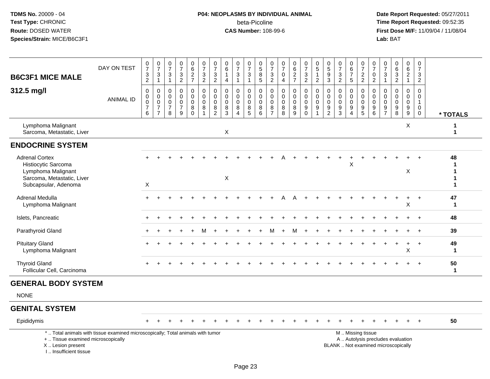# **P04: NEOPLASMS BY INDIVIDUAL ANIMAL**beta-Picoline<br>CAS Number: 108-99-6

 **Date Report Requested:** 05/27/2011 **Time Report Requested:** 09:52:35 **First Dose M/F:** 11/09/04 / 11/08/04<br>Lab: BAT **Lab:** BAT

| <b>B6C3F1 MICE MALE</b>                                                                                                  | DAY ON TEST      | $\frac{0}{7}$<br>$\mathbf{3}$<br>$\overline{2}$ | $\frac{0}{7}$<br>$\mathbf{3}$<br>$\overline{1}$                          | $\begin{array}{c} 0 \\ 7 \end{array}$<br>$\sqrt{3}$<br>$\mathbf{1}$ | $\frac{0}{7}$<br>3<br>$\overline{2}$           | 0627                                                                     | $\frac{0}{7}$<br>$\frac{3}{2}$                              | $\frac{0}{7}$<br>$\frac{3}{2}$                                     | 0<br>6<br>$\overline{4}$                             | $\begin{array}{c} 0 \\ 7 \end{array}$<br>$\ensuremath{\mathsf{3}}$<br>$\overline{1}$ | $\frac{0}{7}$<br>3<br>$\mathbf{1}$           | $\begin{array}{c} 0 \\ 5 \\ 8 \end{array}$<br>$\overline{5}$         | $\begin{array}{c} 0 \\ 7 \end{array}$<br>$\frac{3}{2}$   | $\begin{array}{c} 0 \\ 7 \end{array}$<br>0<br>$\overline{4}$     | $\begin{array}{c} 0 \\ 6 \end{array}$<br>$\frac{2}{7}$  | $\begin{smallmatrix}0\\7\end{smallmatrix}$<br>$\ensuremath{\mathsf{3}}$<br>$\overline{2}$ | $\begin{matrix} 0 \\ 5 \end{matrix}$<br>$\mathbf{1}$<br>$\overline{2}$              | $\begin{array}{c} 0 \\ 5 \\ 9 \\ 3 \end{array}$                  | $\frac{0}{7}$<br>$\frac{3}{2}$         | $\begin{array}{c} 0 \\ 6 \\ 7 \end{array}$<br>5      | $\frac{0}{7}$<br>$\frac{2}{2}$                      | $\frac{0}{7}$<br>$\boldsymbol{0}$<br>$\overline{2}$                 | 0<br>$\overline{7}$<br>3<br>$\mathbf{1}$                   | 0<br>$\,6\,$<br>$\frac{3}{2}$                                   | 0<br>$\overline{6}$<br>$\overline{2}$<br>$\mathbf{1}$ | 0<br>$\overline{7}$<br>$\mathbf{3}$<br>$\overline{2}$                  |                    |
|--------------------------------------------------------------------------------------------------------------------------|------------------|-------------------------------------------------|--------------------------------------------------------------------------|---------------------------------------------------------------------|------------------------------------------------|--------------------------------------------------------------------------|-------------------------------------------------------------|--------------------------------------------------------------------|------------------------------------------------------|--------------------------------------------------------------------------------------|----------------------------------------------|----------------------------------------------------------------------|----------------------------------------------------------|------------------------------------------------------------------|---------------------------------------------------------|-------------------------------------------------------------------------------------------|-------------------------------------------------------------------------------------|------------------------------------------------------------------|----------------------------------------|------------------------------------------------------|-----------------------------------------------------|---------------------------------------------------------------------|------------------------------------------------------------|-----------------------------------------------------------------|-------------------------------------------------------|------------------------------------------------------------------------|--------------------|
| 312.5 mg/l                                                                                                               | <b>ANIMAL ID</b> | 0<br>0<br>$\pmb{0}$<br>$\overline{7}$<br>6      | $\pmb{0}$<br>$\begin{matrix} 0 \\ 0 \\ 7 \end{matrix}$<br>$\overline{7}$ | $\pmb{0}$<br>$\mathbf 0$<br>$\mathbf 0$<br>$\overline{7}$<br>8      | 0<br>0<br>$\mathbf 0$<br>$\boldsymbol{7}$<br>9 | $\mathbf 0$<br>$\mathbf 0$<br>$\ddot{\mathbf{0}}$<br>$\bf 8$<br>$\Omega$ | 0<br>0<br>$\mathbf 0$<br>$\bf 8$<br>$\overline{\mathbf{A}}$ | $\mathbf 0$<br>$\mathbf 0$<br>$\ddot{\mathbf{0}}$<br>$\frac{8}{2}$ | $\mathbf 0$<br>$\mathbf 0$<br>$\mathbf{0}$<br>8<br>3 | $\mathbf 0$<br>$\mathbf 0$<br>$\mathbf 0$<br>$\bf 8$<br>$\boldsymbol{\Lambda}$       | 0<br>0<br>$\mathbf 0$<br>8<br>$\overline{5}$ | $\pmb{0}$<br>$\pmb{0}$<br>$\ddot{\mathbf{0}}$<br>$\overline{8}$<br>6 | $\mathsf 0$<br>$\mathbf 0$<br>$\pmb{0}$<br>$\frac{8}{7}$ | $\pmb{0}$<br>$\mathbf 0$<br>$\mathsf{O}\xspace$<br>$\frac{8}{8}$ | $\pmb{0}$<br>$\mathbf 0$<br>$\mathbf 0$<br>$\bf 8$<br>9 | $\mathbf 0$<br>$\mathbf 0$<br>$\pmb{0}$<br>$\overline{9}$                                 | $\pmb{0}$<br>$\mathbf 0$<br>$\ddot{\mathbf{0}}$<br>$\boldsymbol{9}$<br>$\mathbf{1}$ | $\pmb{0}$<br>$\mathsf{O}\xspace$<br>$\mathbf 0$<br>$\frac{9}{2}$ | 0<br>0<br>$\mathbf 0$<br>$\frac{9}{3}$ | $\mathbf 0$<br>0<br>$\pmb{0}$<br>$\overline{9}$<br>4 | 0<br>$\overline{0}$<br>$\mathbf 0$<br>$\frac{9}{5}$ | $\mathbf 0$<br>$\mathbf 0$<br>$\overline{0}$<br>$\overline{9}$<br>6 | $\mathbf 0$<br>$\Omega$<br>$\Omega$<br>9<br>$\overline{7}$ | $\mathbf 0$<br>$\Omega$<br>$\mathbf 0$<br>$\boldsymbol{9}$<br>8 | 0<br>0<br>$\mathsf 0$<br>9<br>9                       | $\mathbf 0$<br>0<br>$\mathbf{1}$<br>$\mathsf{O}\xspace$<br>$\mathbf 0$ | * TOTALS           |
| Lymphoma Malignant<br>Sarcoma, Metastatic, Liver                                                                         |                  |                                                 |                                                                          |                                                                     |                                                |                                                                          |                                                             |                                                                    | X                                                    |                                                                                      |                                              |                                                                      |                                                          |                                                                  |                                                         |                                                                                           |                                                                                     |                                                                  |                                        |                                                      |                                                     |                                                                     |                                                            |                                                                 | X                                                     |                                                                        | -1                 |
| <b>ENDOCRINE SYSTEM</b>                                                                                                  |                  |                                                 |                                                                          |                                                                     |                                                |                                                                          |                                                             |                                                                    |                                                      |                                                                                      |                                              |                                                                      |                                                          |                                                                  |                                                         |                                                                                           |                                                                                     |                                                                  |                                        |                                                      |                                                     |                                                                     |                                                            |                                                                 |                                                       |                                                                        |                    |
| <b>Adrenal Cortex</b><br>Histiocytic Sarcoma<br>Lymphoma Malignant<br>Sarcoma, Metastatic, Liver<br>Subcapsular, Adenoma |                  | $\boldsymbol{X}$                                |                                                                          |                                                                     |                                                |                                                                          |                                                             |                                                                    | $\boldsymbol{\mathsf{X}}$                            |                                                                                      |                                              |                                                                      |                                                          |                                                                  |                                                         |                                                                                           |                                                                                     |                                                                  |                                        | X                                                    |                                                     |                                                                     |                                                            |                                                                 | X                                                     |                                                                        | 48                 |
| Adrenal Medulla<br>Lymphoma Malignant                                                                                    |                  |                                                 |                                                                          |                                                                     |                                                |                                                                          |                                                             |                                                                    |                                                      |                                                                                      |                                              |                                                                      |                                                          |                                                                  |                                                         |                                                                                           |                                                                                     |                                                                  |                                        |                                                      |                                                     |                                                                     |                                                            |                                                                 | $\ddot{}$<br>Χ                                        | $+$                                                                    | 47<br>$\mathbf 1$  |
| Islets, Pancreatic                                                                                                       |                  |                                                 |                                                                          |                                                                     |                                                |                                                                          |                                                             |                                                                    |                                                      |                                                                                      |                                              |                                                                      |                                                          |                                                                  |                                                         |                                                                                           |                                                                                     |                                                                  |                                        |                                                      |                                                     |                                                                     |                                                            |                                                                 |                                                       |                                                                        | 48                 |
| Parathyroid Gland                                                                                                        |                  |                                                 |                                                                          |                                                                     |                                                |                                                                          | м                                                           |                                                                    |                                                      |                                                                                      |                                              |                                                                      | м                                                        |                                                                  | м                                                       | $\ddot{}$                                                                                 |                                                                                     |                                                                  |                                        |                                                      |                                                     |                                                                     |                                                            |                                                                 |                                                       | $+$                                                                    | 39                 |
| <b>Pituitary Gland</b><br>Lymphoma Malignant                                                                             |                  |                                                 |                                                                          |                                                                     |                                                |                                                                          |                                                             |                                                                    |                                                      |                                                                                      |                                              |                                                                      |                                                          |                                                                  |                                                         |                                                                                           |                                                                                     |                                                                  |                                        |                                                      |                                                     |                                                                     |                                                            |                                                                 | ÷.<br>X                                               | $\ddot{}$                                                              | 49<br>$\mathbf 1$  |
| <b>Thyroid Gland</b><br>Follicular Cell, Carcinoma                                                                       |                  |                                                 |                                                                          |                                                                     |                                                |                                                                          |                                                             |                                                                    |                                                      |                                                                                      |                                              |                                                                      |                                                          |                                                                  |                                                         |                                                                                           |                                                                                     |                                                                  |                                        |                                                      |                                                     |                                                                     |                                                            |                                                                 |                                                       |                                                                        | 50<br>$\mathbf{1}$ |
| <b>GENERAL BODY SYSTEM</b>                                                                                               |                  |                                                 |                                                                          |                                                                     |                                                |                                                                          |                                                             |                                                                    |                                                      |                                                                                      |                                              |                                                                      |                                                          |                                                                  |                                                         |                                                                                           |                                                                                     |                                                                  |                                        |                                                      |                                                     |                                                                     |                                                            |                                                                 |                                                       |                                                                        |                    |
| <b>NONE</b>                                                                                                              |                  |                                                 |                                                                          |                                                                     |                                                |                                                                          |                                                             |                                                                    |                                                      |                                                                                      |                                              |                                                                      |                                                          |                                                                  |                                                         |                                                                                           |                                                                                     |                                                                  |                                        |                                                      |                                                     |                                                                     |                                                            |                                                                 |                                                       |                                                                        |                    |
| <b>GENITAL SYSTEM</b>                                                                                                    |                  |                                                 |                                                                          |                                                                     |                                                |                                                                          |                                                             |                                                                    |                                                      |                                                                                      |                                              |                                                                      |                                                          |                                                                  |                                                         |                                                                                           |                                                                                     |                                                                  |                                        |                                                      |                                                     |                                                                     |                                                            |                                                                 |                                                       |                                                                        |                    |
| Epididymis                                                                                                               |                  |                                                 |                                                                          |                                                                     |                                                |                                                                          |                                                             |                                                                    |                                                      |                                                                                      |                                              |                                                                      |                                                          |                                                                  |                                                         |                                                                                           |                                                                                     |                                                                  |                                        |                                                      |                                                     |                                                                     |                                                            |                                                                 |                                                       | $\div$                                                                 | 50                 |

+ .. Tissue examined microscopicallyX .. Lesion present

I .. Insufficient tissue

y the contract of the contract of the contract of the contract of the contract of the contract of the contract of  $A$ . Autolysis precludes evaluation Lesion present BLANK .. Not examined microscopically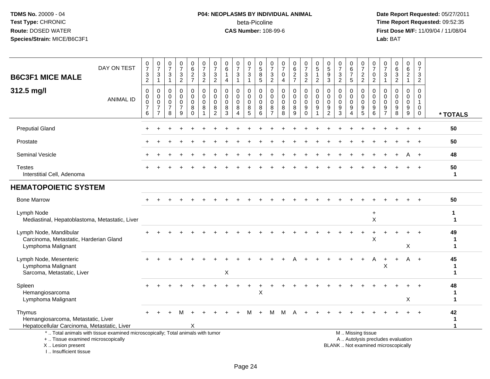## **P04: NEOPLASMS BY INDIVIDUAL ANIMAL**beta-Picoline<br>CAS Number: 108-99-6

| <b>B6C3F1 MICE MALE</b>                                                                     | DAY ON TEST                                                                     | $\begin{array}{c} 0 \\ 7 \end{array}$<br>$\frac{3}{2}$           | $\frac{0}{7}$<br>$\frac{3}{1}$                            | $\frac{0}{7}$<br>$\sqrt{3}$<br>$\overline{1}$                       | $\frac{0}{7}$<br>$\frac{3}{2}$                         | 0<br>$\,6\,$<br>$\frac{2}{7}$                       | $\begin{array}{c} 0 \\ 7 \end{array}$<br>$\sqrt{3}$<br>$\overline{2}$ | 0<br>$\overline{7}$<br>$\sqrt{3}$<br>$\overline{2}$             | 0<br>6<br>$\overline{1}$<br>$\overline{4}$                  | $\pmb{0}$<br>$\overline{7}$<br>$\ensuremath{\mathsf{3}}$<br>$\mathbf{1}$ | 0<br>$\overline{7}$<br>3<br>$\mathbf{1}$  | $\begin{matrix} 0 \\ 5 \end{matrix}$<br>$\,8\,$<br>5             | 0<br>$\overline{7}$<br>$\frac{3}{2}$                             | $\frac{0}{7}$<br>$\pmb{0}$<br>$\overline{4}$ | $\begin{array}{c} 0 \\ 6 \end{array}$<br>$\frac{2}{7}$ | $\frac{0}{7}$<br>$\frac{3}{2}$                                | $\begin{array}{c} 0 \\ 5 \end{array}$<br>$\overline{2}$ | 0<br>$\,$ 5 $\,$<br>9<br>3                                                      | $\frac{0}{7}$<br>$\ensuremath{\mathsf{3}}$<br>$\overline{2}$ | 0<br>6<br>$\overline{7}$<br>$5\phantom{.0}$ | $\frac{0}{7}$<br>$\frac{2}{2}$                                                                | 0<br>$\overline{7}$<br>0<br>2                  | 0<br>$\overline{7}$<br>$\ensuremath{\mathsf{3}}$<br>$\overline{1}$ | $\begin{array}{c} 0 \\ 6 \\ 3 \end{array}$<br>$\overline{2}$ | 0<br>6<br>$\overline{c}$<br>$\mathbf{1}$                | 0<br>$\overline{7}$<br>3<br>$\overline{2}$        |                         |
|---------------------------------------------------------------------------------------------|---------------------------------------------------------------------------------|------------------------------------------------------------------|-----------------------------------------------------------|---------------------------------------------------------------------|--------------------------------------------------------|-----------------------------------------------------|-----------------------------------------------------------------------|-----------------------------------------------------------------|-------------------------------------------------------------|--------------------------------------------------------------------------|-------------------------------------------|------------------------------------------------------------------|------------------------------------------------------------------|----------------------------------------------|--------------------------------------------------------|---------------------------------------------------------------|---------------------------------------------------------|---------------------------------------------------------------------------------|--------------------------------------------------------------|---------------------------------------------|-----------------------------------------------------------------------------------------------|------------------------------------------------|--------------------------------------------------------------------|--------------------------------------------------------------|---------------------------------------------------------|---------------------------------------------------|-------------------------|
| 312.5 mg/l                                                                                  | <b>ANIMAL ID</b>                                                                | $\mathbf 0$<br>$\mathbf 0$<br>$\mathbf 0$<br>$\overline{7}$<br>6 | 0<br>0<br>$\mathbf 0$<br>$\overline{7}$<br>$\overline{7}$ | $\mathbf 0$<br>$\overline{0}$<br>$\mathbf 0$<br>$\overline{7}$<br>8 | 0<br>$\mathbf 0$<br>$\mathbf 0$<br>$\overline{7}$<br>9 | 0<br>$\mathbf 0$<br>$\mathbf 0$<br>8<br>$\mathbf 0$ | $\mathbf 0$<br>$\pmb{0}$<br>$\mathbf 0$<br>8<br>1                     | $\Omega$<br>$\mathbf{0}$<br>$\mathbf{0}$<br>8<br>$\overline{2}$ | $\mathbf 0$<br>$\Omega$<br>$\mathbf 0$<br>8<br>$\mathbf{3}$ | 0<br>$\mathbf 0$<br>$\mathbf 0$<br>8<br>$\overline{4}$                   | 0<br>$\mathbf 0$<br>$\mathbf 0$<br>8<br>5 | $\mathbf 0$<br>$\mathbf 0$<br>$\mathbf 0$<br>8<br>$6\phantom{1}$ | $\mathbf 0$<br>$\mathbf 0$<br>$\mathbf 0$<br>8<br>$\overline{7}$ | 0<br>$\mathbf 0$<br>$\mathbf 0$<br>8<br>8    | 0<br>$\pmb{0}$<br>$\mathbf 0$<br>$\,8\,$<br>9          | $\mathbf 0$<br>$\mathbf 0$<br>$\mathbf 0$<br>9<br>$\mathbf 0$ | $\mathbf 0$<br>$\mathbf 0$<br>$\Omega$<br>9             | $\mathbf 0$<br>$\mathbf 0$<br>$\mathbf 0$<br>$\boldsymbol{9}$<br>$\overline{2}$ | 0<br>$\Omega$<br>$\mathbf 0$<br>9<br>3                       | 0<br>$\mathbf 0$<br>$\mathbf 0$<br>9<br>4   | $\mathbf 0$<br>$\mathbf 0$<br>$\mathbf 0$<br>$9\,$<br>5                                       | $\Omega$<br>$\Omega$<br>$\mathbf{0}$<br>9<br>6 | $\Omega$<br>$\Omega$<br>$\Omega$<br>9<br>$\overline{7}$            | 0<br>$\mathbf 0$<br>$\mathbf 0$<br>9<br>8                    | $\mathbf 0$<br>$\mathbf 0$<br>$\mathbf 0$<br>9<br>$9\,$ | $\Omega$<br>$\mathbf 0$<br>$\mathbf{1}$<br>0<br>0 | * TOTALS                |
| <b>Preputial Gland</b>                                                                      |                                                                                 |                                                                  |                                                           |                                                                     |                                                        |                                                     |                                                                       |                                                                 |                                                             |                                                                          |                                           |                                                                  |                                                                  |                                              |                                                        |                                                               |                                                         |                                                                                 |                                                              |                                             |                                                                                               |                                                |                                                                    |                                                              |                                                         | $\ddot{}$                                         | 50                      |
| Prostate                                                                                    |                                                                                 |                                                                  |                                                           |                                                                     |                                                        |                                                     |                                                                       |                                                                 |                                                             |                                                                          |                                           |                                                                  |                                                                  |                                              |                                                        |                                                               |                                                         |                                                                                 |                                                              |                                             |                                                                                               |                                                |                                                                    |                                                              |                                                         |                                                   | 50                      |
| Seminal Vesicle                                                                             |                                                                                 |                                                                  |                                                           |                                                                     |                                                        |                                                     |                                                                       |                                                                 |                                                             |                                                                          |                                           |                                                                  |                                                                  |                                              |                                                        |                                                               |                                                         |                                                                                 |                                                              |                                             |                                                                                               |                                                |                                                                    |                                                              | A                                                       | $+$                                               | 48                      |
| <b>Testes</b><br>Interstitial Cell, Adenoma                                                 |                                                                                 |                                                                  |                                                           |                                                                     |                                                        |                                                     |                                                                       |                                                                 |                                                             |                                                                          |                                           |                                                                  |                                                                  |                                              |                                                        |                                                               |                                                         |                                                                                 |                                                              |                                             |                                                                                               |                                                |                                                                    |                                                              |                                                         |                                                   | 50<br>$\mathbf{1}$      |
| <b>HEMATOPOIETIC SYSTEM</b>                                                                 |                                                                                 |                                                                  |                                                           |                                                                     |                                                        |                                                     |                                                                       |                                                                 |                                                             |                                                                          |                                           |                                                                  |                                                                  |                                              |                                                        |                                                               |                                                         |                                                                                 |                                                              |                                             |                                                                                               |                                                |                                                                    |                                                              |                                                         |                                                   |                         |
| <b>Bone Marrow</b>                                                                          |                                                                                 |                                                                  |                                                           |                                                                     |                                                        |                                                     |                                                                       |                                                                 |                                                             |                                                                          |                                           |                                                                  |                                                                  |                                              |                                                        |                                                               |                                                         |                                                                                 |                                                              |                                             |                                                                                               |                                                |                                                                    |                                                              |                                                         |                                                   | 50                      |
| Lymph Node<br>Mediastinal, Hepatoblastoma, Metastatic, Liver                                |                                                                                 |                                                                  |                                                           |                                                                     |                                                        |                                                     |                                                                       |                                                                 |                                                             |                                                                          |                                           |                                                                  |                                                                  |                                              |                                                        |                                                               |                                                         |                                                                                 |                                                              |                                             |                                                                                               | $\ddot{}$<br>$\sf X$                           |                                                                    |                                                              |                                                         |                                                   | 1<br>1                  |
| Lymph Node, Mandibular<br>Carcinoma, Metastatic, Harderian Gland<br>Lymphoma Malignant      |                                                                                 |                                                                  |                                                           |                                                                     |                                                        |                                                     |                                                                       |                                                                 |                                                             |                                                                          |                                           |                                                                  |                                                                  |                                              |                                                        |                                                               |                                                         |                                                                                 |                                                              |                                             |                                                                                               | $\mathsf X$                                    |                                                                    |                                                              | X                                                       |                                                   | 49<br>1<br>$\mathbf 1$  |
| Lymph Node, Mesenteric<br>Lymphoma Malignant<br>Sarcoma, Metastatic, Liver                  |                                                                                 |                                                                  |                                                           |                                                                     |                                                        |                                                     |                                                                       |                                                                 | $\pmb{\times}$                                              |                                                                          |                                           |                                                                  |                                                                  |                                              |                                                        |                                                               |                                                         |                                                                                 |                                                              |                                             |                                                                                               | А                                              | X                                                                  |                                                              | A                                                       | $+$                                               | 45<br>1<br>$\mathbf 1$  |
| Spleen<br>Hemangiosarcoma<br>Lymphoma Malignant                                             |                                                                                 |                                                                  |                                                           |                                                                     |                                                        |                                                     |                                                                       |                                                                 |                                                             |                                                                          |                                           | X                                                                |                                                                  |                                              |                                                        |                                                               |                                                         |                                                                                 |                                                              |                                             |                                                                                               |                                                |                                                                    |                                                              | X                                                       |                                                   | 48<br>1<br>$\mathbf 1$  |
| Thymus<br>Hemangiosarcoma, Metastatic, Liver<br>Hepatocellular Carcinoma, Metastatic, Liver |                                                                                 |                                                                  |                                                           |                                                                     |                                                        | х                                                   |                                                                       |                                                                 |                                                             |                                                                          |                                           |                                                                  |                                                                  | м                                            | А                                                      |                                                               |                                                         |                                                                                 |                                                              |                                             |                                                                                               |                                                |                                                                    |                                                              |                                                         |                                                   | 42<br>1<br>$\mathbf{1}$ |
| +  Tissue examined microscopically<br>X  Lesion present<br>I Insufficient tissue            | *  Total animals with tissue examined microscopically; Total animals with tumor |                                                                  |                                                           |                                                                     |                                                        |                                                     |                                                                       |                                                                 |                                                             |                                                                          |                                           |                                                                  |                                                                  |                                              |                                                        |                                                               |                                                         |                                                                                 |                                                              |                                             | M  Missing tissue<br>A  Autolysis precludes evaluation<br>BLANK  Not examined microscopically |                                                |                                                                    |                                                              |                                                         |                                                   |                         |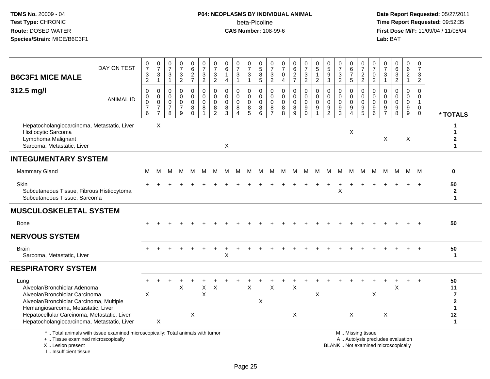## **P04: NEOPLASMS BY INDIVIDUAL ANIMAL**beta-Picoline<br>CAS Number: 108-99-6

| <b>B6C3F1 MICE MALE</b>                                                                                                                                                                                                                                | DAY ON TEST      | $\frac{0}{7}$<br>$\frac{3}{2}$                         | $\frac{0}{7}$<br>$\frac{3}{1}$                                                     | $\frac{0}{7}$<br>$\sqrt{3}$<br>$\overline{1}$          | $\frac{0}{7}$<br>$\ensuremath{\mathsf{3}}$<br>$\overline{2}$  | $_{6}^{\rm 0}$<br>$\frac{2}{7}$                  | $\begin{smallmatrix}0\\7\end{smallmatrix}$<br>$\frac{3}{2}$ | $\frac{0}{7}$<br>$\ensuremath{\mathsf{3}}$<br>$\overline{c}$ | $\mathbf 0$<br>6<br>$\overline{4}$                   | $\frac{0}{7}$<br>$\ensuremath{\mathsf{3}}$<br>$\mathbf{1}$               | $\frac{0}{7}$<br>3<br>$\mathbf{1}$              | 0<br>$\overline{5}$<br>$\,8\,$<br>$\sqrt{5}$          | 0<br>$\overline{7}$<br>$\ensuremath{\mathsf{3}}$<br>$\overline{c}$ | 0<br>$\overline{7}$<br>0<br>$\overline{4}$ | 0627                                                    | $\frac{0}{7}$<br>$\sqrt{3}$<br>$\overline{2}$    | 0<br>$\overline{5}$<br>1<br>$\overline{2}$                     | $\begin{array}{c} 0 \\ 5 \end{array}$<br>$\boldsymbol{9}$<br>$\mathbf{3}$ | $\frac{0}{7}$<br>$\frac{3}{2}$                                     | $_6^0$<br>$\overline{7}$<br>5                | $\frac{0}{7}$<br>$\frac{2}{2}$                   | 0<br>$\frac{5}{7}$<br>$\pmb{0}$<br>$\overline{2}$                                | $\pmb{0}$<br>$\overline{7}$<br>$\frac{3}{1}$                    | $\begin{array}{c} 0 \\ 6 \end{array}$<br>$\frac{3}{2}$          | $\begin{array}{c} 0 \\ 6 \end{array}$<br>$\overline{2}$<br>$\mathbf{1}$ | $\begin{smallmatrix}0\\7\end{smallmatrix}$<br>$\ensuremath{\mathsf{3}}$<br>$\overline{2}$ |                                                                                          |
|--------------------------------------------------------------------------------------------------------------------------------------------------------------------------------------------------------------------------------------------------------|------------------|--------------------------------------------------------|------------------------------------------------------------------------------------|--------------------------------------------------------|---------------------------------------------------------------|--------------------------------------------------|-------------------------------------------------------------|--------------------------------------------------------------|------------------------------------------------------|--------------------------------------------------------------------------|-------------------------------------------------|-------------------------------------------------------|--------------------------------------------------------------------|--------------------------------------------|---------------------------------------------------------|--------------------------------------------------|----------------------------------------------------------------|---------------------------------------------------------------------------|--------------------------------------------------------------------|----------------------------------------------|--------------------------------------------------|----------------------------------------------------------------------------------|-----------------------------------------------------------------|-----------------------------------------------------------------|-------------------------------------------------------------------------|-------------------------------------------------------------------------------------------|------------------------------------------------------------------------------------------|
| 312.5 mg/l                                                                                                                                                                                                                                             | <b>ANIMAL ID</b> | 0<br>$\mathsf{O}\xspace$<br>0<br>$\boldsymbol{7}$<br>6 | $\mathbf 0$<br>$\mathbf 0$<br>$\boldsymbol{0}$<br>$\overline{7}$<br>$\overline{7}$ | 0<br>$\mathbf 0$<br>$\mathbf 0$<br>$\overline{7}$<br>8 | $\mathbf 0$<br>$\mathbf 0$<br>$\Omega$<br>$\overline{7}$<br>9 | 0<br>$\mathbf 0$<br>$\mathbf 0$<br>8<br>$\Omega$ | 0<br>$\mathbf 0$<br>$\mathbf 0$<br>8<br>1                   | 0<br>$\pmb{0}$<br>$\mathbf 0$<br>$\bf8$<br>$\overline{2}$    | $\mathbf{0}$<br>$\mathbf 0$<br>$\mathbf 0$<br>8<br>3 | $\mathbf 0$<br>$\mathbf 0$<br>$\mathbf 0$<br>8<br>$\boldsymbol{\Lambda}$ | 0<br>$\mathbf 0$<br>$\mathbf 0$<br>$\bf 8$<br>5 | $\Omega$<br>$\mathsf{O}\xspace$<br>$\Omega$<br>8<br>6 | $\mathbf 0$<br>$\mathbf 0$<br>0<br>8<br>$\overline{7}$             | 0<br>$\mathbf 0$<br>$\mathbf 0$<br>8<br>8  | $\mathbf 0$<br>$\pmb{0}$<br>$\mathbf 0$<br>$\bf 8$<br>9 | 0<br>$\mathbf 0$<br>$\mathbf 0$<br>9<br>$\Omega$ | $\mathbf 0$<br>$\pmb{0}$<br>$\mathbf 0$<br>9<br>$\overline{1}$ | $\mathbf 0$<br>$\mathbf 0$<br>$\mathbf 0$<br>9<br>$\overline{2}$          | $\mathbf 0$<br>$\mathbf 0$<br>$\mathbf 0$<br>$\boldsymbol{9}$<br>3 | 0<br>0<br>$\mathbf 0$<br>9<br>$\overline{4}$ | 0<br>$\mathbf 0$<br>$\mathbf 0$<br>$\frac{9}{5}$ | $\mathbf{0}$<br>$\mathsf 0$<br>$\mathbf 0$<br>$\boldsymbol{9}$<br>$6\phantom{1}$ | $\mathbf 0$<br>$\boldsymbol{0}$<br>$\mathbf 0$<br>$\frac{9}{7}$ | $\mathbf 0$<br>$\mathbf 0$<br>$\Omega$<br>$\boldsymbol{9}$<br>8 | 0<br>$\mathbf 0$<br>$\mathbf 0$<br>$\frac{9}{9}$                        | 0<br>$\mathsf 0$<br>$\mathbf{1}$<br>$\overline{0}$<br>$\mathbf 0$                         | * TOTALS                                                                                 |
| Hepatocholangiocarcinoma, Metastatic, Liver<br>Histiocytic Sarcoma<br>Lymphoma Malignant<br>Sarcoma, Metastatic, Liver                                                                                                                                 |                  |                                                        | X                                                                                  |                                                        |                                                               |                                                  |                                                             |                                                              | X                                                    |                                                                          |                                                 |                                                       |                                                                    |                                            |                                                         |                                                  |                                                                |                                                                           |                                                                    | X                                            |                                                  |                                                                                  | X                                                               |                                                                 | X                                                                       |                                                                                           | 1<br>2                                                                                   |
| <b>INTEGUMENTARY SYSTEM</b>                                                                                                                                                                                                                            |                  |                                                        |                                                                                    |                                                        |                                                               |                                                  |                                                             |                                                              |                                                      |                                                                          |                                                 |                                                       |                                                                    |                                            |                                                         |                                                  |                                                                |                                                                           |                                                                    |                                              |                                                  |                                                                                  |                                                                 |                                                                 |                                                                         |                                                                                           |                                                                                          |
| <b>Mammary Gland</b>                                                                                                                                                                                                                                   |                  | м                                                      | M                                                                                  | м                                                      |                                                               | M M                                              | M                                                           | M                                                            | M                                                    | м                                                                        | M                                               | M                                                     | M                                                                  | M                                          |                                                         | M M                                              | M                                                              | M                                                                         | M                                                                  | M                                            | M                                                | M                                                                                | M                                                               | M                                                               |                                                                         | M M                                                                                       | $\bf{0}$                                                                                 |
| <b>Skin</b><br>Subcutaneous Tissue, Fibrous Histiocytoma<br>Subcutaneous Tissue, Sarcoma                                                                                                                                                               |                  |                                                        |                                                                                    |                                                        |                                                               |                                                  |                                                             |                                                              |                                                      |                                                                          |                                                 |                                                       |                                                                    |                                            |                                                         |                                                  |                                                                |                                                                           | X                                                                  |                                              |                                                  |                                                                                  |                                                                 |                                                                 |                                                                         |                                                                                           | 50<br>$\boldsymbol{2}$<br>1                                                              |
| <b>MUSCULOSKELETAL SYSTEM</b>                                                                                                                                                                                                                          |                  |                                                        |                                                                                    |                                                        |                                                               |                                                  |                                                             |                                                              |                                                      |                                                                          |                                                 |                                                       |                                                                    |                                            |                                                         |                                                  |                                                                |                                                                           |                                                                    |                                              |                                                  |                                                                                  |                                                                 |                                                                 |                                                                         |                                                                                           |                                                                                          |
| Bone                                                                                                                                                                                                                                                   |                  |                                                        |                                                                                    |                                                        |                                                               |                                                  |                                                             |                                                              |                                                      |                                                                          |                                                 |                                                       |                                                                    |                                            |                                                         |                                                  |                                                                |                                                                           |                                                                    |                                              |                                                  |                                                                                  |                                                                 |                                                                 |                                                                         |                                                                                           | 50                                                                                       |
| <b>NERVOUS SYSTEM</b>                                                                                                                                                                                                                                  |                  |                                                        |                                                                                    |                                                        |                                                               |                                                  |                                                             |                                                              |                                                      |                                                                          |                                                 |                                                       |                                                                    |                                            |                                                         |                                                  |                                                                |                                                                           |                                                                    |                                              |                                                  |                                                                                  |                                                                 |                                                                 |                                                                         |                                                                                           |                                                                                          |
| <b>Brain</b><br>Sarcoma, Metastatic, Liver                                                                                                                                                                                                             |                  |                                                        |                                                                                    |                                                        |                                                               |                                                  |                                                             |                                                              | Χ                                                    |                                                                          |                                                 |                                                       |                                                                    |                                            |                                                         |                                                  |                                                                |                                                                           |                                                                    |                                              |                                                  |                                                                                  |                                                                 |                                                                 |                                                                         |                                                                                           | 50<br>$\mathbf{1}$                                                                       |
| <b>RESPIRATORY SYSTEM</b>                                                                                                                                                                                                                              |                  |                                                        |                                                                                    |                                                        |                                                               |                                                  |                                                             |                                                              |                                                      |                                                                          |                                                 |                                                       |                                                                    |                                            |                                                         |                                                  |                                                                |                                                                           |                                                                    |                                              |                                                  |                                                                                  |                                                                 |                                                                 |                                                                         |                                                                                           |                                                                                          |
| Lung<br>Alveolar/Bronchiolar Adenoma<br>Alveolar/Bronchiolar Carcinoma<br>Alveolar/Bronchiolar Carcinoma, Multiple<br>Hemangiosarcoma, Metastatic, Liver<br>Hepatocellular Carcinoma, Metastatic, Liver<br>Hepatocholangiocarcinoma, Metastatic, Liver |                  | X                                                      | X                                                                                  |                                                        | Χ                                                             | X                                                | $\mathsf X$<br>$\sf X$                                      | $\times$                                                     |                                                      |                                                                          | $\mathsf{X}$                                    | X                                                     | X                                                                  |                                            | $\times$<br>X                                           |                                                  | $\boldsymbol{\mathsf{X}}$                                      |                                                                           |                                                                    | X                                            |                                                  | $\mathsf X$                                                                      | X                                                               | X                                                               |                                                                         |                                                                                           | 50<br>11<br>$\overline{\mathbf{r}}$<br>$\mathbf{2}$<br>$\mathbf{1}$<br>12<br>$\mathbf 1$ |
| *  Total animals with tissue examined microscopically; Total animals with tumor<br>+  Tissue examined microscopically<br>X  Lesion present<br>I., Insufficient tissue                                                                                  |                  |                                                        |                                                                                    |                                                        |                                                               |                                                  |                                                             |                                                              |                                                      |                                                                          |                                                 |                                                       |                                                                    |                                            |                                                         |                                                  |                                                                |                                                                           | BLANK  Not examined microscopically                                |                                              | M  Missing tissue                                |                                                                                  |                                                                 | A  Autolysis precludes evaluation                               |                                                                         |                                                                                           |                                                                                          |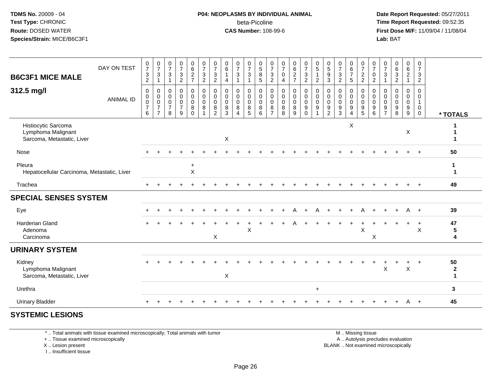#### **P04: NEOPLASMS BY INDIVIDUAL ANIMAL**beta-Picoline<br>CAS Number: 108-99-6

 **Date Report Requested:** 05/27/2011 **Time Report Requested:** 09:52:35 **First Dose M/F:** 11/09/04 / 11/08/04<br>Lab: BAT **Lab:** BAT

| <b>B6C3F1 MICE MALE</b>                                                 | DAY ON TEST      | $\frac{0}{7}$<br>$\frac{3}{2}$                                 | $\frac{0}{7}$<br>$\sqrt{3}$<br>$\mathbf{1}$                                      | $\frac{0}{7}$<br>$\ensuremath{\mathsf{3}}$<br>$\mathbf{1}$     | $\frac{0}{7}$<br>$\frac{3}{2}$                                 | 0627                                                                   | $\frac{0}{7}$<br>$\frac{3}{2}$                    | $\frac{0}{7}$<br>$\ensuremath{\mathsf{3}}$<br>$\overline{2}$  | $\begin{array}{c} 0 \\ 6 \end{array}$<br>$\overline{1}$<br>$\overline{\mathbf{4}}$ | $\frac{0}{7}$<br>3                   | $\frac{0}{7}$<br>$\ensuremath{\mathsf{3}}$<br>$\mathbf{1}$           | 0<br>5<br>8<br>5                                           | $\frac{0}{7}$<br>$\frac{3}{2}$                                                        | $\frac{0}{7}$<br>$\pmb{0}$<br>$\overline{\mathbf{4}}$                 | $_{6}^{\rm 0}$<br>$\frac{2}{7}$                                   | $\frac{0}{7}$<br>$\frac{3}{2}$                                                  | $\begin{array}{c} 0 \\ 5 \end{array}$<br>$\mathbf{1}$<br>$\overline{c}$ | $\begin{array}{c} 0 \\ 5 \end{array}$<br>$\frac{9}{3}$                          | $\frac{0}{7}$<br>$\frac{3}{2}$                                     | $\begin{array}{c} 0 \\ 6 \\ 7 \end{array}$<br>$\sqrt{5}$                      | $\frac{0}{7}$<br>$\frac{2}{2}$                                     | $\frac{0}{7}$<br>$\boldsymbol{0}$<br>$\overline{2}$ | $\frac{0}{7}$<br>$\ensuremath{\mathsf{3}}$<br>$\mathbf{1}$ | $\begin{array}{c} 0 \\ 6 \\ 3 \\ 2 \end{array}$                    | $\begin{matrix} 0 \\ 6 \end{matrix}$<br>$\frac{2}{1}$      | $\frac{0}{7}$<br>$\sqrt{3}$<br>$\overline{2}$                            |                                            |
|-------------------------------------------------------------------------|------------------|----------------------------------------------------------------|----------------------------------------------------------------------------------|----------------------------------------------------------------|----------------------------------------------------------------|------------------------------------------------------------------------|---------------------------------------------------|---------------------------------------------------------------|------------------------------------------------------------------------------------|--------------------------------------|----------------------------------------------------------------------|------------------------------------------------------------|---------------------------------------------------------------------------------------|-----------------------------------------------------------------------|-------------------------------------------------------------------|---------------------------------------------------------------------------------|-------------------------------------------------------------------------|---------------------------------------------------------------------------------|--------------------------------------------------------------------|-------------------------------------------------------------------------------|--------------------------------------------------------------------|-----------------------------------------------------|------------------------------------------------------------|--------------------------------------------------------------------|------------------------------------------------------------|--------------------------------------------------------------------------|--------------------------------------------|
| 312.5 mg/l                                                              | <b>ANIMAL ID</b> | $\mathbf 0$<br>$\pmb{0}$<br>$\pmb{0}$<br>$\boldsymbol{7}$<br>6 | $\mathbf 0$<br>$\boldsymbol{0}$<br>$\pmb{0}$<br>$\overline{7}$<br>$\overline{7}$ | $\mathbf 0$<br>$\pmb{0}$<br>$\pmb{0}$<br>$\boldsymbol{7}$<br>8 | 0<br>$\mathsf{O}\xspace$<br>$\mathbf 0$<br>$\overline{7}$<br>9 | $\mathbf 0$<br>$\overline{0}$<br>$\mathbf 0$<br>$\bf 8$<br>$\mathbf 0$ | $\mathbf 0$<br>$\pmb{0}$<br>$\mathbf 0$<br>$\, 8$ | $\mathbf 0$<br>$\mathbf 0$<br>$\Omega$<br>8<br>$\overline{2}$ | $\mathbf 0$<br>$\boldsymbol{0}$<br>$\mathbf 0$<br>$\bf 8$<br>3                     | 0<br>$\mathbf 0$<br>$\mathbf 0$<br>8 | 0<br>$\mathsf{O}\xspace$<br>$\mathbf 0$<br>$\bf 8$<br>$\overline{5}$ | 0<br>$\pmb{0}$<br>$\mathsf 0$<br>$\bf 8$<br>$6\phantom{1}$ | $\boldsymbol{0}$<br>$\pmb{0}$<br>$\mathbf 0$<br>$\begin{array}{c} 8 \\ 7 \end{array}$ | $\mathbf 0$<br>$\mathsf 0$<br>$\mathbf 0$<br>$\, 8$<br>$\overline{8}$ | $\mathbf 0$<br>$\mathsf{O}\xspace$<br>$\mathbf 0$<br>$\bf 8$<br>9 | $\mathbf 0$<br>$\overline{0}$<br>$\mathbf 0$<br>$\boldsymbol{9}$<br>$\mathbf 0$ | $\pmb{0}$<br>$\pmb{0}$<br>$\pmb{0}$<br>$\boldsymbol{9}$                 | $\mathbf 0$<br>$\mathbf 0$<br>$\mathbf 0$<br>$\boldsymbol{9}$<br>$\overline{2}$ | $\mathbf 0$<br>$\mathbf 0$<br>$\mathbf 0$<br>$\boldsymbol{9}$<br>3 | 0<br>$\mathbf 0$<br>$\mathsf{O}\xspace$<br>$\boldsymbol{9}$<br>$\overline{4}$ | $\mathbf 0$<br>$\mathsf{O}\xspace$<br>$\mathbf 0$<br>$\frac{9}{5}$ | $\mathbf 0$<br>0<br>$\mathbf 0$<br>9<br>6           | $\mathbf 0$<br>0<br>$\mathbf 0$<br>9<br>$\overline{7}$     | $\mathbf 0$<br>$\mathsf 0$<br>$\mathbf 0$<br>$\boldsymbol{9}$<br>8 | 0<br>$\mathbf 0$<br>$\pmb{0}$<br>$\boldsymbol{9}$<br>$9\,$ | $\mathbf 0$<br>$\mathbf 0$<br>$\mathbf{1}$<br>$\mathbf 0$<br>$\mathbf 0$ | * TOTALS                                   |
| Histiocytic Sarcoma<br>Lymphoma Malignant<br>Sarcoma, Metastatic, Liver |                  |                                                                |                                                                                  |                                                                |                                                                |                                                                        |                                                   |                                                               | $\boldsymbol{\mathsf{X}}$                                                          |                                      |                                                                      |                                                            |                                                                                       |                                                                       |                                                                   |                                                                                 |                                                                         |                                                                                 |                                                                    | X                                                                             |                                                                    |                                                     |                                                            |                                                                    | $\mathsf X$                                                |                                                                          | 1                                          |
| Nose                                                                    |                  |                                                                |                                                                                  |                                                                |                                                                |                                                                        |                                                   |                                                               |                                                                                    |                                      |                                                                      |                                                            |                                                                                       |                                                                       |                                                                   |                                                                                 |                                                                         |                                                                                 |                                                                    |                                                                               |                                                                    |                                                     |                                                            |                                                                    |                                                            |                                                                          | 50                                         |
| Pleura<br>Hepatocellular Carcinoma, Metastatic, Liver                   |                  |                                                                |                                                                                  |                                                                |                                                                | $\ddot{}$<br>X                                                         |                                                   |                                                               |                                                                                    |                                      |                                                                      |                                                            |                                                                                       |                                                                       |                                                                   |                                                                                 |                                                                         |                                                                                 |                                                                    |                                                                               |                                                                    |                                                     |                                                            |                                                                    |                                                            |                                                                          | 1<br>1                                     |
| Trachea                                                                 |                  | $+$                                                            |                                                                                  |                                                                |                                                                |                                                                        |                                                   |                                                               |                                                                                    |                                      |                                                                      |                                                            |                                                                                       |                                                                       |                                                                   |                                                                                 |                                                                         |                                                                                 |                                                                    |                                                                               |                                                                    |                                                     |                                                            |                                                                    | $\ddot{}$                                                  | $^{+}$                                                                   | 49                                         |
| <b>SPECIAL SENSES SYSTEM</b>                                            |                  |                                                                |                                                                                  |                                                                |                                                                |                                                                        |                                                   |                                                               |                                                                                    |                                      |                                                                      |                                                            |                                                                                       |                                                                       |                                                                   |                                                                                 |                                                                         |                                                                                 |                                                                    |                                                                               |                                                                    |                                                     |                                                            |                                                                    |                                                            |                                                                          |                                            |
| Eye                                                                     |                  |                                                                |                                                                                  |                                                                |                                                                |                                                                        |                                                   |                                                               |                                                                                    |                                      |                                                                      |                                                            |                                                                                       |                                                                       |                                                                   |                                                                                 | А                                                                       |                                                                                 |                                                                    |                                                                               |                                                                    |                                                     |                                                            |                                                                    | Α                                                          | $+$                                                                      | 39                                         |
| Harderian Gland<br>Adenoma<br>Carcinoma                                 |                  |                                                                |                                                                                  |                                                                |                                                                |                                                                        |                                                   | X                                                             |                                                                                    |                                      | X                                                                    |                                                            |                                                                                       |                                                                       |                                                                   |                                                                                 |                                                                         |                                                                                 |                                                                    |                                                                               | $\times$                                                           | $\mathsf X$                                         |                                                            |                                                                    | $\ddot{}$                                                  | $\ddot{}$<br>$\boldsymbol{\mathsf{X}}$                                   | 47<br>${\bf 5}$<br>$\overline{\mathbf{4}}$ |
| <b>URINARY SYSTEM</b>                                                   |                  |                                                                |                                                                                  |                                                                |                                                                |                                                                        |                                                   |                                                               |                                                                                    |                                      |                                                                      |                                                            |                                                                                       |                                                                       |                                                                   |                                                                                 |                                                                         |                                                                                 |                                                                    |                                                                               |                                                                    |                                                     |                                                            |                                                                    |                                                            |                                                                          |                                            |
| Kidney<br>Lymphoma Malignant<br>Sarcoma, Metastatic, Liver              |                  |                                                                |                                                                                  |                                                                |                                                                |                                                                        |                                                   |                                                               | $\boldsymbol{\mathsf{X}}$                                                          |                                      |                                                                      |                                                            |                                                                                       |                                                                       |                                                                   |                                                                                 |                                                                         |                                                                                 |                                                                    |                                                                               |                                                                    |                                                     | X                                                          |                                                                    | $\sf X$                                                    |                                                                          | 50<br>$\boldsymbol{2}$<br>$\mathbf{1}$     |
| Urethra                                                                 |                  |                                                                |                                                                                  |                                                                |                                                                |                                                                        |                                                   |                                                               |                                                                                    |                                      |                                                                      |                                                            |                                                                                       |                                                                       |                                                                   |                                                                                 | $+$                                                                     |                                                                                 |                                                                    |                                                                               |                                                                    |                                                     |                                                            |                                                                    |                                                            |                                                                          | 3                                          |
| <b>Urinary Bladder</b>                                                  |                  |                                                                |                                                                                  |                                                                |                                                                |                                                                        |                                                   |                                                               |                                                                                    |                                      |                                                                      |                                                            |                                                                                       |                                                                       |                                                                   |                                                                                 |                                                                         |                                                                                 |                                                                    |                                                                               |                                                                    |                                                     |                                                            |                                                                    | A                                                          | $+$                                                                      | 45                                         |
|                                                                         |                  |                                                                |                                                                                  |                                                                |                                                                |                                                                        |                                                   |                                                               |                                                                                    |                                      |                                                                      |                                                            |                                                                                       |                                                                       |                                                                   |                                                                                 |                                                                         |                                                                                 |                                                                    |                                                                               |                                                                    |                                                     |                                                            |                                                                    |                                                            |                                                                          |                                            |

**SYSTEMIC LESIONS**

\* .. Total animals with tissue examined microscopically; Total animals with tumor

+ .. Tissue examined microscopically

 Lesion present BLANK .. Not examined microscopicallyX .. Lesion present

I .. Insufficient tissue

M .. Missing tissue

y the contract of the contract of the contract of the contract of the contract of the contract of the contract of  $A$ . Autolysis precludes evaluation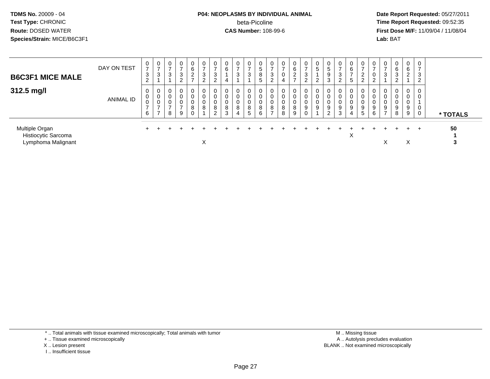## **P04: NEOPLASMS BY INDIVIDUAL ANIMAL**beta-Picoline<br>CAS Number: 108-99-6

 **Date Report Requested:** 05/27/2011 **Time Report Requested:** 09:52:35 **First Dose M/F:** 11/09/04 / 11/08/04<br>Lab: BAT **Lab:** BAT

| <b>B6C3F1 MICE MALE</b>                                     | DAY ON TEST      | $\rightarrow$<br>3<br>$\epsilon$   | $\overline{0}$<br>$\rightarrow$<br>3 | 0<br>3      | 0<br>$\rightarrow$<br>3<br>ົ<br>$\epsilon$ | $\mathbf 0$<br>6<br>$\overline{2}$<br>$\rightarrow$ | 0<br>$\rightarrow$<br>3<br>2 | 0<br>$\sim$<br>J<br>$\epsilon$ | 6                | 0<br>3                      | 0<br>-<br>3           | 0<br>$\mathbf{p}$<br>8<br>5 | 0<br>3<br>$\sim$<br>∠             | 0<br>$\rightarrow$<br>4    | 0<br>6<br>ົ<br>$\sim$<br>$\rightarrow$ | 0<br>$\rightarrow$<br>3<br>$\overline{c}$ | 0<br>$\sqrt{5}$<br>റ<br>$\epsilon$ | 0<br>$\sqrt{5}$<br>9<br>3          | 0<br>$\rightarrow$<br>3<br>2 | $\mathbf 0$<br>6<br>5 | $\rightarrow$<br>2<br>2   | $\mathbf{0}$<br>$\rightarrow$<br>0<br>$\sim$<br>$\epsilon$ | U<br>J.     | 0<br>6<br>3                      | $\overline{0}$<br>6<br>$\overline{2}$ | $\overline{0}$<br>$\overline{ }$<br>3<br>$\overline{2}$ |          |
|-------------------------------------------------------------|------------------|------------------------------------|--------------------------------------|-------------|--------------------------------------------|-----------------------------------------------------|------------------------------|--------------------------------|------------------|-----------------------------|-----------------------|-----------------------------|-----------------------------------|----------------------------|----------------------------------------|-------------------------------------------|------------------------------------|------------------------------------|------------------------------|-----------------------|---------------------------|------------------------------------------------------------|-------------|----------------------------------|---------------------------------------|---------------------------------------------------------|----------|
| 312.5 mg/l                                                  | <b>ANIMAL ID</b> | 0<br>0<br>U<br>$\overline{ }$<br>6 | 0<br>0<br>0<br>$\rightarrow$         | 0<br>υ<br>8 | 0<br>0<br>0<br>$\overline{ }$<br>9         | 0<br>0<br>0<br>8<br>0                               | 0<br>v<br>8                  | 8<br>$\sim$                    | 0<br>0<br>8<br>3 | $\mathbf{0}$<br>U<br>8<br>4 | 0<br>0<br>0<br>8<br>5 | 0<br>0<br>8<br>6            | 0<br>0<br>0<br>8<br>$\rightarrow$ | $\mathbf 0$<br>0<br>8<br>8 | 0<br>n<br>0<br>8<br>9                  | 0<br>0<br>9<br>0                          | 0<br>0<br>0<br>$9\,$               | 0<br>0<br>0<br>9<br>$\overline{2}$ | 0<br>0<br>0<br>9<br>3        | 0<br>U<br>9<br>4      | υ<br>9<br>$5\phantom{.0}$ | 0<br>0<br>0<br>9<br>6                                      | U<br>9<br>- | $\mathbf{0}$<br>0<br>0<br>9<br>8 | $\mathbf{0}$<br>0<br>U<br>9<br>9      | 0<br>0<br>0<br>0                                        | * TOTALS |
| Multiple Organ<br>Histiocytic Sarcoma<br>Lymphoma Malignant |                  |                                    |                                      |             |                                            |                                                     | Χ                            |                                |                  |                             |                       |                             |                                   |                            |                                        |                                           |                                    |                                    |                              | ⋏                     |                           |                                                            | ⌒           |                                  | $\check{ }$<br>∧                      | $\div$                                                  | 50       |

\* .. Total animals with tissue examined microscopically; Total animals with tumor

+ .. Tissue examined microscopically

- X .. Lesion present
- I .. Insufficient tissue

 M .. Missing tissuey the contract of the contract of the contract of the contract of the contract of the contract of the contract of  $A$ . Autolysis precludes evaluation Lesion present BLANK .. Not examined microscopically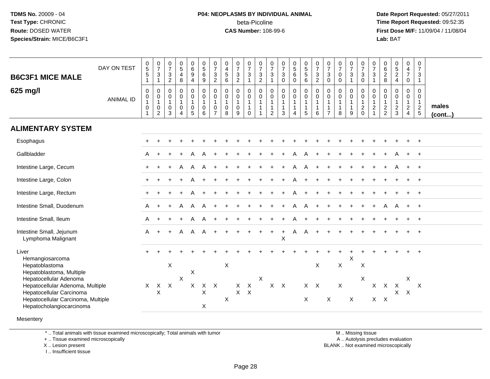## **P04: NEOPLASMS BY INDIVIDUAL ANIMAL**beta-Picoline<br>CAS Number: 108-99-6

 **Date Report Requested:** 05/27/2011 **Time Report Requested:** 09:52:35 **First Dose M/F:** 11/09/04 / 11/08/04<br>Lab: BAT **Lab:** BAT

| <b>B6C3F1 MICE MALE</b>                                                                                                                                                                                | DAY ON TEST      | $\begin{array}{c} 0 \\ 5 \end{array}$<br>$\overline{5}$<br>$\mathbf{1}$ | $\frac{0}{7}$<br>$\ensuremath{\mathsf{3}}$<br>$\mathbf{1}$                      | $\frac{0}{7}$<br>$\frac{3}{2}$                            | $\begin{array}{c} 0 \\ 5 \end{array}$<br>$\overline{4}$<br>8            | $\begin{matrix} 0 \\ 6 \end{matrix}$<br>$\boldsymbol{9}$<br>$\overline{\mathbf{4}}$ | 0<br>5<br>6<br>9                                                  | $\frac{0}{7}$<br>$\frac{3}{2}$                                                    | 0<br>$\overline{4}$<br>$\sqrt{5}$<br>6      | $\frac{0}{7}$<br>$\frac{3}{2}$                                         | $\frac{0}{7}$<br>$\ensuremath{\mathsf{3}}$<br>$\mathbf{1}$    | $\frac{0}{7}$<br>$\frac{3}{2}$                              | $\frac{0}{7}$<br>$\ensuremath{\mathsf{3}}$<br>$\mathbf{1}$               | $\frac{0}{7}$<br>$\ensuremath{\mathsf{3}}$<br>$\mathbf 0$             | $\begin{array}{c} 0 \\ 5 \\ 6 \end{array}$<br>$\pmb{0}$ | 0<br>5<br>5<br>6                                                                                    | $\frac{0}{7}$<br>$\frac{3}{2}$                                                      | $\frac{0}{7}$<br>$\mathbf{3}$<br>$\mathbf 0$ | $\frac{0}{7}$<br>$\mathbf 0$<br>$\mathsf{O}\xspace$         | $\frac{0}{7}$<br>$\ensuremath{\mathsf{3}}$<br>$\mathbf{1}$  | 0<br>$\overline{7}$<br>$\ensuremath{\mathsf{3}}$<br>$\mathbf 0$ | $\frac{0}{7}$<br>$\mathbf{3}$<br>$\overline{1}$                | $\begin{matrix} 0 \\ 6 \end{matrix}$<br>$\overline{2}$<br>$\bf 8$ | $\frac{0}{5}$<br>2<br>4                                     | 0<br>4<br>$\overline{7}$<br>0                                       | 0<br>$\overline{7}$<br>3<br>$\mathbf{1}$                          |                       |
|--------------------------------------------------------------------------------------------------------------------------------------------------------------------------------------------------------|------------------|-------------------------------------------------------------------------|---------------------------------------------------------------------------------|-----------------------------------------------------------|-------------------------------------------------------------------------|-------------------------------------------------------------------------------------|-------------------------------------------------------------------|-----------------------------------------------------------------------------------|---------------------------------------------|------------------------------------------------------------------------|---------------------------------------------------------------|-------------------------------------------------------------|--------------------------------------------------------------------------|-----------------------------------------------------------------------|---------------------------------------------------------|-----------------------------------------------------------------------------------------------------|-------------------------------------------------------------------------------------|----------------------------------------------|-------------------------------------------------------------|-------------------------------------------------------------|-----------------------------------------------------------------|----------------------------------------------------------------|-------------------------------------------------------------------|-------------------------------------------------------------|---------------------------------------------------------------------|-------------------------------------------------------------------|-----------------------|
| 625 mg/l                                                                                                                                                                                               | <b>ANIMAL ID</b> | $\pmb{0}$<br>$\pmb{0}$<br>$\mathbf{1}$<br>0                             | $\pmb{0}$<br>$\ddot{\mathbf{0}}$<br>$\mathbf{1}$<br>$\pmb{0}$<br>$\overline{c}$ | $\boldsymbol{0}$<br>$\pmb{0}$<br>$\overline{1}$<br>0<br>3 | $\pmb{0}$<br>$\mathbf 0$<br>$\mathbf{1}$<br>$\pmb{0}$<br>$\overline{4}$ | $\mathbf 0$<br>$\mathsf{O}\xspace$<br>$\mathbf{1}$<br>$\pmb{0}$<br>5                | $_{\rm 0}^{\rm 0}$<br>$\mathbf{1}$<br>$\pmb{0}$<br>$\overline{6}$ | $\pmb{0}$<br>$\ddot{\mathbf{0}}$<br>$\mathbf{1}$<br>$\mathbf 0$<br>$\overline{7}$ | 0<br>$\pmb{0}$<br>$\mathbf{1}$<br>0<br>8    | $\mathbf 0$<br>$\ddot{\mathbf{0}}$<br>$\mathbf{1}$<br>$\mathbf 0$<br>9 | 0<br>$\mathsf{O}\xspace$<br>$\mathbf{1}$<br>$\mathbf{1}$<br>0 | $\pmb{0}$<br>$\overline{0}$<br>$\mathbf{1}$<br>$\mathbf{1}$ | $\pmb{0}$<br>$\pmb{0}$<br>$\mathbf{1}$<br>$\mathbf{1}$<br>$\overline{2}$ | $\pmb{0}$<br>$\ddot{\mathbf{0}}$<br>$\mathbf{1}$<br>$\mathbf{1}$<br>3 | $_{\rm 0}^{\rm 0}$<br>$\mathbf{1}$<br>$\mathbf{1}$<br>4 | $\begin{smallmatrix} 0\\0 \end{smallmatrix}$<br>$\overline{1}$<br>$\overline{1}$<br>$5\phantom{.0}$ | $\begin{smallmatrix} 0\\0 \end{smallmatrix}$<br>$\overline{1}$<br>$\mathbf{1}$<br>6 | $\mathbf 0$<br>$\mathsf 0$<br>$\overline{7}$ | $\pmb{0}$<br>$\pmb{0}$<br>$\mathbf{1}$<br>$\mathbf{1}$<br>8 | $\pmb{0}$<br>$\pmb{0}$<br>$\mathbf{1}$<br>$\mathbf{1}$<br>9 | $\mathbf 0$<br>$\mathbf 0$<br>$\overline{1}$<br>$^2_{\rm 0}$    | $\mathbf 0$<br>$\overline{0}$<br>$\mathbf{1}$<br>$\frac{2}{1}$ | $\mathbf 0$<br>$\boldsymbol{0}$<br>$\mathbf{1}$<br>$\frac{2}{2}$  | $\mathbf 0$<br>$\mathbf 0$<br>$\mathbf{1}$<br>$\frac{2}{3}$ | $\mathbf 0$<br>$\mathsf{O}\xspace$<br>$\mathbf{1}$<br>$\frac{2}{4}$ | $\mathsf{O}\xspace$<br>$\mathbf 0$<br>$\mathbf{1}$<br>$rac{2}{5}$ | males<br>$($ cont $)$ |
| <b>ALIMENTARY SYSTEM</b>                                                                                                                                                                               |                  |                                                                         |                                                                                 |                                                           |                                                                         |                                                                                     |                                                                   |                                                                                   |                                             |                                                                        |                                                               |                                                             |                                                                          |                                                                       |                                                         |                                                                                                     |                                                                                     |                                              |                                                             |                                                             |                                                                 |                                                                |                                                                   |                                                             |                                                                     |                                                                   |                       |
| Esophagus                                                                                                                                                                                              |                  |                                                                         |                                                                                 |                                                           |                                                                         |                                                                                     |                                                                   |                                                                                   |                                             |                                                                        |                                                               |                                                             |                                                                          |                                                                       |                                                         |                                                                                                     |                                                                                     |                                              |                                                             |                                                             |                                                                 |                                                                |                                                                   |                                                             |                                                                     |                                                                   |                       |
| Gallbladder                                                                                                                                                                                            |                  | A                                                                       |                                                                                 |                                                           |                                                                         |                                                                                     |                                                                   |                                                                                   |                                             |                                                                        |                                                               |                                                             |                                                                          |                                                                       |                                                         |                                                                                                     |                                                                                     |                                              |                                                             |                                                             |                                                                 |                                                                |                                                                   |                                                             |                                                                     | $+$                                                               |                       |
| Intestine Large, Cecum                                                                                                                                                                                 |                  |                                                                         |                                                                                 |                                                           | A                                                                       | A                                                                                   |                                                                   |                                                                                   |                                             |                                                                        |                                                               |                                                             |                                                                          |                                                                       |                                                         | A                                                                                                   |                                                                                     |                                              |                                                             |                                                             |                                                                 |                                                                |                                                                   |                                                             | $+$                                                                 | $+$                                                               |                       |
| Intestine Large, Colon                                                                                                                                                                                 |                  |                                                                         |                                                                                 |                                                           |                                                                         |                                                                                     |                                                                   |                                                                                   |                                             |                                                                        |                                                               |                                                             |                                                                          |                                                                       |                                                         |                                                                                                     |                                                                                     |                                              |                                                             |                                                             |                                                                 |                                                                |                                                                   |                                                             |                                                                     | $\ddot{}$                                                         |                       |
| Intestine Large, Rectum                                                                                                                                                                                |                  | $+$                                                                     |                                                                                 |                                                           |                                                                         |                                                                                     |                                                                   |                                                                                   |                                             |                                                                        |                                                               |                                                             |                                                                          |                                                                       |                                                         |                                                                                                     |                                                                                     |                                              |                                                             |                                                             |                                                                 |                                                                |                                                                   |                                                             |                                                                     | $\ddot{}$                                                         |                       |
| Intestine Small, Duodenum                                                                                                                                                                              |                  | A                                                                       |                                                                                 |                                                           |                                                                         | A                                                                                   |                                                                   |                                                                                   |                                             |                                                                        |                                                               |                                                             |                                                                          |                                                                       |                                                         |                                                                                                     |                                                                                     |                                              |                                                             |                                                             |                                                                 |                                                                |                                                                   |                                                             |                                                                     | $\overline{+}$                                                    |                       |
| Intestine Small, Ileum                                                                                                                                                                                 |                  | A                                                                       |                                                                                 |                                                           |                                                                         | A                                                                                   |                                                                   |                                                                                   |                                             |                                                                        |                                                               |                                                             |                                                                          |                                                                       |                                                         |                                                                                                     |                                                                                     |                                              |                                                             |                                                             |                                                                 |                                                                |                                                                   |                                                             |                                                                     |                                                                   |                       |
| Intestine Small, Jejunum<br>Lymphoma Malignant                                                                                                                                                         |                  | A                                                                       | $\ddot{}$                                                                       |                                                           | A                                                                       | A                                                                                   | A                                                                 | $\ddot{}$                                                                         |                                             |                                                                        |                                                               |                                                             | $\ddot{}$                                                                | $\ddot{}$<br>X                                                        | A                                                       | A                                                                                                   |                                                                                     |                                              |                                                             |                                                             |                                                                 |                                                                |                                                                   |                                                             |                                                                     | $\div$                                                            |                       |
| Liver<br>Hemangiosarcoma                                                                                                                                                                               |                  | $+$                                                                     |                                                                                 |                                                           |                                                                         |                                                                                     |                                                                   |                                                                                   |                                             |                                                                        |                                                               |                                                             |                                                                          |                                                                       |                                                         |                                                                                                     |                                                                                     |                                              |                                                             | $\sf X$                                                     |                                                                 |                                                                |                                                                   |                                                             |                                                                     | $\ddot{+}$                                                        |                       |
| Hepatoblastoma<br>Hepatoblastoma, Multiple<br>Hepatocellular Adenoma<br>Hepatocellular Adenoma, Multiple<br>Hepatocellular Carcinoma<br>Hepatocellular Carcinoma, Multiple<br>Hepatocholangiocarcinoma |                  | $\times$                                                                | X                                                                               | $\mathsf X$<br>$X$ $X$                                    | $\boldsymbol{\mathsf{X}}$                                               | X<br>X                                                                              | Χ<br>X                                                            | $X$ $X$                                                                           | $\boldsymbol{\mathsf{X}}$<br>$\pmb{\times}$ | $\mathsf{X}$<br>$X$ $X$                                                | $\boldsymbol{\mathsf{X}}$                                     | $\times$                                                    |                                                                          | $X$ $X$                                                               |                                                         | X                                                                                                   | X<br>$X$ $X$                                                                        | $\boldsymbol{\mathsf{X}}$                    | $\boldsymbol{\mathsf{X}}$<br>$\boldsymbol{\mathsf{X}}$      | X                                                           | $\mathsf X$<br>Χ                                                | $\mathsf{X}$                                                   | $\mathsf{X}$<br>$X$ $X$                                           | $\boldsymbol{\mathsf{X}}$<br>X.                             | Χ<br>$\mathsf{X}$                                                   | $\mathsf{X}$                                                      |                       |
|                                                                                                                                                                                                        |                  |                                                                         |                                                                                 |                                                           |                                                                         |                                                                                     |                                                                   |                                                                                   |                                             |                                                                        |                                                               |                                                             |                                                                          |                                                                       |                                                         |                                                                                                     |                                                                                     |                                              |                                                             |                                                             |                                                                 |                                                                |                                                                   |                                                             |                                                                     |                                                                   |                       |

**Mesentery** 

\* .. Total animals with tissue examined microscopically; Total animals with tumor

+ .. Tissue examined microscopically

X .. Lesion present

I .. Insufficient tissue

 M .. Missing tissuey the contract of the contract of the contract of the contract of the contract of the contract of the contract of  $A$ . Autolysis precludes evaluation Lesion present BLANK .. Not examined microscopically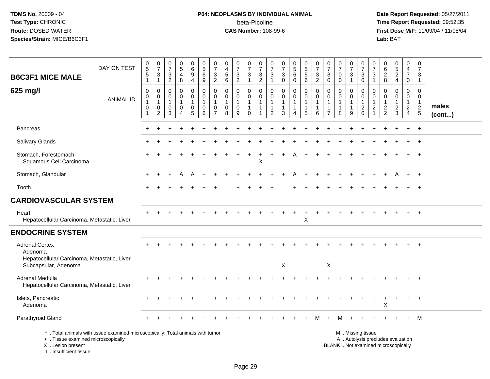# **P04: NEOPLASMS BY INDIVIDUAL ANIMAL**beta-Picoline<br>CAS Number: 108-99-6

 **Date Report Requested:** 05/27/2011 **Time Report Requested:** 09:52:35 **First Dose M/F:** 11/09/04 / 11/08/04<br>Lab: BAT **Lab:** BAT

| <b>B6C3F1 MICE MALE</b>                                                         | DAY ON TEST                                                                     | $\begin{array}{c} 0 \\ 5 \end{array}$<br>$\overline{5}$<br>$\mathbf{1}$ | $\frac{0}{7}$<br>3<br>$\mathbf{1}$              | $\frac{0}{7}$<br>$\sqrt{3}$<br>$\overline{2}$                  | $\begin{array}{c} 0 \\ 5 \end{array}$<br>4<br>$\,8\,$ | 0<br>6<br>9<br>$\overline{4}$              | $\begin{array}{c} 0 \\ 5 \end{array}$<br>$\overline{6}$<br>9   | $\frac{0}{7}$<br>$\ensuremath{\mathsf{3}}$<br>$\overline{2}$ | $\begin{smallmatrix}0\0\4\end{smallmatrix}$<br>$\sqrt{5}$<br>$\,6\,$ | $\frac{0}{7}$<br>$\frac{3}{2}$                     | $\frac{0}{7}$<br>$\sqrt{3}$<br>$\mathbf{1}$                              | $\frac{0}{7}$<br>3<br>$\overline{c}$ | $\frac{0}{7}$<br>$\ensuremath{\mathsf{3}}$<br>$\mathbf{1}$             | $\frac{0}{7}$<br>$\ensuremath{\mathsf{3}}$<br>$\pmb{0}$ | $\begin{array}{c} 0 \\ 5 \end{array}$<br>$\,6\,$<br>$\mathbf 0$ | $\begin{array}{c} 0 \\ 5 \\ 5 \end{array}$<br>$6\overline{6}$   | $\frac{0}{7}$<br>3<br>$\overline{2}$                              | $\frac{0}{7}$<br>$\ensuremath{\mathsf{3}}$<br>$\mathbf 0$                    | $\frac{0}{7}$<br>$\mathbf 0$<br>$\mathbf 0$          | $\frac{0}{7}$<br>$\ensuremath{\mathsf{3}}$<br>$\mathbf{1}$ | $\frac{0}{7}$<br>$_{0}^{3}$                                                                   | $\frac{0}{7}$<br>$\mathbf{3}$<br>$\overline{1}$                                  | 0<br>$\,6\,$<br>$\overline{2}$<br>8                           | $\begin{array}{c} 0 \\ 5 \end{array}$<br>$\overline{2}$<br>$\overline{4}$ | 0<br>$\overline{4}$<br>$\overline{7}$<br>$\mathbf 0$       | 0<br>$\overline{7}$<br>3<br>$\overline{1}$        |                       |
|---------------------------------------------------------------------------------|---------------------------------------------------------------------------------|-------------------------------------------------------------------------|-------------------------------------------------|----------------------------------------------------------------|-------------------------------------------------------|--------------------------------------------|----------------------------------------------------------------|--------------------------------------------------------------|----------------------------------------------------------------------|----------------------------------------------------|--------------------------------------------------------------------------|--------------------------------------|------------------------------------------------------------------------|---------------------------------------------------------|-----------------------------------------------------------------|-----------------------------------------------------------------|-------------------------------------------------------------------|------------------------------------------------------------------------------|------------------------------------------------------|------------------------------------------------------------|-----------------------------------------------------------------------------------------------|----------------------------------------------------------------------------------|---------------------------------------------------------------|---------------------------------------------------------------------------|------------------------------------------------------------|---------------------------------------------------|-----------------------|
| 625 mg/l                                                                        | <b>ANIMAL ID</b>                                                                | $\mathsf{O}\xspace$<br>$\pmb{0}$<br>$\mathbf 1$<br>$\pmb{0}$<br>1       | 0<br>0<br>$\overline{1}$<br>0<br>$\overline{c}$ | $\mathbf 0$<br>$\mathbf 0$<br>$\mathbf{1}$<br>$\mathbf 0$<br>3 | 0<br>$\mathbf 0$<br>$\mathbf{1}$<br>$\mathbf 0$<br>4  | 0<br>$\mathbf 0$<br>$\mathbf{1}$<br>0<br>5 | $\mathbf 0$<br>$\mathbf 0$<br>$\mathbf{1}$<br>$\mathbf 0$<br>6 | $\mathbf 0$<br>0<br>$\mathbf{1}$<br>0<br>$\overline{7}$      | $\mathbf 0$<br>$\mathbf 0$<br>$\mathbf{1}$<br>$\pmb{0}$<br>8         | 0<br>0<br>$\mathbf{1}$<br>$\mathsf{O}\xspace$<br>9 | $\mathbf 0$<br>$\mathbf 0$<br>$\mathbf{1}$<br>$\overline{1}$<br>$\Omega$ | 0<br>$\mathbf 0$<br>1<br>1           | $\mathbf 0$<br>0<br>$\overline{1}$<br>$\overline{1}$<br>$\overline{2}$ | $\mathsf 0$<br>$\pmb{0}$<br>1<br>1<br>3                 | 0<br>0<br>-1<br>$\overline{1}$<br>$\overline{4}$                | $\pmb{0}$<br>$\mathbf 0$<br>$\overline{1}$<br>$\mathbf{1}$<br>5 | $\mathbf 0$<br>$\mathbf 0$<br>$\mathbf{1}$<br>$\overline{1}$<br>6 | $\mathbf 0$<br>$\mathbf 0$<br>$\mathbf{1}$<br>$\mathbf{1}$<br>$\overline{7}$ | $\mathbf 0$<br>$\mathbf 0$<br>$\mathbf{1}$<br>1<br>8 | 0<br>$\mathbf 0$<br>$\mathbf{1}$<br>$\mathbf{1}$<br>9      | $\mathbf 0$<br>$\mathbf 0$<br>$\mathbf{1}$<br>$\frac{2}{0}$                                   | $\mathbf 0$<br>$\mathbf 0$<br>$\overline{1}$<br>$\overline{c}$<br>$\overline{1}$ | $\mathbf 0$<br>$\mathbf 0$<br>$\overline{1}$<br>$\frac{2}{2}$ | 0<br>$\mathbf 0$<br>1<br>$\frac{2}{3}$                                    | 0<br>0<br>$\mathbf{1}$<br>$\overline{c}$<br>$\overline{4}$ | $\mathbf 0$<br>0<br>$\mathbf{1}$<br>$\frac{2}{5}$ | males<br>$($ cont $)$ |
| Pancreas                                                                        |                                                                                 | $\div$                                                                  |                                                 |                                                                |                                                       |                                            |                                                                |                                                              |                                                                      |                                                    |                                                                          |                                      |                                                                        |                                                         |                                                                 |                                                                 |                                                                   |                                                                              |                                                      |                                                            |                                                                                               |                                                                                  |                                                               |                                                                           |                                                            | $+$                                               |                       |
| Salivary Glands                                                                 |                                                                                 |                                                                         |                                                 |                                                                |                                                       |                                            |                                                                |                                                              |                                                                      |                                                    |                                                                          |                                      |                                                                        |                                                         |                                                                 |                                                                 |                                                                   |                                                                              |                                                      |                                                            |                                                                                               |                                                                                  |                                                               |                                                                           |                                                            | $\overline{+}$                                    |                       |
| Stomach, Forestomach<br>Squamous Cell Carcinoma                                 |                                                                                 |                                                                         |                                                 |                                                                |                                                       |                                            |                                                                |                                                              |                                                                      |                                                    |                                                                          | X                                    |                                                                        |                                                         |                                                                 |                                                                 |                                                                   |                                                                              |                                                      |                                                            |                                                                                               |                                                                                  |                                                               |                                                                           |                                                            |                                                   |                       |
| Stomach, Glandular                                                              |                                                                                 |                                                                         |                                                 |                                                                |                                                       |                                            |                                                                |                                                              |                                                                      |                                                    |                                                                          |                                      |                                                                        |                                                         |                                                                 |                                                                 |                                                                   |                                                                              |                                                      |                                                            |                                                                                               |                                                                                  |                                                               |                                                                           |                                                            | $+$                                               |                       |
| Tooth                                                                           |                                                                                 | $\div$                                                                  |                                                 |                                                                |                                                       |                                            |                                                                |                                                              |                                                                      |                                                    |                                                                          |                                      |                                                                        |                                                         |                                                                 |                                                                 |                                                                   |                                                                              |                                                      |                                                            |                                                                                               |                                                                                  |                                                               |                                                                           |                                                            | $+$                                               |                       |
| <b>CARDIOVASCULAR SYSTEM</b>                                                    |                                                                                 |                                                                         |                                                 |                                                                |                                                       |                                            |                                                                |                                                              |                                                                      |                                                    |                                                                          |                                      |                                                                        |                                                         |                                                                 |                                                                 |                                                                   |                                                                              |                                                      |                                                            |                                                                                               |                                                                                  |                                                               |                                                                           |                                                            |                                                   |                       |
| Heart<br>Hepatocellular Carcinoma, Metastatic, Liver                            |                                                                                 |                                                                         |                                                 |                                                                |                                                       |                                            |                                                                |                                                              |                                                                      |                                                    |                                                                          |                                      |                                                                        |                                                         |                                                                 | X                                                               |                                                                   |                                                                              |                                                      |                                                            |                                                                                               |                                                                                  |                                                               |                                                                           |                                                            |                                                   |                       |
| <b>ENDOCRINE SYSTEM</b>                                                         |                                                                                 |                                                                         |                                                 |                                                                |                                                       |                                            |                                                                |                                                              |                                                                      |                                                    |                                                                          |                                      |                                                                        |                                                         |                                                                 |                                                                 |                                                                   |                                                                              |                                                      |                                                            |                                                                                               |                                                                                  |                                                               |                                                                           |                                                            |                                                   |                       |
| <b>Adrenal Cortex</b><br>Adenoma<br>Hepatocellular Carcinoma, Metastatic, Liver |                                                                                 |                                                                         |                                                 |                                                                |                                                       |                                            |                                                                |                                                              |                                                                      |                                                    |                                                                          |                                      |                                                                        |                                                         |                                                                 |                                                                 |                                                                   |                                                                              |                                                      |                                                            |                                                                                               |                                                                                  |                                                               |                                                                           |                                                            |                                                   |                       |
| Subcapsular, Adenoma                                                            |                                                                                 |                                                                         |                                                 |                                                                |                                                       |                                            |                                                                |                                                              |                                                                      |                                                    |                                                                          |                                      |                                                                        | X                                                       |                                                                 |                                                                 |                                                                   | X                                                                            |                                                      |                                                            |                                                                                               |                                                                                  |                                                               |                                                                           |                                                            |                                                   |                       |
| <b>Adrenal Medulla</b><br>Hepatocellular Carcinoma, Metastatic, Liver           |                                                                                 |                                                                         |                                                 |                                                                |                                                       |                                            |                                                                |                                                              |                                                                      |                                                    |                                                                          |                                      |                                                                        |                                                         |                                                                 |                                                                 |                                                                   |                                                                              |                                                      |                                                            |                                                                                               |                                                                                  |                                                               |                                                                           |                                                            |                                                   |                       |
| Islets, Pancreatic<br>Adenoma                                                   |                                                                                 |                                                                         |                                                 |                                                                |                                                       |                                            |                                                                |                                                              |                                                                      |                                                    |                                                                          |                                      |                                                                        |                                                         |                                                                 |                                                                 |                                                                   |                                                                              |                                                      |                                                            |                                                                                               |                                                                                  | X                                                             |                                                                           |                                                            | $\overline{ }$                                    |                       |
| Parathyroid Gland                                                               |                                                                                 |                                                                         |                                                 |                                                                |                                                       |                                            |                                                                |                                                              |                                                                      |                                                    |                                                                          |                                      |                                                                        |                                                         |                                                                 |                                                                 | м                                                                 |                                                                              |                                                      |                                                            |                                                                                               |                                                                                  |                                                               |                                                                           |                                                            | M                                                 |                       |
| +  Tissue examined microscopically<br>X  Lesion present                         | *  Total animals with tissue examined microscopically; Total animals with tumor |                                                                         |                                                 |                                                                |                                                       |                                            |                                                                |                                                              |                                                                      |                                                    |                                                                          |                                      |                                                                        |                                                         |                                                                 |                                                                 |                                                                   |                                                                              |                                                      |                                                            | M  Missing tissue<br>A  Autolysis precludes evaluation<br>BLANK  Not examined microscopically |                                                                                  |                                                               |                                                                           |                                                            |                                                   |                       |

I .. Insufficient tissue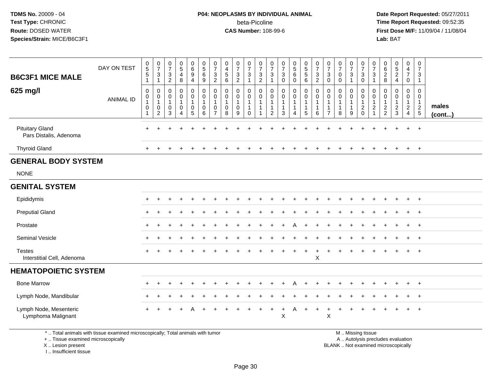## **P04: NEOPLASMS BY INDIVIDUAL ANIMAL**beta-Picoline<br>CAS Number: 108-99-6

 **Date Report Requested:** 05/27/2011 **Time Report Requested:** 09:52:35 **First Dose M/F:** 11/09/04 / 11/08/04<br>Lab: BAT **Lab:** BAT

| <b>B6C3F1 MICE MALE</b><br>625 mg/l              | DAY ON TEST<br><b>ANIMAL ID</b> | $\begin{array}{c} 0 \\ 5 \\ 5 \end{array}$<br>$\mathbf{1}$<br>$\mathbf 0$<br>$\mathsf{O}\xspace$<br>$\mathbf{1}$<br>$\mathbf 0$<br>$\mathbf{1}$ | $\frac{0}{7}$<br>3<br>$\mathbf{1}$<br>0<br>$\mathbf 0$<br>$\mathbf{1}$<br>0<br>$\overline{c}$ | $\frac{0}{7}$<br>$\sqrt{3}$<br>$\overline{2}$<br>0<br>$\boldsymbol{0}$<br>$\mathbf{1}$<br>$\boldsymbol{0}$<br>3 | $\begin{array}{c} 0 \\ 5 \end{array}$<br>$\overline{\mathbf{4}}$<br>8<br>0<br>$\pmb{0}$<br>1<br>$\mathbf 0$<br>4 | $\begin{array}{c} 0 \\ 6 \end{array}$<br>$\overline{9}$<br>$\overline{4}$<br>0<br>$\mathsf{O}\xspace$<br>$\mathbf{1}$<br>$\mathbf 0$<br>$\overline{5}$ | $\begin{array}{c} 0 \\ 5 \end{array}$<br>$\,6\,$<br>9<br>0<br>$\mathsf{O}\xspace$<br>$\mathbf{1}$<br>0<br>6 | $\boldsymbol{0}$<br>$\overline{7}$<br>$\mathbf{3}$<br>$\overline{2}$<br>$\mathbf 0$<br>$\pmb{0}$<br>$\mathbf{1}$<br>0<br>$\overline{7}$ | $\boldsymbol{0}$<br>$\overline{4}$<br>$\sqrt{5}$<br>6<br>$\mathbf 0$<br>$\pmb{0}$<br>$\mathbf{1}$<br>$\mathbf 0$<br>8 | $\frac{0}{7}$<br>$\mathbf{3}$<br>$\overline{c}$<br>0<br>0<br>$\mathbf 1$<br>$\mathbf 0$<br>9 | $\frac{0}{7}$<br>$\mathbf{3}$<br>-1<br>0<br>$\mathsf{O}\xspace$<br>$\mathbf{1}$<br>$\mathbf{1}$<br>$\mathbf 0$ | $\frac{0}{7}$<br>$\ensuremath{\mathsf{3}}$<br>$\overline{c}$<br>$\mathbf 0$<br>$\pmb{0}$<br>$\mathbf 1$<br>1 | 0<br>$\overline{7}$<br>3<br>$\mathbf 0$<br>$\mathbf 0$<br>$\mathbf 1$<br>$\mathbf{1}$<br>2 | $\frac{0}{7}$<br>$\sqrt{3}$<br>$\mathbf 0$<br>$\boldsymbol{0}$<br>$\pmb{0}$<br>$\overline{1}$<br>$\overline{1}$<br>3 | $\begin{array}{c} 0 \\ 5 \\ 6 \end{array}$<br>$\mathbf 0$<br>0<br>$\mathbf 0$<br>$\mathbf{1}$<br>$\mathbf{1}$<br>4 | $\begin{array}{c} 0 \\ 5 \\ 5 \end{array}$<br>6<br>$\pmb{0}$<br>$\mathbf 0$<br>1<br>$\mathbf{1}$<br>5 | $\frac{0}{7}$<br>$\mathbf{3}$<br>$\overline{c}$<br>0<br>0<br>$\mathbf{1}$<br>$\mathbf{1}$<br>6 | $\frac{0}{7}$<br>$\sqrt{3}$<br>0<br>$\mathbf 0$<br>0<br>$\overline{1}$<br>$\mathbf{1}$<br>$\overline{7}$ | $\frac{0}{7}$<br>$\pmb{0}$<br>0<br>$\mathbf 0$<br>$\pmb{0}$<br>$\mathbf{1}$<br>1<br>8 | $\frac{0}{7}$<br>$\mathbf{3}$<br>0<br>$\mathbf 0$<br>$\overline{1}$<br>$\overline{1}$<br>9 | $\frac{0}{7}$<br>$\sqrt{3}$<br>$\overline{0}$<br>$\mathbf 0$<br>$\mathsf{O}\xspace$<br>$\mathbf{1}$<br>$\overline{c}$<br>$\mathbf 0$ | 0<br>$\overline{7}$<br>3<br>1<br>0<br>0<br>$\overline{1}$<br>$\overline{2}$<br>1 | $\pmb{0}$<br>$\,6\,$<br>$\overline{2}$<br>8<br>$\mathbf 0$<br>$\mathbf 0$<br>$\mathbf{1}$<br>$\frac{2}{2}$ | $\begin{array}{c} 0 \\ 5 \\ 2 \end{array}$<br>4<br>0<br>$\mathbf 0$<br>1<br>$\overline{a}$<br>$\mathbf{3}$ | $\mathbf 0$<br>$\frac{4}{7}$<br>0<br>$\pmb{0}$<br>$\mathsf{O}\xspace$<br>$\mathbf{1}$<br>$\overline{2}$<br>$\overline{4}$ | $\mathbf 0$<br>$\overline{7}$<br>3<br>$\mathbf{1}$<br>$\mathbf 0$<br>$\mathbf 0$<br>$\mathbf{1}$<br>$\overline{c}$<br>$\overline{5}$ | males<br>$($ cont $)$ |
|--------------------------------------------------|---------------------------------|-------------------------------------------------------------------------------------------------------------------------------------------------|-----------------------------------------------------------------------------------------------|-----------------------------------------------------------------------------------------------------------------|------------------------------------------------------------------------------------------------------------------|--------------------------------------------------------------------------------------------------------------------------------------------------------|-------------------------------------------------------------------------------------------------------------|-----------------------------------------------------------------------------------------------------------------------------------------|-----------------------------------------------------------------------------------------------------------------------|----------------------------------------------------------------------------------------------|----------------------------------------------------------------------------------------------------------------|--------------------------------------------------------------------------------------------------------------|--------------------------------------------------------------------------------------------|----------------------------------------------------------------------------------------------------------------------|--------------------------------------------------------------------------------------------------------------------|-------------------------------------------------------------------------------------------------------|------------------------------------------------------------------------------------------------|----------------------------------------------------------------------------------------------------------|---------------------------------------------------------------------------------------|--------------------------------------------------------------------------------------------|--------------------------------------------------------------------------------------------------------------------------------------|----------------------------------------------------------------------------------|------------------------------------------------------------------------------------------------------------|------------------------------------------------------------------------------------------------------------|---------------------------------------------------------------------------------------------------------------------------|--------------------------------------------------------------------------------------------------------------------------------------|-----------------------|
| <b>Pituitary Gland</b><br>Pars Distalis, Adenoma |                                 |                                                                                                                                                 |                                                                                               |                                                                                                                 |                                                                                                                  |                                                                                                                                                        |                                                                                                             |                                                                                                                                         |                                                                                                                       |                                                                                              |                                                                                                                |                                                                                                              |                                                                                            |                                                                                                                      |                                                                                                                    |                                                                                                       |                                                                                                |                                                                                                          |                                                                                       |                                                                                            |                                                                                                                                      |                                                                                  |                                                                                                            |                                                                                                            |                                                                                                                           | $+$                                                                                                                                  |                       |
| <b>Thyroid Gland</b>                             |                                 | $+$                                                                                                                                             | $\pm$                                                                                         |                                                                                                                 |                                                                                                                  |                                                                                                                                                        |                                                                                                             |                                                                                                                                         |                                                                                                                       |                                                                                              |                                                                                                                |                                                                                                              |                                                                                            |                                                                                                                      |                                                                                                                    |                                                                                                       |                                                                                                |                                                                                                          |                                                                                       |                                                                                            |                                                                                                                                      |                                                                                  |                                                                                                            | $\div$                                                                                                     | $+$                                                                                                                       | $+$                                                                                                                                  |                       |
| <b>GENERAL BODY SYSTEM</b>                       |                                 |                                                                                                                                                 |                                                                                               |                                                                                                                 |                                                                                                                  |                                                                                                                                                        |                                                                                                             |                                                                                                                                         |                                                                                                                       |                                                                                              |                                                                                                                |                                                                                                              |                                                                                            |                                                                                                                      |                                                                                                                    |                                                                                                       |                                                                                                |                                                                                                          |                                                                                       |                                                                                            |                                                                                                                                      |                                                                                  |                                                                                                            |                                                                                                            |                                                                                                                           |                                                                                                                                      |                       |
| <b>NONE</b>                                      |                                 |                                                                                                                                                 |                                                                                               |                                                                                                                 |                                                                                                                  |                                                                                                                                                        |                                                                                                             |                                                                                                                                         |                                                                                                                       |                                                                                              |                                                                                                                |                                                                                                              |                                                                                            |                                                                                                                      |                                                                                                                    |                                                                                                       |                                                                                                |                                                                                                          |                                                                                       |                                                                                            |                                                                                                                                      |                                                                                  |                                                                                                            |                                                                                                            |                                                                                                                           |                                                                                                                                      |                       |
| <b>GENITAL SYSTEM</b>                            |                                 |                                                                                                                                                 |                                                                                               |                                                                                                                 |                                                                                                                  |                                                                                                                                                        |                                                                                                             |                                                                                                                                         |                                                                                                                       |                                                                                              |                                                                                                                |                                                                                                              |                                                                                            |                                                                                                                      |                                                                                                                    |                                                                                                       |                                                                                                |                                                                                                          |                                                                                       |                                                                                            |                                                                                                                                      |                                                                                  |                                                                                                            |                                                                                                            |                                                                                                                           |                                                                                                                                      |                       |
| Epididymis                                       |                                 |                                                                                                                                                 |                                                                                               |                                                                                                                 |                                                                                                                  |                                                                                                                                                        |                                                                                                             |                                                                                                                                         |                                                                                                                       |                                                                                              |                                                                                                                |                                                                                                              |                                                                                            |                                                                                                                      |                                                                                                                    |                                                                                                       |                                                                                                |                                                                                                          |                                                                                       |                                                                                            |                                                                                                                                      |                                                                                  |                                                                                                            |                                                                                                            | $+$                                                                                                                       | $+$                                                                                                                                  |                       |
| <b>Preputial Gland</b>                           |                                 |                                                                                                                                                 |                                                                                               |                                                                                                                 |                                                                                                                  |                                                                                                                                                        |                                                                                                             |                                                                                                                                         |                                                                                                                       |                                                                                              |                                                                                                                |                                                                                                              |                                                                                            |                                                                                                                      |                                                                                                                    |                                                                                                       |                                                                                                |                                                                                                          |                                                                                       |                                                                                            |                                                                                                                                      |                                                                                  |                                                                                                            |                                                                                                            |                                                                                                                           | $+$                                                                                                                                  |                       |
| Prostate                                         |                                 |                                                                                                                                                 |                                                                                               |                                                                                                                 |                                                                                                                  |                                                                                                                                                        |                                                                                                             |                                                                                                                                         |                                                                                                                       |                                                                                              |                                                                                                                |                                                                                                              |                                                                                            |                                                                                                                      |                                                                                                                    |                                                                                                       |                                                                                                |                                                                                                          |                                                                                       |                                                                                            |                                                                                                                                      |                                                                                  |                                                                                                            |                                                                                                            | $+$                                                                                                                       | $+$                                                                                                                                  |                       |
| Seminal Vesicle                                  |                                 |                                                                                                                                                 |                                                                                               |                                                                                                                 |                                                                                                                  |                                                                                                                                                        |                                                                                                             |                                                                                                                                         |                                                                                                                       |                                                                                              |                                                                                                                |                                                                                                              |                                                                                            |                                                                                                                      |                                                                                                                    |                                                                                                       |                                                                                                |                                                                                                          |                                                                                       |                                                                                            |                                                                                                                                      |                                                                                  |                                                                                                            |                                                                                                            |                                                                                                                           | $+$                                                                                                                                  |                       |
| <b>Testes</b><br>Interstitial Cell, Adenoma      |                                 |                                                                                                                                                 |                                                                                               |                                                                                                                 |                                                                                                                  |                                                                                                                                                        |                                                                                                             |                                                                                                                                         |                                                                                                                       |                                                                                              |                                                                                                                |                                                                                                              |                                                                                            |                                                                                                                      |                                                                                                                    |                                                                                                       | $\ddot{}$<br>X                                                                                 |                                                                                                          |                                                                                       |                                                                                            |                                                                                                                                      |                                                                                  |                                                                                                            |                                                                                                            |                                                                                                                           | $^{+}$                                                                                                                               |                       |
| <b>HEMATOPOIETIC SYSTEM</b>                      |                                 |                                                                                                                                                 |                                                                                               |                                                                                                                 |                                                                                                                  |                                                                                                                                                        |                                                                                                             |                                                                                                                                         |                                                                                                                       |                                                                                              |                                                                                                                |                                                                                                              |                                                                                            |                                                                                                                      |                                                                                                                    |                                                                                                       |                                                                                                |                                                                                                          |                                                                                       |                                                                                            |                                                                                                                                      |                                                                                  |                                                                                                            |                                                                                                            |                                                                                                                           |                                                                                                                                      |                       |
| <b>Bone Marrow</b>                               |                                 | $\div$                                                                                                                                          | $\div$                                                                                        |                                                                                                                 |                                                                                                                  |                                                                                                                                                        |                                                                                                             |                                                                                                                                         |                                                                                                                       |                                                                                              |                                                                                                                |                                                                                                              |                                                                                            |                                                                                                                      | A                                                                                                                  |                                                                                                       |                                                                                                |                                                                                                          |                                                                                       |                                                                                            |                                                                                                                                      |                                                                                  |                                                                                                            |                                                                                                            | $+$                                                                                                                       | $+$                                                                                                                                  |                       |
| Lymph Node, Mandibular                           |                                 |                                                                                                                                                 |                                                                                               |                                                                                                                 |                                                                                                                  |                                                                                                                                                        |                                                                                                             |                                                                                                                                         |                                                                                                                       |                                                                                              |                                                                                                                |                                                                                                              |                                                                                            |                                                                                                                      |                                                                                                                    |                                                                                                       |                                                                                                |                                                                                                          |                                                                                       |                                                                                            |                                                                                                                                      |                                                                                  |                                                                                                            |                                                                                                            |                                                                                                                           | $+$                                                                                                                                  |                       |
| Lymph Node, Mesenteric<br>Lymphoma Malignant     |                                 |                                                                                                                                                 |                                                                                               |                                                                                                                 |                                                                                                                  |                                                                                                                                                        |                                                                                                             |                                                                                                                                         |                                                                                                                       |                                                                                              |                                                                                                                |                                                                                                              | +                                                                                          | $\ddot{}$<br>X                                                                                                       | A                                                                                                                  | $\ddot{}$                                                                                             | $\ddot{}$                                                                                      | $\ddot{}$<br>X                                                                                           |                                                                                       |                                                                                            |                                                                                                                                      |                                                                                  |                                                                                                            |                                                                                                            |                                                                                                                           | $+$                                                                                                                                  |                       |

\* .. Total animals with tissue examined microscopically; Total animals with tumor

+ .. Tissue examined microscopically

 Lesion present BLANK .. Not examined microscopicallyX .. Lesion present

I .. Insufficient tissue

 M .. Missing tissuey the contract of the contract of the contract of the contract of the contract of the contract of the contract of  $A$ . Autolysis precludes evaluation

Page 30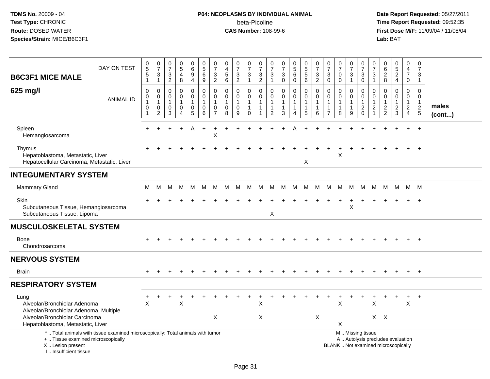# **P04: NEOPLASMS BY INDIVIDUAL ANIMAL**beta-Picoline<br>CAS Number: 108-99-6

| <b>B6C3F1 MICE MALE</b>                                                                                                                                               | DAY ON TEST      | $\begin{array}{c} 0 \\ 5 \end{array}$<br>$\overline{5}$<br>$\mathbf{1}$ | $\mathbf 0$<br>$\overline{7}$<br>$\mathbf{3}$<br>$\mathbf{1}$                 | $\pmb{0}$<br>$\overline{7}$<br>$\sqrt{3}$<br>$\overline{2}$ | $\begin{array}{c} 0 \\ 5 \end{array}$<br>$\overline{\mathbf{4}}$<br>$\,8\,$ | 0<br>6<br>9<br>$\overline{4}$                                          | $\begin{array}{c} 0 \\ 5 \end{array}$<br>$6\phantom{a}$<br>9 | 0<br>$\overline{7}$<br>$\ensuremath{\mathsf{3}}$<br>$\overline{2}$ | $\pmb{0}$<br>$\overline{4}$<br>$\begin{array}{c} 5 \\ 6 \end{array}$ | $\pmb{0}$<br>$\overline{7}$<br>$\frac{3}{2}$            | $\frac{0}{7}$<br>$\ensuremath{\mathsf{3}}$<br>$\mathbf{1}$                | $\frac{0}{7}$<br>$\mathbf{3}$<br>$\overline{2}$ | 0<br>$\overline{7}$<br>$\frac{3}{1}$                                 | $\frac{0}{7}$<br>$\mathbf 3$<br>$\mathbf 0$         | $\begin{array}{c} 0 \\ 5 \end{array}$<br>6<br>$\mathbf 0$ | 0<br>5<br>5<br>6                                                | $\pmb{0}$<br>$\overline{7}$<br>$\sqrt{3}$<br>$\overline{2}$     | 0<br>$\overline{7}$<br>$\ensuremath{\mathsf{3}}$<br>$\mathbf 0$   | $\frac{0}{7}$<br>0<br>$\mathbf 0$     | 0<br>$\overline{7}$<br>$\ensuremath{\mathsf{3}}$<br>$\mathbf{1}$ | $\pmb{0}$<br>$\overline{7}$<br>$\ensuremath{\mathsf{3}}$<br>$\mathbf 0$                       | $\frac{0}{7}$<br>$\frac{3}{1}$                      | 0<br>$\,6\,$<br>$\overline{2}$<br>8                         | $\begin{array}{c} 0 \\ 5 \\ 2 \end{array}$<br>$\overline{4}$ | 0<br>$\overline{\mathbf{4}}$<br>$\overline{7}$<br>$\mathbf 0$                 | 0<br>$\overline{7}$<br>3<br>$\mathbf{1}$                                    |                       |
|-----------------------------------------------------------------------------------------------------------------------------------------------------------------------|------------------|-------------------------------------------------------------------------|-------------------------------------------------------------------------------|-------------------------------------------------------------|-----------------------------------------------------------------------------|------------------------------------------------------------------------|--------------------------------------------------------------|--------------------------------------------------------------------|----------------------------------------------------------------------|---------------------------------------------------------|---------------------------------------------------------------------------|-------------------------------------------------|----------------------------------------------------------------------|-----------------------------------------------------|-----------------------------------------------------------|-----------------------------------------------------------------|-----------------------------------------------------------------|-------------------------------------------------------------------|---------------------------------------|------------------------------------------------------------------|-----------------------------------------------------------------------------------------------|-----------------------------------------------------|-------------------------------------------------------------|--------------------------------------------------------------|-------------------------------------------------------------------------------|-----------------------------------------------------------------------------|-----------------------|
| 625 mg/l                                                                                                                                                              | <b>ANIMAL ID</b> | $\mathbf 0$<br>$\pmb{0}$<br>1<br>0<br>$\overline{1}$                    | $\mathbf 0$<br>$\mathbf 0$<br>$\overline{1}$<br>$\mathbf 0$<br>$\overline{2}$ | $\mathbf 0$<br>$\mathbf 0$<br>$\overline{1}$<br>0<br>3      | 0<br>$\mathsf{O}\xspace$<br>$\mathbf{1}$<br>0<br>4                          | $\mathbf 0$<br>$\mathsf{O}\xspace$<br>$\mathbf{1}$<br>$\mathbf 0$<br>5 | $\mathbf 0$<br>0<br>$\mathbf{1}$<br>0<br>6                   | $\mathbf 0$<br>$\mathbf 0$<br>$\mathbf{1}$<br>0<br>$\overline{7}$  | $\mathbf 0$<br>$\mathbf 0$<br>$\mathbf{1}$<br>$\pmb{0}$<br>8         | 0<br>$\mathbf 0$<br>$\mathbf{1}$<br>0<br>$\overline{9}$ | $\mathbf 0$<br>$\mathbf 0$<br>$\mathbf{1}$<br>$\mathbf{1}$<br>$\mathbf 0$ | 0<br>$\mathbf 0$<br>1                           | 0<br>$\mathbf 0$<br>$\overline{1}$<br>$\mathbf{1}$<br>$\overline{c}$ | 0<br>$\pmb{0}$<br>$\mathbf{1}$<br>$\mathbf{1}$<br>3 | 0<br>$\mathbf 0$<br>$\mathbf{1}$<br>4                     | $\mathbf 0$<br>$\pmb{0}$<br>$\overline{1}$<br>$\mathbf{1}$<br>5 | $\mathbf 0$<br>$\mathbf 0$<br>$\mathbf{1}$<br>$\mathbf{1}$<br>6 | $\mathbf 0$<br>$\mathbf 0$<br>1<br>$\mathbf{1}$<br>$\overline{7}$ | 0<br>$\mathbf 0$<br>$\mathbf{1}$<br>8 | 0<br>$\ddot{\mathbf{0}}$<br>$\mathbf{1}$<br>$\mathbf{1}$<br>9    | $\mathbf 0$<br>$\mathbf 0$<br>$\mathbf{1}$<br>$\boldsymbol{2}$<br>$\mathbf 0$                 | 0<br>$\mathbf 0$<br>$\overline{1}$<br>$\frac{2}{1}$ | $\mathbf 0$<br>$\mathbf 0$<br>$\mathbf{1}$<br>$\frac{2}{2}$ | 0<br>$\mathbf 0$<br>1<br>$\overline{a}$<br>3                 | 0<br>$\mathbf 0$<br>$\mathbf{1}$<br>$\overline{2}$<br>$\overline{\mathbf{4}}$ | $\Omega$<br>$\mathbf 0$<br>$\mathbf{1}$<br>$\overline{c}$<br>$\overline{5}$ | males<br>$($ cont $)$ |
| Spleen<br>Hemangiosarcoma                                                                                                                                             |                  |                                                                         |                                                                               |                                                             |                                                                             |                                                                        |                                                              | X                                                                  |                                                                      |                                                         |                                                                           |                                                 |                                                                      |                                                     |                                                           |                                                                 |                                                                 |                                                                   |                                       |                                                                  |                                                                                               |                                                     |                                                             |                                                              |                                                                               | $\ddot{}$                                                                   |                       |
| Thymus<br>Hepatoblastoma, Metastatic, Liver<br>Hepatocellular Carcinoma, Metastatic, Liver                                                                            |                  |                                                                         |                                                                               |                                                             |                                                                             |                                                                        |                                                              |                                                                    |                                                                      |                                                         |                                                                           |                                                 |                                                                      |                                                     |                                                           | Χ                                                               |                                                                 |                                                                   | X                                     |                                                                  |                                                                                               |                                                     |                                                             |                                                              |                                                                               | $\overline{1}$                                                              |                       |
| <b>INTEGUMENTARY SYSTEM</b>                                                                                                                                           |                  |                                                                         |                                                                               |                                                             |                                                                             |                                                                        |                                                              |                                                                    |                                                                      |                                                         |                                                                           |                                                 |                                                                      |                                                     |                                                           |                                                                 |                                                                 |                                                                   |                                       |                                                                  |                                                                                               |                                                     |                                                             |                                                              |                                                                               |                                                                             |                       |
| <b>Mammary Gland</b>                                                                                                                                                  |                  | м                                                                       | м                                                                             | м                                                           | M                                                                           | M                                                                      | м                                                            | M                                                                  | M                                                                    | M                                                       | M                                                                         | M                                               | M                                                                    | M                                                   | M                                                         | M                                                               | М                                                               | M                                                                 | M                                     | M                                                                | M                                                                                             | M                                                   | м                                                           | M                                                            |                                                                               | M M                                                                         |                       |
| Skin<br>Subcutaneous Tissue, Hemangiosarcoma<br>Subcutaneous Tissue, Lipoma                                                                                           |                  |                                                                         |                                                                               |                                                             |                                                                             |                                                                        |                                                              |                                                                    |                                                                      |                                                         |                                                                           |                                                 | X                                                                    |                                                     |                                                           |                                                                 |                                                                 |                                                                   |                                       | X                                                                |                                                                                               |                                                     |                                                             |                                                              |                                                                               | $\overline{+}$                                                              |                       |
| <b>MUSCULOSKELETAL SYSTEM</b>                                                                                                                                         |                  |                                                                         |                                                                               |                                                             |                                                                             |                                                                        |                                                              |                                                                    |                                                                      |                                                         |                                                                           |                                                 |                                                                      |                                                     |                                                           |                                                                 |                                                                 |                                                                   |                                       |                                                                  |                                                                                               |                                                     |                                                             |                                                              |                                                                               |                                                                             |                       |
| <b>Bone</b><br>Chondrosarcoma                                                                                                                                         |                  |                                                                         |                                                                               |                                                             |                                                                             |                                                                        |                                                              |                                                                    |                                                                      |                                                         |                                                                           |                                                 |                                                                      |                                                     |                                                           |                                                                 |                                                                 |                                                                   |                                       |                                                                  |                                                                                               |                                                     |                                                             |                                                              |                                                                               |                                                                             |                       |
| <b>NERVOUS SYSTEM</b>                                                                                                                                                 |                  |                                                                         |                                                                               |                                                             |                                                                             |                                                                        |                                                              |                                                                    |                                                                      |                                                         |                                                                           |                                                 |                                                                      |                                                     |                                                           |                                                                 |                                                                 |                                                                   |                                       |                                                                  |                                                                                               |                                                     |                                                             |                                                              |                                                                               |                                                                             |                       |
| <b>Brain</b>                                                                                                                                                          |                  |                                                                         |                                                                               |                                                             |                                                                             |                                                                        |                                                              |                                                                    |                                                                      |                                                         |                                                                           |                                                 |                                                                      |                                                     |                                                           |                                                                 |                                                                 |                                                                   |                                       |                                                                  |                                                                                               |                                                     |                                                             |                                                              |                                                                               | $\overline{+}$                                                              |                       |
| <b>RESPIRATORY SYSTEM</b>                                                                                                                                             |                  |                                                                         |                                                                               |                                                             |                                                                             |                                                                        |                                                              |                                                                    |                                                                      |                                                         |                                                                           |                                                 |                                                                      |                                                     |                                                           |                                                                 |                                                                 |                                                                   |                                       |                                                                  |                                                                                               |                                                     |                                                             |                                                              |                                                                               |                                                                             |                       |
| Lung<br>Alveolar/Bronchiolar Adenoma<br>Alveolar/Bronchiolar Adenoma, Multiple<br>Alveolar/Bronchiolar Carcinoma<br>Hepatoblastoma, Metastatic, Liver                 |                  | $\times$                                                                |                                                                               |                                                             | $\sf X$                                                                     |                                                                        |                                                              | X                                                                  |                                                                      |                                                         |                                                                           | X<br>X                                          |                                                                      |                                                     |                                                           |                                                                 | X                                                               |                                                                   | X<br>X                                |                                                                  |                                                                                               | X                                                   | $X$ $X$                                                     |                                                              | $\boldsymbol{\mathsf{X}}$                                                     | $\overline{+}$                                                              |                       |
| *  Total animals with tissue examined microscopically; Total animals with tumor<br>+  Tissue examined microscopically<br>X  Lesion present<br>I., Insufficient tissue |                  |                                                                         |                                                                               |                                                             |                                                                             |                                                                        |                                                              |                                                                    |                                                                      |                                                         |                                                                           |                                                 |                                                                      |                                                     |                                                           |                                                                 |                                                                 |                                                                   |                                       |                                                                  | M  Missing tissue<br>A  Autolysis precludes evaluation<br>BLANK  Not examined microscopically |                                                     |                                                             |                                                              |                                                                               |                                                                             |                       |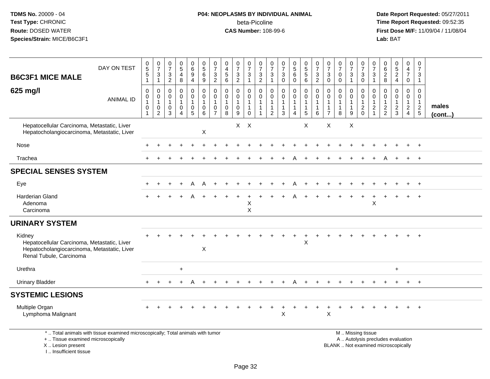## **P04: NEOPLASMS BY INDIVIDUAL ANIMAL**beta-Picoline<br>CAS Number: 108-99-6

 **Date Report Requested:** 05/27/2011 **Time Report Requested:** 09:52:35 **First Dose M/F:** 11/09/04 / 11/08/04<br>Lab: BAT **Lab:** BAT

| <b>B6C3F1 MICE MALE</b>                                                                                                         | DAY ON TEST                                                                     | $\begin{array}{c} 0 \\ 5 \end{array}$<br>$\sqrt{5}$<br>$\overline{1}$ | $\frac{0}{7}$<br>3<br>$\mathbf{1}$                                          | $\frac{0}{7}$<br>$\sqrt{3}$<br>$\overline{c}$ | $\begin{array}{c} 0 \\ 5 \end{array}$<br>$\overline{\mathbf{4}}$<br>8 | $\begin{array}{c} 0 \\ 6 \end{array}$<br>$\overline{9}$<br>$\overline{4}$ | $\begin{array}{c} 0 \\ 5 \end{array}$<br>$6\phantom{a}$<br>$\boldsymbol{9}$ | $\frac{0}{7}$<br>$\frac{3}{2}$                                                 | $\begin{smallmatrix}0\0\4\end{smallmatrix}$<br>$\sqrt{5}$<br>6 | $\frac{0}{7}$<br>$\ensuremath{\mathsf{3}}$<br>$\overline{2}$       | $\frac{0}{7}$<br>$\mathbf{3}$<br>$\mathbf{1}$                          | $\frac{0}{7}$<br>$\mathbf{3}$<br>$\overline{c}$ | $\frac{0}{7}$<br>$\sqrt{3}$<br>$\mathbf{1}$      | $\frac{0}{7}$<br>$\sqrt{3}$<br>$\mathbf 0$ | $\begin{array}{c} 0 \\ 5 \\ 6 \end{array}$<br>$\mathbf 0$ | $\begin{array}{c} 0 \\ 5 \end{array}$<br>$\overline{5}$<br>6 | $\frac{0}{7}$<br>$\mathbf{3}$<br>$\overline{2}$           | $\frac{0}{7}$<br>$\sqrt{3}$<br>$\mathbf{0}$                          | $\frac{0}{7}$<br>0<br>$\Omega$        | $\frac{0}{7}$<br>$\mathbf{3}$<br>$\mathbf{1}$                     | $\frac{0}{7}$<br>$\ensuremath{\mathsf{3}}$<br>$\mathbf 0$                                     | $\frac{0}{7}$<br>$\mathbf{3}$<br>$\mathbf{1}$             | $\begin{array}{c} 0 \\ 6 \end{array}$<br>$\frac{2}{8}$      | $\begin{array}{c} 0 \\ 5 \\ 2 \end{array}$<br>$\overline{4}$ | 0<br>$\overline{4}$<br>$\overline{7}$<br>$\mathbf 0$        | 0<br>$\overline{7}$<br>3<br>$\mathbf{1}$       |                       |
|---------------------------------------------------------------------------------------------------------------------------------|---------------------------------------------------------------------------------|-----------------------------------------------------------------------|-----------------------------------------------------------------------------|-----------------------------------------------|-----------------------------------------------------------------------|---------------------------------------------------------------------------|-----------------------------------------------------------------------------|--------------------------------------------------------------------------------|----------------------------------------------------------------|--------------------------------------------------------------------|------------------------------------------------------------------------|-------------------------------------------------|--------------------------------------------------|--------------------------------------------|-----------------------------------------------------------|--------------------------------------------------------------|-----------------------------------------------------------|----------------------------------------------------------------------|---------------------------------------|-------------------------------------------------------------------|-----------------------------------------------------------------------------------------------|-----------------------------------------------------------|-------------------------------------------------------------|--------------------------------------------------------------|-------------------------------------------------------------|------------------------------------------------|-----------------------|
| 625 mg/l                                                                                                                        | <b>ANIMAL ID</b>                                                                | $\mathbf 0$<br>0<br>$\mathbf{1}$<br>$\mathbf 0$<br>$\overline{1}$     | $\mathbf 0$<br>$\mathbf 0$<br>$\mathbf{1}$<br>$\mathbf 0$<br>$\overline{2}$ | $\mathbf 0$<br>0<br>$\mathbf{1}$<br>0<br>3    | $\mathbf 0$<br>0<br>$\mathbf 1$<br>0<br>$\boldsymbol{\Lambda}$        | $\mathbf 0$<br>0<br>$\overline{1}$<br>$\mathbf 0$<br>$\overline{5}$       | $\mathbf 0$<br>0<br>1<br>$\mathbf 0$<br>6                                   | $\mathbf{0}$<br>$\mathbf 0$<br>$\overline{1}$<br>$\mathbf 0$<br>$\overline{7}$ | $\Omega$<br>$\mathbf 0$<br>$\mathbf{1}$<br>$\mathbf 0$<br>8    | $\mathbf 0$<br>$\mathbf 0$<br>$\mathbf{1}$<br>$\mathbf 0$<br>$9\,$ | $\mathbf 0$<br>$\mathbf 0$<br>$\mathbf{1}$<br>$\mathbf{1}$<br>$\Omega$ | $\mathbf 0$<br>$\mathbf 0$<br>1                 | $\Omega$<br>0<br>$\mathbf 1$<br>$\mathbf 1$<br>2 | $\mathbf 0$<br>0<br>1<br>1<br>3            | $\mathbf 0$<br>0<br>$\mathbf{1}$<br>1<br>$\overline{4}$   | $\mathbf 0$<br>0<br>$\overline{1}$<br>$\overline{1}$<br>5    | $\mathbf 0$<br>0<br>$\overline{1}$<br>$\overline{1}$<br>6 | $\Omega$<br>$\Omega$<br>$\mathbf 1$<br>$\mathbf 1$<br>$\overline{7}$ | 0<br>$\mathbf 0$<br>$\mathbf{1}$<br>8 | $\mathbf 0$<br>$\mathbf 0$<br>$\overline{1}$<br>$\mathbf{1}$<br>9 | $\mathbf 0$<br>0<br>$\mathbf{1}$<br>$^2_{0}$                                                  | $\mathbf 0$<br>$\Omega$<br>$\mathbf{1}$<br>$\overline{2}$ | $\mathbf 0$<br>$\mathbf 0$<br>$\mathbf{1}$<br>$\frac{2}{2}$ | $\mathbf 0$<br>$\mathbf 0$<br>$\mathbf{1}$<br>$\frac{2}{3}$  | $\mathbf 0$<br>$\mathbf 0$<br>$\mathbf{1}$<br>$\frac{2}{4}$ | $\Omega$<br>0<br>$\mathbf{1}$<br>$\frac{2}{5}$ | males<br>$($ cont $)$ |
| Hepatocellular Carcinoma, Metastatic, Liver<br>Hepatocholangiocarcinoma, Metastatic, Liver                                      |                                                                                 |                                                                       |                                                                             |                                               |                                                                       |                                                                           | X                                                                           |                                                                                |                                                                |                                                                    | $X$ $X$                                                                |                                                 |                                                  |                                            |                                                           | $\boldsymbol{\mathsf{X}}$                                    |                                                           | X                                                                    |                                       | X                                                                 |                                                                                               |                                                           |                                                             |                                                              |                                                             |                                                |                       |
| Nose                                                                                                                            |                                                                                 |                                                                       |                                                                             |                                               |                                                                       |                                                                           |                                                                             |                                                                                |                                                                |                                                                    |                                                                        |                                                 |                                                  |                                            |                                                           |                                                              |                                                           |                                                                      |                                       |                                                                   |                                                                                               |                                                           |                                                             |                                                              |                                                             |                                                |                       |
| Trachea                                                                                                                         |                                                                                 |                                                                       |                                                                             |                                               |                                                                       |                                                                           |                                                                             |                                                                                |                                                                |                                                                    |                                                                        |                                                 |                                                  |                                            |                                                           |                                                              |                                                           |                                                                      |                                       |                                                                   |                                                                                               |                                                           |                                                             |                                                              |                                                             | $\overline{+}$                                 |                       |
| <b>SPECIAL SENSES SYSTEM</b>                                                                                                    |                                                                                 |                                                                       |                                                                             |                                               |                                                                       |                                                                           |                                                                             |                                                                                |                                                                |                                                                    |                                                                        |                                                 |                                                  |                                            |                                                           |                                                              |                                                           |                                                                      |                                       |                                                                   |                                                                                               |                                                           |                                                             |                                                              |                                                             |                                                |                       |
| Eye                                                                                                                             |                                                                                 |                                                                       |                                                                             |                                               |                                                                       | A                                                                         |                                                                             |                                                                                |                                                                |                                                                    |                                                                        |                                                 |                                                  |                                            |                                                           |                                                              |                                                           |                                                                      |                                       |                                                                   |                                                                                               |                                                           |                                                             |                                                              |                                                             | $\ddot{}$                                      |                       |
| Harderian Gland<br>Adenoma<br>Carcinoma                                                                                         |                                                                                 |                                                                       |                                                                             |                                               |                                                                       |                                                                           |                                                                             |                                                                                |                                                                |                                                                    | X<br>X                                                                 |                                                 |                                                  |                                            |                                                           |                                                              |                                                           |                                                                      |                                       |                                                                   |                                                                                               | X                                                         |                                                             |                                                              |                                                             |                                                |                       |
| <b>URINARY SYSTEM</b>                                                                                                           |                                                                                 |                                                                       |                                                                             |                                               |                                                                       |                                                                           |                                                                             |                                                                                |                                                                |                                                                    |                                                                        |                                                 |                                                  |                                            |                                                           |                                                              |                                                           |                                                                      |                                       |                                                                   |                                                                                               |                                                           |                                                             |                                                              |                                                             |                                                |                       |
| Kidney<br>Hepatocellular Carcinoma, Metastatic, Liver<br>Hepatocholangiocarcinoma, Metastatic, Liver<br>Renal Tubule, Carcinoma |                                                                                 |                                                                       |                                                                             |                                               |                                                                       |                                                                           | X                                                                           |                                                                                |                                                                |                                                                    |                                                                        |                                                 |                                                  |                                            |                                                           | $\times$                                                     |                                                           |                                                                      |                                       |                                                                   |                                                                                               |                                                           |                                                             |                                                              |                                                             |                                                |                       |
| Urethra                                                                                                                         |                                                                                 |                                                                       |                                                                             |                                               | $\ddot{}$                                                             |                                                                           |                                                                             |                                                                                |                                                                |                                                                    |                                                                        |                                                 |                                                  |                                            |                                                           |                                                              |                                                           |                                                                      |                                       |                                                                   |                                                                                               |                                                           |                                                             | $+$                                                          |                                                             |                                                |                       |
| <b>Urinary Bladder</b>                                                                                                          |                                                                                 |                                                                       |                                                                             |                                               |                                                                       |                                                                           |                                                                             |                                                                                |                                                                |                                                                    |                                                                        |                                                 |                                                  |                                            |                                                           |                                                              |                                                           |                                                                      |                                       |                                                                   |                                                                                               |                                                           |                                                             |                                                              |                                                             | $\overline{+}$                                 |                       |
| <b>SYSTEMIC LESIONS</b>                                                                                                         |                                                                                 |                                                                       |                                                                             |                                               |                                                                       |                                                                           |                                                                             |                                                                                |                                                                |                                                                    |                                                                        |                                                 |                                                  |                                            |                                                           |                                                              |                                                           |                                                                      |                                       |                                                                   |                                                                                               |                                                           |                                                             |                                                              |                                                             |                                                |                       |
| Multiple Organ<br>Lymphoma Malignant                                                                                            |                                                                                 |                                                                       |                                                                             |                                               |                                                                       |                                                                           |                                                                             |                                                                                |                                                                |                                                                    |                                                                        |                                                 |                                                  | $\pmb{\times}$                             |                                                           |                                                              |                                                           | $\pmb{\times}$                                                       |                                       |                                                                   |                                                                                               |                                                           |                                                             |                                                              |                                                             |                                                |                       |
| +  Tissue examined microscopically<br>X  Lesion present                                                                         | *  Total animals with tissue examined microscopically; Total animals with tumor |                                                                       |                                                                             |                                               |                                                                       |                                                                           |                                                                             |                                                                                |                                                                |                                                                    |                                                                        |                                                 |                                                  |                                            |                                                           |                                                              |                                                           |                                                                      |                                       |                                                                   | M  Missing tissue<br>A  Autolysis precludes evaluation<br>BLANK  Not examined microscopically |                                                           |                                                             |                                                              |                                                             |                                                |                       |

I .. Insufficient tissue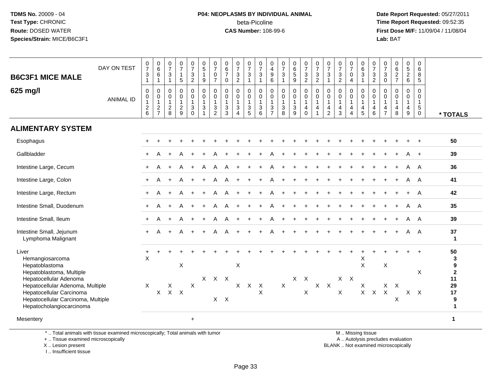# **P04: NEOPLASMS BY INDIVIDUAL ANIMAL**beta-Picoline<br>CAS Number: 108-99-6

 **Date Report Requested:** 05/27/2011 **Time Report Requested:** 09:52:35 **First Dose M/F:** 11/09/04 / 11/08/04<br>Lab: BAT **Lab:** BAT

| <b>B6C3F1 MICE MALE</b><br>625 mg/l                                                                                                                                                                                                | DAY ON TEST<br><b>ANIMAL ID</b> | $\begin{array}{c} 0 \\ 7 \\ 3 \end{array}$<br>$\mathbf{1}$<br>$\pmb{0}$<br>0 1 2 6 | $\begin{array}{c} 0 \\ 6 \end{array}$<br>$\overline{6}$<br>$\mathbf{1}$<br>$\mathsf{O}$<br>$\boldsymbol{0}$<br>$\mathbf{1}$<br>$\overline{c}$<br>$\overline{7}$ | $\frac{0}{7}$<br>$\sqrt{3}$<br>$\mathbf{1}$<br>0<br>0<br>$\mathbf{1}$<br>$\overline{c}$<br>8 | $\begin{array}{c} 0 \\ 7 \end{array}$<br>$\mathbf{1}$<br>$\overline{5}$<br>$\mathsf{O}\xspace$<br>$\ddot{\mathbf{0}}$<br>$\mathbf{1}$<br>$\frac{2}{9}$ | $\frac{0}{7}$<br>$\sqrt{3}$<br>$\sqrt{2}$<br>$\pmb{0}$<br>$\overline{0}$<br>$\mathbf{1}$<br>$\sqrt{3}$<br>$\Omega$ | $\frac{0}{5}$<br>$\mathbf{1}$<br>9<br>$\pmb{0}$<br>$\ddot{\mathbf{0}}$<br>$\mathbf{1}$<br>$\mathbf{3}$<br>$\overline{1}$ | $\frac{0}{7}$<br>0<br>$\overline{7}$<br>0<br>$\pmb{0}$<br>$\mathbf{1}$<br>3<br>$\overline{2}$ | $\begin{array}{c} 0 \\ 6 \\ 7 \end{array}$<br>$\mathbf 0$<br>$\mathbf 0$<br>$\ddot{\mathbf{0}}$<br>$\mathbf{1}$<br>$\mathbf{3}$<br>3 | $\frac{0}{7}$<br>$\frac{3}{2}$<br>$\mathsf{O}$<br>$\mathsf{O}\xspace$<br>$\mathbf{1}$<br>3<br>$\overline{4}$ | $\frac{0}{7}$<br>$\overline{3}$<br>$\mathbf{1}$<br>$\pmb{0}$<br>$\ddot{\mathbf{0}}$<br>$\mathbf{1}$<br>$\frac{3}{5}$ | $\frac{0}{7}$<br>$\sqrt{3}$<br>$\mathbf{1}$<br>0<br>$\mathbf 0$<br>$\mathbf{1}$<br>$\ensuremath{\mathsf{3}}$<br>$6\phantom{1}$ | 0<br>$\begin{array}{c} 4 \\ 9 \\ 6 \end{array}$<br>$\mathbf 0$<br>$\mathbf 0$<br>$\begin{array}{c} 1 \\ 3 \\ 7 \end{array}$ | $\frac{0}{7}$<br>$\sqrt{3}$<br>$\overline{1}$<br>$\pmb{0}$<br>$\pmb{0}$<br>$\mathbf{1}$<br>$\sqrt{3}$<br>8 | $\begin{matrix} 0 \\ 6 \\ 5 \end{matrix}$<br>$\boldsymbol{9}$<br>0<br>$\mathbf 0$<br>$\mathbf{1}$<br>$\frac{3}{9}$ | $\begin{array}{c} 0 \\ 7 \\ 3 \end{array}$<br>$\overline{2}$<br>$\begin{smallmatrix}0\0\0\end{smallmatrix}$<br>$\mathbf{1}$<br>$\overline{4}$<br>$\mathbf 0$ | $\frac{0}{7}$<br>3<br>$\overline{a}$<br>$\mathsf{O}$<br>$\mathsf{O}\xspace$<br>$\mathbf{1}$<br>4<br>$\overline{1}$ | $\frac{0}{7}$<br>$\mathbf{3}$<br>$\mathbf{1}$<br>0<br>$\mathbf 0$<br>$\mathbf{1}$<br>$\overline{4}$<br>$\overline{2}$ | $\frac{0}{7}$<br>$\frac{3}{2}$<br>$\pmb{0}$<br>$\pmb{0}$<br>$\mathbf{1}$<br>4<br>3 | $\frac{0}{7}$<br>$\mathbf 0$<br>$\overline{4}$<br>$\mathbf 0$<br>$\pmb{0}$<br>$\mathbf{1}$<br>$\overline{a}$<br>$\overline{4}$ | 0<br>$\,6\,$<br>$\sqrt{3}$<br>$\overline{1}$<br>$\mathbf 0$<br>$\mathbf 0$<br>$\overline{1}$<br>$\overline{4}$<br>$\sqrt{5}$ | 0<br>$\overline{7}$<br>$\mathbf{3}$<br>$\sqrt{2}$<br>$\mathbf 0$<br>$\mathbf 0$<br>$\mathbf{1}$<br>$\overline{4}$<br>6 | $\frac{0}{7}$<br>3<br>$\mathsf 0$<br>$\mathbf 0$<br>0<br>$\mathbf{1}$<br>4<br>$\overline{7}$ | 0627<br>0<br>$\boldsymbol{0}$<br>$\mathbf{1}$<br>$\overline{\mathbf{4}}$<br>8 | $0$<br>5<br>2<br>6<br>0<br>$\mathbf 0$<br>$\mathbf{1}$<br>$\overline{4}$<br>9 | 0<br>6<br>8<br>$\sqrt{5}$<br>$\mathbf 0$<br>0<br>$\mathbf{1}$<br>5<br>$\mathbf 0$ | * TOTALS                                                                           |
|------------------------------------------------------------------------------------------------------------------------------------------------------------------------------------------------------------------------------------|---------------------------------|------------------------------------------------------------------------------------|-----------------------------------------------------------------------------------------------------------------------------------------------------------------|----------------------------------------------------------------------------------------------|--------------------------------------------------------------------------------------------------------------------------------------------------------|--------------------------------------------------------------------------------------------------------------------|--------------------------------------------------------------------------------------------------------------------------|-----------------------------------------------------------------------------------------------|--------------------------------------------------------------------------------------------------------------------------------------|--------------------------------------------------------------------------------------------------------------|----------------------------------------------------------------------------------------------------------------------|--------------------------------------------------------------------------------------------------------------------------------|-----------------------------------------------------------------------------------------------------------------------------|------------------------------------------------------------------------------------------------------------|--------------------------------------------------------------------------------------------------------------------|--------------------------------------------------------------------------------------------------------------------------------------------------------------|--------------------------------------------------------------------------------------------------------------------|-----------------------------------------------------------------------------------------------------------------------|------------------------------------------------------------------------------------|--------------------------------------------------------------------------------------------------------------------------------|------------------------------------------------------------------------------------------------------------------------------|------------------------------------------------------------------------------------------------------------------------|----------------------------------------------------------------------------------------------|-------------------------------------------------------------------------------|-------------------------------------------------------------------------------|-----------------------------------------------------------------------------------|------------------------------------------------------------------------------------|
| <b>ALIMENTARY SYSTEM</b>                                                                                                                                                                                                           |                                 |                                                                                    |                                                                                                                                                                 |                                                                                              |                                                                                                                                                        |                                                                                                                    |                                                                                                                          |                                                                                               |                                                                                                                                      |                                                                                                              |                                                                                                                      |                                                                                                                                |                                                                                                                             |                                                                                                            |                                                                                                                    |                                                                                                                                                              |                                                                                                                    |                                                                                                                       |                                                                                    |                                                                                                                                |                                                                                                                              |                                                                                                                        |                                                                                              |                                                                               |                                                                               |                                                                                   |                                                                                    |
| Esophagus                                                                                                                                                                                                                          |                                 |                                                                                    |                                                                                                                                                                 |                                                                                              |                                                                                                                                                        |                                                                                                                    |                                                                                                                          |                                                                                               |                                                                                                                                      |                                                                                                              |                                                                                                                      |                                                                                                                                |                                                                                                                             |                                                                                                            |                                                                                                                    |                                                                                                                                                              |                                                                                                                    |                                                                                                                       |                                                                                    |                                                                                                                                |                                                                                                                              |                                                                                                                        |                                                                                              |                                                                               |                                                                               |                                                                                   | 50                                                                                 |
| Gallbladder                                                                                                                                                                                                                        |                                 |                                                                                    | А                                                                                                                                                               |                                                                                              |                                                                                                                                                        |                                                                                                                    |                                                                                                                          |                                                                                               |                                                                                                                                      |                                                                                                              |                                                                                                                      |                                                                                                                                |                                                                                                                             |                                                                                                            |                                                                                                                    |                                                                                                                                                              |                                                                                                                    |                                                                                                                       |                                                                                    |                                                                                                                                |                                                                                                                              |                                                                                                                        |                                                                                              |                                                                               |                                                                               |                                                                                   | 39                                                                                 |
| Intestine Large, Cecum                                                                                                                                                                                                             |                                 |                                                                                    | A                                                                                                                                                               |                                                                                              |                                                                                                                                                        |                                                                                                                    | A                                                                                                                        | Α                                                                                             |                                                                                                                                      |                                                                                                              |                                                                                                                      |                                                                                                                                |                                                                                                                             |                                                                                                            |                                                                                                                    |                                                                                                                                                              |                                                                                                                    |                                                                                                                       |                                                                                    |                                                                                                                                |                                                                                                                              |                                                                                                                        |                                                                                              |                                                                               | A                                                                             | A                                                                                 | 36                                                                                 |
| Intestine Large, Colon                                                                                                                                                                                                             |                                 | $+$                                                                                | A                                                                                                                                                               | $\ddot{}$                                                                                    |                                                                                                                                                        | $+$                                                                                                                |                                                                                                                          | Α                                                                                             |                                                                                                                                      |                                                                                                              |                                                                                                                      |                                                                                                                                |                                                                                                                             |                                                                                                            |                                                                                                                    |                                                                                                                                                              |                                                                                                                    |                                                                                                                       |                                                                                    |                                                                                                                                |                                                                                                                              |                                                                                                                        |                                                                                              |                                                                               | A                                                                             | A                                                                                 | 41                                                                                 |
| Intestine Large, Rectum                                                                                                                                                                                                            |                                 | $+$                                                                                | A                                                                                                                                                               | $\ddot{}$                                                                                    |                                                                                                                                                        |                                                                                                                    | $\ddot{}$                                                                                                                | A                                                                                             |                                                                                                                                      |                                                                                                              |                                                                                                                      |                                                                                                                                | A                                                                                                                           |                                                                                                            |                                                                                                                    |                                                                                                                                                              |                                                                                                                    |                                                                                                                       |                                                                                    |                                                                                                                                |                                                                                                                              |                                                                                                                        |                                                                                              |                                                                               |                                                                               | A                                                                                 | 42                                                                                 |
| Intestine Small, Duodenum                                                                                                                                                                                                          |                                 | $+$                                                                                | A                                                                                                                                                               | $\ddot{}$                                                                                    | A                                                                                                                                                      | $+$                                                                                                                |                                                                                                                          | Α                                                                                             |                                                                                                                                      |                                                                                                              |                                                                                                                      | $\ddot{}$                                                                                                                      |                                                                                                                             |                                                                                                            |                                                                                                                    |                                                                                                                                                              |                                                                                                                    |                                                                                                                       |                                                                                    |                                                                                                                                |                                                                                                                              |                                                                                                                        |                                                                                              |                                                                               |                                                                               | A                                                                                 | 35                                                                                 |
| Intestine Small, Ileum                                                                                                                                                                                                             |                                 | $+$                                                                                | А                                                                                                                                                               | $\ddot{}$                                                                                    | A                                                                                                                                                      |                                                                                                                    |                                                                                                                          | А                                                                                             |                                                                                                                                      |                                                                                                              |                                                                                                                      |                                                                                                                                | A                                                                                                                           |                                                                                                            |                                                                                                                    |                                                                                                                                                              |                                                                                                                    |                                                                                                                       |                                                                                    |                                                                                                                                |                                                                                                                              |                                                                                                                        |                                                                                              |                                                                               | А                                                                             | A                                                                                 | 39                                                                                 |
| Intestine Small, Jejunum<br>Lymphoma Malignant                                                                                                                                                                                     |                                 | $+$                                                                                | A                                                                                                                                                               |                                                                                              | Α                                                                                                                                                      |                                                                                                                    |                                                                                                                          | А                                                                                             |                                                                                                                                      | $\ddot{}$                                                                                                    |                                                                                                                      |                                                                                                                                |                                                                                                                             |                                                                                                            |                                                                                                                    |                                                                                                                                                              |                                                                                                                    |                                                                                                                       |                                                                                    |                                                                                                                                |                                                                                                                              |                                                                                                                        |                                                                                              |                                                                               | A                                                                             | A                                                                                 | 37<br>$\mathbf 1$                                                                  |
| Liver<br>Hemangiosarcoma<br>Hepatoblastoma<br>Hepatoblastoma, Multiple<br>Hepatocellular Adenoma<br>Hepatocellular Adenoma, Multiple<br>Hepatocellular Carcinoma<br>Hepatocellular Carcinoma, Multiple<br>Hepatocholangiocarcinoma |                                 | X<br>$\mathsf{X}$                                                                  | X                                                                                                                                                               | X                                                                                            | X<br>$X$ $X$                                                                                                                                           | $\mathsf{X}$                                                                                                       |                                                                                                                          | X X X                                                                                         | $X$ $X$                                                                                                                              | X<br>X                                                                                                       | $X$ $X$                                                                                                              | $\mathsf X$                                                                                                                    |                                                                                                                             | $\mathsf{X}$                                                                                               |                                                                                                                    | $X$ $X$<br>$\mathsf X$                                                                                                                                       |                                                                                                                    | $X$ $X$                                                                                                               | $X$ $X$<br>X                                                                       |                                                                                                                                | X<br>$\times$<br>X<br>$\mathsf{X}$                                                                                           | $\mathsf{X}^-$                                                                                                         | X<br>$X \times$<br>$\boldsymbol{\mathsf{X}}$                                                 | X                                                                             |                                                                               | X<br>$X$ $X$                                                                      | 50<br>3<br>9<br>$\mathbf{2}$<br>11<br>29<br>17<br>$\boldsymbol{9}$<br>$\mathbf{1}$ |
| Mesentery                                                                                                                                                                                                                          |                                 |                                                                                    |                                                                                                                                                                 |                                                                                              |                                                                                                                                                        | $\ddot{}$                                                                                                          |                                                                                                                          |                                                                                               |                                                                                                                                      |                                                                                                              |                                                                                                                      |                                                                                                                                |                                                                                                                             |                                                                                                            |                                                                                                                    |                                                                                                                                                              |                                                                                                                    |                                                                                                                       |                                                                                    |                                                                                                                                |                                                                                                                              |                                                                                                                        |                                                                                              |                                                                               |                                                                               |                                                                                   | 1                                                                                  |

\* .. Total animals with tissue examined microscopically; Total animals with tumor

+ .. Tissue examined microscopically

X .. Lesion present

I .. Insufficient tissue

M .. Missing tissue

y the contract of the contract of the contract of the contract of the contract of the contract of the contract of  $A$ . Autolysis precludes evaluation

Lesion present BLANK .. Not examined microscopically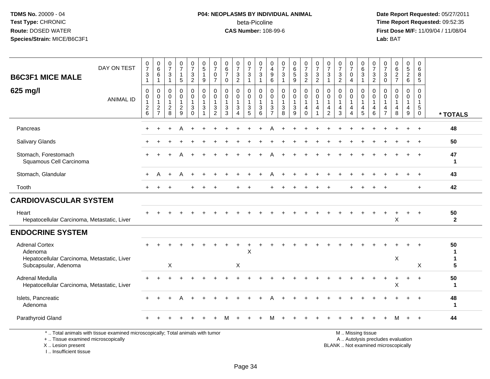## **P04: NEOPLASMS BY INDIVIDUAL ANIMAL**beta-Picoline<br>CAS Number: 108-99-6

 **Date Report Requested:** 05/27/2011 **Time Report Requested:** 09:52:35 **First Dose M/F:** 11/09/04 / 11/08/04<br>Lab: BAT **Lab:** BAT

| <b>B6C3F1 MICE MALE</b>                                                                                 | DAY ON TEST                                                                     | $\frac{0}{7}$<br>3<br>$\blacktriangleleft$            | $\begin{array}{c} 0 \\ 6 \end{array}$<br>6<br>$\overline{1}$                      | $\begin{array}{c} 0 \\ 7 \end{array}$<br>$\sqrt{3}$<br>$\mathbf{1}$ | $\frac{0}{7}$<br>$\mathbf 1$<br>5                   | $\frac{0}{7}$<br>$\frac{3}{2}$                                          | $\begin{array}{c} 0 \\ 5 \end{array}$<br>$\mathbf{1}$<br>9         | 0<br>$\overline{7}$<br>0<br>$\overline{7}$                 | $\begin{array}{c} 0 \\ 6 \end{array}$<br>$\overline{7}$<br>$\mathbf 0$ | $\frac{0}{7}$<br>3<br>$\sqrt{2}$                                                | $\frac{0}{7}$<br>3<br>$\mathbf{1}$                      | $\frac{0}{7}$<br>3<br>$\mathbf{1}$                       | 0<br>$\begin{array}{c} 4 \\ 9 \\ 6 \end{array}$          | $\begin{array}{c} 0 \\ 7 \end{array}$<br>$\sqrt{3}$<br>$\mathbf{1}$ | $\begin{array}{c} 0 \\ 6 \end{array}$<br>$\overline{5}$<br>$\boldsymbol{9}$ | $\frac{0}{7}$<br>$\frac{3}{2}$                                           | $\frac{0}{7}$<br>$\sqrt{3}$<br>$\overline{2}$ | 0<br>$\overline{7}$<br>$\ensuremath{\mathsf{3}}$<br>$\overline{1}$ | $\begin{array}{c} 0 \\ 7 \end{array}$<br>$\ensuremath{\mathsf{3}}$<br>$\overline{2}$ | $\pmb{0}$<br>$\overline{7}$<br>0<br>$\overline{4}$                     | 0<br>$\,6\,$<br>$\ensuremath{\mathsf{3}}$<br>$\overline{1}$                                   | 0<br>$\overline{7}$<br>$\sqrt{3}$<br>$\sqrt{2}$ | $\frac{0}{7}$<br>$_{0}^{3}$                                      | 0627                             | $\begin{array}{c} 0 \\ 5 \end{array}$<br>$\overline{2}$<br>6 | $\mathbf 0$<br>6<br>8<br>5                                    |                    |
|---------------------------------------------------------------------------------------------------------|---------------------------------------------------------------------------------|-------------------------------------------------------|-----------------------------------------------------------------------------------|---------------------------------------------------------------------|-----------------------------------------------------|-------------------------------------------------------------------------|--------------------------------------------------------------------|------------------------------------------------------------|------------------------------------------------------------------------|---------------------------------------------------------------------------------|---------------------------------------------------------|----------------------------------------------------------|----------------------------------------------------------|---------------------------------------------------------------------|-----------------------------------------------------------------------------|--------------------------------------------------------------------------|-----------------------------------------------|--------------------------------------------------------------------|--------------------------------------------------------------------------------------|------------------------------------------------------------------------|-----------------------------------------------------------------------------------------------|-------------------------------------------------|------------------------------------------------------------------|----------------------------------|--------------------------------------------------------------|---------------------------------------------------------------|--------------------|
| 625 mg/l                                                                                                | <b>ANIMAL ID</b>                                                                | $\mathbf 0$<br>$\pmb{0}$<br>$\overline{c}$<br>$\,6\,$ | $\pmb{0}$<br>$\boldsymbol{0}$<br>$\mathbf{1}$<br>$\overline{c}$<br>$\overline{7}$ | 0<br>$\mathbf 0$<br>$\mathbf{1}$<br>$\overline{c}$<br>8             | 0<br>$\mathbf 0$<br>$\mathbf{1}$<br>$\sqrt{2}$<br>9 | $\pmb{0}$<br>$\mathbf 0$<br>$\mathbf{1}$<br>$\mathbf{3}$<br>$\mathbf 0$ | 0<br>$\mathbf 0$<br>$\mathbf{1}$<br>$\ensuremath{\mathsf{3}}$<br>1 | $\Omega$<br>$\mathbf{0}$<br>$\mathbf{3}$<br>$\overline{2}$ | 0<br>$\mathbf 0$<br>-1<br>$\sqrt{3}$<br>3                              | 0<br>$\mathbf 0$<br>$\mathbf{1}$<br>$\ensuremath{\mathsf{3}}$<br>$\overline{4}$ | 0<br>$\mathbf 0$<br>1<br>$\ensuremath{\mathsf{3}}$<br>5 | 0<br>0<br>$\mathbf{1}$<br>$\ensuremath{\mathsf{3}}$<br>6 | 0<br>0<br>$\mathbf{1}$<br>$\mathbf{3}$<br>$\overline{7}$ | 0<br>$\mathbf 0$<br>$\mathbf{1}$<br>$\ensuremath{\mathsf{3}}$<br>8  | 0<br>0<br>$\mathbf{1}$<br>$\sqrt{3}$<br>9                                   | $\mathbf 0$<br>$\mathbf 0$<br>$\mathbf{1}$<br>$\overline{4}$<br>$\Omega$ | 0<br>0<br>$\mathbf{1}$<br>4                   | $\mathbf{0}$<br>$\mathbf 0$<br>$\mathbf 1$<br>4<br>$\overline{2}$  | 0<br>$\mathbf 0$<br>4<br>3                                                           | 0<br>$\mathbf 0$<br>$\overline{1}$<br>$\overline{4}$<br>$\overline{4}$ | 0<br>$\mathbf 0$<br>$\mathbf{1}$<br>$\overline{4}$<br>5                                       | 0<br>$\mathbf 0$<br>$\mathbf{1}$<br>4<br>6      | $\mathbf 0$<br>$\mathbf 0$<br>$\mathbf 1$<br>4<br>$\overline{7}$ | 0<br>0<br>$\mathbf{1}$<br>4<br>8 | 0<br>$\overline{0}$<br>4<br>9                                | $\Omega$<br>0<br>$\overline{1}$<br>$\,$ 5 $\,$<br>$\mathbf 0$ | * TOTALS           |
| Pancreas                                                                                                |                                                                                 | $\div$                                                |                                                                                   |                                                                     | A                                                   |                                                                         |                                                                    |                                                            |                                                                        |                                                                                 |                                                         |                                                          |                                                          |                                                                     |                                                                             |                                                                          |                                               |                                                                    |                                                                                      |                                                                        |                                                                                               |                                                 |                                                                  |                                  |                                                              | $\ddot{}$                                                     | 48                 |
| Salivary Glands                                                                                         |                                                                                 |                                                       |                                                                                   |                                                                     |                                                     |                                                                         |                                                                    |                                                            |                                                                        |                                                                                 |                                                         |                                                          |                                                          |                                                                     |                                                                             |                                                                          |                                               |                                                                    |                                                                                      |                                                                        |                                                                                               |                                                 |                                                                  |                                  |                                                              |                                                               | 50                 |
| Stomach, Forestomach<br>Squamous Cell Carcinoma                                                         |                                                                                 |                                                       |                                                                                   |                                                                     |                                                     |                                                                         |                                                                    |                                                            |                                                                        |                                                                                 |                                                         |                                                          |                                                          |                                                                     |                                                                             |                                                                          |                                               |                                                                    |                                                                                      |                                                                        |                                                                                               |                                                 |                                                                  |                                  |                                                              |                                                               | 47<br>$\mathbf 1$  |
| Stomach, Glandular                                                                                      |                                                                                 | $\ddot{}$                                             |                                                                                   |                                                                     | A                                                   |                                                                         |                                                                    |                                                            |                                                                        |                                                                                 |                                                         |                                                          |                                                          |                                                                     |                                                                             |                                                                          |                                               |                                                                    |                                                                                      |                                                                        |                                                                                               |                                                 |                                                                  |                                  |                                                              |                                                               | 43                 |
| Tooth                                                                                                   |                                                                                 | $\ddot{}$                                             | +                                                                                 |                                                                     |                                                     |                                                                         |                                                                    |                                                            |                                                                        |                                                                                 |                                                         |                                                          |                                                          |                                                                     |                                                                             |                                                                          |                                               |                                                                    |                                                                                      |                                                                        |                                                                                               |                                                 |                                                                  |                                  |                                                              | $+$                                                           | 42                 |
| <b>CARDIOVASCULAR SYSTEM</b>                                                                            |                                                                                 |                                                       |                                                                                   |                                                                     |                                                     |                                                                         |                                                                    |                                                            |                                                                        |                                                                                 |                                                         |                                                          |                                                          |                                                                     |                                                                             |                                                                          |                                               |                                                                    |                                                                                      |                                                                        |                                                                                               |                                                 |                                                                  |                                  |                                                              |                                                               |                    |
| Heart<br>Hepatocellular Carcinoma, Metastatic, Liver                                                    |                                                                                 |                                                       |                                                                                   |                                                                     |                                                     |                                                                         |                                                                    |                                                            |                                                                        |                                                                                 |                                                         |                                                          |                                                          |                                                                     |                                                                             |                                                                          |                                               |                                                                    |                                                                                      |                                                                        |                                                                                               |                                                 |                                                                  | X                                |                                                              |                                                               | 50<br>$\mathbf{2}$ |
| <b>ENDOCRINE SYSTEM</b>                                                                                 |                                                                                 |                                                       |                                                                                   |                                                                     |                                                     |                                                                         |                                                                    |                                                            |                                                                        |                                                                                 |                                                         |                                                          |                                                          |                                                                     |                                                                             |                                                                          |                                               |                                                                    |                                                                                      |                                                                        |                                                                                               |                                                 |                                                                  |                                  |                                                              |                                                               |                    |
| <b>Adrenal Cortex</b><br>Adenoma<br>Hepatocellular Carcinoma, Metastatic, Liver<br>Subcapsular, Adenoma |                                                                                 |                                                       |                                                                                   | X                                                                   |                                                     |                                                                         |                                                                    |                                                            |                                                                        | X                                                                               | $\times$                                                |                                                          |                                                          |                                                                     |                                                                             |                                                                          |                                               |                                                                    |                                                                                      |                                                                        |                                                                                               |                                                 |                                                                  | X                                |                                                              | X                                                             | 50<br>1<br>5       |
| Adrenal Medulla<br>Hepatocellular Carcinoma, Metastatic, Liver                                          |                                                                                 |                                                       |                                                                                   |                                                                     |                                                     |                                                                         |                                                                    |                                                            |                                                                        |                                                                                 |                                                         |                                                          |                                                          |                                                                     |                                                                             |                                                                          |                                               |                                                                    |                                                                                      |                                                                        |                                                                                               |                                                 |                                                                  | $\ddot{}$<br>X                   | $\ddot{}$                                                    | $+$                                                           | 50<br>$\mathbf 1$  |
| Islets, Pancreatic<br>Adenoma                                                                           |                                                                                 |                                                       |                                                                                   |                                                                     |                                                     |                                                                         |                                                                    |                                                            |                                                                        |                                                                                 |                                                         |                                                          |                                                          |                                                                     |                                                                             |                                                                          |                                               |                                                                    |                                                                                      |                                                                        |                                                                                               |                                                 |                                                                  |                                  |                                                              |                                                               | 48<br>$\mathbf 1$  |
| Parathyroid Gland                                                                                       |                                                                                 |                                                       |                                                                                   |                                                                     |                                                     |                                                                         |                                                                    |                                                            |                                                                        |                                                                                 |                                                         |                                                          |                                                          |                                                                     |                                                                             |                                                                          |                                               |                                                                    |                                                                                      |                                                                        |                                                                                               |                                                 |                                                                  |                                  |                                                              | $+$                                                           | 44                 |
| +  Tissue examined microscopically<br>X  Lesion present                                                 | *  Total animals with tissue examined microscopically; Total animals with tumor |                                                       |                                                                                   |                                                                     |                                                     |                                                                         |                                                                    |                                                            |                                                                        |                                                                                 |                                                         |                                                          |                                                          |                                                                     |                                                                             |                                                                          |                                               |                                                                    |                                                                                      |                                                                        | M  Missing tissue<br>A  Autolysis precludes evaluation<br>BLANK  Not examined microscopically |                                                 |                                                                  |                                  |                                                              |                                                               |                    |

Lesion present BLANK .. Not examined microscopically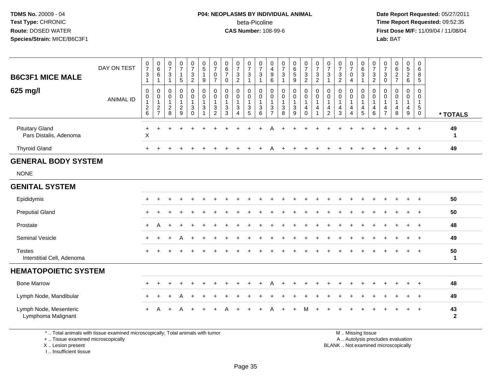## **P04: NEOPLASMS BY INDIVIDUAL ANIMAL**beta-Picoline<br>CAS Number: 108-99-6

 **Date Report Requested:** 05/27/2011 **Time Report Requested:** 09:52:35 **First Dose M/F:** 11/09/04 / 11/08/04<br>Lab: BAT **Lab:** BAT

| <b>B6C3F1 MICE MALE</b><br>625 mg/l              | DAY ON TEST<br><b>ANIMAL ID</b> | $\pmb{0}$<br>$\overline{7}$<br>$\ensuremath{\mathsf{3}}$<br>$\mathbf{1}$<br>$\,0\,$<br>$\pmb{0}$<br>$\mathbf{1}$ | $\pmb{0}$<br>$6\overline{6}$<br>6<br>$\mathbf{1}$<br>$\mathbf 0$<br>$\pmb{0}$<br>$\mathbf{1}$ | 0<br>$\overline{7}$<br>3<br>$\overline{1}$<br>0<br>0<br>$\mathbf{1}$ | $\begin{array}{c} 0 \\ 7 \end{array}$<br>$\mathbf 1$<br>$\sqrt{5}$<br>$\mathbf 0$<br>$\pmb{0}$<br>$\overline{1}$ | $\pmb{0}$<br>$\overline{7}$<br>3<br>$\overline{c}$<br>0<br>$\boldsymbol{0}$<br>$\mathbf{1}$ | $\pmb{0}$<br>5<br>$\mathbf{1}$<br>9<br>$\pmb{0}$<br>$\mathbf 0$<br>$\mathbf{1}$ | $\pmb{0}$<br>$\overline{7}$<br>0<br>$\overline{7}$<br>0<br>$\pmb{0}$<br>$\mathbf{1}$ | 0<br>$\,6\,$<br>$\overline{7}$<br>0<br>0<br>$\pmb{0}$<br>$\mathbf{1}$ | $\begin{array}{c} 0 \\ 7 \end{array}$<br>$\ensuremath{\mathsf{3}}$<br>$\overline{c}$<br>$\mathbf 0$<br>$\pmb{0}$<br>$\mathbf{1}$ | $\frac{0}{7}$<br>3<br>$\overline{\mathbf{1}}$<br>0<br>$\mathbf 0$<br>$\mathbf{1}$ | $\pmb{0}$<br>$\boldsymbol{7}$<br>3<br>$\mathbf{1}$<br>$\pmb{0}$<br>$\boldsymbol{0}$<br>$\overline{1}$ | 0<br>4<br>9<br>$\,6$<br>0<br>0<br>$\mathbf{1}$ | 0<br>$\overline{7}$<br>3<br>$\mathbf{1}$<br>0<br>$\pmb{0}$<br>$\mathbf{1}$ | $\begin{array}{c} 0 \\ 6 \\ 5 \end{array}$<br>$\boldsymbol{9}$<br>0<br>$\pmb{0}$<br>1 | $\begin{array}{c} 0 \\ 7 \end{array}$<br>$\frac{3}{2}$<br>$\mathbf 0$<br>$\mathbf 0$<br>$\mathbf{1}$ | $\begin{array}{c} 0 \\ 7 \end{array}$<br>$\sqrt{3}$<br>$\overline{2}$<br>$\pmb{0}$<br>$\boldsymbol{0}$<br>$\mathbf{1}$ | 0<br>$\overline{7}$<br>3<br>0<br>$\pmb{0}$<br>$\mathbf{1}$ | 0<br>$\overline{7}$<br>$\mathbf{3}$<br>$\overline{2}$<br>0<br>0<br>$\mathbf{1}$ | $\frac{0}{7}$<br>$\mathbf 0$<br>$\overline{4}$<br>0<br>$\pmb{0}$<br>$\mathbf{1}$ | $\mathbf 0$<br>$\,6\,$<br>$\mathbf{3}$<br>$\overline{1}$<br>$\mathbf 0$<br>$\mathbf 0$<br>$\mathbf{1}$ | $\pmb{0}$<br>$\overline{7}$<br>$\frac{3}{2}$<br>0<br>$\mathbf 0$<br>$\overline{1}$ | 0<br>$\overline{7}$<br>3<br>$\mathbf 0$<br>0<br>0<br>$\mathbf{1}$ | $\pmb{0}$<br>$\frac{6}{2}$<br>0<br>0<br>$\mathbf{1}$ | $\begin{array}{c} 0 \\ 5 \\ 2 \end{array}$<br>$6\phantom{1}$<br>0<br>$\pmb{0}$<br>$\mathbf{1}$ | $\mathbf 0$<br>6<br>8<br>$\overline{5}$<br>$\mathbf 0$<br>$\mathbf 0$<br>$\mathbf{1}$ |                    |
|--------------------------------------------------|---------------------------------|------------------------------------------------------------------------------------------------------------------|-----------------------------------------------------------------------------------------------|----------------------------------------------------------------------|------------------------------------------------------------------------------------------------------------------|---------------------------------------------------------------------------------------------|---------------------------------------------------------------------------------|--------------------------------------------------------------------------------------|-----------------------------------------------------------------------|----------------------------------------------------------------------------------------------------------------------------------|-----------------------------------------------------------------------------------|-------------------------------------------------------------------------------------------------------|------------------------------------------------|----------------------------------------------------------------------------|---------------------------------------------------------------------------------------|------------------------------------------------------------------------------------------------------|------------------------------------------------------------------------------------------------------------------------|------------------------------------------------------------|---------------------------------------------------------------------------------|----------------------------------------------------------------------------------|--------------------------------------------------------------------------------------------------------|------------------------------------------------------------------------------------|-------------------------------------------------------------------|------------------------------------------------------|------------------------------------------------------------------------------------------------|---------------------------------------------------------------------------------------|--------------------|
|                                                  |                                 | $\boldsymbol{2}$<br>6                                                                                            | $\overline{c}$<br>$\overline{7}$                                                              | $\overline{c}$<br>8                                                  | $\sqrt{2}$<br>9                                                                                                  | $\ensuremath{\mathsf{3}}$<br>$\Omega$                                                       | $\ensuremath{\mathsf{3}}$<br>$\overline{ }$                                     | 3<br>$\overline{2}$                                                                  | $\ensuremath{\mathsf{3}}$<br>3                                        | $\ensuremath{\mathsf{3}}$<br>$\boldsymbol{\Lambda}$                                                                              | $\ensuremath{\mathsf{3}}$<br>$\sqrt{5}$                                           | $\mathbf{3}$<br>6                                                                                     | 3                                              | $\ensuremath{\mathsf{3}}$<br>8                                             | $\ensuremath{\mathsf{3}}$<br>9                                                        | $\overline{4}$<br>$\Omega$                                                                           | $\overline{4}$<br>1                                                                                                    | 4<br>$\overline{2}$                                        | 4<br>3                                                                          | 4<br>4                                                                           | 4<br>$\sqrt{5}$                                                                                        | $\overline{4}$<br>6                                                                | 4<br>$\overline{7}$                                               | 4<br>8                                               | $\overline{4}$<br>9                                                                            | $\overline{5}$<br>0                                                                   | * TOTALS           |
| <b>Pituitary Gland</b><br>Pars Distalis, Adenoma |                                 | $\ddot{}$<br>$\mathsf X$                                                                                         | $\ddot{}$                                                                                     |                                                                      |                                                                                                                  |                                                                                             |                                                                                 |                                                                                      |                                                                       |                                                                                                                                  |                                                                                   |                                                                                                       |                                                |                                                                            |                                                                                       |                                                                                                      |                                                                                                                        |                                                            |                                                                                 |                                                                                  |                                                                                                        |                                                                                    |                                                                   |                                                      | $\ddot{}$                                                                                      | $\ddot{}$                                                                             | 49<br>$\mathbf{1}$ |
| <b>Thyroid Gland</b>                             |                                 | $+$                                                                                                              |                                                                                               |                                                                      |                                                                                                                  |                                                                                             |                                                                                 |                                                                                      |                                                                       |                                                                                                                                  |                                                                                   |                                                                                                       |                                                |                                                                            |                                                                                       |                                                                                                      |                                                                                                                        |                                                            |                                                                                 |                                                                                  |                                                                                                        |                                                                                    |                                                                   |                                                      | $\pm$                                                                                          | $+$                                                                                   | 49                 |
| <b>GENERAL BODY SYSTEM</b>                       |                                 |                                                                                                                  |                                                                                               |                                                                      |                                                                                                                  |                                                                                             |                                                                                 |                                                                                      |                                                                       |                                                                                                                                  |                                                                                   |                                                                                                       |                                                |                                                                            |                                                                                       |                                                                                                      |                                                                                                                        |                                                            |                                                                                 |                                                                                  |                                                                                                        |                                                                                    |                                                                   |                                                      |                                                                                                |                                                                                       |                    |
| <b>NONE</b>                                      |                                 |                                                                                                                  |                                                                                               |                                                                      |                                                                                                                  |                                                                                             |                                                                                 |                                                                                      |                                                                       |                                                                                                                                  |                                                                                   |                                                                                                       |                                                |                                                                            |                                                                                       |                                                                                                      |                                                                                                                        |                                                            |                                                                                 |                                                                                  |                                                                                                        |                                                                                    |                                                                   |                                                      |                                                                                                |                                                                                       |                    |
| <b>GENITAL SYSTEM</b>                            |                                 |                                                                                                                  |                                                                                               |                                                                      |                                                                                                                  |                                                                                             |                                                                                 |                                                                                      |                                                                       |                                                                                                                                  |                                                                                   |                                                                                                       |                                                |                                                                            |                                                                                       |                                                                                                      |                                                                                                                        |                                                            |                                                                                 |                                                                                  |                                                                                                        |                                                                                    |                                                                   |                                                      |                                                                                                |                                                                                       |                    |
| Epididymis                                       |                                 |                                                                                                                  |                                                                                               |                                                                      |                                                                                                                  |                                                                                             |                                                                                 |                                                                                      |                                                                       |                                                                                                                                  |                                                                                   |                                                                                                       |                                                |                                                                            |                                                                                       |                                                                                                      |                                                                                                                        |                                                            |                                                                                 |                                                                                  |                                                                                                        |                                                                                    |                                                                   |                                                      |                                                                                                |                                                                                       | 50                 |
| <b>Preputial Gland</b>                           |                                 | $\pm$                                                                                                            | $\div$                                                                                        |                                                                      |                                                                                                                  |                                                                                             |                                                                                 |                                                                                      |                                                                       |                                                                                                                                  |                                                                                   |                                                                                                       |                                                |                                                                            |                                                                                       |                                                                                                      |                                                                                                                        |                                                            |                                                                                 |                                                                                  |                                                                                                        |                                                                                    |                                                                   |                                                      |                                                                                                | $\overline{1}$                                                                        | 50                 |
| Prostate                                         |                                 | $+$                                                                                                              | A                                                                                             |                                                                      |                                                                                                                  |                                                                                             |                                                                                 |                                                                                      |                                                                       |                                                                                                                                  |                                                                                   |                                                                                                       |                                                |                                                                            |                                                                                       |                                                                                                      |                                                                                                                        |                                                            |                                                                                 |                                                                                  |                                                                                                        |                                                                                    |                                                                   |                                                      |                                                                                                |                                                                                       | 48                 |
| <b>Seminal Vesicle</b>                           |                                 |                                                                                                                  |                                                                                               |                                                                      | А                                                                                                                |                                                                                             |                                                                                 |                                                                                      |                                                                       |                                                                                                                                  |                                                                                   |                                                                                                       |                                                |                                                                            |                                                                                       |                                                                                                      |                                                                                                                        |                                                            |                                                                                 |                                                                                  |                                                                                                        |                                                                                    |                                                                   |                                                      |                                                                                                | $\ddot{}$                                                                             | 49                 |
| <b>Testes</b><br>Interstitial Cell, Adenoma      |                                 |                                                                                                                  |                                                                                               |                                                                      |                                                                                                                  |                                                                                             |                                                                                 |                                                                                      |                                                                       |                                                                                                                                  |                                                                                   |                                                                                                       |                                                |                                                                            |                                                                                       |                                                                                                      |                                                                                                                        |                                                            |                                                                                 |                                                                                  |                                                                                                        |                                                                                    |                                                                   |                                                      |                                                                                                | $+$                                                                                   | 50<br>$\mathbf{1}$ |
| <b>HEMATOPOIETIC SYSTEM</b>                      |                                 |                                                                                                                  |                                                                                               |                                                                      |                                                                                                                  |                                                                                             |                                                                                 |                                                                                      |                                                                       |                                                                                                                                  |                                                                                   |                                                                                                       |                                                |                                                                            |                                                                                       |                                                                                                      |                                                                                                                        |                                                            |                                                                                 |                                                                                  |                                                                                                        |                                                                                    |                                                                   |                                                      |                                                                                                |                                                                                       |                    |
| <b>Bone Marrow</b>                               |                                 | $+$                                                                                                              | $\ddot{}$                                                                                     |                                                                      |                                                                                                                  |                                                                                             |                                                                                 |                                                                                      |                                                                       |                                                                                                                                  |                                                                                   |                                                                                                       |                                                |                                                                            |                                                                                       |                                                                                                      |                                                                                                                        |                                                            |                                                                                 |                                                                                  |                                                                                                        |                                                                                    |                                                                   |                                                      |                                                                                                | $\ddot{}$                                                                             | 48                 |
| Lymph Node, Mandibular                           |                                 | $+$                                                                                                              | $\ddot{}$                                                                                     | ٠                                                                    |                                                                                                                  |                                                                                             |                                                                                 |                                                                                      |                                                                       |                                                                                                                                  |                                                                                   |                                                                                                       |                                                |                                                                            |                                                                                       |                                                                                                      |                                                                                                                        |                                                            |                                                                                 |                                                                                  |                                                                                                        |                                                                                    |                                                                   |                                                      |                                                                                                | $\ddot{}$                                                                             | 49                 |
| Lymph Node, Mesenteric<br>Lymphoma Malignant     |                                 | $+$                                                                                                              | А                                                                                             | +                                                                    | А                                                                                                                |                                                                                             |                                                                                 |                                                                                      |                                                                       |                                                                                                                                  |                                                                                   |                                                                                                       |                                                |                                                                            |                                                                                       |                                                                                                      |                                                                                                                        |                                                            |                                                                                 |                                                                                  |                                                                                                        |                                                                                    |                                                                   |                                                      |                                                                                                | $\ddot{}$                                                                             | 43<br>$\mathbf{2}$ |

\* .. Total animals with tissue examined microscopically; Total animals with tumor

+ .. Tissue examined microscopically

X .. Lesion present

I .. Insufficient tissue

M .. Missing tissue

y the contract of the contract of the contract of the contract of the contract of the contract of the contract of  $A$ . Autolysis precludes evaluation Lesion present BLANK .. Not examined microscopically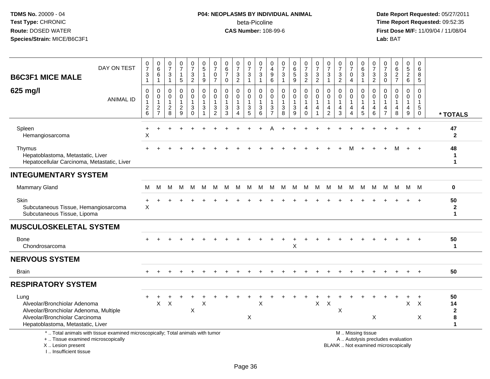## **P04: NEOPLASMS BY INDIVIDUAL ANIMAL**beta-Picoline<br>CAS Number: 108-99-6

| DAY ON TEST<br><b>B6C3F1 MICE MALE</b>                                                                                                                                                                                                                               |  | 0<br>$\overline{7}$<br>$\mathbf{3}$<br>$\mathbf{1}$           | $\begin{matrix} 0 \\ 6 \end{matrix}$<br>6<br>$\mathbf{1}$           | $\frac{0}{7}$<br>3<br>$\mathbf{1}$                        | $\frac{0}{7}$<br>$\mathbf{1}$<br>5                          | $\begin{smallmatrix}0\\7\end{smallmatrix}$<br>$\ensuremath{\mathsf{3}}$<br>$\overline{a}$ | $\begin{array}{c} 0 \\ 5 \end{array}$<br>$\mathbf{1}$<br>$9\,$ | $\frac{0}{7}$<br>0<br>$\overline{7}$                                                        | 0<br>$\,6\,$<br>$\overline{7}$<br>$\mathbf 0$               | $\begin{array}{c} 0 \\ 7 \end{array}$<br>3<br>$\overline{2}$ | $\frac{0}{7}$<br>$\ensuremath{\mathsf{3}}$<br>$\mathbf{1}$                   | $\frac{0}{7}$<br>$\mathbf{3}$<br>$\mathbf{1}$                   | 0<br>4<br>$\boldsymbol{9}$<br>$\,6\,$            | $\frac{0}{7}$<br>$\sqrt{3}$<br>$\overline{1}$               | $\begin{array}{c} 0 \\ 6 \end{array}$<br>$\overline{5}$<br>9 | $\frac{0}{7}$<br>$\sqrt{3}$<br>$\overline{2}$               | $\frac{0}{7}$<br>$\ensuremath{\mathsf{3}}$<br>$\overline{2}$ | 0<br>$\overline{7}$<br>$\sqrt{3}$<br>$\mathbf{1}$    | $\begin{array}{c} 0 \\ 7 \end{array}$<br>$\ensuremath{\mathsf{3}}$<br>$\overline{2}$ | $\frac{0}{7}$<br>$\mathbf 0$<br>$\overline{4}$                 | 0<br>$\,6\,$<br>$\sqrt{3}$<br>$\mathbf{1}$                       | 0<br>$\overline{7}$<br>$\mathbf{3}$<br>$\overline{2}$ | $\frac{0}{7}$<br>3<br>$\mathbf 0$                   | $\begin{array}{c} 0 \\ 6 \end{array}$<br>$\overline{2}$<br>$\overline{7}$ | $\pmb{0}$<br>$\overline{5}$<br>$\overline{2}$<br>$6\phantom{1}$                  | 0<br>6<br>8<br>5                                                   |                                              |
|----------------------------------------------------------------------------------------------------------------------------------------------------------------------------------------------------------------------------------------------------------------------|--|---------------------------------------------------------------|---------------------------------------------------------------------|-----------------------------------------------------------|-------------------------------------------------------------|-------------------------------------------------------------------------------------------|----------------------------------------------------------------|---------------------------------------------------------------------------------------------|-------------------------------------------------------------|--------------------------------------------------------------|------------------------------------------------------------------------------|-----------------------------------------------------------------|--------------------------------------------------|-------------------------------------------------------------|--------------------------------------------------------------|-------------------------------------------------------------|--------------------------------------------------------------|------------------------------------------------------|--------------------------------------------------------------------------------------|----------------------------------------------------------------|------------------------------------------------------------------|-------------------------------------------------------|-----------------------------------------------------|---------------------------------------------------------------------------|----------------------------------------------------------------------------------|--------------------------------------------------------------------|----------------------------------------------|
| 625 mg/l<br><b>ANIMAL ID</b>                                                                                                                                                                                                                                         |  | $\mathbf 0$<br>$\mathbf 0$<br>$\overline{1}$<br>$\frac{2}{6}$ | $\boldsymbol{0}$<br>$\overline{0}$<br>$\mathbf{1}$<br>$\frac{2}{7}$ | $\pmb{0}$<br>$\mathbf 0$<br>$\mathbf{1}$<br>$\frac{2}{8}$ | $\mathbf 0$<br>$\mathbf 0$<br>$\mathbf{1}$<br>$\frac{2}{9}$ | 0<br>$\mathbf 0$<br>$\mathbf{1}$<br>$\ensuremath{\mathsf{3}}$<br>$\Omega$                 | $\mathbf 0$<br>$\mathbf 0$<br>$\overline{1}$<br>$\sqrt{3}$     | $\mathbf 0$<br>$\mathbf 0$<br>$\overline{1}$<br>$\ensuremath{\mathsf{3}}$<br>$\overline{c}$ | $\mathbf 0$<br>$\mathbf 0$<br>$\mathbf{1}$<br>$\frac{3}{3}$ | 0<br>$\mathbf 0$<br>1<br>$\mathbf{3}$<br>$\overline{4}$      | $\mathbf 0$<br>$\mathbf 0$<br>$\mathbf{1}$<br>$\ensuremath{\mathsf{3}}$<br>5 | $\mathbf 0$<br>$\mathbf 0$<br>$\mathbf{1}$<br>$\mathbf{3}$<br>6 | 0<br>$\mathbf 0$<br>$\sqrt{3}$<br>$\overline{7}$ | $\pmb{0}$<br>$\mathbf 0$<br>$\mathbf{1}$<br>$\sqrt{3}$<br>8 | 0<br>$\mathbf 0$<br>$\mathbf{1}$<br>$\sqrt{3}$<br>9          | $\mathbf 0$<br>$\mathbf 0$<br>$\mathbf{1}$<br>4<br>$\Omega$ | $\mathbf 0$<br>$\mathbf 0$<br>1<br>4                         | $\mathbf 0$<br>$\Omega$<br>-1<br>4<br>$\overline{c}$ | 0<br>$\mathbf 0$<br>4<br>3                                                           | 0<br>$\Omega$<br>1<br>$\overline{4}$<br>$\boldsymbol{\Lambda}$ | $\mathbf 0$<br>$\Omega$<br>$\overline{1}$<br>$\overline{4}$<br>5 | $\mathbf 0$<br>$\Omega$<br>$\mathbf{1}$<br>4<br>6     | $\mathbf 0$<br>$\Omega$<br>1<br>4<br>$\overline{7}$ | 0<br>$\mathbf 0$<br>$\mathbf 1$<br>4<br>8                                 | $\mathbf 0$<br>$\mathbf 0$<br>$\mathbf{1}$<br>$\overline{4}$<br>$\boldsymbol{9}$ | $\mathbf 0$<br>$\mathbf 0$<br>$\mathbf{1}$<br>$5\phantom{.0}$<br>0 | * TOTALS                                     |
| Spleen<br>Hemangiosarcoma                                                                                                                                                                                                                                            |  | $\ddot{}$<br>$\boldsymbol{\mathsf{X}}$                        |                                                                     |                                                           |                                                             |                                                                                           |                                                                |                                                                                             |                                                             |                                                              |                                                                              |                                                                 |                                                  |                                                             |                                                              |                                                             |                                                              |                                                      |                                                                                      |                                                                |                                                                  |                                                       |                                                     |                                                                           |                                                                                  | $\ddot{}$                                                          | 47<br>$\mathbf{2}$                           |
| Thymus<br>Hepatoblastoma, Metastatic, Liver<br>Hepatocellular Carcinoma, Metastatic, Liver                                                                                                                                                                           |  |                                                               |                                                                     |                                                           |                                                             |                                                                                           |                                                                |                                                                                             |                                                             |                                                              |                                                                              |                                                                 |                                                  |                                                             |                                                              |                                                             |                                                              |                                                      |                                                                                      |                                                                |                                                                  |                                                       |                                                     |                                                                           |                                                                                  |                                                                    | 48<br>1<br>$\mathbf 1$                       |
| <b>INTEGUMENTARY SYSTEM</b>                                                                                                                                                                                                                                          |  |                                                               |                                                                     |                                                           |                                                             |                                                                                           |                                                                |                                                                                             |                                                             |                                                              |                                                                              |                                                                 |                                                  |                                                             |                                                              |                                                             |                                                              |                                                      |                                                                                      |                                                                |                                                                  |                                                       |                                                     |                                                                           |                                                                                  |                                                                    |                                              |
| <b>Mammary Gland</b>                                                                                                                                                                                                                                                 |  | м                                                             | M                                                                   | M                                                         | M                                                           | M                                                                                         | м                                                              | м                                                                                           | м                                                           | M                                                            | M                                                                            | M                                                               | M                                                | M                                                           | M                                                            | M                                                           | M                                                            | M                                                    | M                                                                                    | M                                                              | M                                                                | M                                                     | M                                                   | M                                                                         |                                                                                  | M M                                                                | 0                                            |
| Skin<br>Subcutaneous Tissue, Hemangiosarcoma<br>Subcutaneous Tissue, Lipoma                                                                                                                                                                                          |  | $\mathsf X$                                                   |                                                                     |                                                           |                                                             |                                                                                           |                                                                |                                                                                             |                                                             |                                                              |                                                                              |                                                                 |                                                  |                                                             |                                                              |                                                             |                                                              |                                                      |                                                                                      |                                                                |                                                                  |                                                       |                                                     |                                                                           |                                                                                  |                                                                    | 50<br>$\boldsymbol{2}$<br>$\mathbf 1$        |
| <b>MUSCULOSKELETAL SYSTEM</b>                                                                                                                                                                                                                                        |  |                                                               |                                                                     |                                                           |                                                             |                                                                                           |                                                                |                                                                                             |                                                             |                                                              |                                                                              |                                                                 |                                                  |                                                             |                                                              |                                                             |                                                              |                                                      |                                                                                      |                                                                |                                                                  |                                                       |                                                     |                                                                           |                                                                                  |                                                                    |                                              |
| Bone<br>Chondrosarcoma                                                                                                                                                                                                                                               |  |                                                               |                                                                     |                                                           |                                                             |                                                                                           |                                                                |                                                                                             |                                                             |                                                              |                                                                              |                                                                 |                                                  |                                                             | Χ                                                            |                                                             |                                                              |                                                      |                                                                                      |                                                                |                                                                  |                                                       |                                                     |                                                                           |                                                                                  |                                                                    | 50<br>$\mathbf 1$                            |
| <b>NERVOUS SYSTEM</b>                                                                                                                                                                                                                                                |  |                                                               |                                                                     |                                                           |                                                             |                                                                                           |                                                                |                                                                                             |                                                             |                                                              |                                                                              |                                                                 |                                                  |                                                             |                                                              |                                                             |                                                              |                                                      |                                                                                      |                                                                |                                                                  |                                                       |                                                     |                                                                           |                                                                                  |                                                                    |                                              |
| <b>Brain</b>                                                                                                                                                                                                                                                         |  |                                                               |                                                                     |                                                           |                                                             |                                                                                           |                                                                |                                                                                             |                                                             |                                                              |                                                                              |                                                                 |                                                  |                                                             |                                                              |                                                             |                                                              |                                                      |                                                                                      |                                                                |                                                                  |                                                       |                                                     |                                                                           |                                                                                  |                                                                    | 50                                           |
| <b>RESPIRATORY SYSTEM</b>                                                                                                                                                                                                                                            |  |                                                               |                                                                     |                                                           |                                                             |                                                                                           |                                                                |                                                                                             |                                                             |                                                              |                                                                              |                                                                 |                                                  |                                                             |                                                              |                                                             |                                                              |                                                      |                                                                                      |                                                                |                                                                  |                                                       |                                                     |                                                                           |                                                                                  |                                                                    |                                              |
| Lung<br>Alveolar/Bronchiolar Adenoma<br>Alveolar/Bronchiolar Adenoma, Multiple<br>Alveolar/Bronchiolar Carcinoma<br>Hepatoblastoma, Metastatic, Liver                                                                                                                |  |                                                               | X                                                                   | $\sf X$                                                   |                                                             | Χ                                                                                         | X                                                              |                                                                                             |                                                             |                                                              | Χ                                                                            | $\pmb{\times}$                                                  |                                                  |                                                             |                                                              |                                                             | X                                                            | $\boldsymbol{\mathsf{X}}$                            | X                                                                                    |                                                                |                                                                  | X                                                     |                                                     |                                                                           | $\mathsf{X}$                                                                     | $\overline{1}$<br>$\mathsf{X}$<br>Χ                                | 50<br>14<br>$\mathbf{2}$<br>8<br>$\mathbf 1$ |
| *  Total animals with tissue examined microscopically; Total animals with tumor<br>M  Missing tissue<br>+  Tissue examined microscopically<br>A  Autolysis precludes evaluation<br>X  Lesion present<br>BLANK  Not examined microscopically<br>I Insufficient tissue |  |                                                               |                                                                     |                                                           |                                                             |                                                                                           |                                                                |                                                                                             |                                                             |                                                              |                                                                              |                                                                 |                                                  |                                                             |                                                              |                                                             |                                                              |                                                      |                                                                                      |                                                                |                                                                  |                                                       |                                                     |                                                                           |                                                                                  |                                                                    |                                              |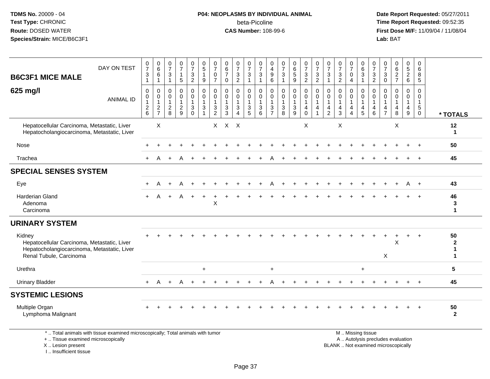#### **P04: NEOPLASMS BY INDIVIDUAL ANIMAL**beta-Picoline<br>CAS Number: 108-99-6

 **Date Report Requested:** 05/27/2011 **Time Report Requested:** 09:52:35 **First Dose M/F:** 11/09/04 / 11/08/04<br>Lab: BAT **Lab:** BAT

| <b>B6C3F1 MICE MALE</b>                                                                                                                   | DAY ON TEST      | $\frac{0}{7}$<br>$\ensuremath{\mathsf{3}}$<br>$\mathbf{1}$                | $\begin{array}{c} 0 \\ 6 \end{array}$<br>6<br>$\mathbf{1}$       | 0<br>$\overline{7}$<br>$\mathbf{3}$<br>$\mathbf{1}$           | $\frac{0}{7}$<br>$\mathbf{1}$<br>5                        | $\frac{0}{7}$<br>$\mathbf{3}$<br>$\overline{2}$                | 0<br>$\sqrt{5}$<br>$\mathbf{1}$<br>9                   | $\frac{0}{7}$<br>0<br>$\overline{7}$          | $\begin{array}{c} 0 \\ 6 \\ 7 \end{array}$<br>$\mathbf{0}$ | $\frac{0}{7}$<br>$\frac{3}{2}$                                               | $\frac{0}{7}$<br>$\mathsf 3$<br>$\overline{1}$                       | $\frac{0}{7}$<br>$\mathbf{3}$<br>$\overline{1}$                | 0<br>$\overline{4}$<br>9<br>6 | $\frac{0}{7}$<br>$\mathbf{3}$<br>$\mathbf{1}$                      | $\begin{array}{c} 0 \\ 6 \\ 5 \end{array}$<br>$\overline{9}$                 | $\frac{0}{7}$<br>$\mathbf{3}$<br>$\overline{2}$         | $\frac{0}{7}$<br>$\mathbf{3}$<br>$\overline{2}$                                | 0<br>$\overline{7}$<br>3<br>$\mathbf{1}$                | $\frac{0}{7}$<br>$\frac{3}{2}$                                             | 0<br>$\overline{7}$<br>$\mathbf 0$<br>$\overline{4}$               | 0<br>$\frac{6}{3}$<br>$\mathbf{1}$                    | $\frac{0}{7}$<br>$\frac{3}{2}$                                    | 0<br>$\overline{7}$<br>3<br>$\Omega$       | 0<br>$\,6\,$<br>$\frac{2}{7}$                                            | 0<br>5<br>$\overline{a}$<br>6              | 0<br>6<br>8<br>5                                                   |                                  |
|-------------------------------------------------------------------------------------------------------------------------------------------|------------------|---------------------------------------------------------------------------|------------------------------------------------------------------|---------------------------------------------------------------|-----------------------------------------------------------|----------------------------------------------------------------|--------------------------------------------------------|-----------------------------------------------|------------------------------------------------------------|------------------------------------------------------------------------------|----------------------------------------------------------------------|----------------------------------------------------------------|-------------------------------|--------------------------------------------------------------------|------------------------------------------------------------------------------|---------------------------------------------------------|--------------------------------------------------------------------------------|---------------------------------------------------------|----------------------------------------------------------------------------|--------------------------------------------------------------------|-------------------------------------------------------|-------------------------------------------------------------------|--------------------------------------------|--------------------------------------------------------------------------|--------------------------------------------|--------------------------------------------------------------------|----------------------------------|
| 625 mg/l                                                                                                                                  | <b>ANIMAL ID</b> | 0<br>$\pmb{0}$<br>$\overline{1}$<br>$\begin{array}{c} 2 \\ 6 \end{array}$ | 0<br>$\mathbf 0$<br>$\mathbf{1}$<br>$\sqrt{2}$<br>$\overline{7}$ | $\mathbf 0$<br>$\mathbf 0$<br>$\mathbf{1}$<br>$\sqrt{2}$<br>8 | $\mathbf 0$<br>$\pmb{0}$<br>$\mathbf{1}$<br>$\frac{2}{9}$ | 0<br>$\mathbf 0$<br>$\mathbf{1}$<br>$\mathsf 3$<br>$\mathbf 0$ | 0<br>0<br>$\mathbf{1}$<br>$\mathbf{3}$<br>$\mathbf{1}$ | 0<br>0<br>$\mathbf{1}$<br>3<br>$\overline{2}$ | 0<br>0<br>$\mathbf{1}$<br>$\mathbf{3}$<br>3                | $\mathbf 0$<br>$\mathbf 0$<br>$\mathbf{1}$<br>$\mathbf{3}$<br>$\overline{4}$ | 0<br>$\mathbf 0$<br>$\overline{1}$<br>$\ensuremath{\mathsf{3}}$<br>5 | $\mathbf 0$<br>$\mathbf 0$<br>$\mathbf{1}$<br>$\mathbf 3$<br>6 | 0<br>0<br>3<br>$\overline{7}$ | 0<br>$\mathbf 0$<br>$\mathbf{1}$<br>$\ensuremath{\mathsf{3}}$<br>8 | $\mathbf 0$<br>$\mathbf 0$<br>$\mathbf{1}$<br>$\ensuremath{\mathsf{3}}$<br>9 | 0<br>0<br>$\mathbf{1}$<br>$\overline{4}$<br>$\mathbf 0$ | $\mathbf 0$<br>$\mathbf 0$<br>$\mathbf{1}$<br>$\overline{4}$<br>$\overline{1}$ | $\mathbf 0$<br>0<br>$\mathbf{1}$<br>4<br>$\overline{2}$ | $\mathbf 0$<br>$\mathbf 0$<br>$\mathbf{1}$<br>$\overline{\mathbf{4}}$<br>3 | 0<br>0<br>$\mathbf{1}$<br>$\overline{4}$<br>$\boldsymbol{\Lambda}$ | 0<br>$\pmb{0}$<br>$\mathbf{1}$<br>$\overline{4}$<br>5 | $\mathbf 0$<br>$\mathbf 0$<br>$\mathbf{1}$<br>$\overline{a}$<br>6 | 0<br>$\overline{1}$<br>4<br>$\overline{7}$ | $\mathbf 0$<br>$\Omega$<br>$\mathbf{1}$<br>$\overline{4}$<br>8           | 0<br>$\mathbf 0$<br>$\mathbf{1}$<br>4<br>9 | 0<br>$\mathbf 0$<br>$\mathbf{1}$<br>$5\phantom{.0}$<br>$\mathbf 0$ | * TOTALS                         |
| Hepatocellular Carcinoma, Metastatic, Liver<br>Hepatocholangiocarcinoma, Metastatic, Liver                                                |                  |                                                                           | $\boldsymbol{\mathsf{X}}$                                        |                                                               |                                                           |                                                                |                                                        |                                               | $X$ $X$ $X$                                                |                                                                              |                                                                      |                                                                |                               |                                                                    |                                                                              | X                                                       |                                                                                |                                                         | X                                                                          |                                                                    |                                                       |                                                                   |                                            | X                                                                        |                                            |                                                                    | 12<br>-1                         |
| Nose                                                                                                                                      |                  |                                                                           |                                                                  |                                                               |                                                           |                                                                |                                                        |                                               |                                                            |                                                                              |                                                                      |                                                                |                               |                                                                    |                                                                              |                                                         |                                                                                |                                                         |                                                                            |                                                                    |                                                       |                                                                   |                                            |                                                                          |                                            |                                                                    | 50                               |
| Trachea                                                                                                                                   |                  |                                                                           | A                                                                |                                                               |                                                           |                                                                |                                                        |                                               |                                                            |                                                                              |                                                                      |                                                                |                               |                                                                    |                                                                              |                                                         |                                                                                |                                                         |                                                                            |                                                                    |                                                       |                                                                   |                                            |                                                                          |                                            | $\ddot{}$                                                          | 45                               |
| <b>SPECIAL SENSES SYSTEM</b>                                                                                                              |                  |                                                                           |                                                                  |                                                               |                                                           |                                                                |                                                        |                                               |                                                            |                                                                              |                                                                      |                                                                |                               |                                                                    |                                                                              |                                                         |                                                                                |                                                         |                                                                            |                                                                    |                                                       |                                                                   |                                            |                                                                          |                                            |                                                                    |                                  |
| Eye                                                                                                                                       |                  |                                                                           | А                                                                |                                                               |                                                           |                                                                |                                                        |                                               |                                                            |                                                                              |                                                                      |                                                                |                               |                                                                    |                                                                              |                                                         |                                                                                |                                                         |                                                                            |                                                                    |                                                       |                                                                   |                                            |                                                                          | A                                          | $+$                                                                | 43                               |
| <b>Harderian Gland</b><br>Adenoma<br>Carcinoma                                                                                            |                  |                                                                           |                                                                  |                                                               |                                                           |                                                                |                                                        | X                                             |                                                            |                                                                              |                                                                      |                                                                |                               |                                                                    |                                                                              |                                                         |                                                                                |                                                         |                                                                            |                                                                    |                                                       |                                                                   |                                            |                                                                          |                                            |                                                                    | 46<br>$\mathbf{3}$<br>1          |
| <b>URINARY SYSTEM</b>                                                                                                                     |                  |                                                                           |                                                                  |                                                               |                                                           |                                                                |                                                        |                                               |                                                            |                                                                              |                                                                      |                                                                |                               |                                                                    |                                                                              |                                                         |                                                                                |                                                         |                                                                            |                                                                    |                                                       |                                                                   |                                            |                                                                          |                                            |                                                                    |                                  |
| Kidney<br>Hepatocellular Carcinoma, Metastatic, Liver<br>Hepatocholangiocarcinoma, Metastatic, Liver<br>Renal Tubule, Carcinoma           |                  |                                                                           |                                                                  |                                                               |                                                           |                                                                |                                                        |                                               |                                                            |                                                                              |                                                                      |                                                                |                               |                                                                    |                                                                              |                                                         |                                                                                |                                                         |                                                                            |                                                                    |                                                       |                                                                   | X                                          | X                                                                        |                                            | $\ddot{}$                                                          | 50<br>$\boldsymbol{2}$<br>1<br>1 |
| Urethra                                                                                                                                   |                  |                                                                           |                                                                  |                                                               |                                                           |                                                                | $\ddot{}$                                              |                                               |                                                            |                                                                              |                                                                      |                                                                | $\ddot{}$                     |                                                                    |                                                                              |                                                         |                                                                                |                                                         |                                                                            |                                                                    | $\ddot{}$                                             |                                                                   |                                            |                                                                          |                                            |                                                                    | $5\phantom{1}$                   |
| <b>Urinary Bladder</b>                                                                                                                    |                  |                                                                           | А                                                                |                                                               |                                                           |                                                                |                                                        |                                               |                                                            |                                                                              |                                                                      |                                                                |                               |                                                                    |                                                                              |                                                         |                                                                                |                                                         |                                                                            |                                                                    |                                                       |                                                                   |                                            |                                                                          |                                            |                                                                    | 45                               |
| <b>SYSTEMIC LESIONS</b>                                                                                                                   |                  |                                                                           |                                                                  |                                                               |                                                           |                                                                |                                                        |                                               |                                                            |                                                                              |                                                                      |                                                                |                               |                                                                    |                                                                              |                                                         |                                                                                |                                                         |                                                                            |                                                                    |                                                       |                                                                   |                                            |                                                                          |                                            |                                                                    |                                  |
| Multiple Organ<br>Lymphoma Malignant                                                                                                      |                  |                                                                           |                                                                  |                                                               |                                                           |                                                                |                                                        |                                               |                                                            |                                                                              |                                                                      |                                                                |                               |                                                                    |                                                                              |                                                         |                                                                                |                                                         |                                                                            |                                                                    |                                                       |                                                                   |                                            |                                                                          |                                            | $\ddot{}$                                                          | 50<br>$\overline{2}$             |
| *  Total animals with tissue examined microscopically; Total animals with tumor<br>+  Tissue examined microscopically<br>X Lesion present |                  |                                                                           |                                                                  |                                                               |                                                           |                                                                |                                                        |                                               |                                                            |                                                                              |                                                                      |                                                                |                               |                                                                    |                                                                              |                                                         |                                                                                |                                                         |                                                                            |                                                                    | M  Missing tissue                                     |                                                                   |                                            | A  Autolysis precludes evaluation<br>BLANK  Not examined microscopically |                                            |                                                                    |                                  |

I .. Insufficient tissue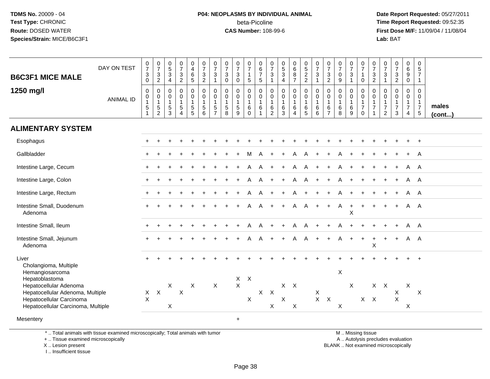#### **P04: NEOPLASMS BY INDIVIDUAL ANIMAL**beta-Picoline<br>CAS Number: 108-99-6

 **Date Report Requested:** 05/27/2011 **Time Report Requested:** 09:52:35 **First Dose M/F:** 11/09/04 / 11/08/04<br>Lab: BAT **Lab:** BAT

| <b>B6C3F1 MICE MALE</b>                                                                                                      | DAY ON TEST      | $\frac{0}{7}$<br>$\ensuremath{\mathsf{3}}$<br>$\overline{0}$          | $\frac{0}{7}$<br>$\mathsf 3$<br>$\overline{2}$                 | $\begin{array}{c} 0 \\ 5 \\ 3 \end{array}$<br>$\overline{4}$    | $\frac{0}{7}$<br>$\mathbf{3}$<br>$\overline{2}$                          | $\begin{smallmatrix}0\0\4\end{smallmatrix}$<br>$\,6\,$<br>$\sqrt{5}$ | $\begin{matrix} 0 \\ 7 \\ 3 \end{matrix}$<br>$\overline{2}$         | $\frac{0}{7}$<br>3<br>$\mathbf{1}$                                          | $\frac{0}{7}$<br>$\sqrt{3}$<br>$\mathsf{O}\xspace$ | $\frac{0}{7}$<br>$\mathbf 3$<br>$\mathbf 0$                 | $\frac{0}{7}$<br>$\overline{1}$<br>$\sqrt{5}$             | $\begin{array}{c} 0 \\ 6 \\ 7 \end{array}$<br>$\sqrt{5}$           | $\frac{0}{7}$<br>$\sqrt{3}$<br>$\mathbf{1}$       | $\begin{matrix} 0 \\ 5 \end{matrix}$<br>$\mathbf{3}$<br>$\overline{4}$ | $\begin{matrix} 0 \\ 6 \\ 8 \end{matrix}$<br>$\overline{7}$   | $0$<br>52<br>2                                                           | $\frac{0}{7}$<br>$\sqrt{3}$<br>$\overline{1}$            | $\frac{0}{7}$<br>$\mathbf{3}$<br>$\sqrt{2}$                           | $\frac{0}{7}$<br>$\pmb{0}$<br>$\boldsymbol{9}$             | $\frac{0}{7}$<br>3<br>1                | $\frac{0}{7}$<br>$\mathbf{1}$<br>$\mathbf 0$                      | $\frac{0}{7}$<br>$\mathsf 3$<br>$\sqrt{2}$                   | $\frac{0}{7}$<br>$\mathbf{3}$<br>$\overline{1}$                        | $\frac{0}{7}$<br>$\mathbf 3$<br>$\overline{2}$                  | $_{6}^{\rm 0}$<br>$\boldsymbol{9}$<br>$\mathsf{O}\xspace$            | $\begin{array}{c} 0 \\ 5 \end{array}$<br>$\overline{7}$<br>$\mathbf{1}$         |                       |
|------------------------------------------------------------------------------------------------------------------------------|------------------|-----------------------------------------------------------------------|----------------------------------------------------------------|-----------------------------------------------------------------|--------------------------------------------------------------------------|----------------------------------------------------------------------|---------------------------------------------------------------------|-----------------------------------------------------------------------------|----------------------------------------------------|-------------------------------------------------------------|-----------------------------------------------------------|--------------------------------------------------------------------|---------------------------------------------------|------------------------------------------------------------------------|---------------------------------------------------------------|--------------------------------------------------------------------------|----------------------------------------------------------|-----------------------------------------------------------------------|------------------------------------------------------------|----------------------------------------|-------------------------------------------------------------------|--------------------------------------------------------------|------------------------------------------------------------------------|-----------------------------------------------------------------|----------------------------------------------------------------------|---------------------------------------------------------------------------------|-----------------------|
| 1250 mg/l                                                                                                                    | <b>ANIMAL ID</b> | $\pmb{0}$<br>$\pmb{0}$<br>$\mathbf{1}$<br>$\,$ 5 $\,$<br>$\mathbf{1}$ | 0<br>$\pmb{0}$<br>$\mathbf{1}$<br>$\sqrt{5}$<br>$\overline{c}$ | $\mathbf 0$<br>$\mathbf 0$<br>$\overline{1}$<br>$\sqrt{5}$<br>3 | $\pmb{0}$<br>$\mathbf 0$<br>$\mathbf{1}$<br>$\sqrt{5}$<br>$\overline{4}$ | 0<br>$\mathbf 0$<br>$\mathbf{1}$<br>5<br>$\overline{5}$              | $_{\rm 0}^{\rm 0}$<br>$\mathbf{1}$<br>$\overline{5}$<br>$6^{\circ}$ | $\mathbf 0$<br>$\mathbf 0$<br>$\mathbf{1}$<br>$\,$ 5 $\,$<br>$\overline{7}$ | 0<br>0<br>$\mathbf{1}$<br>$\sqrt{5}$<br>8          | $\mathbf 0$<br>$\pmb{0}$<br>$\mathbf{1}$<br>$\sqrt{5}$<br>9 | 0<br>$\mathbf 0$<br>$\overline{1}$<br>$\,6\,$<br>$\Omega$ | $\boldsymbol{0}$<br>$\,0\,$<br>$\mathbf{1}$<br>6<br>$\overline{1}$ | 0<br>0<br>$\mathbf{1}$<br>$\,6$<br>$\overline{2}$ | $\pmb{0}$<br>$\pmb{0}$<br>$\mathbf{1}$<br>$\,6$<br>3                   | $\pmb{0}$<br>$\pmb{0}$<br>$\mathbf{1}$<br>6<br>$\overline{4}$ | $\mathbf 0$<br>$\mathbf 0$<br>$\mathbf{1}$<br>$\,6\,$<br>$5\phantom{.0}$ | $\mathbf 0$<br>$\pmb{0}$<br>$\mathbf{1}$<br>$\,6\,$<br>6 | $\mathbf 0$<br>$\mathbf 0$<br>$\mathbf{1}$<br>$\,6$<br>$\overline{7}$ | $\mathbf 0$<br>$\mathbf 0$<br>$\mathbf{1}$<br>$\,6\,$<br>8 | 0<br>0<br>$\mathbf{1}$<br>$\,6\,$<br>9 | 0<br>$\mathbf 0$<br>$\mathbf{1}$<br>$\overline{7}$<br>$\mathbf 0$ | $\mathbf 0$<br>$\mathbf 0$<br>$\mathbf{1}$<br>$\overline{7}$ | $\mathbf 0$<br>0<br>$\overline{1}$<br>$\overline{7}$<br>$\overline{2}$ | $\pmb{0}$<br>$\mathbf 0$<br>$\mathbf{1}$<br>$\overline{7}$<br>3 | 0<br>$\mathbf 0$<br>$\mathbf{1}$<br>$\overline{7}$<br>$\overline{4}$ | $\mathbf 0$<br>$\mathbf 0$<br>$\mathbf{1}$<br>$\overline{7}$<br>$5\phantom{.0}$ | males<br>$($ cont $)$ |
| <b>ALIMENTARY SYSTEM</b>                                                                                                     |                  |                                                                       |                                                                |                                                                 |                                                                          |                                                                      |                                                                     |                                                                             |                                                    |                                                             |                                                           |                                                                    |                                                   |                                                                        |                                                               |                                                                          |                                                          |                                                                       |                                                            |                                        |                                                                   |                                                              |                                                                        |                                                                 |                                                                      |                                                                                 |                       |
| Esophagus                                                                                                                    |                  |                                                                       |                                                                |                                                                 |                                                                          |                                                                      |                                                                     |                                                                             |                                                    |                                                             |                                                           |                                                                    |                                                   |                                                                        |                                                               |                                                                          |                                                          |                                                                       |                                                            |                                        |                                                                   |                                                              |                                                                        |                                                                 |                                                                      |                                                                                 |                       |
| Gallbladder                                                                                                                  |                  |                                                                       |                                                                |                                                                 |                                                                          |                                                                      |                                                                     |                                                                             |                                                    |                                                             |                                                           |                                                                    |                                                   |                                                                        |                                                               |                                                                          |                                                          |                                                                       |                                                            |                                        |                                                                   |                                                              |                                                                        |                                                                 |                                                                      | A                                                                               |                       |
| Intestine Large, Cecum                                                                                                       |                  |                                                                       |                                                                |                                                                 |                                                                          |                                                                      |                                                                     |                                                                             |                                                    |                                                             |                                                           |                                                                    |                                                   |                                                                        | A                                                             | A                                                                        |                                                          |                                                                       |                                                            |                                        |                                                                   |                                                              |                                                                        |                                                                 | A                                                                    | A                                                                               |                       |
| Intestine Large, Colon                                                                                                       |                  |                                                                       |                                                                |                                                                 |                                                                          |                                                                      |                                                                     |                                                                             |                                                    |                                                             |                                                           |                                                                    |                                                   |                                                                        | Α                                                             | A                                                                        |                                                          |                                                                       |                                                            |                                        |                                                                   |                                                              |                                                                        |                                                                 | Α                                                                    | A                                                                               |                       |
| Intestine Large, Rectum                                                                                                      |                  |                                                                       |                                                                |                                                                 |                                                                          |                                                                      |                                                                     |                                                                             |                                                    |                                                             | A                                                         | $\mathsf{A}$                                                       | $+$                                               | $+$                                                                    | A                                                             | $+$                                                                      | $+$                                                      | $\ddot{}$                                                             |                                                            |                                        | $+$                                                               |                                                              |                                                                        | $\ddot{}$                                                       | A A                                                                  |                                                                                 |                       |
| Intestine Small, Duodenum<br>Adenoma                                                                                         |                  |                                                                       |                                                                |                                                                 |                                                                          |                                                                      |                                                                     |                                                                             |                                                    |                                                             | Α                                                         | $\mathsf{A}$                                                       | $\ddot{}$                                         |                                                                        | $\mathsf{A}$                                                  | A                                                                        | $+$                                                      | $\ddot{}$                                                             | A                                                          | $\ddot{}$<br>X                         | $\ddot{}$                                                         |                                                              |                                                                        | $\ddot{}$                                                       | A A                                                                  |                                                                                 |                       |
| Intestine Small, Ileum                                                                                                       |                  |                                                                       |                                                                |                                                                 |                                                                          |                                                                      |                                                                     |                                                                             |                                                    |                                                             | A                                                         |                                                                    |                                                   |                                                                        | A                                                             | A                                                                        |                                                          | $\ddot{}$                                                             | A                                                          |                                        |                                                                   |                                                              |                                                                        |                                                                 | A                                                                    | A                                                                               |                       |
| Intestine Small, Jejunum<br>Adenoma                                                                                          |                  |                                                                       |                                                                |                                                                 |                                                                          |                                                                      |                                                                     |                                                                             |                                                    |                                                             |                                                           |                                                                    |                                                   |                                                                        | А                                                             | A                                                                        |                                                          |                                                                       |                                                            |                                        | $+$                                                               | $\pmb{\times}$                                               |                                                                        |                                                                 | A                                                                    | A                                                                               |                       |
| Liver<br>Cholangioma, Multiple<br>Hemangiosarcoma<br>Hepatoblastoma                                                          |                  |                                                                       |                                                                |                                                                 |                                                                          |                                                                      |                                                                     |                                                                             |                                                    | X                                                           | $\times$                                                  |                                                                    |                                                   |                                                                        |                                                               |                                                                          |                                                          |                                                                       | $\sf X$                                                    |                                        |                                                                   |                                                              |                                                                        |                                                                 |                                                                      |                                                                                 |                       |
| Hepatocellular Adenoma<br>Hepatocellular Adenoma, Multiple<br>Hepatocellular Carcinoma<br>Hepatocellular Carcinoma, Multiple |                  | $\times$                                                              | $X$ $X$                                                        | X<br>X                                                          | $\mathsf X$                                                              | $\mathsf{X}$                                                         |                                                                     | $\mathsf{X}$                                                                |                                                    | $\mathsf X$                                                 | $\mathsf{X}$                                              | $X -$                                                              | $\boldsymbol{X}$<br>X                             | $\pmb{\times}$                                                         | $X$ $X$<br>$\mathsf X$                                        |                                                                          | $\mathsf X$<br>$X$ $X$                                   |                                                                       | $\mathsf X$                                                | $\sf X$                                | $X$ $X$                                                           |                                                              | $X$ $X$                                                                | X<br>$\mathsf X$                                                | Χ<br>X                                                               | $\boldsymbol{\mathsf{X}}$                                                       |                       |
| Mesentery                                                                                                                    |                  |                                                                       |                                                                |                                                                 |                                                                          |                                                                      |                                                                     |                                                                             |                                                    | $\ddot{}$                                                   |                                                           |                                                                    |                                                   |                                                                        |                                                               |                                                                          |                                                          |                                                                       |                                                            |                                        |                                                                   |                                                              |                                                                        |                                                                 |                                                                      |                                                                                 |                       |

\* .. Total animals with tissue examined microscopically; Total animals with tumor

+ .. Tissue examined microscopically

X .. Lesion present

I .. Insufficient tissue

M .. Missing tissue

y the contract of the contract of the contract of the contract of the contract of the contract of the contract of  $A$ . Autolysis precludes evaluation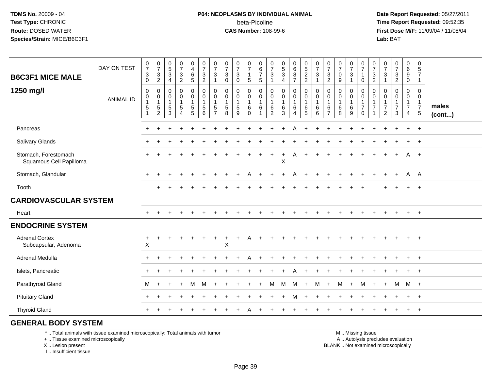#### **P04: NEOPLASMS BY INDIVIDUAL ANIMAL**beta-Picoline<br>CAS Number: 108-99-6

 **Date Report Requested:** 05/27/2011 **Time Report Requested:** 09:52:35 **First Dose M/F:** 11/09/04 / 11/08/04<br>Lab: BAT **Lab:** BAT

| <b>B6C3F1 MICE MALE</b>                         | DAY ON TEST      | $\frac{0}{7}$<br>$\ensuremath{\mathsf{3}}$<br>$\mathbf 0$                         | $\frac{0}{7}$<br>$\sqrt{3}$<br>$\overline{2}$                                      | $\begin{array}{c} 0 \\ 5 \\ 3 \end{array}$<br>$\overline{a}$ | $\frac{0}{7}$<br>$\sqrt{3}$<br>$\overline{2}$                                           | $\begin{smallmatrix}0\0\4\end{smallmatrix}$<br>$\ddot{6}$<br>5                              | $\begin{smallmatrix}0\\7\end{smallmatrix}$<br>$\ensuremath{\mathsf{3}}$<br>$\overline{c}$ | $\frac{0}{7}$<br>3<br>$\overline{1}$                                         | $\frac{0}{7}$<br>$\mathbf 3$<br>$\mathbf 0$                   | $\frac{0}{7}$<br>$\ensuremath{\mathsf{3}}$<br>$\mathbf 0$          | $\frac{0}{7}$<br>$\mathbf{1}$<br>5                               | 0<br>$\frac{6}{7}$<br>5     | $\frac{0}{7}$<br>$\ensuremath{\mathsf{3}}$<br>$\mathbf{1}$ | $\begin{array}{c} 0 \\ 5 \\ 3 \end{array}$<br>4                     | $0$<br>$6$<br>$8$<br>$\overline{7}$                                                       | $0$<br>5<br>2<br>2                                                                        | $\frac{0}{7}$<br>$\mathbf{3}$<br>1 | $\begin{array}{c} 0 \\ 7 \\ 3 \\ 2 \end{array}$                     | $\frac{0}{7}$<br>$\pmb{0}$<br>9          | $\begin{array}{c} 0 \\ 7 \end{array}$<br>$\mathbf{3}$<br>$\mathbf{1}$ | $\frac{0}{7}$<br>$\mathbf{1}$<br>$\mathbf 0$                                        | 0<br>$\overline{7}$<br>$\sqrt{3}$<br>$\overline{2}$ | $\frac{0}{7}$<br>$\mathbf{3}$<br>$\overline{1}$                               | $\frac{0}{7}$<br>$\ensuremath{\mathsf{3}}$<br>$\overline{c}$ | 0<br>$6\overline{6}$<br>$\boldsymbol{9}$<br>0                             | 0<br>$\overline{5}$<br>$\overline{7}$<br>1             |                 |
|-------------------------------------------------|------------------|-----------------------------------------------------------------------------------|------------------------------------------------------------------------------------|--------------------------------------------------------------|-----------------------------------------------------------------------------------------|---------------------------------------------------------------------------------------------|-------------------------------------------------------------------------------------------|------------------------------------------------------------------------------|---------------------------------------------------------------|--------------------------------------------------------------------|------------------------------------------------------------------|-----------------------------|------------------------------------------------------------|---------------------------------------------------------------------|-------------------------------------------------------------------------------------------|-------------------------------------------------------------------------------------------|------------------------------------|---------------------------------------------------------------------|------------------------------------------|-----------------------------------------------------------------------|-------------------------------------------------------------------------------------|-----------------------------------------------------|-------------------------------------------------------------------------------|--------------------------------------------------------------|---------------------------------------------------------------------------|--------------------------------------------------------|-----------------|
| 1250 mg/l                                       | <b>ANIMAL ID</b> | $\mathsf 0$<br>$\boldsymbol{0}$<br>$\mathbf{1}$<br>$\overline{5}$<br>$\mathbf{1}$ | $\boldsymbol{0}$<br>$\boldsymbol{0}$<br>$\overline{1}$<br>$\sqrt{5}$<br>$\sqrt{2}$ | $\pmb{0}$<br>$\mathbf 0$<br>$\mathbf{1}$<br>$\sqrt{5}$<br>3  | $\boldsymbol{0}$<br>$\mathsf{O}\xspace$<br>$\mathbf{1}$<br>$\sqrt{5}$<br>$\overline{4}$ | $\begin{smallmatrix}0\0\0\end{smallmatrix}$<br>$\mathbf{1}$<br>$\sqrt{5}$<br>$\overline{5}$ | $\pmb{0}$<br>$\overline{0}$<br>$\mathbf{1}$<br>$\sqrt{5}$<br>$6\phantom{a}$               | $\mathbf 0$<br>$\mathbf 0$<br>$\overline{1}$<br>$\sqrt{5}$<br>$\overline{7}$ | $\mathbf 0$<br>$\mathbf 0$<br>$\mathbf{1}$<br>$\sqrt{5}$<br>8 | 0<br>$\mathbf 0$<br>$\mathbf{1}$<br>$\sqrt{5}$<br>$\boldsymbol{9}$ | $\pmb{0}$<br>$\mathbf 0$<br>$\mathbf{1}$<br>$\,6$<br>$\mathbf 0$ | 0<br>0<br>$\mathbf{1}$<br>6 | $\pmb{0}$<br>0<br>$\mathbf{1}$<br>6<br>$\overline{c}$      | $\pmb{0}$<br>$\mathbf 0$<br>$\mathbf{1}$<br>$\,6\,$<br>$\mathbf{3}$ | $\begin{smallmatrix} 0\\0 \end{smallmatrix}$<br>$\mathbf{1}$<br>$\,6\,$<br>$\overline{4}$ | $\begin{smallmatrix} 0\\0 \end{smallmatrix}$<br>$\mathbf{1}$<br>$\,6\,$<br>$\overline{5}$ | 0<br>0<br>1<br>6<br>6              | $\pmb{0}$<br>$\pmb{0}$<br>$\mathbf{1}$<br>$\,6\,$<br>$\overline{7}$ | 0<br>$\pmb{0}$<br>$\mathbf{1}$<br>6<br>8 | 0<br>0<br>$\mathbf{1}$<br>$\,6$<br>$\boldsymbol{9}$                   | $\pmb{0}$<br>$\ddot{\mathbf{0}}$<br>$\mathbf{1}$<br>$\boldsymbol{7}$<br>$\mathbf 0$ | 0<br>0<br>$\mathbf{1}$<br>$\overline{7}$            | $\mathbf 0$<br>$\mathbf 0$<br>$\mathbf 1$<br>$\overline{7}$<br>$\overline{2}$ | 0<br>0<br>1<br>7<br>3                                        | $\boldsymbol{0}$<br>0<br>$\mathbf{1}$<br>$\overline{7}$<br>$\overline{4}$ | 0<br>0<br>$\mathbf{1}$<br>$\overline{7}$<br>$\sqrt{5}$ | males<br>(cont) |
| Pancreas                                        |                  |                                                                                   |                                                                                    |                                                              |                                                                                         |                                                                                             |                                                                                           |                                                                              |                                                               |                                                                    |                                                                  |                             |                                                            |                                                                     | Α                                                                                         |                                                                                           |                                    |                                                                     |                                          |                                                                       |                                                                                     |                                                     |                                                                               |                                                              | $+$                                                                       | $\overline{+}$                                         |                 |
| Salivary Glands                                 |                  |                                                                                   |                                                                                    |                                                              |                                                                                         |                                                                                             |                                                                                           |                                                                              |                                                               |                                                                    |                                                                  |                             |                                                            |                                                                     |                                                                                           |                                                                                           |                                    |                                                                     |                                          |                                                                       |                                                                                     |                                                     |                                                                               |                                                              | $\pm$                                                                     | $^{+}$                                                 |                 |
| Stomach, Forestomach<br>Squamous Cell Papilloma |                  |                                                                                   |                                                                                    |                                                              |                                                                                         |                                                                                             |                                                                                           |                                                                              |                                                               |                                                                    |                                                                  |                             | $\pm$                                                      | $\ddot{}$<br>X                                                      | A                                                                                         |                                                                                           |                                    |                                                                     |                                          |                                                                       |                                                                                     |                                                     |                                                                               |                                                              | A                                                                         | $+$                                                    |                 |
| Stomach, Glandular                              |                  |                                                                                   |                                                                                    |                                                              |                                                                                         |                                                                                             |                                                                                           |                                                                              |                                                               |                                                                    |                                                                  |                             |                                                            |                                                                     |                                                                                           |                                                                                           |                                    |                                                                     |                                          |                                                                       |                                                                                     |                                                     |                                                                               |                                                              | A                                                                         | A                                                      |                 |
| Tooth                                           |                  |                                                                                   | $\pm$                                                                              |                                                              |                                                                                         |                                                                                             |                                                                                           |                                                                              |                                                               |                                                                    |                                                                  |                             |                                                            |                                                                     |                                                                                           |                                                                                           |                                    |                                                                     |                                          |                                                                       |                                                                                     |                                                     |                                                                               |                                                              | $+$                                                                       | $+$                                                    |                 |
| <b>CARDIOVASCULAR SYSTEM</b>                    |                  |                                                                                   |                                                                                    |                                                              |                                                                                         |                                                                                             |                                                                                           |                                                                              |                                                               |                                                                    |                                                                  |                             |                                                            |                                                                     |                                                                                           |                                                                                           |                                    |                                                                     |                                          |                                                                       |                                                                                     |                                                     |                                                                               |                                                              |                                                                           |                                                        |                 |
| Heart                                           |                  | $+$                                                                               |                                                                                    |                                                              |                                                                                         |                                                                                             |                                                                                           |                                                                              |                                                               |                                                                    |                                                                  |                             |                                                            |                                                                     |                                                                                           |                                                                                           |                                    |                                                                     |                                          |                                                                       |                                                                                     |                                                     |                                                                               |                                                              | $+$                                                                       | $+$                                                    |                 |
| <b>ENDOCRINE SYSTEM</b>                         |                  |                                                                                   |                                                                                    |                                                              |                                                                                         |                                                                                             |                                                                                           |                                                                              |                                                               |                                                                    |                                                                  |                             |                                                            |                                                                     |                                                                                           |                                                                                           |                                    |                                                                     |                                          |                                                                       |                                                                                     |                                                     |                                                                               |                                                              |                                                                           |                                                        |                 |
| <b>Adrenal Cortex</b><br>Subcapsular, Adenoma   |                  | $\ddot{}$<br>$\sf X$                                                              | $\ddot{}$                                                                          |                                                              |                                                                                         |                                                                                             |                                                                                           |                                                                              | $\pmb{\times}$                                                |                                                                    |                                                                  |                             |                                                            |                                                                     |                                                                                           |                                                                                           |                                    |                                                                     |                                          |                                                                       |                                                                                     |                                                     |                                                                               |                                                              | $+$                                                                       | $+$                                                    |                 |
| Adrenal Medulla                                 |                  |                                                                                   |                                                                                    |                                                              |                                                                                         |                                                                                             |                                                                                           |                                                                              |                                                               |                                                                    |                                                                  |                             |                                                            |                                                                     |                                                                                           |                                                                                           |                                    |                                                                     |                                          |                                                                       |                                                                                     |                                                     |                                                                               |                                                              |                                                                           | $+$                                                    |                 |
| Islets, Pancreatic                              |                  |                                                                                   |                                                                                    |                                                              |                                                                                         |                                                                                             |                                                                                           |                                                                              |                                                               |                                                                    |                                                                  |                             |                                                            |                                                                     |                                                                                           |                                                                                           |                                    |                                                                     |                                          |                                                                       |                                                                                     |                                                     |                                                                               |                                                              |                                                                           | $\overline{ }$                                         |                 |
| Parathyroid Gland                               |                  | М                                                                                 | $\ddot{}$                                                                          |                                                              |                                                                                         | м                                                                                           | м                                                                                         |                                                                              |                                                               |                                                                    |                                                                  |                             | М                                                          | M                                                                   | M                                                                                         | $\ddot{}$                                                                                 | м                                  |                                                                     | M                                        | $\ddot{}$                                                             | М                                                                                   | $\overline{+}$                                      | $\ddot{}$                                                                     | M                                                            | M +                                                                       |                                                        |                 |
| <b>Pituitary Gland</b>                          |                  |                                                                                   |                                                                                    |                                                              |                                                                                         |                                                                                             |                                                                                           |                                                                              |                                                               |                                                                    |                                                                  |                             |                                                            |                                                                     |                                                                                           |                                                                                           |                                    |                                                                     |                                          |                                                                       |                                                                                     |                                                     |                                                                               |                                                              |                                                                           | $+$                                                    |                 |
| <b>Thyroid Gland</b>                            |                  |                                                                                   |                                                                                    |                                                              |                                                                                         |                                                                                             |                                                                                           |                                                                              |                                                               |                                                                    |                                                                  |                             |                                                            |                                                                     |                                                                                           |                                                                                           |                                    |                                                                     |                                          |                                                                       |                                                                                     |                                                     |                                                                               |                                                              | $+$                                                                       | $+$                                                    |                 |
| <b>GENERAL BODY SYSTEM</b>                      |                  |                                                                                   |                                                                                    |                                                              |                                                                                         |                                                                                             |                                                                                           |                                                                              |                                                               |                                                                    |                                                                  |                             |                                                            |                                                                     |                                                                                           |                                                                                           |                                    |                                                                     |                                          |                                                                       |                                                                                     |                                                     |                                                                               |                                                              |                                                                           |                                                        |                 |

\* .. Total animals with tissue examined microscopically; Total animals with tumor

+ .. Tissue examined microscopically

X .. Lesion present

I .. Insufficient tissue

M .. Missing tissue

y the contract of the contract of the contract of the contract of the contract of the contract of the contract of  $A$ . Autolysis precludes evaluation Lesion present BLANK .. Not examined microscopically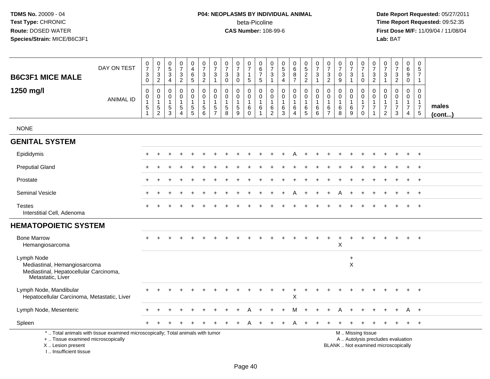# **P04: NEOPLASMS BY INDIVIDUAL ANIMAL**beta-Picoline<br>CAS Number: 108-99-6

| <b>B6C3F1 MICE MALE</b>                                                                                   | DAY ON TEST                                                                     | $\begin{smallmatrix}0\\7\end{smallmatrix}$<br>$\mathbf{3}$<br>$\mathbf 0$ | $\frac{0}{7}$<br>$\mathbf{3}$<br>$\overline{2}$        | $\pmb{0}$<br>$\overline{5}$<br>$\mathbf{3}$<br>4             | $\frac{0}{7}$<br>$\mathbf{3}$<br>$\overline{2}$                 | $_4^{\rm 0}$<br>$\,6\,$<br>5                                  | $\frac{0}{7}$<br>$\sqrt{3}$<br>$\overline{2}$                | $\frac{0}{7}$<br>$\sqrt{3}$<br>$\overline{1}$                                 | $\begin{array}{c} 0 \\ 7 \end{array}$<br>$\mathbf{3}$<br>$\mathbf 0$ | $\begin{array}{c} 0 \\ 7 \end{array}$<br>$\ensuremath{\mathsf{3}}$<br>$\mathbf 0$ | $\,0\,$<br>$\overline{7}$<br>$\mathbf{1}$<br>$\sqrt{5}$           | 0<br>6<br>$\overline{7}$<br>$5\phantom{.0}$                | $\begin{smallmatrix}0\\7\end{smallmatrix}$<br>$\mathfrak{Z}$<br>$\mathbf{1}$  | $\begin{array}{c} 0 \\ 5 \\ 3 \end{array}$<br>4           | $\begin{array}{c} 0 \\ 6 \end{array}$<br>$\overline{8}$<br>$\overline{7}$ | $\begin{array}{c} 0 \\ 5 \end{array}$<br>$\overline{2}$<br>$\overline{2}$ | $\frac{0}{7}$<br>3<br>$\mathbf{1}$         | $\frac{0}{7}$<br>$\sqrt{3}$<br>$\overline{2}$                       | $\frac{0}{7}$<br>$\mathbf 0$<br>9                     | $\frac{0}{7}$<br>$\sqrt{3}$<br>$\mathbf{1}$                     | $\begin{array}{c} 0 \\ 7 \end{array}$<br>1<br>$\mathbf 0$                     | $\frac{0}{7}$<br>$\sqrt{3}$<br>$\overline{2}$                        | $\frac{0}{7}$<br>$\mathbf{3}$<br>$\mathbf{1}$                    | $\frac{0}{7}$<br>$\mathbf{3}$<br>$\overline{2}$                          | $\pmb{0}$<br>$\overline{6}$<br>$\boldsymbol{9}$<br>$\mathbf 0$                   | $\pmb{0}$<br>5<br>$\overline{7}$<br>$\mathbf{1}$                          |                 |
|-----------------------------------------------------------------------------------------------------------|---------------------------------------------------------------------------------|---------------------------------------------------------------------------|--------------------------------------------------------|--------------------------------------------------------------|-----------------------------------------------------------------|---------------------------------------------------------------|--------------------------------------------------------------|-------------------------------------------------------------------------------|----------------------------------------------------------------------|-----------------------------------------------------------------------------------|-------------------------------------------------------------------|------------------------------------------------------------|-------------------------------------------------------------------------------|-----------------------------------------------------------|---------------------------------------------------------------------------|---------------------------------------------------------------------------|--------------------------------------------|---------------------------------------------------------------------|-------------------------------------------------------|-----------------------------------------------------------------|-------------------------------------------------------------------------------|----------------------------------------------------------------------|------------------------------------------------------------------|--------------------------------------------------------------------------|----------------------------------------------------------------------------------|---------------------------------------------------------------------------|-----------------|
| 1250 mg/l                                                                                                 | <b>ANIMAL ID</b>                                                                | $\mathbf 0$<br>$\pmb{0}$<br>$\mathbf{1}$<br>$\sqrt{5}$<br>$\overline{1}$  | $\mathbf 0$<br>0<br>$\overline{1}$<br>$\,$ 5 $\,$<br>2 | $\Omega$<br>$\mathbf 0$<br>$\overline{1}$<br>$\sqrt{5}$<br>3 | $\mathbf 0$<br>$\mathbf 0$<br>1<br>$\sqrt{5}$<br>$\overline{4}$ | $\mathbf 0$<br>$\mathbf 0$<br>$\overline{1}$<br>$\frac{5}{5}$ | $\mathbf 0$<br>$\pmb{0}$<br>$\mathbf{1}$<br>$\,$ 5 $\,$<br>6 | $\mathbf 0$<br>$\mathbf 0$<br>$\overline{1}$<br>$\,$ 5 $\,$<br>$\overline{7}$ | $\mathbf 0$<br>$\mathbf 0$<br>$\mathbf{1}$<br>$\sqrt{5}$<br>8        | $\mathbf 0$<br>$\pmb{0}$<br>$\mathbf{1}$<br>$\,$ 5 $\,$<br>$9\,$                  | $\Omega$<br>$\mathbf 0$<br>$\mathbf{1}$<br>$\,6\,$<br>$\mathbf 0$ | $\mathbf 0$<br>$\mathbf 0$<br>$\mathbf{1}$<br>$\,6\,$<br>1 | $\mathbf 0$<br>$\mathsf{O}\xspace$<br>$\mathbf{1}$<br>$\,6$<br>$\overline{2}$ | 0<br>$\mathbf 0$<br>$\mathbf{1}$<br>$\,6$<br>$\mathbf{3}$ | $\mathbf 0$<br>$\mathbf 0$<br>$\overline{1}$<br>$\,6\,$<br>$\overline{4}$ | $\mathbf 0$<br>$\mathbf 0$<br>$\mathbf{1}$<br>$\,6$<br>$\overline{5}$     | 0<br>$\mathbf 0$<br>$\mathbf{1}$<br>6<br>6 | $\mathbf 0$<br>$\pmb{0}$<br>$\mathbf{1}$<br>$\,6$<br>$\overline{7}$ | $\mathbf{0}$<br>$\mathbf 0$<br>$\mathbf{1}$<br>6<br>8 | 0<br>$\mathbf 0$<br>$\mathbf{1}$<br>$\,6\,$<br>$\boldsymbol{9}$ | $\mathbf 0$<br>$\mathbf 0$<br>$\mathbf{1}$<br>$\boldsymbol{7}$<br>$\mathbf 0$ | $\mathbf 0$<br>$\mathsf 0$<br>$\overline{1}$<br>$\overline{7}$<br>-1 | $\Omega$<br>$\mathbf 0$<br>$\mathbf{1}$<br>$\boldsymbol{7}$<br>2 | $\mathbf 0$<br>$\mathbf 0$<br>1<br>$\overline{7}$<br>3                   | $\mathbf 0$<br>$\mathbf 0$<br>$\mathbf{1}$<br>$\boldsymbol{7}$<br>$\overline{4}$ | $\Omega$<br>$\mathbf 0$<br>$\overline{1}$<br>$\overline{7}$<br>$\sqrt{5}$ | males<br>(cont) |
| <b>NONE</b>                                                                                               |                                                                                 |                                                                           |                                                        |                                                              |                                                                 |                                                               |                                                              |                                                                               |                                                                      |                                                                                   |                                                                   |                                                            |                                                                               |                                                           |                                                                           |                                                                           |                                            |                                                                     |                                                       |                                                                 |                                                                               |                                                                      |                                                                  |                                                                          |                                                                                  |                                                                           |                 |
| <b>GENITAL SYSTEM</b>                                                                                     |                                                                                 |                                                                           |                                                        |                                                              |                                                                 |                                                               |                                                              |                                                                               |                                                                      |                                                                                   |                                                                   |                                                            |                                                                               |                                                           |                                                                           |                                                                           |                                            |                                                                     |                                                       |                                                                 |                                                                               |                                                                      |                                                                  |                                                                          |                                                                                  |                                                                           |                 |
| Epididymis                                                                                                |                                                                                 |                                                                           |                                                        |                                                              |                                                                 |                                                               |                                                              |                                                                               |                                                                      |                                                                                   |                                                                   |                                                            |                                                                               |                                                           |                                                                           |                                                                           |                                            |                                                                     |                                                       |                                                                 |                                                                               |                                                                      |                                                                  |                                                                          |                                                                                  | $\pm$                                                                     |                 |
| <b>Preputial Gland</b>                                                                                    |                                                                                 |                                                                           |                                                        |                                                              |                                                                 |                                                               |                                                              |                                                                               |                                                                      |                                                                                   |                                                                   |                                                            |                                                                               |                                                           |                                                                           |                                                                           |                                            |                                                                     |                                                       |                                                                 |                                                                               |                                                                      |                                                                  |                                                                          |                                                                                  |                                                                           |                 |
| Prostate                                                                                                  |                                                                                 |                                                                           |                                                        |                                                              |                                                                 |                                                               |                                                              |                                                                               |                                                                      |                                                                                   |                                                                   |                                                            |                                                                               |                                                           |                                                                           |                                                                           |                                            |                                                                     |                                                       |                                                                 |                                                                               |                                                                      |                                                                  |                                                                          |                                                                                  | $\overline{ }$                                                            |                 |
| Seminal Vesicle                                                                                           |                                                                                 |                                                                           |                                                        |                                                              |                                                                 |                                                               |                                                              |                                                                               |                                                                      |                                                                                   |                                                                   |                                                            |                                                                               |                                                           |                                                                           |                                                                           |                                            |                                                                     |                                                       |                                                                 |                                                                               |                                                                      |                                                                  |                                                                          |                                                                                  | $\overline{+}$                                                            |                 |
| <b>Testes</b><br>Interstitial Cell, Adenoma                                                               |                                                                                 |                                                                           |                                                        |                                                              |                                                                 |                                                               |                                                              |                                                                               |                                                                      |                                                                                   |                                                                   |                                                            |                                                                               |                                                           |                                                                           |                                                                           |                                            |                                                                     |                                                       |                                                                 |                                                                               |                                                                      |                                                                  |                                                                          |                                                                                  | $+$                                                                       |                 |
| <b>HEMATOPOIETIC SYSTEM</b>                                                                               |                                                                                 |                                                                           |                                                        |                                                              |                                                                 |                                                               |                                                              |                                                                               |                                                                      |                                                                                   |                                                                   |                                                            |                                                                               |                                                           |                                                                           |                                                                           |                                            |                                                                     |                                                       |                                                                 |                                                                               |                                                                      |                                                                  |                                                                          |                                                                                  |                                                                           |                 |
| <b>Bone Marrow</b><br>Hemangiosarcoma                                                                     |                                                                                 |                                                                           |                                                        |                                                              |                                                                 |                                                               |                                                              |                                                                               |                                                                      |                                                                                   |                                                                   |                                                            |                                                                               |                                                           |                                                                           |                                                                           |                                            |                                                                     | $\ddot{}$<br>X                                        | $\div$                                                          |                                                                               |                                                                      |                                                                  |                                                                          |                                                                                  | $\overline{+}$                                                            |                 |
| Lymph Node<br>Mediastinal, Hemangiosarcoma<br>Mediastinal, Hepatocellular Carcinoma,<br>Metastatic, Liver |                                                                                 |                                                                           |                                                        |                                                              |                                                                 |                                                               |                                                              |                                                                               |                                                                      |                                                                                   |                                                                   |                                                            |                                                                               |                                                           |                                                                           |                                                                           |                                            |                                                                     |                                                       | $+$<br>X                                                        |                                                                               |                                                                      |                                                                  |                                                                          |                                                                                  |                                                                           |                 |
| Lymph Node, Mandibular<br>Hepatocellular Carcinoma, Metastatic, Liver                                     |                                                                                 |                                                                           |                                                        |                                                              |                                                                 |                                                               |                                                              |                                                                               |                                                                      |                                                                                   |                                                                   |                                                            |                                                                               |                                                           | $\ddot{}$<br>$\pmb{\times}$                                               |                                                                           |                                            |                                                                     |                                                       |                                                                 |                                                                               |                                                                      |                                                                  |                                                                          |                                                                                  | $\overline{+}$                                                            |                 |
| Lymph Node, Mesenteric                                                                                    |                                                                                 |                                                                           |                                                        |                                                              |                                                                 |                                                               |                                                              |                                                                               |                                                                      |                                                                                   |                                                                   |                                                            |                                                                               | $\ddot{}$                                                 | M                                                                         | $\ddot{}$                                                                 |                                            |                                                                     | A                                                     |                                                                 |                                                                               |                                                                      |                                                                  |                                                                          | A                                                                                | $+$                                                                       |                 |
| Spleen                                                                                                    |                                                                                 |                                                                           |                                                        |                                                              |                                                                 |                                                               |                                                              |                                                                               |                                                                      |                                                                                   |                                                                   |                                                            |                                                                               |                                                           |                                                                           |                                                                           |                                            |                                                                     |                                                       |                                                                 |                                                                               |                                                                      |                                                                  |                                                                          |                                                                                  | $+$                                                                       |                 |
| +  Tissue examined microscopically<br>X  Lesion present<br>I Insufficient tissue                          | *  Total animals with tissue examined microscopically; Total animals with tumor |                                                                           |                                                        |                                                              |                                                                 |                                                               |                                                              |                                                                               |                                                                      |                                                                                   |                                                                   |                                                            |                                                                               |                                                           |                                                                           |                                                                           |                                            |                                                                     |                                                       |                                                                 | M  Missing tissue                                                             |                                                                      |                                                                  | A  Autolysis precludes evaluation<br>BLANK  Not examined microscopically |                                                                                  |                                                                           |                 |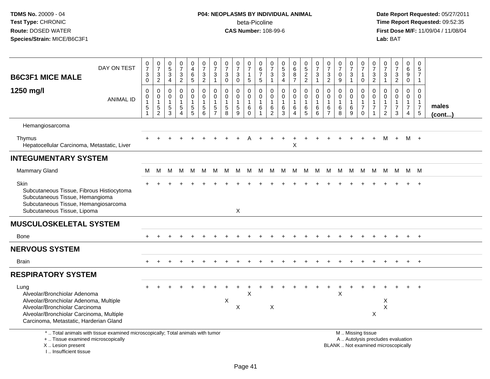# **P04: NEOPLASMS BY INDIVIDUAL ANIMAL**beta-Picoline<br>CAS Number: 108-99-6

| <b>B6C3F1 MICE MALE</b>                                                                                                                                                                                | DAY ON TEST                                                                     | $\frac{0}{7}$<br>$\ensuremath{\mathsf{3}}$<br>$\mathsf{O}\xspace$     | $\frac{0}{7}$<br>$\ensuremath{\mathsf{3}}$<br>$\overline{c}$ | $\begin{array}{c} 0 \\ 5 \\ 3 \\ 4 \end{array}$ | $\frac{0}{7}$<br>$\frac{3}{2}$                                | $\begin{smallmatrix}0\\4\end{smallmatrix}$<br>$^6$ 5        | $\frac{0}{7}$<br>$\frac{3}{2}$                              | $\frac{0}{7}$<br>3<br>$\mathbf{1}$                                         | $\frac{0}{7}$<br>$\ensuremath{\mathsf{3}}$<br>$\mathbf 0$     | $\frac{0}{7}$<br>3<br>$\mathbf 0$          | $\frac{0}{7}$<br>$\mathbf 1$<br>$\overline{5}$       | $\begin{array}{c} 0 \\ 6 \\ 7 \end{array}$<br>$5\phantom{.0}$ | 0<br>$\overline{7}$<br>$\ensuremath{\mathsf{3}}$<br>$\mathbf{1}$  | $\begin{array}{c} 0 \\ 5 \\ 3 \end{array}$<br>$\overline{4}$ | $\begin{array}{c} 0 \\ 6 \end{array}$<br>$\overline{8}$<br>$\overline{7}$ | $\begin{array}{c} 0 \\ 5 \end{array}$<br>$\frac{2}{2}$ | $\frac{0}{7}$<br>3<br>$\mathbf{1}$                 | $\frac{0}{7}$<br>$\ensuremath{\mathsf{3}}$<br>$\overline{2}$ | $\begin{array}{c} 0 \\ 7 \end{array}$<br>$\pmb{0}$<br>$\boldsymbol{9}$ | $\frac{0}{7}$<br>$\ensuremath{\mathsf{3}}$<br>$\mathbf{1}$ | $\frac{0}{7}$<br>$\mathbf 1$<br>$\mathbf 0$                                | 0<br>$\overline{7}$<br>3<br>$\sqrt{2}$      | $\frac{0}{7}$<br>$\ensuremath{\mathsf{3}}$<br>$\overline{1}$   | $\frac{0}{7}$<br>$\ensuremath{\mathsf{3}}$<br>$\overline{c}$ | 0<br>$\,6\,$<br>$\boldsymbol{9}$<br>$\mathbf 0$                      | $\mathbf 0$<br>5<br>$\overline{7}$<br>$\mathbf{1}$                      |                       |
|--------------------------------------------------------------------------------------------------------------------------------------------------------------------------------------------------------|---------------------------------------------------------------------------------|-----------------------------------------------------------------------|--------------------------------------------------------------|-------------------------------------------------|---------------------------------------------------------------|-------------------------------------------------------------|-------------------------------------------------------------|----------------------------------------------------------------------------|---------------------------------------------------------------|--------------------------------------------|------------------------------------------------------|---------------------------------------------------------------|-------------------------------------------------------------------|--------------------------------------------------------------|---------------------------------------------------------------------------|--------------------------------------------------------|----------------------------------------------------|--------------------------------------------------------------|------------------------------------------------------------------------|------------------------------------------------------------|----------------------------------------------------------------------------|---------------------------------------------|----------------------------------------------------------------|--------------------------------------------------------------|----------------------------------------------------------------------|-------------------------------------------------------------------------|-----------------------|
| 1250 mg/l                                                                                                                                                                                              | <b>ANIMAL ID</b>                                                                | $\pmb{0}$<br>$\pmb{0}$<br>$\mathbf{1}$<br>$\,$ 5 $\,$<br>$\mathbf{1}$ | 0<br>$\mathbf 0$<br>$\mathbf{1}$<br>5<br>$\overline{2}$      | 0<br>$\mathbf 0$<br>$\mathbf{1}$<br>5<br>3      | $\mathbf 0$<br>$\pmb{0}$<br>1<br>$\sqrt{5}$<br>$\overline{4}$ | 0<br>$\mathsf{O}\xspace$<br>$\overline{1}$<br>$\frac{5}{5}$ | $\mathbf 0$<br>$\pmb{0}$<br>$\mathbf{1}$<br>$\sqrt{5}$<br>6 | $\mathbf 0$<br>$\mathbf 0$<br>$\mathbf{1}$<br>$\sqrt{5}$<br>$\overline{7}$ | $\mathbf 0$<br>$\mathbf 0$<br>$\mathbf{1}$<br>$\sqrt{5}$<br>8 | 0<br>$\mathbf 0$<br>$\mathbf{1}$<br>5<br>9 | 0<br>$\mathbf 0$<br>$\mathbf{1}$<br>6<br>$\mathbf 0$ | 0<br>$\pmb{0}$<br>$\mathbf{1}$<br>6<br>$\overline{1}$         | $\mathbf 0$<br>$\mathbf 0$<br>$\mathbf{1}$<br>6<br>$\overline{2}$ | $\mathbf 0$<br>$\pmb{0}$<br>$\mathbf{1}$<br>6<br>3           | 0<br>$\mathbf 0$<br>$\mathbf{1}$<br>$\,6\,$<br>$\overline{4}$             | $\mathbf 0$<br>$\mathbf 0$<br>$\mathbf{1}$<br>6<br>5   | $\mathbf 0$<br>$\pmb{0}$<br>$\mathbf{1}$<br>6<br>6 | $\mathbf 0$<br>$\mathbf 0$<br>1<br>6<br>$\overline{7}$       | $\mathbf 0$<br>$\mathsf{O}\xspace$<br>$\mathbf{1}$<br>6<br>8           | 0<br>$\mathbf 0$<br>$\,6$<br>9                             | $\mathbf 0$<br>$\mathbf 0$<br>$\mathbf{1}$<br>$\boldsymbol{7}$<br>$\Omega$ | $\Omega$<br>$\mathbf 0$<br>$\mathbf 1$<br>7 | $\Omega$<br>$\mathbf 0$<br>$\mathbf{1}$<br>$\overline{7}$<br>2 | $\mathbf 0$<br>$\mathbf 0$<br>$\overline{7}$<br>3            | 0<br>$\mathbf 0$<br>$\mathbf{1}$<br>$\overline{7}$<br>$\overline{4}$ | $\Omega$<br>$\mathbf 0$<br>$\mathbf{1}$<br>$\overline{7}$<br>$\sqrt{5}$ | males<br>$($ cont $)$ |
| Hemangiosarcoma                                                                                                                                                                                        |                                                                                 |                                                                       |                                                              |                                                 |                                                               |                                                             |                                                             |                                                                            |                                                               |                                            |                                                      |                                                               |                                                                   |                                                              |                                                                           |                                                        |                                                    |                                                              |                                                                        |                                                            |                                                                            |                                             |                                                                |                                                              |                                                                      |                                                                         |                       |
| Thymus<br>Hepatocellular Carcinoma, Metastatic, Liver                                                                                                                                                  |                                                                                 |                                                                       |                                                              |                                                 |                                                               |                                                             |                                                             |                                                                            |                                                               |                                            |                                                      |                                                               |                                                                   |                                                              | $\sf X$                                                                   |                                                        |                                                    |                                                              |                                                                        |                                                            |                                                                            |                                             | M                                                              | $+$                                                          |                                                                      | M +                                                                     |                       |
| <b>INTEGUMENTARY SYSTEM</b>                                                                                                                                                                            |                                                                                 |                                                                       |                                                              |                                                 |                                                               |                                                             |                                                             |                                                                            |                                                               |                                            |                                                      |                                                               |                                                                   |                                                              |                                                                           |                                                        |                                                    |                                                              |                                                                        |                                                            |                                                                            |                                             |                                                                |                                                              |                                                                      |                                                                         |                       |
| Mammary Gland                                                                                                                                                                                          |                                                                                 | М                                                                     | м                                                            | М                                               | M                                                             | M                                                           | M                                                           | M                                                                          | M                                                             | M                                          | M                                                    |                                                               | M M                                                               | M                                                            | M                                                                         | M                                                      | M                                                  | M                                                            | M                                                                      | M                                                          | M                                                                          | M                                           |                                                                | M M                                                          |                                                                      | M M                                                                     |                       |
| Skin<br>Subcutaneous Tissue, Fibrous Histiocytoma<br>Subcutaneous Tissue, Hemangioma<br>Subcutaneous Tissue, Hemangiosarcoma<br>Subcutaneous Tissue, Lipoma                                            |                                                                                 |                                                                       |                                                              |                                                 |                                                               |                                                             |                                                             |                                                                            |                                                               | X                                          |                                                      |                                                               |                                                                   |                                                              |                                                                           |                                                        |                                                    |                                                              |                                                                        |                                                            |                                                                            |                                             |                                                                |                                                              |                                                                      |                                                                         |                       |
| <b>MUSCULOSKELETAL SYSTEM</b>                                                                                                                                                                          |                                                                                 |                                                                       |                                                              |                                                 |                                                               |                                                             |                                                             |                                                                            |                                                               |                                            |                                                      |                                                               |                                                                   |                                                              |                                                                           |                                                        |                                                    |                                                              |                                                                        |                                                            |                                                                            |                                             |                                                                |                                                              |                                                                      |                                                                         |                       |
| <b>Bone</b>                                                                                                                                                                                            |                                                                                 |                                                                       |                                                              |                                                 |                                                               |                                                             |                                                             |                                                                            |                                                               |                                            |                                                      |                                                               |                                                                   |                                                              |                                                                           |                                                        |                                                    |                                                              |                                                                        |                                                            |                                                                            |                                             |                                                                |                                                              |                                                                      | $\overline{+}$                                                          |                       |
| <b>NERVOUS SYSTEM</b>                                                                                                                                                                                  |                                                                                 |                                                                       |                                                              |                                                 |                                                               |                                                             |                                                             |                                                                            |                                                               |                                            |                                                      |                                                               |                                                                   |                                                              |                                                                           |                                                        |                                                    |                                                              |                                                                        |                                                            |                                                                            |                                             |                                                                |                                                              |                                                                      |                                                                         |                       |
| <b>Brain</b>                                                                                                                                                                                           |                                                                                 |                                                                       |                                                              |                                                 |                                                               |                                                             |                                                             |                                                                            |                                                               |                                            |                                                      |                                                               |                                                                   |                                                              |                                                                           |                                                        |                                                    |                                                              |                                                                        |                                                            |                                                                            |                                             |                                                                |                                                              | $+$                                                                  | $+$                                                                     |                       |
| <b>RESPIRATORY SYSTEM</b>                                                                                                                                                                              |                                                                                 |                                                                       |                                                              |                                                 |                                                               |                                                             |                                                             |                                                                            |                                                               |                                            |                                                      |                                                               |                                                                   |                                                              |                                                                           |                                                        |                                                    |                                                              |                                                                        |                                                            |                                                                            |                                             |                                                                |                                                              |                                                                      |                                                                         |                       |
| Lung<br>Alveolar/Bronchiolar Adenoma<br>Alveolar/Bronchiolar Adenoma, Multiple<br>Alveolar/Bronchiolar Carcinoma<br>Alveolar/Bronchiolar Carcinoma, Multiple<br>Carcinoma, Metastatic, Harderian Gland |                                                                                 |                                                                       |                                                              |                                                 |                                                               |                                                             |                                                             |                                                                            | X                                                             | X                                          | Χ                                                    |                                                               | X                                                                 |                                                              |                                                                           |                                                        |                                                    |                                                              | $\mathsf X$                                                            |                                                            |                                                                            | X                                           | X<br>X                                                         |                                                              |                                                                      |                                                                         |                       |
| +  Tissue examined microscopically<br>X  Lesion present<br>I Insufficient tissue                                                                                                                       | *  Total animals with tissue examined microscopically; Total animals with tumor |                                                                       |                                                              |                                                 |                                                               |                                                             |                                                             |                                                                            |                                                               |                                            |                                                      |                                                               |                                                                   |                                                              |                                                                           |                                                        |                                                    |                                                              | BLANK  Not examined microscopically                                    |                                                            | M  Missing tissue<br>A  Autolysis precludes evaluation                     |                                             |                                                                |                                                              |                                                                      |                                                                         |                       |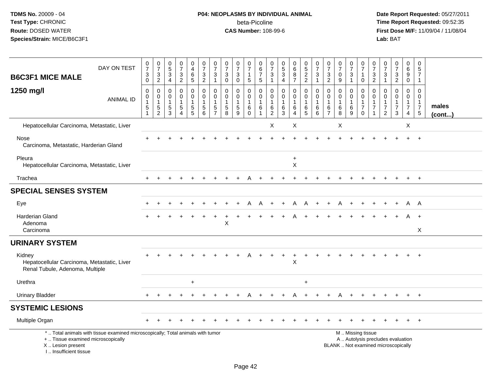# **P04: NEOPLASMS BY INDIVIDUAL ANIMAL**beta-Picoline<br>CAS Number: 108-99-6

| <b>B6C3F1 MICE MALE</b>                                                                  | DAY ON TEST                                                                     | $\pmb{0}$<br>$\overline{7}$<br>$\ensuremath{\mathsf{3}}$<br>$\mathbf 0$ | $\begin{smallmatrix}0\\7\end{smallmatrix}$<br>$\ensuremath{\mathsf{3}}$<br>$\overline{2}$ | $\begin{array}{c} 0 \\ 5 \\ 3 \\ 4 \end{array}$               | $\frac{0}{7}$<br>$\frac{3}{2}$                      | $\mathbf 0$<br>$\overline{4}$<br>$\overline{6}$<br>5                              | $\frac{0}{7}$<br>$\frac{3}{2}$                                                      | $\frac{0}{7}$<br>3<br>$\mathbf{1}$           | $\frac{0}{7}$<br>$_{0}^{3}$                                 | $\frac{0}{7}$<br>$\mathbf{3}$<br>$\mathbf 0$             | 0<br>$\overline{7}$<br>$\mathbf{1}$<br>5                   | $\pmb{0}$<br>$6\phantom{1}6$<br>$\boldsymbol{7}$<br>$\sqrt{5}$    | 0<br>$\overline{7}$<br>3<br>$\mathbf{1}$                | 0<br>$\overline{5}$<br>3<br>$\overline{4}$           | $\begin{matrix}0\6\8\end{matrix}$<br>$\overline{7}$    | $\frac{0}{5}$<br>2<br>2                                 | $\frac{0}{7}$<br>3<br>$\mathbf{1}$             | $\frac{0}{7}$<br>$\frac{3}{2}$                  | $\frac{0}{7}$<br>$\mathbf 0$<br>9                    | $\frac{0}{7}$<br>$\sqrt{3}$<br>$\mathbf{1}$ | $\frac{0}{7}$<br>$\mathbf{1}$<br>$\mathbf 0$                         | $\begin{smallmatrix}0\\7\end{smallmatrix}$<br>$\frac{3}{2}$        | 0<br>$\overline{7}$<br>$\mathsf 3$<br>$\mathbf{1}$                              | $\begin{array}{c} 0 \\ 7 \end{array}$<br>$\frac{3}{2}$                        | 0<br>$^6_9$<br>$\mathbf 0$                                        | 0<br>$\sqrt{5}$<br>$\overline{7}$<br>$\mathbf{1}$                              |                       |
|------------------------------------------------------------------------------------------|---------------------------------------------------------------------------------|-------------------------------------------------------------------------|-------------------------------------------------------------------------------------------|---------------------------------------------------------------|-----------------------------------------------------|-----------------------------------------------------------------------------------|-------------------------------------------------------------------------------------|----------------------------------------------|-------------------------------------------------------------|----------------------------------------------------------|------------------------------------------------------------|-------------------------------------------------------------------|---------------------------------------------------------|------------------------------------------------------|--------------------------------------------------------|---------------------------------------------------------|------------------------------------------------|-------------------------------------------------|------------------------------------------------------|---------------------------------------------|----------------------------------------------------------------------|--------------------------------------------------------------------|---------------------------------------------------------------------------------|-------------------------------------------------------------------------------|-------------------------------------------------------------------|--------------------------------------------------------------------------------|-----------------------|
| 1250 mg/l                                                                                | <b>ANIMAL ID</b>                                                                | $\mathbf 0$<br>$\pmb{0}$<br>$\mathbf{1}$<br>$\mathbf 5$<br>$\mathbf{1}$ | 0<br>$\pmb{0}$<br>$\mathbf{1}$<br>5<br>$\overline{2}$                                     | 0<br>$\mathbf 0$<br>$\mathbf 1$<br>$\sqrt{5}$<br>$\mathbf{3}$ | 0<br>$\pmb{0}$<br>1<br>$\sqrt{5}$<br>$\overline{4}$ | 0<br>$\mathsf{O}\xspace$<br>$\mathbf{1}$<br>$\begin{array}{c} 5 \\ 5 \end{array}$ | $\mathbf 0$<br>$\mathsf{O}\xspace$<br>$\mathbf{1}$<br>$\,$ 5 $\,$<br>$6\phantom{1}$ | 0<br>$\mathbf 0$<br>1<br>5<br>$\overline{7}$ | $\mathbf 0$<br>$\pmb{0}$<br>$\mathbf{1}$<br>$\sqrt{5}$<br>8 | 0<br>$\mathbf{0}$<br>$\mathbf{1}$<br>$\overline{5}$<br>9 | 0<br>$\mathsf{O}\xspace$<br>$\mathbf{1}$<br>6<br>$\pmb{0}$ | $\mathbf 0$<br>$\mathbf 0$<br>$\mathbf{1}$<br>6<br>$\overline{1}$ | 0<br>$\mathbf 0$<br>$\mathbf{1}$<br>6<br>$\overline{c}$ | $\mathbf 0$<br>$\mathbf 0$<br>$\mathbf{1}$<br>6<br>3 | 0<br>$\mathbf 0$<br>$\mathbf 1$<br>6<br>$\overline{4}$ | 0<br>$\mathbf 0$<br>$\mathbf{1}$<br>6<br>$\overline{5}$ | 0<br>$\pmb{0}$<br>$\mathbf{1}$<br>6<br>$\,6\,$ | 0<br>0<br>$\overline{1}$<br>6<br>$\overline{7}$ | $\mathbf 0$<br>$\mathbf 0$<br>$\mathbf{1}$<br>6<br>8 | 0<br>$\mathbf 0$<br>$\,6$<br>9              | 0<br>$\overline{0}$<br>$\mathbf{1}$<br>$\overline{7}$<br>$\mathbf 0$ | 0<br>$\mathbf 0$<br>$\mathbf{1}$<br>$\overline{7}$<br>$\mathbf{1}$ | $\mathbf 0$<br>$\mathbf{0}$<br>$\mathbf{1}$<br>$\overline{7}$<br>$\overline{2}$ | $\mathbf 0$<br>$\mathbf 0$<br>$\mathbf 1$<br>$\boldsymbol{7}$<br>$\mathbf{3}$ | $\mathbf 0$<br>$\mathbf 0$<br>$\mathbf{1}$<br>$\overline{7}$<br>4 | $\mathbf 0$<br>$\mathbf 0$<br>$\mathbf{1}$<br>$\overline{7}$<br>$\overline{5}$ | males<br>$($ cont $)$ |
| Hepatocellular Carcinoma, Metastatic, Liver                                              |                                                                                 |                                                                         |                                                                                           |                                                               |                                                     |                                                                                   |                                                                                     |                                              |                                                             |                                                          |                                                            |                                                                   | X                                                       |                                                      | X                                                      |                                                         |                                                |                                                 | X                                                    |                                             |                                                                      |                                                                    |                                                                                 |                                                                               | X                                                                 |                                                                                |                       |
| Nose<br>Carcinoma, Metastatic, Harderian Gland                                           |                                                                                 |                                                                         |                                                                                           |                                                               |                                                     |                                                                                   |                                                                                     |                                              |                                                             |                                                          |                                                            |                                                                   |                                                         |                                                      |                                                        |                                                         |                                                |                                                 |                                                      |                                             |                                                                      |                                                                    |                                                                                 |                                                                               |                                                                   | $\ddot{}$                                                                      |                       |
| Pleura<br>Hepatocellular Carcinoma, Metastatic, Liver                                    |                                                                                 |                                                                         |                                                                                           |                                                               |                                                     |                                                                                   |                                                                                     |                                              |                                                             |                                                          |                                                            |                                                                   |                                                         |                                                      | $\ddot{}$<br>X                                         |                                                         |                                                |                                                 |                                                      |                                             |                                                                      |                                                                    |                                                                                 |                                                                               |                                                                   |                                                                                |                       |
| Trachea                                                                                  |                                                                                 |                                                                         |                                                                                           |                                                               |                                                     |                                                                                   |                                                                                     |                                              |                                                             |                                                          |                                                            |                                                                   |                                                         |                                                      |                                                        |                                                         |                                                |                                                 |                                                      |                                             |                                                                      |                                                                    |                                                                                 |                                                                               | $\ddot{}$                                                         | $+$                                                                            |                       |
| <b>SPECIAL SENSES SYSTEM</b>                                                             |                                                                                 |                                                                         |                                                                                           |                                                               |                                                     |                                                                                   |                                                                                     |                                              |                                                             |                                                          |                                                            |                                                                   |                                                         |                                                      |                                                        |                                                         |                                                |                                                 |                                                      |                                             |                                                                      |                                                                    |                                                                                 |                                                                               |                                                                   |                                                                                |                       |
| Eye                                                                                      |                                                                                 |                                                                         |                                                                                           |                                                               |                                                     |                                                                                   |                                                                                     |                                              |                                                             |                                                          |                                                            |                                                                   |                                                         |                                                      | А                                                      |                                                         |                                                |                                                 |                                                      |                                             |                                                                      |                                                                    |                                                                                 |                                                                               | A                                                                 | A                                                                              |                       |
| <b>Harderian Gland</b><br>Adenoma<br>Carcinoma                                           |                                                                                 |                                                                         |                                                                                           |                                                               |                                                     |                                                                                   |                                                                                     |                                              | $\sf X$                                                     |                                                          |                                                            |                                                                   |                                                         |                                                      |                                                        |                                                         |                                                |                                                 |                                                      |                                             |                                                                      |                                                                    |                                                                                 |                                                                               | A                                                                 | $\ddot{}$<br>X                                                                 |                       |
| <b>URINARY SYSTEM</b>                                                                    |                                                                                 |                                                                         |                                                                                           |                                                               |                                                     |                                                                                   |                                                                                     |                                              |                                                             |                                                          |                                                            |                                                                   |                                                         |                                                      |                                                        |                                                         |                                                |                                                 |                                                      |                                             |                                                                      |                                                                    |                                                                                 |                                                                               |                                                                   |                                                                                |                       |
| Kidney<br>Hepatocellular Carcinoma, Metastatic, Liver<br>Renal Tubule, Adenoma, Multiple |                                                                                 |                                                                         |                                                                                           |                                                               |                                                     |                                                                                   |                                                                                     |                                              |                                                             |                                                          |                                                            |                                                                   |                                                         |                                                      | $\sf X$                                                |                                                         |                                                |                                                 |                                                      |                                             |                                                                      |                                                                    |                                                                                 |                                                                               |                                                                   |                                                                                |                       |
| Urethra                                                                                  |                                                                                 |                                                                         |                                                                                           |                                                               |                                                     | $\ddot{}$                                                                         |                                                                                     |                                              |                                                             |                                                          |                                                            |                                                                   |                                                         |                                                      |                                                        | $\ddot{}$                                               |                                                |                                                 |                                                      |                                             |                                                                      |                                                                    |                                                                                 |                                                                               |                                                                   |                                                                                |                       |
| <b>Urinary Bladder</b>                                                                   |                                                                                 |                                                                         |                                                                                           |                                                               |                                                     |                                                                                   |                                                                                     |                                              |                                                             |                                                          |                                                            |                                                                   |                                                         |                                                      |                                                        |                                                         |                                                |                                                 |                                                      |                                             |                                                                      |                                                                    |                                                                                 |                                                                               |                                                                   |                                                                                |                       |
| <b>SYSTEMIC LESIONS</b>                                                                  |                                                                                 |                                                                         |                                                                                           |                                                               |                                                     |                                                                                   |                                                                                     |                                              |                                                             |                                                          |                                                            |                                                                   |                                                         |                                                      |                                                        |                                                         |                                                |                                                 |                                                      |                                             |                                                                      |                                                                    |                                                                                 |                                                                               |                                                                   |                                                                                |                       |
| Multiple Organ                                                                           |                                                                                 |                                                                         |                                                                                           |                                                               |                                                     |                                                                                   |                                                                                     |                                              |                                                             |                                                          |                                                            |                                                                   |                                                         |                                                      |                                                        |                                                         |                                                |                                                 |                                                      |                                             |                                                                      |                                                                    |                                                                                 |                                                                               |                                                                   |                                                                                |                       |
| +  Tissue examined microscopically<br>X  Lesion present<br>I Insufficient tissue         | *  Total animals with tissue examined microscopically; Total animals with tumor |                                                                         |                                                                                           |                                                               |                                                     |                                                                                   |                                                                                     |                                              |                                                             |                                                          |                                                            |                                                                   |                                                         |                                                      |                                                        |                                                         |                                                |                                                 |                                                      |                                             | M  Missing tissue                                                    |                                                                    |                                                                                 | A  Autolysis precludes evaluation<br>BLANK  Not examined microscopically      |                                                                   |                                                                                |                       |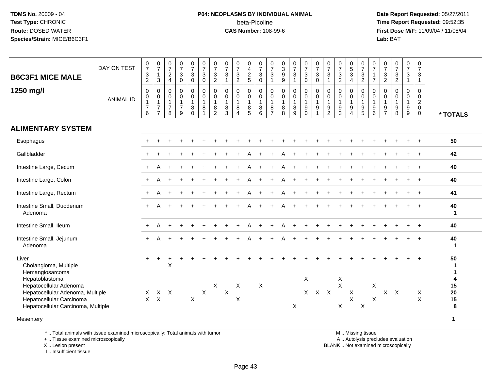#### **P04: NEOPLASMS BY INDIVIDUAL ANIMAL**beta-Picoline<br>CAS Number: 108-99-6

 **Date Report Requested:** 05/27/2011 **Time Report Requested:** 09:52:35 **First Dose M/F:** 11/09/04 / 11/08/04<br>Lab: BAT **Lab:** BAT

| <b>B6C3F1 MICE MALE</b>                                             | DAY ON TEST      | $\frac{0}{7}$<br>$\mathbf{3}$<br>$\overline{c}$                              | $\frac{0}{7}$<br>$\mathbf{1}$<br>$\mathbf{3}$                      | $\frac{0}{7}$<br>$_4^2$                                 | $\frac{0}{7}$<br>$\ensuremath{\mathsf{3}}$<br>$\pmb{0}$              | $\frac{0}{7}$<br>$\mathbf{3}$<br>$\mathbf 0$            | $\frac{0}{7}$<br>3<br>$\mathbf 0$                               | $\frac{0}{7}$<br>$\mathbf{3}$<br>$\overline{2}$             | $\frac{0}{7}$<br>$\mathbf{3}$<br>$\mathbf{1}$                   | $\frac{0}{7}$<br>$\frac{3}{2}$                                        | 0<br>$\overline{4}$<br>$\frac{2}{5}$                                     | $\frac{0}{7}$<br>$\sqrt{3}$<br>$\mathbf 0$                   | $\frac{0}{7}$<br>$\ensuremath{\mathsf{3}}$<br>$\mathbf{1}$             | $\begin{smallmatrix}0\3\9\end{smallmatrix}$<br>$\boldsymbol{9}$ | $\frac{0}{7}$<br>3<br>$\mathbf{1}$         | $\frac{0}{7}$<br>$\mathbf{3}$<br>$\mathbf 0$                                                | $\frac{0}{7}$<br>$^3_{\rm 0}$                                                    | $\frac{0}{7}$<br>$\ensuremath{\mathsf{3}}$<br>$\overline{1}$             | $\frac{0}{7}$<br>$\ensuremath{\mathsf{3}}$<br>$\overline{2}$ | $\begin{array}{c} 0 \\ 5 \end{array}$<br>$\mathbf{3}$<br>$\overline{4}$ | $\frac{0}{7}$<br>$\frac{3}{2}$                                                  | $\frac{0}{7}$<br>$\mathbf{1}$<br>$\overline{7}$           | 0<br>$\overline{7}$<br>$\frac{3}{2}$                                   | $\begin{smallmatrix}0\\7\end{smallmatrix}$<br>$\frac{3}{2}$         | $\frac{0}{7}$<br>$\ensuremath{\mathsf{3}}$<br>$\mathbf{1}$            | 0<br>$\overline{7}$<br>$\sqrt{3}$<br>$\mathbf{1}$                             |                            |
|---------------------------------------------------------------------|------------------|------------------------------------------------------------------------------|--------------------------------------------------------------------|---------------------------------------------------------|----------------------------------------------------------------------|---------------------------------------------------------|-----------------------------------------------------------------|-------------------------------------------------------------|-----------------------------------------------------------------|-----------------------------------------------------------------------|--------------------------------------------------------------------------|--------------------------------------------------------------|------------------------------------------------------------------------|-----------------------------------------------------------------|--------------------------------------------|---------------------------------------------------------------------------------------------|----------------------------------------------------------------------------------|--------------------------------------------------------------------------|--------------------------------------------------------------|-------------------------------------------------------------------------|---------------------------------------------------------------------------------|-----------------------------------------------------------|------------------------------------------------------------------------|---------------------------------------------------------------------|-----------------------------------------------------------------------|-------------------------------------------------------------------------------|----------------------------|
| 1250 mg/l                                                           | <b>ANIMAL ID</b> | $\mathsf{O}\xspace$<br>$\mathsf{O}$<br>$\mathbf{1}$<br>$\boldsymbol{7}$<br>6 | 0<br>$\pmb{0}$<br>$\mathbf{1}$<br>$\overline{7}$<br>$\overline{7}$ | $\mathbf 0$<br>0<br>$\mathbf{1}$<br>$\overline{7}$<br>8 | $\boldsymbol{0}$<br>$\pmb{0}$<br>$\mathbf{1}$<br>$\overline{7}$<br>9 | 0<br>$\mathbf 0$<br>$\mathbf{1}$<br>$\bf 8$<br>$\Omega$ | $\mathbf 0$<br>$\mathbf 0$<br>$\mathbf{1}$<br>8<br>$\mathbf{1}$ | 0<br>$\pmb{0}$<br>$\mathbf{1}$<br>$\bf 8$<br>$\overline{2}$ | $\mathbf 0$<br>$\mathbf 0$<br>$\mathbf{1}$<br>8<br>$\mathbf{3}$ | $\mathbf 0$<br>$\pmb{0}$<br>$\mathbf{1}$<br>$\bf 8$<br>$\overline{4}$ | $\mathbf 0$<br>$\mathbf 0$<br>$\mathbf{1}$<br>$\bf 8$<br>$5\phantom{.0}$ | $\mathbf 0$<br>$\mathbf 0$<br>$\overline{1}$<br>$\,8\,$<br>6 | $\mathbf 0$<br>$\mathbf 0$<br>$\mathbf{1}$<br>$\, 8$<br>$\overline{7}$ | 0<br>$\mathbf 0$<br>$\mathbf{1}$<br>8<br>8                      | 0<br>$\mathbf 0$<br>$\mathbf{1}$<br>8<br>9 | $\pmb{0}$<br>$\mathsf{O}\xspace$<br>$\mathbf{1}$<br>$\boldsymbol{9}$<br>$\ddot{\mathbf{0}}$ | $\mathbf 0$<br>$\pmb{0}$<br>$\overline{1}$<br>$\boldsymbol{9}$<br>$\overline{1}$ | 0<br>$\mathbf 0$<br>$\overline{1}$<br>$\boldsymbol{9}$<br>$\overline{2}$ | $\mathbf 0$<br>$\mathbf 0$<br>$\mathbf{1}$<br>$9\,$<br>3     | 0<br>$\mathbf 0$<br>$\mathbf{1}$<br>9<br>$\overline{4}$                 | $\pmb{0}$<br>$\pmb{0}$<br>$\mathbf{1}$<br>$\begin{array}{c} 9 \\ 5 \end{array}$ | $\mathbf 0$<br>0<br>$\mathbf{1}$<br>$\boldsymbol{9}$<br>6 | 0<br>$\mathbf 0$<br>$\mathbf{1}$<br>$\boldsymbol{9}$<br>$\overline{7}$ | $\mathbf 0$<br>$\mathbf 0$<br>$\mathbf{1}$<br>$\boldsymbol{9}$<br>8 | $\mathbf 0$<br>$\mathbf 0$<br>$\overline{1}$<br>$\boldsymbol{9}$<br>9 | $\mathbf 0$<br>$\mathbf 0$<br>$\overline{2}$<br>$\mathbf 0$<br>$\overline{0}$ | * TOTALS                   |
| <b>ALIMENTARY SYSTEM</b>                                            |                  |                                                                              |                                                                    |                                                         |                                                                      |                                                         |                                                                 |                                                             |                                                                 |                                                                       |                                                                          |                                                              |                                                                        |                                                                 |                                            |                                                                                             |                                                                                  |                                                                          |                                                              |                                                                         |                                                                                 |                                                           |                                                                        |                                                                     |                                                                       |                                                                               |                            |
| Esophagus                                                           |                  |                                                                              |                                                                    |                                                         |                                                                      |                                                         |                                                                 |                                                             |                                                                 |                                                                       |                                                                          |                                                              |                                                                        |                                                                 |                                            |                                                                                             |                                                                                  |                                                                          |                                                              |                                                                         |                                                                                 |                                                           |                                                                        |                                                                     |                                                                       |                                                                               | 50                         |
| Gallbladder                                                         |                  |                                                                              |                                                                    |                                                         |                                                                      |                                                         |                                                                 |                                                             |                                                                 |                                                                       |                                                                          |                                                              |                                                                        |                                                                 |                                            |                                                                                             |                                                                                  |                                                                          |                                                              |                                                                         |                                                                                 |                                                           |                                                                        |                                                                     |                                                                       |                                                                               | 42                         |
| Intestine Large, Cecum                                              |                  |                                                                              | А                                                                  |                                                         |                                                                      |                                                         |                                                                 |                                                             |                                                                 |                                                                       |                                                                          |                                                              |                                                                        |                                                                 |                                            |                                                                                             |                                                                                  |                                                                          |                                                              |                                                                         |                                                                                 |                                                           |                                                                        |                                                                     |                                                                       | $\ddot{}$                                                                     | 40                         |
| Intestine Large, Colon                                              |                  |                                                                              | А                                                                  |                                                         |                                                                      |                                                         |                                                                 |                                                             |                                                                 |                                                                       |                                                                          |                                                              |                                                                        |                                                                 |                                            |                                                                                             |                                                                                  |                                                                          |                                                              |                                                                         |                                                                                 |                                                           |                                                                        |                                                                     |                                                                       | $\ddot{}$                                                                     | 40                         |
| Intestine Large, Rectum                                             |                  | $+$                                                                          | A                                                                  |                                                         |                                                                      |                                                         |                                                                 |                                                             |                                                                 |                                                                       |                                                                          |                                                              |                                                                        |                                                                 |                                            |                                                                                             |                                                                                  |                                                                          |                                                              |                                                                         |                                                                                 |                                                           |                                                                        |                                                                     |                                                                       |                                                                               | 41                         |
| Intestine Small, Duodenum<br>Adenoma                                |                  | $+$                                                                          |                                                                    |                                                         |                                                                      |                                                         |                                                                 |                                                             |                                                                 |                                                                       |                                                                          |                                                              |                                                                        |                                                                 |                                            |                                                                                             |                                                                                  |                                                                          |                                                              |                                                                         |                                                                                 |                                                           |                                                                        |                                                                     |                                                                       |                                                                               | 40<br>$\blacktriangleleft$ |
| Intestine Small, Ileum                                              |                  |                                                                              | A                                                                  |                                                         |                                                                      |                                                         |                                                                 |                                                             |                                                                 |                                                                       |                                                                          |                                                              |                                                                        |                                                                 |                                            |                                                                                             |                                                                                  |                                                                          |                                                              |                                                                         |                                                                                 |                                                           |                                                                        |                                                                     |                                                                       |                                                                               | 40                         |
| Intestine Small, Jejunum<br>Adenoma                                 |                  |                                                                              |                                                                    |                                                         |                                                                      |                                                         |                                                                 |                                                             |                                                                 |                                                                       |                                                                          |                                                              |                                                                        |                                                                 |                                            |                                                                                             |                                                                                  |                                                                          |                                                              |                                                                         |                                                                                 |                                                           |                                                                        |                                                                     |                                                                       | $\overline{+}$                                                                | 40<br>$\blacktriangleleft$ |
| Liver<br>Cholangioma, Multiple<br>Hemangiosarcoma<br>Hepatoblastoma |                  |                                                                              |                                                                    | X                                                       |                                                                      |                                                         |                                                                 |                                                             |                                                                 |                                                                       |                                                                          |                                                              |                                                                        |                                                                 |                                            | X                                                                                           |                                                                                  |                                                                          | X                                                            |                                                                         |                                                                                 |                                                           |                                                                        |                                                                     |                                                                       |                                                                               | 50<br>1<br>-1<br>4         |
| Hepatocellular Adenoma<br>Hepatocellular Adenoma, Multiple          |                  | Χ                                                                            |                                                                    | $X$ $X$                                                 |                                                                      |                                                         | $\sf X$                                                         | $\boldsymbol{\mathsf{X}}$                                   | $\boldsymbol{\mathsf{X}}$                                       | X                                                                     |                                                                          | $\times$                                                     |                                                                        |                                                                 |                                            |                                                                                             | X X X                                                                            |                                                                          | $\times$                                                     | $\boldsymbol{\mathsf{X}}$                                               |                                                                                 | $\boldsymbol{\mathsf{X}}$                                 |                                                                        | $X$ $X$                                                             |                                                                       | $\mathsf{X}$                                                                  | 15<br>20                   |
| Hepatocellular Carcinoma<br>Hepatocellular Carcinoma, Multiple      |                  | $\mathsf{X}$                                                                 | $\mathsf{X}$                                                       |                                                         |                                                                      | $\mathsf X$                                             |                                                                 |                                                             |                                                                 | X                                                                     |                                                                          |                                                              |                                                                        |                                                                 | X                                          |                                                                                             |                                                                                  |                                                                          | X                                                            | $\sf X$                                                                 | $\boldsymbol{\mathsf{X}}$                                                       | $\boldsymbol{\mathsf{X}}$                                 |                                                                        |                                                                     |                                                                       | $\mathsf X$                                                                   | 15<br>8                    |
| Mesentery                                                           |                  |                                                                              |                                                                    |                                                         |                                                                      |                                                         |                                                                 |                                                             |                                                                 |                                                                       |                                                                          |                                                              |                                                                        |                                                                 |                                            |                                                                                             |                                                                                  |                                                                          |                                                              |                                                                         |                                                                                 |                                                           |                                                                        |                                                                     |                                                                       |                                                                               | $\mathbf{1}$               |

\* .. Total animals with tissue examined microscopically; Total animals with tumor

+ .. Tissue examined microscopically

X .. Lesion present

I .. Insufficient tissue

M .. Missing tissue

y the contract of the contract of the contract of the contract of the contract of the contract of the contract of  $A$ . Autolysis precludes evaluation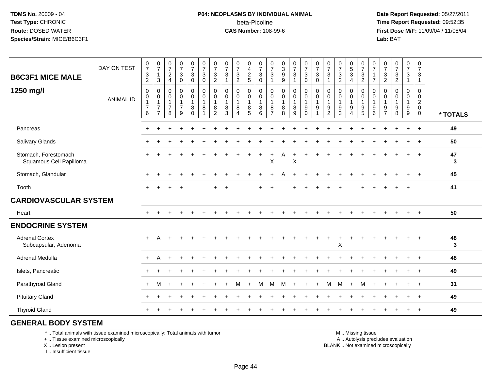#### **P04: NEOPLASMS BY INDIVIDUAL ANIMAL**beta-Picoline<br>CAS Number: 108-99-6

 **Date Report Requested:** 05/27/2011 **Time Report Requested:** 09:52:35 **First Dose M/F:** 11/09/04 / 11/08/04<br>Lab: BAT **Lab:** BAT

| <b>B6C3F1 MICE MALE</b>                         | DAY ON TEST      | $\begin{smallmatrix}0\\7\end{smallmatrix}$<br>$\frac{3}{2}$             | $\frac{0}{7}$<br>$\overline{1}$<br>$\sqrt{3}$                          | $\frac{0}{7}$<br>$\sqrt{2}$<br>$\overline{4}$                     | $\frac{0}{7}$<br>$\mathbf{3}$<br>$\mathbf 0$ | $\begin{smallmatrix}0\\7\end{smallmatrix}$<br>$\mathfrak{S}$<br>0 | $\frac{0}{7}$<br>$\sqrt{3}$<br>$\mathbf 0$    | $\begin{array}{c} 0 \\ 7 \end{array}$<br>$\frac{3}{2}$    | $\begin{array}{c} 0 \\ 7 \end{array}$<br>$\sqrt{3}$<br>$\mathbf{1}$ | $\frac{0}{7}$<br>$\mathbf{3}$<br>$\overline{2}$ | $0$<br>$4$<br>$2$<br>$5$                           | $\frac{0}{7}$<br>$\mathbf{3}$<br>$\overline{0}$    | $\frac{0}{7}$<br>$\mathbf{3}$                 | 0<br>9<br>9                                                      | $\begin{smallmatrix}0\\7\end{smallmatrix}$<br>$\mathsf 3$<br>$\mathbf{1}$ | $\frac{0}{7}$<br>$\mathbf{3}$<br>$\mathsf 0$                        | $\frac{0}{7}$<br>3<br>0          | $\frac{0}{7}$<br>$\sqrt{3}$                             | $\begin{array}{c} 0 \\ 7 \end{array}$<br>$\frac{3}{2}$ | $\begin{array}{c} 0 \\ 5 \end{array}$<br>$\overline{3}$<br>$\overline{4}$ | $\frac{0}{7}$<br>$\frac{3}{2}$                                                   | 0<br>$\overline{7}$<br>$\mathbf{1}$<br>$\overline{7}$ | $\frac{0}{7}$<br>$\sqrt{3}$<br>$\overline{2}$           | $\frac{0}{7}$<br>$\frac{3}{2}$  | $\begin{array}{c} 0 \\ 7 \end{array}$<br>$\sqrt{3}$<br>$\overline{1}$ | $\pmb{0}$<br>$\overline{7}$<br>$\sqrt{3}$<br>$\mathbf{1}$                  |          |
|-------------------------------------------------|------------------|-------------------------------------------------------------------------|------------------------------------------------------------------------|-------------------------------------------------------------------|----------------------------------------------|-------------------------------------------------------------------|-----------------------------------------------|-----------------------------------------------------------|---------------------------------------------------------------------|-------------------------------------------------|----------------------------------------------------|----------------------------------------------------|-----------------------------------------------|------------------------------------------------------------------|---------------------------------------------------------------------------|---------------------------------------------------------------------|----------------------------------|---------------------------------------------------------|--------------------------------------------------------|---------------------------------------------------------------------------|----------------------------------------------------------------------------------|-------------------------------------------------------|---------------------------------------------------------|---------------------------------|-----------------------------------------------------------------------|----------------------------------------------------------------------------|----------|
| 1250 mg/l                                       | <b>ANIMAL ID</b> | $\mathbf 0$<br>$\mathbf 0$<br>$\mathbf{1}$<br>$\overline{7}$<br>$\,6\,$ | 0<br>$\mathbf 0$<br>$\overline{1}$<br>$\overline{7}$<br>$\overline{7}$ | $\mathbf 0$<br>$\mathbf 0$<br>$\mathbf{1}$<br>$\overline{7}$<br>8 | 0<br>$\mathbf 0$<br>$\mathbf{1}$<br>7<br>9   | 0<br>$\mathbf 0$<br>$\mathbf{1}$<br>8<br>$\Omega$                 | $\mathbf 0$<br>$\pmb{0}$<br>$\mathbf{1}$<br>8 | 0<br>$\mathbf 0$<br>$\overline{1}$<br>8<br>$\overline{2}$ | 0<br>$\mathbf 0$<br>$\mathbf{1}$<br>8<br>3                          | 0<br>$\mathbf 0$<br>1<br>8<br>$\overline{4}$    | 0<br>$\ddot{\mathbf{0}}$<br>$\mathbf{1}$<br>8<br>5 | 0<br>$\mathsf{O}\xspace$<br>$\mathbf{1}$<br>8<br>6 | 0<br>0<br>$\mathbf{1}$<br>8<br>$\overline{7}$ | $\mathsf{O}\xspace$<br>$\pmb{0}$<br>$\mathbf{1}$<br>$\,8\,$<br>8 | $\boldsymbol{0}$<br>$\mathbf 0$<br>$\mathbf{1}$<br>$\,8\,$<br>9           | $\boldsymbol{0}$<br>$\mathbf 0$<br>$\mathbf{1}$<br>9<br>$\mathbf 0$ | 0<br>0<br>$\mathbf{1}$<br>9<br>1 | $\mathbf 0$<br>0<br>$\mathbf{1}$<br>9<br>$\overline{2}$ | $\mathbf 0$<br>$\mathbf 0$<br>$\mathbf{1}$<br>9<br>3   | 0<br>$\mathbf 0$<br>$\mathbf{1}$<br>9<br>$\overline{4}$                   | $\mathbf 0$<br>$\pmb{0}$<br>$\overline{1}$<br>$\boldsymbol{9}$<br>$\overline{5}$ | $\mathbf 0$<br>0<br>$\mathbf{1}$<br>9<br>$\,6\,$      | $\mathbf 0$<br>0<br>$\mathbf{1}$<br>9<br>$\overline{7}$ | 0<br>$\mathbf 0$<br>1<br>9<br>8 | 0<br>$\mathbf 0$<br>$\mathbf{1}$<br>9<br>$\boldsymbol{9}$             | $\mathbf 0$<br>$\mathbf 0$<br>$\overline{c}$<br>$\mathbf 0$<br>$\mathbf 0$ | * TOTALS |
| Pancreas                                        |                  | $\ddot{}$                                                               |                                                                        |                                                                   |                                              |                                                                   |                                               |                                                           |                                                                     |                                                 |                                                    |                                                    |                                               |                                                                  |                                                                           |                                                                     |                                  |                                                         |                                                        |                                                                           |                                                                                  |                                                       |                                                         |                                 | $\ddot{}$                                                             | $+$                                                                        | 49       |
| Salivary Glands                                 |                  |                                                                         |                                                                        |                                                                   |                                              |                                                                   |                                               |                                                           |                                                                     |                                                 |                                                    |                                                    |                                               |                                                                  |                                                                           |                                                                     |                                  |                                                         |                                                        |                                                                           |                                                                                  |                                                       |                                                         |                                 |                                                                       | $+$                                                                        | 50       |
| Stomach, Forestomach<br>Squamous Cell Papilloma |                  |                                                                         |                                                                        |                                                                   |                                              |                                                                   |                                               |                                                           |                                                                     |                                                 |                                                    | $\ddot{}$                                          | ÷<br>$\mathsf{X}$                             | A                                                                | $\ddot{}$<br>X                                                            |                                                                     |                                  |                                                         |                                                        |                                                                           |                                                                                  |                                                       |                                                         |                                 |                                                                       | $\overline{+}$                                                             | 47<br>3  |
| Stomach, Glandular                              |                  |                                                                         |                                                                        |                                                                   |                                              |                                                                   |                                               |                                                           |                                                                     |                                                 |                                                    |                                                    |                                               |                                                                  |                                                                           |                                                                     |                                  |                                                         |                                                        |                                                                           |                                                                                  |                                                       |                                                         |                                 |                                                                       | $\overline{ }$                                                             | 45       |
| Tooth                                           |                  | $\ddot{}$                                                               | $\ddot{}$                                                              | $\ddot{}$                                                         | $+$                                          |                                                                   |                                               | $\ddot{}$                                                 | $\ddot{}$                                                           |                                                 |                                                    | $\ddot{}$                                          | $\ddot{}$                                     |                                                                  | $\ddot{}$                                                                 |                                                                     |                                  |                                                         |                                                        |                                                                           |                                                                                  |                                                       |                                                         | $\ddot{}$                       | $+$                                                                   |                                                                            | 41       |
| <b>CARDIOVASCULAR SYSTEM</b>                    |                  |                                                                         |                                                                        |                                                                   |                                              |                                                                   |                                               |                                                           |                                                                     |                                                 |                                                    |                                                    |                                               |                                                                  |                                                                           |                                                                     |                                  |                                                         |                                                        |                                                                           |                                                                                  |                                                       |                                                         |                                 |                                                                       |                                                                            |          |
| Heart                                           |                  | $+$                                                                     |                                                                        |                                                                   |                                              |                                                                   |                                               |                                                           |                                                                     |                                                 |                                                    |                                                    |                                               |                                                                  |                                                                           |                                                                     |                                  |                                                         |                                                        |                                                                           |                                                                                  |                                                       |                                                         |                                 |                                                                       | $+$                                                                        | 50       |
| <b>ENDOCRINE SYSTEM</b>                         |                  |                                                                         |                                                                        |                                                                   |                                              |                                                                   |                                               |                                                           |                                                                     |                                                 |                                                    |                                                    |                                               |                                                                  |                                                                           |                                                                     |                                  |                                                         |                                                        |                                                                           |                                                                                  |                                                       |                                                         |                                 |                                                                       |                                                                            |          |
| <b>Adrenal Cortex</b><br>Subcapsular, Adenoma   |                  | $+$                                                                     | A                                                                      |                                                                   |                                              |                                                                   |                                               |                                                           |                                                                     |                                                 |                                                    |                                                    |                                               |                                                                  |                                                                           |                                                                     |                                  |                                                         | X                                                      |                                                                           |                                                                                  |                                                       |                                                         |                                 | $\ddot{}$                                                             | $+$                                                                        | 48<br>3  |
| Adrenal Medulla                                 |                  | $\ddot{}$                                                               | А                                                                      |                                                                   |                                              |                                                                   |                                               |                                                           |                                                                     |                                                 |                                                    |                                                    |                                               |                                                                  |                                                                           |                                                                     |                                  |                                                         |                                                        |                                                                           |                                                                                  |                                                       |                                                         |                                 |                                                                       | $^{+}$                                                                     | 48       |
| Islets, Pancreatic                              |                  |                                                                         |                                                                        |                                                                   |                                              |                                                                   |                                               |                                                           |                                                                     |                                                 |                                                    |                                                    |                                               |                                                                  |                                                                           |                                                                     |                                  |                                                         |                                                        |                                                                           |                                                                                  |                                                       |                                                         |                                 |                                                                       | $\overline{+}$                                                             | 49       |
| Parathyroid Gland                               |                  | $\ddot{}$                                                               | м                                                                      |                                                                   |                                              |                                                                   |                                               |                                                           |                                                                     | м                                               | $\ddot{}$                                          | M                                                  | м                                             | M                                                                | $+$                                                                       | $\ddot{}$                                                           | $\ddot{}$                        | M                                                       | M                                                      | $+$                                                                       | M                                                                                |                                                       |                                                         |                                 |                                                                       |                                                                            | 31       |
| <b>Pituitary Gland</b>                          |                  |                                                                         |                                                                        |                                                                   |                                              |                                                                   |                                               |                                                           |                                                                     |                                                 |                                                    |                                                    |                                               |                                                                  |                                                                           |                                                                     |                                  |                                                         |                                                        |                                                                           |                                                                                  |                                                       |                                                         |                                 |                                                                       |                                                                            | 49       |
| <b>Thyroid Gland</b>                            |                  |                                                                         |                                                                        |                                                                   |                                              |                                                                   |                                               |                                                           |                                                                     |                                                 |                                                    |                                                    |                                               |                                                                  |                                                                           |                                                                     |                                  |                                                         |                                                        |                                                                           |                                                                                  |                                                       |                                                         |                                 |                                                                       | $+$                                                                        | 49       |
| <b>GENERAL BODY SYSTEM</b>                      |                  |                                                                         |                                                                        |                                                                   |                                              |                                                                   |                                               |                                                           |                                                                     |                                                 |                                                    |                                                    |                                               |                                                                  |                                                                           |                                                                     |                                  |                                                         |                                                        |                                                                           |                                                                                  |                                                       |                                                         |                                 |                                                                       |                                                                            |          |

\* .. Total animals with tissue examined microscopically; Total animals with tumor

+ .. Tissue examined microscopically

X .. Lesion present

I .. Insufficient tissue

M .. Missing tissue

y the contract of the contract of the contract of the contract of the contract of the contract of the contract of  $A$ . Autolysis precludes evaluation Lesion present BLANK .. Not examined microscopically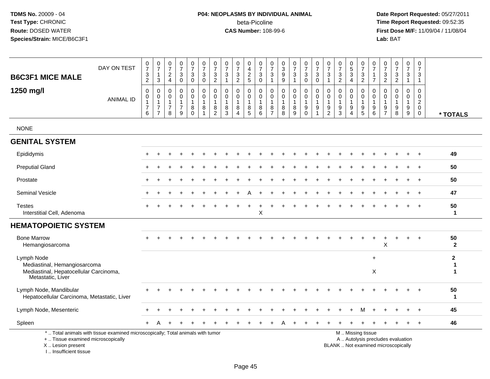# **P04: NEOPLASMS BY INDIVIDUAL ANIMAL**beta-Picoline<br>CAS Number: 108-99-6

| <b>B6C3F1 MICE MALE</b>                                                                                   | DAY ON TEST                                                                     | $\frac{0}{7}$<br>$\ensuremath{\mathsf{3}}$<br>$\overline{c}$           | $\frac{0}{7}$<br>3                                   | $\frac{0}{7}$<br>$_4^2$                                        | $\frac{0}{7}$<br>$\mathbf{3}$<br>$\pmb{0}$                        | $\frac{0}{7}$<br>3<br>$\mathbf 0$                              | $\frac{0}{7}$<br>$\sqrt{3}$<br>$\mathbf 0$                             | $\frac{0}{7}$<br>$\mathbf{3}$<br>$\overline{2}$                      | $\frac{0}{7}$<br>3<br>$\mathbf{1}$                | $\frac{0}{7}$<br>$\sqrt{3}$<br>$\overline{2}$                  | 0<br>$\overline{4}$<br>$\frac{2}{5}$                                   | $\frac{0}{7}$<br>$\sqrt{3}$<br>$\mathbf 0$                | $\frac{0}{7}$<br>$\mathbf{3}$<br>$\overline{1}$                                     | $\begin{array}{c} 0 \\ 3 \\ 9 \end{array}$<br>$\boldsymbol{9}$ | $\frac{0}{7}$<br>3<br>$\mathbf{1}$ | $\begin{smallmatrix}0\\7\end{smallmatrix}$<br>$\overline{3}$<br>$\boldsymbol{0}$ | $\begin{smallmatrix}0\\7\end{smallmatrix}$<br>$\mathbf{3}$<br>$\mathbf 0$ | $\frac{0}{7}$<br>$\mathbf{3}$<br>$\mathbf{1}$                  | $\begin{array}{c} 0 \\ 7 \end{array}$<br>$\ensuremath{\mathsf{3}}$<br>2 | $\begin{array}{c} 0 \\ 5 \end{array}$<br>$\overline{3}$<br>$\overline{4}$ | $\frac{0}{7}$<br>$\mathbf{3}$<br>$\overline{c}$                                 | $\pmb{0}$<br>$\overline{7}$<br>$\overline{7}$        | $\frac{0}{7}$<br>$\ensuremath{\mathsf{3}}$<br>$\overline{2}$ | $\begin{array}{c} 0 \\ 7 \end{array}$<br>$\ensuremath{\mathsf{3}}$<br>$\overline{2}$ | $\begin{smallmatrix}0\\7\end{smallmatrix}$<br>$\sqrt{3}$<br>$\mathbf{1}$ | 0<br>$\overline{7}$<br>$\mathbf{3}$<br>$\overline{1}$         |                                            |
|-----------------------------------------------------------------------------------------------------------|---------------------------------------------------------------------------------|------------------------------------------------------------------------|------------------------------------------------------|----------------------------------------------------------------|-------------------------------------------------------------------|----------------------------------------------------------------|------------------------------------------------------------------------|----------------------------------------------------------------------|---------------------------------------------------|----------------------------------------------------------------|------------------------------------------------------------------------|-----------------------------------------------------------|-------------------------------------------------------------------------------------|----------------------------------------------------------------|------------------------------------|----------------------------------------------------------------------------------|---------------------------------------------------------------------------|----------------------------------------------------------------|-------------------------------------------------------------------------|---------------------------------------------------------------------------|---------------------------------------------------------------------------------|------------------------------------------------------|--------------------------------------------------------------|--------------------------------------------------------------------------------------|--------------------------------------------------------------------------|---------------------------------------------------------------|--------------------------------------------|
| 1250 mg/l                                                                                                 | <b>ANIMAL ID</b>                                                                | $\mathbf 0$<br>0<br>$\mathbf{1}$<br>$\boldsymbol{7}$<br>$6\phantom{1}$ | $\Omega$<br>0<br>$\mathbf{1}$<br>7<br>$\overline{7}$ | $\Omega$<br>$\mathbf 0$<br>$\mathbf{1}$<br>$\overline{7}$<br>8 | $\mathbf 0$<br>$\mathsf 0$<br>$\mathbf{1}$<br>$\overline{7}$<br>9 | $\mathbf 0$<br>$\mathbf 0$<br>$\mathbf{1}$<br>8<br>$\mathbf 0$ | $\Omega$<br>$\mathbf 0$<br>$\overline{1}$<br>$\,8\,$<br>$\overline{1}$ | $\mathbf{0}$<br>$\mathbf 0$<br>$\overline{1}$<br>8<br>$\overline{2}$ | $\Omega$<br>$\mathbf 0$<br>$\mathbf{1}$<br>8<br>3 | $\Omega$<br>$\mathbf 0$<br>$\mathbf{1}$<br>8<br>$\overline{4}$ | $\Omega$<br>0<br>$\mathbf{1}$<br>$\begin{array}{c} 8 \\ 5 \end{array}$ | $\mathbf 0$<br>0<br>$\overline{1}$<br>8<br>$6\phantom{1}$ | $\mathbf 0$<br>$\mathbf 0$<br>$\mathbf{1}$<br>$\begin{array}{c} 8 \\ 7 \end{array}$ | $\mathbf 0$<br>$\mathbf 0$<br>$\mathbf{1}$<br>8<br>8           | 0<br>0<br>$\mathbf{1}$<br>8<br>9   | 0<br>$\mathbf 0$<br>$\mathbf{1}$<br>$_0^9$                                       | $\mathbf 0$<br>$\mathbf 0$<br>$\mathbf{1}$<br>9<br>$\mathbf{1}$           | $\Omega$<br>$\mathbf 0$<br>$\mathbf{1}$<br>9<br>$\overline{2}$ | $\mathbf 0$<br>$\mathbf 0$<br>$\mathbf{1}$<br>9<br>$\overline{3}$       | 0<br>$\mathbf 0$<br>$\mathbf{1}$<br>9<br>$\overline{4}$                   | $\Omega$<br>$\mathbf 0$<br>$\overline{1}$<br>$\boldsymbol{9}$<br>$\overline{5}$ | $\Omega$<br>0<br>$\mathbf{1}$<br>9<br>$6\phantom{1}$ | $\Omega$<br>0<br>$\mathbf{1}$<br>$\frac{9}{7}$               | $\mathbf 0$<br>0<br>$\mathbf{1}$<br>9<br>$\overline{8}$                              | $\Omega$<br>$\mathbf{0}$<br>$\overline{1}$<br>9<br>$\boldsymbol{9}$      | $\Omega$<br>$\mathbf 0$<br>$\overline{2}$<br>0<br>$\mathbf 0$ | * TOTALS                                   |
| <b>NONE</b>                                                                                               |                                                                                 |                                                                        |                                                      |                                                                |                                                                   |                                                                |                                                                        |                                                                      |                                                   |                                                                |                                                                        |                                                           |                                                                                     |                                                                |                                    |                                                                                  |                                                                           |                                                                |                                                                         |                                                                           |                                                                                 |                                                      |                                                              |                                                                                      |                                                                          |                                                               |                                            |
| <b>GENITAL SYSTEM</b>                                                                                     |                                                                                 |                                                                        |                                                      |                                                                |                                                                   |                                                                |                                                                        |                                                                      |                                                   |                                                                |                                                                        |                                                           |                                                                                     |                                                                |                                    |                                                                                  |                                                                           |                                                                |                                                                         |                                                                           |                                                                                 |                                                      |                                                              |                                                                                      |                                                                          |                                                               |                                            |
| Epididymis                                                                                                |                                                                                 |                                                                        |                                                      |                                                                |                                                                   |                                                                |                                                                        |                                                                      |                                                   |                                                                |                                                                        |                                                           |                                                                                     |                                                                |                                    |                                                                                  |                                                                           |                                                                |                                                                         |                                                                           |                                                                                 |                                                      |                                                              |                                                                                      |                                                                          |                                                               | 49                                         |
| <b>Preputial Gland</b>                                                                                    |                                                                                 |                                                                        |                                                      |                                                                |                                                                   |                                                                |                                                                        |                                                                      |                                                   |                                                                |                                                                        |                                                           |                                                                                     |                                                                |                                    |                                                                                  |                                                                           |                                                                |                                                                         |                                                                           |                                                                                 |                                                      |                                                              |                                                                                      |                                                                          |                                                               | 50                                         |
| Prostate                                                                                                  |                                                                                 |                                                                        |                                                      |                                                                |                                                                   |                                                                |                                                                        |                                                                      |                                                   |                                                                |                                                                        |                                                           |                                                                                     |                                                                |                                    |                                                                                  |                                                                           |                                                                |                                                                         |                                                                           |                                                                                 |                                                      |                                                              |                                                                                      |                                                                          | $+$                                                           | 50                                         |
| <b>Seminal Vesicle</b>                                                                                    |                                                                                 |                                                                        |                                                      |                                                                |                                                                   |                                                                |                                                                        |                                                                      |                                                   |                                                                |                                                                        |                                                           |                                                                                     |                                                                |                                    |                                                                                  |                                                                           |                                                                |                                                                         |                                                                           |                                                                                 |                                                      |                                                              |                                                                                      |                                                                          | $\overline{ }$                                                | 47                                         |
| <b>Testes</b><br>Interstitial Cell, Adenoma                                                               |                                                                                 |                                                                        |                                                      |                                                                |                                                                   |                                                                |                                                                        |                                                                      |                                                   |                                                                |                                                                        | $\mathsf X$                                               |                                                                                     |                                                                |                                    |                                                                                  |                                                                           |                                                                |                                                                         |                                                                           |                                                                                 |                                                      |                                                              |                                                                                      |                                                                          |                                                               | 50<br>$\mathbf{1}$                         |
| <b>HEMATOPOIETIC SYSTEM</b>                                                                               |                                                                                 |                                                                        |                                                      |                                                                |                                                                   |                                                                |                                                                        |                                                                      |                                                   |                                                                |                                                                        |                                                           |                                                                                     |                                                                |                                    |                                                                                  |                                                                           |                                                                |                                                                         |                                                                           |                                                                                 |                                                      |                                                              |                                                                                      |                                                                          |                                                               |                                            |
| <b>Bone Marrow</b><br>Hemangiosarcoma                                                                     |                                                                                 |                                                                        |                                                      |                                                                |                                                                   |                                                                |                                                                        |                                                                      |                                                   |                                                                |                                                                        |                                                           |                                                                                     |                                                                |                                    |                                                                                  |                                                                           |                                                                |                                                                         |                                                                           |                                                                                 | $\ddot{}$                                            | X                                                            |                                                                                      |                                                                          | $\ddot{}$                                                     | 50<br>$\overline{2}$                       |
| Lymph Node<br>Mediastinal, Hemangiosarcoma<br>Mediastinal, Hepatocellular Carcinoma,<br>Metastatic, Liver |                                                                                 |                                                                        |                                                      |                                                                |                                                                   |                                                                |                                                                        |                                                                      |                                                   |                                                                |                                                                        |                                                           |                                                                                     |                                                                |                                    |                                                                                  |                                                                           |                                                                |                                                                         |                                                                           |                                                                                 | $\ddot{}$<br>$\boldsymbol{\mathsf{X}}$               |                                                              |                                                                                      |                                                                          |                                                               | $\mathbf{2}$<br>$\mathbf 1$<br>$\mathbf 1$ |
| Lymph Node, Mandibular<br>Hepatocellular Carcinoma, Metastatic, Liver                                     |                                                                                 |                                                                        |                                                      |                                                                |                                                                   |                                                                |                                                                        |                                                                      |                                                   |                                                                |                                                                        |                                                           |                                                                                     |                                                                |                                    |                                                                                  |                                                                           |                                                                |                                                                         |                                                                           |                                                                                 |                                                      |                                                              |                                                                                      |                                                                          | $+$                                                           | 50<br>$\mathbf{1}$                         |
| Lymph Node, Mesenteric                                                                                    |                                                                                 |                                                                        |                                                      |                                                                | $\div$                                                            |                                                                |                                                                        |                                                                      |                                                   |                                                                |                                                                        |                                                           |                                                                                     |                                                                |                                    |                                                                                  | $\ddot{}$                                                                 |                                                                |                                                                         | $\ddot{}$                                                                 | M                                                                               | $\ddot{}$                                            |                                                              |                                                                                      |                                                                          | $^{+}$                                                        | 45                                         |
| Spleen                                                                                                    |                                                                                 |                                                                        |                                                      |                                                                |                                                                   |                                                                |                                                                        |                                                                      |                                                   |                                                                |                                                                        |                                                           |                                                                                     |                                                                |                                    |                                                                                  |                                                                           |                                                                |                                                                         |                                                                           |                                                                                 |                                                      |                                                              |                                                                                      |                                                                          | $+$                                                           | 46                                         |
| +  Tissue examined microscopically<br>X  Lesion present<br>I Insufficient tissue                          | *  Total animals with tissue examined microscopically; Total animals with tumor |                                                                        |                                                      |                                                                |                                                                   |                                                                |                                                                        |                                                                      |                                                   |                                                                |                                                                        |                                                           |                                                                                     |                                                                |                                    |                                                                                  |                                                                           |                                                                |                                                                         |                                                                           | M  Missing tissue                                                               |                                                      |                                                              | A  Autolysis precludes evaluation<br>BLANK  Not examined microscopically             |                                                                          |                                                               |                                            |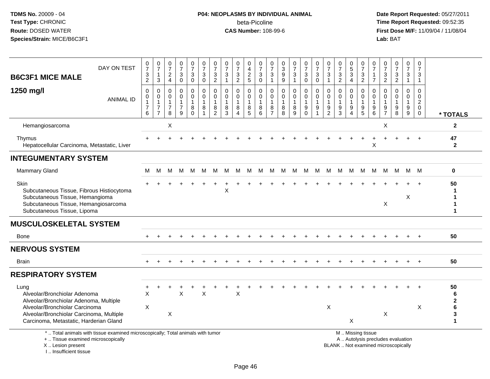#### **P04: NEOPLASMS BY INDIVIDUAL ANIMAL**beta-Picoline<br>CAS Number: 108-99-6

 **Date Report Requested:** 05/27/2011 **Time Report Requested:** 09:52:35 **First Dose M/F:** 11/09/04 / 11/08/04<br>Lab: BAT **Lab:** BAT

| <b>B6C3F1 MICE MALE</b>                                                                                                                                                                                | DAY ON TEST                                                                     | $\pmb{0}$<br>$\overline{7}$<br>$\ensuremath{\mathsf{3}}$<br>$\overline{2}$ | $\frac{0}{7}$<br>$\mathbf{1}$<br>$\mathfrak{S}$    | $\frac{0}{7}$<br>$\frac{2}{4}$           | $\frac{0}{7}$<br>$_{0}^{3}$              | $\mathbf 0$<br>$\overline{7}$<br>$_{\rm 0}^3$           | $\frac{0}{7}$<br>$\sqrt{3}$<br>$\mathbf 0$            | $\frac{0}{7}$<br>3<br>$\overline{2}$ | $\frac{0}{7}$<br>$\frac{3}{1}$                       | $\frac{0}{7}$<br>$\frac{3}{2}$                  | 0<br>4<br>$rac{2}{5}$ | $\pmb{0}$<br>$\overline{7}$<br>$_{\rm 0}^3$            | 0<br>$\overline{7}$<br>3<br>$\overline{1}$ | 0<br>$\sqrt{3}$<br>$\boldsymbol{9}$<br>$\overline{9}$ | $\frac{0}{7}$<br>3<br>$\mathbf{1}$ | $\frac{0}{7}$<br>$\mathbf{3}$<br>$\overline{0}$      | $\frac{0}{7}$<br>3<br>$\ddot{\mathbf{0}}$           | $\frac{0}{7}$<br>$\sqrt{3}$<br>$\overline{1}$               | $\frac{0}{7}$<br>$\frac{3}{2}$                                 | $^{\rm 0}_{\rm 5}$<br>$\overline{3}$<br>$\overline{4}$ | 0<br>$\overline{7}$<br>$\frac{3}{2}$                                                          | 0<br>$\overline{7}$<br>1<br>$\overline{7}$           | 0<br>$\overline{7}$<br>$\frac{3}{2}$ | $\frac{0}{7}$<br>$\frac{3}{2}$                                | $\begin{array}{c} 0 \\ 7 \end{array}$<br>$\mathbf{3}$<br>$\mathbf{1}$ | 0<br>$\overline{7}$<br>3<br>$\mathbf{1}$       |                                       |
|--------------------------------------------------------------------------------------------------------------------------------------------------------------------------------------------------------|---------------------------------------------------------------------------------|----------------------------------------------------------------------------|----------------------------------------------------|------------------------------------------|------------------------------------------|---------------------------------------------------------|-------------------------------------------------------|--------------------------------------|------------------------------------------------------|-------------------------------------------------|-----------------------|--------------------------------------------------------|--------------------------------------------|-------------------------------------------------------|------------------------------------|------------------------------------------------------|-----------------------------------------------------|-------------------------------------------------------------|----------------------------------------------------------------|--------------------------------------------------------|-----------------------------------------------------------------------------------------------|------------------------------------------------------|--------------------------------------|---------------------------------------------------------------|-----------------------------------------------------------------------|------------------------------------------------|---------------------------------------|
| 1250 mg/l                                                                                                                                                                                              | <b>ANIMAL ID</b>                                                                | $\mathbf 0$<br>0<br>$\mathbf{1}$<br>$\boldsymbol{7}$                       | $\mathbf 0$<br>0<br>$\mathbf{1}$<br>$\overline{7}$ | 0<br>0<br>$\mathbf{1}$<br>$\overline{7}$ | $\pmb{0}$<br>$\pmb{0}$<br>$\overline{7}$ | $\mathbf 0$<br>$\mathbf 0$<br>$\overline{1}$<br>$\,8\,$ | $\mathbf 0$<br>$\mathbf 0$<br>$\mathbf{1}$<br>$\bf 8$ | 0<br>$\mathbf 0$<br>1<br>8           | $\mathbf 0$<br>$\mathbf 0$<br>$\mathbf 1$<br>$\bf 8$ | $\mathbf 0$<br>$\mathsf{O}$<br>$\mathbf 1$<br>8 | 0<br>0<br>$^8_5$      | $\mathbf 0$<br>$\boldsymbol{0}$<br>$\overline{1}$<br>8 | 0<br>$\mathbf 0$<br>$\mathbf{1}$<br>8      | $\mathbf 0$<br>$\mathbf 0$<br>1<br>$\bf 8$            | $\mathbf 0$<br>0<br>8              | $\mathbf 0$<br>0<br>$\mathbf{1}$<br>$\boldsymbol{9}$ | $\mathbf 0$<br>$\mathbf 0$<br>1<br>$\boldsymbol{9}$ | $\mathbf 0$<br>$\mathbf 0$<br>$\mathbf{1}$<br>$\frac{9}{2}$ | $\mathbf 0$<br>$\mathbf 0$<br>$\mathbf{1}$<br>$\boldsymbol{9}$ | 0<br>$\mathbf 0$<br>1<br>$\boldsymbol{9}$              | 0<br>$\mathsf{O}\xspace$<br>$\mathbf{1}$<br>$\begin{array}{c} 9 \\ 5 \end{array}$             | $\mathbf 0$<br>0<br>$\mathbf{1}$<br>$\boldsymbol{9}$ | 0<br>$\mathbf 0$<br>9                | $\mathbf 0$<br>$\mathbf 0$<br>$\mathbf 1$<br>$\boldsymbol{9}$ | 0<br>$\mathbf 0$<br>$\mathbf{1}$<br>$\boldsymbol{9}$                  | $\Omega$<br>0<br>$\overline{c}$<br>$\mathbf 0$ |                                       |
|                                                                                                                                                                                                        |                                                                                 | 6                                                                          | $\overline{7}$                                     | 8                                        | 9                                        | $\Omega$                                                | $\overline{1}$                                        | $\overline{2}$                       | 3                                                    | $\Delta$                                        |                       | 6                                                      | $\overline{7}$                             | 8                                                     | 9                                  | $\Omega$                                             |                                                     |                                                             | 3                                                              | 4                                                      |                                                                                               | 6                                                    | $\overline{7}$                       | 8                                                             | 9                                                                     | $\mathbf 0$                                    | * TOTALS                              |
| Hemangiosarcoma                                                                                                                                                                                        |                                                                                 |                                                                            |                                                    | X                                        |                                          |                                                         |                                                       |                                      |                                                      |                                                 |                       |                                                        |                                            |                                                       |                                    |                                                      |                                                     |                                                             |                                                                |                                                        |                                                                                               |                                                      | X                                    |                                                               |                                                                       |                                                | $\overline{2}$                        |
| Thymus<br>Hepatocellular Carcinoma, Metastatic, Liver                                                                                                                                                  |                                                                                 |                                                                            |                                                    |                                          |                                          |                                                         |                                                       |                                      |                                                      |                                                 |                       |                                                        |                                            |                                                       |                                    |                                                      |                                                     |                                                             |                                                                |                                                        |                                                                                               | X                                                    |                                      |                                                               |                                                                       |                                                | 47<br>$\mathbf{2}$                    |
| <b>INTEGUMENTARY SYSTEM</b>                                                                                                                                                                            |                                                                                 |                                                                            |                                                    |                                          |                                          |                                                         |                                                       |                                      |                                                      |                                                 |                       |                                                        |                                            |                                                       |                                    |                                                      |                                                     |                                                             |                                                                |                                                        |                                                                                               |                                                      |                                      |                                                               |                                                                       |                                                |                                       |
| <b>Mammary Gland</b>                                                                                                                                                                                   |                                                                                 | M                                                                          | M                                                  | М                                        | м                                        | M                                                       | М                                                     | М                                    | М                                                    | M                                               | M                     | M                                                      | M                                          |                                                       | M M                                | M                                                    | M                                                   | M                                                           | M                                                              | M                                                      | M                                                                                             | M                                                    | M                                    | M                                                             | M M                                                                   |                                                | $\mathbf 0$                           |
| Skin<br>Subcutaneous Tissue, Fibrous Histiocytoma<br>Subcutaneous Tissue, Hemangioma<br>Subcutaneous Tissue, Hemangiosarcoma<br>Subcutaneous Tissue, Lipoma                                            |                                                                                 |                                                                            |                                                    |                                          |                                          |                                                         |                                                       |                                      | X                                                    |                                                 |                       |                                                        |                                            |                                                       |                                    |                                                      |                                                     |                                                             |                                                                |                                                        |                                                                                               |                                                      | X                                    |                                                               | X                                                                     |                                                | 50                                    |
| <b>MUSCULOSKELETAL SYSTEM</b>                                                                                                                                                                          |                                                                                 |                                                                            |                                                    |                                          |                                          |                                                         |                                                       |                                      |                                                      |                                                 |                       |                                                        |                                            |                                                       |                                    |                                                      |                                                     |                                                             |                                                                |                                                        |                                                                                               |                                                      |                                      |                                                               |                                                                       |                                                |                                       |
| Bone                                                                                                                                                                                                   |                                                                                 |                                                                            |                                                    |                                          |                                          |                                                         |                                                       |                                      |                                                      |                                                 |                       |                                                        |                                            |                                                       |                                    |                                                      |                                                     |                                                             |                                                                |                                                        |                                                                                               |                                                      |                                      |                                                               |                                                                       |                                                | 50                                    |
| <b>NERVOUS SYSTEM</b>                                                                                                                                                                                  |                                                                                 |                                                                            |                                                    |                                          |                                          |                                                         |                                                       |                                      |                                                      |                                                 |                       |                                                        |                                            |                                                       |                                    |                                                      |                                                     |                                                             |                                                                |                                                        |                                                                                               |                                                      |                                      |                                                               |                                                                       |                                                |                                       |
| <b>Brain</b>                                                                                                                                                                                           |                                                                                 |                                                                            |                                                    |                                          |                                          |                                                         |                                                       |                                      |                                                      |                                                 |                       |                                                        |                                            |                                                       |                                    |                                                      |                                                     |                                                             |                                                                |                                                        |                                                                                               |                                                      |                                      |                                                               |                                                                       |                                                | 50                                    |
| <b>RESPIRATORY SYSTEM</b>                                                                                                                                                                              |                                                                                 |                                                                            |                                                    |                                          |                                          |                                                         |                                                       |                                      |                                                      |                                                 |                       |                                                        |                                            |                                                       |                                    |                                                      |                                                     |                                                             |                                                                |                                                        |                                                                                               |                                                      |                                      |                                                               |                                                                       |                                                |                                       |
| Lung<br>Alveolar/Bronchiolar Adenoma<br>Alveolar/Bronchiolar Adenoma, Multiple<br>Alveolar/Bronchiolar Carcinoma<br>Alveolar/Bronchiolar Carcinoma, Multiple<br>Carcinoma, Metastatic, Harderian Gland |                                                                                 | X<br>X                                                                     |                                                    | X                                        | X                                        |                                                         | X                                                     |                                      |                                                      | X                                               |                       |                                                        |                                            |                                                       |                                    |                                                      |                                                     | X                                                           |                                                                | X                                                      |                                                                                               |                                                      | X                                    |                                                               |                                                                       | X                                              | 50<br>6<br>$\mathbf 2$<br>6<br>3<br>1 |
| +  Tissue examined microscopically<br>X  Lesion present                                                                                                                                                | *  Total animals with tissue examined microscopically; Total animals with tumor |                                                                            |                                                    |                                          |                                          |                                                         |                                                       |                                      |                                                      |                                                 |                       |                                                        |                                            |                                                       |                                    |                                                      |                                                     |                                                             |                                                                |                                                        | M  Missing tissue<br>A  Autolysis precludes evaluation<br>BLANK  Not examined microscopically |                                                      |                                      |                                                               |                                                                       |                                                |                                       |

I .. Insufficient tissue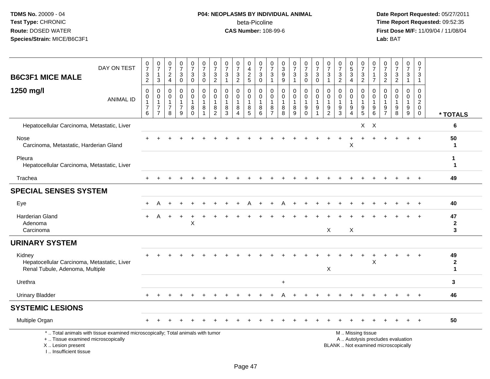# **P04: NEOPLASMS BY INDIVIDUAL ANIMAL**beta-Picoline<br>CAS Number: 108-99-6

| <b>B6C3F1 MICE MALE</b>                                                                  | DAY ON TEST                                                                     | 0<br>$\overline{7}$<br>3<br>$\overline{2}$              | $\frac{0}{7}$<br>$\mathbf{1}$<br>3                                             | $\pmb{0}$<br>$\overline{7}$<br>$\frac{2}{4}$ | $\frac{0}{7}$<br>$_0^3$                                                      | $\frac{0}{7}$<br>$_{0}^{3}$                          | $\frac{0}{7}$<br>$\sqrt{3}$<br>$\mathbf 0$                          | $\frac{0}{7}$<br>$\sqrt{3}$<br>$\overline{2}$ | 0<br>$\overline{7}$<br>$\ensuremath{\mathsf{3}}$<br>$\overline{1}$ | $\begin{array}{c} 0 \\ 7 \end{array}$<br>$\frac{3}{2}$            | 0<br>4<br>$\frac{2}{5}$                  | $\frac{0}{7}$<br>$\frac{3}{0}$                                       | 0<br>$\overline{7}$<br>$\ensuremath{\mathsf{3}}$<br>$\mathbf{1}$    | 0<br>$\mathbf{3}$<br>$\boldsymbol{9}$<br>9 | $\frac{0}{7}$<br>3<br>$\mathbf{1}$           | $\frac{0}{7}$<br>$\frac{3}{0}$                             | $\frac{0}{7}$<br>$_{0}^{3}$                                             | $\frac{0}{7}$<br>$\ensuremath{\mathsf{3}}$<br>$\overline{1}$ | $\frac{0}{7}$<br>$\frac{3}{2}$                                      | $^{\rm 0}_{\rm 5}$<br>$\overline{3}$<br>$\overline{4}$ | $\frac{0}{7}$<br>$\frac{3}{2}$                                  | $\pmb{0}$<br>$\overline{7}$<br>$\mathbf{1}$<br>$\overline{7}$ | 0<br>$\overline{7}$<br>$\frac{3}{2}$ | $\begin{array}{c} 0 \\ 7 \end{array}$<br>$\frac{3}{2}$                   | $\begin{array}{c} 0 \\ 7 \end{array}$<br>$\ensuremath{\mathsf{3}}$<br>$\mathbf{1}$ | 0<br>$\overline{7}$<br>$\sqrt{3}$<br>$\mathbf{1}$                          |                                            |
|------------------------------------------------------------------------------------------|---------------------------------------------------------------------------------|---------------------------------------------------------|--------------------------------------------------------------------------------|----------------------------------------------|------------------------------------------------------------------------------|------------------------------------------------------|---------------------------------------------------------------------|-----------------------------------------------|--------------------------------------------------------------------|-------------------------------------------------------------------|------------------------------------------|----------------------------------------------------------------------|---------------------------------------------------------------------|--------------------------------------------|----------------------------------------------|------------------------------------------------------------|-------------------------------------------------------------------------|--------------------------------------------------------------|---------------------------------------------------------------------|--------------------------------------------------------|-----------------------------------------------------------------|---------------------------------------------------------------|--------------------------------------|--------------------------------------------------------------------------|------------------------------------------------------------------------------------|----------------------------------------------------------------------------|--------------------------------------------|
| 1250 mg/l                                                                                | <b>ANIMAL ID</b>                                                                | $\mathbf 0$<br>0<br>$\mathbf{1}$<br>$\overline{7}$<br>6 | $\mathbf 0$<br>$\mathbf 0$<br>$\mathbf{1}$<br>$\overline{7}$<br>$\overline{7}$ | 0<br>0<br>$\mathbf{1}$<br>7<br>8             | 0<br>$\mathsf{O}\xspace$<br>$\mathbf{1}$<br>$\overline{7}$<br>$\overline{9}$ | 0<br>$\mathbf 0$<br>$\mathbf{1}$<br>8<br>$\mathbf 0$ | $\mathbf 0$<br>$\mathbf 0$<br>$\overline{1}$<br>8<br>$\overline{1}$ | 0<br>$\mathbf 0$<br>8<br>$\overline{c}$       | $\mathbf 0$<br>$\mathbf 0$<br>1<br>8<br>$\mathbf{3}$               | $\mathbf 0$<br>$\mathbf 0$<br>$\mathbf{1}$<br>8<br>$\overline{4}$ | 0<br>$\mathbf 0$<br>1<br>8<br>$\sqrt{5}$ | $\mathbf 0$<br>$\mathbf 0$<br>$\overline{1}$<br>8<br>$6\phantom{1}6$ | $\mathbf 0$<br>$\mathbf 0$<br>$\overline{1}$<br>8<br>$\overline{7}$ | $\mathbf 0$<br>$\mathbf 0$<br>1<br>8<br>8  | 0<br>$\mathbf 0$<br>1<br>8<br>$\overline{9}$ | 0<br>$\ddot{\mathbf{0}}$<br>$\mathbf{1}$<br>9<br>$\bar{0}$ | $\mathbf 0$<br>$\mathsf{O}\xspace$<br>$\mathbf{1}$<br>9<br>$\mathbf{1}$ | 0<br>$\mathbf 0$<br>$\overline{1}$<br>9<br>$\overline{c}$    | $\mathbf 0$<br>$\mathbf 0$<br>$\mathbf{1}$<br>$9\,$<br>$\mathbf{3}$ | 0<br>$\mathbf 0$<br>9<br>$\overline{4}$                | 0<br>$\mathsf{O}\xspace$<br>$\mathbf{1}$<br>9<br>$\overline{5}$ | 0<br>$\mathbf 0$<br>$\mathbf{1}$<br>9<br>$\,6$                | 0<br>0<br>9<br>$\overline{7}$        | $\mathbf 0$<br>$\mathbf 0$<br>$\mathbf{1}$<br>9<br>8                     | 0<br>$\mathbf 0$<br>$\mathbf{1}$<br>9<br>9                                         | $\mathbf 0$<br>$\mathbf 0$<br>$\overline{2}$<br>$\mathbf 0$<br>$\mathbf 0$ | * TOTALS                                   |
| Hepatocellular Carcinoma, Metastatic, Liver                                              |                                                                                 |                                                         |                                                                                |                                              |                                                                              |                                                      |                                                                     |                                               |                                                                    |                                                                   |                                          |                                                                      |                                                                     |                                            |                                              |                                                            |                                                                         |                                                              |                                                                     |                                                        |                                                                 | $X$ $X$                                                       |                                      |                                                                          |                                                                                    |                                                                            | 6                                          |
| Nose<br>Carcinoma, Metastatic, Harderian Gland                                           |                                                                                 |                                                         |                                                                                |                                              |                                                                              |                                                      |                                                                     |                                               |                                                                    |                                                                   |                                          |                                                                      |                                                                     |                                            |                                              |                                                            |                                                                         |                                                              |                                                                     | X                                                      |                                                                 |                                                               |                                      |                                                                          |                                                                                    |                                                                            | 50<br>$\mathbf 1$                          |
| Pleura<br>Hepatocellular Carcinoma, Metastatic, Liver                                    |                                                                                 |                                                         |                                                                                |                                              |                                                                              |                                                      |                                                                     |                                               |                                                                    |                                                                   |                                          |                                                                      |                                                                     |                                            |                                              |                                                            |                                                                         |                                                              |                                                                     |                                                        |                                                                 |                                                               |                                      |                                                                          |                                                                                    |                                                                            | -1<br>$\mathbf 1$                          |
| Trachea                                                                                  |                                                                                 |                                                         |                                                                                |                                              |                                                                              |                                                      |                                                                     |                                               |                                                                    |                                                                   |                                          |                                                                      |                                                                     |                                            |                                              |                                                            |                                                                         |                                                              |                                                                     |                                                        |                                                                 |                                                               |                                      |                                                                          |                                                                                    | $\ddot{}$                                                                  | 49                                         |
| <b>SPECIAL SENSES SYSTEM</b>                                                             |                                                                                 |                                                         |                                                                                |                                              |                                                                              |                                                      |                                                                     |                                               |                                                                    |                                                                   |                                          |                                                                      |                                                                     |                                            |                                              |                                                            |                                                                         |                                                              |                                                                     |                                                        |                                                                 |                                                               |                                      |                                                                          |                                                                                    |                                                                            |                                            |
| Eye                                                                                      |                                                                                 |                                                         | А                                                                              |                                              |                                                                              |                                                      |                                                                     |                                               |                                                                    |                                                                   |                                          |                                                                      |                                                                     |                                            |                                              |                                                            |                                                                         |                                                              |                                                                     |                                                        |                                                                 |                                                               |                                      |                                                                          |                                                                                    |                                                                            | 40                                         |
| Harderian Gland<br>Adenoma<br>Carcinoma                                                  |                                                                                 |                                                         |                                                                                |                                              |                                                                              | $\pmb{\times}$                                       |                                                                     |                                               |                                                                    |                                                                   |                                          |                                                                      |                                                                     |                                            |                                              |                                                            |                                                                         | X                                                            |                                                                     | X                                                      |                                                                 |                                                               |                                      |                                                                          |                                                                                    |                                                                            | 47<br>$\mathbf{2}$<br>3                    |
| <b>URINARY SYSTEM</b>                                                                    |                                                                                 |                                                         |                                                                                |                                              |                                                                              |                                                      |                                                                     |                                               |                                                                    |                                                                   |                                          |                                                                      |                                                                     |                                            |                                              |                                                            |                                                                         |                                                              |                                                                     |                                                        |                                                                 |                                                               |                                      |                                                                          |                                                                                    |                                                                            |                                            |
| Kidney<br>Hepatocellular Carcinoma, Metastatic, Liver<br>Renal Tubule, Adenoma, Multiple |                                                                                 |                                                         |                                                                                |                                              |                                                                              |                                                      |                                                                     |                                               |                                                                    |                                                                   |                                          |                                                                      |                                                                     |                                            |                                              |                                                            |                                                                         | X                                                            |                                                                     |                                                        |                                                                 | X                                                             |                                      |                                                                          |                                                                                    |                                                                            | 49<br>$\mathbf{2}$<br>$\blacktriangleleft$ |
| Urethra                                                                                  |                                                                                 |                                                         |                                                                                |                                              |                                                                              |                                                      |                                                                     |                                               |                                                                    |                                                                   |                                          |                                                                      |                                                                     | $\ddot{}$                                  |                                              |                                                            |                                                                         |                                                              |                                                                     |                                                        |                                                                 |                                                               |                                      |                                                                          |                                                                                    |                                                                            | 3                                          |
| <b>Urinary Bladder</b>                                                                   |                                                                                 |                                                         |                                                                                |                                              |                                                                              |                                                      |                                                                     |                                               |                                                                    |                                                                   |                                          |                                                                      |                                                                     |                                            |                                              |                                                            |                                                                         |                                                              |                                                                     |                                                        |                                                                 |                                                               |                                      |                                                                          |                                                                                    |                                                                            | 46                                         |
| <b>SYSTEMIC LESIONS</b>                                                                  |                                                                                 |                                                         |                                                                                |                                              |                                                                              |                                                      |                                                                     |                                               |                                                                    |                                                                   |                                          |                                                                      |                                                                     |                                            |                                              |                                                            |                                                                         |                                                              |                                                                     |                                                        |                                                                 |                                                               |                                      |                                                                          |                                                                                    |                                                                            |                                            |
| Multiple Organ                                                                           |                                                                                 |                                                         |                                                                                |                                              |                                                                              |                                                      |                                                                     |                                               |                                                                    |                                                                   |                                          |                                                                      |                                                                     |                                            |                                              |                                                            |                                                                         |                                                              |                                                                     |                                                        |                                                                 |                                                               |                                      |                                                                          |                                                                                    |                                                                            | 50                                         |
| +  Tissue examined microscopically<br>X  Lesion present<br>L. Insufficient tissue        | *  Total animals with tissue examined microscopically; Total animals with tumor |                                                         |                                                                                |                                              |                                                                              |                                                      |                                                                     |                                               |                                                                    |                                                                   |                                          |                                                                      |                                                                     |                                            |                                              |                                                            |                                                                         |                                                              |                                                                     |                                                        | M  Missing tissue                                               |                                                               |                                      | A  Autolysis precludes evaluation<br>BLANK  Not examined microscopically |                                                                                    |                                                                            |                                            |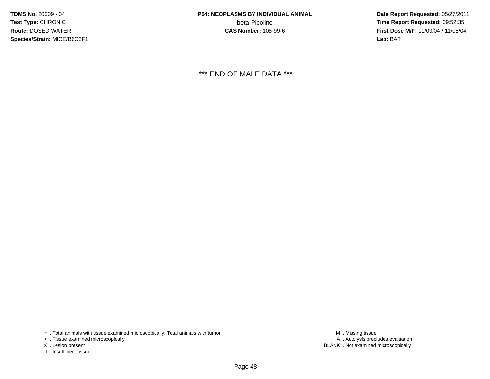**Date Report Requested:** 05/27/2011 **Time Report Requested:** 09:52:35 **First Dose M/F:** 11/09/04 / 11/08/04<br>Lab: BAT **Lab:** BAT

\*\*\* END OF MALE DATA \*\*\*

\* .. Total animals with tissue examined microscopically; Total animals with tumor

+ .. Tissue examined microscopically

- X .. Lesion present
- I .. Insufficient tissue

 M .. Missing tissuey the contract of the contract of the contract of the contract of the contract of the contract of the contract of  $A$ . Autolysis precludes evaluation Lesion present BLANK .. Not examined microscopically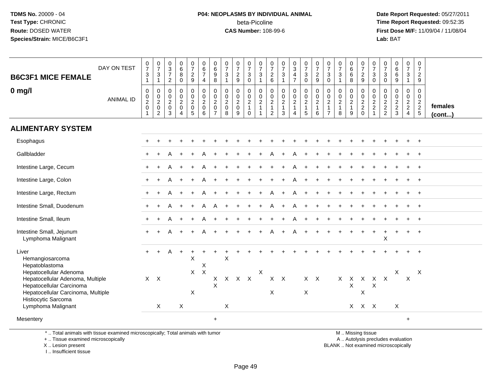# **P04: NEOPLASMS BY INDIVIDUAL ANIMAL**beta-Picoline<br>CAS Number: 108-99-6

 **Date Report Requested:** 05/27/2011 **Time Report Requested:** 09:52:35 **First Dose M/F:** 11/09/04 / 11/08/04<br>Lab: BAT **Lab:** BAT

| <b>B6C3F1 MICE FEMALE</b>                                                                                                    | DAY ON TEST      | $\begin{array}{c} 0 \\ 7 \end{array}$<br>$\sqrt{3}$<br>$\mathbf{1}$                               | $\frac{0}{7}$<br>$\mathbf{3}$<br>$\mathbf{1}$    | $\begin{array}{c} 0 \\ 3 \\ 7 \\ 2 \end{array}$        | $\begin{matrix}0\\6\\8\end{matrix}$<br>$\mathbf 0$                | $\begin{smallmatrix}0\\7\end{smallmatrix}$<br>$rac{2}{9}$ | $\begin{array}{c} 0 \\ 6 \end{array}$<br>$\overline{7}$<br>$\overline{4}$       | $\begin{array}{c} 0 \\ 6 \end{array}$<br>9<br>8                   | $\begin{array}{c} 0 \\ 7 \end{array}$<br>3<br>$\mathbf{1}$ | $\frac{0}{7}$<br>$\frac{2}{9}$                       | $\frac{0}{7}$<br>$\mathbf{3}$<br>$\mathbf 0$                 | $\begin{array}{c} 0 \\ 7 \end{array}$<br>$\sqrt{3}$<br>$\mathbf{1}$ | $\frac{0}{7}$<br>$\begin{array}{c} 2 \\ 6 \end{array}$                      | $\frac{0}{7}$<br>$\ensuremath{\mathsf{3}}$<br>$\overline{1}$ | $\begin{bmatrix} 0 \\ 3 \\ 4 \\ 7 \end{bmatrix}$                     | $\begin{array}{c} 0 \\ 7 \\ 3 \end{array}$<br>$\mathbf 0$                                   | $\frac{0}{7}$<br>$\frac{2}{9}$                        | $\frac{0}{7}$<br>$\sqrt{3}$<br>$\mathbf 0$                                   | $\frac{0}{7}$<br>$\sqrt{3}$                                          | $\begin{array}{c} 0 \\ 6 \\ 6 \end{array}$<br>8       | $\frac{0}{7}$<br>$\frac{2}{9}$                                                               | $\frac{0}{7}$<br>3<br>$\mathbf 0$                                    | $\frac{0}{7}$<br>$\mathbf{3}$<br>$\mathbf 0$ | $\begin{matrix}0\6\6\end{matrix}$<br>9 | $\begin{array}{c} 0 \\ 7 \end{array}$<br>$\mathbf{3}$<br>$\mathbf{1}$     | 0<br>$\overline{7}$<br>$\overline{c}$<br>9                  |                   |
|------------------------------------------------------------------------------------------------------------------------------|------------------|---------------------------------------------------------------------------------------------------|--------------------------------------------------|--------------------------------------------------------|-------------------------------------------------------------------|-----------------------------------------------------------|---------------------------------------------------------------------------------|-------------------------------------------------------------------|------------------------------------------------------------|------------------------------------------------------|--------------------------------------------------------------|---------------------------------------------------------------------|-----------------------------------------------------------------------------|--------------------------------------------------------------|----------------------------------------------------------------------|---------------------------------------------------------------------------------------------|-------------------------------------------------------|------------------------------------------------------------------------------|----------------------------------------------------------------------|-------------------------------------------------------|----------------------------------------------------------------------------------------------|----------------------------------------------------------------------|----------------------------------------------|----------------------------------------|---------------------------------------------------------------------------|-------------------------------------------------------------|-------------------|
| $0$ mg/l                                                                                                                     | <b>ANIMAL ID</b> | $\boldsymbol{0}$<br>$\begin{smallmatrix} 0\\2 \end{smallmatrix}$<br>$\mathbf 0$<br>$\overline{1}$ | 0<br>$\pmb{0}$<br>$\sqrt{2}$<br>$\mathbf 0$<br>2 | 0<br>$\mathbf 0$<br>$\overline{2}$<br>$\mathbf 0$<br>3 | 0<br>$\pmb{0}$<br>$\overline{2}$<br>$\mathbf 0$<br>$\overline{4}$ | 0<br>$\mathbf 0$<br>$\overline{2}$<br>$\mathbf 0$<br>5    | $\mathbf 0$<br>$\begin{smallmatrix} 0\\2 \end{smallmatrix}$<br>$\mathbf 0$<br>6 | 0<br>$\pmb{0}$<br>$\overline{2}$<br>$\mathbf 0$<br>$\overline{7}$ | $\mathbf 0$<br>$\pmb{0}$<br>$\sqrt{2}$<br>$\mathbf 0$<br>8 | 0<br>$\pmb{0}$<br>$\overline{2}$<br>$\mathbf 0$<br>9 | 0<br>$\pmb{0}$<br>$\overline{c}$<br>$\mathbf{1}$<br>$\Omega$ | $\mathbf 0$<br>$\pmb{0}$<br>$\sqrt{2}$<br>$\mathbf{1}$              | $\mathbf 0$<br>$\begin{array}{c} 0 \\ 2 \\ 1 \end{array}$<br>$\overline{2}$ | 0<br>$\begin{matrix} 0 \\ 2 \\ 1 \end{matrix}$<br>3          | 0<br>$\pmb{0}$<br>$\boldsymbol{2}$<br>$\mathbf{1}$<br>$\overline{4}$ | $\pmb{0}$<br>$\begin{smallmatrix} 0\\2 \end{smallmatrix}$<br>$\mathbf{1}$<br>5 <sup>5</sup> | 0<br>$\pmb{0}$<br>$\overline{2}$<br>$\mathbf{1}$<br>6 | $\mathbf 0$<br>$\pmb{0}$<br>$\overline{c}$<br>$\mathbf{1}$<br>$\overline{7}$ | $\mathbf 0$<br>$\mathop{2}\limits^{\mathbb{O}}$<br>$\mathbf{1}$<br>8 | 0<br>$\pmb{0}$<br>$\overline{c}$<br>$\mathbf{1}$<br>9 | $\mathbf 0$<br>$\begin{smallmatrix} 0\\2 \end{smallmatrix}$<br>$\overline{c}$<br>$\mathbf 0$ | 0<br>$\pmb{0}$<br>$\overline{2}$<br>$\overline{c}$<br>$\overline{1}$ | 0<br>$\frac{0}{2}$<br>2<br>2                 | 0<br>$\frac{0}{2}$<br>3                | 0<br>$\overline{0}$<br>$\overline{a}$<br>$\overline{2}$<br>$\overline{4}$ | $\mathbf 0$<br>$\pmb{0}$<br>$\frac{2}{2}$<br>$\overline{5}$ | females<br>(cont) |
| <b>ALIMENTARY SYSTEM</b>                                                                                                     |                  |                                                                                                   |                                                  |                                                        |                                                                   |                                                           |                                                                                 |                                                                   |                                                            |                                                      |                                                              |                                                                     |                                                                             |                                                              |                                                                      |                                                                                             |                                                       |                                                                              |                                                                      |                                                       |                                                                                              |                                                                      |                                              |                                        |                                                                           |                                                             |                   |
| Esophagus                                                                                                                    |                  |                                                                                                   |                                                  |                                                        |                                                                   |                                                           |                                                                                 |                                                                   |                                                            |                                                      |                                                              |                                                                     |                                                                             |                                                              |                                                                      |                                                                                             |                                                       |                                                                              |                                                                      |                                                       |                                                                                              |                                                                      |                                              |                                        |                                                                           | $+$                                                         |                   |
| Gallbladder                                                                                                                  |                  |                                                                                                   |                                                  |                                                        |                                                                   |                                                           |                                                                                 |                                                                   |                                                            |                                                      |                                                              |                                                                     |                                                                             |                                                              |                                                                      |                                                                                             |                                                       |                                                                              |                                                                      |                                                       |                                                                                              |                                                                      |                                              |                                        |                                                                           |                                                             |                   |
| Intestine Large, Cecum                                                                                                       |                  |                                                                                                   |                                                  |                                                        |                                                                   |                                                           |                                                                                 |                                                                   |                                                            |                                                      |                                                              |                                                                     |                                                                             |                                                              |                                                                      |                                                                                             |                                                       |                                                                              |                                                                      |                                                       |                                                                                              |                                                                      |                                              |                                        |                                                                           |                                                             |                   |
| Intestine Large, Colon                                                                                                       |                  |                                                                                                   |                                                  |                                                        |                                                                   |                                                           |                                                                                 |                                                                   |                                                            |                                                      |                                                              |                                                                     |                                                                             |                                                              |                                                                      |                                                                                             |                                                       |                                                                              |                                                                      |                                                       |                                                                                              |                                                                      |                                              |                                        |                                                                           |                                                             |                   |
| Intestine Large, Rectum                                                                                                      |                  |                                                                                                   |                                                  |                                                        |                                                                   |                                                           |                                                                                 |                                                                   |                                                            |                                                      |                                                              |                                                                     |                                                                             |                                                              |                                                                      |                                                                                             |                                                       |                                                                              |                                                                      |                                                       |                                                                                              |                                                                      |                                              |                                        |                                                                           | $\overline{+}$                                              |                   |
| Intestine Small, Duodenum                                                                                                    |                  |                                                                                                   |                                                  | А                                                      | $\ddot{}$                                                         | $\ddot{}$                                                 | A                                                                               | A                                                                 |                                                            |                                                      | $\div$                                                       | $+$                                                                 | А                                                                           |                                                              | А                                                                    |                                                                                             |                                                       |                                                                              |                                                                      |                                                       |                                                                                              |                                                                      |                                              |                                        |                                                                           | $\overline{+}$                                              |                   |
| Intestine Small, Ileum                                                                                                       |                  |                                                                                                   |                                                  |                                                        |                                                                   |                                                           |                                                                                 |                                                                   |                                                            |                                                      |                                                              |                                                                     |                                                                             |                                                              |                                                                      |                                                                                             |                                                       |                                                                              |                                                                      |                                                       |                                                                                              |                                                                      |                                              |                                        |                                                                           |                                                             |                   |
| Intestine Small, Jejunum<br>Lymphoma Malignant                                                                               |                  |                                                                                                   |                                                  |                                                        |                                                                   |                                                           |                                                                                 |                                                                   |                                                            |                                                      |                                                              |                                                                     |                                                                             |                                                              |                                                                      |                                                                                             |                                                       |                                                                              |                                                                      |                                                       |                                                                                              | $\ddot{}$                                                            | X                                            | $\ddot{}$                              | $\ddot{}$                                                                 | $+$                                                         |                   |
| Liver<br>Hemangiosarcoma<br>Hepatoblastoma                                                                                   |                  | $+$                                                                                               | $+$                                              | $\mathsf{A}$                                           | $\ddot{}$                                                         | X                                                         | $\boldsymbol{\mathsf{X}}$                                                       |                                                                   | X                                                          |                                                      |                                                              |                                                                     |                                                                             |                                                              |                                                                      |                                                                                             |                                                       |                                                                              |                                                                      |                                                       |                                                                                              |                                                                      |                                              |                                        |                                                                           | $+$                                                         |                   |
| Hepatocellular Adenoma<br>Hepatocellular Adenoma, Multiple<br>Hepatocellular Carcinoma<br>Hepatocellular Carcinoma, Multiple |                  | $X$ $X$                                                                                           |                                                  |                                                        |                                                                   | X                                                         | $X$ $X$                                                                         | X<br>$\mathsf{X}$                                                 |                                                            | X X X                                                |                                                              | X                                                                   | $\mathsf X$                                                                 | $X$ $X$                                                      |                                                                      | $\mathsf{X}$                                                                                | $X$ $X$                                               |                                                                              | $X$ $X$                                                              | X                                                     | $\mathsf{X}$<br>$\sf X$                                                                      | $\times$                                                             | X X                                          | X                                      | X                                                                         | X                                                           |                   |
| Histiocytic Sarcoma<br>Lymphoma Malignant                                                                                    |                  |                                                                                                   | X                                                |                                                        | X                                                                 |                                                           |                                                                                 |                                                                   | X                                                          |                                                      |                                                              |                                                                     |                                                                             |                                                              |                                                                      |                                                                                             |                                                       |                                                                              |                                                                      |                                                       | X X X                                                                                        |                                                                      |                                              | X                                      |                                                                           |                                                             |                   |
| Mesentery                                                                                                                    |                  |                                                                                                   |                                                  |                                                        |                                                                   |                                                           |                                                                                 | $\ddot{}$                                                         |                                                            |                                                      |                                                              |                                                                     |                                                                             |                                                              |                                                                      |                                                                                             |                                                       |                                                                              |                                                                      |                                                       |                                                                                              |                                                                      |                                              |                                        | $\ddot{}$                                                                 |                                                             |                   |

\* .. Total animals with tissue examined microscopically; Total animals with tumor

+ .. Tissue examined microscopically

X .. Lesion present

I .. Insufficient tissue

M .. Missing tissue

y the contract of the contract of the contract of the contract of the contract of the contract of the contract of  $A$ . Autolysis precludes evaluation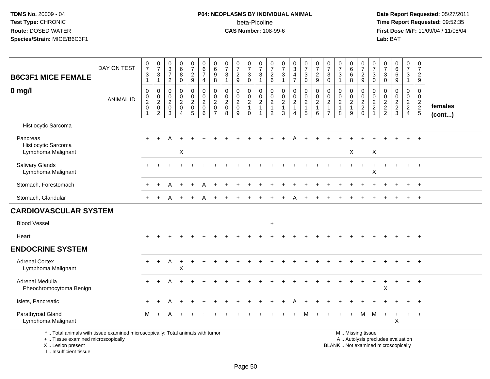# **P04: NEOPLASMS BY INDIVIDUAL ANIMAL**beta-Picoline<br>CAS Number: 108-99-6

 **Date Report Requested:** 05/27/2011 **Time Report Requested:** 09:52:35 **First Dose M/F:** 11/09/04 / 11/08/04<br>Lab: BAT **Lab:** BAT

| <b>B6C3F1 MICE FEMALE</b>                                                                                             | DAY ON TEST      | $\frac{0}{7}$<br>$\ensuremath{\mathsf{3}}$<br>$\mathbf{1}$ | $\frac{0}{7}$<br>$\ensuremath{\mathsf{3}}$<br>$\mathbf{1}$   | $\begin{array}{c} 0 \\ 3 \\ 7 \end{array}$<br>$\overline{2}$ | $\begin{array}{c} 0 \\ 6 \end{array}$<br>$\overline{8}$<br>$\mathsf{O}\xspace$ | $\begin{smallmatrix}0\\7\end{smallmatrix}$<br>$\frac{2}{9}$                    | $\begin{array}{c} 0 \\ 6 \end{array}$<br>$\overline{7}$<br>4                        | $\begin{array}{c} 0 \\ 6 \end{array}$<br>$\boldsymbol{9}$<br>8                | $\frac{0}{7}$<br>$\sqrt{3}$<br>$\mathbf{1}$                       | $\frac{0}{7}$<br>$\overline{c}$<br>9                      | $\frac{0}{7}$<br>$\frac{3}{0}$               | $\begin{array}{c} 0 \\ 7 \end{array}$<br>$\mathbf{3}$<br>$\mathbf{1}$      | $\frac{0}{7}$<br>$^2$ 6                                              | $\begin{smallmatrix}0\\7\end{smallmatrix}$<br>$\frac{3}{1}$                                    | $_3^0$<br>$\frac{4}{7}$                                 | $\begin{array}{c} 0 \\ 7 \end{array}$<br>$\sqrt{3}$<br>$\mathbf 0$ | $\begin{smallmatrix}0\\7\end{smallmatrix}$<br>$\boldsymbol{2}$<br>9 | $\frac{0}{7}$<br>$\ensuremath{\mathsf{3}}$<br>$\mathbf 0$                      | $\frac{0}{7}$<br>$\sqrt{3}$<br>$\mathbf{1}$                     | $\begin{array}{c} 0 \\ 6 \end{array}$<br>$\,6\,$<br>8 | $\frac{0}{7}$<br>$\frac{2}{9}$                               | 0<br>$\overline{7}$<br>$\sqrt{3}$<br>$\mathbf 0$            | $\frac{0}{7}$<br>$\sqrt{3}$<br>$\mathbf 0$                                       | $_6^0$<br>$6\phantom{a}$<br>$\boldsymbol{9}$                   | $\begin{smallmatrix}0\\7\end{smallmatrix}$<br>$\ensuremath{\mathsf{3}}$<br>$\overline{1}$ | $\frac{0}{7}$<br>$\overline{c}$<br>9 |                         |
|-----------------------------------------------------------------------------------------------------------------------|------------------|------------------------------------------------------------|--------------------------------------------------------------|--------------------------------------------------------------|--------------------------------------------------------------------------------|--------------------------------------------------------------------------------|-------------------------------------------------------------------------------------|-------------------------------------------------------------------------------|-------------------------------------------------------------------|-----------------------------------------------------------|----------------------------------------------|----------------------------------------------------------------------------|----------------------------------------------------------------------|------------------------------------------------------------------------------------------------|---------------------------------------------------------|--------------------------------------------------------------------|---------------------------------------------------------------------|--------------------------------------------------------------------------------|-----------------------------------------------------------------|-------------------------------------------------------|--------------------------------------------------------------|-------------------------------------------------------------|----------------------------------------------------------------------------------|----------------------------------------------------------------|-------------------------------------------------------------------------------------------|--------------------------------------|-------------------------|
| $0$ mg/l                                                                                                              | <b>ANIMAL ID</b> | $\pmb{0}$<br>$\mathbf 0$<br>$\frac{2}{0}$<br>$\mathbf{1}$  | $\mathbf 0$<br>$\mathbf 0$<br>$^2_{\rm 0}$<br>$\overline{c}$ | $\pmb{0}$<br>$\mathbf 0$<br>$^2_{\rm 0}$<br>$\overline{3}$   | 0<br>$\mathbf 0$<br>$\overline{a}$<br>$\overline{0}$<br>$\boldsymbol{\Lambda}$ | $\pmb{0}$<br>$\mathsf{O}\xspace$<br>$\begin{array}{c} 2 \\ 0 \\ 5 \end{array}$ | $\pmb{0}$<br>$\mathsf{O}\xspace$<br>$\sqrt{2}$<br>$\overline{0}$<br>$6\phantom{1}6$ | $\mathbf 0$<br>$\mathbf 0$<br>$\overline{2}$<br>$\mathbf 0$<br>$\overline{7}$ | $\pmb{0}$<br>$\mathbf 0$<br>$\overline{2}$<br>$\overline{0}$<br>8 | 0<br>$\mathbf 0$<br>$\overline{c}$<br>$\overline{0}$<br>9 | $\,0\,$<br>$\frac{0}{2}$<br>1<br>$\mathbf 0$ | $\pmb{0}$<br>$\mathbf 0$<br>$\overline{c}$<br>$\mathbf{1}$<br>$\mathbf{1}$ | $\mathbf 0$<br>0<br>$\overline{2}$<br>$\mathbf{1}$<br>$\overline{2}$ | $\begin{smallmatrix} 0\\0 \end{smallmatrix}$<br>$\overline{2}$<br>$\mathbf{1}$<br>$\mathbf{3}$ | 0<br>$\mathbf 0$<br>$\overline{2}$<br>$\mathbf{1}$<br>4 | $\pmb{0}$<br>$\mathbf 0$<br>$\frac{2}{1}$<br>5                     | $\mathbf 0$<br>$\mathbf 0$<br>$\overline{2}$<br>1<br>6              | $\mathbf 0$<br>$\mathbf 0$<br>$\overline{c}$<br>$\mathbf{1}$<br>$\overline{7}$ | $\mathbf 0$<br>$\pmb{0}$<br>$\overline{c}$<br>$\mathbf{1}$<br>8 | 0<br>$\mathbf 0$<br>$\overline{2}$<br>9               | $\pmb{0}$<br>$\begin{array}{c} 0 \\ 2 \\ 2 \\ 0 \end{array}$ | $\mathbf 0$<br>$\mathbf 0$<br>$\frac{2}{2}$<br>$\mathbf{1}$ | $\mathbf 0$<br>$\mathsf{O}\xspace$<br>$\begin{array}{c} 2 \\ 2 \\ 2 \end{array}$ | 0<br>$\mathbf 0$<br>$\begin{array}{c} 2 \\ 2 \\ 3 \end{array}$ | 0<br>$\mathbf 0$<br>$\frac{2}{2}$<br>$\overline{4}$                                       | 0<br>$\mathbf 0$<br>$\frac{2}{2}$    | females<br>$($ cont $)$ |
| Histiocytic Sarcoma                                                                                                   |                  |                                                            |                                                              |                                                              |                                                                                |                                                                                |                                                                                     |                                                                               |                                                                   |                                                           |                                              |                                                                            |                                                                      |                                                                                                |                                                         |                                                                    |                                                                     |                                                                                |                                                                 |                                                       |                                                              |                                                             |                                                                                  |                                                                |                                                                                           |                                      |                         |
| Pancreas<br>Histiocytic Sarcoma                                                                                       |                  |                                                            |                                                              |                                                              |                                                                                |                                                                                |                                                                                     |                                                                               |                                                                   |                                                           |                                              |                                                                            |                                                                      |                                                                                                |                                                         |                                                                    |                                                                     |                                                                                |                                                                 |                                                       |                                                              |                                                             |                                                                                  |                                                                |                                                                                           |                                      |                         |
| Lymphoma Malignant                                                                                                    |                  |                                                            |                                                              |                                                              | $\mathsf X$                                                                    |                                                                                |                                                                                     |                                                                               |                                                                   |                                                           |                                              |                                                                            |                                                                      |                                                                                                |                                                         |                                                                    |                                                                     |                                                                                |                                                                 | X                                                     |                                                              | $\sf X$                                                     |                                                                                  |                                                                |                                                                                           |                                      |                         |
| <b>Salivary Glands</b><br>Lymphoma Malignant                                                                          |                  |                                                            |                                                              |                                                              |                                                                                |                                                                                |                                                                                     |                                                                               |                                                                   |                                                           |                                              |                                                                            |                                                                      |                                                                                                |                                                         |                                                                    |                                                                     |                                                                                |                                                                 |                                                       |                                                              | $\mathsf X$                                                 |                                                                                  |                                                                |                                                                                           | $\ddot{}$                            |                         |
| Stomach, Forestomach                                                                                                  |                  |                                                            |                                                              |                                                              |                                                                                |                                                                                |                                                                                     |                                                                               |                                                                   |                                                           |                                              |                                                                            |                                                                      |                                                                                                |                                                         |                                                                    |                                                                     |                                                                                |                                                                 |                                                       |                                                              |                                                             |                                                                                  |                                                                |                                                                                           |                                      |                         |
| Stomach, Glandular                                                                                                    |                  |                                                            | $\div$                                                       |                                                              | $\ddot{}$                                                                      | $\pm$                                                                          | A                                                                                   |                                                                               |                                                                   |                                                           |                                              |                                                                            |                                                                      |                                                                                                |                                                         |                                                                    |                                                                     |                                                                                |                                                                 |                                                       |                                                              |                                                             |                                                                                  |                                                                |                                                                                           | $+$                                  |                         |
| <b>CARDIOVASCULAR SYSTEM</b>                                                                                          |                  |                                                            |                                                              |                                                              |                                                                                |                                                                                |                                                                                     |                                                                               |                                                                   |                                                           |                                              |                                                                            |                                                                      |                                                                                                |                                                         |                                                                    |                                                                     |                                                                                |                                                                 |                                                       |                                                              |                                                             |                                                                                  |                                                                |                                                                                           |                                      |                         |
| <b>Blood Vessel</b>                                                                                                   |                  |                                                            |                                                              |                                                              |                                                                                |                                                                                |                                                                                     |                                                                               |                                                                   |                                                           |                                              |                                                                            | $\ddot{}$                                                            |                                                                                                |                                                         |                                                                    |                                                                     |                                                                                |                                                                 |                                                       |                                                              |                                                             |                                                                                  |                                                                |                                                                                           |                                      |                         |
| Heart                                                                                                                 |                  |                                                            |                                                              |                                                              |                                                                                |                                                                                |                                                                                     |                                                                               |                                                                   |                                                           |                                              |                                                                            |                                                                      |                                                                                                |                                                         |                                                                    |                                                                     |                                                                                |                                                                 |                                                       |                                                              |                                                             |                                                                                  |                                                                |                                                                                           | $+$                                  |                         |
| <b>ENDOCRINE SYSTEM</b>                                                                                               |                  |                                                            |                                                              |                                                              |                                                                                |                                                                                |                                                                                     |                                                                               |                                                                   |                                                           |                                              |                                                                            |                                                                      |                                                                                                |                                                         |                                                                    |                                                                     |                                                                                |                                                                 |                                                       |                                                              |                                                             |                                                                                  |                                                                |                                                                                           |                                      |                         |
| <b>Adrenal Cortex</b><br>Lymphoma Malignant                                                                           |                  | $+$                                                        | $+$                                                          | Α                                                            | $\ddot{}$<br>X                                                                 | $\ddot{}$                                                                      |                                                                                     |                                                                               |                                                                   |                                                           |                                              |                                                                            |                                                                      |                                                                                                |                                                         |                                                                    |                                                                     |                                                                                |                                                                 |                                                       |                                                              |                                                             |                                                                                  |                                                                |                                                                                           | $\overline{+}$                       |                         |
| Adrenal Medulla<br>Pheochromocytoma Benign                                                                            |                  | $+$                                                        |                                                              |                                                              |                                                                                |                                                                                |                                                                                     |                                                                               |                                                                   |                                                           |                                              |                                                                            |                                                                      |                                                                                                |                                                         |                                                                    |                                                                     |                                                                                |                                                                 |                                                       |                                                              |                                                             | X                                                                                |                                                                | $\pm$                                                                                     | $\overline{+}$                       |                         |
| Islets, Pancreatic                                                                                                    |                  |                                                            |                                                              |                                                              |                                                                                |                                                                                |                                                                                     |                                                                               |                                                                   |                                                           |                                              |                                                                            |                                                                      |                                                                                                |                                                         |                                                                    |                                                                     |                                                                                |                                                                 |                                                       |                                                              |                                                             |                                                                                  |                                                                |                                                                                           | $+$                                  |                         |
| Parathyroid Gland<br>Lymphoma Malignant                                                                               |                  | м                                                          |                                                              |                                                              |                                                                                |                                                                                |                                                                                     |                                                                               |                                                                   |                                                           |                                              |                                                                            |                                                                      |                                                                                                |                                                         | м                                                                  |                                                                     |                                                                                |                                                                 |                                                       | M                                                            | M                                                           | $+$                                                                              | $\ddot{}$<br>X                                                 | $+$                                                                                       | $+$                                  |                         |
| *  Total animals with tissue examined microscopically; Total animals with tumor<br>+  Tissue examined microscopically |                  |                                                            |                                                              |                                                              |                                                                                |                                                                                |                                                                                     |                                                                               |                                                                   |                                                           |                                              |                                                                            |                                                                      |                                                                                                |                                                         |                                                                    |                                                                     |                                                                                |                                                                 |                                                       | M  Missing tissue<br>A  Autolysis precludes evaluation       |                                                             |                                                                                  |                                                                |                                                                                           |                                      |                         |

X .. Lesion present

I .. Insufficient tissue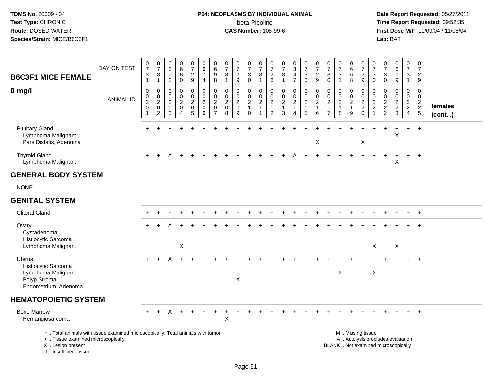# **P04: NEOPLASMS BY INDIVIDUAL ANIMAL**beta-Picoline<br>CAS Number: 108-99-6

| <b>B6C3F1 MICE FEMALE</b><br>$0$ mg/l                                                                                                                              | DAY ON TEST      | $\frac{0}{7}$<br>$\sqrt{3}$<br>$\overline{1}$<br>$\pmb{0}$ | $\frac{0}{7}$<br>3<br>$\mathbf{1}$<br>$\pmb{0}$           | $_{3}^{\rm 0}$<br>$\boldsymbol{7}$<br>$\overline{2}$<br>$\pmb{0}$ | $_{6}^{\rm 0}$<br>8<br>$\mathbf 0$<br>$\pmb{0}$ | $\frac{0}{7}$<br>$\frac{2}{9}$<br>0                            | $\begin{array}{c} 0 \\ 6 \end{array}$<br>$\overline{7}$<br>$\overline{4}$<br>$\pmb{0}$ | $\pmb{0}$<br>$\,6$<br>$\boldsymbol{9}$<br>8<br>$\mathbf 0$     | $\frac{0}{7}$<br>$\ensuremath{\mathsf{3}}$<br>$\mathbf{1}$<br>$\mathbf 0$ | $\begin{array}{c} 0 \\ 7 \end{array}$<br>$\overline{c}$<br>9<br>0 | $\frac{0}{7}$<br>$_0^3$<br>0                 | $\frac{0}{7}$<br>3<br>$\mathbf{1}$<br>0            | 0<br>$\overline{7}$<br>$^2\phantom{1}6$<br>$\mathbf 0$  | $\frac{0}{7}$<br>$\frac{3}{1}$<br>$\mathbf 0$             | $_{3}^{\rm 0}$<br>$\overline{\mathbf{4}}$<br>$\overline{7}$<br>$\pmb{0}$ | $\frac{0}{7}$<br>$\ensuremath{\mathsf{3}}$<br>$\overline{0}$<br>$\pmb{0}$ | $\frac{0}{7}$<br>$\frac{2}{9}$<br>$\mathbf 0$ | $\frac{0}{7}$<br>$\ensuremath{\mathsf{3}}$<br>$\overline{0}$<br>$\mathbf 0$ | $\frac{0}{7}$<br>3<br>$\mathbf{1}$<br>0            | 0<br>$6\phantom{a}$<br>6<br>8<br>0             | $\frac{0}{7}$<br>$\frac{2}{9}$<br>$\pmb{0}$                                                   | $\frac{0}{7}$<br>$\mathbf{3}$<br>$\mathsf{O}$<br>0 | $\frac{0}{7}$<br>$\ensuremath{\mathsf{3}}$<br>$\mathbf 0$<br>$\mathbf 0$ | $_{6}^{\rm 0}$<br>6<br>$\boldsymbol{9}$<br>0 | $\frac{0}{7}$<br>$\frac{3}{1}$<br>$\pmb{0}$ | $\pmb{0}$<br>$\overline{7}$<br>$\overline{2}$<br>9<br>$\mathbf 0$ |                   |
|--------------------------------------------------------------------------------------------------------------------------------------------------------------------|------------------|------------------------------------------------------------|-----------------------------------------------------------|-------------------------------------------------------------------|-------------------------------------------------|----------------------------------------------------------------|----------------------------------------------------------------------------------------|----------------------------------------------------------------|---------------------------------------------------------------------------|-------------------------------------------------------------------|----------------------------------------------|----------------------------------------------------|---------------------------------------------------------|-----------------------------------------------------------|--------------------------------------------------------------------------|---------------------------------------------------------------------------|-----------------------------------------------|-----------------------------------------------------------------------------|----------------------------------------------------|------------------------------------------------|-----------------------------------------------------------------------------------------------|----------------------------------------------------|--------------------------------------------------------------------------|----------------------------------------------|---------------------------------------------|-------------------------------------------------------------------|-------------------|
|                                                                                                                                                                    | <b>ANIMAL ID</b> | $\mathbf 0$<br>$\frac{2}{0}$<br>$\mathbf{1}$               | $\boldsymbol{0}$<br>$\overline{c}$<br>0<br>$\overline{c}$ | $\mathbf 0$<br>$\overline{2}$<br>$\mathbf 0$<br>$\overline{3}$    | $\overline{0}$<br>$\overline{a}$<br>0<br>4      | $\mathbf 0$<br>$\overline{a}$<br>$\mathbf 0$<br>$\overline{5}$ | $\ddot{\mathbf{0}}$<br>$\overline{2}$<br>$\mathbf 0$<br>$\,6\,$                        | $\mathbf 0$<br>$\overline{2}$<br>$\mathbf 0$<br>$\overline{7}$ | $\mathbf 0$<br>$\sqrt{2}$<br>$\mathbf 0$<br>8                             | $\mathbf 0$<br>$\overline{c}$<br>$\mathbf 0$<br>9                 | $\frac{0}{2}$<br>$\mathbf{1}$<br>$\mathbf 0$ | $\mathbf 0$<br>$\overline{2}$<br>$\mathbf{1}$<br>1 | 0<br>$\boldsymbol{2}$<br>$\mathbf{1}$<br>$\overline{2}$ | $\mathbf 0$<br>$\sqrt{2}$<br>$\mathbf{1}$<br>$\mathbf{3}$ | $\mathbf 0$<br>$\sqrt{2}$<br>$\overline{1}$<br>4                         | $\ddot{\mathbf{0}}$<br>$\frac{2}{1}$<br>5                                 | $\mathbf 0$<br>$\overline{c}$<br>1<br>6       | $\mathbf 0$<br>$\overline{2}$<br>$\mathbf{1}$<br>$\overline{7}$             | $\mathbf 0$<br>$\overline{a}$<br>$\mathbf{1}$<br>8 | $\mathbf 0$<br>$\sqrt{2}$<br>$\mathbf{1}$<br>9 | $\mathsf{O}\xspace$<br>$\frac{2}{2}$<br>0                                                     | $\mathbf 0$<br>$\frac{2}{2}$<br>$\overline{1}$     | $\mathsf 0$<br>$\frac{2}{2}$                                             | $\mathbf 0$<br>$\frac{2}{2}$<br>$\mathbf{3}$ | $\mathbf 0$<br>$\frac{2}{2}$<br>4           | $\Omega$<br>$\frac{2}{2}$<br>5                                    | females<br>(cont) |
| <b>Pituitary Gland</b><br>Lymphoma Malignant<br>Pars Distalis, Adenoma                                                                                             |                  |                                                            |                                                           |                                                                   |                                                 |                                                                |                                                                                        |                                                                |                                                                           |                                                                   |                                              |                                                    |                                                         |                                                           |                                                                          |                                                                           | X                                             |                                                                             |                                                    |                                                | X                                                                                             |                                                    |                                                                          | X                                            |                                             | $\ddot{}$                                                         |                   |
| <b>Thyroid Gland</b><br>Lymphoma Malignant                                                                                                                         |                  |                                                            |                                                           |                                                                   |                                                 |                                                                |                                                                                        |                                                                |                                                                           |                                                                   |                                              |                                                    |                                                         |                                                           |                                                                          |                                                                           |                                               |                                                                             |                                                    |                                                |                                                                                               |                                                    |                                                                          | X                                            |                                             | $+$                                                               |                   |
| <b>GENERAL BODY SYSTEM</b>                                                                                                                                         |                  |                                                            |                                                           |                                                                   |                                                 |                                                                |                                                                                        |                                                                |                                                                           |                                                                   |                                              |                                                    |                                                         |                                                           |                                                                          |                                                                           |                                               |                                                                             |                                                    |                                                |                                                                                               |                                                    |                                                                          |                                              |                                             |                                                                   |                   |
| <b>NONE</b>                                                                                                                                                        |                  |                                                            |                                                           |                                                                   |                                                 |                                                                |                                                                                        |                                                                |                                                                           |                                                                   |                                              |                                                    |                                                         |                                                           |                                                                          |                                                                           |                                               |                                                                             |                                                    |                                                |                                                                                               |                                                    |                                                                          |                                              |                                             |                                                                   |                   |
| <b>GENITAL SYSTEM</b>                                                                                                                                              |                  |                                                            |                                                           |                                                                   |                                                 |                                                                |                                                                                        |                                                                |                                                                           |                                                                   |                                              |                                                    |                                                         |                                                           |                                                                          |                                                                           |                                               |                                                                             |                                                    |                                                |                                                                                               |                                                    |                                                                          |                                              |                                             |                                                                   |                   |
| <b>Clitoral Gland</b>                                                                                                                                              |                  |                                                            |                                                           |                                                                   |                                                 |                                                                |                                                                                        |                                                                |                                                                           |                                                                   |                                              |                                                    |                                                         |                                                           |                                                                          |                                                                           |                                               |                                                                             |                                                    |                                                |                                                                                               |                                                    |                                                                          |                                              |                                             | $\ddot{}$                                                         |                   |
| Ovary<br>Cystadenoma<br>Histiocytic Sarcoma                                                                                                                        |                  |                                                            |                                                           |                                                                   |                                                 |                                                                |                                                                                        |                                                                |                                                                           |                                                                   |                                              |                                                    |                                                         |                                                           |                                                                          |                                                                           |                                               |                                                                             |                                                    |                                                |                                                                                               |                                                    |                                                                          |                                              |                                             | $\ddot{}$                                                         |                   |
| Lymphoma Malignant                                                                                                                                                 |                  |                                                            |                                                           |                                                                   | X                                               |                                                                |                                                                                        |                                                                |                                                                           |                                                                   |                                              |                                                    |                                                         |                                                           |                                                                          |                                                                           |                                               |                                                                             |                                                    |                                                |                                                                                               | X                                                  |                                                                          | X                                            |                                             |                                                                   |                   |
| Uterus<br>Histiocytic Sarcoma                                                                                                                                      |                  |                                                            |                                                           |                                                                   |                                                 |                                                                |                                                                                        |                                                                |                                                                           |                                                                   |                                              |                                                    |                                                         |                                                           |                                                                          |                                                                           |                                               |                                                                             |                                                    |                                                |                                                                                               |                                                    |                                                                          |                                              |                                             | $\ddot{}$                                                         |                   |
| Lymphoma Malignant<br>Polyp Stromal<br>Endometrium, Adenoma                                                                                                        |                  |                                                            |                                                           |                                                                   |                                                 |                                                                |                                                                                        |                                                                |                                                                           | X                                                                 |                                              |                                                    |                                                         |                                                           |                                                                          |                                                                           |                                               |                                                                             | X                                                  |                                                |                                                                                               | $\mathsf X$                                        |                                                                          |                                              |                                             |                                                                   |                   |
| <b>HEMATOPOIETIC SYSTEM</b>                                                                                                                                        |                  |                                                            |                                                           |                                                                   |                                                 |                                                                |                                                                                        |                                                                |                                                                           |                                                                   |                                              |                                                    |                                                         |                                                           |                                                                          |                                                                           |                                               |                                                                             |                                                    |                                                |                                                                                               |                                                    |                                                                          |                                              |                                             |                                                                   |                   |
| <b>Bone Marrow</b><br>Hemangiosarcoma                                                                                                                              |                  |                                                            |                                                           |                                                                   |                                                 |                                                                |                                                                                        |                                                                | $\mathsf X$                                                               |                                                                   |                                              |                                                    |                                                         |                                                           |                                                                          |                                                                           |                                               |                                                                             |                                                    |                                                |                                                                                               |                                                    |                                                                          |                                              |                                             | $\ddot{}$                                                         |                   |
| *  Total animals with tissue examined microscopically; Total animals with tumor<br>+  Tissue examined microscopically<br>X Lesion present<br>I Insufficient tissue |                  |                                                            |                                                           |                                                                   |                                                 |                                                                |                                                                                        |                                                                |                                                                           |                                                                   |                                              |                                                    |                                                         |                                                           |                                                                          |                                                                           |                                               |                                                                             |                                                    |                                                | M  Missing tissue<br>A  Autolysis precludes evaluation<br>BLANK  Not examined microscopically |                                                    |                                                                          |                                              |                                             |                                                                   |                   |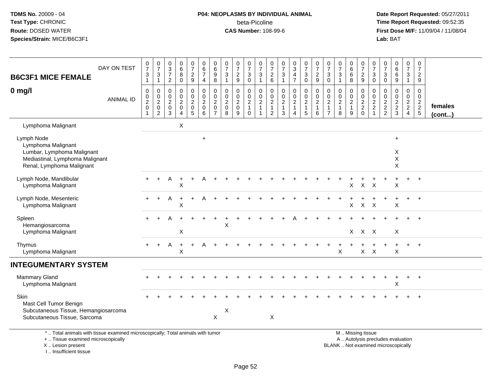## **P04: NEOPLASMS BY INDIVIDUAL ANIMAL**beta-Picoline<br>CAS Number: 108-99-6

 **Date Report Requested:** 05/27/2011 **Time Report Requested:** 09:52:35 **First Dose M/F:** 11/09/04 / 11/08/04<br>Lab: BAT **Lab:** BAT

| DAY ON TEST<br><b>B6C3F1 MICE FEMALE</b>                                                                                       | $\begin{array}{c} 0 \\ 7 \end{array}$<br>$\mathsf 3$<br>$\mathbf{1}$ | $\frac{0}{7}$<br>$\ensuremath{\mathsf{3}}$<br>$\mathbf{1}$ | $\begin{array}{c} 0 \\ 3 \\ 7 \end{array}$<br>$\overline{2}$ | $\begin{matrix}0\\6\\8\end{matrix}$<br>$\bar{0}$                          | $\begin{array}{c} 0 \\ 7 \end{array}$<br>$\frac{2}{9}$ | $\begin{array}{c} 0 \\ 6 \end{array}$<br>$\overline{7}$<br>4              | $\begin{array}{c} 0 \\ 6 \end{array}$<br>$\boldsymbol{9}$<br>8                | $\frac{0}{7}$<br>$\ensuremath{\mathsf{3}}$<br>$\mathbf{1}$         | $\frac{0}{7}$<br>$\frac{2}{9}$                             | $\frac{0}{7}$<br>3<br>$\bar{0}$                                   | $\begin{array}{c} 0 \\ 7 \end{array}$<br>$\sqrt{3}$<br>$\mathbf{1}$ | $\begin{array}{c} 0 \\ 7 \end{array}$<br>$^2\phantom{1}6$ | $\frac{0}{7}$<br>$\ensuremath{\mathsf{3}}$<br>$\overline{1}$             | $\frac{0}{3}$<br>$\frac{4}{7}$                    | $\begin{array}{c} 0 \\ 7 \end{array}$<br>$\frac{3}{0}$                       | $\begin{array}{c} 0 \\ 7 \end{array}$<br>$\frac{2}{9}$  | $\frac{0}{7}$<br>$\sqrt{3}$<br>$\pmb{0}$                             | $\begin{array}{c} 0 \\ 7 \end{array}$<br>$\ensuremath{\mathsf{3}}$<br>$\mathbf{1}$ | $_{6}^{\rm 0}$<br>$\,6\,$<br>8                                   | $\frac{0}{7}$<br>$\frac{2}{9}$                 | $\begin{smallmatrix}0\\7\end{smallmatrix}$<br>3<br>$\mathbf 0$ | $\frac{0}{7}$<br>$\overline{3}$<br>$\overline{0}$ | 0<br>6<br>9                                       | $\frac{0}{7}$<br>$\mathbf{3}$<br>$\mathbf{1}$        | $\begin{array}{c} 0 \\ 7 \end{array}$<br>$\frac{2}{9}$ |                   |
|--------------------------------------------------------------------------------------------------------------------------------|----------------------------------------------------------------------|------------------------------------------------------------|--------------------------------------------------------------|---------------------------------------------------------------------------|--------------------------------------------------------|---------------------------------------------------------------------------|-------------------------------------------------------------------------------|--------------------------------------------------------------------|------------------------------------------------------------|-------------------------------------------------------------------|---------------------------------------------------------------------|-----------------------------------------------------------|--------------------------------------------------------------------------|---------------------------------------------------|------------------------------------------------------------------------------|---------------------------------------------------------|----------------------------------------------------------------------|------------------------------------------------------------------------------------|------------------------------------------------------------------|------------------------------------------------|----------------------------------------------------------------|---------------------------------------------------|---------------------------------------------------|------------------------------------------------------|--------------------------------------------------------|-------------------|
| $0$ mg/l<br><b>ANIMAL ID</b>                                                                                                   | $\boldsymbol{0}$<br>$\pmb{0}$<br>$\sqrt{2}$<br>$\boldsymbol{0}$<br>1 | 0<br>$\pmb{0}$<br>$\boldsymbol{2}$<br>$\mathbf 0$<br>2     | 0<br>0<br>$\overline{c}$<br>$\mathbf 0$<br>$\mathbf{3}$      | $\pmb{0}$<br>$\pmb{0}$<br>$\overline{c}$<br>$\mathsf 0$<br>$\overline{4}$ | 0<br>$\mathbf 0$<br>$\sqrt{2}$<br>$\mathbf 0$<br>5     | $\overline{0}$<br>$\mathbf 0$<br>$\overline{c}$<br>$\mathbf 0$<br>$\,6\,$ | $\mathbf 0$<br>$\mathbf 0$<br>$\overline{2}$<br>$\mathbf 0$<br>$\overline{7}$ | $\mathbf 0$<br>$\mathbf 0$<br>$\boldsymbol{2}$<br>$\mathbf 0$<br>8 | 0<br>$\mathbf 0$<br>$\overline{c}$<br>$\mathbf 0$<br>$9\,$ | 0<br>$\mathbf 0$<br>$\overline{c}$<br>$\mathbf{1}$<br>$\mathbf 0$ | 0<br>$\mathbf 0$<br>$\boldsymbol{2}$<br>$\mathbf{1}$                | $\boldsymbol{0}$<br>$\mathbf 0$<br>$\frac{2}{1}$          | $\pmb{0}$<br>$\mathbf 0$<br>$\sqrt{2}$<br>$\mathbf{1}$<br>$\overline{3}$ | 0<br>$\pmb{0}$<br>$\sqrt{2}$<br>$\mathbf{1}$<br>4 | $\pmb{0}$<br>$\mathbf 0$<br>$\overline{2}$<br>$\mathbf{1}$<br>$\overline{5}$ | 0<br>$\mathbf 0$<br>$\overline{c}$<br>$\mathbf{1}$<br>6 | $\mathbf 0$<br>0<br>$\overline{c}$<br>$\mathbf{1}$<br>$\overline{7}$ | $\pmb{0}$<br>$\pmb{0}$<br>$\sqrt{2}$<br>$\mathbf{1}$<br>$\,8\,$                    | 0<br>$\pmb{0}$<br>$\sqrt{2}$<br>$\mathbf{1}$<br>$\boldsymbol{9}$ | $\pmb{0}$<br>$\mathbf 0$<br>$\frac{2}{2}$<br>0 | 0<br>$\mathbf 0$<br>$\frac{2}{2}$<br>$\mathbf{1}$              | $\mathbf 0$<br>$\mathbf 0$<br>$\frac{2}{2}$       | $\pmb{0}$<br>$\mathsf{O}\xspace$<br>$\frac{2}{3}$ | 0<br>0<br>$\begin{array}{c} 2 \\ 2 \\ 4 \end{array}$ | $\mathbf 0$<br>$\mathbf 0$<br>$\frac{2}{5}$            | females<br>(cont) |
| Lymphoma Malignant                                                                                                             |                                                                      |                                                            |                                                              | X                                                                         |                                                        |                                                                           |                                                                               |                                                                    |                                                            |                                                                   |                                                                     |                                                           |                                                                          |                                                   |                                                                              |                                                         |                                                                      |                                                                                    |                                                                  |                                                |                                                                |                                                   |                                                   |                                                      |                                                        |                   |
| Lymph Node<br>Lymphoma Malignant<br>Lumbar, Lymphoma Malignant<br>Mediastinal, Lymphoma Malignant<br>Renal, Lymphoma Malignant |                                                                      |                                                            |                                                              |                                                                           |                                                        | $\ddot{}$                                                                 |                                                                               |                                                                    |                                                            |                                                                   |                                                                     |                                                           |                                                                          |                                                   |                                                                              |                                                         |                                                                      |                                                                                    |                                                                  |                                                |                                                                |                                                   | $\ddot{}$<br>X<br>X<br>$\pmb{\times}$             |                                                      |                                                        |                   |
| Lymph Node, Mandibular<br>Lymphoma Malignant                                                                                   |                                                                      |                                                            | Α                                                            | $\ddot{}$<br>Χ                                                            |                                                        |                                                                           |                                                                               |                                                                    |                                                            |                                                                   |                                                                     |                                                           |                                                                          |                                                   |                                                                              |                                                         |                                                                      |                                                                                    | X                                                                | X                                              | $\times$                                                       |                                                   | X                                                 | $+$                                                  | $+$                                                    |                   |
| Lymph Node, Mesenteric<br>Lymphoma Malignant                                                                                   |                                                                      |                                                            | Α                                                            | $\ddot{}$<br>X                                                            | $\ddot{}$                                              | A                                                                         |                                                                               |                                                                    |                                                            |                                                                   |                                                                     |                                                           |                                                                          |                                                   |                                                                              |                                                         |                                                                      |                                                                                    | $\boldsymbol{\mathsf{X}}$                                        | $\mathsf{X}$                                   | $\times$                                                       |                                                   | X                                                 | $+$                                                  | $+$                                                    |                   |
| Spleen<br>Hemangiosarcoma<br>Lymphoma Malignant                                                                                |                                                                      |                                                            |                                                              | X                                                                         |                                                        |                                                                           |                                                                               | X                                                                  |                                                            |                                                                   |                                                                     |                                                           |                                                                          |                                                   |                                                                              |                                                         |                                                                      |                                                                                    |                                                                  | $X$ $X$ $X$                                    |                                                                |                                                   | X                                                 |                                                      |                                                        |                   |
| Thymus<br>Lymphoma Malignant                                                                                                   | $\ddot{}$                                                            | $\ddot{}$                                                  | Α                                                            | $\ddot{}$<br>X                                                            | $\ddot{}$                                              |                                                                           |                                                                               |                                                                    |                                                            |                                                                   |                                                                     |                                                           |                                                                          |                                                   |                                                                              |                                                         |                                                                      | $\mathsf{X}$                                                                       |                                                                  | $\mathsf{X}$                                   | $\times$                                                       |                                                   | $\ddot{}$<br>$\sf X$                              | $+$                                                  | $+$                                                    |                   |
| <b>INTEGUMENTARY SYSTEM</b>                                                                                                    |                                                                      |                                                            |                                                              |                                                                           |                                                        |                                                                           |                                                                               |                                                                    |                                                            |                                                                   |                                                                     |                                                           |                                                                          |                                                   |                                                                              |                                                         |                                                                      |                                                                                    |                                                                  |                                                |                                                                |                                                   |                                                   |                                                      |                                                        |                   |
| <b>Mammary Gland</b><br>Lymphoma Malignant                                                                                     |                                                                      |                                                            |                                                              |                                                                           |                                                        |                                                                           |                                                                               |                                                                    |                                                            |                                                                   |                                                                     |                                                           |                                                                          |                                                   |                                                                              |                                                         |                                                                      |                                                                                    |                                                                  |                                                |                                                                |                                                   | $\ddot{}$<br>X                                    | +                                                    | $\ddot{}$                                              |                   |
| Skin<br>Mast Cell Tumor Benign<br>Subcutaneous Tissue, Hemangiosarcoma<br>Subcutaneous Tissue, Sarcoma                         |                                                                      |                                                            |                                                              |                                                                           |                                                        |                                                                           | X                                                                             | X                                                                  |                                                            |                                                                   |                                                                     | X                                                         |                                                                          |                                                   |                                                                              |                                                         |                                                                      |                                                                                    |                                                                  |                                                |                                                                |                                                   |                                                   |                                                      |                                                        |                   |
| *  Total animals with tissue examined microscopically; Total animals with tumor<br>+  Tissue examined microscopically          |                                                                      |                                                            |                                                              |                                                                           |                                                        |                                                                           |                                                                               |                                                                    |                                                            |                                                                   |                                                                     |                                                           |                                                                          |                                                   |                                                                              |                                                         |                                                                      |                                                                                    |                                                                  | M  Missing tissue                              |                                                                |                                                   | A  Autolysis precludes evaluation                 |                                                      |                                                        |                   |

X .. Lesion present

I .. Insufficient tissue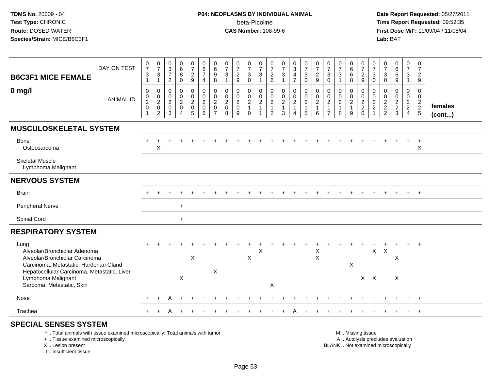# **P04: NEOPLASMS BY INDIVIDUAL ANIMAL**beta-Picoline<br>CAS Number: 108-99-6

 **Date Report Requested:** 05/27/2011 **Time Report Requested:** 09:52:35 **First Dose M/F:** 11/09/04 / 11/08/04<br>Lab: BAT **Lab:** BAT

|                                                                                                                                                                 | DAY ON TEST      | $\begin{array}{c} 0 \\ 7 \end{array}$          | $\frac{0}{7}$                                             | $\begin{array}{c} 0 \\ 3 \\ 7 \end{array}$           | $_{6}^{\rm 0}$                         | $\begin{array}{c} 0 \\ 7 \end{array}$ | $_{6}^{\rm 0}$                                            | $\begin{array}{c} 0 \\ 6 \end{array}$                        | $\begin{array}{c} 0 \\ 7 \end{array}$            | $\frac{0}{7}$                                             | $\frac{0}{7}$                                                          | $\frac{0}{7}$                                    | $\frac{0}{7}$                                                               | $\frac{0}{7}$                              | $\begin{array}{c} 0 \\ 3 \\ 4 \end{array}$                                | $\frac{0}{7}$                                                         | $\frac{0}{7}$                           | $\frac{0}{7}$                             | $\frac{0}{7}$                                                  | $\begin{array}{c} 0 \\ 6 \end{array}$                | $\frac{0}{7}$                                                | 0<br>$\overline{7}$                               | $\frac{0}{7}$                               | $_{6}^{\rm 0}$          | $\begin{smallmatrix}0\\7\end{smallmatrix}$ | 0<br>$\overline{7}$                    |                   |
|-----------------------------------------------------------------------------------------------------------------------------------------------------------------|------------------|------------------------------------------------|-----------------------------------------------------------|------------------------------------------------------|----------------------------------------|---------------------------------------|-----------------------------------------------------------|--------------------------------------------------------------|--------------------------------------------------|-----------------------------------------------------------|------------------------------------------------------------------------|--------------------------------------------------|-----------------------------------------------------------------------------|--------------------------------------------|---------------------------------------------------------------------------|-----------------------------------------------------------------------|-----------------------------------------|-------------------------------------------|----------------------------------------------------------------|------------------------------------------------------|--------------------------------------------------------------|---------------------------------------------------|---------------------------------------------|-------------------------|--------------------------------------------|----------------------------------------|-------------------|
| <b>B6C3F1 MICE FEMALE</b>                                                                                                                                       |                  | $\ensuremath{\mathsf{3}}$<br>$\mathbf{1}$      | $\frac{3}{1}$                                             | $\overline{2}$                                       | 8<br>$\mathbf 0$                       | $\frac{2}{9}$                         | $\overline{7}$<br>$\overline{4}$                          | 9<br>8                                                       | $\mathbf 3$<br>$\overline{1}$                    | $\sqrt{2}$<br>$9\,$                                       | $\mathbf{3}$<br>$\mathbf 0$                                            | $\ensuremath{\mathsf{3}}$<br>$\mathbf{1}$        | $\begin{array}{c} 2 \\ 6 \end{array}$                                       | $\ensuremath{\mathsf{3}}$<br>$\mathbf{1}$  | $\overline{7}$                                                            | $\ensuremath{\mathsf{3}}$<br>$\mathbf 0$                              | $\overline{c}$<br>9                     | $\ensuremath{\mathsf{3}}$<br>$\mathbf{0}$ | 3<br>1                                                         | $\,6\,$<br>8                                         | $\frac{2}{9}$                                                | 3<br>$\mathbf{0}$                                 | 3<br>$\Omega$                               | $\overline{6}$<br>9     | $\mathbf{3}$<br>$\mathbf{1}$               | $\overline{c}$<br>9                    |                   |
| $0$ mg/l                                                                                                                                                        | <b>ANIMAL ID</b> | $\pmb{0}$<br>$\mathbf 0$<br>$\frac{2}{0}$<br>1 | $\mathbf 0$<br>$\mathsf{O}$<br>$^2_{\rm 0}$<br>$\sqrt{2}$ | $\boldsymbol{0}$<br>$\mathbf 0$<br>$^2_{\rm 0}$<br>3 | 0<br>$\mathbf 0$<br>$\frac{2}{0}$<br>4 | 0<br>$\frac{0}{2}$<br>5               | $\pmb{0}$<br>$\pmb{0}$<br>$^2_{\rm 0}$<br>$6\phantom{1}6$ | $\mathbf 0$<br>$\mathbf 0$<br>$^2_{\rm 0}$<br>$\overline{7}$ | $\mathbf 0$<br>$\mathbf 0$<br>$\frac{2}{0}$<br>8 | 0<br>$\begin{smallmatrix} 0\\2\\0 \end{smallmatrix}$<br>9 | $\mathbf 0$<br>$\pmb{0}$<br>$\begin{array}{c} 2 \\ 1 \end{array}$<br>0 | 0<br>$\pmb{0}$<br>$\overline{c}$<br>$\mathbf{1}$ | $\mathbf 0$<br>0<br>$\begin{array}{c} 2 \\ 1 \end{array}$<br>$\overline{2}$ | $\pmb{0}$<br>$\frac{0}{2}$<br>$\mathbf{3}$ | $\pmb{0}$<br>$\begin{array}{c} 0 \\ 2 \\ 1 \end{array}$<br>$\overline{4}$ | $\pmb{0}$<br>$\begin{array}{c} 0 \\ 2 \\ 1 \end{array}$<br>$\sqrt{5}$ | 0<br>$\mathbf 0$<br>$\overline{c}$<br>6 | 0<br>$\frac{0}{2}$<br>$\overline{7}$      | $\mathbf 0$<br>$\begin{array}{c} 0 \\ 2 \\ 1 \end{array}$<br>8 | 0<br>$\begin{array}{c} 0 \\ 2 \\ 1 \end{array}$<br>9 | $\pmb{0}$<br>$\begin{array}{c} 0 \\ 2 \\ 2 \\ 0 \end{array}$ | 0<br>$\mathbf 0$<br>$\frac{2}{2}$<br>$\mathbf{1}$ | $\mathbf 0$<br>$\mathbf 0$<br>$\frac{2}{2}$ | 0<br>0<br>$\frac{2}{3}$ | $\mathbf 0$<br>0<br>$\frac{2}{2}$          | $\mathbf 0$<br>0<br>$\frac{2}{2}$<br>5 | females<br>(cont) |
| <b>MUSCULOSKELETAL SYSTEM</b>                                                                                                                                   |                  |                                                |                                                           |                                                      |                                        |                                       |                                                           |                                                              |                                                  |                                                           |                                                                        |                                                  |                                                                             |                                            |                                                                           |                                                                       |                                         |                                           |                                                                |                                                      |                                                              |                                                   |                                             |                         |                                            |                                        |                   |
| Bone<br>Osteosarcoma                                                                                                                                            |                  |                                                | $\mathsf X$                                               |                                                      |                                        |                                       |                                                           |                                                              |                                                  |                                                           |                                                                        |                                                  |                                                                             |                                            |                                                                           |                                                                       |                                         |                                           |                                                                |                                                      |                                                              |                                                   |                                             |                         |                                            | $\ddot{}$<br>X                         |                   |
| <b>Skeletal Muscle</b><br>Lymphoma Malignant                                                                                                                    |                  |                                                |                                                           |                                                      |                                        |                                       |                                                           |                                                              |                                                  |                                                           |                                                                        |                                                  |                                                                             |                                            |                                                                           |                                                                       |                                         |                                           |                                                                |                                                      |                                                              |                                                   |                                             |                         |                                            |                                        |                   |
| <b>NERVOUS SYSTEM</b>                                                                                                                                           |                  |                                                |                                                           |                                                      |                                        |                                       |                                                           |                                                              |                                                  |                                                           |                                                                        |                                                  |                                                                             |                                            |                                                                           |                                                                       |                                         |                                           |                                                                |                                                      |                                                              |                                                   |                                             |                         |                                            |                                        |                   |
| <b>Brain</b>                                                                                                                                                    |                  |                                                |                                                           |                                                      |                                        |                                       |                                                           |                                                              |                                                  |                                                           |                                                                        |                                                  |                                                                             |                                            |                                                                           |                                                                       |                                         |                                           |                                                                |                                                      |                                                              |                                                   |                                             |                         | $\ddot{}$                                  | $+$                                    |                   |
| Peripheral Nerve                                                                                                                                                |                  |                                                |                                                           |                                                      | $\ddot{}$                              |                                       |                                                           |                                                              |                                                  |                                                           |                                                                        |                                                  |                                                                             |                                            |                                                                           |                                                                       |                                         |                                           |                                                                |                                                      |                                                              |                                                   |                                             |                         |                                            |                                        |                   |
| Spinal Cord                                                                                                                                                     |                  |                                                |                                                           |                                                      | $+$                                    |                                       |                                                           |                                                              |                                                  |                                                           |                                                                        |                                                  |                                                                             |                                            |                                                                           |                                                                       |                                         |                                           |                                                                |                                                      |                                                              |                                                   |                                             |                         |                                            |                                        |                   |
| <b>RESPIRATORY SYSTEM</b>                                                                                                                                       |                  |                                                |                                                           |                                                      |                                        |                                       |                                                           |                                                              |                                                  |                                                           |                                                                        |                                                  |                                                                             |                                            |                                                                           |                                                                       |                                         |                                           |                                                                |                                                      |                                                              |                                                   |                                             |                         |                                            |                                        |                   |
| Lung<br>Alveolar/Bronchiolar Adenoma<br>Alveolar/Bronchiolar Carcinoma<br>Carcinoma, Metastatic, Harderian Gland<br>Hepatocellular Carcinoma, Metastatic, Liver |                  |                                                |                                                           |                                                      |                                        | X                                     |                                                           | X                                                            |                                                  |                                                           | X                                                                      | X                                                |                                                                             |                                            |                                                                           |                                                                       | Χ<br>X                                  |                                           |                                                                | X                                                    |                                                              | $\mathsf{X}$                                      | $\boldsymbol{\mathsf{X}}$                   | X                       |                                            | $+$                                    |                   |
| Lymphoma Malignant<br>Sarcoma, Metastatic, Skin                                                                                                                 |                  |                                                |                                                           |                                                      | X                                      |                                       |                                                           |                                                              |                                                  |                                                           |                                                                        |                                                  | X                                                                           |                                            |                                                                           |                                                                       |                                         |                                           |                                                                |                                                      | $X$ $X$                                                      |                                                   |                                             | X                       |                                            |                                        |                   |
| Nose                                                                                                                                                            |                  |                                                |                                                           |                                                      |                                        |                                       |                                                           |                                                              |                                                  |                                                           |                                                                        |                                                  |                                                                             |                                            |                                                                           |                                                                       |                                         |                                           |                                                                |                                                      |                                                              |                                                   |                                             |                         |                                            |                                        |                   |
| Trachea                                                                                                                                                         |                  |                                                |                                                           |                                                      |                                        |                                       |                                                           |                                                              |                                                  |                                                           |                                                                        |                                                  |                                                                             |                                            |                                                                           |                                                                       |                                         |                                           |                                                                |                                                      |                                                              |                                                   |                                             |                         |                                            | $+$                                    |                   |
| <b>SPECIAL SENSES SYSTEM</b><br>*  Total animals with tissue examined microscopically; Total animals with tumor<br>+  Tissue examined microscopically           |                  |                                                |                                                           |                                                      |                                        |                                       |                                                           |                                                              |                                                  |                                                           |                                                                        |                                                  |                                                                             |                                            |                                                                           |                                                                       |                                         |                                           |                                                                |                                                      | M  Missing tissue<br>A  Autolysis precludes evaluation       |                                                   |                                             |                         |                                            |                                        |                   |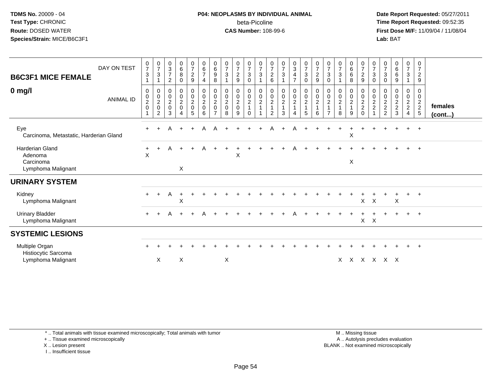#### **P04: NEOPLASMS BY INDIVIDUAL ANIMAL**beta-Picoline<br>CAS Number: 108-99-6

 **Date Report Requested:** 05/27/2011 **Time Report Requested:** 09:52:35 **First Dose M/F:** 11/09/04 / 11/08/04<br>Lab: BAT **Lab:** BAT

| <b>B6C3F1 MICE FEMALE</b><br>$0$ mg/l                                | DAY ON TEST<br><b>ANIMAL ID</b> | $\frac{0}{7}$<br>$\mathbf{3}$<br>0<br>$\pmb{0}$ | $\frac{0}{7}$<br>$\mathbf{3}$<br>$\overline{1}$<br>$\boldsymbol{0}$ | $_3^{\rm 0}$<br>$\overline{7}$<br>$\sqrt{2}$<br>$\pmb{0}$<br>$\pmb{0}$ | $_6^0$<br>8<br>$\mathbf 0$<br>0<br>$\mathbf 0$ | $\frac{0}{7}$<br>$\overline{c}$<br>$\boldsymbol{9}$<br>$\begin{matrix} 0 \\ 0 \\ 2 \\ 0 \end{matrix}$ | 0<br>$\,6\,$<br>$\overline{7}$<br>4<br>0<br>$\pmb{0}$ | $\begin{array}{c} 0 \\ 6 \end{array}$<br>$\boldsymbol{9}$<br>8<br>$\begin{matrix} 0 \\ 0 \\ 2 \\ 0 \end{matrix}$ | $\frac{0}{7}$<br>$\ensuremath{\mathsf{3}}$<br>$\mathbf 1$<br>$\begin{smallmatrix} 0\\0\\2 \end{smallmatrix}$ | $\frac{0}{7}$<br>$\overline{c}$<br>9<br>0<br>$\pmb{0}$ | $\frac{0}{7}$<br>$\ensuremath{\mathsf{3}}$<br>$\mathbf 0$<br>$\begin{matrix} 0 \\ 0 \\ 2 \\ 1 \end{matrix}$ | $\frac{0}{7}$<br>$\ensuremath{\mathsf{3}}$<br>$\begin{smallmatrix} 0\\0\\2 \end{smallmatrix}$ | 0<br>$\overline{7}$<br>$\overline{c}$<br>6<br>0<br>$\pmb{0}$ | $\frac{0}{7}$<br>$\ensuremath{\mathsf{3}}$<br>$\boldsymbol{0}$<br>$\pmb{0}$ | $\frac{0}{3}$<br>$\overline{\mathbf{4}}$<br>$\overline{7}$<br>$_{\rm 0}^{\rm 0}$ | $\frac{0}{7}$<br>$\mathbf{3}$<br>$\mathbf 0$<br>$\begin{array}{c} 0 \\ 0 \\ 2 \\ 1 \end{array}$ | $\frac{0}{7}$<br>$\boldsymbol{2}$<br>$\boldsymbol{9}$<br>$_{\rm 0}^{\rm 0}$ | 0<br>$\overline{7}$<br>3<br>0<br>0<br>0 | $\frac{0}{7}$<br>$\mathbf{3}$<br>$\pmb{0}$<br>$\begin{smallmatrix} 0\\2 \end{smallmatrix}$ | 0<br>$\,6\,$<br>$\,6\,$<br>8<br>0<br>$\pmb{0}$ | 0<br>$\boldsymbol{7}$<br>$\overline{c}$<br>$\boldsymbol{9}$<br>$\pmb{0}$<br>$\,0\,$ | 0<br>$\boldsymbol{7}$<br>$\mathbf{3}$<br>$\mathsf{O}$<br>0<br>$\mathsf{O}\xspace$ | 0<br>$\overline{7}$<br>$\sqrt{3}$<br>$\pmb{0}$<br>0<br>$\pmb{0}$ | $\begin{matrix} 0 \\ 6 \end{matrix}$<br>$\,6$<br>$\boldsymbol{9}$<br>0<br>$\mathsf 0$ | $\frac{0}{7}$<br>$\ensuremath{\mathsf{3}}$<br>$\overline{\mathbf{1}}$<br>0<br>$\pmb{0}$ | 0<br>$\overline{7}$<br>$\overline{c}$<br>$9\,$<br>0<br>$\mathbf 0$ |                         |
|----------------------------------------------------------------------|---------------------------------|-------------------------------------------------|---------------------------------------------------------------------|------------------------------------------------------------------------|------------------------------------------------|-------------------------------------------------------------------------------------------------------|-------------------------------------------------------|------------------------------------------------------------------------------------------------------------------|--------------------------------------------------------------------------------------------------------------|--------------------------------------------------------|-------------------------------------------------------------------------------------------------------------|-----------------------------------------------------------------------------------------------|--------------------------------------------------------------|-----------------------------------------------------------------------------|----------------------------------------------------------------------------------|-------------------------------------------------------------------------------------------------|-----------------------------------------------------------------------------|-----------------------------------------|--------------------------------------------------------------------------------------------|------------------------------------------------|-------------------------------------------------------------------------------------|-----------------------------------------------------------------------------------|------------------------------------------------------------------|---------------------------------------------------------------------------------------|-----------------------------------------------------------------------------------------|--------------------------------------------------------------------|-------------------------|
|                                                                      |                                 | $\overline{c}$<br>$\boldsymbol{0}$              | $\frac{0}{2}$<br>2                                                  | $\overline{c}$<br>$\boldsymbol{0}$<br>3                                | $\overline{c}$<br>$\mathsf 0$<br>4             | 5                                                                                                     | $\sqrt{2}$<br>$\pmb{0}$<br>6                          | $\overline{7}$                                                                                                   | $\pmb{0}$<br>8                                                                                               | $\overline{c}$<br>$\mathbf 0$<br>9                     | $\Omega$                                                                                                    | $\mathbf{1}$                                                                                  | $\boldsymbol{2}$<br>$\overline{1}$<br>2                      | $\sqrt{2}$<br>1<br>3                                                        | $\sqrt{2}$<br>$\mathbf{1}$<br>4                                                  | 5                                                                                               | $\overline{2}$<br>$\mathbf{1}$<br>6                                         | $\overline{c}$                          | 8                                                                                          | $\mathbf 2$<br>$\mathbf{1}$<br>9               | $\sqrt{2}$<br>$\overline{c}$<br>$\Omega$                                            | $\frac{2}{2}$                                                                     | $\frac{2}{2}$                                                    | $\sqrt{2}$<br>$\sqrt{2}$<br>3                                                         | $\frac{2}{2}$<br>$\overline{4}$                                                         | $\frac{2}{2}$<br>5                                                 | females<br>$($ cont $)$ |
| Eye<br>Carcinoma, Metastatic, Harderian Gland                        |                                 | $\ddot{}$                                       |                                                                     | A                                                                      | $+$                                            | $+$                                                                                                   | A                                                     | A                                                                                                                |                                                                                                              |                                                        |                                                                                                             |                                                                                               | А                                                            |                                                                             | Α                                                                                |                                                                                                 |                                                                             |                                         |                                                                                            | X                                              |                                                                                     |                                                                                   |                                                                  |                                                                                       | $\ddot{}$                                                                               | $+$                                                                |                         |
| <b>Harderian Gland</b><br>Adenoma<br>Carcinoma<br>Lymphoma Malignant |                                 | $\ddot{}$<br>$\mathsf{X}$                       | $\ddot{}$                                                           | A                                                                      | $\ddot{}$<br>X                                 | $+$                                                                                                   | A                                                     |                                                                                                                  |                                                                                                              | X                                                      |                                                                                                             |                                                                                               |                                                              |                                                                             | Α                                                                                |                                                                                                 |                                                                             |                                         |                                                                                            | X                                              |                                                                                     |                                                                                   |                                                                  |                                                                                       | $\ddot{}$                                                                               | $+$                                                                |                         |
| <b>URINARY SYSTEM</b>                                                |                                 |                                                 |                                                                     |                                                                        |                                                |                                                                                                       |                                                       |                                                                                                                  |                                                                                                              |                                                        |                                                                                                             |                                                                                               |                                                              |                                                                             |                                                                                  |                                                                                                 |                                                                             |                                         |                                                                                            |                                                |                                                                                     |                                                                                   |                                                                  |                                                                                       |                                                                                         |                                                                    |                         |
| Kidney<br>Lymphoma Malignant                                         |                                 | $\pm$                                           | $\pm$                                                               | A                                                                      | $\pm$<br>X                                     |                                                                                                       |                                                       |                                                                                                                  |                                                                                                              |                                                        |                                                                                                             |                                                                                               |                                                              |                                                                             |                                                                                  |                                                                                                 |                                                                             |                                         |                                                                                            |                                                | $\mathsf{X}$                                                                        | $\mathsf{X}$                                                                      |                                                                  | X                                                                                     |                                                                                         | $\overline{ }$                                                     |                         |
| <b>Urinary Bladder</b><br>Lymphoma Malignant                         |                                 | $+$                                             | $+$                                                                 | A                                                                      | $+$                                            | $+$                                                                                                   | A                                                     |                                                                                                                  |                                                                                                              |                                                        |                                                                                                             |                                                                                               |                                                              |                                                                             | А                                                                                |                                                                                                 |                                                                             |                                         |                                                                                            |                                                | $\mathsf{X}$                                                                        | $\times$                                                                          |                                                                  |                                                                                       | $+$                                                                                     | $+$                                                                |                         |
| <b>SYSTEMIC LESIONS</b>                                              |                                 |                                                 |                                                                     |                                                                        |                                                |                                                                                                       |                                                       |                                                                                                                  |                                                                                                              |                                                        |                                                                                                             |                                                                                               |                                                              |                                                                             |                                                                                  |                                                                                                 |                                                                             |                                         |                                                                                            |                                                |                                                                                     |                                                                                   |                                                                  |                                                                                       |                                                                                         |                                                                    |                         |
| Multiple Organ<br>Histiocytic Sarcoma<br>Lymphoma Malignant          |                                 |                                                 | X                                                                   |                                                                        | X                                              |                                                                                                       |                                                       |                                                                                                                  | X                                                                                                            |                                                        |                                                                                                             |                                                                                               |                                                              |                                                                             |                                                                                  |                                                                                                 |                                                                             |                                         | $\times$                                                                                   |                                                | x x x x x                                                                           |                                                                                   |                                                                  |                                                                                       |                                                                                         | $\overline{+}$                                                     |                         |

\* .. Total animals with tissue examined microscopically; Total animals with tumor

+ .. Tissue examined microscopically

X .. Lesion present

I .. Insufficient tissue

 M .. Missing tissuey the contract of the contract of the contract of the contract of the contract of the contract of the contract of  $A$ . Autolysis precludes evaluation Lesion present BLANK .. Not examined microscopically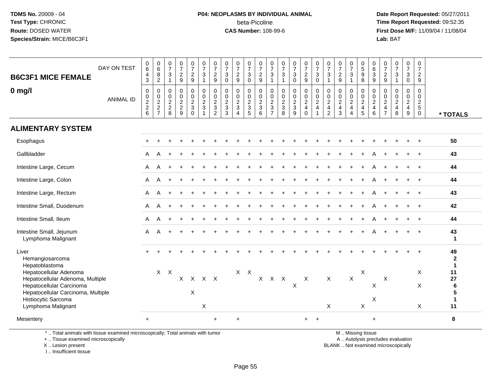# **P04: NEOPLASMS BY INDIVIDUAL ANIMAL**beta-Picoline<br>CAS Number: 108-99-6

 **Date Report Requested:** 05/27/2011 **Time Report Requested:** 09:52:35 **First Dose M/F:** 11/09/04 / 11/08/04<br>Lab: BAT **Lab:** BAT

| <b>B6C3F1 MICE FEMALE</b><br>$0$ mg/l<br><b>ALIMENTARY SYSTEM</b> | DAY ON TEST<br><b>ANIMAL ID</b> | $\mathbf 0$<br>6<br>4<br>$\mathbf{3}$<br>$\mathbf 0$<br>$\mathbf 0$<br>$\frac{2}{2}$<br>$6\phantom{1}$ | $\begin{array}{c} 0 \\ 6 \end{array}$<br>$\, 8$<br>$\sqrt{2}$<br>$\mathbf 0$<br>$\mathbf 0$<br>$\frac{2}{2}$<br>$\overline{7}$ | $\frac{0}{7}$<br>$\mathbf{3}$<br>$\mathbf{1}$<br>$\mathsf{O}\xspace$<br>$\begin{array}{c} 0 \\ 2 \\ 2 \\ 8 \end{array}$ | $\frac{0}{7}$<br>$\frac{2}{9}$<br>$\mathbf 0$<br>$\bar{0}$<br>$\frac{2}{9}$ | $\frac{0}{7}$<br>$\frac{2}{9}$<br>$\pmb{0}$<br>$\frac{0}{2}$<br>$\mathbf 0$ | $\frac{0}{7}$<br>$\sqrt{3}$<br>$\mathbf{1}$<br>$\begin{smallmatrix} 0\\0 \end{smallmatrix}$<br>$\frac{2}{3}$<br>$\mathbf{1}$ | $\frac{0}{7}$<br>$\overline{2}$<br>$\boldsymbol{9}$<br>0<br>$\mathbf 0$<br>$\frac{2}{3}$<br>$\overline{2}$ | $\frac{0}{7}$<br>$\mathbf{3}$<br>$\mathbf 0$<br>$\mathbf 0$<br>$\mathbf 0$<br>$\frac{2}{3}$<br>3 | $\frac{0}{7}$<br>$\overline{c}$<br>9<br>0<br>$\mathbf 0$<br>$\frac{2}{3}$<br>$\overline{4}$ | $\frac{0}{7}$<br>$\mathbf{3}$<br>$\mathbf 0$<br>$\begin{array}{c} 0 \\ 0 \\ 2 \\ 3 \end{array}$<br>5 | $\frac{0}{7}$<br>$\frac{2}{9}$<br>$\mathsf{O}$<br>$\mathsf{O}\xspace$<br>$\frac{2}{3}$<br>6 | 0<br>$\overline{7}$<br>$\mathbf{3}$<br>$\mathbf{1}$<br>0<br>$\mathbf 0$<br>$\frac{2}{3}$<br>$\overline{7}$ | $\frac{0}{7}$<br>$\mathsf 3$<br>$\mathbf{1}$<br>0<br>0<br>2<br>3<br>8 | $\frac{0}{7}$<br>$\sqrt{3}$<br>$\mathbf 0$<br>0<br>$\mathsf{O}\xspace$<br>$\frac{2}{3}$<br>9 | $\frac{0}{7}$<br>$\frac{2}{9}$<br>$_{\rm 0}^{\rm 0}$<br>$\overline{2}$<br>$\overline{4}$<br>$\mathbf 0$ | $\frac{0}{7}$<br>3<br>$\mathbf 0$<br>0<br>$\mathsf{O}\xspace$<br>$\overline{c}$<br>$\overline{4}$ | $\frac{0}{7}$<br>3<br>$\overline{1}$<br>$\pmb{0}$<br>$\frac{0}{2}$<br>$\overline{4}$<br>$\overline{2}$ | $\frac{0}{7}$<br>$\frac{2}{9}$<br>0<br>$\frac{0}{2}$<br>4<br>3 | 0<br>$\boldsymbol{7}$<br>3<br>$\overline{1}$<br>0<br>$\mathsf{O}$<br>$\overline{c}$<br>$\overline{4}$<br>$\overline{4}$ | $\begin{array}{c} 0 \\ 5 \\ 9 \end{array}$<br>$\overline{8}$<br>$\boldsymbol{0}$<br>$\frac{0}{2}$<br>$\overline{5}$ | 0<br>$\,6\,$<br>$\sqrt{3}$<br>$\boldsymbol{9}$<br>0<br>$\mathbf 0$<br>$\overline{c}$<br>4<br>6 | $\frac{0}{7}$<br>$\frac{2}{9}$<br>$\mathbf 0$<br>$\mathsf{O}\xspace$<br>$\frac{2}{4}$<br>$\overline{7}$ | $\frac{0}{7}$<br>3<br>$\mathbf{1}$<br>0<br>$\mathbf 0$<br>$\frac{2}{4}$<br>8 | $\frac{0}{7}$<br>3<br>$\mathbf 0$<br>0<br>$\mathsf{O}\xspace$<br>$\overline{2}$<br>$\overline{4}$<br>9 | 0<br>$\overline{7}$<br>$\overline{c}$<br>$\boldsymbol{9}$<br>0<br>0<br>$rac{2}{5}$<br>$\mathbf 0$ | * TOTALS                               |
|-------------------------------------------------------------------|---------------------------------|--------------------------------------------------------------------------------------------------------|--------------------------------------------------------------------------------------------------------------------------------|-------------------------------------------------------------------------------------------------------------------------|-----------------------------------------------------------------------------|-----------------------------------------------------------------------------|------------------------------------------------------------------------------------------------------------------------------|------------------------------------------------------------------------------------------------------------|--------------------------------------------------------------------------------------------------|---------------------------------------------------------------------------------------------|------------------------------------------------------------------------------------------------------|---------------------------------------------------------------------------------------------|------------------------------------------------------------------------------------------------------------|-----------------------------------------------------------------------|----------------------------------------------------------------------------------------------|---------------------------------------------------------------------------------------------------------|---------------------------------------------------------------------------------------------------|--------------------------------------------------------------------------------------------------------|----------------------------------------------------------------|-------------------------------------------------------------------------------------------------------------------------|---------------------------------------------------------------------------------------------------------------------|------------------------------------------------------------------------------------------------|---------------------------------------------------------------------------------------------------------|------------------------------------------------------------------------------|--------------------------------------------------------------------------------------------------------|---------------------------------------------------------------------------------------------------|----------------------------------------|
| Esophagus                                                         |                                 |                                                                                                        |                                                                                                                                |                                                                                                                         |                                                                             |                                                                             |                                                                                                                              |                                                                                                            |                                                                                                  |                                                                                             |                                                                                                      |                                                                                             |                                                                                                            |                                                                       |                                                                                              |                                                                                                         |                                                                                                   |                                                                                                        |                                                                |                                                                                                                         |                                                                                                                     |                                                                                                |                                                                                                         |                                                                              |                                                                                                        |                                                                                                   | 50                                     |
|                                                                   |                                 |                                                                                                        |                                                                                                                                |                                                                                                                         |                                                                             |                                                                             |                                                                                                                              |                                                                                                            |                                                                                                  |                                                                                             |                                                                                                      |                                                                                             |                                                                                                            |                                                                       |                                                                                              |                                                                                                         |                                                                                                   |                                                                                                        |                                                                |                                                                                                                         |                                                                                                                     |                                                                                                |                                                                                                         |                                                                              |                                                                                                        |                                                                                                   |                                        |
| Gallbladder                                                       |                                 | A                                                                                                      |                                                                                                                                |                                                                                                                         |                                                                             |                                                                             |                                                                                                                              |                                                                                                            |                                                                                                  |                                                                                             |                                                                                                      |                                                                                             |                                                                                                            |                                                                       |                                                                                              |                                                                                                         |                                                                                                   |                                                                                                        |                                                                |                                                                                                                         |                                                                                                                     |                                                                                                |                                                                                                         |                                                                              |                                                                                                        | $\ddot{}$                                                                                         | 43                                     |
| Intestine Large, Cecum                                            |                                 | A                                                                                                      | Α                                                                                                                              |                                                                                                                         |                                                                             |                                                                             |                                                                                                                              |                                                                                                            |                                                                                                  |                                                                                             |                                                                                                      |                                                                                             |                                                                                                            |                                                                       |                                                                                              |                                                                                                         |                                                                                                   |                                                                                                        |                                                                |                                                                                                                         |                                                                                                                     |                                                                                                |                                                                                                         |                                                                              |                                                                                                        | $\overline{+}$                                                                                    | 44                                     |
| Intestine Large, Colon                                            |                                 | A                                                                                                      | A                                                                                                                              |                                                                                                                         |                                                                             |                                                                             |                                                                                                                              |                                                                                                            |                                                                                                  |                                                                                             |                                                                                                      |                                                                                             |                                                                                                            |                                                                       |                                                                                              |                                                                                                         |                                                                                                   |                                                                                                        |                                                                |                                                                                                                         |                                                                                                                     |                                                                                                |                                                                                                         |                                                                              |                                                                                                        |                                                                                                   | 44                                     |
| Intestine Large, Rectum                                           |                                 | A                                                                                                      | A                                                                                                                              |                                                                                                                         |                                                                             |                                                                             |                                                                                                                              |                                                                                                            |                                                                                                  |                                                                                             |                                                                                                      |                                                                                             |                                                                                                            |                                                                       |                                                                                              |                                                                                                         |                                                                                                   |                                                                                                        |                                                                |                                                                                                                         |                                                                                                                     |                                                                                                |                                                                                                         |                                                                              |                                                                                                        |                                                                                                   | 43                                     |
| Intestine Small, Duodenum                                         |                                 | A                                                                                                      | Α                                                                                                                              |                                                                                                                         |                                                                             |                                                                             |                                                                                                                              |                                                                                                            |                                                                                                  |                                                                                             |                                                                                                      |                                                                                             |                                                                                                            |                                                                       |                                                                                              |                                                                                                         |                                                                                                   |                                                                                                        |                                                                |                                                                                                                         |                                                                                                                     |                                                                                                |                                                                                                         |                                                                              |                                                                                                        |                                                                                                   | 42                                     |
| Intestine Small, Ileum                                            |                                 | A                                                                                                      | A                                                                                                                              |                                                                                                                         |                                                                             |                                                                             |                                                                                                                              |                                                                                                            |                                                                                                  |                                                                                             |                                                                                                      |                                                                                             |                                                                                                            |                                                                       |                                                                                              |                                                                                                         |                                                                                                   |                                                                                                        |                                                                |                                                                                                                         |                                                                                                                     |                                                                                                |                                                                                                         |                                                                              |                                                                                                        | $\ddot{+}$                                                                                        | 44                                     |
| Intestine Small, Jejunum<br>Lymphoma Malignant                    |                                 | A                                                                                                      |                                                                                                                                |                                                                                                                         |                                                                             |                                                                             |                                                                                                                              |                                                                                                            |                                                                                                  |                                                                                             |                                                                                                      |                                                                                             |                                                                                                            |                                                                       |                                                                                              |                                                                                                         |                                                                                                   |                                                                                                        |                                                                |                                                                                                                         |                                                                                                                     |                                                                                                |                                                                                                         |                                                                              |                                                                                                        |                                                                                                   | 43<br>$\mathbf{1}$                     |
| Liver<br>Hemangiosarcoma<br>Hepatoblastoma                        |                                 |                                                                                                        |                                                                                                                                |                                                                                                                         |                                                                             |                                                                             |                                                                                                                              |                                                                                                            |                                                                                                  |                                                                                             |                                                                                                      |                                                                                             |                                                                                                            |                                                                       |                                                                                              |                                                                                                         |                                                                                                   |                                                                                                        |                                                                |                                                                                                                         |                                                                                                                     |                                                                                                |                                                                                                         |                                                                              |                                                                                                        |                                                                                                   | 49<br>$\boldsymbol{2}$<br>$\mathbf{1}$ |
| Hepatocellular Adenoma                                            |                                 |                                                                                                        |                                                                                                                                | $X$ $X$                                                                                                                 |                                                                             |                                                                             |                                                                                                                              |                                                                                                            |                                                                                                  |                                                                                             | $X$ $X$                                                                                              |                                                                                             |                                                                                                            |                                                                       |                                                                                              |                                                                                                         |                                                                                                   |                                                                                                        |                                                                |                                                                                                                         | X                                                                                                                   |                                                                                                |                                                                                                         |                                                                              |                                                                                                        | X                                                                                                 | 11                                     |
| Hepatocellular Adenoma, Multiple<br>Hepatocellular Carcinoma      |                                 |                                                                                                        |                                                                                                                                |                                                                                                                         | X                                                                           |                                                                             | X X X                                                                                                                        |                                                                                                            |                                                                                                  |                                                                                             |                                                                                                      |                                                                                             | $X$ $X$ $X$                                                                                                |                                                                       | $\mathsf{X}$                                                                                 | $\boldsymbol{\mathsf{X}}$                                                                               |                                                                                                   | $\mathsf{X}$                                                                                           |                                                                | $\mathsf X$                                                                                                             |                                                                                                                     | $\sf X$                                                                                        | $\boldsymbol{\mathsf{X}}$                                                                               |                                                                              |                                                                                                        | X                                                                                                 | 27<br>$\bf 6$                          |
| Hepatocellular Carcinoma, Multiple                                |                                 |                                                                                                        |                                                                                                                                |                                                                                                                         |                                                                             | $\pmb{\times}$                                                              |                                                                                                                              |                                                                                                            |                                                                                                  |                                                                                             |                                                                                                      |                                                                                             |                                                                                                            |                                                                       |                                                                                              |                                                                                                         |                                                                                                   |                                                                                                        |                                                                |                                                                                                                         |                                                                                                                     |                                                                                                |                                                                                                         |                                                                              |                                                                                                        |                                                                                                   | 5                                      |
| Histiocytic Sarcoma<br>Lymphoma Malignant                         |                                 |                                                                                                        |                                                                                                                                |                                                                                                                         |                                                                             |                                                                             | X                                                                                                                            |                                                                                                            |                                                                                                  |                                                                                             |                                                                                                      |                                                                                             |                                                                                                            |                                                                       |                                                                                              |                                                                                                         |                                                                                                   | X                                                                                                      |                                                                |                                                                                                                         | $\mathsf X$                                                                                                         | $\times$                                                                                       |                                                                                                         |                                                                              |                                                                                                        | X                                                                                                 | $\mathbf 1$<br>11                      |
| Mesentery                                                         |                                 | $+$                                                                                                    |                                                                                                                                |                                                                                                                         |                                                                             |                                                                             |                                                                                                                              | $\ddot{}$                                                                                                  |                                                                                                  |                                                                                             |                                                                                                      |                                                                                             |                                                                                                            |                                                                       |                                                                                              |                                                                                                         |                                                                                                   |                                                                                                        |                                                                |                                                                                                                         |                                                                                                                     | $\ddot{}$                                                                                      |                                                                                                         |                                                                              |                                                                                                        |                                                                                                   | 8                                      |

\* .. Total animals with tissue examined microscopically; Total animals with tumor

+ .. Tissue examined microscopically

X .. Lesion present

I .. Insufficient tissue

M .. Missing tissue

y the contract of the contract of the contract of the contract of the contract of the contract of the contract of  $A$ . Autolysis precludes evaluation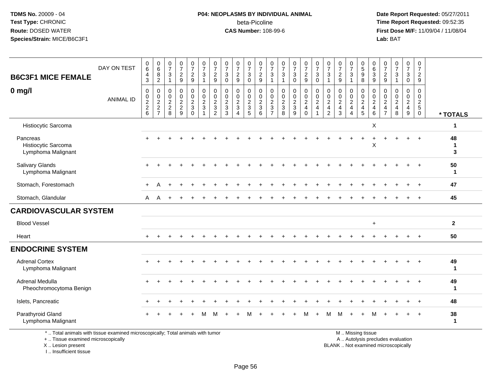# **P04: NEOPLASMS BY INDIVIDUAL ANIMAL**beta-Picoline<br>CAS Number: 108-99-6

 **Date Report Requested:** 05/27/2011 **Time Report Requested:** 09:52:35 **First Dose M/F:** 11/09/04 / 11/08/04<br>Lab: BAT **Lab:** BAT

| <b>B6C3F1 MICE FEMALE</b>                                                                                             | DAY ON TEST      | 0<br>6<br>$\overline{4}$<br>3     | $_{6}^{\rm 0}$<br>8<br>$\overline{2}$ | $\pmb{0}$<br>$\overline{7}$<br>3<br>$\mathbf{1}$ | $\frac{0}{7}$<br>$\frac{2}{9}$                 | $\begin{smallmatrix}0\\7\end{smallmatrix}$<br>$\frac{2}{9}$ | $\frac{0}{7}$<br>$\sqrt{3}$<br>$\mathbf{1}$                                    | $\frac{0}{7}$<br>$\overline{\mathbf{c}}$<br>9       | $\frac{0}{7}$<br>$\sqrt{3}$<br>$\mathbf 0$       | $\frac{0}{7}$<br>$\sqrt{2}$<br>9                            | $\begin{smallmatrix}0\\7\end{smallmatrix}$<br>$\ensuremath{\mathsf{3}}$<br>$\mathbf 0$ | $\frac{0}{7}$<br>$\sqrt{2}$<br>9                              | $\frac{0}{7}$<br>3<br>$\mathbf{1}$                                                            | $\frac{0}{7}$<br>$\sqrt{3}$<br>$\mathbf{1}$    | $\frac{0}{7}$<br>$\mathbf{3}$<br>$\mathbf 0$ | $\frac{0}{7}$<br>$\frac{2}{9}$         | $\frac{0}{7}$<br>$\sqrt{3}$<br>$\mathbf 0$                           | $\frac{0}{7}$<br>$\mathbf{3}$<br>$\overline{1}$                               | 0<br>$\overline{7}$<br>$\overline{c}$<br>9    | $\frac{0}{7}$<br>3<br>$\mathbf{1}$               | $\begin{array}{c} 0 \\ 5 \end{array}$<br>9<br>8  | $\pmb{0}$<br>$\,6\,$<br>$\ensuremath{\mathsf{3}}$<br>$\boldsymbol{9}$        | $\frac{0}{7}$<br>$\frac{2}{9}$                                | $\begin{array}{c} 0 \\ 7 \end{array}$<br>$\ensuremath{\mathsf{3}}$<br>$\mathbf{1}$ | $\frac{0}{7}$<br>3<br>$\mathbf 0$                         | $\mathbf 0$<br>$\overline{7}$<br>$\overline{c}$<br>$\boldsymbol{9}$ |                    |
|-----------------------------------------------------------------------------------------------------------------------|------------------|-----------------------------------|---------------------------------------|--------------------------------------------------|------------------------------------------------|-------------------------------------------------------------|--------------------------------------------------------------------------------|-----------------------------------------------------|--------------------------------------------------|-------------------------------------------------------------|----------------------------------------------------------------------------------------|---------------------------------------------------------------|-----------------------------------------------------------------------------------------------|------------------------------------------------|----------------------------------------------|----------------------------------------|----------------------------------------------------------------------|-------------------------------------------------------------------------------|-----------------------------------------------|--------------------------------------------------|--------------------------------------------------|------------------------------------------------------------------------------|---------------------------------------------------------------|------------------------------------------------------------------------------------|-----------------------------------------------------------|---------------------------------------------------------------------|--------------------|
| $0$ mg/l                                                                                                              | <b>ANIMAL ID</b> | 0<br>$\pmb{0}$<br>$\frac{2}{2}$ 6 | 0<br>$\mathbf 0$<br>$\frac{2}{7}$     | $\mathbf 0$<br>0<br>$\frac{2}{8}$                | $\mathbf 0$<br>$\pmb{0}$<br>$\frac{2}{2}$<br>9 | 0<br>$\pmb{0}$<br>$\frac{2}{3}$<br>$\mathbf 0$              | $\mathbf 0$<br>$\mathbf 0$<br>$\overline{2}$<br>$\mathbf{3}$<br>$\overline{1}$ | 0<br>$\mathbf 0$<br>$\frac{2}{3}$<br>$\overline{2}$ | $\mathbf 0$<br>$\mathbf 0$<br>$\frac{2}{3}$<br>3 | $\mathbf 0$<br>0<br>$\frac{2}{3}$<br>$\boldsymbol{\Lambda}$ | $\mathbf 0$<br>$\mathbf 0$<br>$\frac{2}{3}$<br>5                                       | $\mathbf 0$<br>$\mathbf 0$<br>$\frac{2}{3}$<br>$6\phantom{1}$ | $\mathbf 0$<br>$\mathbf 0$<br>$\boldsymbol{2}$<br>$\ensuremath{\mathsf{3}}$<br>$\overline{7}$ | $\mathbf 0$<br>$\pmb{0}$<br>$\frac{2}{3}$<br>8 | 0<br>$\mathsf 0$<br>$\frac{2}{3}$<br>9       | 0<br>0<br>$\frac{2}{4}$<br>$\mathbf 0$ | $\mathbf 0$<br>$\pmb{0}$<br>$\frac{2}{4}$<br>$\overline{\mathbf{1}}$ | $\mathbf 0$<br>$\mathbf{0}$<br>$\sqrt{2}$<br>$\overline{4}$<br>$\overline{2}$ | $\Omega$<br>$\mathbf 0$<br>$\frac{2}{4}$<br>3 | $\Omega$<br>0<br>$\frac{2}{4}$<br>$\overline{A}$ | $\mathbf 0$<br>$\mathbf 0$<br>$\frac{2}{4}$<br>5 | $\mathbf 0$<br>$\mathsf 0$<br>$\sqrt{2}$<br>$\overline{4}$<br>$6\phantom{1}$ | $\mathbf 0$<br>$\mathbf 0$<br>$\frac{2}{4}$<br>$\overline{7}$ | $\mathbf 0$<br>$\mathbf 0$<br>$\frac{2}{4}$<br>8                                   | 0<br>$\mathbf 0$<br>$\overline{2}$<br>$\overline{4}$<br>9 | $\mathbf 0$<br>$\pmb{0}$<br>$rac{2}{5}$<br>$\mathbf 0$              | * TOTALS           |
| Histiocytic Sarcoma                                                                                                   |                  |                                   |                                       |                                                  |                                                |                                                             |                                                                                |                                                     |                                                  |                                                             |                                                                                        |                                                               |                                                                                               |                                                |                                              |                                        |                                                                      |                                                                               |                                               |                                                  |                                                  | $\mathsf X$                                                                  |                                                               |                                                                                    |                                                           |                                                                     | $\mathbf{1}$       |
| Pancreas<br>Histiocytic Sarcoma<br>Lymphoma Malignant                                                                 |                  |                                   |                                       |                                                  |                                                |                                                             |                                                                                |                                                     |                                                  |                                                             |                                                                                        |                                                               |                                                                                               |                                                |                                              |                                        |                                                                      |                                                                               |                                               |                                                  | $+$                                              | $\ddot{}$<br>X                                                               |                                                               |                                                                                    | $\ddot{}$                                                 | $+$                                                                 | 48<br>-1<br>3      |
| Salivary Glands<br>Lymphoma Malignant                                                                                 |                  |                                   |                                       |                                                  |                                                |                                                             |                                                                                |                                                     |                                                  |                                                             |                                                                                        |                                                               |                                                                                               |                                                |                                              |                                        |                                                                      |                                                                               |                                               |                                                  |                                                  |                                                                              |                                                               |                                                                                    |                                                           |                                                                     | 50<br>$\mathbf{1}$ |
| Stomach, Forestomach                                                                                                  |                  |                                   | Α                                     |                                                  |                                                |                                                             |                                                                                |                                                     |                                                  |                                                             |                                                                                        |                                                               |                                                                                               |                                                |                                              |                                        |                                                                      |                                                                               |                                               |                                                  |                                                  |                                                                              |                                                               |                                                                                    |                                                           |                                                                     | 47                 |
| Stomach, Glandular                                                                                                    |                  | A                                 | A                                     |                                                  |                                                |                                                             |                                                                                |                                                     |                                                  |                                                             |                                                                                        |                                                               |                                                                                               |                                                |                                              |                                        |                                                                      |                                                                               |                                               |                                                  |                                                  |                                                                              |                                                               |                                                                                    |                                                           |                                                                     | 45                 |
| <b>CARDIOVASCULAR SYSTEM</b>                                                                                          |                  |                                   |                                       |                                                  |                                                |                                                             |                                                                                |                                                     |                                                  |                                                             |                                                                                        |                                                               |                                                                                               |                                                |                                              |                                        |                                                                      |                                                                               |                                               |                                                  |                                                  |                                                                              |                                                               |                                                                                    |                                                           |                                                                     |                    |
| <b>Blood Vessel</b>                                                                                                   |                  |                                   |                                       |                                                  |                                                |                                                             |                                                                                |                                                     |                                                  |                                                             |                                                                                        |                                                               |                                                                                               |                                                |                                              |                                        |                                                                      |                                                                               |                                               |                                                  |                                                  | $\ddot{}$                                                                    |                                                               |                                                                                    |                                                           |                                                                     | $\overline{2}$     |
| Heart                                                                                                                 |                  |                                   |                                       |                                                  |                                                |                                                             |                                                                                |                                                     |                                                  |                                                             |                                                                                        |                                                               |                                                                                               |                                                |                                              |                                        |                                                                      |                                                                               |                                               |                                                  |                                                  |                                                                              |                                                               |                                                                                    |                                                           |                                                                     | 50                 |
| <b>ENDOCRINE SYSTEM</b>                                                                                               |                  |                                   |                                       |                                                  |                                                |                                                             |                                                                                |                                                     |                                                  |                                                             |                                                                                        |                                                               |                                                                                               |                                                |                                              |                                        |                                                                      |                                                                               |                                               |                                                  |                                                  |                                                                              |                                                               |                                                                                    |                                                           |                                                                     |                    |
| <b>Adrenal Cortex</b><br>Lymphoma Malignant                                                                           |                  |                                   |                                       |                                                  |                                                |                                                             |                                                                                |                                                     |                                                  |                                                             |                                                                                        |                                                               |                                                                                               |                                                |                                              |                                        |                                                                      |                                                                               |                                               |                                                  |                                                  |                                                                              |                                                               |                                                                                    |                                                           |                                                                     | 49<br>$\mathbf 1$  |
| Adrenal Medulla<br>Pheochromocytoma Benign                                                                            |                  |                                   |                                       |                                                  |                                                |                                                             |                                                                                |                                                     |                                                  |                                                             |                                                                                        |                                                               |                                                                                               |                                                |                                              |                                        |                                                                      |                                                                               |                                               |                                                  |                                                  |                                                                              |                                                               |                                                                                    |                                                           |                                                                     | 49<br>-1           |
| Islets, Pancreatic                                                                                                    |                  |                                   |                                       |                                                  |                                                |                                                             |                                                                                |                                                     |                                                  |                                                             |                                                                                        |                                                               |                                                                                               |                                                |                                              |                                        |                                                                      |                                                                               |                                               |                                                  |                                                  |                                                                              |                                                               |                                                                                    |                                                           |                                                                     | 48                 |
| Parathyroid Gland<br>Lymphoma Malignant                                                                               |                  |                                   |                                       |                                                  |                                                |                                                             |                                                                                |                                                     |                                                  |                                                             |                                                                                        |                                                               |                                                                                               |                                                |                                              |                                        |                                                                      | м                                                                             |                                               |                                                  |                                                  |                                                                              |                                                               |                                                                                    |                                                           |                                                                     | 38<br>$\mathbf 1$  |
| *  Total animals with tissue examined microscopically; Total animals with tumor<br>+  Tissue examined microscopically |                  |                                   |                                       |                                                  |                                                |                                                             |                                                                                |                                                     |                                                  |                                                             |                                                                                        |                                                               |                                                                                               |                                                |                                              |                                        |                                                                      |                                                                               |                                               |                                                  | M  Missing tissue                                |                                                                              |                                                               | A  Autolysis precludes evaluation                                                  |                                                           |                                                                     |                    |

+ .. Tissue examined microscopicallyX .. Lesion present

I .. Insufficient tissue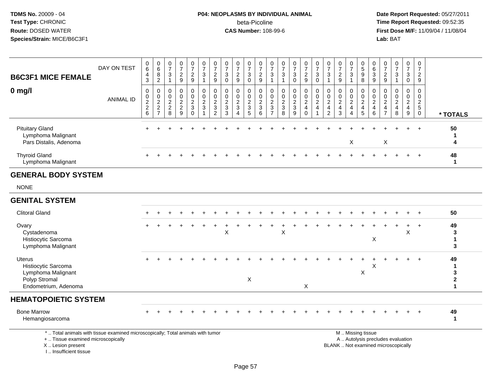I .. Insufficient tissue

# **P04: NEOPLASMS BY INDIVIDUAL ANIMAL**beta-Picoline<br>CAS Number: 108-99-6

| <b>B6C3F1 MICE FEMALE</b><br>$0$ mg/l                                                                                                      | DAY ON TEST<br><b>ANIMAL ID</b> | $\begin{array}{c} 0 \\ 6 \end{array}$<br>4<br>$\mathbf{3}$<br>$\mathbf 0$<br>0<br>$\boldsymbol{2}$ | $\begin{array}{c} 0 \\ 6 \end{array}$<br>$\frac{8}{2}$<br>0<br>$\mathop{2}\limits^{\mathbb{O}}$ | $\mathbf 0$<br>$\overline{7}$<br>$\ensuremath{\mathsf{3}}$<br>$\mathbf{1}$<br>$\mathbf 0$<br>$\mathbf 0$<br>$\overline{c}$ | $\frac{0}{7}$<br>$\overline{\mathbf{c}}$<br>9<br>0<br>$\mathbf 0$<br>$\boldsymbol{2}$ | $\frac{0}{7}$<br>$\frac{2}{9}$<br>0<br>0<br>$\overline{c}$ | $\begin{smallmatrix} 0\\7 \end{smallmatrix}$<br>$\sqrt{3}$<br>$\mathbf{1}$<br>0<br>$\mathbf 0$<br>$\sqrt{2}$ | $\begin{array}{c} 0 \\ 7 \end{array}$<br>$\sqrt{2}$<br>$9\,$<br>0<br>$\pmb{0}$<br>$\boldsymbol{2}$ | $\begin{array}{c} 0 \\ 7 \end{array}$<br>$\sqrt{3}$<br>$\Omega$<br>0<br>0<br>$\boldsymbol{2}$ | $\begin{array}{c} 0 \\ 7 \end{array}$<br>$\sqrt{2}$<br>9<br>$\mathbf 0$<br>$\mathbf 0$<br>$\sqrt{2}$ | $\begin{array}{c} 0 \\ 7 \end{array}$<br>$\ensuremath{\mathsf{3}}$<br>$\mathbf 0$<br>0<br>0<br>$\boldsymbol{2}$ | $\frac{0}{7}$<br>$\overline{c}$<br>$\boldsymbol{9}$<br>0<br>0<br>$\boldsymbol{2}$ | $\frac{0}{7}$<br>3<br>$\mathbf 1$<br>0<br>$\mathbf 0$<br>$\overline{c}$ | $\begin{array}{c} 0 \\ 7 \end{array}$<br>$\ensuremath{\mathsf{3}}$<br>$\mathbf{1}$<br>0<br>0<br>$\overline{c}$ | $\begin{array}{c} 0 \\ 7 \end{array}$<br>$\sqrt{3}$<br>$\pmb{0}$<br>0<br>$\mathbf 0$<br>$\boldsymbol{2}$ | $\begin{smallmatrix}0\\7\end{smallmatrix}$<br>$\frac{2}{9}$<br>0<br>$\mathbf 0$<br>$\overline{c}$ | $\begin{smallmatrix}0\\7\end{smallmatrix}$<br>$\sqrt{3}$<br>$\Omega$<br>0<br>$\mathbf 0$<br>$\sqrt{2}$ | $\begin{array}{c} 0 \\ 7 \end{array}$<br>3<br>$\mathbf{1}$<br>0<br>$\mathbf 0$<br>$\overline{c}$ | $\frac{0}{7}$<br>$\sqrt{2}$<br>9<br>0<br>$\mathbf 0$<br>$\boldsymbol{2}$ | $\frac{0}{7}$<br>3<br>$\mathbf 1$<br>0<br>$\mathbf 0$<br>$\overline{c}$ | $\begin{array}{c} 0 \\ 5 \\ 9 \end{array}$<br>8<br>0<br>$\mathbf 0$<br>$\sqrt{2}$ | 0<br>$6\overline{6}$<br>$\ensuremath{\mathsf{3}}$<br>$\boldsymbol{9}$<br>0<br>$\mathbf 0$<br>$\boldsymbol{2}$ | $\begin{array}{c} 0 \\ 7 \end{array}$<br>$\frac{2}{9}$<br>0<br>0<br>$\boldsymbol{2}$ | $\begin{array}{c} 0 \\ 7 \end{array}$<br>$\sqrt{3}$<br>$\overline{1}$<br>$\mathbf 0$<br>$\mathbf 0$<br>$\sqrt{2}$ | $\frac{0}{7}$<br>3<br>$\mathbf 0$<br>0<br>0<br>$\overline{\mathbf{c}}$ | $\frac{0}{7}$<br>$\frac{2}{9}$<br>0<br>$\mathbf 0$<br>$\sqrt{2}$ |                                             |
|--------------------------------------------------------------------------------------------------------------------------------------------|---------------------------------|----------------------------------------------------------------------------------------------------|-------------------------------------------------------------------------------------------------|----------------------------------------------------------------------------------------------------------------------------|---------------------------------------------------------------------------------------|------------------------------------------------------------|--------------------------------------------------------------------------------------------------------------|----------------------------------------------------------------------------------------------------|-----------------------------------------------------------------------------------------------|------------------------------------------------------------------------------------------------------|-----------------------------------------------------------------------------------------------------------------|-----------------------------------------------------------------------------------|-------------------------------------------------------------------------|----------------------------------------------------------------------------------------------------------------|----------------------------------------------------------------------------------------------------------|---------------------------------------------------------------------------------------------------|--------------------------------------------------------------------------------------------------------|--------------------------------------------------------------------------------------------------|--------------------------------------------------------------------------|-------------------------------------------------------------------------|-----------------------------------------------------------------------------------|---------------------------------------------------------------------------------------------------------------|--------------------------------------------------------------------------------------|-------------------------------------------------------------------------------------------------------------------|------------------------------------------------------------------------|------------------------------------------------------------------|---------------------------------------------|
|                                                                                                                                            |                                 | $\begin{array}{c} 2 \\ 6 \end{array}$                                                              | $\frac{2}{7}$                                                                                   | $\overline{c}$<br>8                                                                                                        | $\sqrt{2}$<br>9                                                                       | $\mathbf{3}$<br>$\Omega$                                   | $\mathbf{3}$<br>$\overline{1}$                                                                               | $\sqrt{3}$<br>$\overline{2}$                                                                       | $\mathbf{3}$<br>3                                                                             | $\mathbf{3}$<br>$\overline{4}$                                                                       | $\sqrt{3}$<br>5                                                                                                 | $\sqrt{3}$<br>6                                                                   | $\ensuremath{\mathsf{3}}$<br>$\overline{7}$                             | $\mathbf{3}$<br>8                                                                                              | $\sqrt{3}$<br>9                                                                                          | $\overline{4}$<br>$\mathbf 0$                                                                     | $\overline{a}$<br>$\mathbf{1}$                                                                         | $\overline{4}$<br>$\overline{c}$                                                                 | $\overline{4}$<br>$\mathbf{3}$                                           | $\overline{4}$<br>$\overline{4}$                                        | $\overline{4}$<br>$\overline{5}$                                                  | 4<br>6                                                                                                        | $\overline{4}$<br>$\overline{7}$                                                     | $\overline{a}$<br>8                                                                                               | $\overline{4}$<br>9                                                    | $\sqrt{5}$<br>$\mathbf 0$                                        | * TOTALS                                    |
| <b>Pituitary Gland</b><br>Lymphoma Malignant<br>Pars Distalis, Adenoma                                                                     |                                 |                                                                                                    |                                                                                                 |                                                                                                                            |                                                                                       |                                                            |                                                                                                              |                                                                                                    |                                                                                               |                                                                                                      |                                                                                                                 |                                                                                   |                                                                         |                                                                                                                |                                                                                                          |                                                                                                   |                                                                                                        |                                                                                                  |                                                                          | Χ                                                                       |                                                                                   |                                                                                                               | X                                                                                    |                                                                                                                   |                                                                        | $\ddot{}$                                                        | 50<br>-1<br>4                               |
| <b>Thyroid Gland</b><br>Lymphoma Malignant                                                                                                 |                                 |                                                                                                    |                                                                                                 |                                                                                                                            |                                                                                       |                                                            |                                                                                                              |                                                                                                    |                                                                                               |                                                                                                      |                                                                                                                 |                                                                                   |                                                                         |                                                                                                                |                                                                                                          |                                                                                                   |                                                                                                        |                                                                                                  |                                                                          |                                                                         |                                                                                   |                                                                                                               |                                                                                      |                                                                                                                   |                                                                        |                                                                  | 48<br>1                                     |
| <b>GENERAL BODY SYSTEM</b>                                                                                                                 |                                 |                                                                                                    |                                                                                                 |                                                                                                                            |                                                                                       |                                                            |                                                                                                              |                                                                                                    |                                                                                               |                                                                                                      |                                                                                                                 |                                                                                   |                                                                         |                                                                                                                |                                                                                                          |                                                                                                   |                                                                                                        |                                                                                                  |                                                                          |                                                                         |                                                                                   |                                                                                                               |                                                                                      |                                                                                                                   |                                                                        |                                                                  |                                             |
| <b>NONE</b>                                                                                                                                |                                 |                                                                                                    |                                                                                                 |                                                                                                                            |                                                                                       |                                                            |                                                                                                              |                                                                                                    |                                                                                               |                                                                                                      |                                                                                                                 |                                                                                   |                                                                         |                                                                                                                |                                                                                                          |                                                                                                   |                                                                                                        |                                                                                                  |                                                                          |                                                                         |                                                                                   |                                                                                                               |                                                                                      |                                                                                                                   |                                                                        |                                                                  |                                             |
| <b>GENITAL SYSTEM</b>                                                                                                                      |                                 |                                                                                                    |                                                                                                 |                                                                                                                            |                                                                                       |                                                            |                                                                                                              |                                                                                                    |                                                                                               |                                                                                                      |                                                                                                                 |                                                                                   |                                                                         |                                                                                                                |                                                                                                          |                                                                                                   |                                                                                                        |                                                                                                  |                                                                          |                                                                         |                                                                                   |                                                                                                               |                                                                                      |                                                                                                                   |                                                                        |                                                                  |                                             |
| <b>Clitoral Gland</b>                                                                                                                      |                                 |                                                                                                    |                                                                                                 |                                                                                                                            |                                                                                       |                                                            |                                                                                                              |                                                                                                    |                                                                                               |                                                                                                      |                                                                                                                 |                                                                                   |                                                                         |                                                                                                                |                                                                                                          |                                                                                                   |                                                                                                        |                                                                                                  |                                                                          |                                                                         |                                                                                   |                                                                                                               |                                                                                      |                                                                                                                   |                                                                        |                                                                  | 50                                          |
| Ovary<br>Cystadenoma<br>Histiocytic Sarcoma<br>Lymphoma Malignant                                                                          |                                 |                                                                                                    |                                                                                                 |                                                                                                                            |                                                                                       |                                                            |                                                                                                              |                                                                                                    | X                                                                                             |                                                                                                      |                                                                                                                 |                                                                                   |                                                                         | $\pmb{\times}$                                                                                                 |                                                                                                          |                                                                                                   |                                                                                                        |                                                                                                  |                                                                          |                                                                         |                                                                                   | X                                                                                                             |                                                                                      |                                                                                                                   | X                                                                      | $\ddot{}$                                                        | 49<br>3<br>$\mathbf 1$<br>3                 |
| Uterus<br>Histiocytic Sarcoma<br>Lymphoma Malignant<br>Polyp Stromal<br>Endometrium, Adenoma                                               |                                 |                                                                                                    |                                                                                                 |                                                                                                                            |                                                                                       |                                                            |                                                                                                              |                                                                                                    |                                                                                               |                                                                                                      | X                                                                                                               |                                                                                   |                                                                         |                                                                                                                |                                                                                                          | X                                                                                                 |                                                                                                        |                                                                                                  |                                                                          |                                                                         | X                                                                                 | X                                                                                                             |                                                                                      |                                                                                                                   |                                                                        |                                                                  | 49<br>$\mathbf 1$<br>3<br>$\mathbf{2}$<br>1 |
| <b>HEMATOPOIETIC SYSTEM</b>                                                                                                                |                                 |                                                                                                    |                                                                                                 |                                                                                                                            |                                                                                       |                                                            |                                                                                                              |                                                                                                    |                                                                                               |                                                                                                      |                                                                                                                 |                                                                                   |                                                                         |                                                                                                                |                                                                                                          |                                                                                                   |                                                                                                        |                                                                                                  |                                                                          |                                                                         |                                                                                   |                                                                                                               |                                                                                      |                                                                                                                   |                                                                        |                                                                  |                                             |
| <b>Bone Marrow</b><br>Hemangiosarcoma                                                                                                      |                                 |                                                                                                    |                                                                                                 |                                                                                                                            |                                                                                       |                                                            |                                                                                                              |                                                                                                    |                                                                                               |                                                                                                      |                                                                                                                 |                                                                                   |                                                                         |                                                                                                                |                                                                                                          |                                                                                                   |                                                                                                        |                                                                                                  |                                                                          |                                                                         |                                                                                   |                                                                                                               |                                                                                      |                                                                                                                   |                                                                        |                                                                  | 49<br>$\mathbf 1$                           |
| *  Total animals with tissue examined microscopically; Total animals with tumor<br>+  Tissue examined microscopically<br>X  Lesion present |                                 |                                                                                                    |                                                                                                 |                                                                                                                            |                                                                                       |                                                            |                                                                                                              |                                                                                                    |                                                                                               |                                                                                                      |                                                                                                                 |                                                                                   |                                                                         |                                                                                                                |                                                                                                          |                                                                                                   |                                                                                                        |                                                                                                  | BLANK  Not examined microscopically                                      |                                                                         | M  Missing tissue                                                                 |                                                                                                               |                                                                                      | A  Autolysis precludes evaluation                                                                                 |                                                                        |                                                                  |                                             |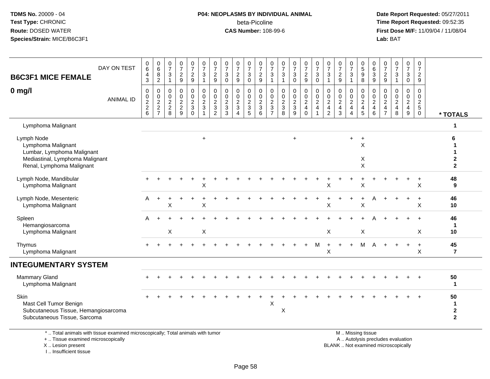#### **P04: NEOPLASMS BY INDIVIDUAL ANIMAL**beta-Picoline<br>CAS Number: 108-99-6

 **Date Report Requested:** 05/27/2011 **Time Report Requested:** 09:52:35 **First Dose M/F:** 11/09/04 / 11/08/04<br>Lab: BAT **Lab:** BAT

| DAY ON TEST<br><b>B6C3F1 MICE FEMALE</b>                                                                                       | 0<br>$\overline{6}$<br>4<br>3          | $\begin{array}{c} 0 \\ 6 \end{array}$<br>8<br>$\overline{c}$                | $\mathbf 0$<br>$\overline{7}$<br>3<br>$\overline{1}$        | 0<br>$\overline{7}$<br>$\overline{2}$<br>9                              | 0<br>$\overline{7}$<br>$\frac{2}{9}$                              | 0<br>$\overline{7}$<br>$\mathbf{3}$<br>$\mathbf{1}$                                 | 0<br>$\overline{7}$<br>$\overline{c}$<br>9                                     | 0<br>$\overline{7}$<br>3<br>$\mathbf 0$                      | $\frac{0}{7}$<br>$\overline{2}$<br>9                                     | 0<br>$\overline{7}$<br>3<br>$\mathbf 0$           | 0<br>$\overline{7}$<br>$\sqrt{2}$<br>9                            | 0<br>$\overline{7}$<br>3<br>$\mathbf{1}$                             | 0<br>$\overline{7}$<br>3<br>$\overline{1}$            | 0<br>$\overline{7}$<br>$\mathbf{3}$<br>$\mathbf 0$                               | 0<br>$\overline{7}$<br>$\sqrt{2}$<br>$\overline{9}$          | 0<br>$\overline{7}$<br>$\mathbf{3}$<br>$\mathbf 0$                       | 0<br>$\overline{7}$<br>3<br>$\mathbf{1}$                                         | 0<br>$\overline{7}$<br>$\overline{2}$<br>9                            | 0<br>$\overline{7}$<br>3<br>-1          | 0<br>9<br>9<br>8                                    | $\mathbf 0$<br>$6\overline{6}$<br>$\mathbf{3}$<br>$9\,$          | 0<br>$\overline{7}$<br>$\frac{2}{9}$                                | $\begin{array}{c} 0 \\ 7 \end{array}$<br>$\mathbf{3}$<br>$\overline{1}$ | 0<br>$\overline{7}$<br>3<br>$\mathbf 0$                             | 0<br>$\overline{7}$<br>$\overline{2}$<br>9                                    |                                             |
|--------------------------------------------------------------------------------------------------------------------------------|----------------------------------------|-----------------------------------------------------------------------------|-------------------------------------------------------------|-------------------------------------------------------------------------|-------------------------------------------------------------------|-------------------------------------------------------------------------------------|--------------------------------------------------------------------------------|--------------------------------------------------------------|--------------------------------------------------------------------------|---------------------------------------------------|-------------------------------------------------------------------|----------------------------------------------------------------------|-------------------------------------------------------|----------------------------------------------------------------------------------|--------------------------------------------------------------|--------------------------------------------------------------------------|----------------------------------------------------------------------------------|-----------------------------------------------------------------------|-----------------------------------------|-----------------------------------------------------|------------------------------------------------------------------|---------------------------------------------------------------------|-------------------------------------------------------------------------|---------------------------------------------------------------------|-------------------------------------------------------------------------------|---------------------------------------------|
| $0$ mg/l<br><b>ANIMAL ID</b>                                                                                                   | $\mathbf 0$<br>0<br>$\frac{2}{2}$<br>6 | $\mathbf 0$<br>$\begin{array}{c} 0 \\ 2 \\ 2 \end{array}$<br>$\overline{7}$ | $\mathbf 0$<br>$\mathbf 0$<br>$\sqrt{2}$<br>$\sqrt{2}$<br>8 | $\mathbf 0$<br>$\mathbf 0$<br>$\boldsymbol{2}$<br>$\boldsymbol{2}$<br>9 | 0<br>0<br>$\overline{c}$<br>$\ensuremath{\mathsf{3}}$<br>$\Omega$ | $\mathbf 0$<br>$\pmb{0}$<br>$\sqrt{2}$<br>$\ensuremath{\mathsf{3}}$<br>$\mathbf{1}$ | $\mathbf 0$<br>$\mathbf 0$<br>$\overline{c}$<br>$\mathbf{3}$<br>$\overline{2}$ | $\Omega$<br>$\mathbf 0$<br>$\overline{2}$<br>$\sqrt{3}$<br>3 | $\mathbf 0$<br>$\mathbf 0$<br>$\boldsymbol{2}$<br>$\sqrt{3}$<br>$\Delta$ | 0<br>$\mathbf 0$<br>$\sqrt{2}$<br>$\sqrt{3}$<br>5 | $\mathbf 0$<br>$\mathbf 0$<br>$\boldsymbol{2}$<br>$\sqrt{3}$<br>6 | 0<br>$\mathbf 0$<br>$\overline{c}$<br>$\mathbf{3}$<br>$\overline{ }$ | 0<br>$\mathbf 0$<br>$\overline{c}$<br>$\sqrt{3}$<br>8 | $\mathbf 0$<br>$\mathbf 0$<br>$\boldsymbol{2}$<br>$\ensuremath{\mathsf{3}}$<br>9 | 0<br>$\mathbf 0$<br>$\sqrt{2}$<br>$\overline{4}$<br>$\Omega$ | $\mathbf 0$<br>0<br>$\boldsymbol{2}$<br>$\overline{4}$<br>$\overline{1}$ | $\mathbf 0$<br>$\mathbf 0$<br>$\overline{2}$<br>$\overline{4}$<br>$\overline{2}$ | $\mathbf 0$<br>$\mathbf 0$<br>$\boldsymbol{2}$<br>$\overline{4}$<br>3 | 0<br>$\mathbf 0$<br>$\overline{2}$<br>4 | 0<br>$\pmb{0}$<br>$\sqrt{2}$<br>$\overline{4}$<br>5 | $\mathbf{0}$<br>$\mathbf 0$<br>$\sqrt{2}$<br>$\overline{4}$<br>6 | $\Omega$<br>0<br>$\overline{2}$<br>$\overline{4}$<br>$\overline{7}$ | $\Omega$<br>$\mathbf 0$<br>$\sqrt{2}$<br>$\overline{4}$<br>8            | $\mathbf 0$<br>$\mathbf 0$<br>$\overline{c}$<br>$\overline{4}$<br>9 | $\mathbf 0$<br>$\mathbf 0$<br>$\overline{2}$<br>$\overline{5}$<br>$\mathbf 0$ | * TOTALS                                    |
| Lymphoma Malignant                                                                                                             |                                        |                                                                             |                                                             |                                                                         |                                                                   |                                                                                     |                                                                                |                                                              |                                                                          |                                                   |                                                                   |                                                                      |                                                       |                                                                                  |                                                              |                                                                          |                                                                                  |                                                                       |                                         |                                                     |                                                                  |                                                                     |                                                                         |                                                                     |                                                                               | -1                                          |
| Lymph Node<br>Lymphoma Malignant<br>Lumbar, Lymphoma Malignant<br>Mediastinal, Lymphoma Malignant<br>Renal, Lymphoma Malignant |                                        |                                                                             |                                                             |                                                                         |                                                                   | $\ddot{}$                                                                           |                                                                                |                                                              |                                                                          |                                                   |                                                                   |                                                                      |                                                       | $\ddot{}$                                                                        |                                                              |                                                                          |                                                                                  |                                                                       | $+$                                     | $+$<br>X<br>X<br>X                                  |                                                                  |                                                                     |                                                                         |                                                                     |                                                                               | 6<br>2<br>$\mathbf{2}$                      |
| Lymph Node, Mandibular<br>Lymphoma Malignant                                                                                   |                                        |                                                                             |                                                             |                                                                         |                                                                   | X                                                                                   |                                                                                |                                                              |                                                                          |                                                   |                                                                   |                                                                      |                                                       |                                                                                  |                                                              |                                                                          | Χ                                                                                |                                                                       |                                         | X                                                   |                                                                  |                                                                     |                                                                         |                                                                     | $\ddot{}$<br>X                                                                | 48<br>9                                     |
| Lymph Node, Mesenteric<br>Lymphoma Malignant                                                                                   | A                                      | $\ddot{}$                                                                   | X                                                           |                                                                         |                                                                   | X                                                                                   |                                                                                |                                                              |                                                                          |                                                   |                                                                   |                                                                      |                                                       |                                                                                  |                                                              |                                                                          | X                                                                                |                                                                       |                                         | $\ddot{}$<br>X                                      |                                                                  |                                                                     |                                                                         | $\ddot{}$                                                           | $+$<br>X                                                                      | 46<br>10                                    |
| Spleen<br>Hemangiosarcoma<br>Lymphoma Malignant                                                                                | А                                      |                                                                             | Χ                                                           |                                                                         |                                                                   | X                                                                                   |                                                                                |                                                              |                                                                          |                                                   |                                                                   |                                                                      |                                                       |                                                                                  |                                                              |                                                                          | X                                                                                |                                                                       |                                         | X                                                   |                                                                  |                                                                     |                                                                         |                                                                     | Χ                                                                             | 46<br>-1<br>10                              |
| Thymus<br>Lymphoma Malignant                                                                                                   |                                        |                                                                             |                                                             |                                                                         |                                                                   |                                                                                     |                                                                                |                                                              |                                                                          |                                                   |                                                                   |                                                                      |                                                       |                                                                                  |                                                              | M                                                                        | $\ddot{}$<br>X                                                                   |                                                                       | $\ddot{}$                               | M                                                   | A                                                                |                                                                     |                                                                         | $\ddot{}$                                                           | $\ddot{}$<br>X                                                                | 45<br>$\overline{7}$                        |
| <b>INTEGUMENTARY SYSTEM</b>                                                                                                    |                                        |                                                                             |                                                             |                                                                         |                                                                   |                                                                                     |                                                                                |                                                              |                                                                          |                                                   |                                                                   |                                                                      |                                                       |                                                                                  |                                                              |                                                                          |                                                                                  |                                                                       |                                         |                                                     |                                                                  |                                                                     |                                                                         |                                                                     |                                                                               |                                             |
| Mammary Gland<br>Lymphoma Malignant                                                                                            |                                        |                                                                             |                                                             |                                                                         |                                                                   |                                                                                     |                                                                                |                                                              |                                                                          |                                                   |                                                                   |                                                                      |                                                       |                                                                                  |                                                              |                                                                          |                                                                                  |                                                                       |                                         |                                                     |                                                                  |                                                                     |                                                                         |                                                                     |                                                                               | 50<br>-1                                    |
| Skin<br>Mast Cell Tumor Benign<br>Subcutaneous Tissue, Hemangiosarcoma<br>Subcutaneous Tissue, Sarcoma                         |                                        |                                                                             |                                                             |                                                                         |                                                                   |                                                                                     |                                                                                |                                                              |                                                                          |                                                   |                                                                   | Χ                                                                    | X                                                     |                                                                                  |                                                              |                                                                          |                                                                                  |                                                                       |                                         |                                                     |                                                                  |                                                                     |                                                                         |                                                                     |                                                                               | 50<br>1<br>$\boldsymbol{2}$<br>$\mathbf{2}$ |
| * Total animals with tissue examined microsconically: Total animals with tumor                                                 |                                        |                                                                             |                                                             |                                                                         |                                                                   |                                                                                     |                                                                                |                                                              |                                                                          |                                                   |                                                                   |                                                                      |                                                       |                                                                                  |                                                              |                                                                          |                                                                                  |                                                                       |                                         | M Miccinaticcup                                     |                                                                  |                                                                     |                                                                         |                                                                     |                                                                               |                                             |

\* .. Total animals with tissue examined microscopically; Total animals with tumor

+ .. Tissue examined microscopically

X .. Lesion present

I .. Insufficient tissue

 M .. Missing tissuey the contract of the contract of the contract of the contract of the contract of the contract of the contract of  $A$ . Autolysis precludes evaluation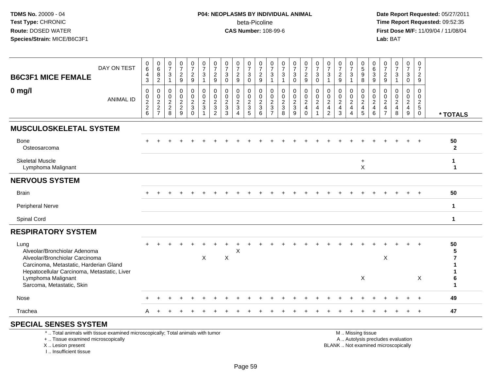# **P04: NEOPLASMS BY INDIVIDUAL ANIMAL**beta-Picoline<br>CAS Number: 108-99-6

 **Date Report Requested:** 05/27/2011 **Time Report Requested:** 09:52:35 **First Dose M/F:** 11/09/04 / 11/08/04<br>Lab: BAT **Lab:** BAT

| <b>B6C3F1 MICE FEMALE</b>                                                                                                                                                                                          | DAY ON TEST      | 0<br>6<br>4<br>$\mathbf{3}$                   | 0<br>$\,6\,$<br>8<br>$\sqrt{2}$                                              | $\frac{0}{7}$<br>3<br>$\mathbf{1}$                            | $\frac{0}{7}$<br>$\overline{c}$<br>9                      | $\frac{0}{7}$<br>$\frac{2}{9}$                                 | $\frac{0}{7}$<br>$\sqrt{3}$<br>$\mathbf{1}$                              | $\frac{0}{7}$<br>$\overline{c}$<br>9                                              | $\frac{0}{7}$<br>$\mathbf{3}$<br>$\Omega$             | 0<br>$\overline{7}$<br>$\boldsymbol{2}$<br>9   | $\frac{0}{7}$<br>$\sqrt{3}$<br>$\Omega$                               | $\frac{0}{7}$<br>$\frac{2}{9}$                                | 0<br>$\overline{7}$<br>3                                                     | $\frac{0}{7}$<br>$\sqrt{3}$<br>$\mathbf 1$                  | $\frac{0}{7}$<br>$\mathbf{3}$<br>$\Omega$      | $\frac{0}{7}$<br>$\frac{2}{9}$                                                  | 0<br>$\overline{7}$<br>3<br>$\Omega$                 | 0<br>$\overline{7}$<br>3                                                      | $\frac{0}{7}$<br>$\boldsymbol{2}$<br>9                                | 0<br>$\overline{7}$<br>3                                                          | 0<br>$\sqrt{5}$<br>$9\,$<br>8                                   | 0<br>$\,6\,$<br>3<br>9                             | 0<br>$\overline{7}$<br>$\overline{a}$<br>9                   | $\frac{0}{7}$<br>3                                                       | $\begin{smallmatrix}0\\7\end{smallmatrix}$<br>$\mathbf{3}$<br>$\overline{0}$ | 0<br>$\overline{7}$<br>$\overline{a}$<br>9   |                      |
|--------------------------------------------------------------------------------------------------------------------------------------------------------------------------------------------------------------------|------------------|-----------------------------------------------|------------------------------------------------------------------------------|---------------------------------------------------------------|-----------------------------------------------------------|----------------------------------------------------------------|--------------------------------------------------------------------------|-----------------------------------------------------------------------------------|-------------------------------------------------------|------------------------------------------------|-----------------------------------------------------------------------|---------------------------------------------------------------|------------------------------------------------------------------------------|-------------------------------------------------------------|------------------------------------------------|---------------------------------------------------------------------------------|------------------------------------------------------|-------------------------------------------------------------------------------|-----------------------------------------------------------------------|-----------------------------------------------------------------------------------|-----------------------------------------------------------------|----------------------------------------------------|--------------------------------------------------------------|--------------------------------------------------------------------------|------------------------------------------------------------------------------|----------------------------------------------|----------------------|
| $0$ mg/l                                                                                                                                                                                                           | <b>ANIMAL ID</b> | 0<br>0<br>$\boldsymbol{2}$<br>$\sqrt{2}$<br>6 | $\mathbf 0$<br>$\mathbf 0$<br>$\overline{c}$<br>$\sqrt{2}$<br>$\overline{7}$ | $\mathbf 0$<br>$\mathbf 0$<br>$\overline{2}$<br>$\frac{2}{8}$ | $\mathbf 0$<br>0<br>$\overline{a}$<br>$\overline{2}$<br>9 | 0<br>$\pmb{0}$<br>$\overline{2}$<br>$\mathsf 3$<br>$\mathsf 0$ | $\mathbf 0$<br>$\pmb{0}$<br>$\sqrt{2}$<br>$\mathbf{3}$<br>$\overline{1}$ | $\mathbf{0}$<br>$\mathbf 0$<br>$\overline{2}$<br>$\mathfrak{Z}$<br>$\overline{2}$ | $\mathbf 0$<br>0<br>$\overline{2}$<br>$\sqrt{3}$<br>3 | 0<br>$\mathbf 0$<br>$\boldsymbol{2}$<br>3<br>4 | 0<br>$\mathbf 0$<br>$\overline{2}$<br>$\mathbf{3}$<br>$5\phantom{.0}$ | $\mathbf 0$<br>0<br>$\overline{c}$<br>$\mathfrak{S}$<br>$\,6$ | $\mathbf 0$<br>$\mathbf 0$<br>$\overline{2}$<br>$\sqrt{3}$<br>$\overline{7}$ | $\mathbf 0$<br>$\mathbf 0$<br>$rac{2}{3}$<br>$\overline{8}$ | 0<br>0<br>$\boldsymbol{2}$<br>$\mathsf 3$<br>9 | $\mathbf 0$<br>$\mathbf 0$<br>$\boldsymbol{2}$<br>$\overline{4}$<br>$\mathbf 0$ | 0<br>$\mathbf 0$<br>$\overline{2}$<br>$\overline{4}$ | $\Omega$<br>$\mathbf 0$<br>$\overline{c}$<br>$\overline{4}$<br>$\overline{2}$ | $\mathbf 0$<br>$\mathbf 0$<br>$\boldsymbol{2}$<br>$\overline{4}$<br>3 | $\mathbf{0}$<br>$\mathbf 0$<br>$\overline{2}$<br>$\overline{4}$<br>$\overline{4}$ | $\mathbf 0$<br>$\mathbf 0$<br>$\sqrt{2}$<br>$\overline{4}$<br>5 | 0<br>$\mathbf 0$<br>$\overline{2}$<br>4<br>$\,6\,$ | 0<br>0<br>$\overline{c}$<br>$\overline{4}$<br>$\overline{7}$ | 0<br>0<br>$\overline{a}$<br>$\overline{\mathbf{4}}$<br>8                 | $\mathbf 0$<br>$\mathbf 0$<br>$\overline{2}$<br>$\overline{4}$<br>9          | $\mathbf 0$<br>0<br>$\overline{2}$<br>5<br>0 | * TOTALS             |
| <b>MUSCULOSKELETAL SYSTEM</b>                                                                                                                                                                                      |                  |                                               |                                                                              |                                                               |                                                           |                                                                |                                                                          |                                                                                   |                                                       |                                                |                                                                       |                                                               |                                                                              |                                                             |                                                |                                                                                 |                                                      |                                                                               |                                                                       |                                                                                   |                                                                 |                                                    |                                                              |                                                                          |                                                                              |                                              |                      |
| Bone<br>Osteosarcoma                                                                                                                                                                                               |                  |                                               |                                                                              |                                                               |                                                           |                                                                |                                                                          |                                                                                   |                                                       |                                                |                                                                       |                                                               |                                                                              |                                                             |                                                |                                                                                 |                                                      |                                                                               |                                                                       |                                                                                   |                                                                 |                                                    |                                                              |                                                                          |                                                                              |                                              | 50<br>$\overline{2}$ |
| <b>Skeletal Muscle</b><br>Lymphoma Malignant                                                                                                                                                                       |                  |                                               |                                                                              |                                                               |                                                           |                                                                |                                                                          |                                                                                   |                                                       |                                                |                                                                       |                                                               |                                                                              |                                                             |                                                |                                                                                 |                                                      |                                                                               |                                                                       |                                                                                   | $\ddot{}$<br>$\mathsf X$                                        |                                                    |                                                              |                                                                          |                                                                              |                                              | $\mathbf 1$<br>1     |
| <b>NERVOUS SYSTEM</b>                                                                                                                                                                                              |                  |                                               |                                                                              |                                                               |                                                           |                                                                |                                                                          |                                                                                   |                                                       |                                                |                                                                       |                                                               |                                                                              |                                                             |                                                |                                                                                 |                                                      |                                                                               |                                                                       |                                                                                   |                                                                 |                                                    |                                                              |                                                                          |                                                                              |                                              |                      |
| <b>Brain</b>                                                                                                                                                                                                       |                  |                                               |                                                                              |                                                               |                                                           |                                                                |                                                                          |                                                                                   |                                                       |                                                |                                                                       |                                                               |                                                                              |                                                             |                                                |                                                                                 |                                                      |                                                                               |                                                                       |                                                                                   |                                                                 |                                                    |                                                              |                                                                          |                                                                              |                                              | 50                   |
| <b>Peripheral Nerve</b>                                                                                                                                                                                            |                  |                                               |                                                                              |                                                               |                                                           |                                                                |                                                                          |                                                                                   |                                                       |                                                |                                                                       |                                                               |                                                                              |                                                             |                                                |                                                                                 |                                                      |                                                                               |                                                                       |                                                                                   |                                                                 |                                                    |                                                              |                                                                          |                                                                              |                                              | $\mathbf 1$          |
| Spinal Cord                                                                                                                                                                                                        |                  |                                               |                                                                              |                                                               |                                                           |                                                                |                                                                          |                                                                                   |                                                       |                                                |                                                                       |                                                               |                                                                              |                                                             |                                                |                                                                                 |                                                      |                                                                               |                                                                       |                                                                                   |                                                                 |                                                    |                                                              |                                                                          |                                                                              |                                              | $\mathbf 1$          |
| <b>RESPIRATORY SYSTEM</b>                                                                                                                                                                                          |                  |                                               |                                                                              |                                                               |                                                           |                                                                |                                                                          |                                                                                   |                                                       |                                                |                                                                       |                                                               |                                                                              |                                                             |                                                |                                                                                 |                                                      |                                                                               |                                                                       |                                                                                   |                                                                 |                                                    |                                                              |                                                                          |                                                                              |                                              |                      |
| Lung<br>Alveolar/Bronchiolar Adenoma<br>Alveolar/Bronchiolar Carcinoma<br>Carcinoma, Metastatic, Harderian Gland<br>Hepatocellular Carcinoma, Metastatic, Liver<br>Lymphoma Malignant<br>Sarcoma, Metastatic, Skin |                  |                                               |                                                                              |                                                               |                                                           |                                                                | X                                                                        |                                                                                   | $\boldsymbol{\mathsf{X}}$                             | X                                              |                                                                       |                                                               |                                                                              |                                                             |                                                |                                                                                 |                                                      |                                                                               |                                                                       |                                                                                   | X                                                               |                                                    | $\pmb{\times}$                                               |                                                                          |                                                                              | X                                            | 50<br>6<br>1         |
| Nose                                                                                                                                                                                                               |                  |                                               |                                                                              |                                                               |                                                           |                                                                |                                                                          |                                                                                   |                                                       |                                                |                                                                       |                                                               |                                                                              |                                                             |                                                |                                                                                 |                                                      |                                                                               |                                                                       |                                                                                   |                                                                 |                                                    |                                                              |                                                                          |                                                                              |                                              | 49                   |
| Trachea                                                                                                                                                                                                            |                  | A                                             |                                                                              |                                                               |                                                           |                                                                |                                                                          |                                                                                   |                                                       |                                                |                                                                       |                                                               |                                                                              |                                                             |                                                |                                                                                 |                                                      |                                                                               |                                                                       |                                                                                   |                                                                 |                                                    |                                                              |                                                                          |                                                                              | $+$                                          | 47                   |
| <b>SPECIAL SENSES SYSTEM</b><br>*  Total animals with tissue examined microscopically; Total animals with tumor                                                                                                    |                  |                                               |                                                                              |                                                               |                                                           |                                                                |                                                                          |                                                                                   |                                                       |                                                |                                                                       |                                                               |                                                                              |                                                             |                                                |                                                                                 |                                                      |                                                                               |                                                                       |                                                                                   | M  Missing tissue                                               |                                                    |                                                              |                                                                          |                                                                              |                                              |                      |
| +  Tissue examined microscopically<br>X  Lesion present                                                                                                                                                            |                  |                                               |                                                                              |                                                               |                                                           |                                                                |                                                                          |                                                                                   |                                                       |                                                |                                                                       |                                                               |                                                                              |                                                             |                                                |                                                                                 |                                                      |                                                                               |                                                                       |                                                                                   |                                                                 |                                                    |                                                              | A  Autolysis precludes evaluation<br>BLANK  Not examined microscopically |                                                                              |                                              |                      |

I .. Insufficient tissue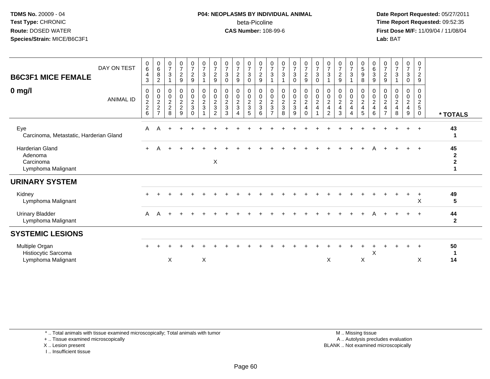#### **P04: NEOPLASMS BY INDIVIDUAL ANIMAL**beta-Picoline<br>CAS Number: 108-99-6

 **Date Report Requested:** 05/27/2011 **Time Report Requested:** 09:52:35 **First Dose M/F:** 11/09/04 / 11/08/04<br>Lab: BAT **Lab:** BAT

| <b>B6C3F1 MICE FEMALE</b><br>$0$ mg/l                                | DAY ON TEST<br><b>ANIMAL ID</b> | $\begin{array}{c} 0 \\ 6 \end{array}$<br>$\overline{\mathbf{r}}$<br>$\mathbf{3}$<br>0<br>$\begin{matrix} 0 \\ 2 \\ 2 \end{matrix}$ | $\begin{array}{c} 0 \\ 6 \end{array}$<br>$\,8\,$<br>$\overline{c}$<br>0<br>$\pmb{0}$<br>$\overline{c}$<br>$\boldsymbol{2}$ | $\frac{0}{7}$<br>$\mathbf{3}$<br>0<br>$\boldsymbol{0}$<br>$\overline{2}$<br>$\overline{c}$ | $\frac{0}{7}$<br>$\overline{a}$<br>9<br>0<br>$\boldsymbol{0}$<br>$\frac{2}{2}$ | $\frac{0}{7}$<br>$\overline{2}$<br>9<br>$\pmb{0}$<br>$\mathsf{O}\xspace$<br>$\overline{2}$<br>3 | $\frac{0}{7}$<br>$\sqrt{3}$<br>$\pmb{0}$<br>$\pmb{0}$<br>$\boldsymbol{2}$<br>$\mathbf{3}$ | $\begin{array}{c} 0 \\ 7 \end{array}$<br>$\frac{2}{9}$<br>$\mathbf 0$<br>$\frac{0}{2}$ | $\frac{0}{7}$<br>$\sqrt{3}$<br>$\mathbf{0}$<br>$\pmb{0}$<br>$\pmb{0}$<br>$\overline{c}$<br>$\sqrt{3}$ | $\frac{0}{7}$<br>$\overline{c}$<br>9<br>0<br>$\mathsf{O}\xspace$<br>$\overline{c}$<br>3 | $\begin{array}{c} 0 \\ 7 \\ 3 \end{array}$<br>$\mathbf 0$<br>0<br>$\frac{0}{2}$<br>$\mathsf 3$ | $\frac{0}{7}$<br>$\overline{c}$<br>9<br>$\pmb{0}$<br>$\mathsf{O}\xspace$<br>$\overline{c}$<br>$\mathfrak{S}$ | $\frac{0}{7}$<br>$\mathbf 3$<br>0<br>$\mathbf 0$<br>$\boldsymbol{2}$<br>3 | $\frac{0}{7}$<br>$\mathbf{3}$<br>$\boldsymbol{0}$<br>$\frac{0}{2}$ | $\begin{array}{c} 0 \\ 7 \\ 3 \end{array}$<br>0<br>0<br>$\pmb{0}$<br>$\frac{2}{3}$ | $\frac{0}{7}$<br>$\overline{2}$<br>9<br>$\mathbf 0$<br>$\mathbf 0$<br>$\overline{c}$<br>$\overline{\mathbf{4}}$ | $\frac{0}{7}$<br>3<br>$\mathbf 0$<br>0<br>$\pmb{0}$<br>$\overline{a}$<br>$\overline{\mathbf{4}}$ | $\frac{0}{7}$<br>$\sqrt{3}$<br>0<br>$\pmb{0}$<br>$\overline{c}$<br>$\overline{\mathbf{4}}$ | $\frac{0}{7}$<br>$\sqrt{2}$<br>$\boldsymbol{9}$<br>$\pmb{0}$<br>$\ddot{\mathbf{0}}$<br>$\sqrt{2}$<br>$\overline{\mathbf{4}}$ | $\frac{0}{7}$<br>$\mathfrak{Z}$<br>0<br>$\mathsf{O}\xspace$<br>$\overline{c}$<br>$\overline{\mathbf{4}}$ | $\begin{array}{c} 0 \\ 5 \\ 9 \end{array}$<br>$\,8\,$<br>$\pmb{0}$<br>$\frac{0}{2}$<br>$\overline{4}$ | $\begin{matrix} 0 \\ 6 \end{matrix}$<br>$\sqrt{3}$<br>9<br>0<br>$\mathbf 0$<br>$\overline{c}$<br>$\overline{4}$ | $\frac{0}{7}$<br>$\overline{c}$<br>9<br>0<br>0<br>$\boldsymbol{2}$<br>4 | $\frac{0}{7}$<br>$\mathbf{3}$<br>0<br>0<br>$\overline{c}$<br>$\overline{4}$ | $\frac{0}{7}$<br>$\mathbf{3}$<br>0<br>0<br>0<br>$\overline{c}$<br>$\overline{4}$ | 0<br>$\overline{7}$<br>$\overline{2}$<br>9<br>0<br>$\mathbf 0$<br>$\overline{c}$<br>$\sqrt{5}$ |                                    |
|----------------------------------------------------------------------|---------------------------------|------------------------------------------------------------------------------------------------------------------------------------|----------------------------------------------------------------------------------------------------------------------------|--------------------------------------------------------------------------------------------|--------------------------------------------------------------------------------|-------------------------------------------------------------------------------------------------|-------------------------------------------------------------------------------------------|----------------------------------------------------------------------------------------|-------------------------------------------------------------------------------------------------------|-----------------------------------------------------------------------------------------|------------------------------------------------------------------------------------------------|--------------------------------------------------------------------------------------------------------------|---------------------------------------------------------------------------|--------------------------------------------------------------------|------------------------------------------------------------------------------------|-----------------------------------------------------------------------------------------------------------------|--------------------------------------------------------------------------------------------------|--------------------------------------------------------------------------------------------|------------------------------------------------------------------------------------------------------------------------------|----------------------------------------------------------------------------------------------------------|-------------------------------------------------------------------------------------------------------|-----------------------------------------------------------------------------------------------------------------|-------------------------------------------------------------------------|-----------------------------------------------------------------------------|----------------------------------------------------------------------------------|------------------------------------------------------------------------------------------------|------------------------------------|
|                                                                      |                                 | $6\phantom{1}6$                                                                                                                    | $\overline{7}$                                                                                                             | 8                                                                                          | 9                                                                              | $\Omega$                                                                                        |                                                                                           | $\overline{2}$                                                                         | 3                                                                                                     | $\overline{4}$                                                                          | 5                                                                                              | 6                                                                                                            | $\overline{\phantom{0}}$                                                  | 8                                                                  | 9                                                                                  | $\Omega$                                                                                                        |                                                                                                  | $\overline{2}$                                                                             | 3                                                                                                                            | $\overline{4}$                                                                                           | 5                                                                                                     | 6                                                                                                               | $\overline{7}$                                                          | 8                                                                           | 9                                                                                | $\mathbf 0$                                                                                    | * TOTALS                           |
| Eye<br>Carcinoma, Metastatic, Harderian Gland                        |                                 | A                                                                                                                                  | А                                                                                                                          |                                                                                            |                                                                                |                                                                                                 |                                                                                           |                                                                                        |                                                                                                       |                                                                                         |                                                                                                |                                                                                                              |                                                                           |                                                                    |                                                                                    |                                                                                                                 |                                                                                                  |                                                                                            |                                                                                                                              |                                                                                                          |                                                                                                       |                                                                                                                 |                                                                         |                                                                             |                                                                                  | $+$                                                                                            | 43                                 |
| <b>Harderian Gland</b><br>Adenoma<br>Carcinoma<br>Lymphoma Malignant |                                 | $+$                                                                                                                                | А                                                                                                                          |                                                                                            |                                                                                |                                                                                                 |                                                                                           | $\mathsf X$                                                                            |                                                                                                       |                                                                                         |                                                                                                |                                                                                                              |                                                                           |                                                                    |                                                                                    |                                                                                                                 |                                                                                                  |                                                                                            |                                                                                                                              |                                                                                                          |                                                                                                       |                                                                                                                 |                                                                         |                                                                             | $\ddot{}$                                                                        | $+$                                                                                            | 45<br>$\mathbf{2}$<br>$\mathbf{2}$ |
| <b>URINARY SYSTEM</b>                                                |                                 |                                                                                                                                    |                                                                                                                            |                                                                                            |                                                                                |                                                                                                 |                                                                                           |                                                                                        |                                                                                                       |                                                                                         |                                                                                                |                                                                                                              |                                                                           |                                                                    |                                                                                    |                                                                                                                 |                                                                                                  |                                                                                            |                                                                                                                              |                                                                                                          |                                                                                                       |                                                                                                                 |                                                                         |                                                                             |                                                                                  |                                                                                                |                                    |
| Kidney<br>Lymphoma Malignant                                         |                                 |                                                                                                                                    |                                                                                                                            |                                                                                            |                                                                                |                                                                                                 |                                                                                           |                                                                                        |                                                                                                       |                                                                                         |                                                                                                |                                                                                                              |                                                                           |                                                                    |                                                                                    |                                                                                                                 |                                                                                                  |                                                                                            |                                                                                                                              |                                                                                                          |                                                                                                       |                                                                                                                 |                                                                         |                                                                             |                                                                                  | X                                                                                              | 49<br>5                            |
| <b>Urinary Bladder</b><br>Lymphoma Malignant                         |                                 | A                                                                                                                                  | A                                                                                                                          |                                                                                            |                                                                                |                                                                                                 |                                                                                           |                                                                                        |                                                                                                       |                                                                                         |                                                                                                |                                                                                                              |                                                                           |                                                                    |                                                                                    |                                                                                                                 |                                                                                                  |                                                                                            |                                                                                                                              |                                                                                                          |                                                                                                       |                                                                                                                 |                                                                         |                                                                             | $+$                                                                              | $+$                                                                                            | 44<br>$\overline{2}$               |
| <b>SYSTEMIC LESIONS</b>                                              |                                 |                                                                                                                                    |                                                                                                                            |                                                                                            |                                                                                |                                                                                                 |                                                                                           |                                                                                        |                                                                                                       |                                                                                         |                                                                                                |                                                                                                              |                                                                           |                                                                    |                                                                                    |                                                                                                                 |                                                                                                  |                                                                                            |                                                                                                                              |                                                                                                          |                                                                                                       |                                                                                                                 |                                                                         |                                                                             |                                                                                  |                                                                                                |                                    |
| Multiple Organ<br>Histiocytic Sarcoma<br>Lymphoma Malignant          |                                 |                                                                                                                                    |                                                                                                                            | X                                                                                          |                                                                                |                                                                                                 | X                                                                                         |                                                                                        |                                                                                                       |                                                                                         |                                                                                                |                                                                                                              |                                                                           |                                                                    |                                                                                    |                                                                                                                 |                                                                                                  | X                                                                                          |                                                                                                                              |                                                                                                          | X                                                                                                     | Χ                                                                                                               |                                                                         |                                                                             |                                                                                  | $+$<br>X                                                                                       | 50<br>14                           |

\* .. Total animals with tissue examined microscopically; Total animals with tumor

+ .. Tissue examined microscopically

X .. Lesion present

I .. Insufficient tissue

 M .. Missing tissuey the contract of the contract of the contract of the contract of the contract of the contract of the contract of  $A$ . Autolysis precludes evaluation Lesion present BLANK .. Not examined microscopically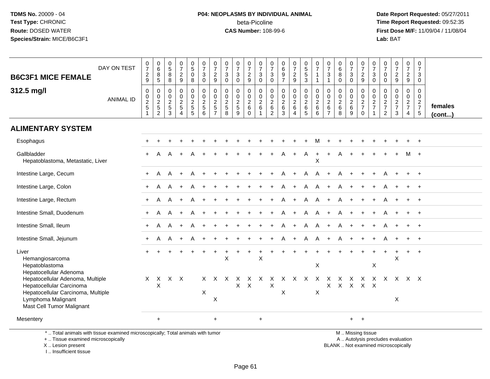# **P04: NEOPLASMS BY INDIVIDUAL ANIMAL**beta-Picoline<br>CAS Number: 108-99-6

 **Date Report Requested:** 05/27/2011 **Time Report Requested:** 09:52:35 **First Dose M/F:** 11/09/04 / 11/08/04<br>Lab: BAT **Lab:** BAT

| DAY ON TEST<br><b>B6C3F1 MICE FEMALE</b>                                                                                                              | $\frac{0}{7}$<br>$\frac{2}{9}$             | $_6^0$<br>$\frac{8}{5}$                                       | 0<br>$\,$ 5 $\,$<br>$\bf 8$<br>8                               | $\begin{array}{c} 0 \\ 7 \end{array}$<br>$\frac{2}{9}$    | $\begin{array}{c} 0 \\ 5 \end{array}$<br>$\mathsf{O}\xspace$<br>8 | $\begin{array}{c} 0 \\ 7 \end{array}$<br>$\ensuremath{\mathsf{3}}$<br>$\mathbf 0$ | $\frac{0}{7}$<br>$\frac{2}{9}$                              | $\frac{0}{7}$<br>$\mathbf{3}$<br>$\mathbf 0$ | $\frac{0}{7}$<br>$\mathbf{3}$<br>$\mathbf 0$           | 0<br>$\overline{7}$<br>$\frac{2}{9}$        | $\begin{array}{c} 0 \\ 7 \end{array}$<br>$\ensuremath{\mathsf{3}}$<br>$\mathbf 0$ | 0<br>$\overline{7}$<br>$\mathbf{3}$<br>$\mathbf 0$                       | $\pmb{0}$<br>$\,6\,$<br>$\frac{9}{7}$                                     | $\begin{array}{c} 0 \\ 7 \end{array}$<br>$\frac{2}{9}$ | $\begin{array}{c} 0 \\ 5 \end{array}$<br>$\sqrt{5}$<br>3 | $\frac{0}{7}$<br>$\mathbf{1}$<br>$\mathbf 1$ | 0<br>$\overline{7}$<br>$\mathbf{3}$                                      | $\begin{array}{c} 0 \\ 6 \end{array}$<br>$\, 8$<br>$\Omega$ | $\frac{0}{7}$<br>$\mathsf 3$<br>$\mathbf 0$ | $\pmb{0}$<br>$\overline{7}$<br>$\frac{2}{9}$                    | 0<br>$\overline{7}$<br>$\mathbf{3}$<br>$\mathbf 0$ | 0<br>$\overline{7}$<br>0<br>$\mathbf 0$          | $\frac{0}{7}$<br>$\frac{2}{9}$                 | $\pmb{0}$<br>$\overline{7}$<br>$\frac{2}{9}$     | $\mathbf 0$<br>$\overline{7}$<br>3<br>$\mathbf 0$         |                   |
|-------------------------------------------------------------------------------------------------------------------------------------------------------|--------------------------------------------|---------------------------------------------------------------|----------------------------------------------------------------|-----------------------------------------------------------|-------------------------------------------------------------------|-----------------------------------------------------------------------------------|-------------------------------------------------------------|----------------------------------------------|--------------------------------------------------------|---------------------------------------------|-----------------------------------------------------------------------------------|--------------------------------------------------------------------------|---------------------------------------------------------------------------|--------------------------------------------------------|----------------------------------------------------------|----------------------------------------------|--------------------------------------------------------------------------|-------------------------------------------------------------|---------------------------------------------|-----------------------------------------------------------------|----------------------------------------------------|--------------------------------------------------|------------------------------------------------|--------------------------------------------------|-----------------------------------------------------------|-------------------|
| 312.5 mg/l<br><b>ANIMAL ID</b>                                                                                                                        | $\pmb{0}$<br>$\frac{0}{2}$<br>$\mathbf{1}$ | $\mathbf 0$<br>$\mathbf 0$<br>$\frac{2}{5}$<br>$\overline{2}$ | $\mathbf 0$<br>0<br>$\begin{array}{c} 2 \\ 5 \\ 3 \end{array}$ | $\mathbf 0$<br>$\pmb{0}$<br>$rac{2}{5}$<br>$\overline{4}$ | $\mathbf 0$<br>$\pmb{0}$<br>$\frac{2}{5}$                         | $\mathbf 0$<br>$\mathsf 0$<br>$\frac{2}{5}$<br>6                                  | $\mathbf 0$<br>$\mathbf 0$<br>$rac{2}{5}$<br>$\overline{7}$ | $\mathbf 0$<br>$\pmb{0}$<br>$rac{2}{5}$<br>8 | $\Omega$<br>0<br>$\overline{c}$<br>$\overline{5}$<br>9 | $\mathbf 0$<br>$\frac{0}{2}$<br>$\mathbf 0$ | $\mathbf 0$<br>$\pmb{0}$<br>$\frac{2}{6}$<br>$\mathbf{1}$                         | $\mathbf 0$<br>0<br>$\overline{\mathbf{c}}$<br>$\,6\,$<br>$\overline{2}$ | $\mathbf 0$<br>$\mathbf 0$<br>$\overline{2}$<br>$\,6\,$<br>$\overline{3}$ | $\mathbf 0$<br>0<br>$^2\phantom{1}6$<br>$\overline{4}$ | $\mathbf 0$<br>$\frac{0}{2}$<br>$\overline{5}$           | $\mathbf 0$<br>$\frac{0}{2}$<br>6            | $\Omega$<br>0<br>$\begin{array}{c} 2 \\ 6 \end{array}$<br>$\overline{7}$ | $\mathbf 0$<br>$\pmb{0}$<br>$\frac{2}{6}$<br>8              | 0<br>$\mathbf 0$<br>$^2\phantom{1}6$<br>9   | $\mathbf 0$<br>$\mathbf 0$<br>$\frac{2}{7}$<br>$\boldsymbol{0}$ | $\mathbf 0$<br>$\mathbf 0$<br>$\frac{2}{7}$        | $\Omega$<br>0<br>$\frac{2}{7}$<br>$\overline{2}$ | $\mathbf 0$<br>$\pmb{0}$<br>$\frac{2}{7}$<br>3 | $\mathbf 0$<br>$\mathbf 0$<br>$\frac{2}{7}$<br>4 | $\mathbf 0$<br>$\mathbf 0$<br>$\frac{2}{7}$<br>$\sqrt{5}$ | females<br>(cont) |
| <b>ALIMENTARY SYSTEM</b>                                                                                                                              |                                            |                                                               |                                                                |                                                           |                                                                   |                                                                                   |                                                             |                                              |                                                        |                                             |                                                                                   |                                                                          |                                                                           |                                                        |                                                          |                                              |                                                                          |                                                             |                                             |                                                                 |                                                    |                                                  |                                                |                                                  |                                                           |                   |
| Esophagus                                                                                                                                             |                                            |                                                               |                                                                |                                                           |                                                                   |                                                                                   |                                                             |                                              |                                                        |                                             |                                                                                   |                                                                          |                                                                           |                                                        |                                                          |                                              |                                                                          |                                                             |                                             |                                                                 |                                                    |                                                  |                                                |                                                  |                                                           |                   |
| Gallbladder<br>Hepatoblastoma, Metastatic, Liver                                                                                                      |                                            | A                                                             | A                                                              |                                                           |                                                                   |                                                                                   |                                                             |                                              |                                                        |                                             |                                                                                   |                                                                          |                                                                           | $\ddot{}$                                              | A                                                        | $\ddot{}$<br>X                               | $+$                                                                      | A                                                           |                                             |                                                                 |                                                    |                                                  |                                                |                                                  |                                                           |                   |
| Intestine Large, Cecum                                                                                                                                |                                            | A                                                             | A                                                              |                                                           |                                                                   |                                                                                   |                                                             |                                              |                                                        |                                             |                                                                                   |                                                                          |                                                                           |                                                        |                                                          | A                                            |                                                                          |                                                             |                                             |                                                                 |                                                    |                                                  |                                                |                                                  |                                                           |                   |
| Intestine Large, Colon                                                                                                                                | $+$                                        | A                                                             | A                                                              |                                                           | A                                                                 |                                                                                   |                                                             |                                              |                                                        |                                             |                                                                                   |                                                                          |                                                                           |                                                        | Α                                                        | Α                                            | $+$                                                                      | A                                                           | $+$                                         |                                                                 |                                                    |                                                  |                                                |                                                  | $\ddot{}$                                                 |                   |
| Intestine Large, Rectum                                                                                                                               |                                            | A                                                             |                                                                |                                                           |                                                                   |                                                                                   |                                                             |                                              |                                                        |                                             |                                                                                   |                                                                          |                                                                           |                                                        | А                                                        | A                                            |                                                                          |                                                             |                                             |                                                                 |                                                    |                                                  |                                                |                                                  |                                                           |                   |
| Intestine Small, Duodenum                                                                                                                             | $\pm$                                      | A                                                             | A                                                              |                                                           |                                                                   |                                                                                   |                                                             |                                              |                                                        |                                             |                                                                                   |                                                                          |                                                                           |                                                        | A                                                        | A                                            |                                                                          |                                                             |                                             |                                                                 |                                                    |                                                  |                                                |                                                  |                                                           |                   |
| Intestine Small, Ileum                                                                                                                                | $\ddot{}$                                  | А                                                             | A                                                              | $\overline{1}$                                            | A                                                                 |                                                                                   |                                                             |                                              |                                                        |                                             |                                                                                   |                                                                          |                                                                           | $\ddot{}$                                              | A                                                        | A                                            | $\pm$                                                                    | A                                                           | $\ddot{}$                                   |                                                                 |                                                    |                                                  |                                                |                                                  | $\ddot{+}$                                                |                   |
| Intestine Small, Jejunum                                                                                                                              | $+$                                        | A                                                             | A                                                              | $+$                                                       | A                                                                 |                                                                                   |                                                             |                                              |                                                        |                                             |                                                                                   |                                                                          |                                                                           | $+$                                                    | A                                                        | A                                            | $+$                                                                      | A                                                           | $+$                                         |                                                                 |                                                    |                                                  |                                                |                                                  | $+$                                                       |                   |
| Liver<br>Hemangiosarcoma<br>Hepatoblastoma<br>Hepatocellular Adenoma                                                                                  |                                            |                                                               |                                                                |                                                           |                                                                   |                                                                                   |                                                             | X                                            |                                                        |                                             | $\sf X$                                                                           |                                                                          |                                                                           |                                                        |                                                          | $\pmb{\times}$                               |                                                                          |                                                             |                                             |                                                                 | $\mathsf X$                                        |                                                  | X                                              | $+$                                              | $+$                                                       |                   |
| Hepatocellular Adenoma, Multiple<br>Hepatocellular Carcinoma<br>Hepatocellular Carcinoma, Multiple<br>Lymphoma Malignant<br>Mast Cell Tumor Malignant | X                                          | X<br>X                                                        |                                                                | $X$ $X$                                                   |                                                                   | X.<br>X                                                                           | X.<br>X                                                     | $\mathsf{X}$                                 | X<br>X                                                 | X<br>$\mathsf{X}$                           | $\mathsf{X}$                                                                      | X<br>$\mathsf X$                                                         | $\times$<br>X                                                             | $\mathsf{X}$                                           | $\mathsf{X}$                                             | $\mathsf{X}$<br>X                            | $\times$                                                                 | $\times$<br>$X$ $X$                                         | $\mathsf{X}$<br>$\mathsf{X}$                | $\mathsf{X}$<br>$X$ $X$                                         | $\mathsf{X}$                                       |                                                  | $X$ $X$ $X$ $X$<br>X                           |                                                  |                                                           |                   |
| Mesentery                                                                                                                                             |                                            | $\ddot{}$                                                     |                                                                |                                                           |                                                                   |                                                                                   | $\ddot{}$                                                   |                                              |                                                        |                                             | $\ddot{}$                                                                         |                                                                          |                                                                           |                                                        |                                                          |                                              |                                                                          |                                                             |                                             | $+$ $+$                                                         |                                                    |                                                  |                                                |                                                  |                                                           |                   |
| *  Total animals with tissue examined microscopically; Total animals with tumor<br>a contra la ciudad de la calcada de la ciudad de la fillo de       |                                            |                                                               |                                                                |                                                           |                                                                   |                                                                                   |                                                             |                                              |                                                        |                                             |                                                                                   |                                                                          |                                                                           |                                                        |                                                          |                                              |                                                                          |                                                             | $A \cup A \cup B \cup C$                    | M  Missing tissue                                               |                                                    |                                                  | a de la contrata de la contrata de la co       |                                                  |                                                           |                   |

+ .. Tissue examined microscopically

X .. Lesion present

I .. Insufficient tissue

y the contract of the contract of the contract of the contract of the contract of the contract of the contract of  $A$ . Autolysis precludes evaluation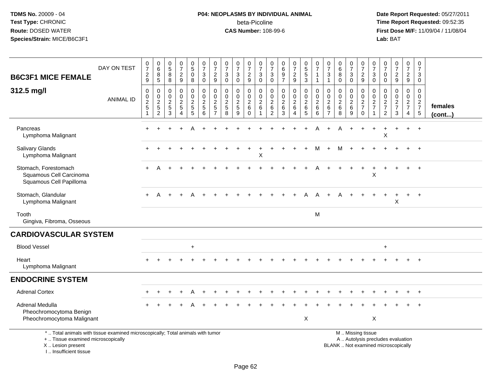# **P04: NEOPLASMS BY INDIVIDUAL ANIMAL**beta-Picoline<br>CAS Number: 108-99-6

| <b>B6C3F1 MICE FEMALE</b>                                                                                                                                             | DAY ON TEST      | $\frac{0}{7}$<br>$\frac{2}{9}$                              | $\begin{array}{c} 0 \\ 6 \end{array}$<br>$\begin{array}{c} 8 \\ 5 \end{array}$ | $\begin{array}{c} 0 \\ 5 \end{array}$<br>8<br>8                            | $\frac{0}{7}$<br>$\frac{2}{9}$                                 | $\begin{array}{c} 0 \\ 5 \end{array}$<br>$\pmb{0}$<br>8     | $\begin{smallmatrix}0\\7\end{smallmatrix}$<br>$\mathbf{3}$<br>$\mathsf 0$ | $\frac{0}{7}$<br>$\overline{2}$<br>$\boldsymbol{9}$                | $\begin{array}{c} 0 \\ 7 \end{array}$<br>$\sqrt{3}$<br>$\mathbf 0$           | $\frac{0}{7}$<br>$\sqrt{3}$<br>$\pmb{0}$                 | $\begin{array}{c} 0 \\ 7 \end{array}$<br>$\frac{2}{9}$           | 0<br>$\overline{7}$<br>3<br>0 | $\frac{0}{7}$<br>$\mathbf{3}$<br>$\mathsf{O}\xspace$          | $_{6}^{\rm 0}$<br>9<br>$\overline{7}$        | $\begin{smallmatrix}0\\7\end{smallmatrix}$<br>$\frac{2}{9}$  | $\begin{array}{c} 0 \\ 5 \end{array}$<br>$\sqrt{5}$<br>$\mathbf{3}$   | 0<br>$\overline{7}$<br>1<br>$\mathbf{1}$                       | $\frac{0}{7}$<br>3<br>$\mathbf{1}$                        | 0<br>$\overline{6}$<br>$\,8\,$<br>$\mathbf 0$ | $\begin{array}{c} 0 \\ 7 \end{array}$<br>$\mathbf{3}$<br>$\mathbf 0$ | $\begin{array}{c} 0 \\ 7 \end{array}$<br>$\frac{2}{9}$                                        | $\pmb{0}$<br>$\overline{7}$<br>3<br>$\mathbf 0$        | $\frac{0}{7}$<br>$\Omega$<br>0                                               | $\begin{smallmatrix}0\\7\end{smallmatrix}$<br>$\frac{2}{9}$ | $\pmb{0}$<br>$\overline{7}$<br>$\frac{2}{9}$      | 0<br>$\overline{7}$<br>3<br>$\mathbf 0$ |                   |
|-----------------------------------------------------------------------------------------------------------------------------------------------------------------------|------------------|-------------------------------------------------------------|--------------------------------------------------------------------------------|----------------------------------------------------------------------------|----------------------------------------------------------------|-------------------------------------------------------------|---------------------------------------------------------------------------|--------------------------------------------------------------------|------------------------------------------------------------------------------|----------------------------------------------------------|------------------------------------------------------------------|-------------------------------|---------------------------------------------------------------|----------------------------------------------|--------------------------------------------------------------|-----------------------------------------------------------------------|----------------------------------------------------------------|-----------------------------------------------------------|-----------------------------------------------|----------------------------------------------------------------------|-----------------------------------------------------------------------------------------------|--------------------------------------------------------|------------------------------------------------------------------------------|-------------------------------------------------------------|---------------------------------------------------|-----------------------------------------|-------------------|
| 312.5 mg/l                                                                                                                                                            | <b>ANIMAL ID</b> | $\pmb{0}$<br>$\mathop{2}\limits^{\mathbb{O}}$<br>$\sqrt{5}$ | $\pmb{0}$<br>$\frac{0}{2}$<br>5<br>2                                           | $\pmb{0}$<br>$\mathbf 0$<br>$\overline{2}$<br>$\sqrt{5}$<br>$\overline{3}$ | 0<br>$\mathbf 0$<br>$\sqrt{2}$<br>$\sqrt{5}$<br>$\overline{4}$ | $\pmb{0}$<br>$\mathbf 0$<br>$\overline{2}$<br>$\frac{5}{5}$ | $\mathsf 0$<br>0<br>$\boldsymbol{2}$<br>$5\phantom{.0}$<br>$\overline{6}$ | $\mathbf 0$<br>0<br>$\overline{c}$<br>$\sqrt{5}$<br>$\overline{7}$ | $\mathbf 0$<br>$\mathbf 0$<br>$\overline{2}$<br>$\sqrt{5}$<br>$\overline{8}$ | 0<br>0<br>$\overline{2}$<br>$\sqrt{5}$<br>$\overline{9}$ | $\mathbf 0$<br>$\mathbf 0$<br>$\overline{2}$<br>6<br>$\mathbf 0$ | 0<br>0<br>$\sqrt{2}$<br>6     | $\mathbf 0$<br>$\mathbf 0$<br>$\overline{2}$<br>$\frac{6}{2}$ | 0<br>$\mathbf 0$<br>$\overline{2}$<br>$^6_3$ | 0<br>$\overline{0}$<br>$\overline{2}$<br>6<br>$\overline{4}$ | $\pmb{0}$<br>$\pmb{0}$<br>$\overline{2}$<br>$\,6\,$<br>$\overline{5}$ | $\mathbf 0$<br>$\mathbf 0$<br>$\boldsymbol{2}$<br>$\,6\,$<br>6 | 0<br>$\mathbf 0$<br>$\overline{2}$<br>6<br>$\overline{7}$ | 0<br>$\mathbf 0$<br>$\overline{c}$<br>$^6_8$  | 0<br>$\mathbf 0$<br>$\overline{2}$<br>$6\phantom{1}$<br>9            | $\mathbf 0$<br>$\pmb{0}$<br>$\overline{2}$<br>$\overline{7}$<br>$\mathbf 0$                   | 0<br>$\mathbf 0$<br>$\boldsymbol{2}$<br>$\overline{7}$ | $\mathbf 0$<br>$\mathbf 0$<br>$\sqrt{2}$<br>$\overline{7}$<br>$\overline{2}$ | 0<br>$\mathbf 0$<br>$\overline{2}$<br>$\overline{7}$<br>3   | $\pmb{0}$<br>0<br>$\frac{2}{7}$<br>$\overline{4}$ | 0<br>$\mathbf 0$<br>$\frac{2}{7}$<br>5  | females<br>(cont) |
| Pancreas<br>Lymphoma Malignant                                                                                                                                        |                  |                                                             |                                                                                |                                                                            |                                                                |                                                             |                                                                           |                                                                    |                                                                              |                                                          |                                                                  |                               |                                                               |                                              |                                                              |                                                                       |                                                                |                                                           |                                               |                                                                      |                                                                                               |                                                        | X                                                                            |                                                             |                                                   |                                         |                   |
| <b>Salivary Glands</b><br>Lymphoma Malignant                                                                                                                          |                  |                                                             |                                                                                |                                                                            |                                                                |                                                             |                                                                           |                                                                    |                                                                              |                                                          |                                                                  | Χ                             |                                                               |                                              |                                                              |                                                                       | м                                                              |                                                           | м                                             |                                                                      |                                                                                               |                                                        |                                                                              |                                                             |                                                   |                                         |                   |
| Stomach, Forestomach<br>Squamous Cell Carcinoma<br>Squamous Cell Papilloma                                                                                            |                  |                                                             |                                                                                |                                                                            |                                                                |                                                             |                                                                           |                                                                    |                                                                              |                                                          |                                                                  |                               |                                                               |                                              |                                                              |                                                                       |                                                                |                                                           |                                               |                                                                      |                                                                                               | Χ                                                      |                                                                              |                                                             |                                                   |                                         |                   |
| Stomach, Glandular<br>Lymphoma Malignant                                                                                                                              |                  | $+$                                                         | A                                                                              | $+$                                                                        | $+$                                                            | A                                                           |                                                                           |                                                                    |                                                                              |                                                          |                                                                  |                               |                                                               |                                              | $+$                                                          | A                                                                     | A                                                              | $+$                                                       | A                                             |                                                                      |                                                                                               |                                                        |                                                                              | X                                                           |                                                   | $\ddot{}$                               |                   |
| Tooth<br>Gingiva, Fibroma, Osseous                                                                                                                                    |                  |                                                             |                                                                                |                                                                            |                                                                |                                                             |                                                                           |                                                                    |                                                                              |                                                          |                                                                  |                               |                                                               |                                              |                                                              |                                                                       | M                                                              |                                                           |                                               |                                                                      |                                                                                               |                                                        |                                                                              |                                                             |                                                   |                                         |                   |
| <b>CARDIOVASCULAR SYSTEM</b>                                                                                                                                          |                  |                                                             |                                                                                |                                                                            |                                                                |                                                             |                                                                           |                                                                    |                                                                              |                                                          |                                                                  |                               |                                                               |                                              |                                                              |                                                                       |                                                                |                                                           |                                               |                                                                      |                                                                                               |                                                        |                                                                              |                                                             |                                                   |                                         |                   |
| <b>Blood Vessel</b>                                                                                                                                                   |                  |                                                             |                                                                                |                                                                            |                                                                | $\ddot{}$                                                   |                                                                           |                                                                    |                                                                              |                                                          |                                                                  |                               |                                                               |                                              |                                                              |                                                                       |                                                                |                                                           |                                               |                                                                      |                                                                                               |                                                        | $\ddot{}$                                                                    |                                                             |                                                   |                                         |                   |
| Heart<br>Lymphoma Malignant                                                                                                                                           |                  |                                                             |                                                                                |                                                                            |                                                                |                                                             |                                                                           |                                                                    |                                                                              |                                                          |                                                                  |                               |                                                               |                                              |                                                              |                                                                       |                                                                |                                                           |                                               |                                                                      |                                                                                               |                                                        |                                                                              |                                                             |                                                   |                                         |                   |
| <b>ENDOCRINE SYSTEM</b>                                                                                                                                               |                  |                                                             |                                                                                |                                                                            |                                                                |                                                             |                                                                           |                                                                    |                                                                              |                                                          |                                                                  |                               |                                                               |                                              |                                                              |                                                                       |                                                                |                                                           |                                               |                                                                      |                                                                                               |                                                        |                                                                              |                                                             |                                                   |                                         |                   |
| <b>Adrenal Cortex</b>                                                                                                                                                 |                  |                                                             |                                                                                |                                                                            |                                                                |                                                             |                                                                           |                                                                    |                                                                              |                                                          |                                                                  |                               |                                                               |                                              |                                                              |                                                                       |                                                                |                                                           |                                               |                                                                      |                                                                                               |                                                        |                                                                              |                                                             |                                                   |                                         |                   |
| Adrenal Medulla<br>Pheochromocytoma Benign<br>Pheochromocytoma Malignant                                                                                              |                  |                                                             |                                                                                |                                                                            |                                                                |                                                             |                                                                           |                                                                    |                                                                              |                                                          |                                                                  |                               |                                                               |                                              |                                                              | $\boldsymbol{\mathsf{X}}$                                             |                                                                |                                                           |                                               |                                                                      |                                                                                               | $\boldsymbol{\mathsf{X}}$                              |                                                                              |                                                             |                                                   |                                         |                   |
| *  Total animals with tissue examined microscopically; Total animals with tumor<br>+  Tissue examined microscopically<br>X  Lesion present<br>I., Insufficient tissue |                  |                                                             |                                                                                |                                                                            |                                                                |                                                             |                                                                           |                                                                    |                                                                              |                                                          |                                                                  |                               |                                                               |                                              |                                                              |                                                                       |                                                                |                                                           |                                               |                                                                      | M  Missing tissue<br>A  Autolysis precludes evaluation<br>BLANK  Not examined microscopically |                                                        |                                                                              |                                                             |                                                   |                                         |                   |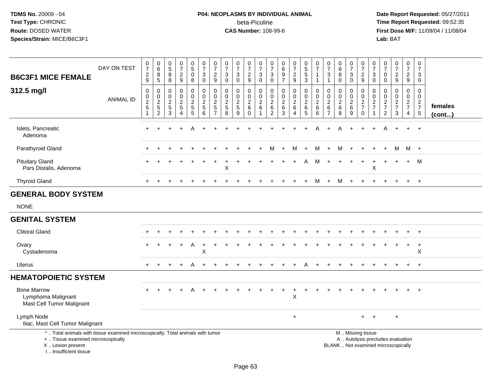# **P04: NEOPLASMS BY INDIVIDUAL ANIMAL**beta-Picoline<br>CAS Number: 108-99-6

| <b>B6C3F1 MICE FEMALE</b>                                                                                                                                            | DAY ON TEST      | 0<br>$\overline{7}$<br>$\frac{2}{9}$                           | $\begin{array}{c} 0 \\ 6 \end{array}$<br>8<br>$\sqrt{5}$ | $\begin{array}{c} 0 \\ 5 \end{array}$<br>8<br>8 | $\frac{0}{7}$<br>$\overline{c}$<br>$9\,$            | $\begin{array}{c} 0 \\ 5 \end{array}$<br>$\mathbf 0$<br>8            | $\frac{0}{7}$<br>$\sqrt{3}$<br>$\mathbf 0$                           | $\frac{0}{7}$<br>$\overline{c}$<br>9                                 | $\pmb{0}$<br>$\overline{7}$<br>$\sqrt{3}$<br>$\mathbf 0$    | $\frac{0}{7}$<br>$\mathbf{3}$<br>$\mathbf 0$ | $\frac{0}{7}$<br>$\frac{2}{9}$      | 0<br>$\overline{7}$<br>$\mathbf{3}$<br>$\mathbf 0$ | 0<br>$\overline{7}$<br>$\sqrt{3}$<br>$\mathbf 0$        | $\begin{array}{c} 0 \\ 6 \end{array}$<br>$\frac{9}{7}$                            | $\frac{0}{7}$<br>$\sqrt{2}$<br>$9\,$                              | $\begin{array}{c} 0 \\ 5 \\ 3 \end{array}$                        | 0<br>$\overline{7}$<br>$\mathbf{1}$                | $\pmb{0}$<br>$\overline{7}$<br>$\ensuremath{\mathsf{3}}$<br>$\mathbf{1}$ | $_6^0$<br>8<br>$\Omega$                                  | 0<br>$\overline{7}$<br>$_0^3$          | $\pmb{0}$<br>$\overline{7}$<br>$\frac{2}{9}$                  | $\boldsymbol{0}$<br>$\overline{7}$<br>$\sqrt{3}$<br>$\mathbf 0$ | $\frac{0}{7}$<br>$\mathbf 0$<br>$\mathbf 0$                   | $\frac{0}{7}$<br>$\overline{a}$<br>9   | $\frac{0}{7}$<br>$\sqrt{2}$<br>9                  | 0<br>$\overline{7}$<br>3<br>$\mathbf 0$                     |                   |
|----------------------------------------------------------------------------------------------------------------------------------------------------------------------|------------------|----------------------------------------------------------------|----------------------------------------------------------|-------------------------------------------------|-----------------------------------------------------|----------------------------------------------------------------------|----------------------------------------------------------------------|----------------------------------------------------------------------|-------------------------------------------------------------|----------------------------------------------|-------------------------------------|----------------------------------------------------|---------------------------------------------------------|-----------------------------------------------------------------------------------|-------------------------------------------------------------------|-------------------------------------------------------------------|----------------------------------------------------|--------------------------------------------------------------------------|----------------------------------------------------------|----------------------------------------|---------------------------------------------------------------|-----------------------------------------------------------------|---------------------------------------------------------------|----------------------------------------|---------------------------------------------------|-------------------------------------------------------------|-------------------|
| 312.5 mg/l                                                                                                                                                           | <b>ANIMAL ID</b> | $\boldsymbol{0}$<br>$\pmb{0}$<br>$\frac{2}{5}$<br>$\mathbf{1}$ | 0<br>$\mathbf 0$<br>$rac{2}{5}$<br>$\overline{c}$        | 0<br>$\boldsymbol{0}$<br>$\frac{2}{5}$<br>3     | 0<br>$\mathbf 0$<br>$\overline{c}$<br>5<br>$\Delta$ | 0<br>$\pmb{0}$<br>$\overline{a}$<br>$\overline{5}$<br>$\overline{5}$ | $\pmb{0}$<br>$\ddot{\mathbf{0}}$<br>$\frac{2}{5}$<br>$6\phantom{1}6$ | 0<br>$\mathbf 0$<br>$\boldsymbol{2}$<br>$\sqrt{5}$<br>$\overline{7}$ | $\mathbf 0$<br>$\mathbf 0$<br>$\sqrt{2}$<br>$\sqrt{5}$<br>8 | 0<br>$\mathbf 0$<br>$rac{2}{5}$<br>9         | 0<br>$\frac{0}{2}$ 6<br>$\mathbf 0$ | 0<br>$\mathbf 0$<br>$\overline{2}$<br>6            | 0<br>0<br>$\boldsymbol{2}$<br>$\,6\,$<br>$\overline{c}$ | $\mathbf 0$<br>$\ddot{\mathbf{0}}$<br>$\boldsymbol{2}$<br>$\,6\,$<br>$\mathbf{3}$ | 0<br>$\mathbf 0$<br>$\boldsymbol{2}$<br>$\,6\,$<br>$\overline{4}$ | $\mathbf 0$<br>$\ddot{\mathbf{0}}$<br>$\frac{2}{6}$<br>$\sqrt{5}$ | 0<br>$\mathbf 0$<br>$\overline{c}$<br>$\,6\,$<br>6 | 0<br>$\pmb{0}$<br>$\frac{2}{6}$<br>$\overline{7}$                        | 0<br>$\mathbf 0$<br>$\overline{2}$<br>$\,6\,$<br>8       | 0<br>$\frac{0}{2}$<br>$\boldsymbol{9}$ | $\mathbf 0$<br>$\overline{0}$<br>$\frac{2}{7}$<br>$\mathbf 0$ | 0<br>$\mathbf 0$<br>$\frac{2}{7}$                               | $\mathbf 0$<br>$\mathbf 0$<br>$\frac{2}{7}$<br>$\overline{2}$ | 0<br>$\mathbf 0$<br>$\frac{2}{7}$<br>3 | $\pmb{0}$<br>$\frac{0}{2}$<br>7<br>$\overline{4}$ | $\Omega$<br>$\mathbf 0$<br>$\frac{2}{7}$<br>$5\phantom{.0}$ | females<br>(cont) |
| Islets, Pancreatic<br>Adenoma                                                                                                                                        |                  |                                                                |                                                          |                                                 |                                                     |                                                                      |                                                                      |                                                                      |                                                             |                                              |                                     |                                                    |                                                         |                                                                                   |                                                                   |                                                                   |                                                    |                                                                          | A                                                        |                                        |                                                               |                                                                 |                                                               |                                        |                                                   | $+$                                                         |                   |
| Parathyroid Gland                                                                                                                                                    |                  |                                                                |                                                          |                                                 |                                                     |                                                                      |                                                                      |                                                                      |                                                             |                                              |                                     |                                                    |                                                         | $\overline{+}$                                                                    | M                                                                 | $+$                                                               | М                                                  | $\ddot{}$                                                                | M                                                        | $\ddot{}$                              |                                                               |                                                                 |                                                               | м                                      |                                                   | M +                                                         |                   |
| <b>Pituitary Gland</b><br>Pars Distalis, Adenoma                                                                                                                     |                  |                                                                |                                                          |                                                 |                                                     |                                                                      |                                                                      |                                                                      | $\mathsf X$                                                 |                                              |                                     |                                                    |                                                         |                                                                                   |                                                                   |                                                                   | м                                                  |                                                                          |                                                          |                                        |                                                               | $\sf X$                                                         |                                                               |                                        | $+$                                               | M                                                           |                   |
| <b>Thyroid Gland</b>                                                                                                                                                 |                  |                                                                |                                                          |                                                 |                                                     |                                                                      |                                                                      |                                                                      |                                                             |                                              |                                     |                                                    |                                                         |                                                                                   |                                                                   | $\pm$                                                             | М                                                  | $+$                                                                      | M                                                        | $+$                                    | $+$                                                           |                                                                 |                                                               |                                        | $+$                                               | $+$                                                         |                   |
| <b>GENERAL BODY SYSTEM</b>                                                                                                                                           |                  |                                                                |                                                          |                                                 |                                                     |                                                                      |                                                                      |                                                                      |                                                             |                                              |                                     |                                                    |                                                         |                                                                                   |                                                                   |                                                                   |                                                    |                                                                          |                                                          |                                        |                                                               |                                                                 |                                                               |                                        |                                                   |                                                             |                   |
| <b>NONE</b>                                                                                                                                                          |                  |                                                                |                                                          |                                                 |                                                     |                                                                      |                                                                      |                                                                      |                                                             |                                              |                                     |                                                    |                                                         |                                                                                   |                                                                   |                                                                   |                                                    |                                                                          |                                                          |                                        |                                                               |                                                                 |                                                               |                                        |                                                   |                                                             |                   |
| <b>GENITAL SYSTEM</b>                                                                                                                                                |                  |                                                                |                                                          |                                                 |                                                     |                                                                      |                                                                      |                                                                      |                                                             |                                              |                                     |                                                    |                                                         |                                                                                   |                                                                   |                                                                   |                                                    |                                                                          |                                                          |                                        |                                                               |                                                                 |                                                               |                                        |                                                   |                                                             |                   |
| <b>Clitoral Gland</b>                                                                                                                                                |                  |                                                                |                                                          |                                                 |                                                     |                                                                      |                                                                      |                                                                      |                                                             |                                              |                                     |                                                    |                                                         |                                                                                   |                                                                   |                                                                   |                                                    |                                                                          |                                                          |                                        |                                                               |                                                                 |                                                               |                                        |                                                   |                                                             |                   |
| Ovary<br>Cystadenoma                                                                                                                                                 |                  |                                                                |                                                          |                                                 | $\div$                                              | A                                                                    | X                                                                    |                                                                      |                                                             |                                              |                                     |                                                    |                                                         |                                                                                   |                                                                   |                                                                   |                                                    |                                                                          |                                                          |                                        |                                                               |                                                                 |                                                               |                                        |                                                   | $+$<br>X                                                    |                   |
| Uterus                                                                                                                                                               |                  |                                                                |                                                          |                                                 |                                                     | A                                                                    |                                                                      |                                                                      |                                                             |                                              |                                     |                                                    |                                                         |                                                                                   |                                                                   |                                                                   |                                                    |                                                                          |                                                          |                                        |                                                               |                                                                 |                                                               |                                        |                                                   | $\ddot{}$                                                   |                   |
| <b>HEMATOPOIETIC SYSTEM</b>                                                                                                                                          |                  |                                                                |                                                          |                                                 |                                                     |                                                                      |                                                                      |                                                                      |                                                             |                                              |                                     |                                                    |                                                         |                                                                                   |                                                                   |                                                                   |                                                    |                                                                          |                                                          |                                        |                                                               |                                                                 |                                                               |                                        |                                                   |                                                             |                   |
| <b>Bone Marrow</b><br>Lymphoma Malignant<br>Mast Cell Tumor Malignant                                                                                                |                  |                                                                |                                                          |                                                 |                                                     |                                                                      |                                                                      |                                                                      |                                                             |                                              |                                     |                                                    |                                                         |                                                                                   | $\ddot{}$<br>$\times$                                             |                                                                   |                                                    |                                                                          |                                                          |                                        |                                                               |                                                                 |                                                               |                                        |                                                   | $\ddot{}$                                                   |                   |
| Lymph Node<br>Iliac, Mast Cell Tumor Malignant                                                                                                                       |                  |                                                                |                                                          |                                                 |                                                     |                                                                      |                                                                      |                                                                      |                                                             |                                              |                                     |                                                    |                                                         |                                                                                   | $+$                                                               |                                                                   |                                                    |                                                                          |                                                          |                                        |                                                               | ÷                                                               |                                                               | $\ddot{}$                              |                                                   |                                                             |                   |
| *  Total animals with tissue examined microscopically; Total animals with tumor<br>+  Tissue examined microscopically<br>X Lesion present<br>I., Insufficient tissue |                  |                                                                |                                                          |                                                 |                                                     |                                                                      |                                                                      |                                                                      |                                                             |                                              |                                     |                                                    |                                                         |                                                                                   |                                                                   |                                                                   |                                                    |                                                                          | M  Missing tissue<br>BLANK  Not examined microscopically |                                        | A  Autolysis precludes evaluation                             |                                                                 |                                                               |                                        |                                                   |                                                             |                   |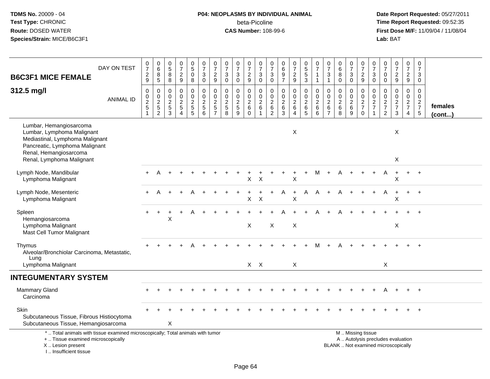# **P04: NEOPLASMS BY INDIVIDUAL ANIMAL**beta-Picoline<br>CAS Number: 108-99-6

| <b>B6C3F1 MICE FEMALE</b>                                                                                                                                           | DAY ON TEST      | $\begin{array}{c} 0 \\ 7 \end{array}$<br>$\frac{2}{9}$ | $\begin{array}{c} 0 \\ 6 \end{array}$<br>$\, 8$<br>$\sqrt{5}$ | 0<br>$\overline{5}$<br>$\,8\,$<br>8                                 | $\frac{0}{7}$<br>$\boldsymbol{2}$<br>$\boldsymbol{9}$                      | $\begin{array}{c} 0 \\ 5 \end{array}$<br>$\bar{0}$<br>8 | $\frac{0}{7}$<br>3<br>0                                     | $\frac{0}{7}$<br>$\boldsymbol{2}$<br>$9\,$                                 | $\begin{array}{c} 0 \\ 7 \end{array}$<br>$\ensuremath{\mathsf{3}}$<br>$\mathbf 0$ | $\begin{array}{c} 0 \\ 7 \end{array}$<br>$\sqrt{3}$<br>$\mathbf 0$ | $\begin{array}{c} 0 \\ 7 \end{array}$<br>$\sqrt{2}$<br>$9\,$  | $\,0\,$<br>$\overline{7}$<br>3<br>$\mathbf 0$       | $\frac{0}{7}$<br>$\mathbf 3$<br>$\mathbf 0$                         | 0<br>6<br>$\overline{9}$<br>$\overline{7}$                   | $\frac{0}{7}$<br>$\sqrt{2}$<br>$\boldsymbol{9}$                 | $\begin{array}{c} 0 \\ 5 \\ 5 \end{array}$<br>3                   | 0<br>$\overline{7}$<br>$\mathbf{1}$<br>$\mathbf{1}$ | $\frac{0}{7}$<br>3<br>$\mathbf{1}$                             | $\begin{array}{c} 0 \\ 6 \end{array}$<br>$\overline{8}$<br>$\mathbf 0$ | $\frac{0}{7}$<br>3<br>$\mathbf 0$                       | $\begin{array}{c} 0 \\ 7 \end{array}$<br>$\sqrt{2}$<br>9    | $\pmb{0}$<br>$\overline{7}$<br>$\sqrt{3}$<br>$\mathbf 0$    | $\begin{array}{c} 0 \\ 7 \end{array}$<br>$\mathbf 0$<br>$\mathbf 0$ | $\begin{array}{c} 0 \\ 7 \end{array}$<br>$\sqrt{2}$<br>9                 | $\frac{0}{7}$<br>$\overline{a}$<br>9                          | $\frac{0}{7}$<br>$\mathbf{3}$<br>$\mathbf 0$                   |                   |
|---------------------------------------------------------------------------------------------------------------------------------------------------------------------|------------------|--------------------------------------------------------|---------------------------------------------------------------|---------------------------------------------------------------------|----------------------------------------------------------------------------|---------------------------------------------------------|-------------------------------------------------------------|----------------------------------------------------------------------------|-----------------------------------------------------------------------------------|--------------------------------------------------------------------|---------------------------------------------------------------|-----------------------------------------------------|---------------------------------------------------------------------|--------------------------------------------------------------|-----------------------------------------------------------------|-------------------------------------------------------------------|-----------------------------------------------------|----------------------------------------------------------------|------------------------------------------------------------------------|---------------------------------------------------------|-------------------------------------------------------------|-------------------------------------------------------------|---------------------------------------------------------------------|--------------------------------------------------------------------------|---------------------------------------------------------------|----------------------------------------------------------------|-------------------|
| 312.5 mg/l                                                                                                                                                          | <b>ANIMAL ID</b> | 0<br>0<br>$\frac{2}{5}$<br>$\mathbf{1}$                | $\mathbf 0$<br>$0$<br>$2$<br>$5$<br>$2$                       | $\mathbf 0$<br>$\mathbf 0$<br>$\overline{2}$<br>$\overline{5}$<br>3 | $\Omega$<br>$\mathbf 0$<br>$\overline{2}$<br>$\mathbf 5$<br>$\overline{4}$ | 0<br>$\mathsf{O}$<br>$\overline{c}$<br>$\mathbf 5$<br>5 | $\mathbf 0$<br>$\mathsf{O}$<br>$\overline{2}$<br>$5\,$<br>6 | $\mathbf 0$<br>$\pmb{0}$<br>$\overline{2}$<br>$\sqrt{5}$<br>$\overline{7}$ | $\mathbf 0$<br>$\pmb{0}$<br>$\frac{2}{5}$<br>8                                    | 0<br>$\pmb{0}$<br>$\overline{2}$<br>$\sqrt{5}$<br>9                | 0<br>$\mathsf{O}\xspace$<br>$\sqrt{2}$<br>$\,6\,$<br>$\Omega$ | 0<br>$\mathbf 0$<br>$\sqrt{2}$<br>6<br>$\mathbf{1}$ | $\mathbf 0$<br>$\pmb{0}$<br>$\boldsymbol{2}$<br>6<br>$\overline{c}$ | $\mathbf 0$<br>$\mathsf 0$<br>$\overline{2}$<br>$\,6\,$<br>3 | 0<br>$\mathbf 0$<br>$\overline{2}$<br>$\,6\,$<br>$\overline{4}$ | 0<br>$\mathsf{O}\xspace$<br>$\overline{c}$<br>$\overline{6}$<br>5 | 0<br>$\mathbf 0$<br>$\overline{2}$<br>$\,6\,$<br>6  | 0<br>$\boldsymbol{0}$<br>$\overline{2}$<br>6<br>$\overline{7}$ | 0<br>$\pmb{0}$<br>$\overline{2}$<br>$\,6$<br>8                         | $\Omega$<br>$\mathbf 0$<br>$\overline{c}$<br>$\,6$<br>9 | $\mathbf 0$<br>$\mathsf{O}$<br>$\frac{2}{7}$<br>$\mathbf 0$ | $\mathbf 0$<br>$\mathsf 0$<br>$\frac{2}{7}$<br>$\mathbf{1}$ | $\mathbf 0$<br>$\mathbf 0$<br>$\frac{2}{7}$<br>$\overline{2}$       | $\mathbf 0$<br>$\mathbf 0$<br>$\frac{2}{7}$<br>3                         | $\mathbf 0$<br>$\mathbf 0$<br>$\frac{2}{7}$<br>$\overline{4}$ | $\mathbf 0$<br>$\mathbf 0$<br>$\frac{2}{7}$<br>$5\phantom{.0}$ | females<br>(cont) |
| Lumbar, Hemangiosarcoma<br>Lumbar, Lymphoma Malignant<br>Mediastinal, Lymphoma Malignant<br>Pancreatic, Lymphoma Malignant<br>Renal, Hemangiosarcoma                |                  |                                                        |                                                               |                                                                     |                                                                            |                                                         |                                                             |                                                                            |                                                                                   |                                                                    |                                                               |                                                     |                                                                     |                                                              | X                                                               |                                                                   |                                                     |                                                                |                                                                        |                                                         |                                                             |                                                             |                                                                     | X                                                                        |                                                               |                                                                |                   |
| Renal, Lymphoma Malignant                                                                                                                                           |                  |                                                        |                                                               |                                                                     |                                                                            |                                                         |                                                             |                                                                            |                                                                                   |                                                                    |                                                               |                                                     |                                                                     |                                                              |                                                                 |                                                                   |                                                     |                                                                |                                                                        |                                                         |                                                             |                                                             |                                                                     | X                                                                        |                                                               |                                                                |                   |
| Lymph Node, Mandibular<br>Lymphoma Malignant                                                                                                                        |                  |                                                        |                                                               |                                                                     |                                                                            |                                                         |                                                             |                                                                            |                                                                                   |                                                                    | $\mathsf X$                                                   | $\times$                                            |                                                                     |                                                              | $\boldsymbol{\mathsf{X}}$                                       |                                                                   | M                                                   |                                                                |                                                                        |                                                         |                                                             |                                                             | A                                                                   | X                                                                        | $\ddot{}$                                                     | $\overline{+}$                                                 |                   |
| Lymph Node, Mesenteric<br>Lymphoma Malignant                                                                                                                        |                  |                                                        |                                                               |                                                                     |                                                                            |                                                         |                                                             |                                                                            |                                                                                   |                                                                    | Χ                                                             | $\times$                                            |                                                                     |                                                              | X                                                               | A                                                                 | A                                                   |                                                                |                                                                        |                                                         |                                                             |                                                             | A                                                                   | X                                                                        | $\ddot{}$                                                     | $\overline{1}$                                                 |                   |
| Spleen<br>Hemangiosarcoma<br>Lymphoma Malignant<br>Mast Cell Tumor Malignant                                                                                        |                  |                                                        |                                                               | X                                                                   |                                                                            |                                                         |                                                             |                                                                            |                                                                                   |                                                                    | X                                                             |                                                     | Χ                                                                   |                                                              | $\boldsymbol{\mathsf{X}}$                                       |                                                                   |                                                     |                                                                |                                                                        |                                                         |                                                             |                                                             |                                                                     | $\boldsymbol{\mathsf{X}}$                                                |                                                               |                                                                |                   |
| Thymus<br>Alveolar/Bronchiolar Carcinoma, Metastatic,<br>Lung                                                                                                       |                  |                                                        |                                                               |                                                                     |                                                                            |                                                         |                                                             |                                                                            |                                                                                   |                                                                    |                                                               |                                                     |                                                                     |                                                              |                                                                 |                                                                   |                                                     |                                                                |                                                                        |                                                         |                                                             |                                                             |                                                                     |                                                                          |                                                               |                                                                |                   |
| Lymphoma Malignant                                                                                                                                                  |                  |                                                        |                                                               |                                                                     |                                                                            |                                                         |                                                             |                                                                            |                                                                                   |                                                                    | $X$ $X$                                                       |                                                     |                                                                     |                                                              | X                                                               |                                                                   |                                                     |                                                                |                                                                        |                                                         |                                                             |                                                             | X                                                                   |                                                                          |                                                               |                                                                |                   |
| <b>INTEGUMENTARY SYSTEM</b>                                                                                                                                         |                  |                                                        |                                                               |                                                                     |                                                                            |                                                         |                                                             |                                                                            |                                                                                   |                                                                    |                                                               |                                                     |                                                                     |                                                              |                                                                 |                                                                   |                                                     |                                                                |                                                                        |                                                         |                                                             |                                                             |                                                                     |                                                                          |                                                               |                                                                |                   |
| <b>Mammary Gland</b><br>Carcinoma                                                                                                                                   |                  |                                                        |                                                               |                                                                     |                                                                            |                                                         |                                                             |                                                                            |                                                                                   |                                                                    |                                                               |                                                     |                                                                     |                                                              |                                                                 |                                                                   |                                                     |                                                                |                                                                        |                                                         |                                                             | $\div$                                                      | A                                                                   |                                                                          | $+$                                                           | $+$                                                            |                   |
| Skin<br>Subcutaneous Tissue, Fibrous Histiocytoma<br>Subcutaneous Tissue, Hemangiosarcoma                                                                           |                  |                                                        |                                                               | X                                                                   |                                                                            |                                                         |                                                             |                                                                            |                                                                                   |                                                                    |                                                               |                                                     |                                                                     |                                                              |                                                                 |                                                                   |                                                     |                                                                |                                                                        |                                                         |                                                             |                                                             |                                                                     |                                                                          |                                                               |                                                                |                   |
| *  Total animals with tissue examined microscopically; Total animals with tumor<br>+  Tissue examined microscopically<br>X  Lesion present<br>I Insufficient tissue |                  |                                                        |                                                               |                                                                     |                                                                            |                                                         |                                                             |                                                                            |                                                                                   |                                                                    |                                                               |                                                     |                                                                     |                                                              |                                                                 |                                                                   |                                                     |                                                                | M  Missing tissue                                                      |                                                         |                                                             |                                                             |                                                                     | A  Autolysis precludes evaluation<br>BLANK  Not examined microscopically |                                                               |                                                                |                   |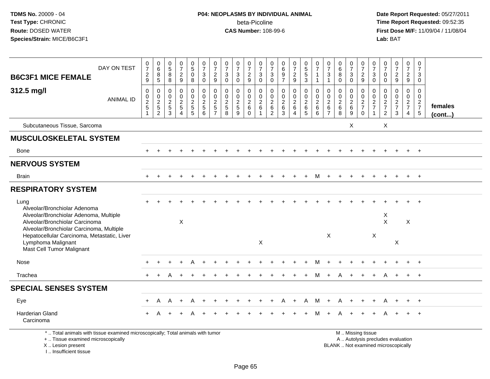# **P04: NEOPLASMS BY INDIVIDUAL ANIMAL**beta-Picoline<br>CAS Number: 108-99-6

 **Date Report Requested:** 05/27/2011 **Time Report Requested:** 09:52:35 **First Dose M/F:** 11/09/04 / 11/08/04<br>Lab: BAT **Lab:** BAT

| <b>B6C3F1 MICE FEMALE</b>                                                                                                                                    | DAY ON TEST      | $\frac{0}{7}$<br>$\frac{2}{9}$                          | $\begin{array}{c} 0 \\ 6 \end{array}$<br>$\frac{8}{5}$ | 0<br>8<br>8<br>8                               | $\begin{smallmatrix}0\\7\end{smallmatrix}$<br>$\overline{c}$<br>9 | $\begin{array}{c} 0 \\ 5 \end{array}$<br>$\mathbf 0$<br>8 | $\frac{0}{7}$<br>$\mathbf{3}$<br>$\mathbf 0$      | $\frac{0}{7}$<br>$\frac{2}{9}$                                           | $\frac{0}{7}$<br>$\sqrt{3}$<br>$\mathbf 0$  | $\frac{0}{7}$<br>$\ensuremath{\mathsf{3}}$<br>$\mathbf{0}$ | $\frac{0}{7}$<br>$\sqrt{2}$<br>$9\,$                      | $\frac{0}{7}$<br>$\mathbf{3}$<br>$\mathbf 0$                        | 0<br>$\overline{7}$<br>3<br>$\mathbf 0$                | $\begin{matrix} 0 \\ 6 \end{matrix}$<br>$\boldsymbol{9}$<br>$\overline{7}$ | $\frac{0}{7}$<br>$\frac{2}{9}$                                    | $\begin{array}{c} 0 \\ 5 \\ 5 \end{array}$<br>3                        | $\frac{0}{7}$<br>$\overline{1}$<br>$\overline{1}$        | $\frac{0}{7}$<br>$\mathbf{3}$<br>$\mathbf{1}$                   | $\begin{array}{c} 0 \\ 6 \end{array}$<br>8<br>$\Omega$   | $\frac{0}{7}$<br>3<br>$\mathbf 0$ | $\frac{0}{7}$<br>$\frac{2}{9}$      | 0<br>$\overline{7}$<br>$\sqrt{3}$<br>$\mathbf 0$           | $\frac{0}{7}$<br>0<br>$\mathbf 0$                | $\frac{0}{7}$<br>$\boldsymbol{2}$<br>9                                   | $\frac{0}{7}$<br>$\overline{2}$<br>$\boldsymbol{9}$         | $\frac{0}{7}$<br>3<br>$\mathbf 0$           |                         |
|--------------------------------------------------------------------------------------------------------------------------------------------------------------|------------------|---------------------------------------------------------|--------------------------------------------------------|------------------------------------------------|-------------------------------------------------------------------|-----------------------------------------------------------|---------------------------------------------------|--------------------------------------------------------------------------|---------------------------------------------|------------------------------------------------------------|-----------------------------------------------------------|---------------------------------------------------------------------|--------------------------------------------------------|----------------------------------------------------------------------------|-------------------------------------------------------------------|------------------------------------------------------------------------|----------------------------------------------------------|-----------------------------------------------------------------|----------------------------------------------------------|-----------------------------------|-------------------------------------|------------------------------------------------------------|--------------------------------------------------|--------------------------------------------------------------------------|-------------------------------------------------------------|---------------------------------------------|-------------------------|
| 312.5 mg/l                                                                                                                                                   | <b>ANIMAL ID</b> | $\pmb{0}$<br>$\pmb{0}$<br>$\frac{2}{5}$<br>$\mathbf{1}$ | 0<br>$\pmb{0}$<br>$\frac{2}{5}$                        | $\mathbf 0$<br>$\boldsymbol{0}$<br>$rac{2}{3}$ | $\mathbf 0$<br>0<br>$\sqrt{2}$<br>$\sqrt{5}$<br>$\overline{4}$    | $\mathbf 0$<br>0<br>$\overline{c}$<br>$\frac{5}{5}$       | $\pmb{0}$<br>$\mathsf{O}\xspace$<br>$\frac{2}{5}$ | $\mathbf 0$<br>$\mathbf 0$<br>$\sqrt{2}$<br>$\sqrt{5}$<br>$\overline{7}$ | $\Omega$<br>$\mathbf 0$<br>$rac{2}{5}$<br>8 | $\mathbf 0$<br>$\mathbf 0$<br>$\frac{2}{5}$<br>9           | $\mathbf 0$<br>$\mathbf 0$<br>$\sqrt{2}$<br>6<br>$\Omega$ | $\mathbf 0$<br>$\mathbf 0$<br>$\overline{2}$<br>6<br>$\overline{1}$ | $\mathbf 0$<br>$\mathbf 0$<br>$\overline{c}$<br>6<br>2 | $\mathbf 0$<br>$\mathbf 0$<br>$\sqrt{2}$<br>$\,6\,$<br>$\overline{3}$      | $\mathbf 0$<br>$\pmb{0}$<br>$\overline{2}$<br>6<br>$\overline{4}$ | $\mathbf 0$<br>0<br>$\overline{2}$<br>$6\phantom{a}$<br>$\overline{5}$ | $\mathbf 0$<br>$\mathbf 0$<br>$\sqrt{2}$<br>$\,6\,$<br>6 | $\mathbf 0$<br>$\mathbf 0$<br>$\sqrt{2}$<br>6<br>$\overline{7}$ | $\mathbf 0$<br>$\mathbf 0$<br>$\sqrt{2}$<br>$\,6\,$<br>8 | $\Omega$<br>0<br>$\frac{2}{6}$    | 0<br>0<br>$\frac{2}{7}$<br>$\Omega$ | $\mathbf 0$<br>$\mathbf 0$<br>$\sqrt{2}$<br>$\overline{7}$ | $\mathbf 0$<br>$\mathbf 0$<br>$\frac{2}{7}$<br>2 | $\mathbf 0$<br>0<br>$\sqrt{2}$<br>$\overline{7}$<br>$\mathbf{3}$         | $\mathbf 0$<br>$\mathbf 0$<br>$rac{2}{7}$<br>$\overline{4}$ | $\mathbf 0$<br>$\mathbf 0$<br>$\frac{2}{7}$ | females<br>$($ cont $)$ |
| Subcutaneous Tissue, Sarcoma                                                                                                                                 |                  |                                                         |                                                        |                                                |                                                                   |                                                           |                                                   |                                                                          |                                             |                                                            |                                                           |                                                                     |                                                        |                                                                            |                                                                   |                                                                        |                                                          |                                                                 |                                                          | X                                 |                                     |                                                            | X                                                |                                                                          |                                                             |                                             |                         |
| <b>MUSCULOSKELETAL SYSTEM</b>                                                                                                                                |                  |                                                         |                                                        |                                                |                                                                   |                                                           |                                                   |                                                                          |                                             |                                                            |                                                           |                                                                     |                                                        |                                                                            |                                                                   |                                                                        |                                                          |                                                                 |                                                          |                                   |                                     |                                                            |                                                  |                                                                          |                                                             |                                             |                         |
| Bone                                                                                                                                                         |                  |                                                         |                                                        |                                                |                                                                   |                                                           |                                                   |                                                                          |                                             |                                                            |                                                           |                                                                     |                                                        |                                                                            |                                                                   |                                                                        |                                                          |                                                                 |                                                          |                                   |                                     |                                                            |                                                  |                                                                          |                                                             | $+$                                         |                         |
| <b>NERVOUS SYSTEM</b>                                                                                                                                        |                  |                                                         |                                                        |                                                |                                                                   |                                                           |                                                   |                                                                          |                                             |                                                            |                                                           |                                                                     |                                                        |                                                                            |                                                                   |                                                                        |                                                          |                                                                 |                                                          |                                   |                                     |                                                            |                                                  |                                                                          |                                                             |                                             |                         |
| <b>Brain</b>                                                                                                                                                 |                  |                                                         |                                                        |                                                |                                                                   |                                                           |                                                   |                                                                          |                                             |                                                            |                                                           |                                                                     |                                                        |                                                                            |                                                                   |                                                                        | M                                                        |                                                                 |                                                          |                                   |                                     |                                                            |                                                  |                                                                          |                                                             | $+$                                         |                         |
| <b>RESPIRATORY SYSTEM</b>                                                                                                                                    |                  |                                                         |                                                        |                                                |                                                                   |                                                           |                                                   |                                                                          |                                             |                                                            |                                                           |                                                                     |                                                        |                                                                            |                                                                   |                                                                        |                                                          |                                                                 |                                                          |                                   |                                     |                                                            |                                                  |                                                                          |                                                             |                                             |                         |
| Lung<br>Alveolar/Bronchiolar Adenoma<br>Alveolar/Bronchiolar Adenoma, Multiple<br>Alveolar/Bronchiolar Carcinoma<br>Alveolar/Bronchiolar Carcinoma, Multiple |                  |                                                         |                                                        |                                                | X                                                                 |                                                           |                                                   |                                                                          |                                             |                                                            |                                                           |                                                                     |                                                        |                                                                            |                                                                   |                                                                        |                                                          |                                                                 |                                                          |                                   |                                     |                                                            | X<br>$\mathsf{X}$                                |                                                                          | X                                                           |                                             |                         |
| Hepatocellular Carcinoma, Metastatic, Liver<br>Lymphoma Malignant<br>Mast Cell Tumor Malignant                                                               |                  |                                                         |                                                        |                                                |                                                                   |                                                           |                                                   |                                                                          |                                             |                                                            |                                                           | $\times$                                                            |                                                        |                                                                            |                                                                   |                                                                        |                                                          | X                                                               |                                                          |                                   |                                     | X                                                          |                                                  | $\mathsf{X}$                                                             |                                                             |                                             |                         |
| Nose                                                                                                                                                         |                  |                                                         |                                                        |                                                |                                                                   |                                                           |                                                   |                                                                          |                                             |                                                            |                                                           |                                                                     |                                                        |                                                                            |                                                                   |                                                                        |                                                          |                                                                 |                                                          |                                   |                                     |                                                            |                                                  |                                                                          |                                                             |                                             |                         |
| Trachea                                                                                                                                                      |                  |                                                         |                                                        |                                                |                                                                   |                                                           |                                                   |                                                                          |                                             |                                                            |                                                           |                                                                     |                                                        |                                                                            |                                                                   |                                                                        |                                                          |                                                                 |                                                          |                                   |                                     |                                                            |                                                  |                                                                          |                                                             |                                             |                         |
| <b>SPECIAL SENSES SYSTEM</b>                                                                                                                                 |                  |                                                         |                                                        |                                                |                                                                   |                                                           |                                                   |                                                                          |                                             |                                                            |                                                           |                                                                     |                                                        |                                                                            |                                                                   |                                                                        |                                                          |                                                                 |                                                          |                                   |                                     |                                                            |                                                  |                                                                          |                                                             |                                             |                         |
| Eye                                                                                                                                                          |                  | $+$                                                     | A                                                      | A                                              | $\ddot{}$                                                         | A                                                         |                                                   |                                                                          |                                             |                                                            |                                                           |                                                                     |                                                        | Α                                                                          | $\ddot{}$                                                         | A                                                                      | M                                                        | $+$                                                             | A                                                        |                                   |                                     | $\ddot{}$                                                  | A                                                |                                                                          | $+$                                                         | $+$                                         |                         |
| Harderian Gland<br>Carcinoma                                                                                                                                 |                  |                                                         |                                                        |                                                |                                                                   |                                                           |                                                   |                                                                          |                                             |                                                            |                                                           |                                                                     |                                                        |                                                                            |                                                                   |                                                                        |                                                          |                                                                 |                                                          |                                   |                                     |                                                            |                                                  |                                                                          |                                                             |                                             |                         |
| *  Total animals with tissue examined microscopically; Total animals with tumor<br>+  Tissue examined microscopically<br>X  Lesion present                   |                  |                                                         |                                                        |                                                |                                                                   |                                                           |                                                   |                                                                          |                                             |                                                            |                                                           |                                                                     |                                                        |                                                                            |                                                                   |                                                                        |                                                          |                                                                 |                                                          |                                   | M  Missing tissue                   |                                                            |                                                  | A  Autolysis precludes evaluation<br>BLANK  Not examined microscopically |                                                             |                                             |                         |

X .. Lesion present

I .. Insufficient tissue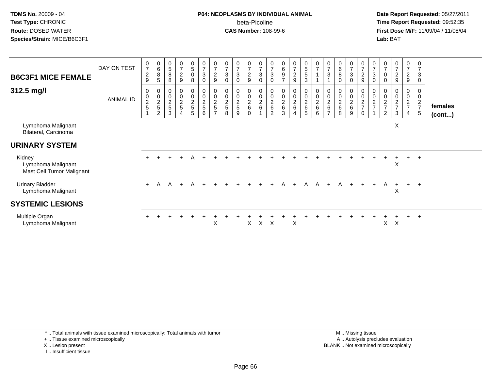# **P04: NEOPLASMS BY INDIVIDUAL ANIMAL**beta-Picoline<br>CAS Number: 108-99-6

 **Date Report Requested:** 05/27/2011 **Time Report Requested:** 09:52:35 **First Dose M/F:** 11/09/04 / 11/08/04<br>Lab: BAT **Lab:** BAT

| <b>B6C3F1 MICE FEMALE</b><br>312.5 mg/l                   | DAY ON TEST<br><b>ANIMAL ID</b> | $\frac{0}{7}$<br>$\boldsymbol{2}$<br>$\boldsymbol{9}$<br>0<br>$\pmb{0}$<br>$\frac{2}{5}$ | $\begin{array}{c} 0 \\ 6 \end{array}$<br>$\begin{array}{c} 8 \\ 5 \end{array}$<br>0<br>$\begin{array}{c} 0 \\ 2 \\ 5 \end{array}$<br>$\overline{c}$ | $\begin{array}{c} 0 \\ 5 \end{array}$<br>8<br>8<br>0<br>$\pmb{0}$<br>$\frac{2}{5}$<br>3 | $\frac{0}{7}$<br>$\sqrt{2}$<br>$9\,$<br>00025<br>4 | $\begin{array}{c} 0 \\ 5 \end{array}$<br>$\mathsf{O}$<br>8<br>0<br>$\overline{0}$<br>$\frac{2}{5}$<br>5 | $\frac{0}{7}$<br>$\ensuremath{\mathsf{3}}$<br>$\mathbf 0$<br>0<br>$\mathbf 0$<br>$\frac{2}{5}$<br>6 | $\frac{0}{7}$<br>$\frac{2}{9}$<br>0<br>$\mathbf 0$<br>$\frac{2}{5}$ | $\frac{0}{7}$<br>$\mathbf{3}$<br>$\mathbf 0$<br>$\mathbf 0$<br>$\boldsymbol{2}$<br>5<br>8 | $\frac{0}{7}$<br>$\mathbf{3}$<br>$\mathbf 0$<br>0<br>$\ddot{\mathbf{0}}$<br>$\frac{2}{5}$<br>9 | $\frac{0}{7}$<br>$\overline{c}$<br>9<br>0<br>$\mathbf 0$<br>$\frac{2}{6}$<br>0 | $\frac{0}{7}$<br>$\sqrt{3}$<br>$\mathbf 0$<br>$\pmb{0}$<br>$\frac{0}{2}$ 6 | $\frac{0}{7}$<br>$\mathbf{3}$<br>$\mathbf 0$<br>0<br>$\pmb{0}$<br>$\frac{2}{6}$<br>2 | $\boldsymbol{0}$<br>$\,6$<br>$\boldsymbol{9}$<br>$\overline{7}$<br>0<br>$\overline{0}$<br>$\frac{2}{6}$<br>3 | $\frac{0}{7}$<br>$\overline{a}$<br>9<br>$\mathbf 0$<br>$\ddot{\mathbf{0}}$<br>$\frac{2}{6}$<br>4 | $\begin{array}{c} 0 \\ 5 \end{array}$<br>$\sqrt{5}$<br>3<br>0<br>$\bar{0}$<br>$\frac{2}{6}$<br>5 | $\frac{0}{7}$<br>$\overline{ }$<br>00026<br>6 | $\frac{0}{7}$<br>$\sqrt{3}$<br>$\pmb{0}$<br>$\overline{\mathbf{c}}$<br>6 | $\begin{matrix} 0 \\ 6 \end{matrix}$<br>$\, 8$<br>$\mathbf 0$<br>0<br>$\ddot{\mathbf{0}}$<br>$\frac{2}{6}$<br>8 | $\frac{0}{7}$<br>$\mathbf{3}$<br>0<br>0<br>0<br>$\frac{2}{6}$<br>9 | $\begin{array}{c} 0 \\ 7 \end{array}$<br>$\frac{2}{9}$<br>$\pmb{0}$<br>$\frac{0}{2}$<br>$\mathbf 0$ | 0<br>$\overline{7}$<br>3<br>0<br>0<br>$\pmb{0}$<br>$\overline{\mathbf{c}}$<br>$\overline{ }$ | $\begin{array}{c} 0 \\ 7 \end{array}$<br>$\mathbf 0$<br>$\pmb{0}$<br>$\overline{c}$<br>$\overline{7}$<br>$\overline{2}$ | $\frac{0}{7}$<br>$\overline{a}$<br>9<br>0<br>$\overline{0}$<br>$\boldsymbol{2}$<br>$\overline{7}$<br>3 | $\frac{0}{7}$<br>$\frac{2}{9}$<br>0<br>0<br>$\overline{a}$<br>$\overline{7}$<br>4 | 0<br>$\overline{7}$<br>3<br>$\mathbf 0$<br>0<br>$\mathbf 0$<br>$\frac{2}{7}$<br>$\sqrt{5}$ | females<br>$($ cont $)$ |
|-----------------------------------------------------------|---------------------------------|------------------------------------------------------------------------------------------|-----------------------------------------------------------------------------------------------------------------------------------------------------|-----------------------------------------------------------------------------------------|----------------------------------------------------|---------------------------------------------------------------------------------------------------------|-----------------------------------------------------------------------------------------------------|---------------------------------------------------------------------|-------------------------------------------------------------------------------------------|------------------------------------------------------------------------------------------------|--------------------------------------------------------------------------------|----------------------------------------------------------------------------|--------------------------------------------------------------------------------------|--------------------------------------------------------------------------------------------------------------|--------------------------------------------------------------------------------------------------|--------------------------------------------------------------------------------------------------|-----------------------------------------------|--------------------------------------------------------------------------|-----------------------------------------------------------------------------------------------------------------|--------------------------------------------------------------------|-----------------------------------------------------------------------------------------------------|----------------------------------------------------------------------------------------------|-------------------------------------------------------------------------------------------------------------------------|--------------------------------------------------------------------------------------------------------|-----------------------------------------------------------------------------------|--------------------------------------------------------------------------------------------|-------------------------|
| Lymphoma Malignant<br>Bilateral, Carcinoma                |                                 |                                                                                          |                                                                                                                                                     |                                                                                         |                                                    |                                                                                                         |                                                                                                     |                                                                     |                                                                                           |                                                                                                |                                                                                |                                                                            |                                                                                      |                                                                                                              |                                                                                                  |                                                                                                  |                                               |                                                                          |                                                                                                                 |                                                                    |                                                                                                     |                                                                                              |                                                                                                                         | X                                                                                                      |                                                                                   |                                                                                            |                         |
| <b>URINARY SYSTEM</b>                                     |                                 |                                                                                          |                                                                                                                                                     |                                                                                         |                                                    |                                                                                                         |                                                                                                     |                                                                     |                                                                                           |                                                                                                |                                                                                |                                                                            |                                                                                      |                                                                                                              |                                                                                                  |                                                                                                  |                                               |                                                                          |                                                                                                                 |                                                                    |                                                                                                     |                                                                                              |                                                                                                                         |                                                                                                        |                                                                                   |                                                                                            |                         |
| Kidney<br>Lymphoma Malignant<br>Mast Cell Tumor Malignant |                                 | $+$                                                                                      |                                                                                                                                                     |                                                                                         |                                                    | A                                                                                                       |                                                                                                     |                                                                     |                                                                                           |                                                                                                |                                                                                |                                                                            |                                                                                      |                                                                                                              |                                                                                                  |                                                                                                  |                                               |                                                                          |                                                                                                                 |                                                                    |                                                                                                     |                                                                                              |                                                                                                                         | X                                                                                                      | $+$                                                                               | $+$                                                                                        |                         |
| <b>Urinary Bladder</b><br>Lymphoma Malignant              |                                 | $+$                                                                                      | A                                                                                                                                                   |                                                                                         | $A + A +$                                          |                                                                                                         |                                                                                                     |                                                                     |                                                                                           |                                                                                                | $+$                                                                            |                                                                            |                                                                                      | A                                                                                                            | $+$                                                                                              | A                                                                                                | A                                             | $+$                                                                      |                                                                                                                 | A +                                                                | $+$                                                                                                 | $+$                                                                                          | $\mathsf{A}$                                                                                                            | $+$<br>X                                                                                               | $+$ $+$                                                                           |                                                                                            |                         |
| <b>SYSTEMIC LESIONS</b>                                   |                                 |                                                                                          |                                                                                                                                                     |                                                                                         |                                                    |                                                                                                         |                                                                                                     |                                                                     |                                                                                           |                                                                                                |                                                                                |                                                                            |                                                                                      |                                                                                                              |                                                                                                  |                                                                                                  |                                               |                                                                          |                                                                                                                 |                                                                    |                                                                                                     |                                                                                              |                                                                                                                         |                                                                                                        |                                                                                   |                                                                                            |                         |
| Multiple Organ<br>Lymphoma Malignant                      |                                 |                                                                                          |                                                                                                                                                     |                                                                                         |                                                    |                                                                                                         |                                                                                                     | Χ                                                                   |                                                                                           |                                                                                                | X.                                                                             | $\mathsf{X}$                                                               | X                                                                                    |                                                                                                              | X                                                                                                |                                                                                                  |                                               |                                                                          |                                                                                                                 |                                                                    |                                                                                                     |                                                                                              | X                                                                                                                       | X                                                                                                      |                                                                                   |                                                                                            |                         |

\* .. Total animals with tissue examined microscopically; Total animals with tumor

+ .. Tissue examined microscopically

X .. Lesion present

I .. Insufficient tissue

 M .. Missing tissuey the contract of the contract of the contract of the contract of the contract of the contract of the contract of  $A$ . Autolysis precludes evaluation Lesion present BLANK .. Not examined microscopically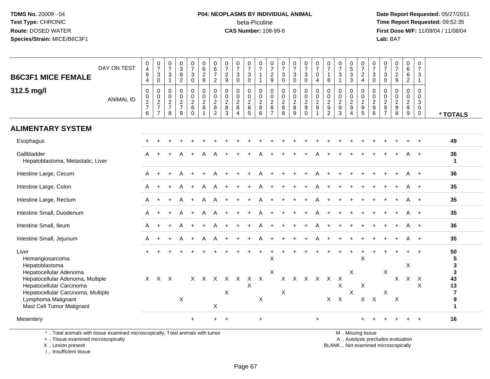#### **P04: NEOPLASMS BY INDIVIDUAL ANIMAL**beta-Picoline<br>CAS Number: 108-99-6

 **Date Report Requested:** 05/27/2011 **Time Report Requested:** 09:52:35 **First Dose M/F:** 11/09/04 / 11/08/04<br>Lab: BAT **Lab:** BAT

| <b>B6C3F1 MICE FEMALE</b><br>312.5 mg/l                                                                                                                                         | DAY ON TEST      | 0<br>$\overline{4}$<br>$\boldsymbol{9}$<br>4<br>$\boldsymbol{0}$ | $\frac{0}{7}$<br>$\sqrt{3}$<br>$\mathbf 0$<br>$\pmb{0}$ | $\frac{0}{7}$<br>$\mathsf 3$<br>$\mathbf{1}$<br>$\pmb{0}$ | $_{3}^{\rm 0}$<br>$\bf 8$<br>$\overline{2}$<br>$\pmb{0}$ | 0<br>$\boldsymbol{7}$<br>$\mathsf 3$<br>$\overline{0}$<br>$\mathbf 0$ | 0<br>$\,6\,$<br>$\overline{c}$<br>8<br>$\pmb{0}$ | $\boldsymbol{0}$<br>$\,6\,$<br>$\overline{7}$<br>$\overline{2}$<br>0 | $\frac{0}{7}$<br>$\sqrt{2}$<br>9<br>$\mathbf 0$ | $\frac{0}{7}$<br>$\mathbf{3}$<br>$\mathbf 0$<br>0     | $\frac{0}{7}$<br>$\mathsf 3$<br>$\mathbf 0$<br>$\pmb{0}$ | $\frac{0}{7}$<br>$\mathbf{1}$<br>$\mathbf{1}$<br>$\pmb{0}$ | 0<br>$\overline{7}$<br>$\sqrt{2}$<br>9<br>0 | $\frac{0}{7}$<br>$\sqrt{3}$<br>$\mathbf 0$                        | $\frac{0}{7}$<br>$\sqrt{3}$<br>$\mathbf 0$<br>0 | $\frac{0}{7}$<br>$\mathbf{3}$<br>$\mathbf 0$<br>$\begin{smallmatrix}0\\0\end{smallmatrix}$ | $\frac{0}{7}$<br>0<br>$\overline{4}$<br>0 | $\frac{0}{7}$<br>$\mathbf{1}$<br>8<br>$\pmb{0}$ | $\frac{0}{7}$<br>3<br>$\mathbf{1}$<br>0 | $\begin{smallmatrix}0\0\5\end{smallmatrix}$<br>$\ensuremath{\mathsf{3}}$<br>3<br>0 | $\frac{0}{7}$<br>$_4^2$<br>$\pmb{0}$                   | $\frac{0}{7}$<br>$\ensuremath{\mathsf{3}}$<br>$\mathbf 0$<br>$\boldsymbol{0}$ | $\frac{0}{7}$<br>$\sqrt{3}$<br>$\mathbf 0$<br>0                   | $\frac{0}{7}$<br>$\sqrt{2}$<br>$\boldsymbol{9}$<br>0 | 0<br>6<br>6<br>$\overline{2}$<br>$\pmb{0}$ | 0<br>$\overline{7}$<br>3<br>$\mathbf{1}$<br>0 |                                                                |
|---------------------------------------------------------------------------------------------------------------------------------------------------------------------------------|------------------|------------------------------------------------------------------|---------------------------------------------------------|-----------------------------------------------------------|----------------------------------------------------------|-----------------------------------------------------------------------|--------------------------------------------------|----------------------------------------------------------------------|-------------------------------------------------|-------------------------------------------------------|----------------------------------------------------------|------------------------------------------------------------|---------------------------------------------|-------------------------------------------------------------------|-------------------------------------------------|--------------------------------------------------------------------------------------------|-------------------------------------------|-------------------------------------------------|-----------------------------------------|------------------------------------------------------------------------------------|--------------------------------------------------------|-------------------------------------------------------------------------------|-------------------------------------------------------------------|------------------------------------------------------|--------------------------------------------|-----------------------------------------------|----------------------------------------------------------------|
|                                                                                                                                                                                 | <b>ANIMAL ID</b> | 0<br>$\frac{2}{7}$<br>6                                          | $\frac{0}{2}$<br>$\overline{7}$                         | $\mathbf 0$<br>$\frac{2}{7}$<br>8                         | $\pmb{0}$<br>$\frac{2}{7}$<br>9                          | $\mathsf{O}\xspace$<br>$\frac{2}{8}$<br>$\Omega$                      | $\overline{0}$<br>$\frac{2}{8}$<br>1             | $\mathbf 0$<br>$\frac{2}{8}$<br>$\overline{2}$                       | $\mathsf 0$<br>$\sqrt{2}$<br>8<br>3             | $\mathsf{O}\xspace$<br>$_{\rm 8}^2$<br>$\overline{4}$ | $\ddot{\mathbf{0}}$<br>$\frac{2}{8}$<br>$\sqrt{5}$       | $\ddot{\mathbf{0}}$<br>$\frac{2}{8}$<br>6                  | $\pmb{0}$<br>$_{\rm 8}^2$<br>$\overline{7}$ | $\begin{array}{c} 0 \\ 0 \\ 2 \\ 8 \end{array}$<br>$\overline{8}$ | $\mathsf{O}\xspace$<br>$\frac{2}{8}$<br>9       | $\frac{2}{9}$<br>$\mathbf 0$                                                               | $\pmb{0}$<br>$\frac{2}{9}$                | $\frac{0}{2}$<br>$\overline{2}$                 | $\pmb{0}$<br>$\frac{2}{9}$<br>3         | $\frac{0}{2}$<br>$\overline{4}$                                                    | $\ddot{\mathbf{0}}$<br>$\frac{2}{9}$<br>$\overline{5}$ | $\mathbf 0$<br>$\frac{2}{9}$<br>6                                             | $\mathsf{O}\xspace$<br>$\begin{array}{c} 2 \\ 9 \\ 7 \end{array}$ | $\pmb{0}$<br>$\frac{2}{9}$<br>8                      | $\mathsf{O}\xspace$<br>$\frac{2}{9}$<br>9  | 0<br>3<br>$\mathbf 0$<br>$\mathbf 0$          | * TOTALS                                                       |
| <b>ALIMENTARY SYSTEM</b>                                                                                                                                                        |                  |                                                                  |                                                         |                                                           |                                                          |                                                                       |                                                  |                                                                      |                                                 |                                                       |                                                          |                                                            |                                             |                                                                   |                                                 |                                                                                            |                                           |                                                 |                                         |                                                                                    |                                                        |                                                                               |                                                                   |                                                      |                                            |                                               |                                                                |
| Esophagus                                                                                                                                                                       |                  |                                                                  |                                                         |                                                           |                                                          |                                                                       |                                                  |                                                                      |                                                 |                                                       |                                                          |                                                            |                                             |                                                                   |                                                 |                                                                                            |                                           |                                                 |                                         |                                                                                    |                                                        |                                                                               |                                                                   |                                                      |                                            |                                               | 49                                                             |
| Gallbladder<br>Hepatoblastoma, Metastatic, Liver                                                                                                                                |                  | A                                                                | $+$                                                     |                                                           | A                                                        | $+$                                                                   | A                                                | A                                                                    |                                                 |                                                       |                                                          | А                                                          |                                             |                                                                   |                                                 |                                                                                            |                                           |                                                 |                                         |                                                                                    |                                                        |                                                                               |                                                                   |                                                      |                                            | $+$                                           | 36<br>-1                                                       |
| Intestine Large, Cecum                                                                                                                                                          |                  | A                                                                |                                                         |                                                           |                                                          |                                                                       |                                                  |                                                                      |                                                 |                                                       |                                                          |                                                            |                                             |                                                                   |                                                 |                                                                                            |                                           |                                                 |                                         |                                                                                    |                                                        |                                                                               |                                                                   |                                                      |                                            |                                               | 36                                                             |
| Intestine Large, Colon                                                                                                                                                          |                  | A                                                                | $\ddot{}$                                               |                                                           | A                                                        | $+$                                                                   | A                                                | A                                                                    |                                                 |                                                       |                                                          | А                                                          |                                             |                                                                   |                                                 |                                                                                            |                                           |                                                 |                                         |                                                                                    |                                                        |                                                                               |                                                                   |                                                      |                                            | $\overline{+}$                                | 35                                                             |
| Intestine Large, Rectum                                                                                                                                                         |                  | A                                                                |                                                         |                                                           | A                                                        | $+$                                                                   | A                                                | A                                                                    |                                                 |                                                       |                                                          | A                                                          |                                             |                                                                   |                                                 |                                                                                            |                                           |                                                 |                                         |                                                                                    |                                                        |                                                                               |                                                                   |                                                      |                                            |                                               | 35                                                             |
| Intestine Small, Duodenum                                                                                                                                                       |                  | A                                                                |                                                         |                                                           | A                                                        | $+$                                                                   | A                                                | A                                                                    |                                                 |                                                       |                                                          | A                                                          |                                             |                                                                   |                                                 |                                                                                            |                                           |                                                 |                                         |                                                                                    |                                                        |                                                                               |                                                                   |                                                      |                                            | $\overline{+}$                                | 35                                                             |
| Intestine Small, Ileum                                                                                                                                                          |                  | A                                                                |                                                         |                                                           | A                                                        | $+$                                                                   |                                                  | Α                                                                    |                                                 |                                                       |                                                          | A                                                          |                                             |                                                                   |                                                 |                                                                                            |                                           |                                                 |                                         |                                                                                    |                                                        |                                                                               |                                                                   |                                                      |                                            | $+$                                           | 36                                                             |
| Intestine Small, Jejunum                                                                                                                                                        |                  | A                                                                |                                                         |                                                           | А                                                        | $+$                                                                   | A                                                | A                                                                    |                                                 |                                                       |                                                          | А                                                          |                                             |                                                                   |                                                 |                                                                                            |                                           |                                                 |                                         |                                                                                    |                                                        |                                                                               |                                                                   |                                                      |                                            | $+$                                           | 35                                                             |
| Liver<br>Hemangiosarcoma<br>Hepatoblastoma                                                                                                                                      |                  |                                                                  |                                                         |                                                           |                                                          |                                                                       |                                                  |                                                                      |                                                 |                                                       | $\ddot{}$                                                | $\ddot{}$                                                  | $\ddot{}$<br>X                              |                                                                   |                                                 |                                                                                            |                                           |                                                 | $\ddot{}$                               | $+$                                                                                | $\overline{1}$<br>X                                    |                                                                               |                                                                   |                                                      | X                                          |                                               | 50<br>5<br>$\mathbf 3$                                         |
| Hepatocellular Adenoma<br>Hepatocellular Adenoma, Multiple<br>Hepatocellular Carcinoma<br>Hepatocellular Carcinoma, Multiple<br>Lymphoma Malignant<br>Mast Cell Tumor Malignant |                  | $\mathsf{X}$                                                     | $X$ $X$                                                 |                                                           | X                                                        |                                                                       | $X$ $X$                                          | $\mathsf{X}$<br>$\times$                                             | $X$ $X$<br>X                                    |                                                       | $\mathsf{X}$<br>X                                        | $\mathsf{X}$<br>X                                          | $\pmb{\times}$                              | X                                                                 | $X$ $X$                                         | X X X X                                                                                    |                                           | $X$ $X$                                         | X                                       | X<br>X                                                                             | X<br>$X$ $X$                                           |                                                                               | $\boldsymbol{\mathsf{X}}$<br>$\boldsymbol{\mathsf{X}}$            | X<br>$\times$                                        | $X$ $X$                                    | X                                             | $\mathbf{3}$<br>43<br>13<br>$\overline{7}$<br>9<br>$\mathbf 1$ |
| Mesentery                                                                                                                                                                       |                  |                                                                  |                                                         |                                                           |                                                          | $+$                                                                   |                                                  | $+$                                                                  | $\ddot{}$                                       |                                                       |                                                          | $\ddot{}$                                                  |                                             |                                                                   |                                                 |                                                                                            | $\ddot{}$                                 |                                                 |                                         |                                                                                    |                                                        |                                                                               |                                                                   |                                                      |                                            |                                               | 16                                                             |

\* .. Total animals with tissue examined microscopically; Total animals with tumor

+ .. Tissue examined microscopically

X .. Lesion present

I .. Insufficient tissue

M .. Missing tissue

y the contract of the contract of the contract of the contract of the contract of the contract of the contract of  $A$ . Autolysis precludes evaluation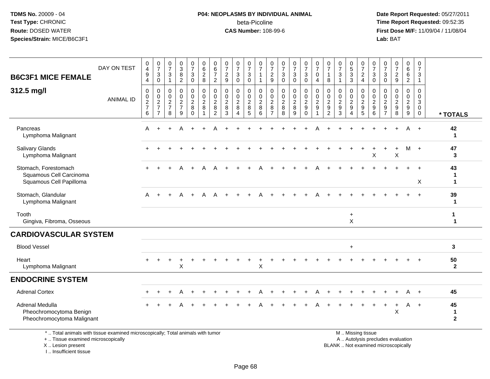# **P04: NEOPLASMS BY INDIVIDUAL ANIMAL**beta-Picoline<br>CAS Number: 108-99-6

 **Date Report Requested:** 05/27/2011 **Time Report Requested:** 09:52:35 **First Dose M/F:** 11/09/04 / 11/08/04<br>Lab: BAT **Lab:** BAT

| <b>B6C3F1 MICE FEMALE</b>                                                       | DAY ON TEST      | 0<br>$\overline{4}$<br>$\boldsymbol{9}$<br>$\overline{4}$ | $\frac{0}{7}$<br>3<br>$\mathsf 0$                            | $\frac{0}{7}$<br>$\sqrt{3}$<br>$\overline{1}$             | $_3^0$<br>$\overline{8}$<br>$\overline{2}$                     | $\frac{0}{7}$<br>$\mathbf{3}$<br>$\mathbf 0$ | $\begin{array}{c} 0 \\ 6 \end{array}$<br>$\frac{2}{8}$ | 0<br>$6\phantom{a}$<br>$\overline{7}$<br>$\overline{2}$         | $\frac{0}{7}$<br>$\overline{c}$<br>$9\,$       | $\frac{0}{7}$<br>3<br>$\mathbf{0}$              | $\frac{0}{7}$<br>$\mathbf 3$<br>$\mathbf 0$ | $\frac{0}{7}$                      | $\frac{0}{7}$<br>$\frac{2}{9}$            | $\frac{0}{7}$<br>$\sqrt{3}$<br>$\mathbf 0$ | $\frac{0}{7}$<br>3<br>$\mathbf 0$        | $\frac{0}{7}$<br>$\mathbf 3$<br>$\overline{0}$         | $\begin{array}{c} 0 \\ 7 \end{array}$<br>0<br>$\overline{4}$ | $\frac{0}{7}$<br>$\mathbf{1}$<br>8        | $\begin{array}{c} 0 \\ 7 \end{array}$<br>$\sqrt{3}$<br>$\overline{\mathbf{1}}$ | $^{\rm 0}_{\rm 5}$<br>$\mathbf{3}$<br>3 | $\frac{0}{7}$<br>$\overline{2}$<br>$\overline{4}$   | 0<br>$\overline{7}$<br>3<br>$\mathbf 0$                         | $\frac{0}{7}$<br>$\sqrt{3}$<br>$\mathbf 0$ | $\frac{0}{7}$<br>$\frac{2}{9}$                               | 0<br>$6\overline{6}$<br>6<br>$\overline{2}$ | 0<br>$\overline{7}$<br>$\mathbf{3}$<br>$\mathbf{1}$ |                                   |
|---------------------------------------------------------------------------------|------------------|-----------------------------------------------------------|--------------------------------------------------------------|-----------------------------------------------------------|----------------------------------------------------------------|----------------------------------------------|--------------------------------------------------------|-----------------------------------------------------------------|------------------------------------------------|-------------------------------------------------|---------------------------------------------|------------------------------------|-------------------------------------------|--------------------------------------------|------------------------------------------|--------------------------------------------------------|--------------------------------------------------------------|-------------------------------------------|--------------------------------------------------------------------------------|-----------------------------------------|-----------------------------------------------------|-----------------------------------------------------------------|--------------------------------------------|--------------------------------------------------------------|---------------------------------------------|-----------------------------------------------------|-----------------------------------|
| 312.5 mg/l                                                                      | <b>ANIMAL ID</b> | 0<br>0<br>$\frac{2}{7}$<br>$\,6$                          | 0<br>0<br>$\overline{c}$<br>$\overline{7}$<br>$\overline{7}$ | $\mathbf 0$<br>0<br>$\overline{c}$<br>$\overline{7}$<br>8 | 0<br>$\boldsymbol{0}$<br>$\overline{2}$<br>$\overline{7}$<br>9 | 0<br>0<br>$\frac{2}{8}$<br>$\mathbf 0$       | 0<br>$\pmb{0}$<br>$\frac{2}{8}$<br>$\mathbf{1}$        | 0<br>$\mathbf 0$<br>$\overline{2}$<br>$\,8\,$<br>$\overline{c}$ | 0<br>$\mathbf 0$<br>$\boldsymbol{2}$<br>8<br>3 | 0<br>0<br>$\overline{2}$<br>8<br>$\overline{4}$ | 0<br>$\mathbf 0$<br>$\frac{2}{8}$<br>5      | 0<br>0<br>$\frac{2}{8}$<br>$\,6\,$ | 0<br>0<br>$\frac{2}{8}$<br>$\overline{7}$ | 0<br>0<br>$\boldsymbol{2}$<br>$\,8\,$<br>8 | 0<br>0<br>$\overline{2}$<br>$\,8\,$<br>9 | 0<br>$\mathsf{O}\xspace$<br>$\frac{2}{9}$<br>$\pmb{0}$ | 0<br>$\mathbf 0$<br>$\overline{c}$<br>9<br>$\mathbf 1$       | 0<br>0<br>$\frac{2}{9}$<br>$\overline{2}$ | 0<br>0<br>$\frac{2}{9}$<br>$\mathbf{3}$                                        | 0<br>0<br>$\overline{2}$<br>9<br>4      | 0<br>$\mathbf 0$<br>$\frac{2}{9}$<br>$\overline{5}$ | 0<br>$\mathbf 0$<br>$\overline{2}$<br>$\boldsymbol{9}$<br>$\,6$ | 0<br>0<br>$\frac{2}{9}$<br>$\overline{7}$  | 0<br>$\pmb{0}$<br>$\begin{array}{c} 2 \\ 9 \\ 8 \end{array}$ | 0<br>0<br>$\frac{2}{9}$<br>$\overline{9}$   | 0<br>$\mathbf 0$<br>3<br>$\mathbf 0$<br>0           | * TOTALS                          |
| Pancreas<br>Lymphoma Malignant                                                  |                  | A                                                         |                                                              |                                                           |                                                                |                                              |                                                        |                                                                 |                                                |                                                 |                                             |                                    |                                           |                                            |                                          |                                                        |                                                              |                                           |                                                                                |                                         |                                                     |                                                                 |                                            |                                                              | A                                           | $+$                                                 | 42<br>$\mathbf 1$                 |
| <b>Salivary Glands</b><br>Lymphoma Malignant                                    |                  |                                                           |                                                              |                                                           |                                                                |                                              |                                                        |                                                                 |                                                |                                                 |                                             |                                    |                                           |                                            |                                          |                                                        |                                                              |                                           |                                                                                |                                         |                                                     | X                                                               |                                            | X                                                            | м                                           | $+$                                                 | 47<br>3                           |
| Stomach, Forestomach<br>Squamous Cell Carcinoma<br>Squamous Cell Papilloma      |                  |                                                           |                                                              |                                                           | A                                                              | $\ddot{}$                                    | A                                                      |                                                                 |                                                |                                                 |                                             |                                    |                                           |                                            |                                          |                                                        |                                                              |                                           |                                                                                |                                         |                                                     |                                                                 |                                            |                                                              |                                             | Χ                                                   | 43<br>1                           |
| Stomach, Glandular<br>Lymphoma Malignant                                        |                  | A                                                         | $\ddot{}$                                                    |                                                           | A                                                              | $+$                                          | $\overline{A}$                                         | A                                                               |                                                |                                                 |                                             |                                    |                                           |                                            |                                          |                                                        | А                                                            |                                           |                                                                                |                                         |                                                     |                                                                 |                                            |                                                              |                                             | $\ddot{}$                                           | 39<br>1                           |
| Tooth<br>Gingiva, Fibroma, Osseous                                              |                  |                                                           |                                                              |                                                           |                                                                |                                              |                                                        |                                                                 |                                                |                                                 |                                             |                                    |                                           |                                            |                                          |                                                        |                                                              |                                           |                                                                                | $\ddot{}$<br>$\mathsf{X}$               |                                                     |                                                                 |                                            |                                                              |                                             |                                                     | 1<br>$\mathbf 1$                  |
| <b>CARDIOVASCULAR SYSTEM</b>                                                    |                  |                                                           |                                                              |                                                           |                                                                |                                              |                                                        |                                                                 |                                                |                                                 |                                             |                                    |                                           |                                            |                                          |                                                        |                                                              |                                           |                                                                                |                                         |                                                     |                                                                 |                                            |                                                              |                                             |                                                     |                                   |
| <b>Blood Vessel</b>                                                             |                  |                                                           |                                                              |                                                           |                                                                |                                              |                                                        |                                                                 |                                                |                                                 |                                             |                                    |                                           |                                            |                                          |                                                        |                                                              |                                           |                                                                                | $+$                                     |                                                     |                                                                 |                                            |                                                              |                                             |                                                     | 3                                 |
| Heart<br>Lymphoma Malignant                                                     |                  |                                                           |                                                              |                                                           | $\sf X$                                                        |                                              |                                                        |                                                                 |                                                |                                                 |                                             | $\mathsf X$                        |                                           |                                            |                                          |                                                        |                                                              |                                           |                                                                                |                                         |                                                     |                                                                 |                                            |                                                              |                                             |                                                     | 50<br>$\mathbf{2}$                |
| <b>ENDOCRINE SYSTEM</b>                                                         |                  |                                                           |                                                              |                                                           |                                                                |                                              |                                                        |                                                                 |                                                |                                                 |                                             |                                    |                                           |                                            |                                          |                                                        |                                                              |                                           |                                                                                |                                         |                                                     |                                                                 |                                            |                                                              |                                             |                                                     |                                   |
| <b>Adrenal Cortex</b>                                                           |                  |                                                           | ÷                                                            |                                                           | A                                                              |                                              |                                                        |                                                                 |                                                |                                                 |                                             |                                    |                                           |                                            |                                          |                                                        | A                                                            |                                           |                                                                                |                                         |                                                     |                                                                 |                                            | $\ddot{}$                                                    | A                                           | $+$                                                 | 45                                |
| Adrenal Medulla<br>Pheochromocytoma Benign<br>Pheochromocytoma Malignant        |                  |                                                           |                                                              |                                                           |                                                                |                                              |                                                        |                                                                 |                                                |                                                 |                                             |                                    |                                           |                                            |                                          |                                                        |                                                              |                                           |                                                                                |                                         |                                                     |                                                                 |                                            | $\ddot{}$<br>X                                               | $\mathsf{A}$                                | $+$                                                 | 45<br>$\mathbf 1$<br>$\mathbf{2}$ |
| *  Total animals with tissue examined microscopically; Total animals with tumor |                  |                                                           |                                                              |                                                           |                                                                |                                              |                                                        |                                                                 |                                                |                                                 |                                             |                                    |                                           |                                            |                                          |                                                        |                                                              |                                           |                                                                                |                                         | M  Missing tissue                                   |                                                                 |                                            | $\sim$ $\sim$                                                |                                             |                                                     |                                   |

+ .. Tissue examined microscopically

X .. Lesion present

I .. Insufficient tissue

y the contract of the contract of the contract of the contract of the contract of the contract of the contract of  $A$ . Autolysis precludes evaluation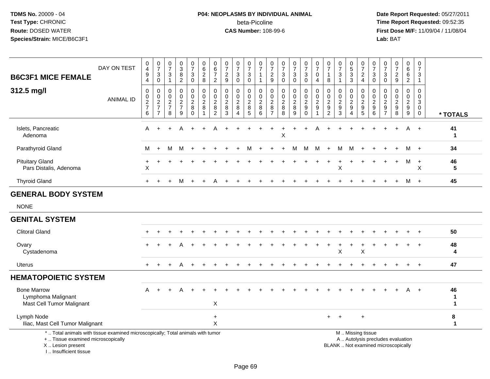# **P04: NEOPLASMS BY INDIVIDUAL ANIMAL**beta-Picoline<br>CAS Number: 108-99-6

| <b>B6C3F1 MICE FEMALE</b>                                                                                                                                           | DAY ON TEST      | 0<br>$\overline{4}$<br>$\boldsymbol{9}$<br>4 | $\begin{array}{c} 0 \\ 7 \end{array}$<br>$\mathbf{3}$<br>$\mathbf 0$ | $\begin{smallmatrix}0\\7\end{smallmatrix}$<br>$\ensuremath{\mathsf{3}}$<br>$\mathbf{1}$ | $_{3}^{\rm 0}$<br>$\overline{8}$<br>$\overline{2}$                          | $\begin{array}{c} 0 \\ 7 \end{array}$<br>$\ensuremath{\mathsf{3}}$<br>$\mathsf{O}\xspace$ | $\begin{array}{c} 0 \\ 6 \end{array}$<br>$\sqrt{2}$<br>8                | $\begin{array}{c} 0 \\ 6 \end{array}$<br>$\overline{7}$<br>$\overline{2}$ | $\frac{0}{7}$<br>$\sqrt{2}$<br>9                           | $\frac{0}{7}$<br>3<br>$\mathbf 0$                          | $\frac{0}{7}$<br>$\ensuremath{\mathsf{3}}$<br>$\mathbf 0$ | $\frac{0}{7}$<br>$\overline{1}$                              | $\frac{0}{7}$<br>$\overline{c}$<br>$\boldsymbol{9}$ | $\frac{0}{7}$<br>$\ensuremath{\mathsf{3}}$<br>$\mathbf 0$ | $\frac{0}{7}$<br>$\ensuremath{\mathsf{3}}$<br>$\mathbf 0$ | $\begin{array}{c} 0 \\ 7 \end{array}$<br>$\ensuremath{\mathsf{3}}$<br>$\mathbf 0$ | $\frac{0}{7}$<br>$\pmb{0}$<br>$\overline{4}$           | 0<br>$\overline{7}$<br>$\overline{1}$<br>8                                     | $\begin{array}{c} 0 \\ 7 \end{array}$<br>$\ensuremath{\mathsf{3}}$<br>$\mathbf{1}$ | $\begin{array}{c} 0 \\ 5 \end{array}$<br>$\overline{3}$<br>$\mathbf{3}$ | $\frac{0}{7}$<br>$\frac{2}{4}$                                        | $\frac{0}{7}$<br>3<br>$\mathsf{O}\xspace$                   | 0<br>$\overline{7}$<br>$\ensuremath{\mathsf{3}}$<br>$\mathbf 0$                    | $\frac{0}{7}$<br>$\sqrt{2}$<br>$\boldsymbol{9}$                          | $\mathbf 0$<br>$\,6\,$<br>$\,6$<br>$\overline{2}$                 | $\mathbf 0$<br>$\overline{7}$<br>$\sqrt{3}$<br>$\mathbf{1}$  |                                 |
|---------------------------------------------------------------------------------------------------------------------------------------------------------------------|------------------|----------------------------------------------|----------------------------------------------------------------------|-----------------------------------------------------------------------------------------|-----------------------------------------------------------------------------|-------------------------------------------------------------------------------------------|-------------------------------------------------------------------------|---------------------------------------------------------------------------|------------------------------------------------------------|------------------------------------------------------------|-----------------------------------------------------------|--------------------------------------------------------------|-----------------------------------------------------|-----------------------------------------------------------|-----------------------------------------------------------|-----------------------------------------------------------------------------------|--------------------------------------------------------|--------------------------------------------------------------------------------|------------------------------------------------------------------------------------|-------------------------------------------------------------------------|-----------------------------------------------------------------------|-------------------------------------------------------------|------------------------------------------------------------------------------------|--------------------------------------------------------------------------|-------------------------------------------------------------------|--------------------------------------------------------------|---------------------------------|
| 312.5 mg/l                                                                                                                                                          | <b>ANIMAL ID</b> | 0<br>$\pmb{0}$<br>$\frac{2}{7}$<br>6         | 0<br>$\frac{0}{2}$<br>$\overline{7}$                                 | 0<br>$\mathbf 0$<br>$\overline{2}$<br>$\overline{7}$<br>8                               | $\mathbf 0$<br>$\mathsf{O}\xspace$<br>$\overline{2}$<br>$\overline{7}$<br>9 | 0<br>$\mathbf 0$<br>$\overline{2}$<br>$\bf 8$<br>$\Omega$                                 | $\pmb{0}$<br>$\mathbf 0$<br>$\overline{2}$<br>$\,8\,$<br>$\overline{1}$ | 0<br>$\mathbf 0$<br>$\overline{2}$<br>8<br>$\overline{2}$                 | $\mathbf 0$<br>$\pmb{0}$<br>$\overline{2}$<br>$\bf 8$<br>3 | 0<br>$\mathsf{O}$<br>$\overline{2}$<br>8<br>$\overline{4}$ | 0<br>$_2^0$<br>8<br>5                                     | $\mathbf 0$<br>$\mathbf 0$<br>$\overline{2}$<br>$\bf 8$<br>6 | 0<br>0<br>$\overline{2}$<br>8<br>$\overline{7}$     | $\mathbf 0$<br>$\mathbf 0$<br>$\sqrt{2}$<br>$\, 8$<br>8   | 0<br>$\mathbf 0$<br>$\overline{c}$<br>$\bf 8$<br>9        | 0<br>$\mathbf 0$<br>$\overline{2}$<br>$\boldsymbol{9}$<br>$\mathbf 0$             | 0<br>$\frac{0}{2}$<br>$\boldsymbol{9}$<br>$\mathbf{1}$ | $\mathbf 0$<br>$\mathbf 0$<br>$\sqrt{2}$<br>$\boldsymbol{9}$<br>$\overline{2}$ | $\mathbf 0$<br>$\mathbf 0$<br>$\overline{2}$<br>$\boldsymbol{9}$<br>3              | 0<br>$\mathbf 0$<br>$\sqrt{2}$<br>$\boldsymbol{9}$<br>$\overline{4}$    | 0<br>$\mathsf{O}\xspace$<br>$\boldsymbol{2}$<br>$\boldsymbol{9}$<br>5 | $\mathbf 0$<br>0<br>$\overline{2}$<br>$\boldsymbol{9}$<br>6 | $\mathbf 0$<br>$\mathbf 0$<br>$\overline{c}$<br>$\boldsymbol{9}$<br>$\overline{7}$ | $\mathbf 0$<br>$\mathbf 0$<br>$\overline{2}$<br>$\boldsymbol{9}$<br>8    | 0<br>$\mathsf{O}\xspace$<br>$\overline{2}$<br>$\overline{9}$<br>9 | $\Omega$<br>$\pmb{0}$<br>3<br>$\mathbf{0}$<br>$\overline{0}$ | * TOTALS                        |
| Islets, Pancreatic<br>Adenoma                                                                                                                                       |                  | A                                            |                                                                      |                                                                                         |                                                                             |                                                                                           |                                                                         |                                                                           |                                                            |                                                            |                                                           |                                                              |                                                     | X                                                         |                                                           |                                                                                   |                                                        |                                                                                |                                                                                    |                                                                         |                                                                       |                                                             |                                                                                    |                                                                          | A                                                                 | $+$                                                          | 41<br>$\mathbf 1$               |
| Parathyroid Gland                                                                                                                                                   |                  | М                                            | $\ddot{}$                                                            | м                                                                                       | м                                                                           |                                                                                           |                                                                         |                                                                           |                                                            |                                                            |                                                           |                                                              |                                                     |                                                           | м                                                         | M                                                                                 | M                                                      |                                                                                | м                                                                                  | м                                                                       |                                                                       |                                                             |                                                                                    |                                                                          | м                                                                 | $+$                                                          | 34                              |
| <b>Pituitary Gland</b><br>Pars Distalis, Adenoma                                                                                                                    |                  | $\times$                                     |                                                                      |                                                                                         |                                                                             |                                                                                           |                                                                         |                                                                           |                                                            |                                                            |                                                           |                                                              |                                                     |                                                           |                                                           |                                                                                   |                                                        |                                                                                | X                                                                                  |                                                                         |                                                                       |                                                             |                                                                                    |                                                                          | м                                                                 | $+$<br>X                                                     | 46<br>5                         |
| <b>Thyroid Gland</b>                                                                                                                                                |                  | $+$                                          |                                                                      |                                                                                         | м                                                                           | $+$                                                                                       |                                                                         |                                                                           |                                                            |                                                            |                                                           |                                                              |                                                     |                                                           |                                                           |                                                                                   |                                                        |                                                                                |                                                                                    |                                                                         |                                                                       |                                                             |                                                                                    |                                                                          |                                                                   | M +                                                          | 45                              |
| <b>GENERAL BODY SYSTEM</b>                                                                                                                                          |                  |                                              |                                                                      |                                                                                         |                                                                             |                                                                                           |                                                                         |                                                                           |                                                            |                                                            |                                                           |                                                              |                                                     |                                                           |                                                           |                                                                                   |                                                        |                                                                                |                                                                                    |                                                                         |                                                                       |                                                             |                                                                                    |                                                                          |                                                                   |                                                              |                                 |
| <b>NONE</b>                                                                                                                                                         |                  |                                              |                                                                      |                                                                                         |                                                                             |                                                                                           |                                                                         |                                                                           |                                                            |                                                            |                                                           |                                                              |                                                     |                                                           |                                                           |                                                                                   |                                                        |                                                                                |                                                                                    |                                                                         |                                                                       |                                                             |                                                                                    |                                                                          |                                                                   |                                                              |                                 |
| <b>GENITAL SYSTEM</b>                                                                                                                                               |                  |                                              |                                                                      |                                                                                         |                                                                             |                                                                                           |                                                                         |                                                                           |                                                            |                                                            |                                                           |                                                              |                                                     |                                                           |                                                           |                                                                                   |                                                        |                                                                                |                                                                                    |                                                                         |                                                                       |                                                             |                                                                                    |                                                                          |                                                                   |                                                              |                                 |
| <b>Clitoral Gland</b>                                                                                                                                               |                  |                                              |                                                                      |                                                                                         |                                                                             |                                                                                           |                                                                         |                                                                           |                                                            |                                                            |                                                           |                                                              |                                                     |                                                           |                                                           |                                                                                   |                                                        |                                                                                |                                                                                    |                                                                         |                                                                       |                                                             |                                                                                    |                                                                          |                                                                   |                                                              | 50                              |
| Ovary<br>Cystadenoma                                                                                                                                                |                  |                                              |                                                                      |                                                                                         |                                                                             |                                                                                           |                                                                         |                                                                           |                                                            |                                                            |                                                           |                                                              |                                                     |                                                           |                                                           |                                                                                   |                                                        |                                                                                | X                                                                                  |                                                                         | X                                                                     |                                                             |                                                                                    |                                                                          |                                                                   |                                                              | 48<br>4                         |
| Uterus                                                                                                                                                              |                  |                                              |                                                                      |                                                                                         |                                                                             |                                                                                           |                                                                         |                                                                           |                                                            |                                                            |                                                           |                                                              |                                                     |                                                           |                                                           |                                                                                   |                                                        |                                                                                |                                                                                    |                                                                         |                                                                       |                                                             |                                                                                    |                                                                          | $\pm$                                                             | $+$                                                          | 47                              |
| <b>HEMATOPOIETIC SYSTEM</b>                                                                                                                                         |                  |                                              |                                                                      |                                                                                         |                                                                             |                                                                                           |                                                                         |                                                                           |                                                            |                                                            |                                                           |                                                              |                                                     |                                                           |                                                           |                                                                                   |                                                        |                                                                                |                                                                                    |                                                                         |                                                                       |                                                             |                                                                                    |                                                                          |                                                                   |                                                              |                                 |
| <b>Bone Marrow</b><br>Lymphoma Malignant<br>Mast Cell Tumor Malignant                                                                                               |                  | A                                            |                                                                      |                                                                                         |                                                                             |                                                                                           |                                                                         | $\boldsymbol{\mathsf{X}}$                                                 |                                                            |                                                            |                                                           |                                                              |                                                     |                                                           |                                                           |                                                                                   |                                                        |                                                                                |                                                                                    |                                                                         |                                                                       |                                                             |                                                                                    |                                                                          | A                                                                 | $+$                                                          | 46<br>1<br>$\blacktriangleleft$ |
| Lymph Node<br>Iliac, Mast Cell Tumor Malignant                                                                                                                      |                  |                                              |                                                                      |                                                                                         |                                                                             |                                                                                           |                                                                         | $\ddot{}$<br>X                                                            |                                                            |                                                            |                                                           |                                                              |                                                     |                                                           |                                                           |                                                                                   |                                                        | +                                                                              |                                                                                    |                                                                         |                                                                       |                                                             |                                                                                    |                                                                          |                                                                   |                                                              | 8<br>$\blacktriangleleft$       |
| *  Total animals with tissue examined microscopically; Total animals with tumor<br>+  Tissue examined microscopically<br>X  Lesion present<br>I Insufficient tissue |                  |                                              |                                                                      |                                                                                         |                                                                             |                                                                                           |                                                                         |                                                                           |                                                            |                                                            |                                                           |                                                              |                                                     |                                                           |                                                           |                                                                                   |                                                        |                                                                                |                                                                                    |                                                                         | M  Missing tissue                                                     |                                                             |                                                                                    | A  Autolysis precludes evaluation<br>BLANK  Not examined microscopically |                                                                   |                                                              |                                 |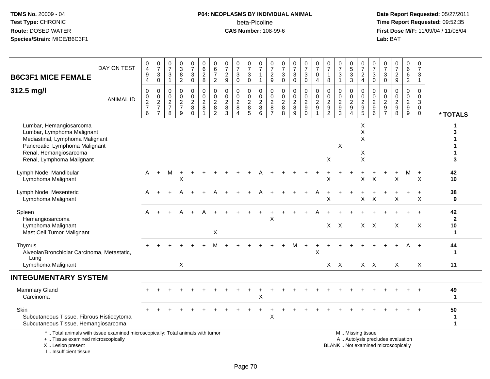#### **P04: NEOPLASMS BY INDIVIDUAL ANIMAL**beta-Picoline<br>CAS Number: 108-99-6

 **Date Report Requested:** 05/27/2011 **Time Report Requested:** 09:52:35 **First Dose M/F:** 11/09/04 / 11/08/04<br>Lab: BAT **Lab:** BAT

|                                                                                                                       |                  | 0                  | $\frac{0}{7}$                   | $\frac{0}{7}$      | $\mathbf 0$                          | $\begin{array}{c} 0 \\ 7 \end{array}$        | $\pmb{0}$                  | 0                              | $\frac{0}{7}$                               | $\frac{0}{7}$                   | $\frac{0}{7}$                      | $\frac{0}{7}$                       | $\frac{0}{7}$                      | 0                                  | $\frac{0}{7}$                                  | $\frac{0}{7}$                | $\frac{0}{7}$            | $\begin{array}{c} 0 \\ 7 \end{array}$ | $\frac{0}{7}$                                | $\begin{array}{c} 0 \\ 5 \end{array}$          | $\frac{0}{7}$                  | $\frac{0}{7}$             | 0                                  | 0                                   | $\mathbf 0$                                  | $\mathsf{O}\xspace$                                     |                              |
|-----------------------------------------------------------------------------------------------------------------------|------------------|--------------------|---------------------------------|--------------------|--------------------------------------|----------------------------------------------|----------------------------|--------------------------------|---------------------------------------------|---------------------------------|------------------------------------|-------------------------------------|------------------------------------|------------------------------------|------------------------------------------------|------------------------------|--------------------------|---------------------------------------|----------------------------------------------|------------------------------------------------|--------------------------------|---------------------------|------------------------------------|-------------------------------------|----------------------------------------------|---------------------------------------------------------|------------------------------|
| <b>B6C3F1 MICE FEMALE</b>                                                                                             | DAY ON TEST      | 4<br>9             | $\ensuremath{\mathsf{3}}$       | 3                  | $\mathbf{3}$<br>8                    | $\sqrt{3}$                                   | $\,6\,$<br>$\frac{2}{8}$   | 6<br>$\boldsymbol{7}$          | $\overline{\mathbf{c}}$                     | $\ensuremath{\mathsf{3}}$       | 3                                  | $\mathbf{1}$                        | $\boldsymbol{2}$                   | $\overline{7}$<br>3                | $\sqrt{3}$                                     | $\sqrt{3}$                   | 0                        | $\mathbf{1}$                          | $\sqrt{3}$                                   | $\overline{3}$                                 | $\overline{c}$                 | 3                         | $\check{7}$<br>3                   | $\overline{7}$<br>$\overline{c}$    | $\overline{6}$<br>6                          | $\overline{7}$<br>$\mathbf{3}$                          |                              |
|                                                                                                                       |                  | $\overline{4}$     | $\mathsf{O}\xspace$             | $\mathbf{1}$       | $\overline{2}$                       | $\pmb{0}$                                    |                            | $\overline{2}$                 | 9                                           | $\mathbf 0$                     | 0                                  | $\mathbf{1}$                        | $\boldsymbol{9}$                   | $\mathbf 0$                        | $\mathbf 0$                                    | $\mathsf 0$                  | $\overline{4}$           | $\,8\,$                               | $\mathbf{1}$                                 | $\mathbf{3}$                                   | $\overline{4}$                 | $\mathbf 0$               | $\mathsf{O}\xspace$                | $\boldsymbol{9}$                    | $\boldsymbol{2}$                             | $\mathbf{1}$                                            |                              |
| 312.5 mg/l                                                                                                            | <b>ANIMAL ID</b> | 0<br>0             | $\mathbf 0$<br>$\mathbf 0$      | 0<br>0             | $\mathbf 0$<br>0<br>$\boldsymbol{2}$ | $\mathbf 0$<br>$\mathbf 0$<br>$\overline{2}$ | $\mathbf 0$<br>$\mathbf 0$ | 0<br>$\mathbf 0$<br>$\sqrt{2}$ | 0<br>$\mathbf 0$<br>$\overline{\mathbf{c}}$ | $\mathbf 0$<br>$\mathbf 0$      | 0<br>$\mathbf 0$<br>$\overline{a}$ | 0<br>$\mathsf{O}$<br>$\overline{c}$ | 0<br>$\pmb{0}$<br>$\boldsymbol{2}$ | 0<br>$\mathbf 0$<br>$\overline{c}$ | $\mathbf 0$<br>$\mathbf 0$<br>$\boldsymbol{2}$ | 0<br>0<br>$\boldsymbol{2}$   | 0<br>0<br>$\overline{c}$ | $\mathbf 0$<br>$\pmb{0}$              | $\mathbf 0$<br>$\mathbf 0$<br>$\overline{c}$ | $\mathbf 0$<br>$\mathbf 0$<br>$\boldsymbol{2}$ | 0<br>0<br>$\boldsymbol{2}$     | 0<br>0<br>$\overline{c}$  | 0<br>$\mathbf 0$<br>$\overline{c}$ | 0<br>$\mathbf 0$<br>$\overline{c}$  | $\mathbf 0$<br>$\mathbf 0$<br>$\overline{c}$ | $\mathbf 0$<br>$\mathbf 0$<br>$\ensuremath{\mathsf{3}}$ |                              |
|                                                                                                                       |                  | $\frac{2}{7}$<br>6 | $\frac{2}{7}$<br>$\overline{7}$ | $\frac{2}{7}$<br>8 | $\overline{7}$<br>9                  | $\bf 8$<br>$\Omega$                          | $\frac{2}{8}$<br>1         | $\, 8$<br>$\overline{2}$       | 8<br>3                                      | $\frac{2}{8}$<br>$\overline{4}$ | 8<br>5                             | $\bf 8$<br>6                        | $\, 8$<br>$\overline{7}$           | $\bf 8$<br>8                       | $\bf 8$<br>9                                   | $\boldsymbol{9}$<br>$\Omega$ | $\boldsymbol{9}$         | $\frac{2}{9}$<br>$\overline{c}$       | $\boldsymbol{9}$<br>3                        | $9\,$<br>$\boldsymbol{\Lambda}$                | $\boldsymbol{9}$<br>$\sqrt{5}$ | $\boldsymbol{9}$<br>6     | $\boldsymbol{9}$<br>$\overline{7}$ | $\boldsymbol{9}$<br>8               | $\boldsymbol{9}$<br>$\boldsymbol{9}$         | $\mathbf 0$<br>$\mathbf 0$                              |                              |
| Lumbar, Hemangiosarcoma                                                                                               |                  |                    |                                 |                    |                                      |                                              |                            |                                |                                             |                                 |                                    |                                     |                                    |                                    |                                                |                              |                          |                                       |                                              |                                                | X                              |                           |                                    |                                     |                                              |                                                         | * TOTALS<br>1                |
| Lumbar, Lymphoma Malignant                                                                                            |                  |                    |                                 |                    |                                      |                                              |                            |                                |                                             |                                 |                                    |                                     |                                    |                                    |                                                |                              |                          |                                       |                                              |                                                | $\pmb{\times}$                 |                           |                                    |                                     |                                              |                                                         | 3                            |
| Mediastinal, Lymphoma Malignant<br>Pancreatic, Lymphoma Malignant                                                     |                  |                    |                                 |                    |                                      |                                              |                            |                                |                                             |                                 |                                    |                                     |                                    |                                    |                                                |                              |                          |                                       | X                                            |                                                | $\pmb{\times}$                 |                           |                                    |                                     |                                              |                                                         |                              |
| Renal, Hemangiosarcoma                                                                                                |                  |                    |                                 |                    |                                      |                                              |                            |                                |                                             |                                 |                                    |                                     |                                    |                                    |                                                |                              |                          | X                                     |                                              |                                                | Х<br>$\pmb{\times}$            |                           |                                    |                                     |                                              |                                                         | 3                            |
| Renal, Lymphoma Malignant                                                                                             |                  |                    |                                 |                    |                                      |                                              |                            |                                |                                             |                                 |                                    |                                     |                                    |                                    |                                                |                              |                          |                                       |                                              |                                                |                                |                           |                                    |                                     |                                              |                                                         |                              |
| Lymph Node, Mandibular<br>Lymphoma Malignant                                                                          |                  | A                  | $+$                             | М                  | Χ                                    |                                              |                            |                                |                                             |                                 |                                    |                                     |                                    |                                    |                                                |                              |                          | X                                     |                                              |                                                | X                              | $\times$                  |                                    | X                                   | м                                            | $+$<br>$\boldsymbol{\mathsf{X}}$                        | 42<br>10                     |
| Lymph Node, Mesenteric                                                                                                |                  | A                  |                                 |                    |                                      |                                              |                            |                                |                                             |                                 |                                    |                                     |                                    |                                    |                                                |                              |                          |                                       |                                              |                                                |                                |                           |                                    |                                     |                                              | $+$                                                     | 38                           |
| Lymphoma Malignant                                                                                                    |                  |                    |                                 |                    |                                      |                                              |                            |                                |                                             |                                 |                                    |                                     |                                    |                                    |                                                |                              |                          | X                                     |                                              |                                                | X                              | $\boldsymbol{\mathsf{X}}$ |                                    | X                                   |                                              | X                                                       | 9                            |
| Spleen<br>Hemangiosarcoma                                                                                             |                  |                    |                                 |                    |                                      |                                              |                            |                                |                                             |                                 |                                    |                                     | X                                  |                                    |                                                |                              |                          |                                       |                                              |                                                |                                |                           |                                    |                                     |                                              |                                                         | 42<br>$\mathbf{2}$           |
| Lymphoma Malignant<br>Mast Cell Tumor Malignant                                                                       |                  |                    |                                 |                    |                                      |                                              |                            | X                              |                                             |                                 |                                    |                                     |                                    |                                    |                                                |                              |                          |                                       | $X$ $X$                                      |                                                |                                | $X \times$                |                                    | X                                   |                                              | X                                                       | 10<br>$\blacktriangleleft$   |
|                                                                                                                       |                  |                    |                                 |                    |                                      |                                              |                            |                                |                                             |                                 |                                    |                                     |                                    |                                    |                                                |                              |                          |                                       |                                              |                                                |                                |                           |                                    |                                     |                                              |                                                         |                              |
| Thymus<br>Alveolar/Bronchiolar Carcinoma, Metastatic,<br>Lung                                                         |                  |                    |                                 |                    |                                      |                                              |                            |                                |                                             |                                 |                                    |                                     |                                    |                                    | M                                              | $\ddot{}$                    | $\sf X$                  |                                       |                                              |                                                |                                |                           |                                    |                                     | A                                            | $+$                                                     | 44<br>$\mathbf 1$            |
| Lymphoma Malignant                                                                                                    |                  |                    |                                 |                    | X                                    |                                              |                            |                                |                                             |                                 |                                    |                                     |                                    |                                    |                                                |                              |                          |                                       | $X$ $X$                                      |                                                |                                | $X$ $X$                   |                                    | $\times$                            |                                              | X                                                       | 11                           |
| <b>INTEGUMENTARY SYSTEM</b>                                                                                           |                  |                    |                                 |                    |                                      |                                              |                            |                                |                                             |                                 |                                    |                                     |                                    |                                    |                                                |                              |                          |                                       |                                              |                                                |                                |                           |                                    |                                     |                                              |                                                         |                              |
| <b>Mammary Gland</b><br>Carcinoma                                                                                     |                  |                    |                                 |                    |                                      |                                              |                            |                                |                                             |                                 |                                    | X                                   |                                    |                                    |                                                |                              |                          |                                       |                                              |                                                |                                |                           |                                    |                                     |                                              |                                                         | 49<br>$\mathbf{1}$           |
| Skin                                                                                                                  |                  |                    |                                 |                    |                                      |                                              |                            |                                |                                             |                                 |                                    |                                     |                                    |                                    |                                                |                              |                          |                                       |                                              |                                                |                                |                           |                                    |                                     |                                              |                                                         | 50                           |
| Subcutaneous Tissue, Fibrous Histiocytoma<br>Subcutaneous Tissue, Hemangiosarcoma                                     |                  |                    |                                 |                    |                                      |                                              |                            |                                |                                             |                                 |                                    |                                     | X                                  |                                    |                                                |                              |                          |                                       |                                              |                                                |                                |                           |                                    |                                     |                                              |                                                         | $\mathbf{1}$<br>$\mathbf{1}$ |
| *  Total animals with tissue examined microscopically; Total animals with tumor<br>+  Tissue examined microscopically |                  |                    |                                 |                    |                                      |                                              |                            |                                |                                             |                                 |                                    |                                     |                                    |                                    |                                                |                              |                          |                                       |                                              |                                                | M  Missing tissue              |                           |                                    | A  Autolysis precludes evaluation   |                                              |                                                         |                              |
| X  Lesion present                                                                                                     |                  |                    |                                 |                    |                                      |                                              |                            |                                |                                             |                                 |                                    |                                     |                                    |                                    |                                                |                              |                          |                                       |                                              |                                                |                                |                           |                                    | BLANK  Not examined microscopically |                                              |                                                         |                              |

I .. Insufficient tissue

ally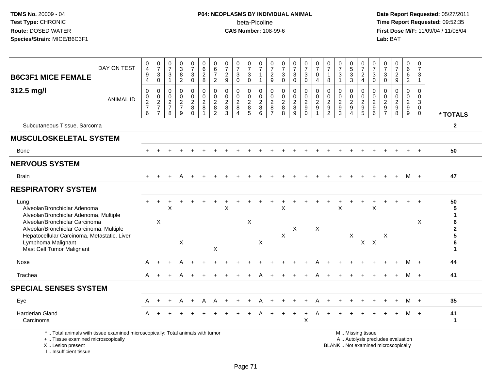# **P04: NEOPLASMS BY INDIVIDUAL ANIMAL**beta-Picoline<br>CAS Number: 108-99-6

 **Date Report Requested:** 05/27/2011 **Time Report Requested:** 09:52:35 **First Dose M/F:** 11/09/04 / 11/08/04<br>Lab: BAT **Lab:** BAT

| <b>B6C3F1 MICE FEMALE</b>                                                                                                                       | DAY ON TEST      | 0<br>4<br>9<br>$\overline{4}$        | $\frac{0}{7}$<br>$\mathbf{3}$<br>$\mathbf 0$   | 0<br>$\overline{7}$<br>3<br>$\mathbf 1$                               | 0<br>$\overline{3}$<br>$\bf 8$<br>$\overline{2}$           | $\frac{0}{7}$<br>$\mathbf{3}$<br>$\mathbf 0$           | 0<br>$6\overline{6}$<br>$\overline{c}$<br>8       | 0<br>$6\phantom{1}6$<br>$\overline{7}$<br>$\overline{2}$    | 0<br>$\overline{7}$<br>$\overline{c}$<br>9          | 0<br>$\overline{7}$<br>$\sqrt{3}$<br>$\Omega$               | $\frac{0}{7}$<br>3<br>$\Omega$                                | $\frac{0}{7}$<br>$\mathbf{1}$<br>$\mathbf{1}$                | 0<br>$\overline{7}$<br>$\sqrt{2}$<br>9                        | 0<br>$\overline{7}$<br>$\mathbf{3}$<br>$\Omega$               | $\frac{0}{7}$<br>$\sqrt{3}$<br>$\Omega$                         | $\frac{0}{7}$<br>3<br>$\Omega$                                               | $\frac{0}{7}$<br>$\pmb{0}$<br>$\overline{4}$                        | $\frac{0}{7}$<br>$\mathbf{1}$<br>8                  | 0<br>$\overline{7}$<br>3                                   | $\begin{array}{c} 0 \\ 5 \\ 3 \end{array}$                  | 0<br>$\overline{7}$<br>$\overline{c}$<br>$\overline{4}$ | 0<br>$\overline{7}$<br>$\sqrt{3}$<br>$\Omega$                           | 0<br>$\overline{7}$<br>3<br>$\Omega$                                                  | 0<br>$\overline{7}$<br>$\overline{2}$<br>9                              | 0<br>6<br>$\,6\,$<br>$\overline{2}$                           | 0<br>$\overline{7}$<br>$\mathbf{3}$<br>$\mathbf{1}$                         |                             |
|-------------------------------------------------------------------------------------------------------------------------------------------------|------------------|--------------------------------------|------------------------------------------------|-----------------------------------------------------------------------|------------------------------------------------------------|--------------------------------------------------------|---------------------------------------------------|-------------------------------------------------------------|-----------------------------------------------------|-------------------------------------------------------------|---------------------------------------------------------------|--------------------------------------------------------------|---------------------------------------------------------------|---------------------------------------------------------------|-----------------------------------------------------------------|------------------------------------------------------------------------------|---------------------------------------------------------------------|-----------------------------------------------------|------------------------------------------------------------|-------------------------------------------------------------|---------------------------------------------------------|-------------------------------------------------------------------------|---------------------------------------------------------------------------------------|-------------------------------------------------------------------------|---------------------------------------------------------------|-----------------------------------------------------------------------------|-----------------------------|
| 312.5 mg/l                                                                                                                                      | <b>ANIMAL ID</b> | 0<br>$\pmb{0}$<br>$\frac{2}{7}$<br>6 | $\mathbf 0$<br>$\frac{0}{2}$<br>$\overline{7}$ | $\mathbf 0$<br>$\mathbf 0$<br>$\boldsymbol{2}$<br>$\overline{7}$<br>8 | $\mathbf 0$<br>$\Omega$<br>$\frac{2}{7}$<br>$\overline{9}$ | $\mathbf 0$<br>$\pmb{0}$<br>$\frac{2}{8}$<br>$\bar{0}$ | 0<br>$\mathsf{O}\xspace$<br>$\sqrt{2}$<br>$\bf 8$ | $\mathbf 0$<br>$\pmb{0}$<br>$\frac{2}{8}$<br>$\overline{2}$ | $\mathbf{0}$<br>$\mathbf 0$<br>$\sqrt{2}$<br>8<br>3 | $\mathbf 0$<br>$\pmb{0}$<br>$\frac{2}{8}$<br>$\overline{4}$ | $\mathbf 0$<br>$\mathbf 0$<br>$\frac{2}{8}$<br>$\overline{5}$ | 0<br>$\mathsf{O}\xspace$<br>$\frac{2}{8}$<br>$6\overline{6}$ | $\mathbf 0$<br>$\mathbf 0$<br>$\frac{2}{8}$<br>$\overline{7}$ | $\mathbf 0$<br>$\mathbf 0$<br>$\frac{2}{8}$<br>$\overline{8}$ | $\mathbf 0$<br>$\mathbf 0$<br>$\sqrt{2}$<br>8<br>$\overline{9}$ | $\mathbf{0}$<br>$\mathbf 0$<br>$\sqrt{2}$<br>$\boldsymbol{9}$<br>$\mathbf 0$ | $\mathbf 0$<br>$\mathsf{O}\xspace$<br>$\frac{2}{9}$<br>$\mathbf{1}$ | $\mathbf 0$<br>$\mathsf{O}\xspace$<br>$\frac{2}{9}$ | $\Omega$<br>$\mathbf 0$<br>$\sqrt{2}$<br>9<br>$\mathbf{3}$ | $\mathbf 0$<br>$\pmb{0}$<br>$\frac{2}{9}$<br>$\overline{4}$ | 0<br>$\pmb{0}$<br>$\frac{2}{9}$<br>$\overline{5}$       | $\mathbf 0$<br>$\mathbf 0$<br>$\sqrt{2}$<br>$\boldsymbol{9}$<br>$\,6\,$ | $\Omega$<br>$\Omega$<br>$\overline{\mathbf{c}}$<br>$\boldsymbol{9}$<br>$\overline{7}$ | $\Omega$<br>$\Omega$<br>$\sqrt{2}$<br>9<br>$\overline{8}$               | $\Omega$<br>$\Omega$<br>$\overline{2}$<br>9<br>$\overline{9}$ | 0<br>$\mathbf 0$<br>$\ensuremath{\mathsf{3}}$<br>$\mathbf 0$<br>$\mathbf 0$ | * TOTALS                    |
| Subcutaneous Tissue, Sarcoma                                                                                                                    |                  |                                      |                                                |                                                                       |                                                            |                                                        |                                                   |                                                             |                                                     |                                                             |                                                               |                                                              |                                                               |                                                               |                                                                 |                                                                              |                                                                     |                                                     |                                                            |                                                             |                                                         |                                                                         |                                                                                       |                                                                         |                                                               |                                                                             | $\mathbf{2}$                |
| <b>MUSCULOSKELETAL SYSTEM</b>                                                                                                                   |                  |                                      |                                                |                                                                       |                                                            |                                                        |                                                   |                                                             |                                                     |                                                             |                                                               |                                                              |                                                               |                                                               |                                                                 |                                                                              |                                                                     |                                                     |                                                            |                                                             |                                                         |                                                                         |                                                                                       |                                                                         |                                                               |                                                                             |                             |
| <b>Bone</b>                                                                                                                                     |                  | $+$                                  |                                                |                                                                       |                                                            |                                                        |                                                   |                                                             |                                                     |                                                             |                                                               |                                                              |                                                               |                                                               |                                                                 |                                                                              |                                                                     |                                                     |                                                            |                                                             |                                                         |                                                                         |                                                                                       |                                                                         |                                                               | $+$                                                                         | 50                          |
| <b>NERVOUS SYSTEM</b>                                                                                                                           |                  |                                      |                                                |                                                                       |                                                            |                                                        |                                                   |                                                             |                                                     |                                                             |                                                               |                                                              |                                                               |                                                               |                                                                 |                                                                              |                                                                     |                                                     |                                                            |                                                             |                                                         |                                                                         |                                                                                       |                                                                         |                                                               |                                                                             |                             |
| <b>Brain</b>                                                                                                                                    |                  |                                      |                                                |                                                                       |                                                            |                                                        |                                                   |                                                             |                                                     |                                                             |                                                               |                                                              |                                                               |                                                               |                                                                 |                                                                              |                                                                     |                                                     |                                                            |                                                             |                                                         |                                                                         |                                                                                       |                                                                         |                                                               | M +                                                                         | 47                          |
| <b>RESPIRATORY SYSTEM</b>                                                                                                                       |                  |                                      |                                                |                                                                       |                                                            |                                                        |                                                   |                                                             |                                                     |                                                             |                                                               |                                                              |                                                               |                                                               |                                                                 |                                                                              |                                                                     |                                                     |                                                            |                                                             |                                                         |                                                                         |                                                                                       |                                                                         |                                                               |                                                                             |                             |
| Lung<br>Alveolar/Bronchiolar Adenoma<br>Alveolar/Bronchiolar Adenoma, Multiple                                                                  |                  |                                      |                                                | X                                                                     |                                                            |                                                        |                                                   |                                                             | X                                                   |                                                             |                                                               |                                                              |                                                               | X                                                             |                                                                 |                                                                              |                                                                     |                                                     | X                                                          |                                                             |                                                         | X                                                                       |                                                                                       |                                                                         |                                                               | $+$                                                                         | 50<br>5<br>$\mathbf 1$      |
| Alveolar/Bronchiolar Carcinoma<br>Alveolar/Bronchiolar Carcinoma, Multiple<br>Hepatocellular Carcinoma, Metastatic, Liver<br>Lymphoma Malignant |                  |                                      | $\times$                                       |                                                                       | X                                                          |                                                        |                                                   |                                                             |                                                     |                                                             | X                                                             | X                                                            |                                                               | $\mathsf{X}$                                                  | X                                                               |                                                                              | X                                                                   |                                                     |                                                            | $\pmb{\times}$                                              | X                                                       | $\mathsf{X}$                                                            | $\times$                                                                              |                                                                         |                                                               | X                                                                           | 6<br>$\mathbf{2}$<br>5<br>6 |
| Mast Cell Tumor Malignant                                                                                                                       |                  |                                      |                                                |                                                                       |                                                            |                                                        |                                                   | $\pmb{\times}$                                              |                                                     |                                                             |                                                               |                                                              |                                                               |                                                               |                                                                 |                                                                              |                                                                     |                                                     |                                                            |                                                             |                                                         |                                                                         |                                                                                       |                                                                         |                                                               |                                                                             | 1                           |
| Nose                                                                                                                                            |                  | A                                    |                                                |                                                                       |                                                            |                                                        |                                                   |                                                             |                                                     |                                                             |                                                               |                                                              |                                                               |                                                               |                                                                 |                                                                              |                                                                     |                                                     |                                                            |                                                             |                                                         |                                                                         |                                                                                       |                                                                         | м                                                             | $+$                                                                         | 44                          |
| Trachea                                                                                                                                         |                  | A                                    | $\ddot{}$                                      | $\div$                                                                |                                                            |                                                        |                                                   |                                                             |                                                     |                                                             |                                                               |                                                              |                                                               |                                                               |                                                                 |                                                                              | A                                                                   |                                                     |                                                            |                                                             |                                                         |                                                                         |                                                                                       |                                                                         |                                                               | M +                                                                         | 41                          |
| <b>SPECIAL SENSES SYSTEM</b>                                                                                                                    |                  |                                      |                                                |                                                                       |                                                            |                                                        |                                                   |                                                             |                                                     |                                                             |                                                               |                                                              |                                                               |                                                               |                                                                 |                                                                              |                                                                     |                                                     |                                                            |                                                             |                                                         |                                                                         |                                                                                       |                                                                         |                                                               |                                                                             |                             |
| Eye                                                                                                                                             |                  | A                                    |                                                |                                                                       |                                                            |                                                        |                                                   |                                                             |                                                     |                                                             |                                                               |                                                              |                                                               |                                                               |                                                                 |                                                                              |                                                                     |                                                     |                                                            |                                                             |                                                         |                                                                         |                                                                                       |                                                                         | м                                                             | $+$                                                                         | 35                          |
| <b>Harderian Gland</b><br>Carcinoma                                                                                                             |                  | A                                    |                                                |                                                                       |                                                            |                                                        |                                                   |                                                             |                                                     |                                                             |                                                               |                                                              |                                                               |                                                               |                                                                 | X                                                                            |                                                                     |                                                     |                                                            |                                                             |                                                         |                                                                         |                                                                                       |                                                                         | м                                                             | $+$                                                                         | 41<br>$\overline{1}$        |
| *  Total animals with tissue examined microscopically; Total animals with tumor<br>+  Tissue examined microscopically<br>X Lesion present       |                  |                                      |                                                |                                                                       |                                                            |                                                        |                                                   |                                                             |                                                     |                                                             |                                                               |                                                              |                                                               |                                                               |                                                                 |                                                                              |                                                                     |                                                     |                                                            |                                                             | M  Missing tissue                                       |                                                                         |                                                                                       | A  Autolysis precludes evaluation<br>BLANK Not examined microscopically |                                                               |                                                                             |                             |

I .. Insufficient tissue

ot examined microscopically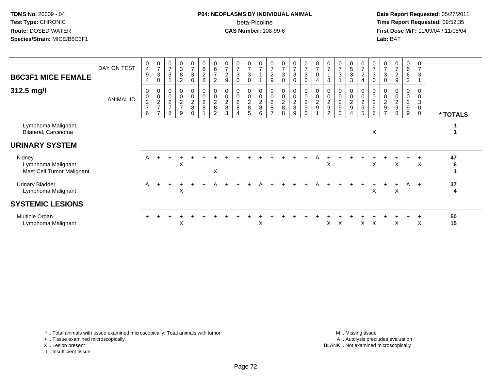#### **P04: NEOPLASMS BY INDIVIDUAL ANIMAL**beta-Picoline<br>CAS Number: 108-99-6

 **Date Report Requested:** 05/27/2011 **Time Report Requested:** 09:52:35 **First Dose M/F:** 11/09/04 / 11/08/04<br>Lab: BAT **Lab:** BAT

| <b>B6C3F1 MICE FEMALE</b><br>312.5 mg/l                   | DAY ON TEST<br><b>ANIMAL ID</b> | $\begin{smallmatrix}0\0\4\end{smallmatrix}$<br>$\boldsymbol{9}$<br>4<br>0<br>$\pmb{0}$<br>$\frac{2}{7}$<br>6 | $\frac{0}{7}$<br>$\ensuremath{\mathsf{3}}$<br>$\pmb{0}$<br>$\frac{0}{2}$<br>$\overline{ }$ | $\overline{7}$<br>3<br>0<br>$\mathbf 0$<br>$\frac{2}{7}$<br>8 | $\begin{array}{c} 0 \\ 3 \\ 8 \end{array}$<br>$\overline{2}$<br>$_{\rm 0}^{\rm 0}$<br>$\frac{2}{7}$<br>9 | $\frac{0}{7}$<br>$\mathbf{3}$<br>0<br>$_0^0$<br>$_{8}^2$<br>0 | $\begin{array}{c} 0 \\ 6 \end{array}$<br>$\boldsymbol{2}$<br>8<br>$\begin{array}{c} 0 \\ 0 \\ 2 \\ 8 \end{array}$ | 0<br>$\,6$<br>$\overline{7}$<br>$\overline{2}$<br>0<br>$\pmb{0}$<br>$\begin{array}{c} 2 \\ 8 \end{array}$<br>2 | $\frac{0}{7}$<br>$\boldsymbol{2}$<br>9<br>$\begin{smallmatrix}0\\0\end{smallmatrix}$<br>$\begin{array}{c} 2 \\ 8 \end{array}$<br>3 | $\frac{0}{7}$<br>$\sqrt{3}$<br>0<br>0<br>$\mathbf 0$<br>$_{8}^{\rm 2}$<br>4 | $\frac{0}{7}$<br>3<br>0<br>0<br>$\mathbf 0$<br>$\frac{2}{8}$<br>5 | $\begin{array}{c} 0 \\ 7 \end{array}$<br>$\begin{array}{c} 0 \\ 0 \\ 2 \\ 8 \end{array}$<br>6 | $\frac{0}{7}$<br>$\boldsymbol{2}$<br>9<br>0<br>$\pmb{0}$<br>$^2_{\bf 8}$<br>$\overline{ }$ | 0<br>$\overline{\mathcal{I}}$<br>3<br>$\mathbf 0$<br>0<br>$\pmb{0}$<br>$\frac{2}{8}$<br>8 | 0<br>$\overline{7}$<br>$\mathbf{3}$<br>$\mathbf 0$<br>0<br>$\pmb{0}$<br>$\frac{2}{8}$<br>9 | $\begin{array}{c} 0 \\ 7 \end{array}$<br>$\mathbf{3}$<br>0<br>$\pmb{0}$<br>$\mathbf 0$<br>$\frac{2}{9}$<br>0 | $\frac{0}{7}$<br>$\mathbf 0$<br>4<br>$\begin{smallmatrix}0\\0\end{smallmatrix}$<br>$\frac{2}{9}$ | 8<br>0<br>$\pmb{0}$<br>$\boldsymbol{2}$<br>$\boldsymbol{9}$<br>2 | $\begin{array}{c} 0 \\ 7 \end{array}$<br>$\mathbf{3}$<br>0<br>$\frac{0}{2}$<br>3 | $\begin{array}{c} 0 \\ 5 \\ 3 \end{array}$<br>$\mathbf{3}$<br>0<br>$\pmb{0}$<br>$\frac{2}{9}$<br>4 | 0<br>$\overline{7}$<br>$\boldsymbol{2}$<br>$\overline{4}$<br>0<br>$\pmb{0}$<br>$\overline{c}$<br>$\boldsymbol{9}$<br>5 | 0<br>$\overline{7}$<br>3<br>0<br>$\pmb{0}$<br>$\overline{c}$<br>$\boldsymbol{9}$<br>6 | $\frac{0}{7}$<br>$\ensuremath{\mathsf{3}}$<br>$\mathbf 0$<br>$\overline{0}$<br>$\boldsymbol{2}$<br>$\boldsymbol{9}$<br>$\overline{7}$ | 0<br>$\overline{7}$<br>$\boldsymbol{2}$<br>9<br>0<br>$\mathsf 0$<br>$\frac{2}{9}$<br>8 | 0<br>6<br>6<br>$\sqrt{2}$<br>0<br>$\boldsymbol{0}$<br>$\frac{2}{9}$<br>9 |     | 0<br>$\overline{7}$<br>$\mathbf{3}$<br>$\mathbf 0$<br>$\mathbf 0$<br>$\sqrt{3}$<br>0<br>$\mathbf 0$ | * TOTALS |  |
|-----------------------------------------------------------|---------------------------------|--------------------------------------------------------------------------------------------------------------|--------------------------------------------------------------------------------------------|---------------------------------------------------------------|----------------------------------------------------------------------------------------------------------|---------------------------------------------------------------|-------------------------------------------------------------------------------------------------------------------|----------------------------------------------------------------------------------------------------------------|------------------------------------------------------------------------------------------------------------------------------------|-----------------------------------------------------------------------------|-------------------------------------------------------------------|-----------------------------------------------------------------------------------------------|--------------------------------------------------------------------------------------------|-------------------------------------------------------------------------------------------|--------------------------------------------------------------------------------------------|--------------------------------------------------------------------------------------------------------------|--------------------------------------------------------------------------------------------------|------------------------------------------------------------------|----------------------------------------------------------------------------------|----------------------------------------------------------------------------------------------------|------------------------------------------------------------------------------------------------------------------------|---------------------------------------------------------------------------------------|---------------------------------------------------------------------------------------------------------------------------------------|----------------------------------------------------------------------------------------|--------------------------------------------------------------------------|-----|-----------------------------------------------------------------------------------------------------|----------|--|
| Lymphoma Malignant<br>Bilateral, Carcinoma                |                                 |                                                                                                              |                                                                                            |                                                               |                                                                                                          |                                                               |                                                                                                                   |                                                                                                                |                                                                                                                                    |                                                                             |                                                                   |                                                                                               |                                                                                            |                                                                                           |                                                                                            |                                                                                                              |                                                                                                  |                                                                  |                                                                                  |                                                                                                    |                                                                                                                        | X                                                                                     |                                                                                                                                       |                                                                                        |                                                                          |     |                                                                                                     |          |  |
| <b>URINARY SYSTEM</b>                                     |                                 |                                                                                                              |                                                                                            |                                                               |                                                                                                          |                                                               |                                                                                                                   |                                                                                                                |                                                                                                                                    |                                                                             |                                                                   |                                                                                               |                                                                                            |                                                                                           |                                                                                            |                                                                                                              |                                                                                                  |                                                                  |                                                                                  |                                                                                                    |                                                                                                                        |                                                                                       |                                                                                                                                       |                                                                                        |                                                                          |     |                                                                                                     |          |  |
| Kidney<br>Lymphoma Malignant<br>Mast Cell Tumor Malignant |                                 | A                                                                                                            |                                                                                            |                                                               | X                                                                                                        |                                                               |                                                                                                                   | X                                                                                                              |                                                                                                                                    |                                                                             |                                                                   |                                                                                               |                                                                                            |                                                                                           |                                                                                            |                                                                                                              |                                                                                                  | X                                                                |                                                                                  |                                                                                                    |                                                                                                                        | X                                                                                     |                                                                                                                                       | $\mathsf{X}$                                                                           |                                                                          |     | X                                                                                                   | 47<br>6  |  |
| <b>Urinary Bladder</b><br>Lymphoma Malignant              |                                 | A                                                                                                            | $+$                                                                                        | $+$                                                           | Χ                                                                                                        |                                                               | $\ddot{}$                                                                                                         | A                                                                                                              |                                                                                                                                    |                                                                             | $+$                                                               | A                                                                                             |                                                                                            |                                                                                           |                                                                                            | $\div$                                                                                                       | A                                                                                                |                                                                  |                                                                                  |                                                                                                    |                                                                                                                        | X                                                                                     |                                                                                                                                       | X                                                                                      | A                                                                        | $+$ |                                                                                                     | 37<br>4  |  |
| <b>SYSTEMIC LESIONS</b>                                   |                                 |                                                                                                              |                                                                                            |                                                               |                                                                                                          |                                                               |                                                                                                                   |                                                                                                                |                                                                                                                                    |                                                                             |                                                                   |                                                                                               |                                                                                            |                                                                                           |                                                                                            |                                                                                                              |                                                                                                  |                                                                  |                                                                                  |                                                                                                    |                                                                                                                        |                                                                                       |                                                                                                                                       |                                                                                        |                                                                          |     |                                                                                                     |          |  |
| Multiple Organ<br>Lymphoma Malignant                      |                                 |                                                                                                              |                                                                                            |                                                               | X                                                                                                        |                                                               |                                                                                                                   |                                                                                                                |                                                                                                                                    |                                                                             |                                                                   | X                                                                                             |                                                                                            |                                                                                           |                                                                                            |                                                                                                              |                                                                                                  | X                                                                | X                                                                                |                                                                                                    | X.                                                                                                                     | $\times$                                                                              |                                                                                                                                       | X                                                                                      |                                                                          |     | X                                                                                                   | 50<br>15 |  |

\* .. Total animals with tissue examined microscopically; Total animals with tumor

+ .. Tissue examined microscopically

X .. Lesion present

I .. Insufficient tissue

 M .. Missing tissuey the contract of the contract of the contract of the contract of the contract of the contract of the contract of  $A$ . Autolysis precludes evaluation Lesion present BLANK .. Not examined microscopically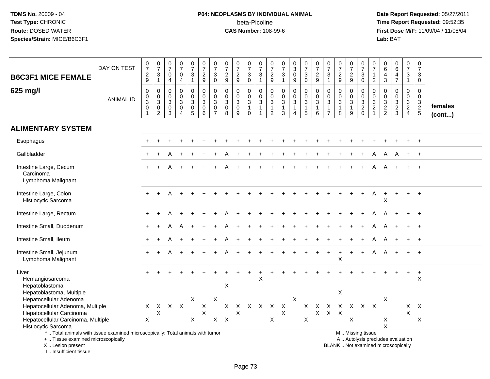# **P04: NEOPLASMS BY INDIVIDUAL ANIMAL**beta-Picoline<br>CAS Number: 108-99-6

 **Date Report Requested:** 05/27/2011 **Time Report Requested:** 09:52:35 **First Dose M/F:** 11/09/04 / 11/08/04<br>Lab: BAT **Lab:** BAT

| <b>B6C3F1 MICE FEMALE</b>                                                                                                                 | DAY ON TEST      | $\frac{0}{7}$<br>$\sqrt{2}$<br>$\boldsymbol{9}$                     | $\begin{smallmatrix}0\\7\end{smallmatrix}$<br>$\ensuremath{\mathsf{3}}$<br>$\mathbf{1}$ | $\frac{0}{7}$<br>0<br>$\overline{4}$     | $\begin{array}{c} 0 \\ 7 \end{array}$<br>$\pmb{0}$<br>$\overline{4}$            | $\begin{array}{c} 0 \\ 7 \end{array}$<br>$\mathsf 3$<br>$\mathbf{1}$      | $\begin{array}{c} 0 \\ 7 \end{array}$<br>$\overline{c}$<br>$9\,$ | $\frac{0}{7}$<br>3<br>$\mathbf 0$                                       | $\begin{array}{c} 0 \\ 7 \end{array}$<br>$\frac{2}{9}$                | $\frac{0}{7}$<br>$\overline{c}$<br>$9\,$                      | $\frac{0}{7}$<br>$\frac{3}{0}$                      | $\begin{array}{c} 0 \\ 7 \end{array}$<br>$\frac{3}{1}$     | $\frac{0}{7}$<br>$\frac{2}{9}$                                                | $\begin{array}{c} 0 \\ 7 \end{array}$<br>$\sqrt{3}$<br>$\mathbf{1}$ | $\frac{0}{3}$<br>$\mathbf 0$<br>9                     | $\frac{0}{7}$<br>$\frac{3}{0}$                                                      | $\begin{array}{c} 0 \\ 7 \end{array}$<br>$\overline{c}$<br>9            | $\frac{0}{7}$<br>$\ensuremath{\mathsf{3}}$<br>$\mathbf{1}$ | $\begin{array}{c} 0 \\ 7 \end{array}$<br>$\frac{2}{9}$            | $\begin{array}{c} 0 \\ 7 \end{array}$<br>$\overline{2}$<br>9 | $\frac{0}{7}$<br>$\sqrt{3}$<br>$\mathbf 0$                                                    | $\frac{0}{7}$<br>$\mathbf{1}$<br>$\overline{2}$                             | 0<br>$\,6\,$<br>4<br>$\sqrt{3}$                                | $\begin{array}{c} 0 \\ 6 \end{array}$<br>$\frac{4}{7}$ | $\pmb{0}$<br>$\boldsymbol{7}$<br>3<br>$\mathbf{1}$ | 0<br>$\overline{7}$<br>$\mathbf{3}$<br>$\mathbf 0$ |                   |
|-------------------------------------------------------------------------------------------------------------------------------------------|------------------|---------------------------------------------------------------------|-----------------------------------------------------------------------------------------|------------------------------------------|---------------------------------------------------------------------------------|---------------------------------------------------------------------------|------------------------------------------------------------------|-------------------------------------------------------------------------|-----------------------------------------------------------------------|---------------------------------------------------------------|-----------------------------------------------------|------------------------------------------------------------|-------------------------------------------------------------------------------|---------------------------------------------------------------------|-------------------------------------------------------|-------------------------------------------------------------------------------------|-------------------------------------------------------------------------|------------------------------------------------------------|-------------------------------------------------------------------|--------------------------------------------------------------|-----------------------------------------------------------------------------------------------|-----------------------------------------------------------------------------|----------------------------------------------------------------|--------------------------------------------------------|----------------------------------------------------|----------------------------------------------------|-------------------|
| 625 mg/l                                                                                                                                  | <b>ANIMAL ID</b> | $\boldsymbol{0}$<br>$\pmb{0}$<br>$\overline{3}$<br>$\mathbf 0$<br>1 | $\mathbf 0$<br>$\mathbf 0$<br>$\overline{3}$<br>$\boldsymbol{0}$<br>$\overline{c}$      | 0<br>0<br>$\sqrt{3}$<br>$\mathbf 0$<br>3 | $\mathbf 0$<br>$\mathsf{O}\xspace$<br>$\sqrt{3}$<br>$\pmb{0}$<br>$\overline{4}$ | $\mathbf 0$<br>$\mathbf 0$<br>$\ensuremath{\mathsf{3}}$<br>$\pmb{0}$<br>5 | 0<br>$\mathbf 0$<br>$\sqrt{3}$<br>$\mathbf 0$<br>6               | $\mathbf 0$<br>$\mathbf 0$<br>$\sqrt{3}$<br>$\pmb{0}$<br>$\overline{7}$ | $\pmb{0}$<br>$\mathbf 0$<br>$\ensuremath{\mathsf{3}}$<br>$\,0\,$<br>8 | 0<br>$\mathsf{O}$<br>$\mathbf{3}$<br>$\mathsf{O}\xspace$<br>9 | 0<br>$\frac{0}{3}$<br>$\overline{1}$<br>$\mathbf 0$ | 0<br>$\ddot{\mathbf{0}}$<br>$\overline{3}$<br>$\mathbf{1}$ | $\mathbf 0$<br>$\mathsf{O}$<br>$\ensuremath{\mathsf{3}}$<br>$\mathbf{1}$<br>2 | $\mathbf 0$<br>$\mathbf 0$<br>$\overline{3}$<br>$\mathbf{1}$<br>3   | 0<br>$\mathbf 0$<br>$\mathbf{3}$<br>$\mathbf{1}$<br>4 | $\begin{smallmatrix} 0\\0 \end{smallmatrix}$<br>$\overline{3}$<br>$\mathbf{1}$<br>5 | $\pmb{0}$<br>$\ddot{\mathbf{0}}$<br>$\overline{3}$<br>$\mathbf{1}$<br>6 | 0<br>0<br>$\mathbf{3}$<br>$\mathbf{1}$<br>$\overline{7}$   | $\mathbf 0$<br>$\mathsf 0$<br>$\overline{3}$<br>$\mathbf{1}$<br>8 | 0<br>$\mathbf 0$<br>$\mathbf{3}$<br>$\mathbf{1}$<br>9        | $\mathbf 0$<br>$\mathbf 0$<br>$\overline{3}$<br>$\sqrt{2}$<br>$\Omega$                        | 0<br>$\mathbf 0$<br>$\ensuremath{\mathsf{3}}$<br>$\sqrt{2}$<br>$\mathbf{1}$ | 0<br>$\mathbf 0$<br>$\ensuremath{\mathsf{3}}$<br>$\frac{2}{2}$ | $\mathbf 0$<br>$\mathbf 0$<br>$\frac{3}{2}$            | $\mathbf 0$<br>$\mathbf 0$<br>$\frac{3}{2}$        | $\mathbf 0$<br>$\mathbf{0}$<br>$\frac{3}{2}$       | females<br>(cont) |
| <b>ALIMENTARY SYSTEM</b>                                                                                                                  |                  |                                                                     |                                                                                         |                                          |                                                                                 |                                                                           |                                                                  |                                                                         |                                                                       |                                                               |                                                     |                                                            |                                                                               |                                                                     |                                                       |                                                                                     |                                                                         |                                                            |                                                                   |                                                              |                                                                                               |                                                                             |                                                                |                                                        |                                                    |                                                    |                   |
| Esophagus                                                                                                                                 |                  |                                                                     |                                                                                         |                                          |                                                                                 |                                                                           |                                                                  |                                                                         |                                                                       |                                                               |                                                     |                                                            |                                                                               |                                                                     |                                                       |                                                                                     |                                                                         |                                                            |                                                                   |                                                              |                                                                                               |                                                                             |                                                                |                                                        |                                                    |                                                    |                   |
| Gallbladder                                                                                                                               |                  |                                                                     |                                                                                         |                                          |                                                                                 |                                                                           |                                                                  |                                                                         |                                                                       |                                                               |                                                     |                                                            |                                                                               |                                                                     |                                                       |                                                                                     |                                                                         |                                                            |                                                                   |                                                              |                                                                                               |                                                                             |                                                                |                                                        |                                                    |                                                    |                   |
| Intestine Large, Cecum<br>Carcinoma<br>Lymphoma Malignant                                                                                 |                  |                                                                     |                                                                                         |                                          |                                                                                 |                                                                           |                                                                  |                                                                         |                                                                       |                                                               |                                                     |                                                            |                                                                               |                                                                     |                                                       |                                                                                     |                                                                         |                                                            |                                                                   |                                                              |                                                                                               |                                                                             |                                                                |                                                        |                                                    |                                                    |                   |
| Intestine Large, Colon<br>Histiocytic Sarcoma                                                                                             |                  |                                                                     |                                                                                         |                                          |                                                                                 |                                                                           |                                                                  |                                                                         |                                                                       |                                                               |                                                     |                                                            |                                                                               |                                                                     |                                                       |                                                                                     |                                                                         |                                                            |                                                                   |                                                              |                                                                                               | A                                                                           | $\ddot{}$<br>X                                                 | $\ddot{}$                                              | $+$                                                | $+$                                                |                   |
| Intestine Large, Rectum                                                                                                                   |                  |                                                                     |                                                                                         |                                          |                                                                                 |                                                                           |                                                                  |                                                                         |                                                                       |                                                               |                                                     |                                                            |                                                                               |                                                                     |                                                       |                                                                                     |                                                                         |                                                            |                                                                   |                                                              |                                                                                               |                                                                             |                                                                |                                                        |                                                    | $+$                                                |                   |
| Intestine Small, Duodenum                                                                                                                 |                  |                                                                     |                                                                                         |                                          |                                                                                 |                                                                           |                                                                  |                                                                         |                                                                       |                                                               |                                                     |                                                            |                                                                               |                                                                     |                                                       |                                                                                     |                                                                         |                                                            |                                                                   |                                                              |                                                                                               |                                                                             |                                                                |                                                        |                                                    |                                                    |                   |
| Intestine Small, Ileum                                                                                                                    |                  |                                                                     |                                                                                         |                                          |                                                                                 |                                                                           |                                                                  |                                                                         |                                                                       |                                                               |                                                     |                                                            |                                                                               |                                                                     |                                                       |                                                                                     |                                                                         |                                                            |                                                                   |                                                              |                                                                                               |                                                                             |                                                                |                                                        |                                                    |                                                    |                   |
| Intestine Small, Jejunum<br>Lymphoma Malignant                                                                                            |                  |                                                                     |                                                                                         |                                          |                                                                                 |                                                                           |                                                                  |                                                                         |                                                                       |                                                               |                                                     |                                                            |                                                                               |                                                                     |                                                       |                                                                                     |                                                                         |                                                            | $\sf X$                                                           |                                                              |                                                                                               | Α                                                                           | A                                                              |                                                        | $\ddot{}$                                          | $+$                                                |                   |
| Liver<br>Hemangiosarcoma<br>Hepatoblastoma<br>Hepatoblastoma, Multiple                                                                    |                  |                                                                     |                                                                                         |                                          |                                                                                 |                                                                           |                                                                  |                                                                         | $\pmb{\times}$                                                        |                                                               |                                                     | X                                                          |                                                                               |                                                                     |                                                       |                                                                                     |                                                                         |                                                            | X                                                                 |                                                              |                                                                                               |                                                                             |                                                                |                                                        | $+$                                                | $+$<br>X                                           |                   |
| Hepatocellular Adenoma                                                                                                                    |                  |                                                                     |                                                                                         |                                          |                                                                                 | X                                                                         |                                                                  | $\times$                                                                |                                                                       |                                                               |                                                     |                                                            |                                                                               |                                                                     | X                                                     |                                                                                     |                                                                         |                                                            |                                                                   |                                                              |                                                                                               |                                                                             | X                                                              |                                                        |                                                    |                                                    |                   |
| Hepatocellular Adenoma, Multiple                                                                                                          |                  | X                                                                   | X                                                                                       |                                          | $X$ $X$                                                                         |                                                                           | X                                                                |                                                                         | X                                                                     | X                                                             | X                                                   | $\mathsf{X}$                                               | $\mathsf{X}$                                                                  | X                                                                   |                                                       | X                                                                                   | X                                                                       | Х                                                          |                                                                   | X                                                            | X                                                                                             | $\mathsf{X}$                                                                |                                                                |                                                        | $\mathsf{X}$                                       | $\boldsymbol{X}$                                   |                   |
| Hepatocellular Carcinoma                                                                                                                  |                  |                                                                     | X                                                                                       |                                          |                                                                                 |                                                                           | $\boldsymbol{\mathsf{X}}$                                        |                                                                         |                                                                       | X                                                             |                                                     |                                                            |                                                                               | $\mathsf X$                                                         |                                                       |                                                                                     | $\boldsymbol{\mathsf{X}}$                                               | $X$ $X$                                                    |                                                                   |                                                              |                                                                                               |                                                                             |                                                                |                                                        | X                                                  |                                                    |                   |
| Hepatocellular Carcinoma, Multiple<br><b>Histiocytic Sarcoma</b>                                                                          |                  | X                                                                   |                                                                                         |                                          |                                                                                 | X                                                                         |                                                                  |                                                                         | $X$ $X$                                                               |                                                               |                                                     |                                                            | X                                                                             |                                                                     |                                                       | $\mathsf X$                                                                         |                                                                         |                                                            |                                                                   | X                                                            |                                                                                               |                                                                             | X<br>$\mathsf{x}$                                              |                                                        |                                                    | X                                                  |                   |
| *  Total animals with tissue examined microscopically; Total animals with tumor<br>+  Tissue examined microscopically<br>X Lesion present |                  |                                                                     |                                                                                         |                                          |                                                                                 |                                                                           |                                                                  |                                                                         |                                                                       |                                                               |                                                     |                                                            |                                                                               |                                                                     |                                                       |                                                                                     |                                                                         |                                                            |                                                                   |                                                              | M  Missing tissue<br>A  Autolysis precludes evaluation<br>BLANK  Not examined microscopically |                                                                             |                                                                |                                                        |                                                    |                                                    |                   |

I .. Insufficient tissue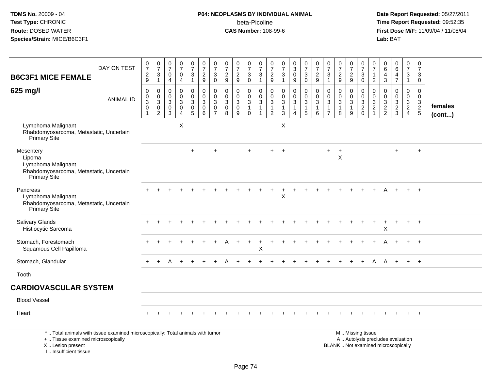I .. Insufficient tissue

# **P04: NEOPLASMS BY INDIVIDUAL ANIMAL**beta-Picoline<br>CAS Number: 108-99-6

| DAY ON TEST                                                                                                                                | $\pmb{0}$<br>$\overline{7}$                                                    | $\frac{0}{7}$<br>3                                     | $\frac{0}{7}$<br>0                                         | $\frac{0}{7}$<br>0                                       | 0<br>$\overline{7}$<br>3                | $\frac{0}{7}$                                                                          | 0<br>$\overline{7}$<br>$\mathbf{3}$                              | 0<br>$\overline{7}$<br>$\boldsymbol{2}$                      | $\frac{0}{7}$                                      | 0<br>$\overline{7}$                                                       | $\frac{0}{7}$<br>3                                                         | 0<br>$\overline{7}$                                  | $\frac{0}{7}$<br>3                                                     | $\frac{0}{3}$<br>$\mathbf 0$                                      | $\frac{0}{7}$<br>3                         | $\frac{0}{7}$                                                 | 0<br>$\overline{7}$<br>3                                                        | $\frac{0}{7}$<br>$\overline{2}$                                 | $\pmb{0}$<br>$\overline{7}$                                | 0<br>$\overline{7}$<br>$\mathbf{3}$                                                           | 0<br>$\overline{7}$                                                           | 0<br>6                                                                   | $\begin{array}{c} 0 \\ 6 \end{array}$  | 0<br>$\overline{7}$<br>$\mathbf{3}$                 | $\mathbf 0$<br>$\overline{7}$<br>3                             |                         |
|--------------------------------------------------------------------------------------------------------------------------------------------|--------------------------------------------------------------------------------|--------------------------------------------------------|------------------------------------------------------------|----------------------------------------------------------|-----------------------------------------|----------------------------------------------------------------------------------------|------------------------------------------------------------------|--------------------------------------------------------------|----------------------------------------------------|---------------------------------------------------------------------------|----------------------------------------------------------------------------|------------------------------------------------------|------------------------------------------------------------------------|-------------------------------------------------------------------|--------------------------------------------|---------------------------------------------------------------|---------------------------------------------------------------------------------|-----------------------------------------------------------------|------------------------------------------------------------|-----------------------------------------------------------------------------------------------|-------------------------------------------------------------------------------|--------------------------------------------------------------------------|----------------------------------------|-----------------------------------------------------|----------------------------------------------------------------|-------------------------|
| <b>B6C3F1 MICE FEMALE</b>                                                                                                                  | $\frac{2}{9}$                                                                  | $\mathbf{1}$                                           | $\overline{4}$                                             | $\overline{4}$                                           | $\mathbf{1}$                            | $\frac{2}{9}$                                                                          | $\mathbf 0$                                                      | $\overline{9}$                                               | $\overline{c}$<br>9                                | 3<br>$\overline{0}$                                                       | $\mathbf{1}$                                                               | $\frac{2}{9}$                                        | $\overline{1}$                                                         | 9                                                                 | $\mathbf 0$                                | $\frac{2}{9}$                                                 | $\overline{1}$                                                                  | 9                                                               | $\frac{2}{9}$                                              | $\mathbf 0$                                                                                   | $\mathbf{1}$<br>$\sqrt{2}$                                                    | 4<br>$\mathbf{3}$                                                        | 4<br>$\overline{7}$                    | $\mathbf{1}$                                        | 0                                                              |                         |
| 625 mg/l<br><b>ANIMAL ID</b>                                                                                                               | $\boldsymbol{0}$<br>$\mathbf 0$<br>$\overline{3}$<br>$\pmb{0}$<br>$\mathbf{1}$ | 0<br>$\mathbf 0$<br>3<br>$\mathbf 0$<br>$\overline{2}$ | $\mathbf 0$<br>0<br>$\sqrt{3}$<br>$\mathsf{O}\xspace$<br>3 | 0<br>$\mathsf{O}$<br>$\mathbf{3}$<br>$\overline{0}$<br>4 | 0<br>0<br>3<br>$\mathsf{O}\xspace$<br>5 | $\mathbf 0$<br>$\mathbf 0$<br>$\overline{3}$<br>$\ddot{\mathbf{0}}$<br>$6\phantom{1}6$ | $\mathbf 0$<br>$\mathbf 0$<br>3<br>$\mathbf 0$<br>$\overline{7}$ | $\mathbf 0$<br>$\mathbf 0$<br>$\sqrt{3}$<br>$\mathbf 0$<br>8 | 0<br>$\pmb{0}$<br>$\mathbf{3}$<br>$\mathbf 0$<br>9 | 0<br>$\mathbf 0$<br>$\ensuremath{\mathsf{3}}$<br>$\mathbf{1}$<br>$\Omega$ | 0<br>$\mathsf{O}\xspace$<br>$\ensuremath{\mathsf{3}}$<br>$\mathbf{1}$<br>1 | $\mathbf 0$<br>$\mathbf 0$<br>3<br>$\mathbf{1}$<br>2 | 0<br>$\mathsf{O}\xspace$<br>$\sqrt{3}$<br>$\mathbf{1}$<br>$\mathbf{3}$ | 0<br>$\mathbf 0$<br>$\mathsf 3$<br>$\mathbf{1}$<br>$\overline{4}$ | 0<br>$\mathbf 0$<br>3<br>$\mathbf{1}$<br>5 | $\mathbf 0$<br>$\mathbf 0$<br>$\sqrt{3}$<br>$\mathbf{1}$<br>6 | 0<br>$\mathbf 0$<br>$\ensuremath{\mathsf{3}}$<br>$\mathbf{1}$<br>$\overline{7}$ | $\mathbf 0$<br>$\mathbf 0$<br>$\mathbf{3}$<br>$\mathbf{1}$<br>8 | 0<br>$\mathbf 0$<br>$\mathbf 3$<br>$\overline{1}$<br>$9\,$ | $\mathbf 0$<br>$\mathbf 0$<br>$\mathbf 3$<br>$\overline{2}$<br>$\mathbf 0$                    | $\mathbf 0$<br>$\overline{0}$<br>$\sqrt{3}$<br>$\overline{c}$<br>$\mathbf{1}$ | $\mathbf 0$<br>$\mathbf 0$<br>$\ensuremath{\mathsf{3}}$<br>$\frac{2}{2}$ | 0<br>$\mathbf 0$<br>3<br>$\frac{2}{3}$ | 0<br>$\mathbf 0$<br>$\frac{3}{2}$<br>$\overline{4}$ | $\mathbf 0$<br>$\mathbf 0$<br>$\frac{3}{2}$<br>$5\phantom{.0}$ | females<br>$($ cont $)$ |
| Lymphoma Malignant<br>Rhabdomyosarcoma, Metastatic, Uncertain<br>Primary Site                                                              |                                                                                |                                                        |                                                            | X                                                        |                                         |                                                                                        |                                                                  |                                                              |                                                    |                                                                           |                                                                            |                                                      | $\pmb{\times}$                                                         |                                                                   |                                            |                                                               |                                                                                 |                                                                 |                                                            |                                                                                               |                                                                               |                                                                          |                                        |                                                     |                                                                |                         |
| Mesentery<br>Lipoma<br>Lymphoma Malignant<br>Rhabdomyosarcoma, Metastatic, Uncertain<br>Primary Site                                       |                                                                                |                                                        |                                                            |                                                          | $+$                                     |                                                                                        |                                                                  |                                                              |                                                    |                                                                           |                                                                            |                                                      |                                                                        |                                                                   |                                            |                                                               | $+$                                                                             | $\ddot{}$<br>X                                                  |                                                            |                                                                                               |                                                                               |                                                                          | $+$                                    |                                                     | $\overline{+}$                                                 |                         |
| Pancreas<br>Lymphoma Malignant<br>Rhabdomyosarcoma, Metastatic, Uncertain<br>Primary Site                                                  |                                                                                |                                                        |                                                            |                                                          |                                         |                                                                                        |                                                                  |                                                              |                                                    |                                                                           |                                                                            |                                                      | X                                                                      |                                                                   |                                            |                                                               |                                                                                 |                                                                 |                                                            |                                                                                               |                                                                               |                                                                          |                                        |                                                     |                                                                |                         |
| <b>Salivary Glands</b><br>Histiocytic Sarcoma                                                                                              |                                                                                |                                                        |                                                            |                                                          |                                         |                                                                                        |                                                                  |                                                              |                                                    |                                                                           |                                                                            |                                                      |                                                                        |                                                                   |                                            |                                                               |                                                                                 |                                                                 |                                                            |                                                                                               |                                                                               | X                                                                        |                                        |                                                     | $\overline{+}$                                                 |                         |
| Stomach, Forestomach<br>Squamous Cell Papilloma                                                                                            |                                                                                |                                                        |                                                            |                                                          |                                         |                                                                                        |                                                                  |                                                              |                                                    | $\ddot{}$                                                                 | $\,^+$<br>X                                                                |                                                      |                                                                        |                                                                   |                                            |                                                               |                                                                                 |                                                                 |                                                            |                                                                                               |                                                                               |                                                                          |                                        |                                                     |                                                                |                         |
| Stomach, Glandular                                                                                                                         |                                                                                | $\ddot{}$                                              | A                                                          | $+$                                                      | $\div$                                  |                                                                                        |                                                                  |                                                              |                                                    |                                                                           |                                                                            |                                                      |                                                                        |                                                                   |                                            |                                                               |                                                                                 |                                                                 |                                                            | $\ddot{}$                                                                                     | A                                                                             | A                                                                        | $\ddot{}$                              | $+$                                                 | $+$                                                            |                         |
| Tooth                                                                                                                                      |                                                                                |                                                        |                                                            |                                                          |                                         |                                                                                        |                                                                  |                                                              |                                                    |                                                                           |                                                                            |                                                      |                                                                        |                                                                   |                                            |                                                               |                                                                                 |                                                                 |                                                            |                                                                                               |                                                                               |                                                                          |                                        |                                                     |                                                                |                         |
| <b>CARDIOVASCULAR SYSTEM</b>                                                                                                               |                                                                                |                                                        |                                                            |                                                          |                                         |                                                                                        |                                                                  |                                                              |                                                    |                                                                           |                                                                            |                                                      |                                                                        |                                                                   |                                            |                                                               |                                                                                 |                                                                 |                                                            |                                                                                               |                                                                               |                                                                          |                                        |                                                     |                                                                |                         |
| <b>Blood Vessel</b>                                                                                                                        |                                                                                |                                                        |                                                            |                                                          |                                         |                                                                                        |                                                                  |                                                              |                                                    |                                                                           |                                                                            |                                                      |                                                                        |                                                                   |                                            |                                                               |                                                                                 |                                                                 |                                                            |                                                                                               |                                                                               |                                                                          |                                        |                                                     |                                                                |                         |
| Heart                                                                                                                                      |                                                                                |                                                        |                                                            |                                                          |                                         |                                                                                        |                                                                  |                                                              |                                                    |                                                                           |                                                                            |                                                      |                                                                        |                                                                   |                                            |                                                               |                                                                                 |                                                                 |                                                            |                                                                                               |                                                                               |                                                                          |                                        |                                                     |                                                                |                         |
| *  Total animals with tissue examined microscopically; Total animals with tumor<br>+  Tissue examined microscopically<br>X  Lesion present |                                                                                |                                                        |                                                            |                                                          |                                         |                                                                                        |                                                                  |                                                              |                                                    |                                                                           |                                                                            |                                                      |                                                                        |                                                                   |                                            |                                                               |                                                                                 |                                                                 |                                                            | M  Missing tissue<br>A  Autolysis precludes evaluation<br>BLANK  Not examined microscopically |                                                                               |                                                                          |                                        |                                                     |                                                                |                         |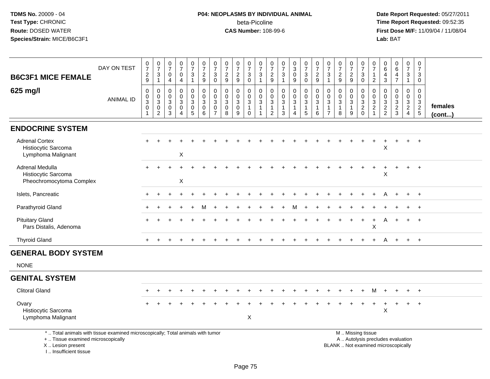# **P04: NEOPLASMS BY INDIVIDUAL ANIMAL**beta-Picoline<br>CAS Number: 108-99-6

|                                                                                                                                                                       |                  | $\frac{0}{7}$                                                     | $\begin{array}{c} 0 \\ 7 \end{array}$                                    | $\frac{0}{7}$                                                                     | $\frac{0}{7}$                             | $\frac{0}{7}$                                                             | $\frac{0}{7}$                                                  | $\frac{0}{7}$                                       | $\frac{0}{7}$                                              | $\frac{0}{7}$                                       |                                                                            | $\frac{0}{7}$                                                        |                                                                  | $\begin{array}{c} 0 \\ 7 \end{array}$                                                | $_{3}^{\rm 0}$                            | $\frac{0}{7}$                                                   | $\frac{0}{7}$                                     | $\frac{0}{7}$                                                                        | $\frac{0}{7}$                                 | $\frac{0}{7}$                                          | $\frac{0}{7}$                                                                                 | 0                                                               | 0                                                      | $_{6}^{\rm 0}$                                                  | $\frac{0}{7}$                             | $\pmb{0}$                         |         |
|-----------------------------------------------------------------------------------------------------------------------------------------------------------------------|------------------|-------------------------------------------------------------------|--------------------------------------------------------------------------|-----------------------------------------------------------------------------------|-------------------------------------------|---------------------------------------------------------------------------|----------------------------------------------------------------|-----------------------------------------------------|------------------------------------------------------------|-----------------------------------------------------|----------------------------------------------------------------------------|----------------------------------------------------------------------|------------------------------------------------------------------|--------------------------------------------------------------------------------------|-------------------------------------------|-----------------------------------------------------------------|---------------------------------------------------|--------------------------------------------------------------------------------------|-----------------------------------------------|--------------------------------------------------------|-----------------------------------------------------------------------------------------------|-----------------------------------------------------------------|--------------------------------------------------------|-----------------------------------------------------------------|-------------------------------------------|-----------------------------------|---------|
| <b>B6C3F1 MICE FEMALE</b>                                                                                                                                             | DAY ON TEST      | $\frac{2}{9}$                                                     | $\mathbf 3$                                                              | $\pmb{0}$                                                                         | $\overline{0}$                            | $\mathbf{3}$                                                              | $\frac{2}{9}$                                                  | $\mathbf{3}$                                        | $\frac{2}{9}$                                              | $\frac{2}{9}$                                       | $\frac{0}{7}$<br>$\frac{3}{0}$                                             | 3                                                                    | $\frac{0}{7}$<br>$\frac{2}{9}$                                   | $\sqrt{3}$                                                                           | $\mathbf 0$                               | $\sqrt{3}$                                                      | $\frac{2}{9}$                                     | $\sqrt{3}$                                                                           | $\frac{2}{9}$                                 | $\frac{2}{9}$                                          | $_{0}^{3}$                                                                                    | $\overline{7}$<br>$\mathbf{1}$                                  | 6<br>4                                                 | $\overline{4}$                                                  | $\mathbf{3}$                              | $\overline{7}$<br>$\mathbf{3}$    |         |
|                                                                                                                                                                       |                  |                                                                   | $\mathbf{1}$                                                             | 4                                                                                 | $\overline{4}$                            | $\mathbf{1}$                                                              |                                                                | $\mathbf 0$                                         |                                                            |                                                     |                                                                            | $\mathbf{1}$                                                         |                                                                  | $\mathbf{1}$                                                                         | 9                                         | $\mathbf 0$                                                     |                                                   | $\overline{1}$                                                                       |                                               |                                                        |                                                                                               | $\overline{2}$                                                  | $\overline{3}$                                         | $\overline{7}$                                                  | $\mathbf{1}$                              | 0                                 |         |
| 625 mg/l                                                                                                                                                              | <b>ANIMAL ID</b> | $\mathsf 0$<br>$\mathbf 0$<br>$\overline{3}$<br>0<br>$\mathbf{1}$ | $\mathbf 0$<br>$\mathbf 0$<br>$\mathbf 3$<br>$\pmb{0}$<br>$\overline{c}$ | $\mathsf{O}\xspace$<br>$\mathbf 0$<br>$\sqrt{3}$<br>$\mathbf 0$<br>$\overline{3}$ | 0<br>$\mathbf 0$<br>3<br>$\mathbf 0$<br>4 | $\pmb{0}$<br>$\mathbf 0$<br>$\overline{3}$<br>$\pmb{0}$<br>$\overline{5}$ | $\mathbf 0$<br>$\mathbf 0$<br>$\overline{3}$<br>$\pmb{0}$<br>6 | 0<br>$\Omega$<br>3<br>$\mathbf 0$<br>$\overline{7}$ | $\pmb{0}$<br>$\mathbf 0$<br>$\sqrt{3}$<br>$\mathsf 0$<br>8 | 0<br>$\mathbf{0}$<br>$\sqrt{3}$<br>$\mathbf 0$<br>9 | $\pmb{0}$<br>$\mathsf{O}$<br>$\overline{3}$<br>$\mathbf{1}$<br>$\mathbf 0$ | $\pmb{0}$<br>$\Omega$<br>$\mathbf{3}$<br>$\mathbf{1}$<br>$\mathbf 1$ | 0<br>$\mathbf 0$<br>$\sqrt{3}$<br>$\mathbf{1}$<br>$\overline{c}$ | $\mathbf 0$<br>$\ddot{\mathbf{0}}$<br>$\overline{3}$<br>$\mathbf{1}$<br>$\mathbf{3}$ | 0<br>0<br>$\sqrt{3}$<br>$\mathbf{1}$<br>4 | $\mathbf 0$<br>$\mathbf 0$<br>$\sqrt{3}$<br>$\overline{1}$<br>5 | $\mathbf 0$<br>$\Omega$<br>3<br>$\mathbf{1}$<br>6 | $\mathsf{O}\xspace$<br>$\mathbf 0$<br>$\mathbf{3}$<br>$\mathbf{1}$<br>$\overline{7}$ | 0<br>0<br>$\overline{3}$<br>$\mathbf{1}$<br>8 | 0<br>$\mathbf{0}$<br>$\mathbf{3}$<br>$\mathbf{1}$<br>9 | $\mathbf 0$<br>$\mathsf{O}\xspace$<br>$\frac{3}{2}$ <sub>0</sub>                              | 0<br>$\Omega$<br>$\mathbf{3}$<br>$\overline{c}$<br>$\mathbf{1}$ | $\mathbf 0$<br>$\Omega$<br>$\sqrt{3}$<br>$\frac{2}{2}$ | 0<br>$\mathbf{0}$<br>$\ensuremath{\mathsf{3}}$<br>$\frac{2}{3}$ | 0<br>0<br>$\frac{3}{2}$<br>$\overline{4}$ | 0<br>$\mathbf 0$<br>$\frac{3}{2}$ | females |
|                                                                                                                                                                       |                  |                                                                   |                                                                          |                                                                                   |                                           |                                                                           |                                                                |                                                     |                                                            |                                                     |                                                                            |                                                                      |                                                                  |                                                                                      |                                           |                                                                 |                                                   |                                                                                      |                                               |                                                        |                                                                                               |                                                                 |                                                        |                                                                 |                                           |                                   | (cont)  |
| <b>ENDOCRINE SYSTEM</b>                                                                                                                                               |                  |                                                                   |                                                                          |                                                                                   |                                           |                                                                           |                                                                |                                                     |                                                            |                                                     |                                                                            |                                                                      |                                                                  |                                                                                      |                                           |                                                                 |                                                   |                                                                                      |                                               |                                                        |                                                                                               |                                                                 |                                                        |                                                                 |                                           |                                   |         |
| <b>Adrenal Cortex</b><br>Histiocytic Sarcoma<br>Lymphoma Malignant                                                                                                    |                  |                                                                   |                                                                          |                                                                                   | $\mathsf X$                               |                                                                           |                                                                |                                                     |                                                            |                                                     |                                                                            |                                                                      |                                                                  |                                                                                      |                                           |                                                                 |                                                   |                                                                                      |                                               |                                                        |                                                                                               |                                                                 | X                                                      |                                                                 |                                           | $+$                               |         |
| Adrenal Medulla                                                                                                                                                       |                  |                                                                   |                                                                          |                                                                                   |                                           |                                                                           |                                                                |                                                     |                                                            |                                                     |                                                                            |                                                                      |                                                                  |                                                                                      |                                           |                                                                 |                                                   |                                                                                      |                                               |                                                        |                                                                                               |                                                                 |                                                        |                                                                 |                                           |                                   |         |
| Histiocytic Sarcoma<br>Pheochromocytoma Complex                                                                                                                       |                  |                                                                   |                                                                          |                                                                                   | X                                         |                                                                           |                                                                |                                                     |                                                            |                                                     |                                                                            |                                                                      |                                                                  |                                                                                      |                                           |                                                                 |                                                   |                                                                                      |                                               |                                                        |                                                                                               |                                                                 | X                                                      |                                                                 |                                           | $\ddot{+}$                        |         |
| Islets, Pancreatic                                                                                                                                                    |                  |                                                                   |                                                                          |                                                                                   | $\div$                                    |                                                                           |                                                                |                                                     |                                                            |                                                     |                                                                            |                                                                      |                                                                  |                                                                                      |                                           |                                                                 |                                                   |                                                                                      |                                               |                                                        |                                                                                               |                                                                 |                                                        |                                                                 | $+$                                       | $+$                               |         |
| Parathyroid Gland                                                                                                                                                     |                  |                                                                   |                                                                          |                                                                                   |                                           |                                                                           |                                                                |                                                     |                                                            |                                                     |                                                                            |                                                                      |                                                                  |                                                                                      |                                           |                                                                 |                                                   |                                                                                      |                                               |                                                        |                                                                                               |                                                                 |                                                        |                                                                 |                                           | $\ddot{+}$                        |         |
| <b>Pituitary Gland</b><br>Pars Distalis, Adenoma                                                                                                                      |                  |                                                                   |                                                                          |                                                                                   |                                           |                                                                           |                                                                |                                                     |                                                            |                                                     |                                                                            |                                                                      |                                                                  |                                                                                      |                                           |                                                                 |                                                   |                                                                                      |                                               |                                                        | $\ddot{}$                                                                                     | +<br>X                                                          | A                                                      | $\overline{+}$                                                  | $+$                                       | $^{+}$                            |         |
| <b>Thyroid Gland</b>                                                                                                                                                  |                  |                                                                   |                                                                          |                                                                                   |                                           |                                                                           |                                                                |                                                     |                                                            |                                                     |                                                                            |                                                                      |                                                                  |                                                                                      |                                           |                                                                 |                                                   |                                                                                      |                                               |                                                        |                                                                                               |                                                                 |                                                        |                                                                 |                                           | $+$                               |         |
| <b>GENERAL BODY SYSTEM</b>                                                                                                                                            |                  |                                                                   |                                                                          |                                                                                   |                                           |                                                                           |                                                                |                                                     |                                                            |                                                     |                                                                            |                                                                      |                                                                  |                                                                                      |                                           |                                                                 |                                                   |                                                                                      |                                               |                                                        |                                                                                               |                                                                 |                                                        |                                                                 |                                           |                                   |         |
| <b>NONE</b>                                                                                                                                                           |                  |                                                                   |                                                                          |                                                                                   |                                           |                                                                           |                                                                |                                                     |                                                            |                                                     |                                                                            |                                                                      |                                                                  |                                                                                      |                                           |                                                                 |                                                   |                                                                                      |                                               |                                                        |                                                                                               |                                                                 |                                                        |                                                                 |                                           |                                   |         |
| <b>GENITAL SYSTEM</b>                                                                                                                                                 |                  |                                                                   |                                                                          |                                                                                   |                                           |                                                                           |                                                                |                                                     |                                                            |                                                     |                                                                            |                                                                      |                                                                  |                                                                                      |                                           |                                                                 |                                                   |                                                                                      |                                               |                                                        |                                                                                               |                                                                 |                                                        |                                                                 |                                           |                                   |         |
| <b>Clitoral Gland</b>                                                                                                                                                 |                  |                                                                   |                                                                          |                                                                                   |                                           |                                                                           |                                                                |                                                     |                                                            |                                                     |                                                                            |                                                                      |                                                                  |                                                                                      |                                           |                                                                 |                                                   |                                                                                      |                                               |                                                        |                                                                                               | м                                                               |                                                        |                                                                 |                                           | $+$                               |         |
| Ovary<br>Histiocytic Sarcoma<br>Lymphoma Malignant                                                                                                                    |                  |                                                                   |                                                                          |                                                                                   |                                           |                                                                           |                                                                |                                                     |                                                            |                                                     | X                                                                          |                                                                      |                                                                  |                                                                                      |                                           |                                                                 |                                                   |                                                                                      |                                               |                                                        |                                                                                               |                                                                 | X                                                      |                                                                 |                                           | $\overline{1}$                    |         |
| *  Total animals with tissue examined microscopically; Total animals with tumor<br>+  Tissue examined microscopically<br>X  Lesion present<br>I., Insufficient tissue |                  |                                                                   |                                                                          |                                                                                   |                                           |                                                                           |                                                                |                                                     |                                                            |                                                     |                                                                            |                                                                      |                                                                  |                                                                                      |                                           |                                                                 |                                                   |                                                                                      |                                               |                                                        | M  Missing tissue<br>A  Autolysis precludes evaluation<br>BLANK  Not examined microscopically |                                                                 |                                                        |                                                                 |                                           |                                   |         |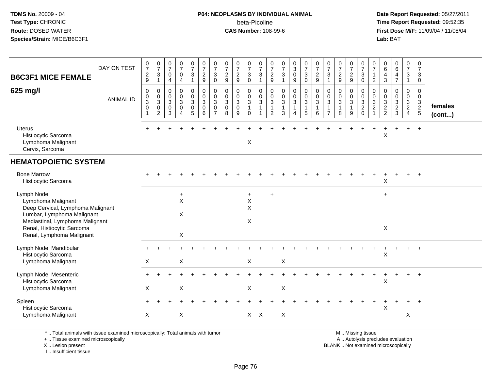#### **P04: NEOPLASMS BY INDIVIDUAL ANIMAL**beta-Picoline<br>CAS Number: 108-99-6

 **Date Report Requested:** 05/27/2011 **Time Report Requested:** 09:52:35 **First Dose M/F:** 11/09/04 / 11/08/04<br>Lab: BAT **Lab:** BAT

| <b>B6C3F1 MICE FEMALE</b><br>625 mg/l                                                                                                                                                             | DAY ON TEST<br><b>ANIMAL ID</b> | $\frac{0}{7}$<br>$\boldsymbol{2}$<br>9<br>$\mathbf 0$<br>$\mathbf 0$<br>$\mathfrak{S}$<br>$\mathbf 0$<br>$\mathbf{1}$ | $\frac{0}{7}$<br>3<br>$\mathbf{1}$<br>0<br>$\boldsymbol{0}$<br>$\sqrt{3}$<br>$\mathbf 0$<br>$\overline{c}$ | $\begin{smallmatrix}0\\7\end{smallmatrix}$<br>$\mathbf 0$<br>$\overline{\mathbf{4}}$<br>$\mathbf 0$<br>$\mathbf 0$<br>$\mathsf 3$<br>$\mathbf 0$<br>3 | $\frac{0}{7}$<br>$\mathbf 0$<br>4<br>$\mathbf 0$<br>$\mathbf 0$<br>3<br>0<br>$\mathbf 4$ | $\frac{0}{7}$<br>$\sqrt{3}$<br>$\mathbf{1}$<br>0<br>$\mathbf 0$<br>$\mathbf{3}$<br>$\pmb{0}$<br>$\overline{5}$ | $\begin{array}{c} 0 \\ 7 \end{array}$<br>$\sqrt{2}$<br>$\boldsymbol{9}$<br>$\begin{smallmatrix}0\\0\end{smallmatrix}$<br>$\sqrt{3}$<br>$\mathbf 0$<br>6 | $\frac{0}{7}$<br>3<br>$\mathbf 0$<br>0<br>$\mathbf 0$<br>$\mathbf{3}$<br>$\Omega$<br>$\overline{7}$ | $\frac{0}{7}$<br>$\overline{2}$<br>9<br>$\mathbf 0$<br>$\mathbf 0$<br>$\mathbf{3}$<br>$\mathbf 0$<br>8 | $\frac{0}{7}$<br>$\overline{c}$<br>9<br>$\mathbf{0}$<br>$\mathbf 0$<br>3<br>$\mathbf 0$<br>9 | $\frac{0}{7}$<br>$\mathbf{3}$<br>$\mathsf{O}\xspace$<br>$\,0\,$<br>$\mathbf 0$<br>$\mathbf{3}$<br>$\mathbf{1}$<br>$\Omega$ | $\frac{0}{7}$<br>3<br>$\mathbf{1}$<br>$\mathsf{O}$<br>$\mathbf 0$<br>3<br>$\mathbf{1}$<br>1 | $\frac{0}{7}$<br>$\sqrt{2}$<br>$\boldsymbol{9}$<br>0<br>$\mathbf 0$<br>$\mathbf{3}$<br>2 | $\begin{array}{c} 0 \\ 7 \end{array}$<br>$\mathbf 3$<br>$\mathbf{1}$<br>$\begin{smallmatrix} 0\\0 \end{smallmatrix}$<br>$\mathsf 3$<br>$\mathbf{1}$<br>3 | $_3^0$<br>$\mathbf 0$<br>$\boldsymbol{9}$<br>0<br>$\mathbf 0$<br>3<br>1<br>4 | $\begin{array}{c} 0 \\ 7 \end{array}$<br>$\mathbf{3}$<br>$\mathbf 0$<br>$\begin{smallmatrix} 0\\0 \end{smallmatrix}$<br>$\mathbf{3}$<br>$\mathbf{1}$<br>$\sqrt{5}$ | $\frac{0}{7}$<br>$\overline{c}$<br>9<br>0<br>$\mathbf 0$<br>3<br>6 | $\frac{0}{7}$<br>3<br>$\overline{1}$<br>0<br>$\mathbf 0$<br>$\mathfrak{Z}$<br>$\mathbf{1}$<br>$\overline{7}$ | $\frac{0}{7}$<br>$\overline{c}$<br>9<br>0<br>$\pmb{0}$<br>3<br>$\mathbf{1}$<br>8 | $\begin{array}{c} 0 \\ 7 \end{array}$<br>$\overline{c}$<br>9<br>0<br>$\mathbf 0$<br>$\mathbf{3}$<br>9 | $\frac{0}{7}$<br>$\mathbf{3}$<br>$\mathbf 0$<br>$\mathbf 0$<br>$\begin{bmatrix} 0 \\ 3 \\ 2 \\ 0 \end{bmatrix}$ | 0<br>$\overline{7}$<br>$\mathbf{1}$<br>$\overline{c}$<br>0<br>$\mathbf{0}$<br>$\mathbf{3}$<br>$\overline{c}$ | 0<br>$\,6\,$<br>$\overline{a}$<br>$\mathbf{3}$<br>$\mathbf 0$<br>$\mathbf 0$<br>$\sqrt{3}$<br>$\frac{2}{2}$ | $\begin{smallmatrix}0\0\0\end{smallmatrix}$<br>4<br>$\overline{7}$<br>0<br>$\mathbf 0$<br>$\mathbf{3}$<br>$\frac{2}{3}$ | $\begin{smallmatrix}0\\7\end{smallmatrix}$<br>$\mathbf{3}$<br>$\overline{1}$<br>0<br>$\mathbf 0$<br>$\mathbf{3}$<br>$\frac{2}{4}$ | $\pmb{0}$<br>$\overline{7}$<br>3<br>$\mathbf 0$<br>$\mathbf 0$<br>$\mathbf 0$<br>$\frac{3}{2}$ | females<br>$($ cont $)$ |
|---------------------------------------------------------------------------------------------------------------------------------------------------------------------------------------------------|---------------------------------|-----------------------------------------------------------------------------------------------------------------------|------------------------------------------------------------------------------------------------------------|-------------------------------------------------------------------------------------------------------------------------------------------------------|------------------------------------------------------------------------------------------|----------------------------------------------------------------------------------------------------------------|---------------------------------------------------------------------------------------------------------------------------------------------------------|-----------------------------------------------------------------------------------------------------|--------------------------------------------------------------------------------------------------------|----------------------------------------------------------------------------------------------|----------------------------------------------------------------------------------------------------------------------------|---------------------------------------------------------------------------------------------|------------------------------------------------------------------------------------------|----------------------------------------------------------------------------------------------------------------------------------------------------------|------------------------------------------------------------------------------|--------------------------------------------------------------------------------------------------------------------------------------------------------------------|--------------------------------------------------------------------|--------------------------------------------------------------------------------------------------------------|----------------------------------------------------------------------------------|-------------------------------------------------------------------------------------------------------|-----------------------------------------------------------------------------------------------------------------|--------------------------------------------------------------------------------------------------------------|-------------------------------------------------------------------------------------------------------------|-------------------------------------------------------------------------------------------------------------------------|-----------------------------------------------------------------------------------------------------------------------------------|------------------------------------------------------------------------------------------------|-------------------------|
| <b>Uterus</b><br>Histiocytic Sarcoma<br>Lymphoma Malignant<br>Cervix, Sarcoma                                                                                                                     |                                 |                                                                                                                       |                                                                                                            |                                                                                                                                                       |                                                                                          |                                                                                                                |                                                                                                                                                         |                                                                                                     |                                                                                                        |                                                                                              | X                                                                                                                          |                                                                                             |                                                                                          |                                                                                                                                                          |                                                                              |                                                                                                                                                                    |                                                                    |                                                                                                              |                                                                                  |                                                                                                       |                                                                                                                 |                                                                                                              | X                                                                                                           |                                                                                                                         | $+$                                                                                                                               | $+$                                                                                            |                         |
| <b>HEMATOPOIETIC SYSTEM</b>                                                                                                                                                                       |                                 |                                                                                                                       |                                                                                                            |                                                                                                                                                       |                                                                                          |                                                                                                                |                                                                                                                                                         |                                                                                                     |                                                                                                        |                                                                                              |                                                                                                                            |                                                                                             |                                                                                          |                                                                                                                                                          |                                                                              |                                                                                                                                                                    |                                                                    |                                                                                                              |                                                                                  |                                                                                                       |                                                                                                                 |                                                                                                              |                                                                                                             |                                                                                                                         |                                                                                                                                   |                                                                                                |                         |
| <b>Bone Marrow</b><br>Histiocytic Sarcoma                                                                                                                                                         |                                 |                                                                                                                       |                                                                                                            |                                                                                                                                                       |                                                                                          |                                                                                                                |                                                                                                                                                         |                                                                                                     |                                                                                                        |                                                                                              |                                                                                                                            |                                                                                             |                                                                                          |                                                                                                                                                          |                                                                              |                                                                                                                                                                    |                                                                    |                                                                                                              |                                                                                  |                                                                                                       |                                                                                                                 |                                                                                                              | $\mathsf{X}$                                                                                                |                                                                                                                         |                                                                                                                                   | $\overline{+}$                                                                                 |                         |
| Lymph Node<br>Lymphoma Malignant<br>Deep Cervical, Lymphoma Malignant<br>Lumbar, Lymphoma Malignant<br>Mediastinal, Lymphoma Malignant<br>Renal, Histiocytic Sarcoma<br>Renal, Lymphoma Malignant |                                 |                                                                                                                       |                                                                                                            |                                                                                                                                                       | $\ddot{}$<br>X<br>X<br>X                                                                 |                                                                                                                |                                                                                                                                                         |                                                                                                     |                                                                                                        |                                                                                              | $+$<br>$\boldsymbol{\mathsf{X}}$<br>X<br>$\mathsf{X}$                                                                      |                                                                                             | $+$                                                                                      |                                                                                                                                                          |                                                                              |                                                                                                                                                                    |                                                                    |                                                                                                              |                                                                                  |                                                                                                       |                                                                                                                 |                                                                                                              | $\ddot{}$<br>$\boldsymbol{\mathsf{X}}$                                                                      |                                                                                                                         |                                                                                                                                   |                                                                                                |                         |
| Lymph Node, Mandibular<br>Histiocytic Sarcoma<br>Lymphoma Malignant                                                                                                                               |                                 | X                                                                                                                     |                                                                                                            |                                                                                                                                                       | $\mathsf X$                                                                              |                                                                                                                |                                                                                                                                                         |                                                                                                     |                                                                                                        |                                                                                              | X                                                                                                                          |                                                                                             |                                                                                          | $\boldsymbol{\mathsf{X}}$                                                                                                                                |                                                                              |                                                                                                                                                                    |                                                                    |                                                                                                              |                                                                                  |                                                                                                       |                                                                                                                 |                                                                                                              | $\boldsymbol{\mathsf{X}}$                                                                                   |                                                                                                                         |                                                                                                                                   | $\overline{+}$                                                                                 |                         |
| Lymph Node, Mesenteric<br>Histiocytic Sarcoma<br>Lymphoma Malignant                                                                                                                               |                                 | X                                                                                                                     |                                                                                                            |                                                                                                                                                       | X                                                                                        |                                                                                                                |                                                                                                                                                         |                                                                                                     |                                                                                                        |                                                                                              | X                                                                                                                          |                                                                                             |                                                                                          | X                                                                                                                                                        |                                                                              |                                                                                                                                                                    |                                                                    |                                                                                                              |                                                                                  |                                                                                                       |                                                                                                                 |                                                                                                              | X                                                                                                           |                                                                                                                         | $+$                                                                                                                               | $+$                                                                                            |                         |
| Spleen<br>Histiocytic Sarcoma<br>Lymphoma Malignant                                                                                                                                               |                                 | X                                                                                                                     |                                                                                                            |                                                                                                                                                       | X                                                                                        |                                                                                                                |                                                                                                                                                         |                                                                                                     |                                                                                                        |                                                                                              | $X$ $X$                                                                                                                    |                                                                                             |                                                                                          | X                                                                                                                                                        |                                                                              |                                                                                                                                                                    |                                                                    |                                                                                                              |                                                                                  |                                                                                                       |                                                                                                                 |                                                                                                              | X                                                                                                           |                                                                                                                         | X                                                                                                                                 |                                                                                                |                         |

\* .. Total animals with tissue examined microscopically; Total animals with tumor

+ .. Tissue examined microscopically

X .. Lesion present

I .. Insufficient tissue

M .. Missing tissue

y the contract of the contract of the contract of the contract of the contract of the contract of the contract of  $A$ . Autolysis precludes evaluation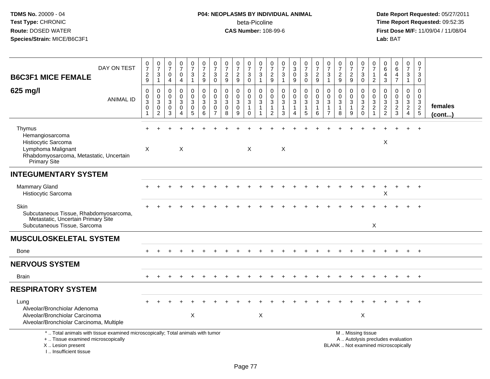# **P04: NEOPLASMS BY INDIVIDUAL ANIMAL**beta-Picoline<br>CAS Number: 108-99-6

| DAY ON TEST<br><b>B6C3F1 MICE FEMALE</b>                                                                                                                            | $\frac{0}{7}$<br>$\sqrt{2}$<br>9                                          | $\frac{0}{7}$<br>$\sqrt{3}$<br>$\overline{1}$ | $\frac{0}{7}$<br>0<br>$\overline{4}$             | $\frac{0}{7}$<br>$\mathbf 0$<br>$\overline{4}$         | $\begin{smallmatrix}0\\7\end{smallmatrix}$<br>$\sqrt{3}$<br>$\mathbf{1}$ | $\frac{0}{7}$<br>$\sqrt{2}$<br>$\boldsymbol{9}$    | $\begin{array}{c} 0 \\ 7 \end{array}$<br>$\mathbf{3}$<br>$\mathbf 0$ | $\frac{0}{7}$<br>$\sqrt{2}$<br>9                               | $\frac{0}{7}$<br>$\overline{c}$<br>9                 | $\frac{0}{7}$<br>$\ensuremath{\mathsf{3}}$<br>$\mathbf 0$ | $\frac{0}{7}$<br>$\ensuremath{\mathsf{3}}$<br>$\mathbf{1}$         | 0<br>$\overline{7}$<br>$\sqrt{2}$<br>9     | $\frac{0}{7}$<br>$\sqrt{3}$<br>$\overline{1}$               | $_3^0$<br>$\pmb{0}$<br>9                   | $\frac{0}{7}$<br>$\ensuremath{\mathsf{3}}$<br>0               | $\frac{0}{7}$<br>$\overline{c}$<br>9                         | 0<br>$\boldsymbol{7}$<br>$\ensuremath{\mathsf{3}}$<br>$\mathbf{1}$ | $\frac{0}{7}$<br>$\sqrt{2}$<br>9                              | $\frac{0}{7}$<br>$\sqrt{2}$<br>9                    | $\frac{0}{7}$<br>$\ensuremath{\mathsf{3}}$<br>$\mathbf 0$           | 0<br>$\frac{5}{7}$<br>$\overline{2}$    | 0<br>$\,6$<br>4<br>$\mathbf{3}$                           | $_{6}^{\rm 0}$<br>$\overline{4}$<br>$\overline{7}$                       | 0<br>$\overline{7}$<br>$\ensuremath{\mathsf{3}}$<br>$\mathbf{1}$               | $\mathbf 0$<br>$\overline{7}$<br>$\mathbf{3}$<br>$\mathbf 0$          |                         |
|---------------------------------------------------------------------------------------------------------------------------------------------------------------------|---------------------------------------------------------------------------|-----------------------------------------------|--------------------------------------------------|--------------------------------------------------------|--------------------------------------------------------------------------|----------------------------------------------------|----------------------------------------------------------------------|----------------------------------------------------------------|------------------------------------------------------|-----------------------------------------------------------|--------------------------------------------------------------------|--------------------------------------------|-------------------------------------------------------------|--------------------------------------------|---------------------------------------------------------------|--------------------------------------------------------------|--------------------------------------------------------------------|---------------------------------------------------------------|-----------------------------------------------------|---------------------------------------------------------------------|-----------------------------------------|-----------------------------------------------------------|--------------------------------------------------------------------------|--------------------------------------------------------------------------------|-----------------------------------------------------------------------|-------------------------|
| 625 mg/l<br><b>ANIMAL ID</b>                                                                                                                                        | $\mathbf 0$<br>$\mathbf 0$<br>$\sqrt{3}$<br>$\mathbf 0$<br>$\overline{1}$ | $\mathbf 0$<br>$\mathbf 0$<br>3<br>0<br>2     | $\Omega$<br>$\mathbf 0$<br>3<br>$\mathbf 0$<br>3 | 0<br>$\mathbf 0$<br>3<br>$\mathbf 0$<br>$\overline{4}$ | 0<br>$\mathbf 0$<br>3<br>0<br>5                                          | $\mathbf 0$<br>$\pmb{0}$<br>$\mathbf{3}$<br>0<br>6 | 0<br>$\mathbf 0$<br>3<br>$\mathbf 0$<br>$\overline{7}$               | $\mathbf 0$<br>$\mathbf 0$<br>$\mathbf{3}$<br>$\mathbf 0$<br>8 | 0<br>$\mathbf 0$<br>$\mathbf{3}$<br>$\mathbf 0$<br>9 | 0<br>$\frac{0}{3}$<br>$\mathbf{1}$<br>$\mathbf 0$         | 0<br>$\mathbf 0$<br>$\mathbf{3}$<br>$\mathbf{1}$<br>$\overline{1}$ | $\mathbf 0$<br>0<br>3<br>$\mathbf{1}$<br>2 | $\mathbf 0$<br>$\pmb{0}$<br>$\sqrt{3}$<br>$\mathbf{1}$<br>3 | 0<br>$\mathbf 0$<br>3<br>$\mathbf{1}$<br>4 | $\mathbf 0$<br>$\mathbf 0$<br>$\sqrt{3}$<br>$\mathbf{1}$<br>5 | $\mathbf 0$<br>$\mathsf{O}\xspace$<br>3<br>$\mathbf{1}$<br>6 | 0<br>$\mathbf 0$<br>$\mathbf{3}$<br>$\mathbf{1}$<br>$\overline{7}$ | $\mathbf 0$<br>$\mathbf 0$<br>$\sqrt{3}$<br>$\mathbf{1}$<br>8 | 0<br>$\mathbf 0$<br>$\sqrt{3}$<br>$\mathbf{1}$<br>9 | 0<br>$\mathbf 0$<br>$\overline{3}$<br>$\overline{2}$<br>$\mathbf 0$ | 0<br>$\mathbf 0$<br>3<br>$\overline{c}$ | $\mathbf 0$<br>$\mathbf 0$<br>$\sqrt{3}$<br>$\frac{2}{2}$ | $\mathbf 0$<br>$\mathsf 0$<br>$\mathbf{3}$<br>$\frac{2}{3}$              | $\mathbf 0$<br>$\mathbf 0$<br>$\mathbf{3}$<br>$\overline{2}$<br>$\overline{4}$ | $\Omega$<br>$\mathbf 0$<br>$\begin{array}{c} 3 \\ 2 \\ 5 \end{array}$ | females<br>$($ cont $)$ |
| Thymus<br>Hemangiosarcoma<br>Histiocytic Sarcoma<br>Lymphoma Malignant<br>Rhabdomyosarcoma, Metastatic, Uncertain<br><b>Primary Site</b>                            | X                                                                         |                                               |                                                  | X                                                      |                                                                          |                                                    |                                                                      |                                                                |                                                      | $\times$                                                  |                                                                    |                                            | X                                                           |                                            |                                                               |                                                              |                                                                    |                                                               |                                                     |                                                                     |                                         | X                                                         |                                                                          |                                                                                | $\ddot{}$                                                             |                         |
| <b>INTEGUMENTARY SYSTEM</b>                                                                                                                                         |                                                                           |                                               |                                                  |                                                        |                                                                          |                                                    |                                                                      |                                                                |                                                      |                                                           |                                                                    |                                            |                                                             |                                            |                                                               |                                                              |                                                                    |                                                               |                                                     |                                                                     |                                         |                                                           |                                                                          |                                                                                |                                                                       |                         |
| <b>Mammary Gland</b><br>Histiocytic Sarcoma                                                                                                                         |                                                                           |                                               |                                                  |                                                        |                                                                          |                                                    |                                                                      |                                                                |                                                      |                                                           |                                                                    |                                            |                                                             |                                            |                                                               |                                                              |                                                                    |                                                               |                                                     |                                                                     |                                         | X                                                         |                                                                          |                                                                                | $+$                                                                   |                         |
| Skin<br>Subcutaneous Tissue, Rhabdomyosarcoma,<br>Metastatic, Uncertain Primary Site<br>Subcutaneous Tissue, Sarcoma                                                |                                                                           |                                               |                                                  |                                                        |                                                                          |                                                    |                                                                      |                                                                |                                                      |                                                           |                                                                    |                                            |                                                             |                                            |                                                               |                                                              |                                                                    |                                                               |                                                     |                                                                     | X                                       |                                                           |                                                                          |                                                                                |                                                                       |                         |
| <b>MUSCULOSKELETAL SYSTEM</b>                                                                                                                                       |                                                                           |                                               |                                                  |                                                        |                                                                          |                                                    |                                                                      |                                                                |                                                      |                                                           |                                                                    |                                            |                                                             |                                            |                                                               |                                                              |                                                                    |                                                               |                                                     |                                                                     |                                         |                                                           |                                                                          |                                                                                |                                                                       |                         |
| Bone                                                                                                                                                                |                                                                           |                                               |                                                  |                                                        |                                                                          |                                                    |                                                                      |                                                                |                                                      |                                                           |                                                                    |                                            |                                                             |                                            |                                                               |                                                              |                                                                    |                                                               |                                                     |                                                                     |                                         |                                                           |                                                                          |                                                                                | $+$                                                                   |                         |
| <b>NERVOUS SYSTEM</b>                                                                                                                                               |                                                                           |                                               |                                                  |                                                        |                                                                          |                                                    |                                                                      |                                                                |                                                      |                                                           |                                                                    |                                            |                                                             |                                            |                                                               |                                                              |                                                                    |                                                               |                                                     |                                                                     |                                         |                                                           |                                                                          |                                                                                |                                                                       |                         |
| <b>Brain</b>                                                                                                                                                        |                                                                           |                                               |                                                  |                                                        |                                                                          |                                                    |                                                                      |                                                                |                                                      |                                                           |                                                                    |                                            |                                                             |                                            |                                                               |                                                              |                                                                    |                                                               |                                                     |                                                                     |                                         |                                                           |                                                                          |                                                                                | $+$                                                                   |                         |
| <b>RESPIRATORY SYSTEM</b>                                                                                                                                           |                                                                           |                                               |                                                  |                                                        |                                                                          |                                                    |                                                                      |                                                                |                                                      |                                                           |                                                                    |                                            |                                                             |                                            |                                                               |                                                              |                                                                    |                                                               |                                                     |                                                                     |                                         |                                                           |                                                                          |                                                                                |                                                                       |                         |
| Lung<br>Alveolar/Bronchiolar Adenoma<br>Alveolar/Bronchiolar Carcinoma<br>Alveolar/Bronchiolar Carcinoma, Multiple                                                  |                                                                           |                                               |                                                  |                                                        | X                                                                        |                                                    |                                                                      |                                                                |                                                      |                                                           | $\boldsymbol{\mathsf{X}}$                                          |                                            |                                                             |                                            |                                                               |                                                              |                                                                    |                                                               |                                                     | $\boldsymbol{\mathsf{X}}$                                           |                                         |                                                           |                                                                          |                                                                                |                                                                       |                         |
| *  Total animals with tissue examined microscopically; Total animals with tumor<br>+  Tissue examined microscopically<br>X  Lesion present<br>I Insufficient tissue |                                                                           |                                               |                                                  |                                                        |                                                                          |                                                    |                                                                      |                                                                |                                                      |                                                           |                                                                    |                                            |                                                             |                                            |                                                               |                                                              |                                                                    | M  Missing tissue                                             |                                                     |                                                                     |                                         |                                                           | A  Autolysis precludes evaluation<br>BLANK  Not examined microscopically |                                                                                |                                                                       |                         |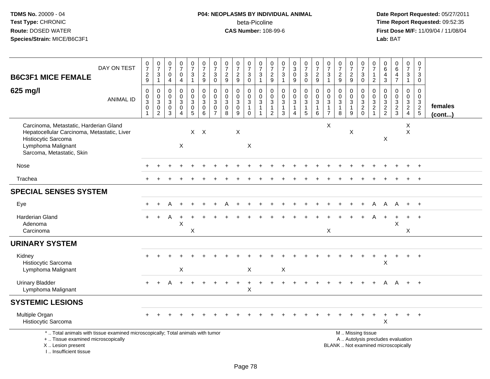# **P04: NEOPLASMS BY INDIVIDUAL ANIMAL**beta-Picoline<br>CAS Number: 108-99-6

| <b>B6C3F1 MICE FEMALE</b>                                                                                                                                             | DAY ON TEST      | $\frac{0}{7}$<br>$\overline{c}$<br>$\boldsymbol{9}$          | $\begin{array}{c} 0 \\ 7 \end{array}$<br>$\mathbf{3}$<br>$\overline{1}$ | $\frac{0}{7}$<br>$\mathbf 0$<br>$\overline{4}$                       | $\begin{smallmatrix}0\\7\end{smallmatrix}$<br>$\mathbf 0$<br>$\overline{4}$ | $\begin{array}{c} 0 \\ 7 \end{array}$<br>3<br>$\mathbf{1}$          | $\frac{0}{7}$<br>$\boldsymbol{2}$<br>$\boldsymbol{9}$        | $\frac{0}{7}$<br>$\mathbf{3}$<br>$\mathbf 0$                                | $\frac{0}{7}$<br>$\frac{2}{9}$                                              | $\begin{array}{c} 0 \\ 7 \end{array}$<br>$\frac{2}{9}$ | $\frac{0}{7}$<br>$\sqrt{3}$<br>$\mathbf 0$                           | 0<br>$\overline{7}$<br>3<br>$\mathbf{1}$                                     | $\frac{0}{7}$<br>$\frac{2}{9}$                                     | $\frac{0}{7}$<br>3<br>$\mathbf{1}$                      | $_3^0$<br>$\pmb{0}$<br>9                             | $\frac{0}{7}$<br>$\sqrt{3}$<br>$\mathbf 0$                    | $\frac{0}{7}$<br>$\sqrt{2}$<br>9                     | $\frac{0}{7}$<br>$\mathbf{3}$<br>$\mathbf{1}$                              | $\frac{0}{7}$<br>$\overline{\mathbf{c}}$<br>9         | $\begin{smallmatrix}0\\7\end{smallmatrix}$<br>$\boldsymbol{2}$<br>9    | $\frac{0}{7}$<br>$\sqrt{3}$<br>$\mathbf 0$                                                    | 0<br>$\overline{7}$<br>1<br>$\overline{2}$                  | $\mathbf 0$<br>$\overline{6}$<br>$\overline{4}$<br>3 | $\begin{array}{c} 0 \\ 6 \end{array}$<br>$\overline{4}$<br>$\overline{7}$ | 0<br>$\overline{7}$<br>$\mathbf{3}$<br>$\mathbf{1}$         | 0<br>$\overline{7}$<br>3<br>$\mathbf 0$                                  |                   |
|-----------------------------------------------------------------------------------------------------------------------------------------------------------------------|------------------|--------------------------------------------------------------|-------------------------------------------------------------------------|----------------------------------------------------------------------|-----------------------------------------------------------------------------|---------------------------------------------------------------------|--------------------------------------------------------------|-----------------------------------------------------------------------------|-----------------------------------------------------------------------------|--------------------------------------------------------|----------------------------------------------------------------------|------------------------------------------------------------------------------|--------------------------------------------------------------------|---------------------------------------------------------|------------------------------------------------------|---------------------------------------------------------------|------------------------------------------------------|----------------------------------------------------------------------------|-------------------------------------------------------|------------------------------------------------------------------------|-----------------------------------------------------------------------------------------------|-------------------------------------------------------------|------------------------------------------------------|---------------------------------------------------------------------------|-------------------------------------------------------------|--------------------------------------------------------------------------|-------------------|
| 625 mg/l                                                                                                                                                              | <b>ANIMAL ID</b> | $\mathbf 0$<br>$_{3}^{\rm 0}$<br>$\pmb{0}$<br>$\overline{1}$ | 0<br>$\mathbf 0$<br>$\overline{3}$<br>$\mathbf 0$<br>$\overline{2}$     | $\mathbf 0$<br>$\mathbf 0$<br>$\sqrt{3}$<br>$\mathsf{O}\xspace$<br>3 | 0<br>$\mathbf 0$<br>$\mathsf 3$<br>$\mathbf 0$<br>$\overline{4}$            | 0<br>$\mathbf 0$<br>$\sqrt{3}$<br>$\mathsf{O}\xspace$<br>$\sqrt{5}$ | 0<br>$\mathsf{O}\xspace$<br>$\overline{3}$<br>$\pmb{0}$<br>6 | $\mathbf 0$<br>$\mathbf 0$<br>$\mathbf{3}$<br>$\mathbf 0$<br>$\overline{7}$ | $\mathbf 0$<br>$\mathbf 0$<br>$\overline{3}$<br>$\pmb{0}$<br>$\overline{8}$ | 0<br>$_3^0$<br>$\frac{0}{9}$                           | 0<br>$\boldsymbol{0}$<br>$\mathbf{3}$<br>$\mathbf{1}$<br>$\mathbf 0$ | $\mathbf 0$<br>$\boldsymbol{0}$<br>$\ensuremath{\mathsf{3}}$<br>$\mathbf{1}$ | $\boldsymbol{0}$<br>$\mathbf 0$<br>$\overline{3}$<br>$\frac{1}{2}$ | 0<br>$\mathbf 0$<br>$\overline{3}$<br>$\mathbf{1}$<br>3 | 0<br>$\frac{0}{3}$<br>$\mathbf{1}$<br>$\overline{4}$ | $\mathbf 0$<br>$\mathbf 0$<br>$\overline{3}$<br>$\frac{1}{5}$ | $\mathbf 0$<br>$\mathbf 0$<br>3<br>$\mathbf{1}$<br>6 | $\mathbf 0$<br>$\mathbf 0$<br>$\sqrt{3}$<br>$\mathbf{1}$<br>$\overline{7}$ | 0<br>$\mathbf 0$<br>$\mathbf{3}$<br>$\mathbf{1}$<br>8 | 0<br>$\mathbf 0$<br>$\overline{3}$<br>$\mathbf{1}$<br>$\boldsymbol{9}$ | $\mathbf 0$<br>$_{3}^{\rm 0}$<br>$\frac{2}{0}$                                                | $\mathbf 0$<br>$\boldsymbol{0}$<br>$\sqrt{3}$<br>$\sqrt{2}$ | $\mathbf 0$<br>$\mathbf 0$<br>$\frac{3}{2}$          | 0<br>$\mathbf 0$<br>$\ensuremath{\mathsf{3}}$<br>$\frac{2}{3}$            | $\mathbf 0$<br>$\mathbf 0$<br>$\mathbf{3}$<br>$\frac{2}{4}$ | $\mathbf 0$<br>$\mathbf 0$<br>$\begin{array}{c} 3 \\ 2 \\ 5 \end{array}$ | females<br>(cont) |
| Carcinoma, Metastatic, Harderian Gland<br>Hepatocellular Carcinoma, Metastatic, Liver<br>Histiocytic Sarcoma<br>Lymphoma Malignant<br>Sarcoma, Metastatic, Skin       |                  |                                                              |                                                                         |                                                                      | $\boldsymbol{\mathsf{X}}$                                                   | $X$ $X$                                                             |                                                              |                                                                             |                                                                             | $\mathsf X$                                            | $\times$                                                             |                                                                              |                                                                    |                                                         |                                                      |                                                               |                                                      | X                                                                          |                                                       | Χ                                                                      |                                                                                               |                                                             | $\mathsf X$                                          |                                                                           | X<br>$\mathsf X$                                            |                                                                          |                   |
| <b>Nose</b>                                                                                                                                                           |                  |                                                              |                                                                         |                                                                      |                                                                             |                                                                     |                                                              |                                                                             |                                                                             |                                                        |                                                                      |                                                                              |                                                                    |                                                         |                                                      |                                                               |                                                      |                                                                            |                                                       |                                                                        |                                                                                               |                                                             |                                                      |                                                                           |                                                             | $\overline{+}$                                                           |                   |
| Trachea                                                                                                                                                               |                  |                                                              |                                                                         |                                                                      |                                                                             |                                                                     |                                                              |                                                                             |                                                                             |                                                        |                                                                      |                                                                              |                                                                    |                                                         |                                                      |                                                               |                                                      |                                                                            |                                                       |                                                                        |                                                                                               |                                                             |                                                      |                                                                           |                                                             | $\ddot{}$                                                                |                   |
| <b>SPECIAL SENSES SYSTEM</b>                                                                                                                                          |                  |                                                              |                                                                         |                                                                      |                                                                             |                                                                     |                                                              |                                                                             |                                                                             |                                                        |                                                                      |                                                                              |                                                                    |                                                         |                                                      |                                                               |                                                      |                                                                            |                                                       |                                                                        |                                                                                               |                                                             |                                                      |                                                                           |                                                             |                                                                          |                   |
| Eye                                                                                                                                                                   |                  |                                                              |                                                                         |                                                                      |                                                                             |                                                                     |                                                              |                                                                             |                                                                             |                                                        |                                                                      |                                                                              |                                                                    |                                                         |                                                      |                                                               |                                                      |                                                                            |                                                       |                                                                        |                                                                                               | A                                                           | Α                                                    | A                                                                         | $+$                                                         | $+$                                                                      |                   |
| <b>Harderian Gland</b><br>Adenoma<br>Carcinoma                                                                                                                        |                  |                                                              |                                                                         | A                                                                    | $\times$                                                                    | X                                                                   |                                                              |                                                                             |                                                                             |                                                        |                                                                      |                                                                              |                                                                    |                                                         |                                                      |                                                               |                                                      | $\mathsf{X}$                                                               |                                                       |                                                                        |                                                                                               |                                                             |                                                      | X                                                                         | X                                                           |                                                                          |                   |
| <b>URINARY SYSTEM</b>                                                                                                                                                 |                  |                                                              |                                                                         |                                                                      |                                                                             |                                                                     |                                                              |                                                                             |                                                                             |                                                        |                                                                      |                                                                              |                                                                    |                                                         |                                                      |                                                               |                                                      |                                                                            |                                                       |                                                                        |                                                                                               |                                                             |                                                      |                                                                           |                                                             |                                                                          |                   |
| Kidney<br>Histiocytic Sarcoma<br>Lymphoma Malignant                                                                                                                   |                  |                                                              |                                                                         |                                                                      | Χ                                                                           |                                                                     |                                                              |                                                                             |                                                                             |                                                        | X                                                                    |                                                                              |                                                                    | X                                                       |                                                      |                                                               |                                                      |                                                                            |                                                       |                                                                        |                                                                                               |                                                             | X                                                    |                                                                           |                                                             | $\div$                                                                   |                   |
| <b>Urinary Bladder</b><br>Lymphoma Malignant                                                                                                                          |                  | $\div$                                                       |                                                                         | А                                                                    |                                                                             |                                                                     |                                                              |                                                                             |                                                                             |                                                        | $\times$                                                             |                                                                              |                                                                    |                                                         |                                                      |                                                               |                                                      |                                                                            |                                                       |                                                                        |                                                                                               |                                                             | A                                                    | $\overline{A}$                                                            | $+$                                                         | $\overline{+}$                                                           |                   |
| <b>SYSTEMIC LESIONS</b>                                                                                                                                               |                  |                                                              |                                                                         |                                                                      |                                                                             |                                                                     |                                                              |                                                                             |                                                                             |                                                        |                                                                      |                                                                              |                                                                    |                                                         |                                                      |                                                               |                                                      |                                                                            |                                                       |                                                                        |                                                                                               |                                                             |                                                      |                                                                           |                                                             |                                                                          |                   |
| Multiple Organ<br>Histiocytic Sarcoma                                                                                                                                 |                  |                                                              |                                                                         |                                                                      |                                                                             |                                                                     |                                                              |                                                                             |                                                                             |                                                        |                                                                      |                                                                              |                                                                    |                                                         |                                                      |                                                               |                                                      |                                                                            |                                                       |                                                                        |                                                                                               |                                                             | $\mathsf X$                                          |                                                                           |                                                             | $\overline{1}$                                                           |                   |
| *  Total animals with tissue examined microscopically; Total animals with tumor<br>+  Tissue examined microscopically<br>X  Lesion present<br>I., Insufficient tissue |                  |                                                              |                                                                         |                                                                      |                                                                             |                                                                     |                                                              |                                                                             |                                                                             |                                                        |                                                                      |                                                                              |                                                                    |                                                         |                                                      |                                                               |                                                      |                                                                            |                                                       |                                                                        | M  Missing tissue<br>A  Autolysis precludes evaluation<br>BLANK  Not examined microscopically |                                                             |                                                      |                                                                           |                                                             |                                                                          |                   |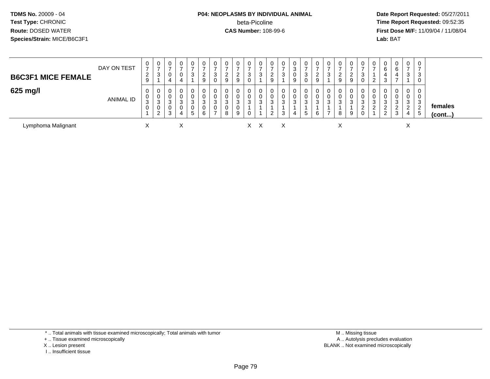#### **P04: NEOPLASMS BY INDIVIDUAL ANIMAL**beta-Picoline<br>CAS Number: 108-99-6

 **Date Report Requested:** 05/27/2011 **Time Report Requested:** 09:52:35 **First Dose M/F:** 11/09/04 / 11/08/04<br>Lab: BAT **Lab:** BAT

| <b>B6C3F1 MICE FEMALE</b> | DAY ON TEST | 0<br>$\rightarrow$<br>$\overline{2}$<br>9 | $\mathbf{0}$<br>-<br>3 | 0<br>$\rightarrow$<br>0<br>4 | 0<br>$\overline{ }$<br>0<br>4 | 0<br>3                                   | 0<br>$\overline{2}$<br>9 | 0<br>3             | 0<br>2<br>∠<br>9 | $\mathbf 0$<br>ົ<br>∼<br>9 | $\mathbf{0}$<br>$\rightarrow$<br>3<br>0 | 0<br>3      | 0<br><sup>o</sup><br>∼<br>9                 | 0<br>3 | 0<br>3<br>n.<br>9 | 0<br>3                | 0<br>റ<br>$\epsilon$<br>9 | 0<br>$\rightarrow$<br>3                 | 0<br>$\rightarrow$<br>$\overline{2}$<br>9 | 0<br>C.<br>9     | 0 | 0<br>ົ            | 0<br>6<br>ີ | 0<br>6<br>4           | 0<br>$\overline{ }$<br>3          | 0<br>-3<br>0                         |                   |
|---------------------------|-------------|-------------------------------------------|------------------------|------------------------------|-------------------------------|------------------------------------------|--------------------------|--------------------|------------------|----------------------------|-----------------------------------------|-------------|---------------------------------------------|--------|-------------------|-----------------------|---------------------------|-----------------------------------------|-------------------------------------------|------------------|---|-------------------|-------------|-----------------------|-----------------------------------|--------------------------------------|-------------------|
| 625 mg/l                  | ANIMAL ID   | 0<br>0<br>3<br>0                          | 0<br>0<br>3<br>U<br>റ  | 0<br>0<br>3<br>0<br>3        | 0<br>0<br>3<br>0<br>4         | 0<br>0<br>3<br>0<br>$\overline{ }$<br>b. | 3<br>6                   | 3<br>$\rightarrow$ | 0<br>3<br>8      | 0<br>0<br>3<br>0<br>9      | 0<br>0<br>3<br>0                        | 0<br>0<br>3 | 0<br>0<br><sup>o</sup><br>ت<br><sup>o</sup> | 3<br>3 | 0<br>3            | 0<br>3<br>$5^{\circ}$ | 0<br>0<br>3<br>6          | 0<br>0<br>3<br>$\overline{\phantom{a}}$ | 0<br>0<br>3<br>8                          | $\sim$<br>J<br>9 | 3 | 0<br>ີ<br>دت<br>⌒ | 3<br>▃<br>2 | 0<br>0<br>3<br>റ<br>3 | 0<br>0<br>3<br>ົ<br><u>_</u><br>4 | 0<br>0<br>-3<br>$\overline{2}$<br>ರಿ | females<br>(cont) |
| Lymphoma Malignant        |             | ⌒                                         |                        |                              | X                             |                                          |                          |                    |                  |                            |                                         | X X         |                                             | X      |                   |                       |                           |                                         | X                                         |                  |   |                   |             |                       | ⋏                                 |                                      |                   |

\* .. Total animals with tissue examined microscopically; Total animals with tumor

+ .. Tissue examined microscopically

X .. Lesion present

I .. Insufficient tissue

 M .. Missing tissuey the contract of the contract of the contract of the contract of the contract of the contract of the contract of  $A$ . Autolysis precludes evaluation Lesion present BLANK .. Not examined microscopically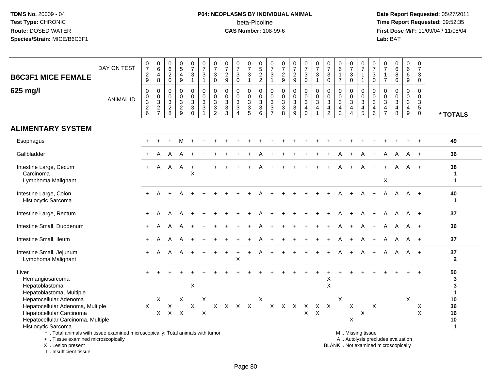# **P04: NEOPLASMS BY INDIVIDUAL ANIMAL**beta-Picoline<br>CAS Number: 108-99-6

 **Date Report Requested:** 05/27/2011 **Time Report Requested:** 09:52:35 **First Dose M/F:** 11/09/04 / 11/08/04<br>Lab: BAT **Lab:** BAT

| <b>B6C3F1 MICE FEMALE</b>                                                                                                                           | DAY ON TEST      | $\frac{0}{7}$<br>$\frac{2}{9}$                                           | $\begin{array}{c} 0 \\ 6 \end{array}$<br>$\overline{4}$<br>$\,8\,$ | $\begin{array}{c} 0 \\ 6 \\ 2 \\ 0 \end{array}$      | $\frac{0}{5}$<br>$\overline{4}$<br>9                | 0<br>$\overline{7}$<br>3<br>$\mathbf{1}$                    | $\frac{0}{7}$<br>$\sqrt{3}$<br>$\overline{1}$ | 0<br>$\overline{7}$<br>3<br>$\mathbf 0$                                              | $\frac{0}{7}$<br>$\sqrt{2}$<br>$\boldsymbol{9}$                         | $\frac{0}{7}$<br>$\mathbf{3}$<br>$\mathbf 0$                     | 0<br>$\overline{7}$<br>$\mathfrak{S}$<br>$\overline{1}$ | 0<br>$\frac{5}{2}$                                            | 0<br>$\overline{7}$<br>3<br>$\mathbf{1}$       | $\frac{0}{7}$<br>$\frac{2}{9}$                            | $\frac{0}{7}$<br>$rac{2}{9}$                              | $\frac{0}{7}$<br>$\mathfrak{S}$<br>$\mathbf 0$                | $\frac{0}{7}$<br>3<br>$\mathbf{1}$                                      | 0<br>$\overline{7}$<br>$\sqrt{3}$<br>$\ddot{\mathbf{0}}$ | $\begin{array}{c} 0 \\ 6 \end{array}$<br>$\overline{7}$ | $\frac{0}{7}$<br>$_0^3$                                | 0<br>$\overline{7}$<br>$\mathbf{1}$<br>$\mathbf{1}$                    | 0<br>$\overline{7}$<br>$\ensuremath{\mathsf{3}}$<br>$\mathbf 0$ | $\frac{0}{7}$<br>$\mathbf{1}$<br>$\overline{7}$ | $\begin{matrix}0\6\8\end{matrix}$<br>$6\overline{6}$ | 0<br>6<br>6<br>$\overline{9}$                                               | 0<br>$\overline{7}$<br>$\mathbf{3}$<br>$\mathbf 0$                          |                                              |
|-----------------------------------------------------------------------------------------------------------------------------------------------------|------------------|--------------------------------------------------------------------------|--------------------------------------------------------------------|------------------------------------------------------|-----------------------------------------------------|-------------------------------------------------------------|-----------------------------------------------|--------------------------------------------------------------------------------------|-------------------------------------------------------------------------|------------------------------------------------------------------|---------------------------------------------------------|---------------------------------------------------------------|------------------------------------------------|-----------------------------------------------------------|-----------------------------------------------------------|---------------------------------------------------------------|-------------------------------------------------------------------------|----------------------------------------------------------|---------------------------------------------------------|--------------------------------------------------------|------------------------------------------------------------------------|-----------------------------------------------------------------|-------------------------------------------------|------------------------------------------------------|-----------------------------------------------------------------------------|-----------------------------------------------------------------------------|----------------------------------------------|
| 625 mg/l                                                                                                                                            | <b>ANIMAL ID</b> | $\mathbf 0$<br>$\mathbf 0$<br>$\begin{array}{c} 3 \\ 2 \\ 6 \end{array}$ | $\mathbf 0$<br>$_{3}^{\rm 0}$<br>$\frac{2}{7}$                     | 0<br>$\begin{array}{c} 0 \\ 3 \\ 2 \\ 8 \end{array}$ | 0<br>$\mathbf 0$<br>$\overline{3}$<br>$\frac{2}{9}$ | $\mathbf 0$<br>$\mathbf 0$<br>$\mathbf{3}$<br>$\frac{3}{0}$ | $\mathbf 0$<br>$\frac{0}{3}$<br>-1            | $\Omega$<br>$\pmb{0}$<br>$\mathbf{3}$<br>$\ensuremath{\mathsf{3}}$<br>$\overline{2}$ | $\Omega$<br>$\mathbf 0$<br>$\mathbf{3}$<br>$\sqrt{3}$<br>$\overline{3}$ | 0<br>$\mathbf 0$<br>$\overline{3}$<br>$\overline{3}$<br>$\Delta$ | $\mathbf 0$<br>$\mathbf 0$<br>$\frac{3}{3}$             | $\mathbf 0$<br>$\begin{matrix} 0 \\ 3 \\ 3 \end{matrix}$<br>6 | $\mathbf 0$<br>$_{3}^{\rm 0}$<br>$\frac{3}{7}$ | $\mathbf 0$<br>$\begin{array}{c} 0 \\ 3 \\ 8 \end{array}$ | $\mathbf 0$<br>$\begin{array}{c} 0 \\ 3 \\ 3 \end{array}$ | $\mathbf 0$<br>$\frac{0}{3}$<br>$\overline{4}$<br>$\mathbf 0$ | $\mathbf 0$<br>$\frac{0}{3}$<br>$\overline{\mathbf{4}}$<br>$\mathbf{1}$ | 0<br>$\begin{array}{c} 0 \\ 3 \\ 4 \\ 2 \end{array}$     | $\mathbf 0$<br>$\frac{0}{3}$<br>$\frac{4}{3}$           | 0<br>$\frac{0}{3}$<br>$\overline{4}$<br>$\overline{4}$ | $\mathbf 0$<br>$_{3}^{\rm 0}$<br>$\begin{array}{c} 4 \\ 5 \end{array}$ | $\mathbf 0$<br>$_{3}^{\rm 0}$<br>4<br>$6\phantom{1}$            | $\mathbf 0$<br>$\frac{0}{3}$<br>$\frac{4}{7}$   | $\mathbf 0$<br>$\frac{0}{3}$<br>$\overline{4}$<br>8  | $\mathbf 0$<br>$\overline{0}$<br>3<br>$\begin{array}{c} 4 \\ 9 \end{array}$ | $\Omega$<br>$\mathbf 0$<br>$\mathsf 3$<br>$\sqrt{5}$<br>$\ddot{\mathbf{0}}$ | * TOTALS                                     |
| <b>ALIMENTARY SYSTEM</b>                                                                                                                            |                  |                                                                          |                                                                    |                                                      |                                                     |                                                             |                                               |                                                                                      |                                                                         |                                                                  |                                                         |                                                               |                                                |                                                           |                                                           |                                                               |                                                                         |                                                          |                                                         |                                                        |                                                                        |                                                                 |                                                 |                                                      |                                                                             |                                                                             |                                              |
| Esophagus                                                                                                                                           |                  |                                                                          |                                                                    |                                                      | м                                                   |                                                             |                                               |                                                                                      |                                                                         |                                                                  |                                                         |                                                               |                                                |                                                           |                                                           |                                                               |                                                                         |                                                          |                                                         |                                                        |                                                                        |                                                                 |                                                 |                                                      |                                                                             |                                                                             | 49                                           |
| Gallbladder                                                                                                                                         |                  |                                                                          |                                                                    |                                                      |                                                     |                                                             |                                               |                                                                                      |                                                                         |                                                                  |                                                         |                                                               |                                                |                                                           |                                                           |                                                               |                                                                         |                                                          |                                                         |                                                        |                                                                        | $\ddot{}$                                                       |                                                 | A                                                    |                                                                             | $+$                                                                         | 36                                           |
| Intestine Large, Cecum<br>Carcinoma<br>Lymphoma Malignant                                                                                           |                  | $+$                                                                      | A                                                                  | A                                                    | A                                                   | +<br>X                                                      |                                               |                                                                                      |                                                                         |                                                                  |                                                         |                                                               |                                                |                                                           |                                                           |                                                               |                                                                         |                                                          |                                                         |                                                        |                                                                        |                                                                 | X                                               | A                                                    | A                                                                           |                                                                             | 38<br>$\mathbf{1}$<br>$\blacktriangleleft$   |
| Intestine Large, Colon<br>Histiocytic Sarcoma                                                                                                       |                  | $+$                                                                      |                                                                    |                                                      |                                                     |                                                             |                                               |                                                                                      |                                                                         |                                                                  |                                                         |                                                               |                                                |                                                           |                                                           |                                                               |                                                                         |                                                          |                                                         |                                                        |                                                                        |                                                                 | A                                               | A                                                    |                                                                             | A +                                                                         | 40<br>$\mathbf{1}$                           |
| Intestine Large, Rectum                                                                                                                             |                  | +                                                                        |                                                                    |                                                      | A                                                   |                                                             |                                               |                                                                                      |                                                                         |                                                                  |                                                         |                                                               |                                                |                                                           |                                                           |                                                               |                                                                         |                                                          |                                                         |                                                        |                                                                        |                                                                 |                                                 | A                                                    |                                                                             | A +                                                                         | 37                                           |
| Intestine Small, Duodenum                                                                                                                           |                  |                                                                          | A                                                                  | A                                                    | A                                                   |                                                             |                                               |                                                                                      |                                                                         |                                                                  |                                                         |                                                               |                                                |                                                           |                                                           |                                                               |                                                                         |                                                          |                                                         |                                                        | A                                                                      | $+$                                                             | A                                               | A                                                    | A                                                                           | $+$                                                                         | 36                                           |
| Intestine Small, Ileum                                                                                                                              |                  |                                                                          | A                                                                  | А                                                    | A                                                   |                                                             |                                               |                                                                                      |                                                                         |                                                                  |                                                         |                                                               |                                                |                                                           |                                                           |                                                               |                                                                         |                                                          |                                                         |                                                        | A                                                                      |                                                                 | A                                               | A                                                    | A                                                                           | $+$                                                                         | 37                                           |
| Intestine Small, Jejunum<br>Lymphoma Malignant                                                                                                      |                  | $+$                                                                      | A                                                                  | A                                                    | A                                                   | $+$                                                         |                                               |                                                                                      |                                                                         | $\ddot{}$<br>X                                                   |                                                         | A                                                             |                                                |                                                           |                                                           |                                                               |                                                                         |                                                          |                                                         | $+$                                                    | A                                                                      | $\ddot{}$                                                       | A                                               | $\mathsf{A}$                                         | - A +                                                                       |                                                                             | 37<br>$\overline{2}$                         |
| Liver<br>Hemangiosarcoma<br>Hepatoblastoma<br>Hepatoblastoma, Multiple                                                                              |                  |                                                                          |                                                                    |                                                      |                                                     | $\mathsf X$                                                 |                                               |                                                                                      |                                                                         |                                                                  |                                                         |                                                               |                                                |                                                           |                                                           |                                                               |                                                                         | X<br>$\mathsf X$                                         |                                                         |                                                        |                                                                        |                                                                 |                                                 |                                                      |                                                                             |                                                                             | 50<br>3<br>3<br>$\mathbf{1}$                 |
| Hepatocellular Adenoma<br>Hepatocellular Adenoma, Multiple<br>Hepatocellular Carcinoma<br>Hepatocellular Carcinoma, Multiple<br>Histiocytic Sarcoma |                  | X                                                                        | X<br>X                                                             | X                                                    | X<br>$X$ $X$                                        | $\pmb{\times}$                                              | X<br>$\boldsymbol{\mathsf{X}}$                |                                                                                      | X X X X                                                                 |                                                                  |                                                         | X                                                             |                                                |                                                           |                                                           | X X X X X X                                                   | $X$ $X$                                                                 |                                                          | X                                                       | $\pmb{\times}$<br>$\pmb{\times}$                       | $\pmb{\times}$                                                         | $\mathsf{X}$                                                    |                                                 |                                                      | X                                                                           | $\boldsymbol{\mathsf{X}}$<br>$\pmb{\times}$                                 | 10<br>36<br>16<br>10<br>$\blacktriangleleft$ |
| *  Total animals with tissue examined microscopically; Total animals with tumor<br>+  Tissue examined microscopically                               |                  |                                                                          |                                                                    |                                                      |                                                     |                                                             |                                               |                                                                                      |                                                                         |                                                                  |                                                         |                                                               |                                                |                                                           |                                                           |                                                               |                                                                         |                                                          |                                                         |                                                        | M. Missing tissue                                                      |                                                                 |                                                 | A  Autolysis precludes evaluation                    |                                                                             |                                                                             |                                              |

X .. Lesion present

I .. Insufficient tissue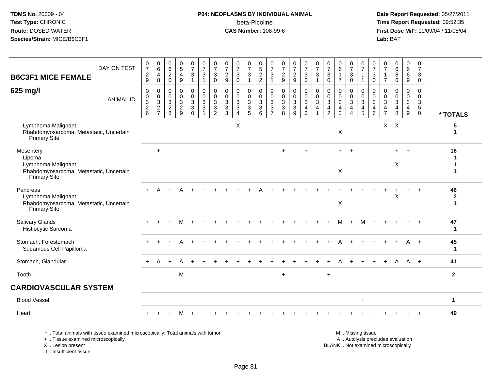#### **P04: NEOPLASMS BY INDIVIDUAL ANIMAL**beta-Picoline<br>CAS Number: 108-99-6

 **Date Report Requested:** 05/27/2011 **Time Report Requested:** 09:52:35 **First Dose M/F:** 11/09/04 / 11/08/04<br>Lab: BAT **Lab:** BAT

| DAY ON TEST                                                                                          | $\frac{0}{7}$                                                     | 0<br>$6\phantom{a}$                                             | $_{6}^{\rm 0}$                                          | $\begin{array}{c} 0 \\ 5 \end{array}$                   | $\frac{0}{7}$                          | $\frac{0}{7}$                                             | $\frac{0}{7}$                                                      | $\frac{0}{7}$                                                     | $\frac{0}{7}$                                         | $\frac{0}{7}$                                           | 0522                                                        | $\frac{0}{7}$                                                                     | $\frac{0}{7}$                                                | $\frac{0}{7}$                                                 | $\frac{0}{7}$                                                                           | $\frac{0}{7}$                                           | $\frac{0}{7}$                                   | $\begin{array}{c} 0 \\ 6 \end{array}$                                        | $\frac{0}{7}$                                | $\frac{0}{7}$                                                     | 0<br>$\overline{7}$                                    | $\frac{0}{7}$                                                | 0<br>6<br>6<br>6                                             | 0<br>$6\overline{6}$                                              | 0<br>$\overline{7}$                                                      |                         |
|------------------------------------------------------------------------------------------------------|-------------------------------------------------------------------|-----------------------------------------------------------------|---------------------------------------------------------|---------------------------------------------------------|----------------------------------------|-----------------------------------------------------------|--------------------------------------------------------------------|-------------------------------------------------------------------|-------------------------------------------------------|---------------------------------------------------------|-------------------------------------------------------------|-----------------------------------------------------------------------------------|--------------------------------------------------------------|---------------------------------------------------------------|-----------------------------------------------------------------------------------------|---------------------------------------------------------|-------------------------------------------------|------------------------------------------------------------------------------|----------------------------------------------|-------------------------------------------------------------------|--------------------------------------------------------|--------------------------------------------------------------|--------------------------------------------------------------|-------------------------------------------------------------------|--------------------------------------------------------------------------|-------------------------|
| <b>B6C3F1 MICE FEMALE</b>                                                                            | $\sqrt{2}$<br>$9\,$                                               | 4<br>8                                                          | $\frac{2}{0}$                                           | 4<br>9                                                  | 3                                      | $\mathbf{3}$<br>$\overline{1}$                            | 3<br>$\mathbf 0$                                                   | $\overline{2}$<br>9                                               | 3<br>$\Omega$                                         | 3<br>$\mathbf{1}$                                       |                                                             | $\mathbf{3}$<br>$\overline{1}$                                                    | $\overline{2}$<br>$\overline{9}$                             | $\frac{2}{9}$                                                 | $\frac{3}{0}$                                                                           | $\mathbf{3}$<br>$\mathbf{1}$                            | 3<br>$\mathbf 0$                                | $\overline{7}$                                                               | 3<br>$\mathbf 0$                             | $\overline{1}$<br>$\overline{1}$                                  | 3<br>$\Omega$                                          | $\mathbf{1}$<br>$\overline{7}$                               |                                                              | 6<br>9                                                            | $\mathbf{3}$<br>$\mathbf 0$                                              |                         |
| 625 mg/l<br><b>ANIMAL ID</b>                                                                         | $\mathbf 0$<br>$\mathbf 0$<br>$\sqrt{3}$<br>$\boldsymbol{2}$<br>6 | $\mathbf 0$<br>$\mathbf 0$<br>3<br>$\sqrt{2}$<br>$\overline{7}$ | 0<br>$\pmb{0}$<br>$\overline{3}$<br>$\overline{2}$<br>8 | 0<br>$\mathbf 0$<br>$\mathbf{3}$<br>$\overline{2}$<br>9 | 0<br>$\mathbf 0$<br>3<br>3<br>$\Omega$ | $\pmb{0}$<br>$\pmb{0}$<br>$\frac{3}{3}$<br>$\overline{1}$ | 0<br>$\mathbf 0$<br>$\mathbf{3}$<br>$\mathbf{3}$<br>$\overline{2}$ | $\mathbf 0$<br>$\mathbf 0$<br>$\mathfrak{Z}$<br>$\mathbf{3}$<br>3 | 0<br>$\mathbf 0$<br>$\mathbf{3}$<br>$\mathbf{3}$<br>4 | 0<br>$\mathbf 0$<br>$\overline{3}$<br>$\mathbf{3}$<br>5 | $\mathbf 0$<br>$\mathsf 0$<br>$\sqrt{3}$<br>$\sqrt{3}$<br>6 | $\mathbf 0$<br>$\boldsymbol{0}$<br>$\sqrt{3}$<br>$\overline{3}$<br>$\overline{7}$ | $\pmb{0}$<br>$\mathbf 0$<br>$\mathbf 3$<br>$\mathbf{3}$<br>8 | 0<br>$\mathsf{O}\xspace$<br>$\mathbf{3}$<br>$\mathbf{3}$<br>9 | $\begin{smallmatrix}0\\0\\3\end{smallmatrix}$<br>$\overline{\mathbf{4}}$<br>$\mathbf 0$ | 0<br>$\mathbf 0$<br>$\mathbf{3}$<br>$\overline{4}$<br>1 | 0<br>0<br>$\mathfrak{Z}$<br>4<br>$\overline{2}$ | $\mathbf 0$<br>$\pmb{0}$<br>$\overline{3}$<br>$\overline{4}$<br>$\mathbf{3}$ | 0<br>$\mathbf 0$<br>3<br>$\overline{4}$<br>4 | $\mathbf 0$<br>$\mathbf 0$<br>$\mathbf{3}$<br>$\overline{4}$<br>5 | $\mathbf 0$<br>$\mathbf 0$<br>3<br>$\overline{4}$<br>6 | 0<br>0<br>$\overline{3}$<br>$\overline{4}$<br>$\overline{7}$ | 0<br>$\pmb{0}$<br>$\sqrt{3}$<br>$\overline{\mathbf{4}}$<br>8 | $\mathbf 0$<br>$\mathbf 0$<br>$\mathbf{3}$<br>$\overline{4}$<br>9 | $\mathbf 0$<br>$\mathbf 0$<br>$\mathbf{3}$<br>$\,$ 5 $\,$<br>$\mathbf 0$ | * TOTALS                |
| Lymphoma Malignant<br>Rhabdomyosarcoma, Metastatic, Uncertain<br>Primary Site                        |                                                                   |                                                                 |                                                         |                                                         |                                        |                                                           |                                                                    |                                                                   | $\sf X$                                               |                                                         |                                                             |                                                                                   |                                                              |                                                               |                                                                                         |                                                         |                                                 | $\mathsf X$                                                                  |                                              |                                                                   |                                                        | $\mathsf X$                                                  | $\mathsf{X}$                                                 |                                                                   |                                                                          | 5<br>1                  |
| Mesentery<br>Lipoma<br>Lymphoma Malignant<br>Rhabdomyosarcoma, Metastatic, Uncertain<br>Primary Site |                                                                   | $\ddot{}$                                                       |                                                         |                                                         |                                        |                                                           |                                                                    |                                                                   |                                                       |                                                         |                                                             |                                                                                   | $+$                                                          |                                                               |                                                                                         |                                                         |                                                 | $+$<br>X                                                                     | $+$                                          |                                                                   |                                                        |                                                              | $+$<br>X                                                     | $+$                                                               |                                                                          | 16                      |
| Pancreas<br>Lymphoma Malignant<br>Rhabdomyosarcoma, Metastatic, Uncertain<br>Primary Site            |                                                                   | А                                                               |                                                         |                                                         |                                        |                                                           |                                                                    |                                                                   |                                                       |                                                         |                                                             |                                                                                   |                                                              |                                                               |                                                                                         |                                                         |                                                 | X                                                                            |                                              |                                                                   |                                                        |                                                              | X                                                            |                                                                   |                                                                          | 46<br>$\mathbf{2}$<br>1 |
| <b>Salivary Glands</b><br>Histiocytic Sarcoma                                                        |                                                                   |                                                                 |                                                         |                                                         |                                        |                                                           |                                                                    |                                                                   |                                                       |                                                         |                                                             |                                                                                   |                                                              |                                                               |                                                                                         |                                                         |                                                 | м                                                                            | ÷                                            | м                                                                 |                                                        |                                                              |                                                              |                                                                   |                                                                          | 47<br>$\mathbf 1$       |
| Stomach, Forestomach<br>Squamous Cell Papilloma                                                      |                                                                   |                                                                 |                                                         |                                                         |                                        |                                                           |                                                                    |                                                                   |                                                       |                                                         |                                                             |                                                                                   |                                                              |                                                               |                                                                                         |                                                         |                                                 |                                                                              |                                              |                                                                   |                                                        |                                                              |                                                              | A                                                                 | $+$                                                                      | 45<br>1                 |
| Stomach, Glandular                                                                                   | $+$                                                               | A                                                               |                                                         |                                                         |                                        |                                                           |                                                                    |                                                                   |                                                       |                                                         |                                                             |                                                                                   |                                                              |                                                               |                                                                                         |                                                         |                                                 |                                                                              |                                              |                                                                   |                                                        |                                                              | A                                                            | A                                                                 | $+$                                                                      | 41                      |
| Tooth                                                                                                |                                                                   |                                                                 |                                                         | M                                                       |                                        |                                                           |                                                                    |                                                                   |                                                       |                                                         |                                                             |                                                                                   | $+$                                                          |                                                               |                                                                                         |                                                         | $+$                                             |                                                                              |                                              |                                                                   |                                                        |                                                              |                                                              |                                                                   |                                                                          | $\overline{2}$          |
| <b>CARDIOVASCULAR SYSTEM</b>                                                                         |                                                                   |                                                                 |                                                         |                                                         |                                        |                                                           |                                                                    |                                                                   |                                                       |                                                         |                                                             |                                                                                   |                                                              |                                                               |                                                                                         |                                                         |                                                 |                                                                              |                                              |                                                                   |                                                        |                                                              |                                                              |                                                                   |                                                                          |                         |
| <b>Blood Vessel</b>                                                                                  |                                                                   |                                                                 |                                                         |                                                         |                                        |                                                           |                                                                    |                                                                   |                                                       |                                                         |                                                             |                                                                                   |                                                              |                                                               |                                                                                         |                                                         |                                                 |                                                                              |                                              | $\ddot{}$                                                         |                                                        |                                                              |                                                              |                                                                   |                                                                          | $\mathbf{1}$            |
| Heart                                                                                                |                                                                   |                                                                 |                                                         |                                                         |                                        |                                                           |                                                                    |                                                                   |                                                       |                                                         |                                                             |                                                                                   |                                                              |                                                               |                                                                                         |                                                         |                                                 |                                                                              |                                              |                                                                   |                                                        |                                                              |                                                              |                                                                   |                                                                          | 49                      |

\* .. Total animals with tissue examined microscopically; Total animals with tumor

+ .. Tissue examined microscopically

X .. Lesion present

I .. Insufficient tissue

M .. Missing tissue

y the contract of the contract of the contract of the contract of the contract of the contract of the contract of  $A$ . Autolysis precludes evaluation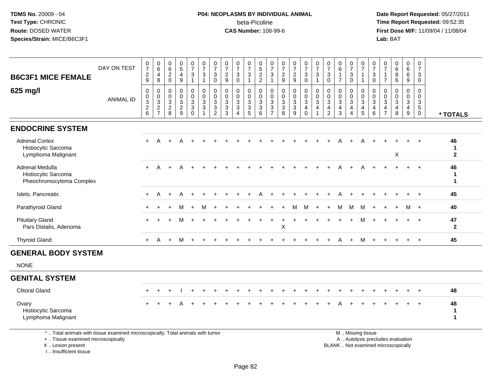## **P04: NEOPLASMS BY INDIVIDUAL ANIMAL**beta-Picoline<br>CAS Number: 108-99-6

 **Date Report Requested:** 05/27/2011 **Time Report Requested:** 09:52:35 **First Dose M/F:** 11/09/04 / 11/08/04<br>Lab: BAT **Lab:** BAT

| <b>B6C3F1 MICE FEMALE</b>                                                                                                                  | DAY ON TEST      | $\frac{0}{7}$<br>$\frac{2}{9}$ | $\begin{array}{c} 0 \\ 6 \end{array}$<br>4<br>8 | 0<br>$6\overline{6}$<br>$\overline{2}$<br>$\mathbf 0$     | $\begin{array}{c} 0 \\ 5 \end{array}$<br>$\overline{4}$<br>9      | 0<br>$\overline{7}$<br>$\sqrt{3}$<br>$\overline{1}$  | $\frac{0}{7}$<br>$\mathbf{3}$<br>$\mathbf{1}$                  | 0<br>$\overline{7}$<br>3<br>0                                     | $\frac{0}{7}$<br>$\sqrt{2}$<br>$9\,$                    | $\frac{0}{7}$<br>3<br>$\mathbf 0$                                           | $\frac{0}{7}$<br>$\mathfrak{S}$<br>$\mathbf 1$        | $\frac{0}{5}$<br>2<br>2                                       | 0<br>$\overline{7}$<br>3<br>$\overline{1}$              | $\frac{0}{7}$<br>$\sqrt{2}$<br>9                              | 0<br>$\overline{7}$<br>$\overline{c}$<br>9                         | $\frac{0}{7}$<br>3<br>$\mathbf 0$              | $\frac{0}{7}$<br>$\mathbf{3}$<br>$\mathbf{1}$                          | 0<br>$\overline{7}$<br>3<br>$\mathbf 0$             | 0<br>6<br>$\overline{1}$<br>$\overline{7}$                        | 0<br>$\overline{7}$<br>$\mathbf{3}$<br>$\mathbf 0$         | 0<br>$\overline{7}$<br>$\overline{1}$<br>$\overline{1}$           | 0<br>$\overline{7}$<br>$\mathbf{3}$<br>$\mathbf 0$ | 0<br>$\overline{7}$<br>$\mathbf{1}$<br>$\overline{7}$                    | $_{6}^{\rm 0}$<br>8<br>6                                                 | 0<br>6<br>6<br>9                          | 0<br>$\overline{7}$<br>3<br>$\mathbf 0$                      |                                           |
|--------------------------------------------------------------------------------------------------------------------------------------------|------------------|--------------------------------|-------------------------------------------------|-----------------------------------------------------------|-------------------------------------------------------------------|------------------------------------------------------|----------------------------------------------------------------|-------------------------------------------------------------------|---------------------------------------------------------|-----------------------------------------------------------------------------|-------------------------------------------------------|---------------------------------------------------------------|---------------------------------------------------------|---------------------------------------------------------------|--------------------------------------------------------------------|------------------------------------------------|------------------------------------------------------------------------|-----------------------------------------------------|-------------------------------------------------------------------|------------------------------------------------------------|-------------------------------------------------------------------|----------------------------------------------------|--------------------------------------------------------------------------|--------------------------------------------------------------------------|-------------------------------------------|--------------------------------------------------------------|-------------------------------------------|
| 625 mg/l                                                                                                                                   | <b>ANIMAL ID</b> | $\pmb{0}$<br>$\frac{0}{2}$ 8   | $\mathbf 0$<br>$\mathbf 0$<br>$\frac{3}{2}$     | $\mathbf 0$<br>$\mathbf 0$<br>$\sqrt{3}$<br>$\frac{2}{8}$ | $\mathsf{O}\xspace$<br>$\pmb{0}$<br>$\mathbf{3}$<br>$\frac{2}{9}$ | 0<br>$\mathbf 0$<br>3<br>$\mathbf{3}$<br>$\mathbf 0$ | $\pmb{0}$<br>$\boldsymbol{0}$<br>$\frac{3}{3}$<br>$\mathbf{1}$ | $\mathbf 0$<br>$\mathbf 0$<br>$\mathbf{3}$<br>3<br>$\overline{2}$ | 0<br>$\mathbf 0$<br>$\mathbf{3}$<br>$\overline{3}$<br>3 | $\mathbf 0$<br>$\mathbf 0$<br>3<br>$\overline{3}$<br>$\boldsymbol{\Lambda}$ | 0<br>$\pmb{0}$<br>$\mathbf{3}$<br>$\overline{3}$<br>5 | $\mathbf 0$<br>$\mathbf 0$<br>$\frac{3}{3}$<br>$6\phantom{a}$ | 0<br>$\mathbf 0$<br>3<br>$\mathbf{3}$<br>$\overline{7}$ | $\mathbf 0$<br>$\mathbf 0$<br>$\mathbf{3}$<br>$\sqrt{3}$<br>8 | 0<br>$\mathbf 0$<br>$\mathbf{3}$<br>$\ensuremath{\mathsf{3}}$<br>9 | $\pmb{0}$<br>$\frac{0}{3}$<br>4<br>$\mathbf 0$ | $\mathbf 0$<br>$\mathsf{O}\xspace$<br>$\mathbf{3}$<br>4<br>$\mathbf 1$ | $\Omega$<br>$\mathbf 0$<br>3<br>4<br>$\overline{2}$ | $\mathbf 0$<br>$\mathbf 0$<br>$\mathbf{3}$<br>$\overline{4}$<br>3 | 0<br>0<br>$\mathbf{3}$<br>$\overline{4}$<br>$\overline{4}$ | $\mathbf 0$<br>$\mathbf 0$<br>$\mathbf{3}$<br>$\overline{4}$<br>5 | $\Omega$<br>$\mathbf 0$<br>3<br>4<br>6             | $\Omega$<br>$\Omega$<br>$\mathbf{3}$<br>$\overline{4}$<br>$\overline{7}$ | $\mathbf 0$<br>$\mathsf 0$<br>$\mathbf{3}$<br>4<br>8                     | $\mathbf 0$<br>$\mathbf 0$<br>3<br>4<br>9 | $\mathbf 0$<br>$\mathbf 0$<br>3<br>$\sqrt{5}$<br>$\mathbf 0$ | * TOTALS                                  |
| <b>ENDOCRINE SYSTEM</b>                                                                                                                    |                  |                                |                                                 |                                                           |                                                                   |                                                      |                                                                |                                                                   |                                                         |                                                                             |                                                       |                                                               |                                                         |                                                               |                                                                    |                                                |                                                                        |                                                     |                                                                   |                                                            |                                                                   |                                                    |                                                                          |                                                                          |                                           |                                                              |                                           |
| <b>Adrenal Cortex</b><br>Histiocytic Sarcoma<br>Lymphoma Malignant                                                                         |                  |                                |                                                 |                                                           |                                                                   |                                                      |                                                                |                                                                   |                                                         |                                                                             |                                                       |                                                               |                                                         |                                                               |                                                                    |                                                |                                                                        |                                                     |                                                                   |                                                            |                                                                   |                                                    |                                                                          | Χ                                                                        |                                           |                                                              | 46<br>$\mathbf 1$<br>$\mathbf{2}$         |
| Adrenal Medulla<br>Histiocytic Sarcoma<br>Pheochromocytoma Complex                                                                         |                  |                                | A                                               | $\ddot{}$                                                 | A                                                                 |                                                      |                                                                |                                                                   |                                                         |                                                                             |                                                       |                                                               |                                                         |                                                               |                                                                    |                                                |                                                                        |                                                     |                                                                   |                                                            |                                                                   |                                                    |                                                                          |                                                                          |                                           | $+$                                                          | 46<br>$\mathbf 1$<br>$\blacktriangleleft$ |
| Islets, Pancreatic                                                                                                                         |                  | $\pm$                          | A                                               | ÷                                                         |                                                                   |                                                      |                                                                |                                                                   |                                                         |                                                                             |                                                       |                                                               |                                                         |                                                               |                                                                    |                                                |                                                                        |                                                     |                                                                   |                                                            |                                                                   |                                                    |                                                                          |                                                                          |                                           |                                                              | 45                                        |
| Parathyroid Gland                                                                                                                          |                  |                                |                                                 |                                                           | м                                                                 | $+$                                                  | M                                                              |                                                                   |                                                         |                                                                             |                                                       |                                                               |                                                         |                                                               | М                                                                  | M                                              | $\ddot{}$                                                              | $\pm$                                               | M                                                                 | M                                                          | M                                                                 | $\ddot{}$                                          |                                                                          |                                                                          | м                                         | $+$                                                          | 40                                        |
| <b>Pituitary Gland</b><br>Pars Distalis, Adenoma                                                                                           |                  |                                |                                                 |                                                           |                                                                   |                                                      |                                                                |                                                                   |                                                         |                                                                             |                                                       |                                                               |                                                         | $\sf X$                                                       |                                                                    |                                                |                                                                        |                                                     |                                                                   |                                                            | м                                                                 |                                                    |                                                                          |                                                                          |                                           | $+$                                                          | 47<br>$\mathbf{2}$                        |
| <b>Thyroid Gland</b>                                                                                                                       |                  | $+$                            | A                                               | $+$                                                       | M                                                                 | $+$                                                  |                                                                |                                                                   |                                                         |                                                                             |                                                       |                                                               |                                                         |                                                               |                                                                    |                                                |                                                                        |                                                     | A                                                                 | $+$                                                        | M                                                                 |                                                    |                                                                          |                                                                          |                                           | $+$                                                          | 45                                        |
| <b>GENERAL BODY SYSTEM</b>                                                                                                                 |                  |                                |                                                 |                                                           |                                                                   |                                                      |                                                                |                                                                   |                                                         |                                                                             |                                                       |                                                               |                                                         |                                                               |                                                                    |                                                |                                                                        |                                                     |                                                                   |                                                            |                                                                   |                                                    |                                                                          |                                                                          |                                           |                                                              |                                           |
| <b>NONE</b>                                                                                                                                |                  |                                |                                                 |                                                           |                                                                   |                                                      |                                                                |                                                                   |                                                         |                                                                             |                                                       |                                                               |                                                         |                                                               |                                                                    |                                                |                                                                        |                                                     |                                                                   |                                                            |                                                                   |                                                    |                                                                          |                                                                          |                                           |                                                              |                                           |
| <b>GENITAL SYSTEM</b>                                                                                                                      |                  |                                |                                                 |                                                           |                                                                   |                                                      |                                                                |                                                                   |                                                         |                                                                             |                                                       |                                                               |                                                         |                                                               |                                                                    |                                                |                                                                        |                                                     |                                                                   |                                                            |                                                                   |                                                    |                                                                          |                                                                          |                                           |                                                              |                                           |
| <b>Clitoral Gland</b>                                                                                                                      |                  |                                |                                                 |                                                           |                                                                   |                                                      |                                                                |                                                                   |                                                         |                                                                             |                                                       |                                                               |                                                         |                                                               |                                                                    |                                                |                                                                        |                                                     |                                                                   |                                                            |                                                                   |                                                    |                                                                          |                                                                          |                                           |                                                              | 48                                        |
| Ovary<br>Histiocytic Sarcoma<br>Lymphoma Malignant                                                                                         |                  |                                |                                                 |                                                           |                                                                   |                                                      |                                                                |                                                                   |                                                         |                                                                             |                                                       |                                                               |                                                         |                                                               |                                                                    |                                                |                                                                        |                                                     |                                                                   |                                                            |                                                                   |                                                    |                                                                          |                                                                          |                                           |                                                              | 48<br>1<br>1                              |
| *  Total animals with tissue examined microscopically; Total animals with tumor<br>+  Tissue examined microscopically<br>X  Lesion present |                  |                                |                                                 |                                                           |                                                                   |                                                      |                                                                |                                                                   |                                                         |                                                                             |                                                       |                                                               |                                                         |                                                               |                                                                    |                                                |                                                                        |                                                     |                                                                   |                                                            | M  Missing tissue                                                 |                                                    |                                                                          | A  Autolysis precludes evaluation<br>BLANK  Not examined microscopically |                                           |                                                              |                                           |

I .. Insufficient tissue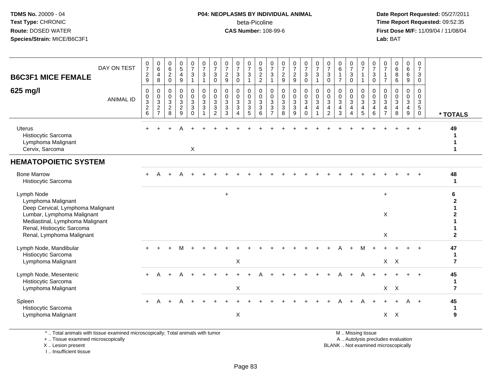#### **P04: NEOPLASMS BY INDIVIDUAL ANIMAL**beta-Picoline<br>CAS Number: 108-99-6

 **Date Report Requested:** 05/27/2011 **Time Report Requested:** 09:52:35 **First Dose M/F:** 11/09/04 / 11/08/04<br>Lab: BAT **Lab:** BAT

| <b>B6C3F1 MICE FEMALE</b><br>625 mg/l                                                                                                                                                             | DAY ON TEST<br><b>ANIMAL ID</b> | $\frac{0}{7}$<br>$\overline{c}$<br>$9\,$<br>$\mathbf 0$<br>$\pmb{0}$<br>$\mathbf{3}$<br>$\frac{2}{6}$ | $\begin{matrix} 0 \\ 6 \end{matrix}$<br>$\overline{4}$<br>8<br>0<br>$\mathbf 0$<br>$\mathbf{3}$<br>$\frac{2}{7}$ | $\begin{array}{c} 0 \\ 6 \end{array}$<br>$\overline{2}$<br>$\mathbf 0$<br>$\mathbf 0$<br>$\mathbf 0$<br>$\mathbf{3}$<br>$\frac{2}{8}$ | $\frac{0}{5}$<br>4<br>9<br>0<br>$\mathbf 0$<br>$\mathbf{3}$<br>$\overline{2}$<br>$\overline{9}$ | $\frac{0}{7}$<br>3<br>$\overline{1}$<br>0<br>$\mathbf 0$<br>$\mathbf{3}$<br>$\mathfrak{Z}$<br>$\Omega$ | $\frac{0}{7}$<br>$\mathbf{3}$<br>$\mathbf{1}$<br>$\pmb{0}$<br>$\pmb{0}$<br>$\sqrt{3}$<br>$\mathfrak{Z}$ | 0<br>$\overline{7}$<br>3<br>$\mathbf 0$<br>0<br>$\mathbf 0$<br>$\mathbf{3}$<br>$\overline{3}$<br>$\overline{2}$ | $\frac{0}{7}$<br>$\overline{2}$<br>9<br>$\mathbf 0$<br>$\mathbf 0$<br>$\mathbf{3}$<br>$\mathbf{3}$<br>$\mathcal{R}$ | $\frac{0}{7}$<br>$\ensuremath{\mathsf{3}}$<br>$\mathbf 0$<br>0<br>$\mathsf{O}\xspace$<br>$\sqrt{3}$<br>$\mathbf{3}$<br>$\overline{4}$ | 0<br>$\overline{7}$<br>$\mathbf{3}$<br>$\mathbf{1}$<br>0<br>$\mathbf 0$<br>$\mathbf{3}$<br>3<br>5 | $\begin{array}{c} 0 \\ 5 \\ 2 \end{array}$<br>$\overline{2}$<br>0<br>$\mathsf{O}\xspace$<br>$\mathbf{3}$<br>3<br>6 | $\frac{0}{7}$<br>3<br>$\mathbf{1}$<br>0<br>0<br>$\sqrt{3}$<br>$\overline{3}$<br>$\overline{7}$ | $\frac{0}{7}$<br>$\sqrt{2}$<br>$\boldsymbol{9}$<br>$\mathbf 0$<br>$\mathsf{O}\xspace$<br>$\mathbf{3}$<br>$\overline{3}$<br>8 | $\frac{0}{7}$<br>$\frac{2}{9}$<br>$\mathbf 0$<br>$\mathbf 0$<br>$\ensuremath{\mathsf{3}}$<br>$\overline{3}$<br>9 | $\frac{0}{7}$<br>$\mathfrak{Z}$<br>0<br>$\pmb{0}$<br>$\mathbf 0$<br>$\mathbf{3}$<br>$\overline{4}$<br>$\Omega$ | $\frac{0}{7}$<br>3<br>$\mathbf{1}$<br>0<br>$\mathbf 0$<br>3<br>4 | $\frac{0}{7}$<br>$\mathbf{3}$<br>$\pmb{0}$<br>$\mathbf 0$<br>$\mathbf 0$<br>$\mathbf{3}$<br>$\overline{\mathbf{4}}$<br>2 | $\begin{matrix} 0 \\ 6 \end{matrix}$<br>$\mathbf{1}$<br>$\overline{7}$<br>0<br>$\mathbf 0$<br>3<br>$\overline{4}$<br>3 | $\frac{0}{7}$<br>$\ensuremath{\mathsf{3}}$<br>$\mathbf 0$<br>0<br>$\mathbf 0$<br>$\mathbf{3}$<br>$\overline{4}$<br>$\overline{4}$ | $\frac{0}{7}$<br>$\mathbf{1}$<br>$\overline{1}$<br>0<br>$\mathbf 0$<br>$\sqrt{3}$<br>$\overline{4}$<br>5 | 0<br>$\overline{7}$<br>$\mathbf{3}$<br>$\mathsf{O}\xspace$<br>0<br>$\mathbf 0$<br>$\mathbf{3}$<br>$\overline{4}$<br>6 | $\frac{0}{7}$<br>$\overline{1}$<br>$\overline{7}$<br>$\mathbf 0$<br>$\mathbf 0$<br>$\mathbf{3}$<br>$\overline{4}$<br>$\overline{7}$ | 0<br>$6\overline{6}$<br>8<br>6<br>0<br>$\mathbf 0$<br>$\mathbf{3}$<br>4<br>8 | 0<br>$6\overline{6}$<br>6<br>9<br>0<br>$\mathbf 0$<br>$\mathbf{3}$<br>$\overline{4}$<br>$\boldsymbol{9}$ | 0<br>$\overline{7}$<br>3<br>$\mathbf 0$<br>$\mathbf 0$<br>$\mathbf 0$<br>$\mathbf{3}$<br>5<br>$\mathbf 0$ | * TOTALS                            |
|---------------------------------------------------------------------------------------------------------------------------------------------------------------------------------------------------|---------------------------------|-------------------------------------------------------------------------------------------------------|------------------------------------------------------------------------------------------------------------------|---------------------------------------------------------------------------------------------------------------------------------------|-------------------------------------------------------------------------------------------------|--------------------------------------------------------------------------------------------------------|---------------------------------------------------------------------------------------------------------|-----------------------------------------------------------------------------------------------------------------|---------------------------------------------------------------------------------------------------------------------|---------------------------------------------------------------------------------------------------------------------------------------|---------------------------------------------------------------------------------------------------|--------------------------------------------------------------------------------------------------------------------|------------------------------------------------------------------------------------------------|------------------------------------------------------------------------------------------------------------------------------|------------------------------------------------------------------------------------------------------------------|----------------------------------------------------------------------------------------------------------------|------------------------------------------------------------------|--------------------------------------------------------------------------------------------------------------------------|------------------------------------------------------------------------------------------------------------------------|-----------------------------------------------------------------------------------------------------------------------------------|----------------------------------------------------------------------------------------------------------|-----------------------------------------------------------------------------------------------------------------------|-------------------------------------------------------------------------------------------------------------------------------------|------------------------------------------------------------------------------|----------------------------------------------------------------------------------------------------------|-----------------------------------------------------------------------------------------------------------|-------------------------------------|
| <b>Uterus</b><br>Histiocytic Sarcoma<br>Lymphoma Malignant<br>Cervix, Sarcoma                                                                                                                     |                                 | ÷                                                                                                     |                                                                                                                  |                                                                                                                                       |                                                                                                 | X                                                                                                      |                                                                                                         |                                                                                                                 |                                                                                                                     |                                                                                                                                       |                                                                                                   |                                                                                                                    |                                                                                                |                                                                                                                              |                                                                                                                  |                                                                                                                |                                                                  |                                                                                                                          |                                                                                                                        |                                                                                                                                   |                                                                                                          |                                                                                                                       |                                                                                                                                     |                                                                              |                                                                                                          | $+$                                                                                                       | 49                                  |
| <b>HEMATOPOIETIC SYSTEM</b>                                                                                                                                                                       |                                 |                                                                                                       |                                                                                                                  |                                                                                                                                       |                                                                                                 |                                                                                                        |                                                                                                         |                                                                                                                 |                                                                                                                     |                                                                                                                                       |                                                                                                   |                                                                                                                    |                                                                                                |                                                                                                                              |                                                                                                                  |                                                                                                                |                                                                  |                                                                                                                          |                                                                                                                        |                                                                                                                                   |                                                                                                          |                                                                                                                       |                                                                                                                                     |                                                                              |                                                                                                          |                                                                                                           |                                     |
| <b>Bone Marrow</b><br>Histiocytic Sarcoma                                                                                                                                                         |                                 |                                                                                                       |                                                                                                                  |                                                                                                                                       |                                                                                                 |                                                                                                        |                                                                                                         |                                                                                                                 |                                                                                                                     |                                                                                                                                       |                                                                                                   |                                                                                                                    |                                                                                                |                                                                                                                              |                                                                                                                  |                                                                                                                |                                                                  |                                                                                                                          |                                                                                                                        |                                                                                                                                   |                                                                                                          |                                                                                                                       |                                                                                                                                     |                                                                              |                                                                                                          |                                                                                                           | 48<br>$\mathbf 1$                   |
| Lymph Node<br>Lymphoma Malignant<br>Deep Cervical, Lymphoma Malignant<br>Lumbar, Lymphoma Malignant<br>Mediastinal, Lymphoma Malignant<br>Renal, Histiocytic Sarcoma<br>Renal, Lymphoma Malignant |                                 |                                                                                                       |                                                                                                                  |                                                                                                                                       |                                                                                                 |                                                                                                        |                                                                                                         |                                                                                                                 | $\ddot{}$                                                                                                           |                                                                                                                                       |                                                                                                   |                                                                                                                    |                                                                                                |                                                                                                                              |                                                                                                                  |                                                                                                                |                                                                  |                                                                                                                          |                                                                                                                        |                                                                                                                                   |                                                                                                          |                                                                                                                       | $+$<br>X<br>$\mathsf X$                                                                                                             |                                                                              |                                                                                                          |                                                                                                           | 6<br>$\mathbf{2}$                   |
| Lymph Node, Mandibular<br>Histiocytic Sarcoma<br>Lymphoma Malignant                                                                                                                               |                                 |                                                                                                       |                                                                                                                  |                                                                                                                                       | М                                                                                               |                                                                                                        |                                                                                                         |                                                                                                                 |                                                                                                                     | X                                                                                                                                     |                                                                                                   |                                                                                                                    |                                                                                                |                                                                                                                              |                                                                                                                  |                                                                                                                |                                                                  |                                                                                                                          |                                                                                                                        |                                                                                                                                   | м                                                                                                        |                                                                                                                       |                                                                                                                                     | $X$ $X$                                                                      |                                                                                                          |                                                                                                           | 47<br>-1<br>$\overline{7}$          |
| Lymph Node, Mesenteric<br>Histiocytic Sarcoma<br>Lymphoma Malignant                                                                                                                               |                                 |                                                                                                       |                                                                                                                  |                                                                                                                                       |                                                                                                 |                                                                                                        |                                                                                                         |                                                                                                                 |                                                                                                                     | X                                                                                                                                     |                                                                                                   |                                                                                                                    |                                                                                                |                                                                                                                              |                                                                                                                  |                                                                                                                |                                                                  |                                                                                                                          |                                                                                                                        |                                                                                                                                   |                                                                                                          |                                                                                                                       |                                                                                                                                     | $X$ $X$                                                                      |                                                                                                          |                                                                                                           | 45<br>$\mathbf 1$<br>$\overline{7}$ |
| Spleen<br>Histiocytic Sarcoma<br>Lymphoma Malignant                                                                                                                                               |                                 | $\ddot{}$                                                                                             | A                                                                                                                |                                                                                                                                       |                                                                                                 |                                                                                                        |                                                                                                         |                                                                                                                 |                                                                                                                     | $\mathsf X$                                                                                                                           |                                                                                                   |                                                                                                                    |                                                                                                |                                                                                                                              |                                                                                                                  |                                                                                                                |                                                                  |                                                                                                                          |                                                                                                                        |                                                                                                                                   |                                                                                                          |                                                                                                                       | $X$ $X$                                                                                                                             |                                                                              | A                                                                                                        | $+$                                                                                                       | 45<br>-1<br>9                       |

\* .. Total animals with tissue examined microscopically; Total animals with tumor

+ .. Tissue examined microscopically

X .. Lesion present

I .. Insufficient tissue

M .. Missing tissue

y the contract of the contract of the contract of the contract of the contract of the contract of the contract of  $A$ . Autolysis precludes evaluation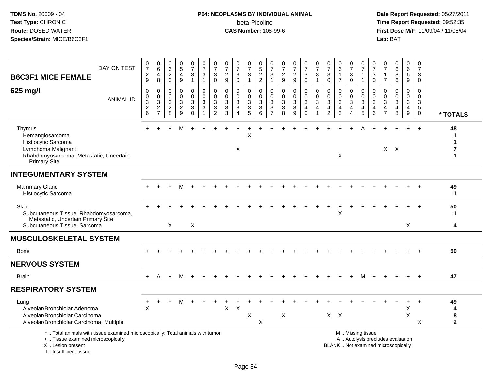#### **P04: NEOPLASMS BY INDIVIDUAL ANIMAL**beta-Picoline<br>CAS Number: 108-99-6

| DAY ON TEST<br><b>B6C3F1 MICE FEMALE</b>                                                                                                                              | $\pmb{0}$<br>$\overline{7}$<br>$\boldsymbol{2}$<br>9                           | 0<br>$\,6\,$<br>4<br>8                                                             | 0<br>6<br>$\overline{2}$<br>$\mathbf 0$                       | $\begin{array}{c} 0 \\ 5 \end{array}$<br>4<br>$\boldsymbol{9}$                     | $\begin{smallmatrix}0\\7\end{smallmatrix}$<br>3<br>$\overline{1}$ | $\frac{0}{7}$<br>$\sqrt{3}$<br>$\mathbf{1}$                | $\frac{0}{7}$<br>3<br>$\mathbf 0$                            | $\frac{0}{7}$<br>$\boldsymbol{2}$<br>9                                   | $\frac{0}{7}$<br>3<br>$\mathbf 0$                              | $\frac{0}{7}$<br>$\mathbf{3}$<br>$\mathbf{1}$ | $\begin{array}{c} 0 \\ 5 \end{array}$<br>$\overline{2}$<br>$\overline{2}$ | 0<br>$\overline{7}$<br>3<br>$\mathbf{1}$                     | 0<br>$\overline{7}$<br>$\overline{c}$<br>$9\,$              | $\frac{0}{7}$<br>$\overline{c}$<br>9                  | $\begin{smallmatrix}0\\7\end{smallmatrix}$<br>$\mathbf{3}$<br>$\mathbf 0$ | $\begin{array}{c} 0 \\ 7 \end{array}$<br>$\sqrt{3}$<br>$\mathbf{1}$ | $\begin{array}{c} 0 \\ 7 \end{array}$<br>3<br>$\mathbf 0$           | 0<br>$\,6\,$<br>$\mathbf{1}$<br>$\overline{7}$                 | $\begin{array}{c} 0 \\ 7 \end{array}$<br>3<br>$\mathbf 0$ | $\frac{0}{7}$<br>$\mathbf{1}$<br>$\mathbf{1}$             | $\frac{0}{7}$<br>$\mathbf{3}$<br>$\mathsf{O}\xspace$ | 0<br>$\overline{7}$<br>1<br>$\overline{7}$ | $\begin{array}{c} 0 \\ 6 \end{array}$<br>$\bf 8$<br>6                    | 0<br>6<br>$\,6\,$<br>9                      | 0<br>$\overline{7}$<br>3<br>0                       |                                             |
|-----------------------------------------------------------------------------------------------------------------------------------------------------------------------|--------------------------------------------------------------------------------|------------------------------------------------------------------------------------|---------------------------------------------------------------|------------------------------------------------------------------------------------|-------------------------------------------------------------------|------------------------------------------------------------|--------------------------------------------------------------|--------------------------------------------------------------------------|----------------------------------------------------------------|-----------------------------------------------|---------------------------------------------------------------------------|--------------------------------------------------------------|-------------------------------------------------------------|-------------------------------------------------------|---------------------------------------------------------------------------|---------------------------------------------------------------------|---------------------------------------------------------------------|----------------------------------------------------------------|-----------------------------------------------------------|-----------------------------------------------------------|------------------------------------------------------|--------------------------------------------|--------------------------------------------------------------------------|---------------------------------------------|-----------------------------------------------------|---------------------------------------------|
| 625 mg/l<br><b>ANIMAL ID</b>                                                                                                                                          | $\mathbf 0$<br>$\pmb{0}$<br>$\ensuremath{\mathsf{3}}$<br>$\boldsymbol{2}$<br>6 | 0<br>$\boldsymbol{0}$<br>$\ensuremath{\mathsf{3}}$<br>$\sqrt{2}$<br>$\overline{7}$ | $\mathbf 0$<br>$\mathbf 0$<br>$\mathbf{3}$<br>$\sqrt{2}$<br>8 | $\mathbf 0$<br>$\mathbf 0$<br>$\mathbf{3}$<br>$\boldsymbol{2}$<br>$\boldsymbol{9}$ | $\mathbf 0$<br>$\mathbf 0$<br>3<br>$\mathsf 3$<br>$\Omega$        | $\mathbf 0$<br>$\Omega$<br>3<br>$\sqrt{3}$<br>$\mathbf{1}$ | $\mathbf 0$<br>$\Omega$<br>3<br>$\sqrt{3}$<br>$\overline{c}$ | $\mathbf 0$<br>$\mathbf 0$<br>$\ensuremath{\mathsf{3}}$<br>$\frac{3}{3}$ | $\mathbf 0$<br>$\mathbf 0$<br>3<br>3<br>$\boldsymbol{\Lambda}$ | 0<br>$\mathbf 0$<br>3<br>$\sqrt{3}$<br>5      | 0<br>$\mathbf 0$<br>$\sqrt{3}$<br>$\overline{3}$<br>6                     | $\mathbf 0$<br>$\Omega$<br>3<br>$\sqrt{3}$<br>$\overline{7}$ | $\mathbf 0$<br>$\mathbf 0$<br>$\sqrt{3}$<br>$\sqrt{3}$<br>8 | 0<br>$\mathbf 0$<br>$\mathbf{3}$<br>$\mathbf{3}$<br>9 | $\mathbf 0$<br>$\mathbf{0}$<br>$\mathbf{3}$<br>$\overline{4}$<br>$\Omega$ | $\mathbf 0$<br>$\mathbf 0$<br>$\sqrt{3}$<br>4                       | $\mathbf 0$<br>$\mathbf 0$<br>3<br>$\overline{4}$<br>$\overline{2}$ | $\mathbf 0$<br>$\Omega$<br>$\mathbf{3}$<br>$\overline{4}$<br>3 | 0<br>$\mathbf 0$<br>3<br>4<br>$\overline{4}$              | 0<br>$\mathbf 0$<br>$\overline{3}$<br>$\overline{4}$<br>5 | $\mathbf 0$<br>$\Omega$<br>$\mathbf{3}$<br>4<br>6    | 0<br>$\Omega$<br>3<br>4<br>$\overline{7}$  | $\mathbf 0$<br>$\mathbf 0$<br>$\sqrt{3}$<br>$\overline{4}$<br>$\bf8$     | 0<br>$\mathbf{0}$<br>$\mathbf{3}$<br>4<br>9 | $\mathbf 0$<br>$\mathbf 0$<br>3<br>5<br>$\mathbf 0$ | * TOTALS                                    |
| Thymus<br>Hemangiosarcoma<br>Histiocytic Sarcoma<br>Lymphoma Malignant<br>Rhabdomyosarcoma, Metastatic, Uncertain<br>Primary Site                                     |                                                                                |                                                                                    |                                                               | M                                                                                  | $+$                                                               |                                                            |                                                              |                                                                          | X                                                              | X                                             |                                                                           |                                                              |                                                             |                                                       |                                                                           |                                                                     |                                                                     | X                                                              |                                                           |                                                           |                                                      |                                            | $X$ $X$                                                                  |                                             |                                                     | 48<br>1<br>1<br>1                           |
| <b>INTEGUMENTARY SYSTEM</b>                                                                                                                                           |                                                                                |                                                                                    |                                                               |                                                                                    |                                                                   |                                                            |                                                              |                                                                          |                                                                |                                               |                                                                           |                                                              |                                                             |                                                       |                                                                           |                                                                     |                                                                     |                                                                |                                                           |                                                           |                                                      |                                            |                                                                          |                                             |                                                     |                                             |
| <b>Mammary Gland</b><br>Histiocytic Sarcoma                                                                                                                           |                                                                                |                                                                                    |                                                               | м                                                                                  |                                                                   |                                                            |                                                              |                                                                          |                                                                |                                               |                                                                           |                                                              |                                                             |                                                       |                                                                           |                                                                     |                                                                     |                                                                |                                                           |                                                           |                                                      |                                            |                                                                          |                                             |                                                     | 49<br>-1                                    |
| Skin<br>Subcutaneous Tissue, Rhabdomyosarcoma,<br>Metastatic, Uncertain Primary Site<br>Subcutaneous Tissue, Sarcoma                                                  |                                                                                |                                                                                    | X                                                             |                                                                                    | X                                                                 |                                                            |                                                              |                                                                          |                                                                |                                               |                                                                           |                                                              |                                                             |                                                       |                                                                           |                                                                     |                                                                     | Х                                                              |                                                           |                                                           |                                                      |                                            |                                                                          | X                                           |                                                     | 50<br>-1<br>4                               |
| <b>MUSCULOSKELETAL SYSTEM</b>                                                                                                                                         |                                                                                |                                                                                    |                                                               |                                                                                    |                                                                   |                                                            |                                                              |                                                                          |                                                                |                                               |                                                                           |                                                              |                                                             |                                                       |                                                                           |                                                                     |                                                                     |                                                                |                                                           |                                                           |                                                      |                                            |                                                                          |                                             |                                                     |                                             |
| Bone                                                                                                                                                                  |                                                                                |                                                                                    |                                                               |                                                                                    |                                                                   |                                                            |                                                              |                                                                          |                                                                |                                               |                                                                           |                                                              |                                                             |                                                       |                                                                           |                                                                     |                                                                     |                                                                |                                                           |                                                           |                                                      |                                            |                                                                          |                                             |                                                     | 50                                          |
| <b>NERVOUS SYSTEM</b>                                                                                                                                                 |                                                                                |                                                                                    |                                                               |                                                                                    |                                                                   |                                                            |                                                              |                                                                          |                                                                |                                               |                                                                           |                                                              |                                                             |                                                       |                                                                           |                                                                     |                                                                     |                                                                |                                                           |                                                           |                                                      |                                            |                                                                          |                                             |                                                     |                                             |
| <b>Brain</b>                                                                                                                                                          | $+$                                                                            | A                                                                                  | $+$                                                           | M                                                                                  | $+$                                                               |                                                            |                                                              |                                                                          |                                                                |                                               |                                                                           |                                                              |                                                             |                                                       |                                                                           |                                                                     |                                                                     |                                                                |                                                           | M                                                         |                                                      |                                            |                                                                          |                                             |                                                     | 47                                          |
| <b>RESPIRATORY SYSTEM</b>                                                                                                                                             |                                                                                |                                                                                    |                                                               |                                                                                    |                                                                   |                                                            |                                                              |                                                                          |                                                                |                                               |                                                                           |                                                              |                                                             |                                                       |                                                                           |                                                                     |                                                                     |                                                                |                                                           |                                                           |                                                      |                                            |                                                                          |                                             |                                                     |                                             |
| Lung<br>Alveolar/Bronchiolar Adenoma<br>Alveolar/Bronchiolar Carcinoma<br>Alveolar/Bronchiolar Carcinoma, Multiple                                                    | $\ddot{}$<br>X                                                                 | ÷                                                                                  | ÷.                                                            | м                                                                                  | $\div$                                                            |                                                            |                                                              | X                                                                        | $\times$                                                       | X                                             | X                                                                         |                                                              | X                                                           |                                                       |                                                                           |                                                                     | $X$ $X$                                                             |                                                                |                                                           |                                                           |                                                      |                                            |                                                                          | ÷.<br>Χ<br>$\sf X$                          | X                                                   | 49<br>$\overline{4}$<br>8<br>$\overline{2}$ |
| *  Total animals with tissue examined microscopically; Total animals with tumor<br>+  Tissue examined microscopically<br>X  Lesion present<br>I., Insufficient tissue |                                                                                |                                                                                    |                                                               |                                                                                    |                                                                   |                                                            |                                                              |                                                                          |                                                                |                                               |                                                                           |                                                              |                                                             |                                                       |                                                                           |                                                                     |                                                                     |                                                                |                                                           | M  Missing tissue                                         |                                                      |                                            | A  Autolysis precludes evaluation<br>BLANK  Not examined microscopically |                                             |                                                     |                                             |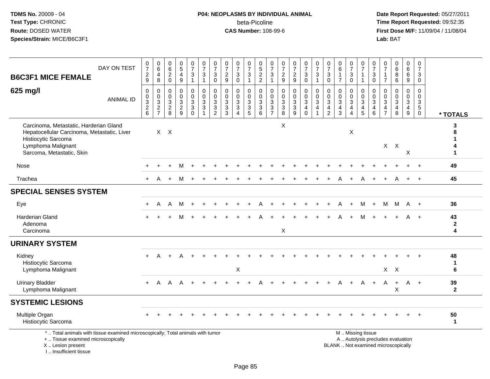I .. Insufficient tissue

# **P04: NEOPLASMS BY INDIVIDUAL ANIMAL**beta-Picoline<br>CAS Number: 108-99-6

| <b>B6C3F1 MICE FEMALE</b>                                                                                                                                       | DAY ON TEST                                                                     | $\frac{0}{7}$<br>$\sqrt{2}$<br>$\boldsymbol{9}$                                    | $\begin{matrix} 0 \\ 6 \end{matrix}$<br>$\overline{4}$<br>8                                 | $_{6}^{\rm 0}$<br>$\overline{c}$<br>$\mathbf 0$                 | $\begin{array}{c} 0 \\ 5 \end{array}$<br>$\overline{\mathbf{4}}$<br>$\boldsymbol{9}$ | $\begin{smallmatrix}0\\7\end{smallmatrix}$<br>$\mathsf 3$<br>$\mathbf{1}$ | $\frac{0}{7}$<br>$\sqrt{3}$<br>$\mathbf{1}$                               | $\frac{0}{7}$<br>$\ensuremath{\mathsf{3}}$<br>$\mathbf 0$      | $\frac{0}{7}$<br>$\sqrt{2}$<br>9                              | $\frac{0}{7}$<br>$\ensuremath{\mathsf{3}}$<br>$\mathbf 0$        | $\frac{0}{7}$<br>$\ensuremath{\mathsf{3}}$<br>$\mathbf{1}$ | $\begin{array}{c} 0 \\ 5 \end{array}$<br>$\frac{2}{2}$ | $\frac{0}{7}$<br>$\ensuremath{\mathsf{3}}$<br>$\mathbf{1}$ | $\frac{0}{7}$<br>$\frac{2}{9}$            | $\frac{0}{7}$<br>$\frac{2}{9}$  | $\frac{0}{7}$<br>$\ensuremath{\mathsf{3}}$<br>$\mathbf 0$                              | $\frac{0}{7}$<br>3<br>$\mathbf{1}$   | $\frac{0}{7}$<br>$\mathbf{3}$<br>$\mathbf 0$                                                | $_6^0$<br>$\mathbf{1}$<br>$\overline{7}$     | $\frac{0}{7}$<br>$\ensuremath{\mathsf{3}}$<br>0                                             | $\frac{0}{7}$<br>$\mathbf{1}$<br>$\mathbf{1}$                                                 | $\frac{0}{7}$<br>$\ensuremath{\mathsf{3}}$<br>$\mathbf 0$            | $\frac{0}{7}$<br>$\mathbf{1}$<br>$\overline{7}$                              | $\begin{array}{c} 0 \\ 6 \end{array}$<br>8<br>6 | 0<br>$6\overline{6}$<br>6<br>9                                    | 0<br>$\overline{7}$<br>3<br>0                      |                         |
|-----------------------------------------------------------------------------------------------------------------------------------------------------------------|---------------------------------------------------------------------------------|------------------------------------------------------------------------------------|---------------------------------------------------------------------------------------------|-----------------------------------------------------------------|--------------------------------------------------------------------------------------|---------------------------------------------------------------------------|---------------------------------------------------------------------------|----------------------------------------------------------------|---------------------------------------------------------------|------------------------------------------------------------------|------------------------------------------------------------|--------------------------------------------------------|------------------------------------------------------------|-------------------------------------------|---------------------------------|----------------------------------------------------------------------------------------|--------------------------------------|---------------------------------------------------------------------------------------------|----------------------------------------------|---------------------------------------------------------------------------------------------|-----------------------------------------------------------------------------------------------|----------------------------------------------------------------------|------------------------------------------------------------------------------|-------------------------------------------------|-------------------------------------------------------------------|----------------------------------------------------|-------------------------|
| 625 mg/l                                                                                                                                                        | <b>ANIMAL ID</b>                                                                | 0<br>$\mathbf 0$<br>$\ensuremath{\mathsf{3}}$<br>$\overline{2}$<br>$6\phantom{1}6$ | $\mathbf 0$<br>$\mathbf 0$<br>$\ensuremath{\mathsf{3}}$<br>$\overline{c}$<br>$\overline{7}$ | $\mathbf 0$<br>$\mathbf 0$<br>$\sqrt{3}$<br>$\overline{2}$<br>8 | 0<br>$\mathbf 0$<br>3<br>$\overline{2}$<br>9                                         | 0<br>$\mathbf 0$<br>$\ensuremath{\mathsf{3}}$<br>$\overline{3}$ 0         | $\mathbf 0$<br>$\mathbf 0$<br>$\ensuremath{\mathsf{3}}$<br>$\overline{3}$ | 0<br>$\mathbf 0$<br>$\ensuremath{\mathsf{3}}$<br>$\frac{3}{2}$ | $\mathbf 0$<br>$\mathbf 0$<br>$\sqrt{3}$<br>$\mathbf{3}$<br>3 | 0<br>$\mathbf 0$<br>$\sqrt{3}$<br>$\ensuremath{\mathsf{3}}$<br>4 | 0<br>$\mathbf 0$<br>$\frac{3}{3}$                          | 0<br>0<br>3<br>$\overline{3}$<br>6                     | 0<br>$\mathsf{O}\xspace$<br>$\frac{3}{3}$                  | $\pmb{0}$<br>$\mathbf 0$<br>$\frac{3}{8}$ | 0<br>$\pmb{0}$<br>$\frac{3}{9}$ | $\pmb{0}$<br>$\mathbf 0$<br>$\ensuremath{\mathsf{3}}$<br>$\overline{4}$<br>$\mathbf 0$ | $\mathbf 0$<br>$\mathbf 0$<br>3<br>4 | $\mathbf 0$<br>$\mathbf 0$<br>$\ensuremath{\mathsf{3}}$<br>$\overline{4}$<br>$\overline{2}$ | 0<br>$\mathbf 0$<br>3<br>$\overline{4}$<br>3 | $\mathbf 0$<br>$\mathbf 0$<br>$\ensuremath{\mathsf{3}}$<br>$\overline{4}$<br>$\overline{4}$ | $\mathbf 0$<br>$\mathbf 0$<br>$\sqrt{3}$<br>$\overline{\mathbf{4}}$<br>5                      | 0<br>$\mathbf 0$<br>$\mathbf{3}$<br>$\overline{4}$<br>$6\phantom{1}$ | $\mathbf 0$<br>$\mathbf 0$<br>$\sqrt{3}$<br>$\overline{4}$<br>$\overline{7}$ | 0<br>$\mathbf 0$<br>3<br>4<br>8                 | 0<br>$\mathbf 0$<br>$\mathbf{3}$<br>$\overline{4}$<br>$\mathsf g$ | $\Omega$<br>$\Omega$<br>3<br>$5\,$<br>$\mathsf{O}$ | * TOTALS                |
| Carcinoma, Metastatic, Harderian Gland<br>Hepatocellular Carcinoma, Metastatic, Liver<br>Histiocytic Sarcoma<br>Lymphoma Malignant<br>Sarcoma, Metastatic, Skin |                                                                                 |                                                                                    |                                                                                             | $X$ $X$                                                         |                                                                                      |                                                                           |                                                                           |                                                                |                                                               |                                                                  |                                                            |                                                        |                                                            | X                                         |                                 |                                                                                        |                                      |                                                                                             |                                              | X                                                                                           |                                                                                               |                                                                      |                                                                              | $X$ $X$                                         | $\boldsymbol{\mathsf{X}}$                                         |                                                    | 3<br>я<br>1             |
| Nose                                                                                                                                                            |                                                                                 |                                                                                    |                                                                                             |                                                                 |                                                                                      |                                                                           |                                                                           |                                                                |                                                               |                                                                  |                                                            |                                                        |                                                            |                                           |                                 |                                                                                        |                                      |                                                                                             |                                              |                                                                                             |                                                                                               |                                                                      |                                                                              |                                                 |                                                                   |                                                    | 49                      |
| Trachea                                                                                                                                                         |                                                                                 | $+$                                                                                | A                                                                                           |                                                                 | м                                                                                    |                                                                           |                                                                           |                                                                |                                                               |                                                                  |                                                            |                                                        |                                                            |                                           |                                 |                                                                                        |                                      |                                                                                             |                                              |                                                                                             |                                                                                               |                                                                      |                                                                              | A                                               |                                                                   |                                                    | 45                      |
| <b>SPECIAL SENSES SYSTEM</b>                                                                                                                                    |                                                                                 |                                                                                    |                                                                                             |                                                                 |                                                                                      |                                                                           |                                                                           |                                                                |                                                               |                                                                  |                                                            |                                                        |                                                            |                                           |                                 |                                                                                        |                                      |                                                                                             |                                              |                                                                                             |                                                                                               |                                                                      |                                                                              |                                                 |                                                                   |                                                    |                         |
| Eye                                                                                                                                                             |                                                                                 | $+$                                                                                | A                                                                                           | A                                                               | M                                                                                    | $\ddot{}$                                                                 |                                                                           |                                                                |                                                               |                                                                  |                                                            |                                                        |                                                            |                                           |                                 |                                                                                        |                                      |                                                                                             | A                                            | $+$                                                                                         | М                                                                                             | $+$                                                                  | M                                                                            | M                                               | A                                                                 | $+$                                                | 36                      |
| <b>Harderian Gland</b><br>Adenoma<br>Carcinoma                                                                                                                  |                                                                                 |                                                                                    |                                                                                             |                                                                 |                                                                                      |                                                                           |                                                                           |                                                                |                                                               |                                                                  |                                                            |                                                        |                                                            | X                                         |                                 |                                                                                        |                                      |                                                                                             |                                              |                                                                                             |                                                                                               |                                                                      |                                                                              |                                                 |                                                                   | $^{+}$                                             | 43<br>$\mathbf{2}$<br>4 |
| <b>URINARY SYSTEM</b>                                                                                                                                           |                                                                                 |                                                                                    |                                                                                             |                                                                 |                                                                                      |                                                                           |                                                                           |                                                                |                                                               |                                                                  |                                                            |                                                        |                                                            |                                           |                                 |                                                                                        |                                      |                                                                                             |                                              |                                                                                             |                                                                                               |                                                                      |                                                                              |                                                 |                                                                   |                                                    |                         |
| Kidney<br>Histiocytic Sarcoma<br>Lymphoma Malignant                                                                                                             |                                                                                 | $+$                                                                                | Α                                                                                           |                                                                 |                                                                                      |                                                                           |                                                                           |                                                                |                                                               | X                                                                |                                                            |                                                        |                                                            |                                           |                                 |                                                                                        |                                      |                                                                                             |                                              |                                                                                             |                                                                                               |                                                                      |                                                                              | $X$ $X$                                         |                                                                   |                                                    | 48<br>$\mathbf 1$<br>6  |
| <b>Urinary Bladder</b><br>Lymphoma Malignant                                                                                                                    |                                                                                 | $+$                                                                                | A                                                                                           | A                                                               | A                                                                                    |                                                                           |                                                                           |                                                                |                                                               |                                                                  |                                                            |                                                        |                                                            |                                           |                                 |                                                                                        |                                      |                                                                                             |                                              |                                                                                             | A                                                                                             | $+$                                                                  | A                                                                            | $+$<br>X                                        | A +                                                               |                                                    | 39<br>$\mathbf{2}$      |
| <b>SYSTEMIC LESIONS</b>                                                                                                                                         |                                                                                 |                                                                                    |                                                                                             |                                                                 |                                                                                      |                                                                           |                                                                           |                                                                |                                                               |                                                                  |                                                            |                                                        |                                                            |                                           |                                 |                                                                                        |                                      |                                                                                             |                                              |                                                                                             |                                                                                               |                                                                      |                                                                              |                                                 |                                                                   |                                                    |                         |
| Multiple Organ<br>Histiocytic Sarcoma                                                                                                                           |                                                                                 |                                                                                    |                                                                                             |                                                                 |                                                                                      |                                                                           |                                                                           |                                                                |                                                               |                                                                  |                                                            |                                                        |                                                            |                                           |                                 |                                                                                        |                                      |                                                                                             |                                              |                                                                                             |                                                                                               |                                                                      |                                                                              |                                                 |                                                                   |                                                    | 50<br>$\mathbf{1}$      |
| +  Tissue examined microscopically<br>X  Lesion present                                                                                                         | *  Total animals with tissue examined microscopically; Total animals with tumor |                                                                                    |                                                                                             |                                                                 |                                                                                      |                                                                           |                                                                           |                                                                |                                                               |                                                                  |                                                            |                                                        |                                                            |                                           |                                 |                                                                                        |                                      |                                                                                             |                                              |                                                                                             | M  Missing tissue<br>A  Autolysis precludes evaluation<br>BLANK  Not examined microscopically |                                                                      |                                                                              |                                                 |                                                                   |                                                    |                         |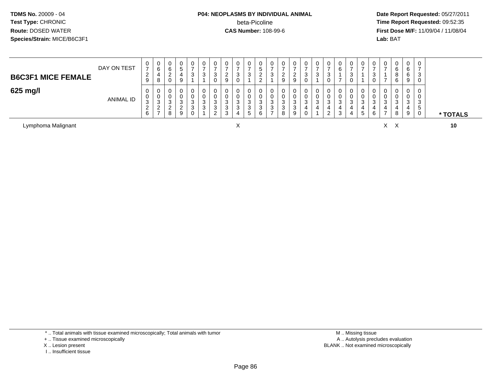## **P04: NEOPLASMS BY INDIVIDUAL ANIMAL**beta-Picoline<br>CAS Number: 108-99-6

 **Date Report Requested:** 05/27/2011 **Time Report Requested:** 09:52:35 **First Dose M/F:** 11/09/04 / 11/08/04<br>Lab: BAT **Lab:** BAT

| <b>B6C3F1 MICE FEMALE</b> | DAY ON TEST      | 0<br>$\rightarrow$<br>$\epsilon$<br>9    | 0<br>6<br>4<br>8                              | υ<br>- | 0        | 0<br>ົ<br>ۍ                       | U<br>J | U<br>3                | 0<br>ົ<br><u>_</u><br>9                      | 0<br>3<br>0           | 0<br><sup>o</sup><br>ັ                    | ັ<br>ے    | v<br>ن | U<br>∼<br>9 | U<br>ີ<br><u>_</u><br>9 | 0<br>-<br>◠<br>◡ | 0<br>3      | 0<br>n<br>ັ<br>0      |             | -<br>ت | 0             | U<br>N<br>U      | 0           | 0<br>6<br>8<br>6 | 0<br>6<br>6<br>9           | -<br>- 2<br>- 0 |          |
|---------------------------|------------------|------------------------------------------|-----------------------------------------------|--------|----------|-----------------------------------|--------|-----------------------|----------------------------------------------|-----------------------|-------------------------------------------|-----------|--------|-------------|-------------------------|------------------|-------------|-----------------------|-------------|--------|---------------|------------------|-------------|------------------|----------------------------|-----------------|----------|
| 625 mg/l                  | <b>ANIMAL ID</b> | 0<br>0<br>3<br>$\sim$<br>$\epsilon$<br>6 | 0<br>0<br>3<br>ົ<br><u>_</u><br>$\rightarrow$ | ت<br>8 | - ఎ<br>9 | 0<br>0<br>3<br>ົ<br>ۍ<br>$\Omega$ | J<br>ົ | U<br>Ü<br>3<br>3<br>ົ | 0<br>0<br>ີ<br>J.<br>3<br>$\sim$<br><b>ت</b> | 0<br>0<br>3<br>3<br>4 | 0<br>0<br>$\sim$<br>ັ<br>$\sim$<br>ັ<br>5 | ັບ<br>- 0 | ت<br>ت | J<br>8      | 0<br>O<br>3<br>3<br>9   | 0<br>0<br>ົ<br>ഄ | 0<br>U<br>3 | 0<br>0<br>ົ<br>ັ<br>ົ | ັ<br>ີ<br>J |        | U<br>- 0<br>ა | U<br>U<br>N<br>6 | 0<br>0<br>ు | 0<br>v<br>3<br>8 | 0<br>0<br>ົ<br>◡<br>4<br>9 | ີ<br>w<br>G     | * TOTALS |

Lymphoma Malignant

t X

<sup>X</sup> <sup>X</sup> **<sup>10</sup>**

\* .. Total animals with tissue examined microscopically; Total animals with tumor

+ .. Tissue examined microscopically

- X .. Lesion present
- I .. Insufficient tissue

 M .. Missing tissuey the contract of the contract of the contract of the contract of the contract of the contract of the contract of  $A$ . Autolysis precludes evaluation Lesion present BLANK .. Not examined microscopically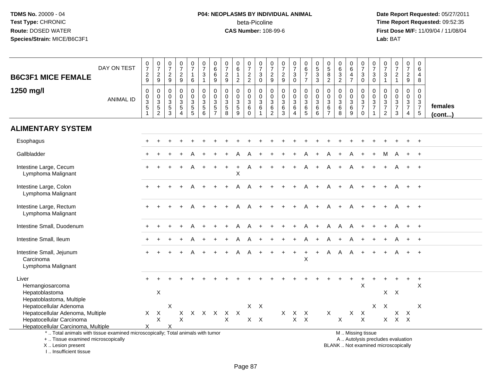# **P04: NEOPLASMS BY INDIVIDUAL ANIMAL**beta-Picoline<br>CAS Number: 108-99-6

 **Date Report Requested:** 05/27/2011 **Time Report Requested:** 09:52:35 **First Dose M/F:** 11/09/04 / 11/08/04<br>Lab: BAT **Lab:** BAT

| <b>B6C3F1 MICE FEMALE</b>                                                                                                                  | DAY ON TEST      | $\frac{0}{7}$<br>$\frac{2}{9}$           | $\begin{smallmatrix} 0\\7 \end{smallmatrix}$<br>$\frac{2}{9}$                 | $\frac{0}{7}$<br>$\frac{2}{9}$                                 | $\frac{0}{7}$<br>$\frac{2}{9}$                                                | 0<br>$\overline{7}$<br>$\mathbf{1}$<br>$\,6\,$                 | $\begin{array}{c} 0 \\ 7 \end{array}$<br>$\ensuremath{\mathsf{3}}$<br>$\mathbf{1}$ | $\begin{array}{c} 0 \\ 6 \end{array}$<br>$\,6\,$<br>9        | $\frac{0}{7}$<br>$\sqrt{2}$<br>9                                                                 | $\pmb{0}$<br>$\overline{6}$<br>$\mathbf{2}$                    | $\begin{array}{c} 0 \\ 7 \end{array}$<br>$\frac{2}{2}$                            | $\begin{smallmatrix}0\\7\end{smallmatrix}$<br>$\ensuremath{\mathsf{3}}$<br>$\mathbf 0$ | $\mathbf 0$<br>$\overline{7}$<br>$\frac{2}{9}$                           | $\frac{0}{7}$<br>$\frac{2}{9}$                                        | $\frac{0}{7}$<br>3<br>$\mathbf 0$                        | $\begin{array}{c} 0 \\ 6 \\ 7 \end{array}$<br>$\overline{7}$ | $\begin{array}{c} 0 \\ 5 \\ 3 \end{array}$<br>$\mathbf{3}$ | 0<br>$\overline{5}$<br>8<br>$\overline{c}$  | $\mathbf 0$<br>$\,6\,$<br>$\mathbf{3}$<br>$\overline{2}$ | $\mathbf 0$<br>$\overline{6}$<br>4<br>$\overline{7}$ | $\begin{smallmatrix}0\\7\end{smallmatrix}$<br>$\ensuremath{\mathsf{3}}$<br>$\mathbf 0$        | $\frac{0}{7}$<br>$\ensuremath{\mathsf{3}}$<br>$\mathbf 0$                       | $\pmb{0}$<br>$\overline{7}$<br>$\mathbf{3}$<br>$\mathbf{1}$                                 | $\begin{array}{c} 0 \\ 7 \end{array}$<br>$\sqrt{2}$<br>$\mathbf{1}$          | $\pmb{0}$<br>$\overline{7}$<br>$\sqrt{2}$<br>$\boldsymbol{9}$ | 0<br>6<br>4<br>8                                                        |                         |
|--------------------------------------------------------------------------------------------------------------------------------------------|------------------|------------------------------------------|-------------------------------------------------------------------------------|----------------------------------------------------------------|-------------------------------------------------------------------------------|----------------------------------------------------------------|------------------------------------------------------------------------------------|--------------------------------------------------------------|--------------------------------------------------------------------------------------------------|----------------------------------------------------------------|-----------------------------------------------------------------------------------|----------------------------------------------------------------------------------------|--------------------------------------------------------------------------|-----------------------------------------------------------------------|----------------------------------------------------------|--------------------------------------------------------------|------------------------------------------------------------|---------------------------------------------|----------------------------------------------------------|------------------------------------------------------|-----------------------------------------------------------------------------------------------|---------------------------------------------------------------------------------|---------------------------------------------------------------------------------------------|------------------------------------------------------------------------------|---------------------------------------------------------------|-------------------------------------------------------------------------|-------------------------|
| 1250 mg/l                                                                                                                                  | <b>ANIMAL ID</b> | $\pmb{0}$<br>$\frac{0}{3}$<br>$5\,$<br>1 | $\boldsymbol{0}$<br>$\mathbf 0$<br>$\ensuremath{\mathsf{3}}$<br>$\frac{5}{2}$ | 0<br>$\mathbf 0$<br>$\ensuremath{\mathsf{3}}$<br>$\frac{5}{3}$ | $\mathbf 0$<br>$\mathsf{O}\xspace$<br>$\frac{3}{5}$<br>$\boldsymbol{\Lambda}$ | 0<br>$\mathbf 0$<br>$\ensuremath{\mathsf{3}}$<br>$\frac{5}{5}$ | $\mathbf 0$<br>$\mathbf 0$<br>$\ensuremath{\mathsf{3}}$<br>$\,$ 5 $\,$<br>6        | 0<br>$\pmb{0}$<br>$\ensuremath{\mathsf{3}}$<br>$\frac{5}{7}$ | $\mathbf 0$<br>$\mathbf 0$<br>$\ensuremath{\mathsf{3}}$<br>$\begin{array}{c} 5 \\ 8 \end{array}$ | 0<br>$\pmb{0}$<br>$\ensuremath{\mathsf{3}}$<br>$\sqrt{5}$<br>9 | $\mathbf 0$<br>$\mathbf 0$<br>$\ensuremath{\mathsf{3}}$<br>$\,6\,$<br>$\mathbf 0$ | 0<br>$\mathbf 0$<br>$\mathbf{3}$<br>$\,6\,$<br>$\mathbf{1}$                            | $\mathbf 0$<br>$\mathbf 0$<br>$\ensuremath{\mathsf{3}}$<br>$\frac{6}{2}$ | $\mathbf 0$<br>$\mathbf 0$<br>$\sqrt{3}$<br>$\,6\,$<br>$\overline{3}$ | 0<br>$\overline{0}$<br>3<br>6<br>$\overline{\mathbf{4}}$ | 0<br>$\mathbf 0$<br>$\ensuremath{\mathsf{3}}$<br>$^6$ 5      | $\pmb{0}$<br>$\mathbf 0$<br>$\overline{3}$<br>$\,6\,$<br>6 | 0<br>0<br>$\sqrt{3}$<br>6<br>$\overline{7}$ | $\mathbf 0$<br>$\mathbf 0$<br>$\sqrt{3}$<br>$\,6\,$<br>8 | 0<br>$\mathbf 0$<br>$\sqrt{3}$<br>6<br>9             | 0<br>$\mathbf 0$<br>$\ensuremath{\mathsf{3}}$<br>$\boldsymbol{7}$<br>$\mathbf 0$              | 0<br>$\mathbf 0$<br>$\ensuremath{\mathsf{3}}$<br>$\overline{7}$<br>$\mathbf{1}$ | $\mathbf 0$<br>$\mathbf 0$<br>$\ensuremath{\mathsf{3}}$<br>$\overline{7}$<br>$\overline{2}$ | $\mathbf 0$<br>$\pmb{0}$<br>$\ensuremath{\mathsf{3}}$<br>$\overline{7}$<br>3 | 0<br>$\mathbf 0$<br>$\frac{3}{7}$<br>$\overline{4}$           | 0<br>$\mathbf 0$<br>$\sqrt{3}$<br>$\begin{array}{c} 7 \\ 5 \end{array}$ | females<br>$($ cont $)$ |
| <b>ALIMENTARY SYSTEM</b>                                                                                                                   |                  |                                          |                                                                               |                                                                |                                                                               |                                                                |                                                                                    |                                                              |                                                                                                  |                                                                |                                                                                   |                                                                                        |                                                                          |                                                                       |                                                          |                                                              |                                                            |                                             |                                                          |                                                      |                                                                                               |                                                                                 |                                                                                             |                                                                              |                                                               |                                                                         |                         |
| Esophagus                                                                                                                                  |                  |                                          |                                                                               |                                                                |                                                                               |                                                                |                                                                                    |                                                              |                                                                                                  |                                                                |                                                                                   |                                                                                        |                                                                          |                                                                       |                                                          |                                                              |                                                            |                                             |                                                          |                                                      |                                                                                               |                                                                                 |                                                                                             |                                                                              |                                                               |                                                                         |                         |
| Gallbladder                                                                                                                                |                  |                                          |                                                                               |                                                                |                                                                               |                                                                |                                                                                    |                                                              |                                                                                                  |                                                                |                                                                                   |                                                                                        |                                                                          |                                                                       |                                                          |                                                              |                                                            |                                             |                                                          |                                                      |                                                                                               |                                                                                 | м                                                                                           |                                                                              |                                                               |                                                                         |                         |
| Intestine Large, Cecum<br>Lymphoma Malignant                                                                                               |                  |                                          |                                                                               |                                                                |                                                                               |                                                                |                                                                                    |                                                              |                                                                                                  | $\sf X$                                                        |                                                                                   |                                                                                        |                                                                          |                                                                       |                                                          |                                                              |                                                            |                                             |                                                          |                                                      |                                                                                               |                                                                                 |                                                                                             |                                                                              |                                                               |                                                                         |                         |
| Intestine Large, Colon<br>Lymphoma Malignant                                                                                               |                  |                                          |                                                                               |                                                                |                                                                               |                                                                |                                                                                    |                                                              |                                                                                                  |                                                                |                                                                                   |                                                                                        |                                                                          |                                                                       |                                                          |                                                              |                                                            |                                             |                                                          |                                                      |                                                                                               |                                                                                 |                                                                                             |                                                                              |                                                               |                                                                         |                         |
| Intestine Large, Rectum<br>Lymphoma Malignant                                                                                              |                  |                                          |                                                                               |                                                                |                                                                               |                                                                |                                                                                    |                                                              |                                                                                                  |                                                                |                                                                                   |                                                                                        |                                                                          |                                                                       |                                                          |                                                              |                                                            |                                             |                                                          |                                                      |                                                                                               |                                                                                 |                                                                                             |                                                                              |                                                               | $\overline{+}$                                                          |                         |
| Intestine Small, Duodenum                                                                                                                  |                  |                                          |                                                                               |                                                                |                                                                               |                                                                |                                                                                    |                                                              |                                                                                                  | А                                                              |                                                                                   |                                                                                        |                                                                          |                                                                       |                                                          | A                                                            | $+$                                                        | A                                           | A                                                        | A                                                    |                                                                                               |                                                                                 |                                                                                             |                                                                              |                                                               |                                                                         |                         |
| Intestine Small, Ileum                                                                                                                     |                  |                                          |                                                                               |                                                                |                                                                               |                                                                |                                                                                    |                                                              |                                                                                                  |                                                                |                                                                                   |                                                                                        |                                                                          |                                                                       |                                                          |                                                              |                                                            | A                                           |                                                          |                                                      |                                                                                               |                                                                                 |                                                                                             |                                                                              |                                                               |                                                                         |                         |
| Intestine Small, Jejunum<br>Carcinoma<br>Lymphoma Malignant                                                                                |                  |                                          |                                                                               |                                                                |                                                                               |                                                                |                                                                                    |                                                              |                                                                                                  | Α                                                              | A                                                                                 |                                                                                        |                                                                          |                                                                       |                                                          | $\ddot{}$<br>$\times$                                        | $+$                                                        | Α                                           |                                                          |                                                      |                                                                                               |                                                                                 |                                                                                             |                                                                              |                                                               | $^{+}$                                                                  |                         |
| Liver<br>Hemangiosarcoma                                                                                                                   |                  |                                          |                                                                               |                                                                |                                                                               |                                                                |                                                                                    |                                                              |                                                                                                  |                                                                |                                                                                   |                                                                                        |                                                                          |                                                                       |                                                          |                                                              |                                                            |                                             |                                                          |                                                      | $\times$                                                                                      |                                                                                 |                                                                                             |                                                                              |                                                               | $\ddot{}$<br>X                                                          |                         |
| Hepatoblastoma<br>Hepatoblastoma, Multiple                                                                                                 |                  |                                          | X                                                                             |                                                                |                                                                               |                                                                |                                                                                    |                                                              |                                                                                                  |                                                                |                                                                                   |                                                                                        |                                                                          |                                                                       |                                                          |                                                              |                                                            |                                             |                                                          |                                                      |                                                                                               |                                                                                 | $\mathsf{X}$                                                                                | $\times$                                                                     |                                                               |                                                                         |                         |
| Hepatocellular Adenoma<br>Hepatocellular Adenoma, Multiple                                                                                 |                  | $\times$                                 | $\mathsf{X}$                                                                  | X                                                              | $\mathsf{X}$                                                                  |                                                                |                                                                                    | x x x x x                                                    |                                                                                                  |                                                                | $X \times$                                                                        |                                                                                        |                                                                          |                                                                       | $X$ $X$                                                  | $\mathsf{X}$                                                 |                                                            | $\mathsf{X}$                                |                                                          | X                                                    | $\mathsf{X}$                                                                                  | X                                                                               | X                                                                                           | $\mathsf{X}$                                                                 | $\boldsymbol{\mathsf{X}}$                                     | $\times$                                                                |                         |
| Hepatocellular Carcinoma                                                                                                                   |                  |                                          | $\mathsf X$                                                                   |                                                                | $\boldsymbol{\mathsf{X}}$                                                     |                                                                |                                                                                    |                                                              | $\pmb{\times}$                                                                                   |                                                                | $X$ $X$                                                                           |                                                                                        |                                                                          |                                                                       | $\mathsf{X}$                                             | $\mathsf{X}$                                                 |                                                            |                                             | $\pmb{\times}$                                           |                                                      | $\mathsf{X}$                                                                                  |                                                                                 | $\mathsf{X}^-$                                                                              | $X$ $X$                                                                      |                                                               |                                                                         |                         |
| Hepatocellular Carcinoma, Multiple                                                                                                         |                  | X                                        |                                                                               | X                                                              |                                                                               |                                                                |                                                                                    |                                                              |                                                                                                  |                                                                |                                                                                   |                                                                                        |                                                                          |                                                                       |                                                          |                                                              |                                                            |                                             |                                                          |                                                      |                                                                                               |                                                                                 |                                                                                             |                                                                              |                                                               |                                                                         |                         |
| *  Total animals with tissue examined microscopically; Total animals with tumor<br>+  Tissue examined microscopically<br>X  Lesion present |                  |                                          |                                                                               |                                                                |                                                                               |                                                                |                                                                                    |                                                              |                                                                                                  |                                                                |                                                                                   |                                                                                        |                                                                          |                                                                       |                                                          |                                                              |                                                            |                                             |                                                          |                                                      | M  Missing tissue<br>A  Autolysis precludes evaluation<br>BLANK  Not examined microscopically |                                                                                 |                                                                                             |                                                                              |                                                               |                                                                         |                         |

I .. Insufficient tissue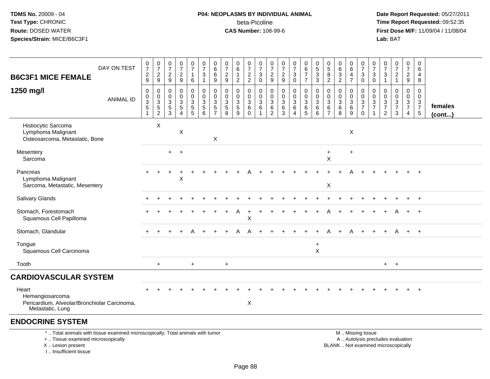# **P04: NEOPLASMS BY INDIVIDUAL ANIMAL**beta-Picoline<br>CAS Number: 108-99-6

 **Date Report Requested:** 05/27/2011 **Time Report Requested:** 09:52:35 **First Dose M/F:** 11/09/04 / 11/08/04<br>Lab: BAT **Lab:** BAT

| <b>B6C3F1 MICE FEMALE</b>                                                                    | DAY ON TEST      | $\frac{0}{7}$<br>$\frac{2}{9}$                                | $\frac{0}{7}$<br>$\frac{2}{9}$                      | $\frac{0}{7}$<br>$\frac{2}{9}$                                           | $\frac{0}{7}$<br>$\sqrt{2}$<br>$9\,$                                       | $\begin{smallmatrix}0\\7\end{smallmatrix}$<br>$\mathbf{1}$<br>$\,6\,$ | $\frac{0}{7}$<br>$\sqrt{3}$<br>$\mathbf{1}$        | $_{6}^{\rm 0}$<br>6<br>$9\,$                                  | 0<br>$\overline{7}$<br>$\overline{2}$<br>9         | $\pmb{0}$<br>$\,6\,$<br>$\overline{2}$            | $\begin{array}{c} 0 \\ 7 \end{array}$<br>$\frac{2}{2}$           | $\frac{0}{7}$<br>$\sqrt{3}$<br>$\mathbf 0$                        | 0<br>$\overline{7}$<br>$\frac{2}{9}$                                  | $\pmb{0}$<br>$\boldsymbol{7}$<br>$\frac{2}{9}$                          | $\frac{0}{7}$<br>$\mathbf{3}$<br>$\mathbf 0$      | $\pmb{0}$<br>$\,6$<br>$\overline{7}$<br>$\overline{7}$                         | $\begin{smallmatrix} 0\\5 \end{smallmatrix}$<br>$\ensuremath{\mathsf{3}}$<br>$\mathbf{3}$ | $\begin{array}{c} 0 \\ 5 \end{array}$<br>$\bf 8$<br>$\sqrt{2}$ | $\pmb{0}$<br>$\,6\,$<br>$\ensuremath{\mathsf{3}}$<br>$\overline{2}$ | $_{6}^{\rm 0}$<br>$\overline{\mathbf{4}}$<br>$\overline{7}$ | $\begin{array}{c} 0 \\ 7 \end{array}$<br>$\ensuremath{\mathsf{3}}$<br>$\mathbf 0$ | 0<br>$\overline{7}$<br>3<br>$\mathbf 0$                 | 0<br>$\overline{7}$<br>$\ensuremath{\mathsf{3}}$<br>$\mathbf{1}$                  | $\begin{array}{c} 0 \\ 7 \end{array}$<br>$\sqrt{2}$<br>$\mathbf{1}$                       | $\boldsymbol{0}$<br>$\overline{7}$<br>$\frac{2}{9}$         | $\boldsymbol{0}$<br>6<br>$\overline{4}$<br>8     |                   |
|----------------------------------------------------------------------------------------------|------------------|---------------------------------------------------------------|-----------------------------------------------------|--------------------------------------------------------------------------|----------------------------------------------------------------------------|-----------------------------------------------------------------------|----------------------------------------------------|---------------------------------------------------------------|----------------------------------------------------|---------------------------------------------------|------------------------------------------------------------------|-------------------------------------------------------------------|-----------------------------------------------------------------------|-------------------------------------------------------------------------|---------------------------------------------------|--------------------------------------------------------------------------------|-------------------------------------------------------------------------------------------|----------------------------------------------------------------|---------------------------------------------------------------------|-------------------------------------------------------------|-----------------------------------------------------------------------------------|---------------------------------------------------------|-----------------------------------------------------------------------------------|-------------------------------------------------------------------------------------------|-------------------------------------------------------------|--------------------------------------------------|-------------------|
| 1250 mg/l                                                                                    | <b>ANIMAL ID</b> | 0<br>$\pmb{0}$<br>$\sqrt{3}$<br>$\mathbf 5$<br>$\overline{1}$ | 0<br>$\mathbf 0$<br>$\overline{3}$<br>$\frac{5}{2}$ | $\mathbf 0$<br>$\mathbf 0$<br>$\mathsf 3$<br>$\,$ 5 $\,$<br>$\mathbf{3}$ | $\mathbf 0$<br>$\pmb{0}$<br>$\sqrt{3}$<br>$\overline{5}$<br>$\overline{4}$ | 0<br>$\mathbf 0$<br>$\ensuremath{\mathsf{3}}$<br>$\frac{5}{5}$        | 0<br>$\mathbf 0$<br>$\sqrt{3}$<br>$\mathbf 5$<br>6 | 0<br>$\mathsf{O}\xspace$<br>$\sqrt{3}$<br>5<br>$\overline{7}$ | 0<br>$\mathbf 0$<br>$\sqrt{3}$<br>$\,$ 5 $\,$<br>8 | $\mathbf 0$<br>0<br>$\sqrt{3}$<br>$\sqrt{5}$<br>9 | 0<br>$\mathsf{O}\xspace$<br>$\sqrt{3}$<br>$\,6\,$<br>$\mathbf 0$ | 0<br>$\mathsf{O}\xspace$<br>$\sqrt{3}$<br>$\,6$<br>$\overline{1}$ | $\mathbf 0$<br>$\mathbf 0$<br>$\mathbf{3}$<br>$\,6$<br>$\overline{c}$ | $\mathbf 0$<br>$\mathbf 0$<br>$\mathbf{3}$<br>$\,6\,$<br>$\mathfrak{Z}$ | 0<br>$\boldsymbol{0}$<br>3<br>6<br>$\overline{4}$ | $\pmb{0}$<br>$\mathsf{O}\xspace$<br>$\ensuremath{\mathsf{3}}$<br>$\frac{6}{5}$ | $\mathbf 0$<br>$\pmb{0}$<br>$\sqrt{3}$<br>$\,6\,$<br>$\,6\,$                              | 0<br>$\mathbf 0$<br>$\ensuremath{\mathsf{3}}$<br>$\frac{6}{7}$ | $\mathbf 0$<br>$\pmb{0}$<br>$\sqrt{3}$<br>$\,6\,$<br>8              | 0<br>0<br>$\sqrt{3}$<br>$\,6\,$<br>$\boldsymbol{9}$         | 0<br>$\mathbf 0$<br>$\mathbf 3$<br>$\boldsymbol{7}$<br>$\mathsf{O}\xspace$        | 0<br>$\mathbf 0$<br>3<br>$\overline{7}$<br>$\mathbf{1}$ | 0<br>$\mathbf 0$<br>$\ensuremath{\mathsf{3}}$<br>$\overline{7}$<br>$\overline{2}$ | $\mathbf 0$<br>$\mathsf 0$<br>$\ensuremath{\mathsf{3}}$<br>$\boldsymbol{7}$<br>$\sqrt{3}$ | $\mathbf 0$<br>$\pmb{0}$<br>$\frac{3}{7}$<br>$\overline{4}$ | 0<br>$\mathbf 0$<br>$\frac{3}{7}$<br>$\,$ 5 $\,$ | females<br>(cont) |
| Histiocytic Sarcoma<br>Lymphoma Malignant<br>Osteosarcoma, Metastatic, Bone                  |                  |                                                               | X                                                   |                                                                          | X                                                                          |                                                                       |                                                    | $\mathsf X$                                                   |                                                    |                                                   |                                                                  |                                                                   |                                                                       |                                                                         |                                                   |                                                                                |                                                                                           |                                                                |                                                                     | X                                                           |                                                                                   |                                                         |                                                                                   |                                                                                           |                                                             |                                                  |                   |
| Mesentery<br>Sarcoma                                                                         |                  |                                                               |                                                     | $+$                                                                      | $+$                                                                        |                                                                       |                                                    |                                                               |                                                    |                                                   |                                                                  |                                                                   |                                                                       |                                                                         |                                                   |                                                                                |                                                                                           | $\ddot{}$<br>$\pmb{\times}$                                    |                                                                     | $\ddot{}$                                                   |                                                                                   |                                                         |                                                                                   |                                                                                           |                                                             |                                                  |                   |
| Pancreas<br>Lymphoma Malignant<br>Sarcoma, Metastatic, Mesentery                             |                  |                                                               |                                                     |                                                                          | X                                                                          |                                                                       |                                                    |                                                               |                                                    |                                                   |                                                                  |                                                                   |                                                                       |                                                                         |                                                   |                                                                                |                                                                                           | $\boldsymbol{\mathsf{X}}$                                      |                                                                     |                                                             |                                                                                   |                                                         |                                                                                   |                                                                                           |                                                             |                                                  |                   |
| Salivary Glands                                                                              |                  |                                                               |                                                     |                                                                          |                                                                            |                                                                       |                                                    |                                                               |                                                    |                                                   |                                                                  |                                                                   |                                                                       |                                                                         |                                                   |                                                                                |                                                                                           |                                                                |                                                                     |                                                             |                                                                                   |                                                         |                                                                                   |                                                                                           |                                                             |                                                  |                   |
| Stomach, Forestomach<br>Squamous Cell Papilloma                                              |                  |                                                               |                                                     |                                                                          |                                                                            |                                                                       |                                                    |                                                               |                                                    | Α                                                 | X                                                                |                                                                   |                                                                       |                                                                         |                                                   |                                                                                |                                                                                           |                                                                |                                                                     |                                                             |                                                                                   |                                                         |                                                                                   |                                                                                           |                                                             |                                                  |                   |
| Stomach, Glandular                                                                           |                  |                                                               |                                                     |                                                                          |                                                                            | А                                                                     |                                                    |                                                               |                                                    |                                                   |                                                                  |                                                                   |                                                                       |                                                                         |                                                   |                                                                                |                                                                                           |                                                                |                                                                     | Α                                                           |                                                                                   |                                                         | $\pm$                                                                             | A                                                                                         | $+$                                                         | $+$                                              |                   |
| Tongue<br>Squamous Cell Carcinoma                                                            |                  |                                                               |                                                     |                                                                          |                                                                            |                                                                       |                                                    |                                                               |                                                    |                                                   |                                                                  |                                                                   |                                                                       |                                                                         |                                                   |                                                                                | $\ddot{}$<br>X                                                                            |                                                                |                                                                     |                                                             |                                                                                   |                                                         |                                                                                   |                                                                                           |                                                             |                                                  |                   |
| Tooth                                                                                        |                  |                                                               | $+$                                                 |                                                                          |                                                                            | $+$                                                                   |                                                    |                                                               | $+$                                                |                                                   |                                                                  |                                                                   |                                                                       |                                                                         |                                                   |                                                                                |                                                                                           |                                                                |                                                                     |                                                             |                                                                                   |                                                         | $+$                                                                               | $+$                                                                                       |                                                             |                                                  |                   |
| <b>CARDIOVASCULAR SYSTEM</b>                                                                 |                  |                                                               |                                                     |                                                                          |                                                                            |                                                                       |                                                    |                                                               |                                                    |                                                   |                                                                  |                                                                   |                                                                       |                                                                         |                                                   |                                                                                |                                                                                           |                                                                |                                                                     |                                                             |                                                                                   |                                                         |                                                                                   |                                                                                           |                                                             |                                                  |                   |
| Heart<br>Hemangiosarcoma<br>Pericardium, Alveolar/Bronchiolar Carcinoma,<br>Metastatic, Lung |                  |                                                               |                                                     |                                                                          |                                                                            |                                                                       |                                                    |                                                               |                                                    |                                                   | $\mathsf X$                                                      |                                                                   |                                                                       |                                                                         |                                                   |                                                                                |                                                                                           |                                                                |                                                                     |                                                             |                                                                                   |                                                         |                                                                                   |                                                                                           |                                                             | $\overline{+}$                                   |                   |
| <b>ENDOCRINE SYSTEM</b>                                                                      |                  |                                                               |                                                     |                                                                          |                                                                            |                                                                       |                                                    |                                                               |                                                    |                                                   |                                                                  |                                                                   |                                                                       |                                                                         |                                                   |                                                                                |                                                                                           |                                                                |                                                                     |                                                             |                                                                                   |                                                         |                                                                                   |                                                                                           |                                                             |                                                  |                   |
| *  Total animals with tissue examined microscopically; Total animals with tumor              |                  |                                                               |                                                     |                                                                          |                                                                            |                                                                       |                                                    |                                                               |                                                    |                                                   |                                                                  |                                                                   |                                                                       |                                                                         |                                                   |                                                                                |                                                                                           |                                                                |                                                                     |                                                             | M  Missing tissue                                                                 |                                                         |                                                                                   |                                                                                           |                                                             |                                                  |                   |

+ .. Tissue examined microscopically

X .. Lesion present

I .. Insufficient tissue

y the contract of the contract of the contract of the contract of the contract of the contract of the contract of  $A$ . Autolysis precludes evaluation Lesion present BLANK .. Not examined microscopically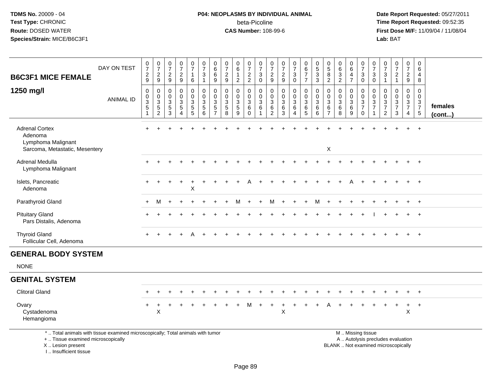# **P04: NEOPLASMS BY INDIVIDUAL ANIMAL**beta-Picoline<br>CAS Number: 108-99-6

| <b>B6C3F1 MICE FEMALE</b>                                                                                                                                           | DAY ON TEST      | $\frac{0}{7}$<br>$\frac{2}{9}$                                 | $\frac{0}{7}$<br>$\frac{2}{9}$                                                        | $\frac{0}{7}$<br>$\overline{a}$<br>9      | $\frac{0}{7}$<br>$\frac{2}{9}$                     | $\frac{0}{7}$<br>$\mathbf{1}$<br>$6\phantom{a}$                                  | $\begin{array}{c} 0 \\ 7 \end{array}$<br>$\sqrt{3}$<br>$\mathbf{1}$ | $\begin{array}{c} 0 \\ 6 \end{array}$<br>$\,6\,$<br>$9\,$                                | $\frac{0}{7}$<br>$\boldsymbol{2}$<br>$\boldsymbol{9}$                      | 0<br>$\,6\,$<br>$\mathbf{1}$<br>$\boldsymbol{2}$    | $\frac{0}{7}$<br>$\frac{2}{2}$                                                    | $\frac{0}{7}$<br>3<br>$\mathbf 0$ | 0<br>$\overline{7}$<br>$\frac{2}{9}$                                     | $\frac{0}{7}$<br>$\frac{2}{9}$                                                               | $\frac{0}{7}$<br>$\mathbf{3}$<br>$\mathbf 0$          | $\pmb{0}$<br>$\,6\,$<br>$\boldsymbol{7}$<br>$\overline{7}$                            | $\begin{smallmatrix}0\0\0\end{smallmatrix}$<br>$\ensuremath{\mathsf{3}}$<br>$\mathbf{3}$ | $\begin{array}{c} 0 \\ 5 \end{array}$<br>$\bf8$<br>$\overline{2}$ | $\begin{array}{c} 0 \\ 6 \end{array}$<br>$\frac{3}{2}$              | 0<br>$6\phantom{1}$<br>$\overline{\mathbf{4}}$<br>$\overline{7}$ | $\frac{0}{7}$<br>$_{0}^{3}$                            | $\pmb{0}$<br>$\overline{7}$<br>$\sqrt{3}$<br>$\mathbf 0$                       | 0<br>$\overline{7}$<br>$\ensuremath{\mathsf{3}}$<br>$\mathbf{1}$                            | $\frac{0}{7}$<br>$\frac{2}{1}$         | $\pmb{0}$<br>$\overline{7}$<br>$\overline{2}$<br>9          | 0<br>$\,6\,$<br>4<br>8                                        |                   |
|---------------------------------------------------------------------------------------------------------------------------------------------------------------------|------------------|----------------------------------------------------------------|---------------------------------------------------------------------------------------|-------------------------------------------|----------------------------------------------------|----------------------------------------------------------------------------------|---------------------------------------------------------------------|------------------------------------------------------------------------------------------|----------------------------------------------------------------------------|-----------------------------------------------------|-----------------------------------------------------------------------------------|-----------------------------------|--------------------------------------------------------------------------|----------------------------------------------------------------------------------------------|-------------------------------------------------------|---------------------------------------------------------------------------------------|------------------------------------------------------------------------------------------|-------------------------------------------------------------------|---------------------------------------------------------------------|------------------------------------------------------------------|--------------------------------------------------------|--------------------------------------------------------------------------------|---------------------------------------------------------------------------------------------|----------------------------------------|-------------------------------------------------------------|---------------------------------------------------------------|-------------------|
| 1250 mg/l                                                                                                                                                           | <b>ANIMAL ID</b> | $\pmb{0}$<br>$\mathbf 0$<br>$\overline{3}$<br>$\sqrt{5}$<br>-1 | $\pmb{0}$<br>$\mathbf 0$<br>$\ensuremath{\mathsf{3}}$<br>$\sqrt{5}$<br>$\overline{2}$ | $\mathbf 0$<br>$\mathbf 0$<br>3<br>5<br>3 | $\pmb{0}$<br>$\mathbf 0$<br>$\mathbf{3}$<br>5<br>4 | $\pmb{0}$<br>$\mathbf 0$<br>$\ensuremath{\mathsf{3}}$<br>$5\,$<br>$\overline{5}$ | $\pmb{0}$<br>$\pmb{0}$<br>$\sqrt{3}$<br>$\sqrt{5}$<br>6             | $\mathbf 0$<br>$\mathbf 0$<br>$\ensuremath{\mathsf{3}}$<br>$\,$ 5 $\,$<br>$\overline{7}$ | $\mathbf 0$<br>$\mathbf 0$<br>$\ensuremath{\mathsf{3}}$<br>$\sqrt{5}$<br>8 | 0<br>$\mathbf 0$<br>$\frac{3}{5}$<br>$\overline{9}$ | $\pmb{0}$<br>$\mathsf{O}\xspace$<br>$\ensuremath{\mathsf{3}}$<br>6<br>$\mathbf 0$ | 0<br>$\mathbf 0$<br>3<br>6        | $\pmb{0}$<br>0<br>$\ensuremath{\mathsf{3}}$<br>$\,6\,$<br>$\overline{2}$ | $\mathbf 0$<br>$\mathsf{O}\xspace$<br>$\ensuremath{\mathsf{3}}$<br>$\,6\,$<br>$\overline{3}$ | $\pmb{0}$<br>0<br>$\ensuremath{\mathsf{3}}$<br>6<br>4 | $\pmb{0}$<br>$\ddot{\mathbf{0}}$<br>$\mathbf{3}$<br>$6\phantom{1}6$<br>$\overline{5}$ | 0<br>$\mathbf 0$<br>$\mathbf{3}$<br>6<br>6                                               | $\pmb{0}$<br>$\mathbf 0$<br>$\mathfrak{Z}$<br>6<br>$\overline{7}$ | $\mathbf 0$<br>$\pmb{0}$<br>$\sqrt{3}$<br>$\,6\,$<br>$\overline{8}$ | 0<br>$\mathbf 0$<br>$\frac{3}{6}$<br>9                           | 0<br>$\frac{0}{3}$<br>$\mathbf 0$                      | $\mathbf 0$<br>$\mathbf 0$<br>$\ensuremath{\mathsf{3}}$<br>$\overline{7}$<br>1 | $\mathbf 0$<br>$\mathbf 0$<br>$\ensuremath{\mathsf{3}}$<br>$\overline{7}$<br>$\overline{2}$ | 0<br>$\mathbf 0$<br>$\frac{3}{7}$<br>3 | $\pmb{0}$<br>$\mathbf 0$<br>$\frac{3}{7}$<br>$\overline{4}$ | $\mathbf 0$<br>$\mathbf 0$<br>$\frac{3}{7}$<br>$\overline{5}$ | females<br>(cont) |
| <b>Adrenal Cortex</b><br>Adenoma<br>Lymphoma Malignant<br>Sarcoma, Metastatic, Mesentery                                                                            |                  |                                                                |                                                                                       |                                           |                                                    |                                                                                  |                                                                     |                                                                                          |                                                                            |                                                     |                                                                                   |                                   |                                                                          |                                                                                              |                                                       |                                                                                       |                                                                                          | $\mathsf X$                                                       |                                                                     |                                                                  |                                                        |                                                                                |                                                                                             |                                        |                                                             | $\ddot{}$                                                     |                   |
| Adrenal Medulla<br>Lymphoma Malignant                                                                                                                               |                  |                                                                |                                                                                       |                                           |                                                    |                                                                                  |                                                                     |                                                                                          |                                                                            |                                                     |                                                                                   |                                   |                                                                          |                                                                                              |                                                       |                                                                                       |                                                                                          |                                                                   |                                                                     |                                                                  |                                                        |                                                                                |                                                                                             |                                        |                                                             | $\ddot{}$                                                     |                   |
| Islets, Pancreatic<br>Adenoma                                                                                                                                       |                  |                                                                |                                                                                       |                                           | $\overline{+}$                                     | $\ddot{}$<br>X                                                                   |                                                                     |                                                                                          |                                                                            |                                                     |                                                                                   |                                   |                                                                          |                                                                                              |                                                       |                                                                                       |                                                                                          |                                                                   |                                                                     |                                                                  |                                                        |                                                                                |                                                                                             |                                        |                                                             | $+$                                                           |                   |
| Parathyroid Gland                                                                                                                                                   |                  | $+$                                                            | M                                                                                     |                                           |                                                    |                                                                                  |                                                                     |                                                                                          |                                                                            | м                                                   |                                                                                   |                                   | м                                                                        |                                                                                              |                                                       |                                                                                       | м                                                                                        |                                                                   |                                                                     |                                                                  |                                                        |                                                                                |                                                                                             |                                        | $\ddot{}$                                                   | $+$                                                           |                   |
| <b>Pituitary Gland</b><br>Pars Distalis, Adenoma                                                                                                                    |                  |                                                                |                                                                                       |                                           |                                                    |                                                                                  |                                                                     |                                                                                          |                                                                            |                                                     |                                                                                   |                                   |                                                                          |                                                                                              |                                                       |                                                                                       |                                                                                          |                                                                   |                                                                     |                                                                  |                                                        |                                                                                |                                                                                             |                                        |                                                             | $\ddot{}$                                                     |                   |
| <b>Thyroid Gland</b><br>Follicular Cell, Adenoma                                                                                                                    |                  |                                                                |                                                                                       |                                           |                                                    |                                                                                  |                                                                     |                                                                                          |                                                                            |                                                     |                                                                                   |                                   |                                                                          |                                                                                              |                                                       |                                                                                       |                                                                                          |                                                                   |                                                                     |                                                                  |                                                        |                                                                                |                                                                                             |                                        |                                                             | $\overline{+}$                                                |                   |
| <b>GENERAL BODY SYSTEM</b>                                                                                                                                          |                  |                                                                |                                                                                       |                                           |                                                    |                                                                                  |                                                                     |                                                                                          |                                                                            |                                                     |                                                                                   |                                   |                                                                          |                                                                                              |                                                       |                                                                                       |                                                                                          |                                                                   |                                                                     |                                                                  |                                                        |                                                                                |                                                                                             |                                        |                                                             |                                                               |                   |
| <b>NONE</b>                                                                                                                                                         |                  |                                                                |                                                                                       |                                           |                                                    |                                                                                  |                                                                     |                                                                                          |                                                                            |                                                     |                                                                                   |                                   |                                                                          |                                                                                              |                                                       |                                                                                       |                                                                                          |                                                                   |                                                                     |                                                                  |                                                        |                                                                                |                                                                                             |                                        |                                                             |                                                               |                   |
| <b>GENITAL SYSTEM</b>                                                                                                                                               |                  |                                                                |                                                                                       |                                           |                                                    |                                                                                  |                                                                     |                                                                                          |                                                                            |                                                     |                                                                                   |                                   |                                                                          |                                                                                              |                                                       |                                                                                       |                                                                                          |                                                                   |                                                                     |                                                                  |                                                        |                                                                                |                                                                                             |                                        |                                                             |                                                               |                   |
| <b>Clitoral Gland</b>                                                                                                                                               |                  |                                                                |                                                                                       |                                           |                                                    |                                                                                  |                                                                     |                                                                                          |                                                                            |                                                     |                                                                                   |                                   |                                                                          |                                                                                              |                                                       |                                                                                       |                                                                                          |                                                                   |                                                                     |                                                                  |                                                        |                                                                                |                                                                                             |                                        |                                                             |                                                               |                   |
| Ovary<br>Cystadenoma<br>Hemangioma                                                                                                                                  |                  |                                                                | Χ                                                                                     |                                           |                                                    |                                                                                  |                                                                     |                                                                                          |                                                                            |                                                     |                                                                                   |                                   |                                                                          | X                                                                                            |                                                       |                                                                                       |                                                                                          |                                                                   |                                                                     |                                                                  |                                                        |                                                                                |                                                                                             |                                        | $\ddot{}$<br>$\mathsf X$                                    | $+$                                                           |                   |
| *  Total animals with tissue examined microscopically; Total animals with tumor<br>+  Tissue examined microscopically<br>X  Lesion present<br>I Insufficient tissue |                  |                                                                |                                                                                       |                                           |                                                    |                                                                                  |                                                                     |                                                                                          |                                                                            |                                                     |                                                                                   |                                   |                                                                          |                                                                                              |                                                       |                                                                                       |                                                                                          |                                                                   | BLANK  Not examined microscopically                                 |                                                                  | M  Missing tissue<br>A  Autolysis precludes evaluation |                                                                                |                                                                                             |                                        |                                                             |                                                               |                   |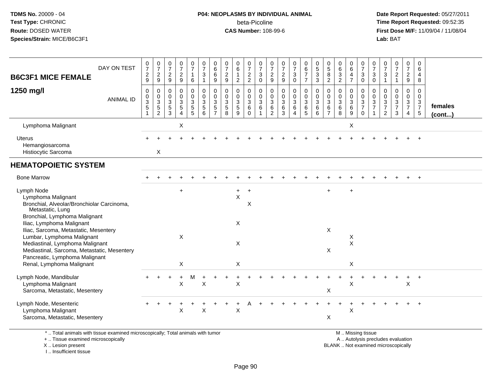# **P04: NEOPLASMS BY INDIVIDUAL ANIMAL**beta-Picoline<br>CAS Number: 108-99-6

 **Date Report Requested:** 05/27/2011 **Time Report Requested:** 09:52:35 **First Dose M/F:** 11/09/04 / 11/08/04<br>Lab: BAT **Lab:** BAT

| <b>B6C3F1 MICE FEMALE</b>                                                                                                                                                                                                                             | DAY ON TEST      | $\frac{0}{7}$<br>$\frac{2}{9}$                                   | $\frac{0}{7}$<br>$\frac{2}{9}$                                       | $\begin{array}{c} 0 \\ 7 \end{array}$<br>$\frac{2}{9}$ | $\frac{0}{7}$<br>$\sqrt{2}$<br>9                                       | $\frac{0}{7}$<br>$\mathbf{1}$<br>$\,6\,$                        | $\frac{0}{7}$<br>$\mathbf{3}$<br>$\mathbf{1}$                           | $_6^0$<br>6<br>9                           | 0<br>$\overline{7}$<br>$\sqrt{2}$<br>9    | $\pmb{0}$<br>$\,6$<br>$\mathbf{1}$<br>$\overline{2}$           | $\begin{array}{c} 0 \\ 7 \end{array}$<br>$\frac{2}{2}$                         | $\frac{0}{7}$<br>$\ensuremath{\mathsf{3}}$<br>$\mathbf 0$             | $\frac{0}{7}$<br>$\overline{2}$<br>$\boldsymbol{9}$               | $\frac{0}{7}$<br>$\sqrt{2}$<br>9                                  | $\frac{0}{7}$<br>3<br>$\mathbf 0$          | 0<br>6<br>$\overline{7}$<br>$\overline{7}$              | $\begin{array}{c} 0 \\ 5 \end{array}$<br>$\ensuremath{\mathsf{3}}$<br>$\mathbf{3}$ | $\begin{array}{c} 0 \\ 5 \end{array}$<br>$\bf 8$<br>$\overline{2}$ | $\begin{array}{c} 0 \\ 6 \end{array}$<br>$\sqrt{3}$<br>$\overline{2}$ | 0<br>$\,6\,$<br>$\overline{4}$<br>$\overline{7}$        | $\pmb{0}$<br>$\overline{7}$<br>$\sqrt{3}$<br>$\mathbf 0$                | $\frac{0}{7}$<br>3<br>$\mathbf 0$       | 0<br>$\boldsymbol{7}$<br>$\ensuremath{\mathsf{3}}$<br>$\overline{1}$ | $\frac{0}{7}$<br>$\overline{2}$<br>$\mathbf{1}$                    | 0<br>$\overline{7}$<br>$\overline{c}$<br>9              | 0<br>$\,6\,$<br>$\overline{4}$<br>8                                        |                         |
|-------------------------------------------------------------------------------------------------------------------------------------------------------------------------------------------------------------------------------------------------------|------------------|------------------------------------------------------------------|----------------------------------------------------------------------|--------------------------------------------------------|------------------------------------------------------------------------|-----------------------------------------------------------------|-------------------------------------------------------------------------|--------------------------------------------|-------------------------------------------|----------------------------------------------------------------|--------------------------------------------------------------------------------|-----------------------------------------------------------------------|-------------------------------------------------------------------|-------------------------------------------------------------------|--------------------------------------------|---------------------------------------------------------|------------------------------------------------------------------------------------|--------------------------------------------------------------------|-----------------------------------------------------------------------|---------------------------------------------------------|-------------------------------------------------------------------------|-----------------------------------------|----------------------------------------------------------------------|--------------------------------------------------------------------|---------------------------------------------------------|----------------------------------------------------------------------------|-------------------------|
| 1250 mg/l                                                                                                                                                                                                                                             | <b>ANIMAL ID</b> | $\,0\,$<br>$\begin{matrix}0\\3\\5\end{matrix}$<br>$\overline{1}$ | $\pmb{0}$<br>$\pmb{0}$<br>$\ensuremath{\mathsf{3}}$<br>$\frac{5}{2}$ | $\pmb{0}$<br>$\pmb{0}$<br>$\mathsf 3$<br>$\frac{5}{3}$ | $\pmb{0}$<br>$\mathbf 0$<br>$\sqrt{3}$<br>$\sqrt{5}$<br>$\overline{4}$ | 0<br>$\pmb{0}$<br>$\ensuremath{\mathsf{3}}$<br>$\mathbf 5$<br>5 | $\pmb{0}$<br>$\pmb{0}$<br>$\ensuremath{\mathsf{3}}$<br>$\mathbf 5$<br>6 | 0<br>$\pmb{0}$<br>3<br>5<br>$\overline{7}$ | 0<br>0<br>$\mathsf 3$<br>$\,$ 5 $\,$<br>8 | 0<br>$\pmb{0}$<br>$\ensuremath{\mathsf{3}}$<br>$\sqrt{5}$<br>9 | $\mathbf 0$<br>$\mathbf 0$<br>$\ensuremath{\mathsf{3}}$<br>$\,6\,$<br>$\Omega$ | $\mathbf 0$<br>$\mathbf 0$<br>$\sqrt{3}$<br>$\,6\,$<br>$\overline{1}$ | $\mathbf 0$<br>$\mathbf 0$<br>$\mathbf{3}$<br>6<br>$\overline{2}$ | $\mathbf 0$<br>$\mathbf 0$<br>$\ensuremath{\mathsf{3}}$<br>6<br>3 | 0<br>$\pmb{0}$<br>3<br>6<br>$\overline{4}$ | 0<br>$\mathbf 0$<br>$\ensuremath{\mathsf{3}}$<br>6<br>5 | $\mathbf 0$<br>$\pmb{0}$<br>$\ensuremath{\mathsf{3}}$<br>$\,6\,$<br>6              | $\mathbf 0$<br>0<br>3<br>$\,6$<br>$\overline{7}$                   | $\boldsymbol{0}$<br>$\pmb{0}$<br>$\mathbf 3$<br>$\,6\,$<br>8          | 0<br>$\mathbf 0$<br>$\ensuremath{\mathsf{3}}$<br>6<br>9 | $\mathbf 0$<br>$\pmb{0}$<br>$\sqrt{3}$<br>$\overline{7}$<br>$\mathbf 0$ | $\mathbf 0$<br>0<br>3<br>$\overline{7}$ | 0<br>0<br>$\sqrt{3}$<br>$\boldsymbol{7}$<br>$\overline{2}$           | 0<br>$\pmb{0}$<br>$\ensuremath{\mathsf{3}}$<br>$\overline{7}$<br>3 | 0<br>$\mathbf 0$<br>$\mathbf{3}$<br>$\overline{7}$<br>4 | $\mathbf 0$<br>$\mathbf 0$<br>$\mathbf{3}$<br>$\overline{7}$<br>$\sqrt{5}$ | females<br>$($ cont $)$ |
| Lymphoma Malignant                                                                                                                                                                                                                                    |                  |                                                                  |                                                                      |                                                        | X                                                                      |                                                                 |                                                                         |                                            |                                           |                                                                |                                                                                |                                                                       |                                                                   |                                                                   |                                            |                                                         |                                                                                    |                                                                    |                                                                       | X                                                       |                                                                         |                                         |                                                                      |                                                                    |                                                         |                                                                            |                         |
| <b>Uterus</b><br>Hemangiosarcoma<br>Histiocytic Sarcoma                                                                                                                                                                                               |                  |                                                                  | X                                                                    |                                                        |                                                                        |                                                                 |                                                                         |                                            |                                           |                                                                |                                                                                |                                                                       |                                                                   |                                                                   |                                            |                                                         |                                                                                    |                                                                    |                                                                       |                                                         |                                                                         |                                         |                                                                      |                                                                    |                                                         |                                                                            |                         |
| <b>HEMATOPOIETIC SYSTEM</b>                                                                                                                                                                                                                           |                  |                                                                  |                                                                      |                                                        |                                                                        |                                                                 |                                                                         |                                            |                                           |                                                                |                                                                                |                                                                       |                                                                   |                                                                   |                                            |                                                         |                                                                                    |                                                                    |                                                                       |                                                         |                                                                         |                                         |                                                                      |                                                                    |                                                         |                                                                            |                         |
| <b>Bone Marrow</b>                                                                                                                                                                                                                                    |                  |                                                                  |                                                                      |                                                        |                                                                        |                                                                 |                                                                         |                                            |                                           |                                                                |                                                                                |                                                                       |                                                                   |                                                                   |                                            |                                                         |                                                                                    |                                                                    |                                                                       |                                                         |                                                                         |                                         |                                                                      |                                                                    |                                                         | $\overline{+}$                                                             |                         |
| Lymph Node<br>Lymphoma Malignant<br>Bronchial, Alveolar/Bronchiolar Carcinoma,<br>Metastatic, Lung                                                                                                                                                    |                  |                                                                  |                                                                      |                                                        | $\ddot{}$                                                              |                                                                 |                                                                         |                                            |                                           | $+$<br>$\sf X$                                                 | $\ddot{}$<br>X                                                                 |                                                                       |                                                                   |                                                                   |                                            |                                                         |                                                                                    | $\ddot{}$                                                          |                                                                       | $\ddot{}$                                               |                                                                         |                                         |                                                                      |                                                                    |                                                         |                                                                            |                         |
| Bronchial, Lymphoma Malignant<br>Iliac, Lymphoma Malignant<br>Iliac, Sarcoma, Metastatic, Mesentery<br>Lumbar, Lymphoma Malignant<br>Mediastinal, Lymphoma Malignant<br>Mediastinal, Sarcoma, Metastatic, Mesentery<br>Pancreatic, Lymphoma Malignant |                  |                                                                  |                                                                      |                                                        | $\boldsymbol{\mathsf{X}}$                                              |                                                                 |                                                                         |                                            |                                           | X<br>X                                                         |                                                                                |                                                                       |                                                                   |                                                                   |                                            |                                                         |                                                                                    | $\boldsymbol{\mathsf{X}}$<br>X                                     |                                                                       | X<br>$\sf X$                                            |                                                                         |                                         |                                                                      |                                                                    |                                                         |                                                                            |                         |
| Renal, Lymphoma Malignant                                                                                                                                                                                                                             |                  |                                                                  |                                                                      |                                                        | X                                                                      |                                                                 |                                                                         |                                            |                                           | X                                                              |                                                                                |                                                                       |                                                                   |                                                                   |                                            |                                                         |                                                                                    |                                                                    |                                                                       | X                                                       |                                                                         |                                         |                                                                      |                                                                    |                                                         |                                                                            |                         |
| Lymph Node, Mandibular<br>Lymphoma Malignant<br>Sarcoma, Metastatic, Mesentery                                                                                                                                                                        |                  |                                                                  |                                                                      |                                                        | X                                                                      | M                                                               | X                                                                       |                                            |                                           | X                                                              |                                                                                |                                                                       |                                                                   |                                                                   |                                            |                                                         |                                                                                    | X                                                                  |                                                                       | X                                                       |                                                                         |                                         |                                                                      |                                                                    | +<br>X                                                  | $\overline{+}$                                                             |                         |
| Lymph Node, Mesenteric<br>Lymphoma Malignant<br>Sarcoma, Metastatic, Mesentery                                                                                                                                                                        |                  |                                                                  |                                                                      |                                                        | X                                                                      |                                                                 | X                                                                       |                                            |                                           | X                                                              |                                                                                |                                                                       |                                                                   |                                                                   |                                            |                                                         |                                                                                    | X                                                                  |                                                                       | Χ                                                       |                                                                         |                                         |                                                                      |                                                                    |                                                         |                                                                            |                         |
| *  Total animals with tissue examined microscopically; Total animals with tumor                                                                                                                                                                       |                  |                                                                  |                                                                      |                                                        |                                                                        |                                                                 |                                                                         |                                            |                                           |                                                                |                                                                                |                                                                       |                                                                   |                                                                   |                                            |                                                         |                                                                                    |                                                                    |                                                                       |                                                         | M  Missing tissue                                                       |                                         |                                                                      |                                                                    |                                                         |                                                                            |                         |

+ .. Tissue examined microscopically

X .. Lesion present

I .. Insufficient tissue

y the contract of the contract of the contract of the contract of the contract of the contract of the contract of  $A$ . Autolysis precludes evaluation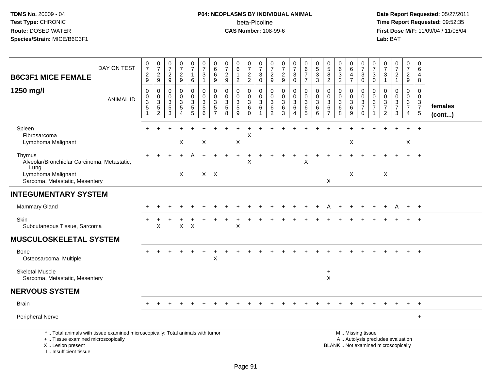# **P04: NEOPLASMS BY INDIVIDUAL ANIMAL**beta-Picoline<br>CAS Number: 108-99-6

 **Date Report Requested:** 05/27/2011 **Time Report Requested:** 09:52:35 **First Dose M/F:** 11/09/04 / 11/08/04<br>Lab: BAT **Lab:** BAT

| DAY ON TEST<br><b>B6C3F1 MICE FEMALE</b>                                                                                                   | $\frac{0}{7}$<br>$\boldsymbol{2}$<br>9                      | $\frac{0}{7}$<br>$\frac{2}{9}$                                       | $\frac{0}{7}$<br>$\frac{2}{9}$                    | $\frac{0}{7}$<br>$\frac{2}{9}$                                      | $\frac{0}{7}$<br>$\mathbf{1}$<br>6 | $\frac{0}{7}$<br>3<br>$\mathbf{1}$ | 0<br>$\,6\,$<br>$\,6\,$<br>9                | $\frac{0}{7}$<br>$\sqrt{2}$<br>$9\,$                             | $\begin{array}{c} 0 \\ 6 \end{array}$<br>$\overline{1}$<br>$\overline{2}$ | $\frac{0}{7}$<br>$\frac{2}{2}$                                      | $\frac{0}{7}$<br>3<br>$\mathbf 0$ | $\frac{0}{7}$<br>$\frac{2}{9}$                                        | $\frac{0}{7}$<br>$\frac{2}{9}$           | $\frac{0}{7}$<br>$\ensuremath{\mathsf{3}}$<br>$\mathbf 0$ | $_{6}^{\rm 0}$<br>$\boldsymbol{7}$<br>$\overline{7}$                  | $\begin{array}{c} 0 \\ 5 \end{array}$<br>$\sqrt{3}$<br>$\sqrt{3}$ | $\begin{array}{c} 0 \\ 5 \end{array}$<br>8<br>$\overline{2}$                         | $_6^0$<br>$\overline{3}$<br>$\overline{2}$ | $_{6}^{\rm 0}$<br>$\overline{4}$<br>$\overline{7}$      | $\frac{0}{7}$<br>$\ensuremath{\mathsf{3}}$<br>$\mathbf 0$                                     | $\frac{0}{7}$<br>3<br>$\mathbf 0$        | $\frac{0}{7}$<br>3<br>$\overline{1}$                                      | $\frac{0}{7}$<br>$\overline{c}$<br>$\mathbf{1}$                      | 0<br>$\overline{7}$<br>$\overline{c}$<br>$9\,$ | 0<br>$\,6\,$<br>4<br>8                                             |                   |
|--------------------------------------------------------------------------------------------------------------------------------------------|-------------------------------------------------------------|----------------------------------------------------------------------|---------------------------------------------------|---------------------------------------------------------------------|------------------------------------|------------------------------------|---------------------------------------------|------------------------------------------------------------------|---------------------------------------------------------------------------|---------------------------------------------------------------------|-----------------------------------|-----------------------------------------------------------------------|------------------------------------------|-----------------------------------------------------------|-----------------------------------------------------------------------|-------------------------------------------------------------------|--------------------------------------------------------------------------------------|--------------------------------------------|---------------------------------------------------------|-----------------------------------------------------------------------------------------------|------------------------------------------|---------------------------------------------------------------------------|----------------------------------------------------------------------|------------------------------------------------|--------------------------------------------------------------------|-------------------|
| 1250 mg/l<br><b>ANIMAL ID</b>                                                                                                              | $\mathbf 0$<br>0<br>$\ensuremath{\mathsf{3}}$<br>$\sqrt{5}$ | 0<br>$\mathbf 0$<br>$\ensuremath{\mathsf{3}}$<br>5<br>$\overline{2}$ | $\mathbf 0$<br>0<br>$\sqrt{3}$<br>$\sqrt{5}$<br>3 | $\mathbf 0$<br>0<br>$\mathsf 3$<br>$\overline{5}$<br>$\overline{4}$ | $\mathbf 0$<br>0<br>3<br>5<br>5    | 0<br>0<br>3<br>5<br>$\overline{6}$ | 0<br>0<br>3<br>$\sqrt{5}$<br>$\overline{7}$ | $\mathbf 0$<br>0<br>$\ensuremath{\mathsf{3}}$<br>$\sqrt{5}$<br>8 | 0<br>0<br>$\mathbf 3$<br>$\begin{array}{c} 5 \\ 9 \end{array}$            | $\mathbf 0$<br>$\mathbf 0$<br>$\sqrt{3}$<br>$\,6\,$<br>$\mathbf{0}$ | 0<br>$\mathbf 0$<br>3<br>6        | $\mathbf 0$<br>$\mathbf 0$<br>$\mathbf{3}$<br>$\,6$<br>$\overline{2}$ | $\mathbf 0$<br>0<br>$\sqrt{3}$<br>$^6_3$ | $\mathbf 0$<br>0<br>$\ensuremath{\mathsf{3}}$<br>6<br>4   | $\mathbf 0$<br>$\mathbf 0$<br>$\mathbf{3}$<br>$\,6$<br>$\overline{5}$ | $\mathbf 0$<br>0<br>3<br>6<br>6                                   | $\mathbf 0$<br>$\mathbf 0$<br>$\ensuremath{\mathsf{3}}$<br>$\,6\,$<br>$\overline{7}$ | $\mathbf 0$<br>0<br>3<br>6<br>8            | 0<br>0<br>$\ensuremath{\mathsf{3}}$<br>$\,6\,$<br>$9\,$ | $\mathbf 0$<br>$\mathbf 0$<br>$\ensuremath{\mathsf{3}}$<br>$\overline{7}$<br>$\mathbf 0$      | 0<br>0<br>$\mathbf{3}$<br>$\overline{7}$ | $\Omega$<br>$\mathbf 0$<br>$\sqrt{3}$<br>$\overline{7}$<br>$\overline{2}$ | $\mathbf 0$<br>0<br>$\ensuremath{\mathsf{3}}$<br>$\overline{7}$<br>3 | $\mathbf 0$<br>0<br>3<br>$\overline{7}$<br>4   | $\mathbf 0$<br>0<br>$\sqrt{3}$<br>$\overline{7}$<br>$\overline{5}$ | females<br>(cont) |
| Spleen<br>Fibrosarcoma<br>Lymphoma Malignant                                                                                               | $\ddot{}$                                                   |                                                                      |                                                   | X                                                                   |                                    | X                                  |                                             |                                                                  | $\boldsymbol{\mathsf{X}}$                                                 | X                                                                   |                                   |                                                                       |                                          |                                                           |                                                                       |                                                                   |                                                                                      |                                            | X                                                       |                                                                                               |                                          |                                                                           |                                                                      | $\ddot{}$<br>X                                 | $\overline{+}$                                                     |                   |
| Thymus<br>Alveolar/Bronchiolar Carcinoma, Metastatic,<br>Lung                                                                              |                                                             |                                                                      |                                                   |                                                                     |                                    |                                    |                                             |                                                                  | $\ddot{}$                                                                 | X                                                                   |                                   |                                                                       |                                          |                                                           | $\times$                                                              |                                                                   |                                                                                      |                                            |                                                         |                                                                                               |                                          |                                                                           |                                                                      |                                                | $\overline{+}$                                                     |                   |
| Lymphoma Malignant<br>Sarcoma, Metastatic, Mesentery                                                                                       |                                                             |                                                                      |                                                   | $\times$                                                            |                                    | $X$ $X$                            |                                             |                                                                  |                                                                           |                                                                     |                                   |                                                                       |                                          |                                                           |                                                                       |                                                                   | X                                                                                    |                                            | X                                                       |                                                                                               |                                          | $\boldsymbol{\mathsf{X}}$                                                 |                                                                      |                                                |                                                                    |                   |
| <b>INTEGUMENTARY SYSTEM</b>                                                                                                                |                                                             |                                                                      |                                                   |                                                                     |                                    |                                    |                                             |                                                                  |                                                                           |                                                                     |                                   |                                                                       |                                          |                                                           |                                                                       |                                                                   |                                                                                      |                                            |                                                         |                                                                                               |                                          |                                                                           |                                                                      |                                                |                                                                    |                   |
| Mammary Gland                                                                                                                              |                                                             |                                                                      |                                                   |                                                                     |                                    |                                    |                                             |                                                                  |                                                                           |                                                                     |                                   |                                                                       |                                          |                                                           |                                                                       |                                                                   |                                                                                      |                                            |                                                         |                                                                                               |                                          |                                                                           | A                                                                    | $+$                                            | $+$                                                                |                   |
| <b>Skin</b><br>Subcutaneous Tissue, Sarcoma                                                                                                |                                                             | X                                                                    |                                                   | X                                                                   | $\mathsf{X}$                       |                                    |                                             |                                                                  | X                                                                         |                                                                     |                                   |                                                                       |                                          |                                                           |                                                                       |                                                                   |                                                                                      |                                            |                                                         |                                                                                               |                                          |                                                                           |                                                                      |                                                |                                                                    |                   |
| <b>MUSCULOSKELETAL SYSTEM</b>                                                                                                              |                                                             |                                                                      |                                                   |                                                                     |                                    |                                    |                                             |                                                                  |                                                                           |                                                                     |                                   |                                                                       |                                          |                                                           |                                                                       |                                                                   |                                                                                      |                                            |                                                         |                                                                                               |                                          |                                                                           |                                                                      |                                                |                                                                    |                   |
| <b>Bone</b><br>Osteosarcoma, Multiple                                                                                                      |                                                             |                                                                      |                                                   |                                                                     |                                    |                                    | $\mathsf X$                                 |                                                                  |                                                                           |                                                                     |                                   |                                                                       |                                          |                                                           |                                                                       |                                                                   |                                                                                      |                                            |                                                         |                                                                                               |                                          |                                                                           |                                                                      |                                                |                                                                    |                   |
| <b>Skeletal Muscle</b><br>Sarcoma, Metastatic, Mesentery                                                                                   |                                                             |                                                                      |                                                   |                                                                     |                                    |                                    |                                             |                                                                  |                                                                           |                                                                     |                                   |                                                                       |                                          |                                                           |                                                                       |                                                                   | $\ddot{}$<br>$\pmb{\times}$                                                          |                                            |                                                         |                                                                                               |                                          |                                                                           |                                                                      |                                                |                                                                    |                   |
| <b>NERVOUS SYSTEM</b>                                                                                                                      |                                                             |                                                                      |                                                   |                                                                     |                                    |                                    |                                             |                                                                  |                                                                           |                                                                     |                                   |                                                                       |                                          |                                                           |                                                                       |                                                                   |                                                                                      |                                            |                                                         |                                                                                               |                                          |                                                                           |                                                                      |                                                |                                                                    |                   |
| <b>Brain</b>                                                                                                                               |                                                             |                                                                      |                                                   |                                                                     |                                    |                                    |                                             |                                                                  |                                                                           |                                                                     |                                   |                                                                       |                                          |                                                           |                                                                       |                                                                   |                                                                                      |                                            |                                                         |                                                                                               |                                          |                                                                           |                                                                      |                                                | $\ddot{}$                                                          |                   |
| <b>Peripheral Nerve</b>                                                                                                                    |                                                             |                                                                      |                                                   |                                                                     |                                    |                                    |                                             |                                                                  |                                                                           |                                                                     |                                   |                                                                       |                                          |                                                           |                                                                       |                                                                   |                                                                                      |                                            |                                                         |                                                                                               |                                          |                                                                           |                                                                      |                                                | $\ddot{}$                                                          |                   |
| *  Total animals with tissue examined microscopically; Total animals with tumor<br>+  Tissue examined microscopically<br>X  Lesion present |                                                             |                                                                      |                                                   |                                                                     |                                    |                                    |                                             |                                                                  |                                                                           |                                                                     |                                   |                                                                       |                                          |                                                           |                                                                       |                                                                   |                                                                                      |                                            |                                                         | M  Missing tissue<br>A  Autolysis precludes evaluation<br>BLANK  Not examined microscopically |                                          |                                                                           |                                                                      |                                                |                                                                    |                   |

I .. Insufficient tissue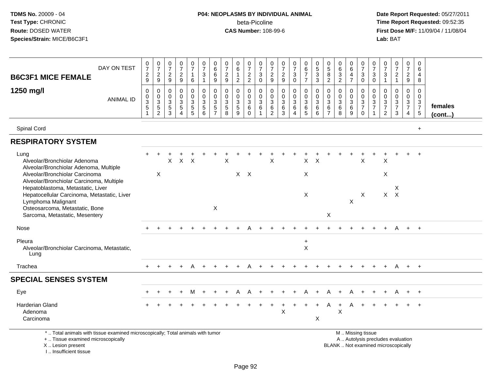# **P04: NEOPLASMS BY INDIVIDUAL ANIMAL**beta-Picoline<br>CAS Number: 108-99-6

| DAY ON TEST<br><b>B6C3F1 MICE FEMALE</b>                                                                                                                              | $\frac{0}{7}$<br>$\frac{2}{9}$ | $\frac{0}{7}$<br>$\frac{2}{9}$                               | $\frac{0}{7}$<br>$\overline{2}$<br>9      | $\frac{0}{7}$<br>$\sqrt{2}$<br>9                                          | $\frac{0}{7}$<br>1<br>6                                         | $\frac{0}{7}$<br>$\ensuremath{\mathsf{3}}$<br>$\mathbf{1}$ | $\begin{array}{c} 0 \\ 6 \end{array}$<br>$\,6\,$<br>$9\,$        | $\pmb{0}$<br>$\overline{7}$<br>$\sqrt{2}$<br>9   | 0<br>$\overline{6}$<br>$\mathbf{1}$<br>$\overline{2}$                      | $\frac{0}{7}$<br>$\frac{2}{2}$                                 | $\frac{0}{7}$<br>3<br>$\mathbf 0$                                        | $\frac{0}{7}$<br>$\overline{c}$<br>9                 | 0<br>$\boldsymbol{7}$<br>$\frac{2}{9}$                  | $\frac{0}{7}$<br>$_{0}^{3}$                                                                      | $\begin{array}{c} 0 \\ 6 \end{array}$<br>$\overline{7}$<br>$\overline{7}$ | $\begin{array}{c} 0 \\ 5 \\ 3 \end{array}$<br>$\mathbf{3}$   | $\begin{array}{c} 0 \\ 5 \end{array}$<br>8<br>$\overline{c}$               | 0<br>$6\phantom{a}$<br>$\frac{3}{2}$                                 | $\begin{array}{c} 0 \\ 6 \end{array}$<br>$\overline{4}$<br>$\overline{7}$   | $\frac{0}{7}$<br>$\mathbf{3}$<br>$\mathbf 0$                 | $\mathbf 0$<br>$\frac{5}{7}$<br>$_{0}^{3}$                    | 0<br>$\overline{7}$<br>$\ensuremath{\mathsf{3}}$<br>$\overline{1}$             | $\frac{0}{7}$<br>$\overline{c}$<br>$\mathbf{1}$                          | $\frac{0}{7}$<br>$\frac{2}{9}$                   | 0<br>6<br>$\overline{4}$<br>8                             |                   |
|-----------------------------------------------------------------------------------------------------------------------------------------------------------------------|--------------------------------|--------------------------------------------------------------|-------------------------------------------|---------------------------------------------------------------------------|-----------------------------------------------------------------|------------------------------------------------------------|------------------------------------------------------------------|--------------------------------------------------|----------------------------------------------------------------------------|----------------------------------------------------------------|--------------------------------------------------------------------------|------------------------------------------------------|---------------------------------------------------------|--------------------------------------------------------------------------------------------------|---------------------------------------------------------------------------|--------------------------------------------------------------|----------------------------------------------------------------------------|----------------------------------------------------------------------|-----------------------------------------------------------------------------|--------------------------------------------------------------|---------------------------------------------------------------|--------------------------------------------------------------------------------|--------------------------------------------------------------------------|--------------------------------------------------|-----------------------------------------------------------|-------------------|
| 1250 mg/l<br><b>ANIMAL ID</b>                                                                                                                                         | $\pmb{0}$<br>$\frac{0}{3}$     | $\pmb{0}$<br>$\begin{array}{c} 0 \\ 3 \\ 5 \\ 2 \end{array}$ | 0<br>$\mathbf 0$<br>3<br>$\,$ 5 $\,$<br>3 | $\mathbf 0$<br>$\mathbf 0$<br>$\sqrt{3}$<br>$\,$ 5 $\,$<br>$\overline{A}$ | 0<br>$\mathsf 0$<br>$\ensuremath{\mathsf{3}}$<br>$\overline{5}$ | 0<br>$\mathbf 0$<br>$\overline{3}$<br>$\overline{5}$<br>6  | $\mathbf 0$<br>$\frac{0}{3}$<br>$\overline{5}$<br>$\overline{7}$ | $\mathbf 0$<br>$\mathbf 0$<br>$\frac{3}{5}$<br>8 | $\mathbf 0$<br>$\mathbf 0$<br>$\ensuremath{\mathsf{3}}$<br>$\sqrt{5}$<br>9 | 0<br>$\mathbf 0$<br>$\mathbf{3}$<br>$6\phantom{a}$<br>$\Omega$ | 0<br>$\mathbf 0$<br>$\ensuremath{\mathsf{3}}$<br>$\,6\,$<br>$\mathbf{1}$ | $\mathbf 0$<br>$\pmb{0}$<br>3<br>6<br>$\overline{2}$ | 0<br>$\pmb{0}$<br>$\overline{3}$<br>$\overline{6}$<br>3 | $\mathbf 0$<br>$\mathsf{O}\xspace$<br>$\overline{3}$<br>$6\phantom{a}$<br>$\boldsymbol{\Lambda}$ | 0<br>$\mathsf{O}\xspace$<br>$\sqrt{3}$<br>$\,6\,$<br>5                    | $\mathbf 0$<br>$\mathbf 0$<br>$\overline{3}$<br>$\,6\,$<br>6 | 0<br>$\mathbf 0$<br>$\ensuremath{\mathsf{3}}$<br>$\,6\,$<br>$\overline{7}$ | $\mathbf 0$<br>$\mathsf{O}\xspace$<br>$\overline{3}$<br>$\,6\,$<br>8 | $\mathbf 0$<br>$\mathsf{O}\xspace$<br>$\overline{3}$<br>$6\phantom{a}$<br>9 | 0<br>$\mathbf 0$<br>$\sqrt{3}$<br>$\overline{7}$<br>$\Omega$ | $\mathbf 0$<br>$\mathbf 0$<br>$\frac{3}{7}$<br>$\overline{1}$ | $\mathbf 0$<br>$\mathbf 0$<br>$\ensuremath{\mathsf{3}}$<br>$\overline{7}$<br>2 | $\Omega$<br>$\mathbf 0$<br>$\sqrt{3}$<br>$\overline{7}$<br>3             | $\mathbf 0$<br>$\mathbf 0$<br>$\frac{3}{7}$<br>4 | $\mathbf 0$<br>$\mathbf 0$<br>$\frac{3}{7}$<br>$\sqrt{5}$ | females<br>(cont) |
| Spinal Cord                                                                                                                                                           |                                |                                                              |                                           |                                                                           |                                                                 |                                                            |                                                                  |                                                  |                                                                            |                                                                |                                                                          |                                                      |                                                         |                                                                                                  |                                                                           |                                                              |                                                                            |                                                                      |                                                                             |                                                              |                                                               |                                                                                |                                                                          |                                                  | $+$                                                       |                   |
| <b>RESPIRATORY SYSTEM</b>                                                                                                                                             |                                |                                                              |                                           |                                                                           |                                                                 |                                                            |                                                                  |                                                  |                                                                            |                                                                |                                                                          |                                                      |                                                         |                                                                                                  |                                                                           |                                                              |                                                                            |                                                                      |                                                                             |                                                              |                                                               |                                                                                |                                                                          |                                                  |                                                           |                   |
| Lung<br>Alveolar/Bronchiolar Adenoma<br>Alveolar/Bronchiolar Adenoma, Multiple                                                                                        |                                |                                                              | X                                         | $\mathsf{X}$                                                              | $\times$                                                        |                                                            |                                                                  | X                                                |                                                                            |                                                                |                                                                          | $\mathsf X$                                          |                                                         |                                                                                                  | $\mathsf{X}$                                                              | $\times$                                                     |                                                                            |                                                                      |                                                                             | X                                                            |                                                               | X                                                                              |                                                                          |                                                  | $\ddot{}$                                                 |                   |
| Alveolar/Bronchiolar Carcinoma<br>Alveolar/Bronchiolar Carcinoma, Multiple                                                                                            |                                | X                                                            |                                           |                                                                           |                                                                 |                                                            |                                                                  |                                                  | $X$ $X$                                                                    |                                                                |                                                                          |                                                      |                                                         |                                                                                                  | X                                                                         |                                                              |                                                                            |                                                                      |                                                                             |                                                              |                                                               | X                                                                              |                                                                          |                                                  |                                                           |                   |
| Hepatoblastoma, Metastatic, Liver<br>Hepatocellular Carcinoma, Metastatic, Liver<br>Lymphoma Malignant<br>Osteosarcoma, Metastatic, Bone                              |                                |                                                              |                                           |                                                                           |                                                                 |                                                            | X                                                                |                                                  |                                                                            |                                                                |                                                                          |                                                      |                                                         |                                                                                                  | X                                                                         |                                                              |                                                                            |                                                                      | X                                                                           | X                                                            |                                                               | X                                                                              | X<br>$\mathsf{X}$                                                        |                                                  |                                                           |                   |
| Sarcoma, Metastatic, Mesentery                                                                                                                                        |                                |                                                              |                                           |                                                                           |                                                                 |                                                            |                                                                  |                                                  |                                                                            |                                                                |                                                                          |                                                      |                                                         |                                                                                                  |                                                                           |                                                              | X                                                                          |                                                                      |                                                                             |                                                              |                                                               |                                                                                |                                                                          |                                                  |                                                           |                   |
| Nose                                                                                                                                                                  |                                |                                                              |                                           |                                                                           |                                                                 |                                                            |                                                                  |                                                  |                                                                            |                                                                |                                                                          |                                                      |                                                         |                                                                                                  |                                                                           |                                                              |                                                                            |                                                                      |                                                                             |                                                              |                                                               |                                                                                |                                                                          |                                                  | $\overline{+}$                                            |                   |
| Pleura<br>Alveolar/Bronchiolar Carcinoma, Metastatic,<br>Lung                                                                                                         |                                |                                                              |                                           |                                                                           |                                                                 |                                                            |                                                                  |                                                  |                                                                            |                                                                |                                                                          |                                                      |                                                         |                                                                                                  | $\ddot{}$<br>$\boldsymbol{\mathsf{X}}$                                    |                                                              |                                                                            |                                                                      |                                                                             |                                                              |                                                               |                                                                                |                                                                          |                                                  |                                                           |                   |
| Trachea                                                                                                                                                               |                                |                                                              |                                           |                                                                           | A                                                               |                                                            |                                                                  |                                                  |                                                                            |                                                                |                                                                          |                                                      |                                                         |                                                                                                  |                                                                           |                                                              |                                                                            |                                                                      |                                                                             |                                                              |                                                               | $\pm$                                                                          | A                                                                        | $+$                                              | $+$                                                       |                   |
| <b>SPECIAL SENSES SYSTEM</b>                                                                                                                                          |                                |                                                              |                                           |                                                                           |                                                                 |                                                            |                                                                  |                                                  |                                                                            |                                                                |                                                                          |                                                      |                                                         |                                                                                                  |                                                                           |                                                              |                                                                            |                                                                      |                                                                             |                                                              |                                                               |                                                                                |                                                                          |                                                  |                                                           |                   |
| Eye                                                                                                                                                                   |                                |                                                              |                                           |                                                                           |                                                                 |                                                            |                                                                  |                                                  |                                                                            |                                                                |                                                                          |                                                      |                                                         |                                                                                                  |                                                                           |                                                              |                                                                            |                                                                      |                                                                             |                                                              |                                                               |                                                                                |                                                                          |                                                  | $\overline{+}$                                            |                   |
| Harderian Gland<br>Adenoma<br>Carcinoma                                                                                                                               |                                |                                                              |                                           |                                                                           |                                                                 |                                                            |                                                                  |                                                  |                                                                            |                                                                |                                                                          |                                                      | $\pmb{\times}$                                          |                                                                                                  |                                                                           | $\boldsymbol{\mathsf{X}}$                                    |                                                                            | X                                                                    | A                                                                           |                                                              |                                                               |                                                                                |                                                                          |                                                  | $\ddot{}$                                                 |                   |
| *  Total animals with tissue examined microscopically; Total animals with tumor<br>+  Tissue examined microscopically<br>X  Lesion present<br>I., Insufficient tissue |                                |                                                              |                                           |                                                                           |                                                                 |                                                            |                                                                  |                                                  |                                                                            |                                                                |                                                                          |                                                      |                                                         |                                                                                                  |                                                                           |                                                              |                                                                            |                                                                      |                                                                             | M  Missing tissue                                            |                                                               |                                                                                | A  Autolysis precludes evaluation<br>BLANK  Not examined microscopically |                                                  |                                                           |                   |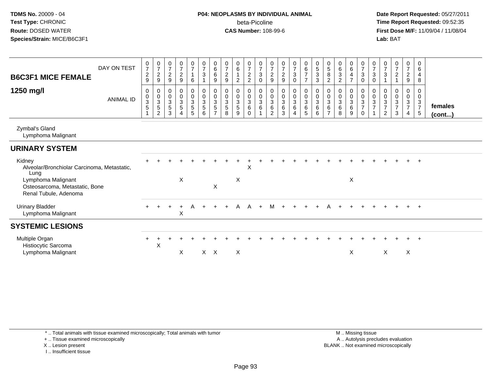**Date Report Requested:** 05/27/2011 **Time Report Requested:** 09:52:35 **First Dose M/F:** 11/09/04 / 11/08/04<br>Lab: BAT **Lab:** BAT

| DAY ON TEST<br><b>B6C3F1 MICE FEMALE</b><br>1250 mg/l<br><b>ANIMAL ID</b>     | $\frac{0}{7}$<br>$\overline{c}$<br>9<br>0<br>$\overline{0}$<br>3 | $\frac{0}{7}$<br>$\overline{a}$<br>9<br>0<br>$\mathbf 0$<br>$\sqrt{3}$ | $\frac{0}{7}$<br>$\overline{2}$<br>9<br>$\pmb{0}$<br>$\mathbf 0$<br>$\mathsf 3$ | $\frac{0}{7}$<br>$\overline{c}$<br>$\boldsymbol{9}$<br>$\begin{array}{c} 0 \\ 0 \\ 3 \\ 5 \end{array}$ | $\frac{0}{7}$<br>$\overline{1}$<br>6<br>$\mathbf 0$<br>$\pmb{0}$ | $\begin{array}{c} 0 \\ 7 \\ 3 \end{array}$<br>$\mathbf{1}$<br>$\begin{smallmatrix} 0\\0 \end{smallmatrix}$<br>$\mathbf{3}$ | $\begin{array}{c} 0 \\ 6 \end{array}$<br>$\,6\,$<br>9<br>0<br>$\mathsf{O}\xspace$<br>3 | $\begin{smallmatrix}0\\7\end{smallmatrix}$<br>$\sqrt{2}$<br>$\boldsymbol{9}$<br>0<br>$\pmb{0}$<br>$\overline{3}$ | $_{6}^{\rm 0}$<br>$\mathbf{1}$<br>$\overline{2}$<br>0<br>$\pmb{0}$<br>3 | $\frac{0}{7}$<br>$\overline{c}$<br>$\overline{2}$<br>0<br>$\mathsf{O}\xspace$<br>3 | $\frac{0}{7}$<br>$\sqrt{3}$<br>$\mathbf 0$<br>0<br>$\pmb{0}$<br>$\mathbf{3}$ | $\frac{0}{7}$<br>$\overline{c}$<br>$\boldsymbol{9}$<br>0<br>$\pmb{0}$<br>$\mathbf{3}$ | $\frac{0}{7}$<br>$\sqrt{2}$<br>$\boldsymbol{9}$<br>$\pmb{0}$<br>$\pmb{0}$<br>$\overline{3}$ | $\frac{0}{7}$<br>$\mathbf{3}$<br>$\mathbf 0$<br>0<br>$\mathsf{O}\xspace$<br>$\mathbf{3}$ | $_6^0$<br>$\overline{7}$<br>$\overline{7}$<br>0<br>$\mathsf 0$<br>$\mathfrak{Z}$ | $\begin{array}{c} 0 \\ 5 \\ 3 \end{array}$<br>$\sqrt{3}$<br>$\pmb{0}$<br>$\pmb{0}$<br>$\sqrt{3}$ | $\begin{array}{c} 0 \\ 5 \\ 8 \end{array}$<br>$\overline{2}$<br>0<br>$\pmb{0}$<br>$\mathbf{3}$ | $\begin{matrix} 0 \\ 6 \\ 3 \end{matrix}$<br>$\overline{2}$<br>0<br>$\pmb{0}$<br>$\overline{3}$ | $\begin{array}{c} 0 \\ 6 \end{array}$<br>$\overline{4}$<br>$\overline{7}$<br>0<br>$\pmb{0}$<br>$\sqrt{3}$ | $\frac{0}{7}$<br>$\ensuremath{\mathsf{3}}$<br>$\mathbf 0$<br>0<br>$\pmb{0}$<br>3 | $\frac{0}{7}$<br>$\mathbf{3}$<br>$\mathbf 0$<br>0<br>$\pmb{0}$<br>$\mathbf{3}$ | $\frac{0}{7}$<br>$\ensuremath{\mathsf{3}}$<br>$\overline{1}$<br>0<br>$\pmb{0}$ | $\frac{0}{7}$<br>$\boldsymbol{2}$<br>0<br>$\pmb{0}$ | $\frac{0}{7}$<br>$\frac{2}{9}$<br>0<br>$\mathbf 0$ | 0<br>$\,6\,$<br>$\overline{4}$<br>8<br>0<br>0<br>$\mathbf{3}$ |                         |
|-------------------------------------------------------------------------------|------------------------------------------------------------------|------------------------------------------------------------------------|---------------------------------------------------------------------------------|--------------------------------------------------------------------------------------------------------|------------------------------------------------------------------|----------------------------------------------------------------------------------------------------------------------------|----------------------------------------------------------------------------------------|------------------------------------------------------------------------------------------------------------------|-------------------------------------------------------------------------|------------------------------------------------------------------------------------|------------------------------------------------------------------------------|---------------------------------------------------------------------------------------|---------------------------------------------------------------------------------------------|------------------------------------------------------------------------------------------|----------------------------------------------------------------------------------|--------------------------------------------------------------------------------------------------|------------------------------------------------------------------------------------------------|-------------------------------------------------------------------------------------------------|-----------------------------------------------------------------------------------------------------------|----------------------------------------------------------------------------------|--------------------------------------------------------------------------------|--------------------------------------------------------------------------------|-----------------------------------------------------|----------------------------------------------------|---------------------------------------------------------------|-------------------------|
|                                                                               | 5<br>$\blacktriangleleft$                                        | 5<br>$\overline{c}$                                                    | $\overline{5}$<br>$\sqrt{3}$                                                    | 4                                                                                                      | $\frac{3}{5}$<br>$\sqrt{5}$                                      | $\sqrt{5}$<br>$\,6\,$                                                                                                      | 5<br>$\overline{7}$                                                                    | $\overline{5}$<br>8                                                                                              | 5<br>9                                                                  | 6<br>0                                                                             | $\,6\,$                                                                      | 6<br>2                                                                                | $\,6\,$<br>3                                                                                | $6\phantom{1}6$<br>4                                                                     | $\,6\,$<br>5                                                                     | $\,6\,$<br>6                                                                                     | 6                                                                                              | $\,6\,$<br>8                                                                                    | 6<br>9                                                                                                    | $\overline{7}$<br>$\mathbf 0$                                                    | $\overline{7}$                                                                 | $\frac{3}{7}$<br>$\overline{2}$                                                | $\frac{3}{7}$<br>3                                  | $\frac{3}{7}$<br>$\overline{4}$                    | $\overline{7}$<br>5                                           | females<br>$($ cont $)$ |
| Zymbal's Gland<br>Lymphoma Malignant                                          |                                                                  |                                                                        |                                                                                 |                                                                                                        |                                                                  |                                                                                                                            |                                                                                        |                                                                                                                  |                                                                         |                                                                                    |                                                                              |                                                                                       |                                                                                             |                                                                                          |                                                                                  |                                                                                                  |                                                                                                |                                                                                                 |                                                                                                           |                                                                                  |                                                                                |                                                                                |                                                     |                                                    |                                                               |                         |
| <b>URINARY SYSTEM</b>                                                         |                                                                  |                                                                        |                                                                                 |                                                                                                        |                                                                  |                                                                                                                            |                                                                                        |                                                                                                                  |                                                                         |                                                                                    |                                                                              |                                                                                       |                                                                                             |                                                                                          |                                                                                  |                                                                                                  |                                                                                                |                                                                                                 |                                                                                                           |                                                                                  |                                                                                |                                                                                |                                                     |                                                    |                                                               |                         |
| Kidney<br>Alveolar/Bronchiolar Carcinoma, Metastatic,<br>Lung                 |                                                                  |                                                                        |                                                                                 |                                                                                                        |                                                                  |                                                                                                                            |                                                                                        |                                                                                                                  |                                                                         | X                                                                                  |                                                                              |                                                                                       |                                                                                             |                                                                                          |                                                                                  |                                                                                                  |                                                                                                |                                                                                                 |                                                                                                           |                                                                                  |                                                                                |                                                                                |                                                     |                                                    | $+$                                                           |                         |
| Lymphoma Malignant<br>Osteosarcoma, Metastatic, Bone<br>Renal Tubule, Adenoma |                                                                  |                                                                        |                                                                                 | X                                                                                                      |                                                                  |                                                                                                                            | $\pmb{\times}$                                                                         |                                                                                                                  | X                                                                       |                                                                                    |                                                                              |                                                                                       |                                                                                             |                                                                                          |                                                                                  |                                                                                                  |                                                                                                |                                                                                                 | X                                                                                                         |                                                                                  |                                                                                |                                                                                |                                                     |                                                    |                                                               |                         |
| <b>Urinary Bladder</b><br>Lymphoma Malignant                                  |                                                                  |                                                                        |                                                                                 | $\ddot{}$<br>X                                                                                         | A                                                                |                                                                                                                            |                                                                                        |                                                                                                                  | A                                                                       | A                                                                                  |                                                                              | м                                                                                     |                                                                                             |                                                                                          |                                                                                  |                                                                                                  |                                                                                                |                                                                                                 |                                                                                                           |                                                                                  |                                                                                |                                                                                |                                                     |                                                    | $^{+}$                                                        |                         |
| <b>SYSTEMIC LESIONS</b>                                                       |                                                                  |                                                                        |                                                                                 |                                                                                                        |                                                                  |                                                                                                                            |                                                                                        |                                                                                                                  |                                                                         |                                                                                    |                                                                              |                                                                                       |                                                                                             |                                                                                          |                                                                                  |                                                                                                  |                                                                                                |                                                                                                 |                                                                                                           |                                                                                  |                                                                                |                                                                                |                                                     |                                                    |                                                               |                         |
| Multiple Organ<br>Histiocytic Sarcoma<br>Lymphoma Malignant                   |                                                                  | $\pmb{\times}$                                                         |                                                                                 | X                                                                                                      |                                                                  |                                                                                                                            | $X$ $X$                                                                                |                                                                                                                  | X                                                                       |                                                                                    |                                                                              |                                                                                       |                                                                                             |                                                                                          |                                                                                  |                                                                                                  |                                                                                                |                                                                                                 | X                                                                                                         |                                                                                  |                                                                                | X                                                                              |                                                     | X                                                  | $+$                                                           |                         |

\* .. Total animals with tissue examined microscopically; Total animals with tumor

+ .. Tissue examined microscopically

X .. Lesion present

I .. Insufficient tissue

 M .. Missing tissuey the contract of the contract of the contract of the contract of the contract of the contract of the contract of  $A$ . Autolysis precludes evaluation Lesion present BLANK .. Not examined microscopically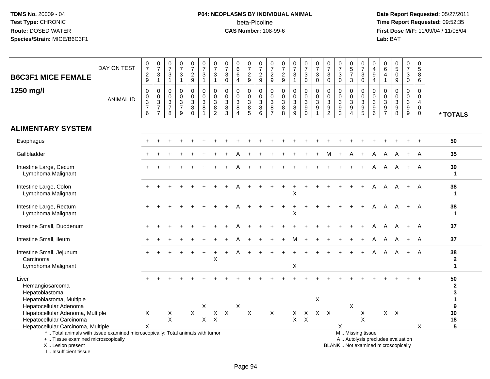# **P04: NEOPLASMS BY INDIVIDUAL ANIMAL**beta-Picoline<br>CAS Number: 108-99-6

 **Date Report Requested:** 05/27/2011 **Time Report Requested:** 09:52:35 **First Dose M/F:** 11/09/04 / 11/08/04<br>Lab: BAT **Lab:** BAT

| <b>B6C3F1 MICE FEMALE</b>                                                                                                                  | DAY ON TEST      | $\frac{0}{7}$<br>$\frac{2}{9}$                     | $\begin{smallmatrix} 0\\7 \end{smallmatrix}$<br>$\ensuremath{\mathsf{3}}$<br>$\mathbf{1}$   | $\begin{array}{c} 0 \\ 7 \end{array}$<br>$\ensuremath{\mathsf{3}}$<br>$\overline{1}$ | $\frac{0}{7}$<br>$\sqrt{3}$<br>$\mathbf{1}$                     | $\frac{0}{7}$<br>$\frac{2}{9}$                                         | $\frac{0}{7}$<br>$\ensuremath{\mathsf{3}}$<br>$\overline{1}$ | $\frac{0}{7}$<br>$\ensuremath{\mathsf{3}}$<br>$\mathbf{1}$                                            | $\begin{array}{c} 0 \\ 7 \end{array}$<br>$\ensuremath{\mathsf{3}}$<br>$\mathbf 0$ | $\mathbf 0$<br>$\overline{6}$<br>6<br>$\overline{4}$                           | $\begin{array}{c} 0 \\ 7 \end{array}$<br>$\sqrt{2}$<br>$\boldsymbol{9}$ | $\frac{0}{7}$<br>$\frac{2}{9}$                          | $\frac{0}{7}$<br>$\overline{c}$<br>9                                 | $\frac{0}{7}$<br>$\frac{2}{9}$    | $\frac{0}{7}$<br>$\frac{3}{1}$                                   | $\begin{smallmatrix}0\\7\end{smallmatrix}$<br>$\ensuremath{\mathsf{3}}$<br>$\mathbf 0$ | $\frac{0}{7}$<br>$\ensuremath{\mathsf{3}}$<br>$\mathbf 0$                    | $\frac{0}{7}$<br>3<br>$\mathbf 0$                              | $\frac{0}{7}$<br>$\mathfrak{S}$<br>$\mathbf 0$            | $\begin{array}{c} 0 \\ 5 \\ 7 \end{array}$<br>3                                     | $\mathbf 0$<br>$\overline{7}$<br>$\ensuremath{\mathsf{3}}$<br>$\mathbf 0$              | $\mathbf 0$<br>$\overline{4}$<br>$\boldsymbol{9}$<br>$\overline{4}$ | $\mathbf 0$<br>$\,6\,$<br>4<br>$\mathbf{1}$      | $\begin{array}{c} 0 \\ 5 \end{array}$<br>$\overline{0}$<br>9             | $\frac{0}{7}$<br>$\mathbf 3$<br>$\mathbf 0$        | $\mathsf{O}\xspace$<br>$\overline{5}$<br>$\overline{8}$<br>6 |                                      |
|--------------------------------------------------------------------------------------------------------------------------------------------|------------------|----------------------------------------------------|---------------------------------------------------------------------------------------------|--------------------------------------------------------------------------------------|-----------------------------------------------------------------|------------------------------------------------------------------------|--------------------------------------------------------------|-------------------------------------------------------------------------------------------------------|-----------------------------------------------------------------------------------|--------------------------------------------------------------------------------|-------------------------------------------------------------------------|---------------------------------------------------------|----------------------------------------------------------------------|-----------------------------------|------------------------------------------------------------------|----------------------------------------------------------------------------------------|------------------------------------------------------------------------------|----------------------------------------------------------------|-----------------------------------------------------------|-------------------------------------------------------------------------------------|----------------------------------------------------------------------------------------|---------------------------------------------------------------------|--------------------------------------------------|--------------------------------------------------------------------------|----------------------------------------------------|--------------------------------------------------------------|--------------------------------------|
| 1250 mg/l                                                                                                                                  | <b>ANIMAL ID</b> | $\pmb{0}$<br>$_{3}^{\rm 0}$<br>$\overline{7}$<br>6 | $\mathbf 0$<br>$\mathbf 0$<br>$\ensuremath{\mathsf{3}}$<br>$\overline{7}$<br>$\overline{7}$ | 0<br>0<br>$\ensuremath{\mathsf{3}}$<br>$\overline{7}$<br>8                           | $\mathbf 0$<br>$\mathsf 0$<br>$\sqrt{3}$<br>$\overline{7}$<br>9 | 0<br>$\mathsf{O}\xspace$<br>$\ensuremath{\mathsf{3}}$<br>8<br>$\Omega$ | 0<br>$\mathbf 0$<br>3<br>8<br>$\overline{1}$                 | $\pmb{0}$<br>$\pmb{0}$<br>$\ensuremath{\mathsf{3}}$<br>$\begin{smallmatrix} 8 \\ 2 \end{smallmatrix}$ | 0<br>$\mathbf 0$<br>$\ensuremath{\mathsf{3}}$<br>$\frac{8}{3}$                    | $\mathbf 0$<br>$\mathbf 0$<br>$\ensuremath{\mathsf{3}}$<br>8<br>$\overline{4}$ | 0<br>$\pmb{0}$<br>$\sqrt{3}$<br>$\begin{array}{c} 8 \\ 5 \end{array}$   | 0<br>$\mathbf 0$<br>$\ensuremath{\mathsf{3}}$<br>8<br>6 | 0<br>$\mathbf 0$<br>$\ensuremath{\mathsf{3}}$<br>8<br>$\overline{7}$ | 0<br>0<br>$\mathbf 3$<br>$_{8}^8$ | $\mathbf 0$<br>$\mathsf{O}\xspace$<br>$\sqrt{3}$<br>$\bf 8$<br>9 | 0<br>$\mathbf 0$<br>$\ensuremath{\mathsf{3}}$<br>$\boldsymbol{9}$<br>$\Omega$          | $\mathbf 0$<br>$\pmb{0}$<br>$\sqrt{3}$<br>$\boldsymbol{9}$<br>$\overline{1}$ | 0<br>$\mathbf 0$<br>$\ensuremath{\mathsf{3}}$<br>$\frac{9}{2}$ | $\mathbf 0$<br>$\mathbf 0$<br>$\sqrt{3}$<br>$\frac{9}{3}$ | $\mathbf 0$<br>0<br>$\ensuremath{\mathsf{3}}$<br>$\boldsymbol{9}$<br>$\overline{4}$ | $\mathbf 0$<br>0<br>$\ensuremath{\mathsf{3}}$<br>$\begin{array}{c} 9 \\ 5 \end{array}$ | 0<br>$\mathbf 0$<br>$\mathbf{3}$<br>9<br>6                          | 0<br>$\mathbf 0$<br>3<br>$9\,$<br>$\overline{7}$ | $\mathbf 0$<br>$\mathbf 0$<br>$\sqrt{3}$<br>$_{\rm 8}^{\rm 9}$           | 0<br>$\mathsf{O}\xspace$<br>$\mathbf{3}$<br>$^9_9$ | 0<br>0<br>$\overline{4}$<br>$\mathbf 0$<br>0                 | * TOTALS                             |
| <b>ALIMENTARY SYSTEM</b>                                                                                                                   |                  |                                                    |                                                                                             |                                                                                      |                                                                 |                                                                        |                                                              |                                                                                                       |                                                                                   |                                                                                |                                                                         |                                                         |                                                                      |                                   |                                                                  |                                                                                        |                                                                              |                                                                |                                                           |                                                                                     |                                                                                        |                                                                     |                                                  |                                                                          |                                                    |                                                              |                                      |
| Esophagus                                                                                                                                  |                  |                                                    |                                                                                             |                                                                                      |                                                                 |                                                                        |                                                              |                                                                                                       |                                                                                   |                                                                                |                                                                         |                                                         |                                                                      |                                   |                                                                  |                                                                                        |                                                                              |                                                                |                                                           |                                                                                     |                                                                                        |                                                                     |                                                  |                                                                          |                                                    | $\ddot{}$                                                    | 50                                   |
| Gallbladder                                                                                                                                |                  |                                                    |                                                                                             |                                                                                      |                                                                 |                                                                        |                                                              |                                                                                                       |                                                                                   |                                                                                |                                                                         |                                                         |                                                                      |                                   |                                                                  |                                                                                        |                                                                              | м                                                              |                                                           |                                                                                     |                                                                                        | A                                                                   |                                                  |                                                                          |                                                    | A                                                            | 35                                   |
| Intestine Large, Cecum<br>Lymphoma Malignant                                                                                               |                  |                                                    |                                                                                             |                                                                                      |                                                                 |                                                                        |                                                              |                                                                                                       |                                                                                   |                                                                                |                                                                         |                                                         |                                                                      |                                   |                                                                  |                                                                                        |                                                                              |                                                                |                                                           |                                                                                     |                                                                                        | A                                                                   | A                                                |                                                                          | $+$                                                | A                                                            | 39<br>$\mathbf{1}$                   |
| Intestine Large, Colon<br>Lymphoma Malignant                                                                                               |                  |                                                    |                                                                                             |                                                                                      |                                                                 |                                                                        |                                                              |                                                                                                       |                                                                                   |                                                                                |                                                                         |                                                         |                                                                      |                                   | X                                                                |                                                                                        |                                                                              |                                                                |                                                           |                                                                                     |                                                                                        | A                                                                   | A                                                | A                                                                        | $+$                                                | A                                                            | 38<br>$\mathbf{1}$                   |
| Intestine Large, Rectum<br>Lymphoma Malignant                                                                                              |                  |                                                    |                                                                                             |                                                                                      |                                                                 |                                                                        |                                                              |                                                                                                       |                                                                                   |                                                                                |                                                                         |                                                         |                                                                      |                                   | X                                                                |                                                                                        |                                                                              |                                                                |                                                           |                                                                                     |                                                                                        | A                                                                   | A                                                |                                                                          | $+$                                                | A                                                            | 38<br>$\mathbf{1}$                   |
| Intestine Small, Duodenum                                                                                                                  |                  |                                                    |                                                                                             |                                                                                      |                                                                 |                                                                        |                                                              |                                                                                                       |                                                                                   |                                                                                |                                                                         |                                                         |                                                                      |                                   |                                                                  |                                                                                        |                                                                              |                                                                |                                                           |                                                                                     |                                                                                        | A                                                                   | A                                                |                                                                          | $+$                                                | A                                                            | 37                                   |
| Intestine Small, Ileum                                                                                                                     |                  |                                                    |                                                                                             |                                                                                      |                                                                 |                                                                        |                                                              |                                                                                                       |                                                                                   |                                                                                |                                                                         |                                                         |                                                                      |                                   |                                                                  |                                                                                        |                                                                              |                                                                |                                                           |                                                                                     |                                                                                        | A                                                                   | A                                                |                                                                          | $\ddot{}$                                          | A                                                            | 37                                   |
| Intestine Small, Jejunum<br>Carcinoma<br>Lymphoma Malignant                                                                                |                  |                                                    |                                                                                             |                                                                                      |                                                                 |                                                                        |                                                              | $\sf X$                                                                                               |                                                                                   |                                                                                |                                                                         |                                                         |                                                                      |                                   | X                                                                |                                                                                        |                                                                              |                                                                |                                                           |                                                                                     |                                                                                        | A                                                                   | A                                                |                                                                          | $+$                                                | A                                                            | 38<br>$\overline{2}$<br>$\mathbf{1}$ |
| Liver<br>Hemangiosarcoma<br>Hepatoblastoma                                                                                                 |                  |                                                    |                                                                                             |                                                                                      |                                                                 |                                                                        |                                                              |                                                                                                       |                                                                                   |                                                                                |                                                                         |                                                         |                                                                      |                                   |                                                                  |                                                                                        |                                                                              |                                                                |                                                           |                                                                                     |                                                                                        |                                                                     |                                                  |                                                                          |                                                    |                                                              | 50<br>2<br>3                         |
| Hepatoblastoma, Multiple<br>Hepatocellular Adenoma<br>Hepatocellular Adenoma, Multiple<br>Hepatocellular Carcinoma                         |                  | $\times$                                           |                                                                                             | X<br>$\sf X$                                                                         |                                                                 | $\sf X$                                                                | X<br>$\mathsf{X}$                                            | X<br>$\boldsymbol{\mathsf{X}}$                                                                        | $\mathsf{X}$                                                                      | X                                                                              | X                                                                       |                                                         | $\sf X$                                                              |                                   | X<br>$\mathsf{X}^-$                                              | $\times$                                                                               | X<br>X X X                                                                   |                                                                |                                                           | X                                                                                   | X<br>$\mathsf X$                                                                       |                                                                     |                                                  | $X$ $X$                                                                  |                                                    |                                                              | 1<br>9<br>30<br>18                   |
| Hepatocellular Carcinoma, Multiple                                                                                                         |                  | х                                                  |                                                                                             |                                                                                      |                                                                 |                                                                        |                                                              |                                                                                                       |                                                                                   |                                                                                |                                                                         |                                                         |                                                                      |                                   |                                                                  |                                                                                        |                                                                              |                                                                | х                                                         |                                                                                     |                                                                                        |                                                                     |                                                  |                                                                          |                                                    | X                                                            | 5                                    |
| *  Total animals with tissue examined microscopically; Total animals with tumor<br>+  Tissue examined microscopically<br>X  Lesion present |                  |                                                    |                                                                                             |                                                                                      |                                                                 |                                                                        |                                                              |                                                                                                       |                                                                                   |                                                                                |                                                                         |                                                         |                                                                      |                                   |                                                                  |                                                                                        |                                                                              |                                                                |                                                           |                                                                                     | M  Missing tissue                                                                      |                                                                     |                                                  | A  Autolysis precludes evaluation<br>BLANK  Not examined microscopically |                                                    |                                                              |                                      |

I .. Insufficient tissue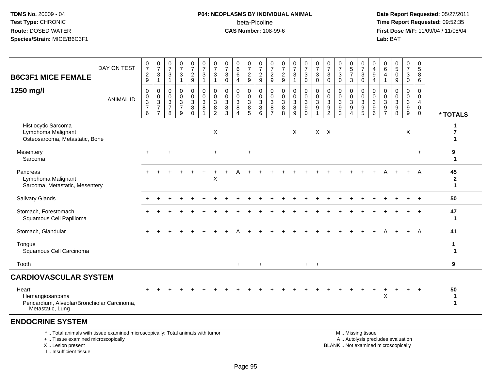#### **P04: NEOPLASMS BY INDIVIDUAL ANIMAL**beta-Picoline<br>CAS Number: 108-99-6

 **Date Report Requested:** 05/27/2011 **Time Report Requested:** 09:52:35 **First Dose M/F:** 11/09/04 / 11/08/04<br>Lab: BAT **Lab:** BAT

| <b>B6C3F1 MICE FEMALE</b>                                                                    | DAY ON TEST      | $\frac{0}{7}$<br>$\frac{2}{9}$                                            | $\frac{0}{7}$<br>$\ensuremath{\mathsf{3}}$<br>$\mathbf{1}$                             | $\frac{0}{7}$<br>$\frac{3}{1}$                            | $\frac{0}{7}$<br>$\sqrt{3}$<br>$\overline{1}$                 | $\frac{0}{7}$<br>$\overline{c}$<br>9   | $\frac{0}{7}$<br>$\mathbf{3}$<br>$\overline{1}$                        | $\frac{0}{7}$<br>3<br>$\mathbf{1}$           | $\frac{0}{7}$<br>$\mathbf{3}$<br>0 | $\begin{array}{c} 0 \\ 6 \end{array}$<br>$\,6\,$<br>$\overline{4}$ | $\frac{0}{7}$<br>$\boldsymbol{2}$<br>$\boldsymbol{9}$ | $\frac{0}{7}$<br>$\frac{2}{9}$                  | 0<br>$\overline{7}$<br>$\overline{c}$<br>$\boldsymbol{9}$ | $\frac{0}{7}$<br>$\frac{2}{9}$           | $\frac{0}{7}$<br>$\mathbf{3}$<br>$\mathbf{1}$ | $\frac{0}{7}$<br>$\mathbf{3}$<br>$\pmb{0}$                | $\frac{0}{7}$<br>$\mathbf{3}$<br>$\overline{0}$                   | $\frac{0}{7}$<br>$\mathbf{3}$<br>$\mathbf 0$          | $\frac{0}{7}$<br>$\ensuremath{\mathsf{3}}$<br>$\boldsymbol{0}$ | $\begin{smallmatrix}0\0\5\end{smallmatrix}$<br>$\overline{7}$<br>3 | $\frac{0}{7}$<br>3<br>$\mathbf 0$        | 0<br>$\overline{4}$<br>9<br>$\overline{4}$   | $\begin{array}{c} 0 \\ 6 \end{array}$<br>$\overline{4}$<br>$\mathbf{1}$ | $\begin{array}{c} 0 \\ 5 \end{array}$<br>$\mathbf 0$<br>$\boldsymbol{9}$ | $\begin{smallmatrix}0\\7\end{smallmatrix}$<br>3<br>$\mathbf 0$ | 0<br>$\overline{5}$<br>8<br>6                                       |                             |
|----------------------------------------------------------------------------------------------|------------------|---------------------------------------------------------------------------|----------------------------------------------------------------------------------------|-----------------------------------------------------------|---------------------------------------------------------------|----------------------------------------|------------------------------------------------------------------------|----------------------------------------------|------------------------------------|--------------------------------------------------------------------|-------------------------------------------------------|-------------------------------------------------|-----------------------------------------------------------|------------------------------------------|-----------------------------------------------|-----------------------------------------------------------|-------------------------------------------------------------------|-------------------------------------------------------|----------------------------------------------------------------|--------------------------------------------------------------------|------------------------------------------|----------------------------------------------|-------------------------------------------------------------------------|--------------------------------------------------------------------------|----------------------------------------------------------------|---------------------------------------------------------------------|-----------------------------|
| 1250 mg/l                                                                                    | <b>ANIMAL ID</b> | 0<br>$\begin{smallmatrix} 0\\ 3 \end{smallmatrix}$<br>$\overline{7}$<br>6 | 0<br>$\begin{smallmatrix} 0\\ 3 \end{smallmatrix}$<br>$\overline{7}$<br>$\overline{7}$ | 0<br>$\mathbf 0$<br>$\overline{3}$<br>$\overline{7}$<br>8 | $\mathbf 0$<br>$\pmb{0}$<br>$\sqrt{3}$<br>$\overline{7}$<br>9 | 0<br>$\mathbf 0$<br>3<br>8<br>$\Omega$ | $\begin{smallmatrix} 0\\0\\3 \end{smallmatrix}$<br>8<br>$\overline{1}$ | 0<br>$\mathbf 0$<br>3<br>8<br>$\overline{2}$ | 0<br>0<br>$\mathbf{3}$<br>8<br>3   | 0<br>$\pmb{0}$<br>$\sqrt{3}$<br>8<br>$\boldsymbol{\Lambda}$        | 0<br>$\pmb{0}$<br>$\mathbf{3}$<br>8<br>5              | 0<br>$\boldsymbol{0}$<br>$\mathbf{3}$<br>8<br>6 | 0<br>0<br>$\mathbf{3}$<br>8<br>$\overline{7}$             | 0<br>$\pmb{0}$<br>$\mathbf{3}$<br>8<br>8 | 0<br>$\pmb{0}$<br>$\overline{3}$<br>8<br>9    | 0<br>$\mathsf{O}\xspace$<br>$\mathbf{3}$<br>9<br>$\Omega$ | $\mathbf 0$<br>$\pmb{0}$<br>$\overline{3}$<br>9<br>$\overline{1}$ | 0<br>$\pmb{0}$<br>$\mathbf{3}$<br>9<br>$\overline{c}$ | 0<br>$\pmb{0}$<br>$\mathbf{3}$<br>9<br>3                       | 0<br>0<br>$\mathbf{3}$<br>9<br>$\boldsymbol{\Lambda}$              | 0<br>$\pmb{0}$<br>$\mathbf{3}$<br>9<br>5 | 0<br>$\pmb{0}$<br>$\sqrt{3}$<br>9<br>$\,6\,$ | 0<br>$\mathbf 0$<br>$\mathsf 3$<br>9<br>$\overline{7}$                  | $\mathbf 0$<br>$\mathbf 0$<br>3<br>9<br>8                                | 0<br>$\pmb{0}$<br>$\mathbf{3}$<br>9<br>$\boldsymbol{9}$        | 0<br>$\mathbf 0$<br>$\overline{4}$<br>$\mathbf 0$<br>$\overline{0}$ | * TOTALS                    |
| Histiocytic Sarcoma<br>Lymphoma Malignant<br>Osteosarcoma, Metastatic, Bone                  |                  |                                                                           |                                                                                        |                                                           |                                                               |                                        |                                                                        | $\sf X$                                      |                                    |                                                                    |                                                       |                                                 |                                                           |                                          | X                                             |                                                           |                                                                   | $X$ $X$                                               |                                                                |                                                                    |                                          |                                              |                                                                         |                                                                          | X                                                              |                                                                     |                             |
| Mesentery<br>Sarcoma                                                                         |                  | $+$                                                                       |                                                                                        | $\ddot{}$                                                 |                                                               |                                        |                                                                        | $\ddot{}$                                    |                                    |                                                                    | $\ddot{}$                                             |                                                 |                                                           |                                          |                                               |                                                           |                                                                   |                                                       |                                                                |                                                                    |                                          |                                              |                                                                         |                                                                          |                                                                | $+$                                                                 | 9                           |
| Pancreas<br>Lymphoma Malignant<br>Sarcoma, Metastatic, Mesentery                             |                  |                                                                           |                                                                                        |                                                           |                                                               |                                        |                                                                        | X                                            |                                    |                                                                    |                                                       |                                                 |                                                           |                                          |                                               |                                                           |                                                                   |                                                       |                                                                |                                                                    |                                          |                                              |                                                                         |                                                                          |                                                                | A                                                                   | 45<br>$\boldsymbol{2}$<br>1 |
| Salivary Glands                                                                              |                  |                                                                           |                                                                                        |                                                           |                                                               |                                        |                                                                        |                                              |                                    |                                                                    |                                                       |                                                 |                                                           |                                          |                                               |                                                           |                                                                   |                                                       |                                                                |                                                                    |                                          |                                              |                                                                         |                                                                          |                                                                |                                                                     | 50                          |
| Stomach, Forestomach<br>Squamous Cell Papilloma                                              |                  |                                                                           |                                                                                        |                                                           |                                                               |                                        |                                                                        |                                              |                                    |                                                                    |                                                       |                                                 |                                                           |                                          |                                               |                                                           |                                                                   |                                                       |                                                                |                                                                    |                                          |                                              |                                                                         |                                                                          |                                                                |                                                                     | 47<br>-1                    |
| Stomach, Glandular                                                                           |                  |                                                                           |                                                                                        |                                                           |                                                               |                                        |                                                                        |                                              |                                    |                                                                    |                                                       |                                                 |                                                           |                                          |                                               |                                                           |                                                                   |                                                       |                                                                |                                                                    |                                          |                                              |                                                                         |                                                                          | $+$                                                            | A                                                                   | 41                          |
| Tongue<br>Squamous Cell Carcinoma                                                            |                  |                                                                           |                                                                                        |                                                           |                                                               |                                        |                                                                        |                                              |                                    |                                                                    |                                                       |                                                 |                                                           |                                          |                                               |                                                           |                                                                   |                                                       |                                                                |                                                                    |                                          |                                              |                                                                         |                                                                          |                                                                |                                                                     | 1                           |
| Tooth                                                                                        |                  |                                                                           |                                                                                        |                                                           |                                                               |                                        |                                                                        |                                              |                                    | $\ddot{}$                                                          |                                                       | $\ddot{}$                                       |                                                           |                                          |                                               | $+$                                                       | $+$                                                               |                                                       |                                                                |                                                                    |                                          |                                              |                                                                         |                                                                          |                                                                |                                                                     | 9                           |
| <b>CARDIOVASCULAR SYSTEM</b>                                                                 |                  |                                                                           |                                                                                        |                                                           |                                                               |                                        |                                                                        |                                              |                                    |                                                                    |                                                       |                                                 |                                                           |                                          |                                               |                                                           |                                                                   |                                                       |                                                                |                                                                    |                                          |                                              |                                                                         |                                                                          |                                                                |                                                                     |                             |
| Heart<br>Hemangiosarcoma<br>Pericardium, Alveolar/Bronchiolar Carcinoma,<br>Metastatic, Lung |                  |                                                                           |                                                                                        |                                                           |                                                               |                                        |                                                                        |                                              |                                    |                                                                    |                                                       |                                                 |                                                           |                                          |                                               |                                                           |                                                                   |                                                       |                                                                |                                                                    |                                          |                                              | X                                                                       |                                                                          | +                                                              |                                                                     | 50<br>ำ<br>1                |

#### **ENDOCRINE SYSTEM**

\* .. Total animals with tissue examined microscopically; Total animals with tumor

+ .. Tissue examined microscopically

X .. Lesion present

I .. Insufficient tissue

 M .. Missing tissuey the contract of the contract of the contract of the contract of the contract of the contract of the contract of  $A$ . Autolysis precludes evaluation Lesion present BLANK .. Not examined microscopically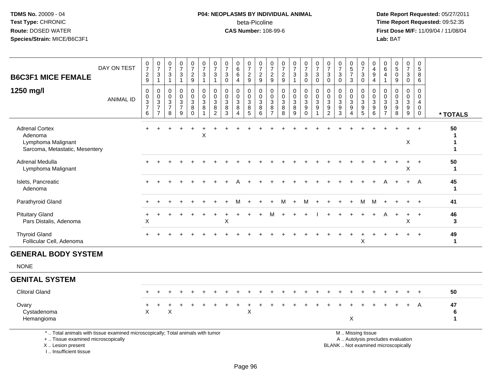#### **P04: NEOPLASMS BY INDIVIDUAL ANIMAL**beta-Picoline<br>CAS Number: 108-99-6

 **Date Report Requested:** 05/27/2011 **Time Report Requested:** 09:52:35 **First Dose M/F:** 11/09/04 / 11/08/04<br>Lab: BAT **Lab:** BAT

| <b>B6C3F1 MICE FEMALE</b>                                                                                                                  | DAY ON TEST      | 0<br>$\overline{7}$<br>$\frac{2}{9}$                       | $\frac{0}{7}$<br>3<br>$\mathbf{1}$                                   | 0<br>$\overline{7}$<br>3<br>$\mathbf{1}$                          | $\frac{0}{7}$<br>$\sqrt{3}$<br>$\mathbf{1}$                     | $\frac{0}{7}$<br>$\sqrt{2}$<br>$\boldsymbol{9}$ | 0<br>$\overline{7}$<br>$\mathbf{3}$<br>$\mathbf{1}$ | 0<br>$\overline{7}$<br>3<br>$\mathbf{1}$                             | 0<br>$\overline{7}$<br>3<br>$\mathbf 0$            | 0<br>$\,6\,$<br>$\,6$<br>4                                   | 0<br>$\overline{7}$<br>$\frac{2}{9}$                   | 0<br>$\overline{7}$<br>$\sqrt{2}$<br>9  | 0<br>$\overline{7}$<br>$\overline{c}$<br>$9\,$ | $\frac{0}{7}$<br>$\frac{2}{9}$                          | $\frac{0}{7}$<br>$\ensuremath{\mathsf{3}}$<br>$\mathbf{1}$ | $\frac{0}{7}$<br>$\mathbf{3}$<br>0 | $\frac{0}{7}$<br>$\sqrt{3}$<br>$\mathbf 0$        | 0<br>$\overline{7}$<br>$\mathbf{3}$<br>$\mathbf 0$                                             | 0<br>$\overline{7}$<br>3<br>$\mathbf 0$        | $\begin{array}{c} 0 \\ 5 \end{array}$<br>$\overline{7}$<br>3 | 0<br>$\overline{7}$<br>$\sqrt{3}$<br>0                                | 0<br>$\overline{4}$<br>9<br>$\overline{4}$                       | 0<br>$\,6\,$<br>$\overline{4}$<br>-1                             | $\begin{array}{c} 0 \\ 5 \end{array}$<br>$\mathbf 0$<br>9                | 0<br>$\overline{7}$<br>3<br>$\mathbf 0$                 | 0<br>$\sqrt{5}$<br>8<br>6                                                     |                    |
|--------------------------------------------------------------------------------------------------------------------------------------------|------------------|------------------------------------------------------------|----------------------------------------------------------------------|-------------------------------------------------------------------|-----------------------------------------------------------------|-------------------------------------------------|-----------------------------------------------------|----------------------------------------------------------------------|----------------------------------------------------|--------------------------------------------------------------|--------------------------------------------------------|-----------------------------------------|------------------------------------------------|---------------------------------------------------------|------------------------------------------------------------|------------------------------------|---------------------------------------------------|------------------------------------------------------------------------------------------------|------------------------------------------------|--------------------------------------------------------------|-----------------------------------------------------------------------|------------------------------------------------------------------|------------------------------------------------------------------|--------------------------------------------------------------------------|---------------------------------------------------------|-------------------------------------------------------------------------------|--------------------|
| 1250 mg/l                                                                                                                                  | <b>ANIMAL ID</b> | 0<br>0<br>$\ensuremath{\mathsf{3}}$<br>$\overline{7}$<br>6 | 0<br>$\mathbf 0$<br>$\mathbf{3}$<br>$\overline{7}$<br>$\overline{7}$ | $\mathbf 0$<br>$\mathbf 0$<br>$\mathbf{3}$<br>$\overline{7}$<br>8 | $\mathbf 0$<br>$\mathbf 0$<br>$\sqrt{3}$<br>$\overline{7}$<br>9 | 0<br>0<br>$\mathbf{3}$<br>$\bf 8$<br>$\Omega$   | $\mathbf 0$<br>$\Omega$<br>$\mathbf{3}$<br>$\, 8$   | 0<br>$\mathbf 0$<br>$\ensuremath{\mathsf{3}}$<br>8<br>$\overline{2}$ | $\Omega$<br>$\mathbf{0}$<br>$\mathbf{3}$<br>8<br>3 | $\mathbf 0$<br>$\mathbf 0$<br>$\mathbf{3}$<br>8<br>$\Lambda$ | 0<br>$\mathbf 0$<br>$\mathsf 3$<br>8<br>$\overline{5}$ | 0<br>$\Omega$<br>$\mathbf{3}$<br>8<br>6 | $\mathbf 0$<br>$\mathbf 0$<br>3<br>8<br>7      | $\mathbf 0$<br>$\mathbf 0$<br>$\sqrt{3}$<br>$\bf8$<br>8 | 0<br>$\mathbf 0$<br>3<br>8<br>9                            | 0<br>0<br>3<br>9<br>$\Omega$       | $\mathbf 0$<br>$\mathbf 0$<br>$\sqrt{3}$<br>$9\,$ | $\mathbf 0$<br>$\mathbf{0}$<br>$\ensuremath{\mathsf{3}}$<br>$\boldsymbol{9}$<br>$\overline{2}$ | $\Omega$<br>$\Omega$<br>$\sqrt{3}$<br>$9$<br>3 | 0<br>$\mathbf 0$<br>3<br>$9\,$<br>$\Lambda$                  | $\mathbf 0$<br>$\mathbf 0$<br>3<br>$\boldsymbol{9}$<br>$\overline{5}$ | $\mathbf 0$<br>$\Omega$<br>$\mathbf{3}$<br>$\boldsymbol{9}$<br>6 | $\mathbf 0$<br>$\Omega$<br>$\sqrt{3}$<br>$9\,$<br>$\overline{7}$ | $\mathbf 0$<br>$\Omega$<br>$\mathbf{3}$<br>$\boldsymbol{9}$<br>8         | 0<br>$\mathbf 0$<br>$\mathbf{3}$<br>9<br>$\overline{9}$ | $\mathbf 0$<br>$\mathbf 0$<br>$\overline{4}$<br>$\mathbf 0$<br>$\overline{0}$ | * TOTALS           |
| <b>Adrenal Cortex</b><br>Adenoma<br>Lymphoma Malignant<br>Sarcoma, Metastatic, Mesentery                                                   |                  | $+$                                                        | $\ddot{}$                                                            |                                                                   | $\overline{ }$                                                  | $\ddot{}$                                       | X                                                   |                                                                      |                                                    |                                                              |                                                        |                                         |                                                |                                                         |                                                            |                                    |                                                   |                                                                                                |                                                |                                                              |                                                                       |                                                                  |                                                                  |                                                                          | X                                                       | $\ddot{}$                                                                     | 50                 |
| Adrenal Medulla<br>Lymphoma Malignant                                                                                                      |                  |                                                            |                                                                      |                                                                   |                                                                 |                                                 |                                                     |                                                                      |                                                    |                                                              |                                                        |                                         |                                                |                                                         |                                                            |                                    |                                                   |                                                                                                |                                                |                                                              |                                                                       |                                                                  |                                                                  |                                                                          | ÷<br>X                                                  |                                                                               | 50<br>$\mathbf 1$  |
| Islets, Pancreatic<br>Adenoma                                                                                                              |                  |                                                            |                                                                      |                                                                   |                                                                 |                                                 |                                                     |                                                                      |                                                    |                                                              |                                                        |                                         |                                                |                                                         |                                                            |                                    |                                                   |                                                                                                |                                                |                                                              |                                                                       |                                                                  |                                                                  |                                                                          |                                                         | A                                                                             | 45<br>$\mathbf{1}$ |
| Parathyroid Gland                                                                                                                          |                  |                                                            |                                                                      |                                                                   |                                                                 |                                                 |                                                     |                                                                      |                                                    | м                                                            |                                                        |                                         |                                                | м                                                       | $\ddot{}$                                                  | м                                  |                                                   |                                                                                                |                                                |                                                              | М                                                                     | M                                                                |                                                                  |                                                                          |                                                         |                                                                               | 41                 |
| <b>Pituitary Gland</b><br>Pars Distalis, Adenoma                                                                                           |                  | X                                                          |                                                                      |                                                                   |                                                                 |                                                 |                                                     |                                                                      | X                                                  |                                                              |                                                        |                                         | М                                              |                                                         | $\ddot{}$                                                  |                                    |                                                   |                                                                                                |                                                |                                                              | $\ddot{}$                                                             | $\ddot{}$                                                        | A                                                                | $\ddot{}$                                                                | $\ddot{}$<br>X                                          | $\ddot{}$                                                                     | 46<br>3            |
| <b>Thyroid Gland</b><br>Follicular Cell, Adenoma                                                                                           |                  |                                                            |                                                                      |                                                                   |                                                                 |                                                 |                                                     |                                                                      |                                                    |                                                              |                                                        |                                         |                                                |                                                         |                                                            |                                    |                                                   |                                                                                                |                                                |                                                              | X                                                                     |                                                                  |                                                                  |                                                                          |                                                         |                                                                               | 49<br>$\mathbf{1}$ |
| <b>GENERAL BODY SYSTEM</b>                                                                                                                 |                  |                                                            |                                                                      |                                                                   |                                                                 |                                                 |                                                     |                                                                      |                                                    |                                                              |                                                        |                                         |                                                |                                                         |                                                            |                                    |                                                   |                                                                                                |                                                |                                                              |                                                                       |                                                                  |                                                                  |                                                                          |                                                         |                                                                               |                    |
| <b>NONE</b>                                                                                                                                |                  |                                                            |                                                                      |                                                                   |                                                                 |                                                 |                                                     |                                                                      |                                                    |                                                              |                                                        |                                         |                                                |                                                         |                                                            |                                    |                                                   |                                                                                                |                                                |                                                              |                                                                       |                                                                  |                                                                  |                                                                          |                                                         |                                                                               |                    |
| <b>GENITAL SYSTEM</b>                                                                                                                      |                  |                                                            |                                                                      |                                                                   |                                                                 |                                                 |                                                     |                                                                      |                                                    |                                                              |                                                        |                                         |                                                |                                                         |                                                            |                                    |                                                   |                                                                                                |                                                |                                                              |                                                                       |                                                                  |                                                                  |                                                                          |                                                         |                                                                               |                    |
| <b>Clitoral Gland</b>                                                                                                                      |                  |                                                            |                                                                      |                                                                   |                                                                 |                                                 |                                                     |                                                                      |                                                    |                                                              |                                                        |                                         |                                                |                                                         |                                                            |                                    |                                                   |                                                                                                |                                                |                                                              |                                                                       |                                                                  |                                                                  |                                                                          |                                                         |                                                                               | 50                 |
| Ovary<br>Cystadenoma<br>Hemangioma                                                                                                         |                  | X                                                          |                                                                      | Χ                                                                 |                                                                 |                                                 |                                                     |                                                                      |                                                    |                                                              | $\mathsf X$                                            |                                         |                                                |                                                         |                                                            |                                    |                                                   |                                                                                                |                                                | X                                                            |                                                                       |                                                                  |                                                                  |                                                                          |                                                         | A                                                                             | 47<br>6<br>1       |
| *  Total animals with tissue examined microscopically; Total animals with tumor<br>+  Tissue examined microscopically<br>X  Lesion present |                  |                                                            |                                                                      |                                                                   |                                                                 |                                                 |                                                     |                                                                      |                                                    |                                                              |                                                        |                                         |                                                |                                                         |                                                            |                                    |                                                   |                                                                                                |                                                |                                                              | M  Missing tissue                                                     |                                                                  |                                                                  | A  Autolysis precludes evaluation<br>BLANK  Not examined microscopically |                                                         |                                                                               |                    |

I .. Insufficient tissue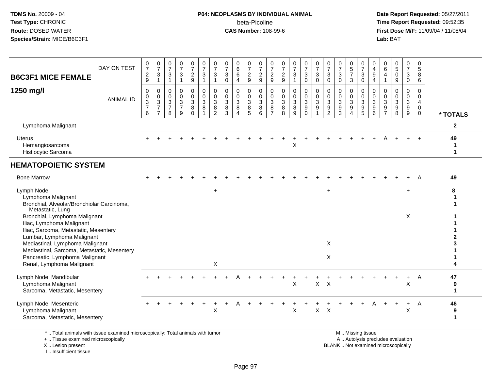#### **P04: NEOPLASMS BY INDIVIDUAL ANIMAL**beta-Picoline<br>CAS Number: 108-99-6

 **Date Report Requested:** 05/27/2011 **Time Report Requested:** 09:52:35 **First Dose M/F:** 11/09/04 / 11/08/04<br>Lab: BAT **Lab:** BAT

| DAY ON TEST<br><b>B6C3F1 MICE FEMALE</b>                                                                     | 0<br>$\overline{7}$<br>$\overline{c}$<br>9   | $\frac{0}{7}$<br>$\ensuremath{\mathsf{3}}$<br>$\mathbf{1}$                       | 0<br>$\overline{7}$<br>3<br>$\mathbf{1}$  | 0<br>$\overline{7}$<br>$\mathbf{3}$<br>1                | 0<br>$\overline{7}$<br>$\overline{c}$<br>$\mathsf g$  | 0<br>$\overline{7}$<br>$\mathbf{3}$<br>$\overline{1}$ | 0<br>$\overline{7}$<br>$\sqrt{3}$<br>$\overline{1}$ | 0<br>$\overline{7}$<br>3<br>$\mathbf 0$              | 0<br>6<br>6<br>4                | 0<br>$\overline{7}$<br>$\overline{c}$<br>$\mathsf g$ | $\frac{0}{7}$<br>$\overline{2}$<br>$\boldsymbol{9}$            | 0<br>$\overline{7}$<br>$\sqrt{2}$<br>$\mathsf g$               | $\frac{0}{7}$<br>$\frac{2}{9}$             | $\frac{0}{7}$<br>$\sqrt{3}$<br>$\mathbf{1}$        | 0<br>$\overline{7}$<br>3<br>$\mathbf 0$ | $\frac{0}{7}$<br>$\mathbf{3}$<br>$\mathbf 0$                | 0<br>$\overline{7}$<br>$\mathbf{3}$<br>$\Omega$         | 0<br>$\overline{7}$<br>$\sqrt{3}$<br>$\mathbf 0$ | $\begin{array}{c} 0 \\ 5 \\ 7 \end{array}$<br>$\mathbf{3}$ | 0<br>$\overline{7}$<br>$\ensuremath{\mathsf{3}}$<br>$\mathbf 0$ | 0<br>$\overline{4}$<br>$9\,$<br>$\overline{4}$    | 0<br>6<br>4<br>$\mathbf{1}$               | $\begin{matrix} 0 \\ 5 \end{matrix}$<br>$\mathbf 0$<br>9 | 0<br>$\overline{7}$<br>$\mathbf{3}$<br>$\mathsf 0$   | 0<br>5<br>8<br>6                                    |                         |
|--------------------------------------------------------------------------------------------------------------|----------------------------------------------|----------------------------------------------------------------------------------|-------------------------------------------|---------------------------------------------------------|-------------------------------------------------------|-------------------------------------------------------|-----------------------------------------------------|------------------------------------------------------|---------------------------------|------------------------------------------------------|----------------------------------------------------------------|----------------------------------------------------------------|--------------------------------------------|----------------------------------------------------|-----------------------------------------|-------------------------------------------------------------|---------------------------------------------------------|--------------------------------------------------|------------------------------------------------------------|-----------------------------------------------------------------|---------------------------------------------------|-------------------------------------------|----------------------------------------------------------|------------------------------------------------------|-----------------------------------------------------|-------------------------|
| 1250 mg/l<br><b>ANIMAL ID</b>                                                                                | $\mathbf 0$<br>0<br>3<br>$\overline{7}$<br>6 | $\mathbf 0$<br>$\mathbf 0$<br>$\overline{3}$<br>$\overline{7}$<br>$\overline{7}$ | $\Omega$<br>0<br>3<br>$\overline{7}$<br>8 | 0<br>$\mathbf 0$<br>$\mathbf{3}$<br>$\overline{7}$<br>9 | 0<br>$\mathbf 0$<br>$\sqrt{3}$<br>$\bf 8$<br>$\Omega$ | 0<br>$\mathbf 0$<br>$\mathbf{3}$<br>8                 | $\mathbf 0$<br>$\mathbf 0$<br>$\sqrt{3}$<br>8<br>2  | $\mathbf 0$<br>$\mathbf 0$<br>$\mathbf{3}$<br>8<br>3 | 0<br>$\mathbf 0$<br>3<br>8<br>4 | 0<br>$\mathbf 0$<br>3<br>8<br>5                      | $\mathbf 0$<br>$\mathsf{O}\xspace$<br>$\mathfrak{S}$<br>8<br>6 | $\Omega$<br>$\mathbf 0$<br>$\mathbf{3}$<br>8<br>$\overline{7}$ | $\mathbf 0$<br>0<br>$\mathbf{3}$<br>8<br>8 | $\mathbf 0$<br>$\mathbf 0$<br>$\sqrt{3}$<br>8<br>9 | 0<br>0<br>3<br>9<br>$\Omega$            | 0<br>$\pmb{0}$<br>$\overline{3}$<br>$9\,$<br>$\overline{1}$ | 0<br>$\mathbf 0$<br>$\mathbf{3}$<br>9<br>$\overline{2}$ | 0<br>0<br>3<br>9<br>3                            | $\mathbf 0$<br>$\mathbf 0$<br>$\mathbf{3}$<br>9<br>4       | 0<br>$\mathbf 0$<br>3<br>9<br>5                                 | $\Omega$<br>$\mathbf 0$<br>$\mathbf{3}$<br>9<br>6 | 0<br>$\Omega$<br>3<br>9<br>$\overline{7}$ | $\Omega$<br>$\Omega$<br>3<br>9<br>8                      | $\mathbf 0$<br>$\mathbf 0$<br>$\mathbf{3}$<br>9<br>9 | $\Omega$<br>$\mathbf 0$<br>$\overline{4}$<br>0<br>0 | * TOTALS                |
| Lymphoma Malignant                                                                                           |                                              |                                                                                  |                                           |                                                         |                                                       |                                                       |                                                     |                                                      |                                 |                                                      |                                                                |                                                                |                                            |                                                    |                                         |                                                             |                                                         |                                                  |                                                            |                                                                 |                                                   |                                           |                                                          |                                                      |                                                     | $\mathbf{2}$            |
| Uterus<br>Hemangiosarcoma<br>Histiocytic Sarcoma                                                             |                                              |                                                                                  |                                           |                                                         |                                                       |                                                       |                                                     |                                                      |                                 |                                                      |                                                                |                                                                |                                            | X                                                  |                                         |                                                             |                                                         |                                                  |                                                            |                                                                 |                                                   |                                           |                                                          |                                                      | $\ddot{}$                                           | 49<br>$\mathbf{1}$<br>1 |
| <b>HEMATOPOIETIC SYSTEM</b>                                                                                  |                                              |                                                                                  |                                           |                                                         |                                                       |                                                       |                                                     |                                                      |                                 |                                                      |                                                                |                                                                |                                            |                                                    |                                         |                                                             |                                                         |                                                  |                                                            |                                                                 |                                                   |                                           |                                                          |                                                      |                                                     |                         |
| <b>Bone Marrow</b>                                                                                           |                                              |                                                                                  |                                           |                                                         |                                                       |                                                       |                                                     |                                                      |                                 |                                                      |                                                                |                                                                |                                            |                                                    |                                         |                                                             |                                                         |                                                  |                                                            |                                                                 |                                                   |                                           |                                                          |                                                      | A                                                   | 49                      |
| Lymph Node<br>Lymphoma Malignant<br>Bronchial, Alveolar/Bronchiolar Carcinoma,<br>Metastatic, Lung           |                                              |                                                                                  |                                           |                                                         |                                                       |                                                       | $\ddot{}$                                           |                                                      |                                 |                                                      |                                                                |                                                                |                                            |                                                    |                                         |                                                             | $\ddot{}$                                               |                                                  |                                                            |                                                                 |                                                   |                                           |                                                          | $\ddot{}$                                            |                                                     | 8                       |
| Bronchial, Lymphoma Malignant<br>Iliac, Lymphoma Malignant<br>Iliac, Sarcoma, Metastatic, Mesentery          |                                              |                                                                                  |                                           |                                                         |                                                       |                                                       |                                                     |                                                      |                                 |                                                      |                                                                |                                                                |                                            |                                                    |                                         |                                                             |                                                         |                                                  |                                                            |                                                                 |                                                   |                                           |                                                          | X                                                    |                                                     |                         |
| Lumbar, Lymphoma Malignant<br>Mediastinal, Lymphoma Malignant<br>Mediastinal, Sarcoma, Metastatic, Mesentery |                                              |                                                                                  |                                           |                                                         |                                                       |                                                       |                                                     |                                                      |                                 |                                                      |                                                                |                                                                |                                            |                                                    |                                         |                                                             | X                                                       |                                                  |                                                            |                                                                 |                                                   |                                           |                                                          |                                                      |                                                     |                         |
| Pancreatic, Lymphoma Malignant<br>Renal, Lymphoma Malignant                                                  |                                              |                                                                                  |                                           |                                                         |                                                       |                                                       | X                                                   |                                                      |                                 |                                                      |                                                                |                                                                |                                            |                                                    |                                         |                                                             | X                                                       |                                                  |                                                            |                                                                 |                                                   |                                           |                                                          |                                                      |                                                     |                         |
| Lymph Node, Mandibular<br>Lymphoma Malignant<br>Sarcoma, Metastatic, Mesentery                               |                                              |                                                                                  |                                           |                                                         |                                                       |                                                       |                                                     |                                                      |                                 |                                                      |                                                                |                                                                |                                            | X                                                  |                                         | $\mathsf{X}$                                                | $\mathsf{X}$                                            |                                                  |                                                            |                                                                 |                                                   |                                           |                                                          | X                                                    | A                                                   | 47<br>9<br>$\mathbf 1$  |
| Lymph Node, Mesenteric<br>Lymphoma Malignant<br>Sarcoma, Metastatic, Mesentery                               |                                              |                                                                                  |                                           |                                                         |                                                       |                                                       | X                                                   |                                                      |                                 |                                                      |                                                                |                                                                |                                            | X                                                  |                                         | $\mathsf{X}$                                                | $\times$                                                |                                                  |                                                            |                                                                 |                                                   |                                           |                                                          | $\ddot{}$<br>X                                       | A                                                   | 46<br>9<br>1            |
| * Total animals with tissue examined microsconically: Total animals with tumor                               |                                              |                                                                                  |                                           |                                                         |                                                       |                                                       |                                                     |                                                      |                                 |                                                      |                                                                |                                                                |                                            |                                                    |                                         |                                                             |                                                         |                                                  |                                                            | M Miccinaticcup                                                 |                                                   |                                           |                                                          |                                                      |                                                     |                         |

\* .. Total animals with tissue examined microscopically; Total animals with tumor

+ .. Tissue examined microscopically

X .. Lesion present

I .. Insufficient tissue

M .. Missing tissue

y the contract of the contract of the contract of the contract of the contract of the contract of the contract of  $A$ . Autolysis precludes evaluation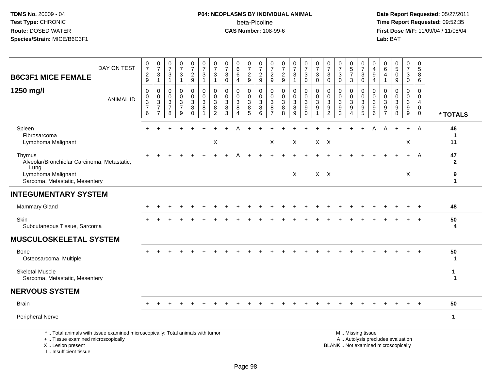# **P04: NEOPLASMS BY INDIVIDUAL ANIMAL**beta-Picoline<br>CAS Number: 108-99-6

 **Date Report Requested:** 05/27/2011 **Time Report Requested:** 09:52:35 **First Dose M/F:** 11/09/04 / 11/08/04<br>Lab: BAT **Lab:** BAT

| DAY ON TEST<br><b>B6C3F1 MICE FEMALE</b>                                                                              | $\frac{0}{7}$<br>$\sqrt{2}$<br>9                                     | $\frac{0}{7}$<br>3<br>$\mathbf{1}$                                             | $\frac{0}{7}$<br>3<br>$\mathbf{1}$          | $\frac{0}{7}$<br>3<br>1            | $\begin{smallmatrix}0\\7\end{smallmatrix}$<br>$\frac{2}{9}$ | $\frac{0}{7}$<br>$\sqrt{3}$<br>$\mathbf{1}$                     | $\frac{0}{7}$<br>3<br>-1        | $\frac{0}{7}$<br>3<br>$\mathbf{0}$                   | 0<br>6<br>6<br>4                                        | $\frac{0}{7}$<br>$\frac{2}{9}$                                         | $\frac{0}{7}$<br>$\overline{c}$<br>$\overline{9}$ | $\frac{0}{7}$<br>$\overline{c}$<br>9                   | $\frac{0}{7}$<br>$\frac{2}{9}$                         | $\frac{0}{7}$<br>$\mathbf{3}$<br>$\mathbf 1$ | $\frac{0}{7}$<br>$\mathbf{3}$<br>$\mathbf 0$                      | $\frac{0}{7}$<br>3<br>0 | 0<br>$\overline{7}$<br>3<br>$\Omega$                   | $\frac{0}{7}$<br>$\sqrt{3}$<br>$\mathbf 0$                | $\begin{array}{c} 0 \\ 5 \\ 7 \end{array}$<br>3        | $\frac{0}{7}$<br>$\mathbf{3}$<br>$\mathbf 0$                                       | 0<br>$\overline{4}$<br>9<br>4                           | 0<br>6<br>4<br>1                             | $\begin{array}{c} 0 \\ 5 \end{array}$<br>$\mathbf 0$<br>9 | $\frac{0}{7}$<br>$\mathbf{3}$<br>0                  | 0<br>$\sqrt{5}$<br>8<br>6                 |                              |  |  |
|-----------------------------------------------------------------------------------------------------------------------|----------------------------------------------------------------------|--------------------------------------------------------------------------------|---------------------------------------------|------------------------------------|-------------------------------------------------------------|-----------------------------------------------------------------|---------------------------------|------------------------------------------------------|---------------------------------------------------------|------------------------------------------------------------------------|---------------------------------------------------|--------------------------------------------------------|--------------------------------------------------------|----------------------------------------------|-------------------------------------------------------------------|-------------------------|--------------------------------------------------------|-----------------------------------------------------------|--------------------------------------------------------|------------------------------------------------------------------------------------|---------------------------------------------------------|----------------------------------------------|-----------------------------------------------------------|-----------------------------------------------------|-------------------------------------------|------------------------------|--|--|
| 1250 mg/l<br><b>ANIMAL ID</b>                                                                                         | $\mathbf 0$<br>0<br>$\ensuremath{\mathsf{3}}$<br>$\overline{7}$<br>6 | $\mathbf 0$<br>$\mathbf 0$<br>$\mathbf{3}$<br>$\overline{7}$<br>$\overline{7}$ | 0<br>0<br>$\sqrt{3}$<br>$\overline{7}$<br>8 | 0<br>0<br>3<br>$\overline{7}$<br>9 | 0<br>$\mathbf 0$<br>$\overline{3}$<br>8<br>$\mathbf 0$      | $\mathbf 0$<br>$\mathbf 0$<br>$\sqrt{3}$<br>8<br>$\overline{1}$ | 0<br>$\mathbf 0$<br>3<br>8<br>2 | $\mathbf 0$<br>$\mathbf 0$<br>$\mathbf{3}$<br>8<br>3 | $\mathbf{0}$<br>$\mathbf 0$<br>3<br>8<br>$\overline{4}$ | 0<br>$\mathbf 0$<br>$\overline{3}$<br>$\overline{8}$<br>$\overline{5}$ | 0<br>0<br>$\mathbf{3}$<br>8<br>$6\phantom{a}$     | $\mathbf 0$<br>$\mathbf 0$<br>3<br>8<br>$\overline{7}$ | $\mathbf 0$<br>$\mathbf 0$<br>$\overline{3}$<br>8<br>8 | 0<br>0<br>3<br>8<br>9                        | $\mathbf 0$<br>$\mathbf 0$<br>$\overline{3}$<br>$9\,$<br>$\Omega$ | 0<br>0<br>3<br>9        | $\mathbf 0$<br>$\mathbf 0$<br>3<br>9<br>$\overline{2}$ | $\mathbf 0$<br>0<br>$\mathbf{3}$<br>$\boldsymbol{9}$<br>3 | $\mathbf 0$<br>$\mathbf 0$<br>3<br>9<br>$\overline{4}$ | $\mathbf 0$<br>$\mathbf 0$<br>$\overline{3}$<br>$\boldsymbol{9}$<br>$\overline{5}$ | $\mathbf 0$<br>$\mathbf 0$<br>3<br>9<br>$6\phantom{1}6$ | 0<br>$\mathbf 0$<br>3<br>9<br>$\overline{7}$ | 0<br>0<br>$\overline{3}$<br>$\frac{9}{8}$                 | 0<br>$\mathbf 0$<br>$\overline{3}$<br>$\frac{9}{9}$ | $\mathbf 0$<br>$\mathbf 0$<br>4<br>0<br>0 | * TOTALS                     |  |  |
| Spleen<br>Fibrosarcoma<br>Lymphoma Malignant                                                                          |                                                                      |                                                                                |                                             |                                    |                                                             |                                                                 | $\mathsf X$                     |                                                      |                                                         |                                                                        |                                                   | X                                                      |                                                        | $\boldsymbol{\mathsf{X}}$                    |                                                                   | $X$ $X$                 |                                                        |                                                           |                                                        |                                                                                    |                                                         |                                              |                                                           | $\ddot{}$<br>X                                      | A                                         | 46<br>$\mathbf 1$<br>11      |  |  |
| Thymus<br>Alveolar/Bronchiolar Carcinoma, Metastatic,<br>Lung<br>Lymphoma Malignant<br>Sarcoma, Metastatic, Mesentery |                                                                      |                                                                                |                                             |                                    |                                                             |                                                                 |                                 |                                                      |                                                         |                                                                        |                                                   |                                                        |                                                        | X                                            |                                                                   | $X$ $X$                 |                                                        |                                                           |                                                        |                                                                                    |                                                         |                                              |                                                           | $+$<br>X                                            | A                                         | 47<br>$\mathbf{2}$<br>9<br>1 |  |  |
| <b>INTEGUMENTARY SYSTEM</b>                                                                                           |                                                                      |                                                                                |                                             |                                    |                                                             |                                                                 |                                 |                                                      |                                                         |                                                                        |                                                   |                                                        |                                                        |                                              |                                                                   |                         |                                                        |                                                           |                                                        |                                                                                    |                                                         |                                              |                                                           |                                                     |                                           |                              |  |  |
| <b>Mammary Gland</b>                                                                                                  |                                                                      |                                                                                |                                             |                                    |                                                             |                                                                 |                                 |                                                      |                                                         |                                                                        |                                                   |                                                        |                                                        |                                              |                                                                   |                         |                                                        |                                                           |                                                        |                                                                                    |                                                         |                                              |                                                           |                                                     |                                           | 48                           |  |  |
| Skin<br>Subcutaneous Tissue, Sarcoma                                                                                  |                                                                      |                                                                                |                                             |                                    |                                                             |                                                                 |                                 |                                                      |                                                         |                                                                        |                                                   |                                                        |                                                        |                                              |                                                                   |                         |                                                        |                                                           |                                                        |                                                                                    |                                                         |                                              |                                                           |                                                     |                                           | 50<br>4                      |  |  |
| <b>MUSCULOSKELETAL SYSTEM</b>                                                                                         |                                                                      |                                                                                |                                             |                                    |                                                             |                                                                 |                                 |                                                      |                                                         |                                                                        |                                                   |                                                        |                                                        |                                              |                                                                   |                         |                                                        |                                                           |                                                        |                                                                                    |                                                         |                                              |                                                           |                                                     |                                           |                              |  |  |
| Bone<br>Osteosarcoma, Multiple                                                                                        |                                                                      |                                                                                |                                             |                                    |                                                             |                                                                 |                                 |                                                      |                                                         |                                                                        |                                                   |                                                        |                                                        |                                              |                                                                   |                         |                                                        |                                                           |                                                        |                                                                                    |                                                         |                                              |                                                           |                                                     |                                           | 50<br>1                      |  |  |
| <b>Skeletal Muscle</b><br>Sarcoma, Metastatic, Mesentery                                                              |                                                                      |                                                                                |                                             |                                    |                                                             |                                                                 |                                 |                                                      |                                                         |                                                                        |                                                   |                                                        |                                                        |                                              |                                                                   |                         |                                                        |                                                           |                                                        |                                                                                    |                                                         |                                              |                                                           |                                                     |                                           | 1<br>$\mathbf{1}$            |  |  |
| <b>NERVOUS SYSTEM</b>                                                                                                 |                                                                      |                                                                                |                                             |                                    |                                                             |                                                                 |                                 |                                                      |                                                         |                                                                        |                                                   |                                                        |                                                        |                                              |                                                                   |                         |                                                        |                                                           |                                                        |                                                                                    |                                                         |                                              |                                                           |                                                     |                                           |                              |  |  |
| <b>Brain</b>                                                                                                          |                                                                      |                                                                                |                                             |                                    |                                                             |                                                                 |                                 |                                                      |                                                         |                                                                        |                                                   |                                                        |                                                        |                                              |                                                                   |                         |                                                        |                                                           |                                                        |                                                                                    |                                                         |                                              |                                                           |                                                     |                                           | 50                           |  |  |
| <b>Peripheral Nerve</b>                                                                                               |                                                                      |                                                                                |                                             |                                    |                                                             |                                                                 |                                 |                                                      |                                                         |                                                                        |                                                   |                                                        |                                                        |                                              |                                                                   |                         |                                                        |                                                           |                                                        |                                                                                    |                                                         |                                              |                                                           |                                                     |                                           | $\mathbf 1$                  |  |  |
| *  Total animals with tissue examined microscopically; Total animals with tumor                                       |                                                                      |                                                                                |                                             |                                    |                                                             |                                                                 |                                 |                                                      |                                                         |                                                                        |                                                   |                                                        |                                                        |                                              |                                                                   |                         |                                                        |                                                           |                                                        |                                                                                    | M  Missing tissue                                       |                                              |                                                           |                                                     |                                           |                              |  |  |

+ .. Tissue examined microscopically

X .. Lesion present

I .. Insufficient tissue

y the contract of the contract of the contract of the contract of the contract of the contract of the contract of  $A$ . Autolysis precludes evaluation Lesion present BLANK .. Not examined microscopically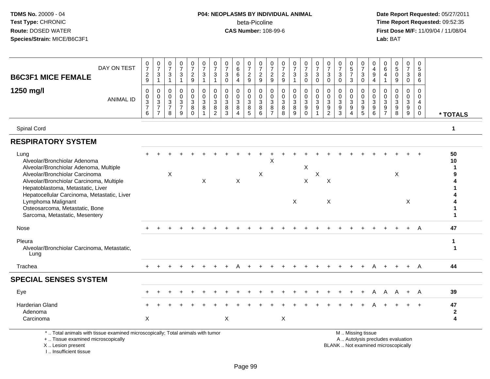# **P04: NEOPLASMS BY INDIVIDUAL ANIMAL**beta-Picoline<br>CAS Number: 108-99-6

 **Date Report Requested:** 05/27/2011 **Time Report Requested:** 09:52:35 **First Dose M/F:** 11/09/04 / 11/08/04<br>Lab: BAT **Lab:** BAT

| DAY ON TEST<br><b>B6C3F1 MICE FEMALE</b>                                                                                                                                                                                                                                                                                                   | $\frac{0}{7}$<br>$\sqrt{2}$<br>9                           | $\begin{array}{c} 0 \\ 7 \end{array}$<br>$\sqrt{3}$<br>$\overline{1}$ | 0<br>$\overline{7}$<br>3<br>$\overline{1}$             | $\frac{0}{7}$<br>$\sqrt{3}$<br>$\mathbf{1}$                         | 0<br>$\overline{7}$<br>$\boldsymbol{2}$<br>9 | $\frac{0}{7}$<br>$\sqrt{3}$<br>$\overline{1}$                      | 0<br>$\overline{7}$<br>3<br>1                                     | $\frac{0}{7}$<br>$\mathbf{3}$<br>$\mathbf{0}$              | 0<br>$\overline{6}$<br>$\,6\,$<br>4 | $\frac{0}{7}$<br>$\overline{c}$<br>9             | 0<br>$\overline{7}$<br>$\overline{c}$<br>9                                     | 0<br>$\overline{7}$<br>$\overline{2}$<br>9             | $\frac{0}{7}$<br>$\sqrt{2}$<br>9                             | 0<br>$\overline{7}$<br>3<br>-1                   | $\frac{0}{7}$<br>$\mathbf{3}$<br>$\Omega$                                    | 0<br>$\overline{7}$<br>3<br>$\Omega$ | $\frac{0}{7}$<br>$\mathbf{3}$<br>$\mathbf{0}$                 | 0<br>$\overline{7}$<br>3<br>$\Omega$                                | $\begin{array}{c} 0 \\ 5 \\ 7 \end{array}$<br>3     | 0<br>$\overline{7}$<br>$\ensuremath{\mathsf{3}}$<br>$\Omega$             | 0<br>$\overline{4}$<br>9<br>$\overline{4}$            | 0<br>6<br>$\overline{4}$                                  | 0<br>$\overline{5}$<br>$\pmb{0}$<br>9                     | 0<br>$\overline{7}$<br>$\mathbf{3}$<br>$\Omega$                   | $\mathbf 0$<br>5<br>8<br>6             |                         |
|--------------------------------------------------------------------------------------------------------------------------------------------------------------------------------------------------------------------------------------------------------------------------------------------------------------------------------------------|------------------------------------------------------------|-----------------------------------------------------------------------|--------------------------------------------------------|---------------------------------------------------------------------|----------------------------------------------|--------------------------------------------------------------------|-------------------------------------------------------------------|------------------------------------------------------------|-------------------------------------|--------------------------------------------------|--------------------------------------------------------------------------------|--------------------------------------------------------|--------------------------------------------------------------|--------------------------------------------------|------------------------------------------------------------------------------|--------------------------------------|---------------------------------------------------------------|---------------------------------------------------------------------|-----------------------------------------------------|--------------------------------------------------------------------------|-------------------------------------------------------|-----------------------------------------------------------|-----------------------------------------------------------|-------------------------------------------------------------------|----------------------------------------|-------------------------|
| 1250 mg/l<br><b>ANIMAL ID</b>                                                                                                                                                                                                                                                                                                              | 0<br>0<br>$\ensuremath{\mathsf{3}}$<br>$\overline{7}$<br>6 | $\mathbf 0$<br>$\mathbf 0$<br>$\frac{3}{7}$<br>$\overline{7}$         | $\mathbf 0$<br>$\mathbf 0$<br>3<br>$\overline{7}$<br>8 | $\mathbf 0$<br>$\mathbf 0$<br>$\overline{3}$<br>$\overline{7}$<br>9 | 0<br>0<br>$\sqrt{3}$<br>$\bf 8$<br>$\Omega$  | $\mathbf 0$<br>$\mathbf 0$<br>$\sqrt{3}$<br>$\, 8$<br>$\mathbf{1}$ | $\mathbf 0$<br>$\mathbf 0$<br>$\mathbf{3}$<br>8<br>$\overline{2}$ | $\mathbf 0$<br>$\mathbf 0$<br>$\mathbf{3}$<br>$\bf 8$<br>3 | 0<br>0<br>3<br>8<br>$\Delta$        | $\mathbf 0$<br>0<br>$\mathbf{3}$<br>$\bf 8$<br>5 | $\mathbf 0$<br>$\mathsf{O}\xspace$<br>$\ensuremath{\mathsf{3}}$<br>$\bf8$<br>6 | $\mathbf 0$<br>$\mathbf 0$<br>3<br>8<br>$\overline{7}$ | $\mathbf 0$<br>$\mathbf 0$<br>$\overline{3}$<br>$\bf 8$<br>8 | $\mathbf 0$<br>0<br>$\mathbf{3}$<br>$\bf 8$<br>9 | $\mathbf 0$<br>$\mathbf 0$<br>$\overline{3}$<br>$\boldsymbol{9}$<br>$\Omega$ | $\Omega$<br>0<br>$\mathbf{3}$<br>9   | $\mathbf 0$<br>$\mathbf 0$<br>$\overline{3}$<br>$\frac{9}{2}$ | $\mathbf 0$<br>$\mathbf 0$<br>$\mathbf{3}$<br>$\boldsymbol{9}$<br>3 | 0<br>$\mathbf 0$<br>$\frac{3}{9}$<br>$\overline{A}$ | $\mathbf 0$<br>$\mathbf 0$<br>$\ensuremath{\mathsf{3}}$<br>$\frac{9}{5}$ | $\Omega$<br>$\mathbf 0$<br>3<br>$\boldsymbol{9}$<br>6 | $\mathbf 0$<br>$\mathbf 0$<br>$\sqrt{3}$<br>$\frac{9}{7}$ | 0<br>$\mathbf 0$<br>$\mathbf{3}$<br>$\boldsymbol{9}$<br>8 | $\mathbf 0$<br>$\mathbf 0$<br>$\sqrt{3}$<br>$\boldsymbol{9}$<br>9 | $\Omega$<br>0<br>4<br>$\mathbf 0$<br>0 | * TOTALS                |
| Spinal Cord                                                                                                                                                                                                                                                                                                                                |                                                            |                                                                       |                                                        |                                                                     |                                              |                                                                    |                                                                   |                                                            |                                     |                                                  |                                                                                |                                                        |                                                              |                                                  |                                                                              |                                      |                                                               |                                                                     |                                                     |                                                                          |                                                       |                                                           |                                                           |                                                                   |                                        | 1                       |
| <b>RESPIRATORY SYSTEM</b>                                                                                                                                                                                                                                                                                                                  |                                                            |                                                                       |                                                        |                                                                     |                                              |                                                                    |                                                                   |                                                            |                                     |                                                  |                                                                                |                                                        |                                                              |                                                  |                                                                              |                                      |                                                               |                                                                     |                                                     |                                                                          |                                                       |                                                           |                                                           |                                                                   |                                        |                         |
| Lung<br>Alveolar/Bronchiolar Adenoma<br>Alveolar/Bronchiolar Adenoma, Multiple<br>Alveolar/Bronchiolar Carcinoma<br>Alveolar/Bronchiolar Carcinoma, Multiple<br>Hepatoblastoma, Metastatic, Liver<br>Hepatocellular Carcinoma, Metastatic, Liver<br>Lymphoma Malignant<br>Osteosarcoma, Metastatic, Bone<br>Sarcoma, Metastatic, Mesentery |                                                            |                                                                       | X                                                      |                                                                     |                                              | $\mathsf{X}$                                                       |                                                                   |                                                            | $\times$                            |                                                  | X                                                                              | Χ                                                      |                                                              | X                                                | X<br>X                                                                       | $\sf X$                              | $\times$<br>$\pmb{\times}$                                    |                                                                     |                                                     |                                                                          |                                                       |                                                           | $\times$                                                  | X                                                                 |                                        | 50<br>10                |
| Nose                                                                                                                                                                                                                                                                                                                                       |                                                            |                                                                       |                                                        |                                                                     |                                              |                                                                    |                                                                   |                                                            |                                     |                                                  |                                                                                |                                                        |                                                              |                                                  |                                                                              |                                      |                                                               |                                                                     |                                                     |                                                                          |                                                       |                                                           |                                                           |                                                                   | A                                      | 47                      |
| Pleura<br>Alveolar/Bronchiolar Carcinoma, Metastatic,<br>Lung                                                                                                                                                                                                                                                                              |                                                            |                                                                       |                                                        |                                                                     |                                              |                                                                    |                                                                   |                                                            |                                     |                                                  |                                                                                |                                                        |                                                              |                                                  |                                                                              |                                      |                                                               |                                                                     |                                                     |                                                                          |                                                       |                                                           |                                                           |                                                                   |                                        | -1<br>$\mathbf 1$       |
| Trachea                                                                                                                                                                                                                                                                                                                                    |                                                            |                                                                       |                                                        |                                                                     |                                              |                                                                    |                                                                   |                                                            |                                     |                                                  |                                                                                |                                                        |                                                              |                                                  |                                                                              |                                      |                                                               |                                                                     |                                                     |                                                                          |                                                       |                                                           |                                                           |                                                                   | A                                      | 44                      |
| <b>SPECIAL SENSES SYSTEM</b>                                                                                                                                                                                                                                                                                                               |                                                            |                                                                       |                                                        |                                                                     |                                              |                                                                    |                                                                   |                                                            |                                     |                                                  |                                                                                |                                                        |                                                              |                                                  |                                                                              |                                      |                                                               |                                                                     |                                                     |                                                                          |                                                       |                                                           |                                                           |                                                                   |                                        |                         |
| Eye                                                                                                                                                                                                                                                                                                                                        |                                                            |                                                                       |                                                        |                                                                     |                                              |                                                                    |                                                                   |                                                            |                                     |                                                  |                                                                                |                                                        |                                                              |                                                  |                                                                              |                                      |                                                               |                                                                     |                                                     |                                                                          | A                                                     | A                                                         | A                                                         | $+$                                                               | A                                      | 39                      |
| <b>Harderian Gland</b><br>Adenoma<br>Carcinoma                                                                                                                                                                                                                                                                                             | X                                                          |                                                                       |                                                        |                                                                     |                                              |                                                                    |                                                                   | X                                                          |                                     |                                                  |                                                                                |                                                        | $\pmb{\times}$                                               |                                                  |                                                                              |                                      |                                                               |                                                                     |                                                     |                                                                          |                                                       |                                                           |                                                           |                                                                   |                                        | 47<br>$\mathbf{2}$<br>4 |
| *  Total animals with tissue examined microscopically; Total animals with tumor<br>+  Tissue examined microscopically                                                                                                                                                                                                                      |                                                            |                                                                       |                                                        |                                                                     |                                              |                                                                    |                                                                   |                                                            |                                     |                                                  |                                                                                |                                                        |                                                              |                                                  |                                                                              |                                      |                                                               |                                                                     |                                                     | M  Missing tissue<br>A  Autolysis precludes evaluation                   |                                                       |                                                           |                                                           |                                                                   |                                        |                         |

X .. Lesion present

I .. Insufficient tissue